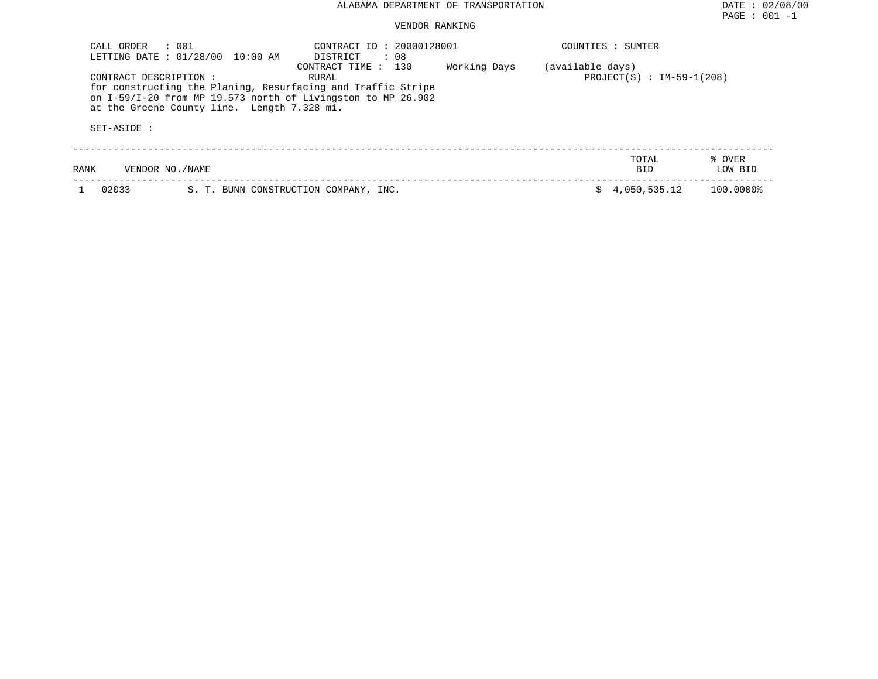## VENDOR RANKING

| CALL ORDER<br>LETTING DATE: 01/28/00 | $\therefore$ 001<br>10:00 AM                                                                                                                                                | CONTRACT ID: 20000128001<br>DISTRICT<br>$\therefore$ 08 |              |                  | COUNTIES : SUMTER           |                   |
|--------------------------------------|-----------------------------------------------------------------------------------------------------------------------------------------------------------------------------|---------------------------------------------------------|--------------|------------------|-----------------------------|-------------------|
| CONTRACT DESCRIPTION:<br>SET-ASIDE:  | for constructing the Planing, Resurfacing and Traffic Stripe<br>on I-59/I-20 from MP 19.573 north of Livingston to MP 26.902<br>at the Greene County line. Length 7.328 mi. | 130<br>CONTRACT TIME :<br>RURAL                         | Working Days | (available days) | $PROJECT(S) : IM-59-1(208)$ |                   |
| RANK                                 | VENDOR NO. / NAME                                                                                                                                                           |                                                         |              |                  | TOTAL<br><b>BID</b>         | % OVER<br>LOW BID |
| 02033                                | S. T. BUNN CONSTRUCTION COMPANY, INC.                                                                                                                                       |                                                         |              |                  | 4,050,535.12                | 100.0000%         |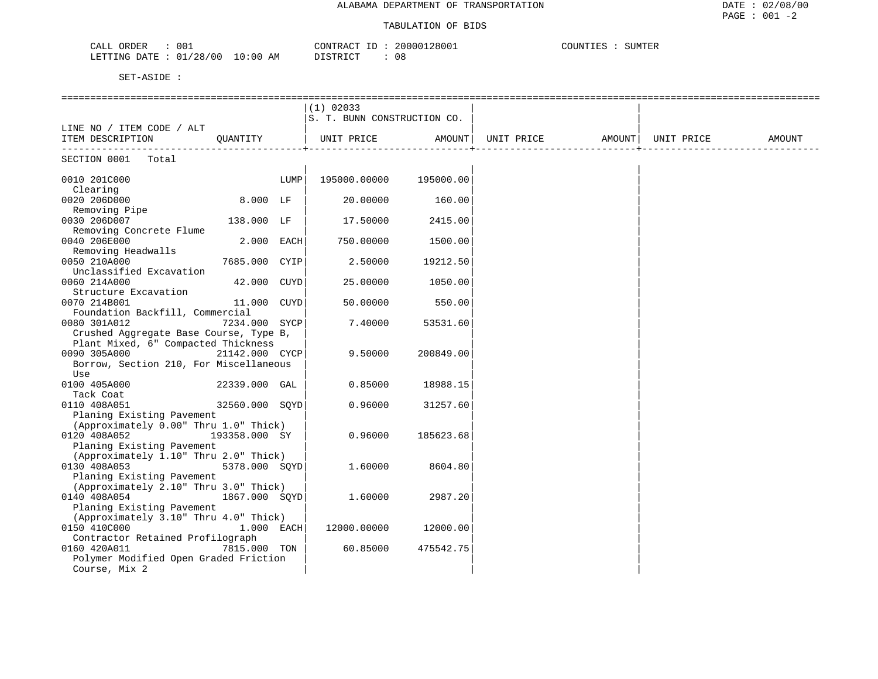### TABULATION OF BIDS

| 001<br>CALL<br>ORDER                                                                                                                                           | 128001<br>200001<br>CONTRACT | SUMTER<br>C |
|----------------------------------------------------------------------------------------------------------------------------------------------------------------|------------------------------|-------------|
| LETTING DATE<br>/28/00<br>10:00<br>01<br>AΜ<br>the contract of the contract of the contract of the contract of the contract of the contract of the contract of | 0 &<br>ገ ደጥ በጣ               |             |

|                                                                                                            |                |      | $(1)$ 02033<br>S. T. BUNN CONSTRUCTION CO. |           |                   |            |        |
|------------------------------------------------------------------------------------------------------------|----------------|------|--------------------------------------------|-----------|-------------------|------------|--------|
| LINE NO / ITEM CODE / ALT<br>ITEM DESCRIPTION                                                              | OUANTITY       |      | UNIT PRICE                                 | AMOUNT    | UNIT PRICE AMOUNT | UNIT PRICE | AMOUNT |
| SECTION 0001<br>Total                                                                                      |                |      |                                            |           |                   |            |        |
| 0010 201C000<br>Clearing                                                                                   |                | LUMP | 195000.00000                               | 195000.00 |                   |            |        |
| 0020 206D000<br>Removing Pipe                                                                              | $8.000$ LF     |      | 20.00000                                   | 160.00    |                   |            |        |
| 0030 206D007<br>Removing Concrete Flume                                                                    | 138.000 LF     |      | 17.50000                                   | 2415.00   |                   |            |        |
| 0040 206E000<br>Removing Headwalls                                                                         | $2.000$ EACH   |      | 750.00000                                  | 1500.00   |                   |            |        |
| 0050 210A000<br>Unclassified Excavation                                                                    | 7685.000 CYIP  |      | 2.50000                                    | 19212.50  |                   |            |        |
| 0060 214A000<br>Structure Excavation                                                                       | 42.000 CUYD    |      | 25,00000                                   | 1050.00   |                   |            |        |
| 0070 214B001<br>Foundation Backfill, Commercial                                                            | 11.000 CUYD    |      | 50.00000                                   | 550.00    |                   |            |        |
| 0080 301A012<br>Crushed Aggregate Base Course, Type B,                                                     | 7234.000 SYCP  |      | 7.40000                                    | 53531.60  |                   |            |        |
| Plant Mixed, 6" Compacted Thickness<br>0090 305A000<br>Borrow, Section 210, For Miscellaneous              | 21142.000 CYCP |      | 9.50000                                    | 200849.00 |                   |            |        |
| Use<br>0100 405A000                                                                                        | 22339.000 GAL  |      | 0.85000                                    | 18988.15  |                   |            |        |
| Tack Coat<br>0110 408A051                                                                                  | 32560.000 SOYD |      | 0.96000                                    | 31257.60  |                   |            |        |
| Planing Existing Pavement<br>(Approximately 0.00" Thru 1.0" Thick)                                         |                |      |                                            |           |                   |            |        |
| 0120 408A052<br>Planing Existing Pavement<br>(Approximately 1.10" Thru 2.0" Thick)                         | 193358.000 SY  |      | 0.96000                                    | 185623.68 |                   |            |        |
| 0130 408A053<br>Planing Existing Pavement                                                                  | 5378.000 SQYD  |      | 1,60000                                    | 8604.80   |                   |            |        |
| (Approximately 2.10" Thru 3.0" Thick)<br>0140 408A054<br>Planing Existing Pavement                         | 1867.000 SOYD  |      | 1,60000                                    | 2987.20   |                   |            |        |
| (Approximately 3.10" Thru 4.0" Thick)<br>0150 410C000                                                      | $1.000$ EACH   |      | 12000.00000                                | 12000.00  |                   |            |        |
| Contractor Retained Profilograph<br>0160 420A011<br>Polymer Modified Open Graded Friction<br>Course, Mix 2 | 7815.000 TON   |      | 60.85000                                   | 475542.75 |                   |            |        |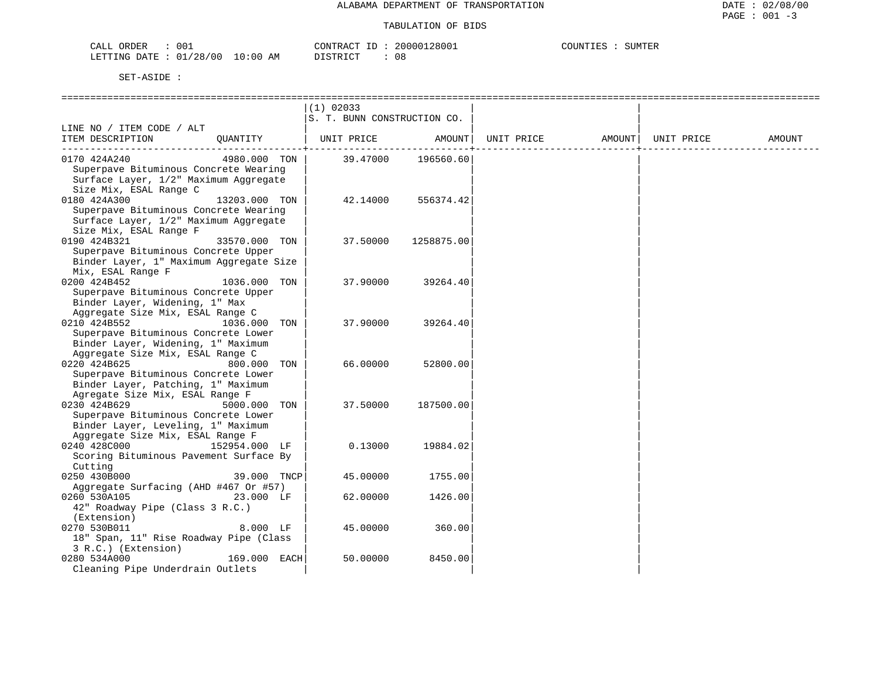| $00^{\circ}$<br>ORDER<br>CALL    | CONTRACT<br>TD. | 20000128001 | SUMTER<br>COUNTIES |
|----------------------------------|-----------------|-------------|--------------------|
| LETTING DATE : 01/28/00 10:00 AM | DISTRICT        | 0 S         |                    |

|                                         |               | $(1)$ 02033                 |               |            |                    |        |
|-----------------------------------------|---------------|-----------------------------|---------------|------------|--------------------|--------|
|                                         |               | S. T. BUNN CONSTRUCTION CO. |               |            |                    |        |
| LINE NO / ITEM CODE / ALT               |               |                             |               |            |                    |        |
| ITEM DESCRIPTION                        | OUANTITY      | UNIT PRICE AMOUNT           |               | UNIT PRICE | AMOUNT  UNIT PRICE | AMOUNT |
|                                         |               |                             | ------------4 |            |                    |        |
| 0170 424A240                            | 4980.000 TON  | 39.47000                    | 196560.60     |            |                    |        |
| Superpave Bituminous Concrete Wearing   |               |                             |               |            |                    |        |
| Surface Layer, 1/2" Maximum Aggregate   |               |                             |               |            |                    |        |
| Size Mix, ESAL Range C                  |               |                             |               |            |                    |        |
| 0180 424A300                            | 13203.000 TON | 42.14000                    | 556374.42     |            |                    |        |
| Superpave Bituminous Concrete Wearing   |               |                             |               |            |                    |        |
| Surface Layer, 1/2" Maximum Aggregate   |               |                             |               |            |                    |        |
| Size Mix, ESAL Range F                  |               |                             |               |            |                    |        |
| 0190 424B321                            | 33570.000 TON | 37.50000                    | 1258875.00    |            |                    |        |
| Superpave Bituminous Concrete Upper     |               |                             |               |            |                    |        |
| Binder Layer, 1" Maximum Aggregate Size |               |                             |               |            |                    |        |
| Mix, ESAL Range F                       |               |                             |               |            |                    |        |
| 0200 424B452                            | 1036.000 TON  | 37.90000                    | 39264.40      |            |                    |        |
| Superpave Bituminous Concrete Upper     |               |                             |               |            |                    |        |
| Binder Layer, Widening, 1" Max          |               |                             |               |            |                    |        |
| Aggregate Size Mix, ESAL Range C        |               |                             |               |            |                    |        |
|                                         |               |                             |               |            |                    |        |
| 0210 424B552                            | 1036.000 TON  | 37.90000                    | 39264.40      |            |                    |        |
| Superpave Bituminous Concrete Lower     |               |                             |               |            |                    |        |
| Binder Layer, Widening, 1" Maximum      |               |                             |               |            |                    |        |
| Aggregate Size Mix, ESAL Range C        |               |                             |               |            |                    |        |
| 0220 424B625                            | 800.000 TON   | 66.00000                    | 52800.00      |            |                    |        |
| Superpave Bituminous Concrete Lower     |               |                             |               |            |                    |        |
| Binder Layer, Patching, 1" Maximum      |               |                             |               |            |                    |        |
| Agregate Size Mix, ESAL Range F         |               |                             |               |            |                    |        |
| 0230 424B629                            | 5000.000 TON  | 37.50000                    | 187500.00     |            |                    |        |
| Superpave Bituminous Concrete Lower     |               |                             |               |            |                    |        |
| Binder Layer, Leveling, 1" Maximum      |               |                             |               |            |                    |        |
| Aggregate Size Mix, ESAL Range F        |               |                             |               |            |                    |        |
| 0240 428C000                            | 152954.000 LF | 0.13000                     | 19884.02      |            |                    |        |
| Scoring Bituminous Pavement Surface By  |               |                             |               |            |                    |        |
| Cutting                                 |               |                             |               |            |                    |        |
| 0250 430B000                            | 39.000 TNCP   | 45.00000                    | 1755.00       |            |                    |        |
| Aggregate Surfacing (AHD #467 Or #57)   |               |                             |               |            |                    |        |
| 0260 530A105                            | 23.000 LF     | 62.00000                    | 1426.00       |            |                    |        |
| 42" Roadway Pipe (Class 3 R.C.)         |               |                             |               |            |                    |        |
| (Extension)                             |               |                             |               |            |                    |        |
| 0270 530B011                            | $8.000$ LF    | 45.00000                    | 360.00        |            |                    |        |
| 18" Span, 11" Rise Roadway Pipe (Class  |               |                             |               |            |                    |        |
| 3 R.C.) (Extension)                     |               |                             |               |            |                    |        |
| 0280 534A000                            | 169.000 EACH  | 50.00000                    | 8450.00       |            |                    |        |
| Cleaning Pipe Underdrain Outlets        |               |                             |               |            |                    |        |
|                                         |               |                             |               |            |                    |        |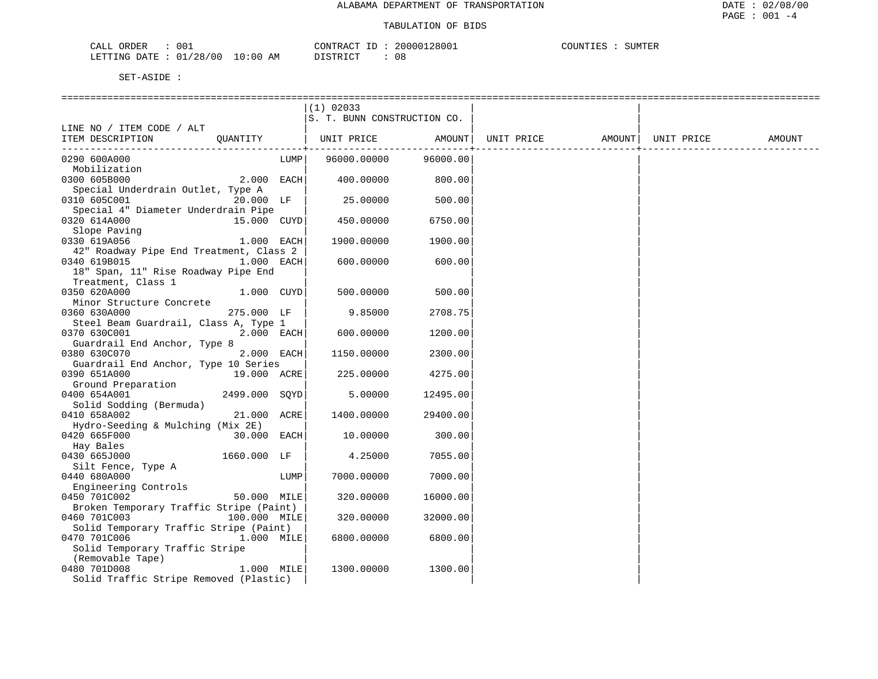| 001<br>CALL ORDER                | CONTRACT ID:    | 20000128001 | COUNTIES<br>SUMTER |
|----------------------------------|-----------------|-------------|--------------------|
| LETTING DATE : 01/28/00 10:00 AM | ידי איד אידי את |             |                    |

|                                                            |               | $(1)$ 02033                 |                       |                                |  |        |
|------------------------------------------------------------|---------------|-----------------------------|-----------------------|--------------------------------|--|--------|
|                                                            |               | S. T. BUNN CONSTRUCTION CO. |                       |                                |  |        |
| LINE NO / ITEM CODE / ALT                                  |               |                             |                       |                                |  |        |
| ITEM DESCRIPTION QUANTITY                                  |               | UNIT PRICE AMOUNT           |                       | UNIT PRICE AMOUNT   UNIT PRICE |  | AMOUNT |
|                                                            |               |                             | --------------------- |                                |  |        |
| 0290 600A000                                               | LUMP          | 96000.00000                 | 96000.00              |                                |  |        |
| Mobilization                                               |               |                             |                       |                                |  |        |
| 0300 605B000                                               | $2.000$ EACH  | 400.00000                   | 800.00                |                                |  |        |
| Special Underdrain Outlet, Type A                          |               |                             |                       |                                |  |        |
| 0310 605C001                                               | 20.000 LF     | 25.00000                    | 500.00                |                                |  |        |
| Special 4" Diameter Underdrain Pipe                        |               |                             |                       |                                |  |        |
| 0320 614A000                                               | 15.000 CUYD   | 450.00000                   | 6750.00               |                                |  |        |
| Slope Paving                                               |               |                             |                       |                                |  |        |
| 0330 619A056                                               | $1.000$ EACH  | 1900.00000                  | 1900.00               |                                |  |        |
| 42" Roadway Pipe End Treatment, Class 2                    |               |                             |                       |                                |  |        |
| 0340 619B015                                               | 1.000 EACH    | 600.00000                   | 600.00                |                                |  |        |
| 18" Span, 11" Rise Roadway Pipe End                        |               |                             |                       |                                |  |        |
| Treatment, Class 1                                         |               |                             |                       |                                |  |        |
| 0350 620A000                                               | 1.000 CUYD    | 500.00000                   | 500.00                |                                |  |        |
| Minor Structure Concrete                                   |               |                             |                       |                                |  |        |
| 0360 630A000                                               | 275.000 LF    | 9.85000                     | 2708.75               |                                |  |        |
| Steel Beam Guardrail, Class A, Type 1                      |               |                             |                       |                                |  |        |
| 2.000 EACH<br>0370 630C001<br>Guardrail End Anchor, Type 8 |               | 600.00000                   | 1200.00               |                                |  |        |
| 0380 630C070                                               | 2.000 EACH    | 1150.00000                  | 2300.00               |                                |  |        |
| Guardrail End Anchor, Type 10 Series                       |               |                             |                       |                                |  |        |
| 0390 651A000                                               |               | 225.00000                   | 4275.00               |                                |  |        |
| $19.000 \quad \text{ACRE}$<br>Ground Preparation           |               |                             |                       |                                |  |        |
| 0400 654A001                                               | 2499.000 SOYD | 5.00000                     | 12495.00              |                                |  |        |
| Solid Sodding (Bermuda)                                    |               |                             |                       |                                |  |        |
| 0410 658A002                                               | 21.000 ACRE   | 1400.00000                  | 29400.00              |                                |  |        |
| Hydro-Seeding & Mulching (Mix 2E)                          |               |                             |                       |                                |  |        |
| 0420 665F000                                               | 30.000 EACH   | 10.00000                    | 300.00                |                                |  |        |
| Hay Bales                                                  |               |                             |                       |                                |  |        |
| 0430 665J000                                               | 1660.000 LF   | 4.25000                     | 7055.00               |                                |  |        |
| Silt Fence, Type A                                         |               |                             |                       |                                |  |        |
| 0440 680A000                                               | LUMP          | 7000.00000                  | 7000.00               |                                |  |        |
| Engineering Controls                                       |               |                             |                       |                                |  |        |
| 0450 701C002                                               | 50.000 MILE   | 320.00000                   | 16000.00              |                                |  |        |
| Broken Temporary Traffic Stripe (Paint)                    |               |                             |                       |                                |  |        |
| 100.000 MILE<br>0460 701C003                               |               | 320.00000                   | 32000.00              |                                |  |        |
| Solid Temporary Traffic Stripe (Paint)                     |               |                             |                       |                                |  |        |
| 0470 701C006                                               | 1.000 MILE    | 6800.00000                  | 6800.00               |                                |  |        |
| Solid Temporary Traffic Stripe                             |               |                             |                       |                                |  |        |
| (Removable Tape)                                           |               |                             |                       |                                |  |        |
| 0480 701D008                                               | 1.000 MILE    | 1300.00000                  | 1300.00               |                                |  |        |
| Solid Traffic Stripe Removed (Plastic)                     |               |                             |                       |                                |  |        |
|                                                            |               |                             |                       |                                |  |        |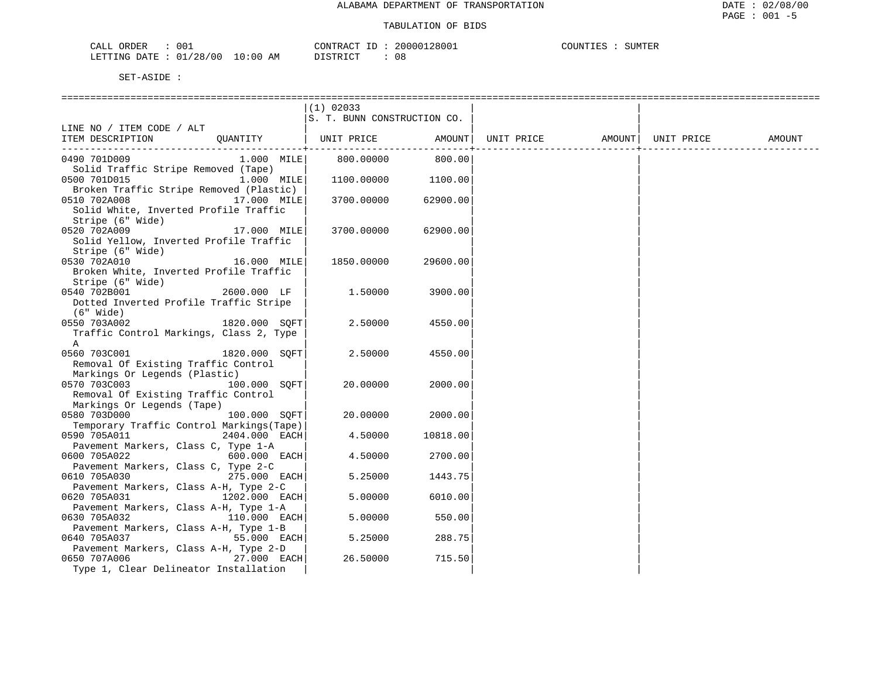| ORDER<br>CALL          | 001 |                 | TD:<br>CONTRACT | 20000128001 | COUNTIES | SUMTER |
|------------------------|-----|-----------------|-----------------|-------------|----------|--------|
| LETTING DATE: 01/28/00 |     | $10:00$ .<br>ΑM | DI STRICT<br>.  |             |          |        |

|                                           |                | $(1)$ 02033                 |          |                                |  |        |
|-------------------------------------------|----------------|-----------------------------|----------|--------------------------------|--|--------|
|                                           |                | S. T. BUNN CONSTRUCTION CO. |          |                                |  |        |
| LINE NO / ITEM CODE / ALT                 |                |                             |          |                                |  |        |
| ITEM DESCRIPTION                          |                | QUANTITY   UNIT PRICE       | AMOUNT   | UNIT PRICE AMOUNT   UNIT PRICE |  | AMOUNT |
|                                           |                |                             |          |                                |  |        |
| 0490 701D009                              | 1.000 MILE     | 800.00000                   | 800.00   |                                |  |        |
| Solid Traffic Stripe Removed (Tape)       |                |                             |          |                                |  |        |
| 0500 701D015                              | 1.000 MILE     | 1100.00000                  | 1100.00  |                                |  |        |
| Broken Traffic Stripe Removed (Plastic)   |                |                             |          |                                |  |        |
| 0510 702A008                              | 17.000 MILE    | 3700.00000                  | 62900.00 |                                |  |        |
| Solid White, Inverted Profile Traffic     |                |                             |          |                                |  |        |
| Stripe (6" Wide)                          |                |                             |          |                                |  |        |
| 0520 702A009                              | 17.000 MILE    | 3700.00000                  | 62900.00 |                                |  |        |
| Solid Yellow, Inverted Profile Traffic    |                |                             |          |                                |  |        |
| Stripe (6" Wide)                          |                |                             |          |                                |  |        |
| 0530 702A010                              | 16.000 MILE    | 1850.00000                  | 29600.00 |                                |  |        |
| Broken White, Inverted Profile Traffic    |                |                             |          |                                |  |        |
| Stripe (6" Wide)                          |                |                             |          |                                |  |        |
| 0540 702B001                              | 2600.000 LF    | 1.50000                     | 3900.00  |                                |  |        |
| Dotted Inverted Profile Traffic Stripe    |                |                             |          |                                |  |        |
| (6" Wide)                                 |                |                             |          |                                |  |        |
| 0550 703A002                              | 1820.000 SOFT  | 2.50000                     | 4550.00  |                                |  |        |
| Traffic Control Markings, Class 2, Type   |                |                             |          |                                |  |        |
| Α                                         |                |                             |          |                                |  |        |
| 0560 703C001                              | 1820.000 SOFT  | 2.50000                     | 4550.00  |                                |  |        |
| Removal Of Existing Traffic Control       |                |                             |          |                                |  |        |
| Markings Or Legends (Plastic)             |                |                             |          |                                |  |        |
| 0570 703C003                              | 100.000 SQFT   | 20.00000                    | 2000.00  |                                |  |        |
| Removal Of Existing Traffic Control       |                |                             |          |                                |  |        |
| Markings Or Legends (Tape)                |                |                             |          |                                |  |        |
| 0580 703D000                              | 100.000 SOFT   | 20.00000                    | 2000.00  |                                |  |        |
| Temporary Traffic Control Markings (Tape) |                |                             |          |                                |  |        |
| 0590 705A011                              | 2404.000 EACH  | 4.50000                     | 10818.00 |                                |  |        |
| Pavement Markers, Class C, Type 1-A       |                |                             |          |                                |  |        |
| 0600 705A022                              | $600.000$ EACH | 4.50000                     | 2700.00  |                                |  |        |
| Pavement Markers, Class C, Type 2-C       |                |                             |          |                                |  |        |
| 0610 705A030                              | 275.000 EACH   | 5.25000                     | 1443.75  |                                |  |        |
| Pavement Markers, Class A-H, Type 2-C     |                |                             |          |                                |  |        |
| 0620 705A031                              | 1202.000 EACH  | 5.00000                     | 6010.00  |                                |  |        |
| Pavement Markers, Class A-H, Type 1-A     |                |                             |          |                                |  |        |
| 0630 705A032                              | 110.000 EACH   | 5.00000                     | 550.00   |                                |  |        |
| Pavement Markers, Class A-H, Type 1-B     |                |                             |          |                                |  |        |
| 0640 705A037                              | 55.000 EACH    | 5.25000                     | 288.75   |                                |  |        |
| Pavement Markers, Class A-H, Type 2-D     |                |                             |          |                                |  |        |
| 0650 707A006                              | 27.000 EACH    | 26.50000                    | 715.50   |                                |  |        |
| Type 1, Clear Delineator Installation     |                |                             |          |                                |  |        |
|                                           |                |                             |          |                                |  |        |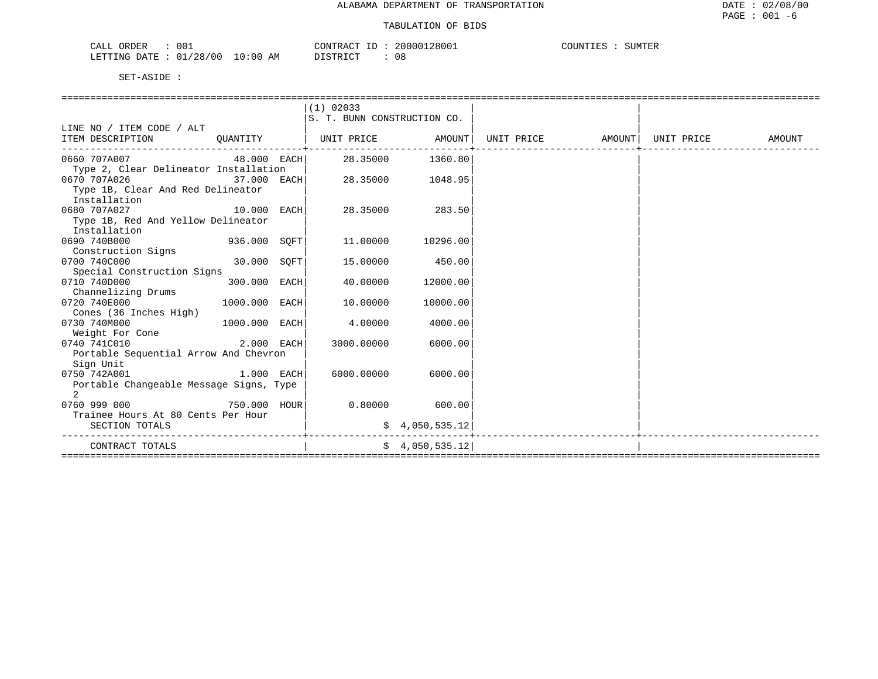| CALL ORDER<br>001               | CONTRACT ID: 20000128001 | COUNTIES : SUMTER |
|---------------------------------|--------------------------|-------------------|
| LETTING DATE: 01/28/00 10:00 AM | 08<br>DISTRICT           |                   |

|                                                                                       |               | $(1)$ 02033                  |                 |                                                                          |  |  |
|---------------------------------------------------------------------------------------|---------------|------------------------------|-----------------|--------------------------------------------------------------------------|--|--|
|                                                                                       |               | S. T. BUNN CONSTRUCTION CO.  |                 |                                                                          |  |  |
| LINE NO / ITEM CODE / ALT                                                             |               |                              |                 |                                                                          |  |  |
| ITEM DESCRIPTION                                                                      |               | QUANTITY   UNIT PRICE AMOUNT |                 | UNIT PRICE                  AMOUNT    UNIT PRICE                  AMOUNT |  |  |
| 0660 707A007                           48.000   EACH         28.35000         1360.80 |               |                              |                 |                                                                          |  |  |
| Type 2, Clear Delineator Installation                                                 |               |                              |                 |                                                                          |  |  |
| 0670 707A026                                                                          | 37.000 EACH   | 28.35000                     | 1048.95         |                                                                          |  |  |
| Type 1B, Clear And Red Delineator                                                     |               |                              |                 |                                                                          |  |  |
| Installation                                                                          |               |                              |                 |                                                                          |  |  |
| 0680 707A027                                                                          | $10.000$ EACH | 28.35000                     | 283.50          |                                                                          |  |  |
| Type 1B, Red And Yellow Delineator                                                    |               |                              |                 |                                                                          |  |  |
| Installation                                                                          |               |                              |                 |                                                                          |  |  |
| 0690 740B000<br>$936.000$ SQFT                                                        |               | 11.00000                     | 10296.00        |                                                                          |  |  |
| Construction Signs                                                                    |               |                              |                 |                                                                          |  |  |
| 0700 740C000                                                                          | 30.000 SQFT   | 15.00000                     | 450.00          |                                                                          |  |  |
| Special Construction Signs                                                            |               |                              |                 |                                                                          |  |  |
| 0710 740D000                                                                          | 300.000 EACH  | 40.00000                     | 12000.00        |                                                                          |  |  |
| Channelizing Drums                                                                    |               |                              |                 |                                                                          |  |  |
| 0720 740E000                                                                          | 1000.000 EACH | 10,00000                     | 10000.00        |                                                                          |  |  |
| Cones (36 Inches High)                                                                |               |                              |                 |                                                                          |  |  |
| 0730 740M000                                                                          | 1000.000 EACH | 4.00000                      | 4000.00         |                                                                          |  |  |
| Weight For Cone                                                                       |               |                              |                 |                                                                          |  |  |
| 0740 741C010                                                                          | $2.000$ EACH  | 3000.00000                   | 6000.00         |                                                                          |  |  |
| Portable Sequential Arrow And Chevron                                                 |               |                              |                 |                                                                          |  |  |
| Sign Unit                                                                             |               |                              |                 |                                                                          |  |  |
| 0750 742A001                                                                          | 1.000 EACH    | 6000.00000                   | 6000.00         |                                                                          |  |  |
| Portable Changeable Message Signs, Type                                               |               |                              |                 |                                                                          |  |  |
| $\mathcal{L}$                                                                         |               |                              |                 |                                                                          |  |  |
| 750.000 HOUR<br>0760 999 000                                                          |               | 0.80000                      | 600.00          |                                                                          |  |  |
| Trainee Hours At 80 Cents Per Hour                                                    |               |                              |                 |                                                                          |  |  |
| SECTION TOTALS                                                                        |               |                              | \$4,050,535.12  |                                                                          |  |  |
| CONTRACT TOTALS                                                                       |               |                              | \$4,050,535.12] |                                                                          |  |  |
|                                                                                       |               |                              |                 |                                                                          |  |  |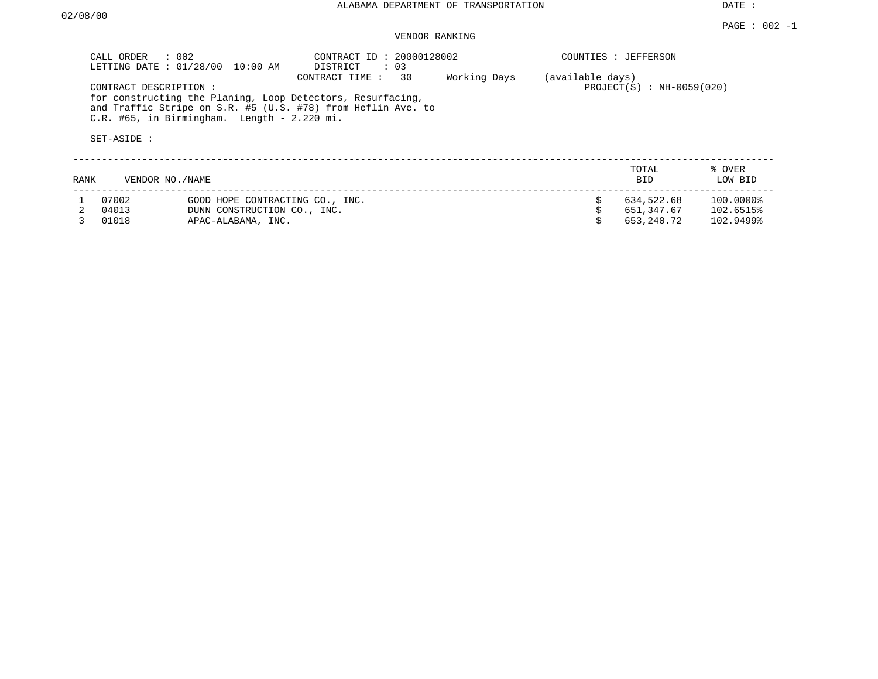DATE :

# VENDOR RANKING

|      | CALL ORDER<br>LETTING DATE: 01/28/00 | $\therefore$ 002<br>$10:00$ AM                | CONTRACT ID: 20000128002<br>DISTRICT<br>$\colon$ 03                                                                                                |              |                  | COUNTIES : JEFFERSON        |                   |
|------|--------------------------------------|-----------------------------------------------|----------------------------------------------------------------------------------------------------------------------------------------------------|--------------|------------------|-----------------------------|-------------------|
|      | CONTRACT DESCRIPTION:<br>SET-ASIDE : | $C.R.$ #65, in Birmingham. Length - 2.220 mi. | 30<br>CONTRACT TIME:<br>for constructing the Planing, Loop Detectors, Resurfacing,<br>and Traffic Stripe on S.R. #5 (U.S. #78) from Heflin Ave. to | Working Days | (available days) | $PROJECT(S) : NH-0059(020)$ |                   |
| RANK |                                      | VENDOR NO. / NAME                             |                                                                                                                                                    |              |                  | TOTAL<br><b>BID</b>         | % OVER<br>LOW BID |
|      | 07002                                | GOOD HOPE CONTRACTING CO., INC.               |                                                                                                                                                    |              |                  | 634,522.68                  | 100.0000%         |
|      | 04013                                | DUNN CONSTRUCTION CO., INC.                   |                                                                                                                                                    |              |                  | 651,347.67                  | 102.6515%         |
|      | 01018                                | APAC-ALABAMA, INC.                            |                                                                                                                                                    |              |                  | 653,240.72                  | 102.9499%         |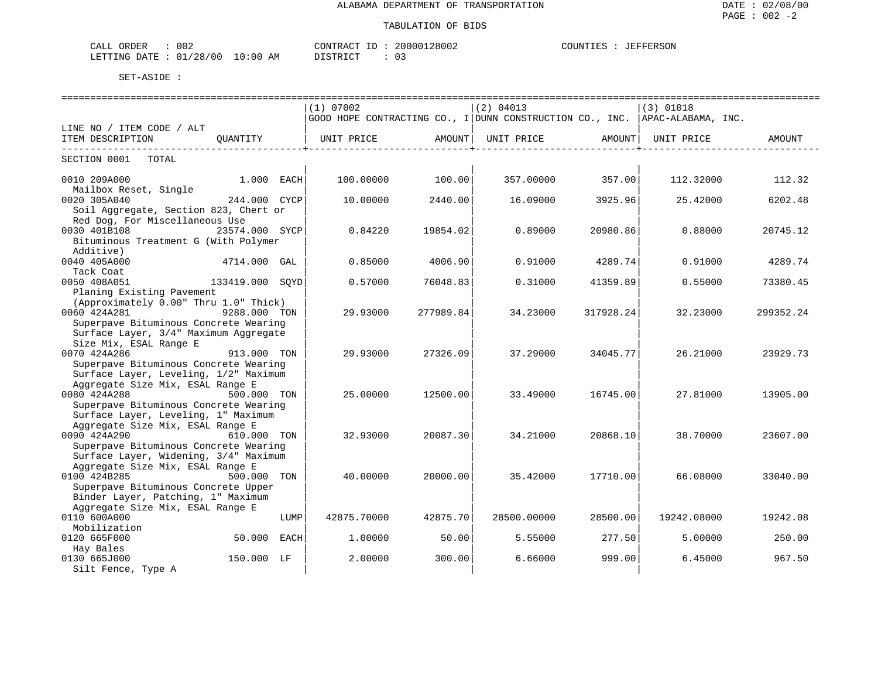| 002<br>$\sim$ $ -$<br>ORDER<br>-LAL |             | CONTRACT<br>$-1$ | 28002<br>nnn 1<br>200 | $\gamma$ ntint $\Gamma$ .<br>$T \mathbb{R} \mathbb{F} \mathbb{F} \mathbb{R}$ .<br>'ERSON |
|-------------------------------------|-------------|------------------|-----------------------|------------------------------------------------------------------------------------------|
| 01/28/00<br>DATE<br>LETTING         | 10:00<br>AM | DISTRICT         | $\sim$ -<br>υs        |                                                                                          |

|                                       |                 |      |                                                                                         |           |             |           |             | ============================ |
|---------------------------------------|-----------------|------|-----------------------------------------------------------------------------------------|-----------|-------------|-----------|-------------|------------------------------|
|                                       |                 |      | (1) 07002                                                                               |           | (2) 04013   |           | $(3)$ 01018 |                              |
|                                       |                 |      | $ $ GOOD HOPE CONTRACTING CO., I $ $ DUNN CONSTRUCTION CO., INC. $ $ APAC-ALABAMA, INC. |           |             |           |             |                              |
| LINE NO / ITEM CODE / ALT             |                 |      |                                                                                         |           |             |           |             |                              |
| ITEM DESCRIPTION                      | OUANTITY        |      | UNIT PRICE                                                                              | AMOUNT I  | UNIT PRICE  | AMOUNT    | UNIT PRICE  | AMOUNT                       |
|                                       |                 |      |                                                                                         |           |             |           |             |                              |
| SECTION 0001<br>TOTAL                 |                 |      |                                                                                         |           |             |           |             |                              |
|                                       |                 |      |                                                                                         |           |             |           |             |                              |
| 0010 209A000                          | 1.000 EACH      |      | 100.00000                                                                               | 100.00    | 357.00000   | 357.00    | 112.32000   | 112.32                       |
| Mailbox Reset, Single                 |                 |      |                                                                                         |           |             |           |             |                              |
| 0020 305A040                          | 244.000 CYCP    |      | 10.00000                                                                                | 2440.00   | 16.09000    | 3925.96   | 25.42000    | 6202.48                      |
| Soil Aggregate, Section 823, Chert or |                 |      |                                                                                         |           |             |           |             |                              |
| Red Dog, For Miscellaneous Use        |                 |      |                                                                                         |           |             |           |             |                              |
| 0030 401B108                          | 23574.000 SYCP  |      | 0.84220                                                                                 | 19854.02  | 0.89000     | 20980.86  | 0.88000     | 20745.12                     |
| Bituminous Treatment G (With Polymer  |                 |      |                                                                                         |           |             |           |             |                              |
| Additive)                             |                 |      |                                                                                         |           |             |           |             |                              |
| 0040 405A000                          | 4714.000 GAL    |      | 0.85000                                                                                 | 4006.90   | 0.91000     | 4289.74   | 0.91000     | 4289.74                      |
| Tack Coat                             |                 |      |                                                                                         |           |             |           |             |                              |
| 0050 408A051                          | 133419.000 SOYD |      | 0.57000                                                                                 | 76048.83  | 0.31000     | 41359.89  | 0.55000     | 73380.45                     |
| Planing Existing Pavement             |                 |      |                                                                                         |           |             |           |             |                              |
| (Approximately 0.00" Thru 1.0" Thick) |                 |      |                                                                                         |           |             |           |             |                              |
| 0060 424A281                          | 9288.000 TON    |      | 29.93000                                                                                | 277989.84 | 34.23000    | 317928.24 | 32.23000    | 299352.24                    |
| Superpave Bituminous Concrete Wearing |                 |      |                                                                                         |           |             |           |             |                              |
| Surface Layer, 3/4" Maximum Aggregate |                 |      |                                                                                         |           |             |           |             |                              |
| Size Mix, ESAL Range E                |                 |      |                                                                                         |           |             |           |             |                              |
| 0070 424A286                          | 913.000 TON     |      | 29.93000                                                                                | 27326.09  | 37.29000    | 34045.77  | 26.21000    | 23929.73                     |
| Superpave Bituminous Concrete Wearing |                 |      |                                                                                         |           |             |           |             |                              |
| Surface Layer, Leveling, 1/2" Maximum |                 |      |                                                                                         |           |             |           |             |                              |
| Aggregate Size Mix, ESAL Range E      |                 |      |                                                                                         |           |             |           |             |                              |
| 0080 424A288                          | 500.000 TON     |      | 25.00000                                                                                | 12500.00  | 33.49000    | 16745.00  | 27.81000    | 13905.00                     |
| Superpave Bituminous Concrete Wearing |                 |      |                                                                                         |           |             |           |             |                              |
| Surface Layer, Leveling, 1" Maximum   |                 |      |                                                                                         |           |             |           |             |                              |
| Aggregate Size Mix, ESAL Range E      |                 |      |                                                                                         |           |             |           |             |                              |
| 0090 424A290                          | 610.000 TON     |      | 32.93000                                                                                | 20087.30  | 34.21000    | 20868.10  | 38.70000    | 23607.00                     |
| Superpave Bituminous Concrete Wearing |                 |      |                                                                                         |           |             |           |             |                              |
| Surface Layer, Widening, 3/4" Maximum |                 |      |                                                                                         |           |             |           |             |                              |
| Aggregate Size Mix, ESAL Range E      |                 |      |                                                                                         |           |             |           |             |                              |
| 0100 424B285                          | 500.000 TON     |      | 40.00000                                                                                | 20000.00  | 35.42000    | 17710.00  | 66.08000    | 33040.00                     |
| Superpave Bituminous Concrete Upper   |                 |      |                                                                                         |           |             |           |             |                              |
| Binder Layer, Patching, 1" Maximum    |                 |      |                                                                                         |           |             |           |             |                              |
| Aggregate Size Mix, ESAL Range E      |                 |      |                                                                                         |           |             |           |             |                              |
| 0110 600A000                          |                 | LUMP | 42875.70000                                                                             | 42875.70  | 28500.00000 | 28500.00  | 19242.08000 | 19242.08                     |
| Mobilization                          |                 |      |                                                                                         |           |             |           |             |                              |
| 0120 665F000                          | 50.000          | EACH | 1,00000                                                                                 | 50.00     | 5.55000     | 277.50    | 5.00000     | 250.00                       |
| Hay Bales                             |                 |      |                                                                                         |           |             |           |             |                              |
| 0130 665J000                          | 150.000 LF      |      | 2.00000                                                                                 |           | 6.66000     |           | 6.45000     |                              |
|                                       |                 |      |                                                                                         | 300.00    |             | 999.00    |             | 967.50                       |
| Silt Fence, Type A                    |                 |      |                                                                                         |           |             |           |             |                              |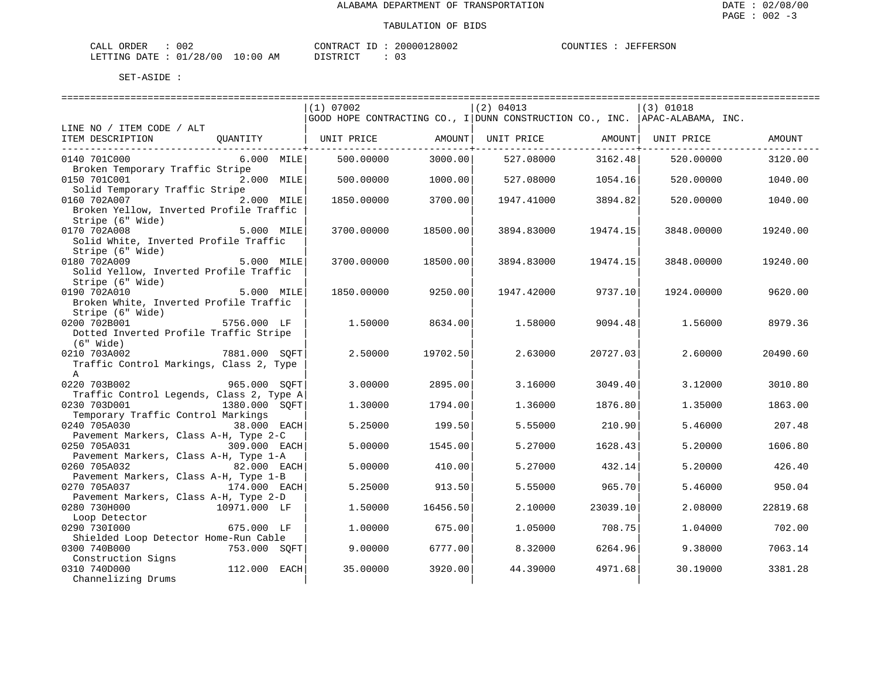| CALL ORDER                       | 002 |          | CONTRACT ID: 20000128002 | COUNTIES : JEFFERSON |  |
|----------------------------------|-----|----------|--------------------------|----------------------|--|
| LETTING DATE : 01/28/00 10:00 AM |     | DISTRICT |                          |                      |  |

|                                          |               | (1) 07002                                                                   |                           | (2) 04013  |                         | (3) 01018  |          |
|------------------------------------------|---------------|-----------------------------------------------------------------------------|---------------------------|------------|-------------------------|------------|----------|
|                                          |               | GOOD HOPE CONTRACTING CO., I DUNN CONSTRUCTION CO., INC. APAC-ALABAMA, INC. |                           |            |                         |            |          |
| LINE NO / ITEM CODE / ALT                |               |                                                                             |                           |            |                         |            |          |
| ITEM DESCRIPTION                         | OUANTITY      | UNIT PRICE                                                                  | AMOUNT                    | UNIT PRICE | AMOUNT                  | UNIT PRICE | AMOUNT   |
| 0140 701C000                             | 6.000 MILE    | 500.00000                                                                   | ------------+-<br>3000.00 | 527.08000  | . <u>. 4</u><br>3162.48 | 520.00000  | 3120.00  |
| Broken Temporary Traffic Stripe          |               |                                                                             |                           |            |                         |            |          |
| 0150 701C001                             | 2.000 MILE    | 500.00000                                                                   | 1000.00                   | 527.08000  | 1054.16                 | 520.00000  | 1040.00  |
| Solid Temporary Traffic Stripe           |               |                                                                             |                           |            |                         |            |          |
| 0160 702A007                             | 2.000 MILE    | 1850.00000                                                                  | 3700.00                   | 1947.41000 | 3894.82                 | 520.00000  | 1040.00  |
| Broken Yellow, Inverted Profile Traffic  |               |                                                                             |                           |            |                         |            |          |
| Stripe (6" Wide)                         |               |                                                                             |                           |            |                         |            |          |
| 0170 702A008                             | 5.000 MILE    | 3700.00000                                                                  | 18500.00                  | 3894.83000 | 19474.15                | 3848.00000 | 19240.00 |
| Solid White, Inverted Profile Traffic    |               |                                                                             |                           |            |                         |            |          |
| Stripe (6" Wide)                         |               |                                                                             |                           |            |                         |            |          |
| 0180 702A009                             | 5.000 MILE    | 3700.00000                                                                  | 18500.00                  | 3894.83000 | 19474.15                | 3848.00000 | 19240.00 |
| Solid Yellow, Inverted Profile Traffic   |               |                                                                             |                           |            |                         |            |          |
| Stripe (6" Wide)                         |               |                                                                             |                           |            |                         |            |          |
| 0190 702A010                             | 5.000 MILE    | 1850.00000                                                                  | 9250.00                   | 1947.42000 | 9737.10                 | 1924.00000 | 9620.00  |
| Broken White, Inverted Profile Traffic   |               |                                                                             |                           |            |                         |            |          |
| Stripe (6" Wide)                         |               |                                                                             |                           |            |                         |            |          |
| 0200 702B001                             | 5756.000 LF   | 1,50000                                                                     | 8634.00                   | 1.58000    | 9094.48                 | 1.56000    | 8979.36  |
| Dotted Inverted Profile Traffic Stripe   |               |                                                                             |                           |            |                         |            |          |
| (6" Wide)<br>0210 703A002                | 7881.000 SOFT | 2.50000                                                                     |                           | 2.63000    | 20727.03                | 2.60000    | 20490.60 |
| Traffic Control Markings, Class 2, Type  |               |                                                                             | 19702.50                  |            |                         |            |          |
| A                                        |               |                                                                             |                           |            |                         |            |          |
| 0220 703B002                             | 965.000 SOFT  | 3.00000                                                                     | 2895.00                   | 3.16000    | 3049.40                 | 3.12000    | 3010.80  |
| Traffic Control Legends, Class 2, Type A |               |                                                                             |                           |            |                         |            |          |
| 0230 703D001                             | 1380.000 SOFT | 1.30000                                                                     | 1794.00                   | 1.36000    | 1876.80                 | 1.35000    | 1863.00  |
| Temporary Traffic Control Markings       |               |                                                                             |                           |            |                         |            |          |
| 0240 705A030                             | 38.000 EACH   | 5.25000                                                                     | 199.50                    | 5.55000    | 210.90                  | 5.46000    | 207.48   |
| Pavement Markers, Class A-H, Type 2-C    |               |                                                                             |                           |            |                         |            |          |
| 0250 705A031<br>309.000 EACH             |               | 5,00000                                                                     | 1545.00                   | 5.27000    | 1628.43                 | 5.20000    | 1606.80  |
| Pavement Markers, Class A-H, Type 1-A    |               |                                                                             |                           |            |                         |            |          |
| 0260 705A032                             | 82.000 EACH   | 5.00000                                                                     | 410.00                    | 5.27000    | 432.14                  | 5.20000    | 426.40   |
| Pavement Markers, Class A-H, Type 1-B    |               |                                                                             |                           |            |                         |            |          |
| 0270 705A037                             | 174.000 EACH  | 5.25000                                                                     | 913.50                    | 5.55000    | 965.70                  | 5.46000    | 950.04   |
| Pavement Markers, Class A-H, Type 2-D    |               |                                                                             |                           |            |                         |            |          |
| 0280 730H000                             | 10971.000 LF  | 1,50000                                                                     | 16456.50                  | 2.10000    | 23039.10                | 2.08000    | 22819.68 |
| Loop Detector                            |               |                                                                             |                           |            |                         |            |          |
| 0290 7301000                             | 675.000 LF    | 1,00000                                                                     | 675.00                    | 1.05000    | 708.75                  | 1.04000    | 702.00   |
| Shielded Loop Detector Home-Run Cable    |               |                                                                             |                           |            |                         |            |          |
| 0300 740B000                             | 753.000 SOFT  | 9,00000                                                                     | 6777.00                   | 8.32000    | 6264.96                 | 9.38000    | 7063.14  |
| Construction Signs                       |               |                                                                             |                           |            |                         |            |          |
| 0310 740D000                             | 112.000 EACH  | 35.00000                                                                    | 3920.00                   | 44.39000   | 4971.68                 | 30.19000   | 3381.28  |
| Channelizing Drums                       |               |                                                                             |                           |            |                         |            |          |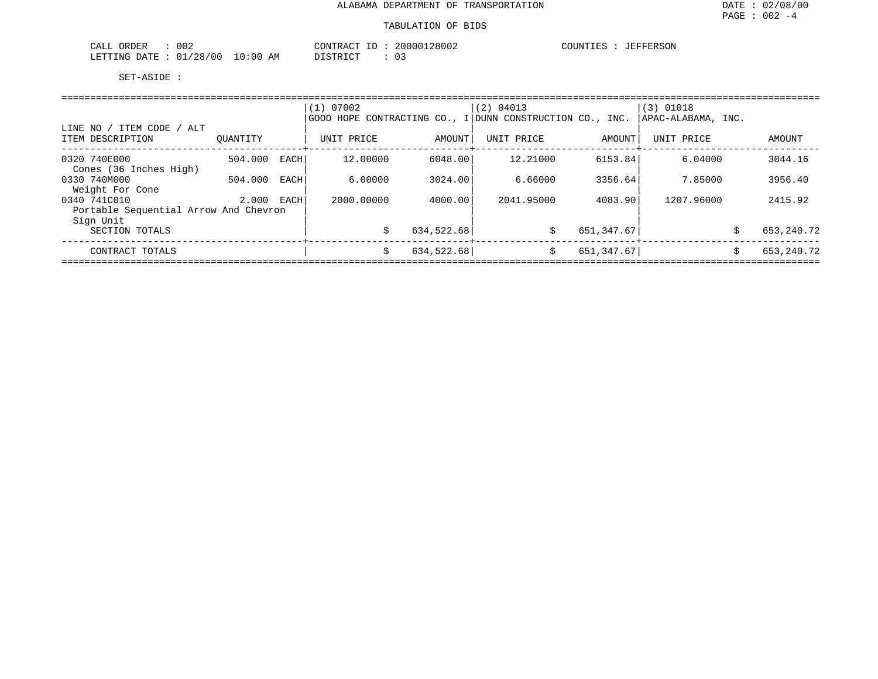| ORDER<br>CALL<br>002               |                          | ידים אידי ארי<br>$ -$ | 28002<br>וחחי | FEDOON<br>COUNTIES<br>----<br>F.EKSOM |
|------------------------------------|--------------------------|-----------------------|---------------|---------------------------------------|
| /28/00<br>'.ETTING<br>חים מ⊓<br>∪⊥ | ነ : በቤ<br>ΔM<br>лı.<br>. | חימת דפידי את<br>.    | ◡ ◡           |                                       |

|                                                    |          |      | (1) 07002  |            | (2) 04013<br>GOOD HOPE CONTRACTING CO., I DUNN CONSTRUCTION CO., INC. |             | $(3)$ 01018<br> APAC-ALABAMA, INC. |   |              |
|----------------------------------------------------|----------|------|------------|------------|-----------------------------------------------------------------------|-------------|------------------------------------|---|--------------|
| / ITEM CODE / ALT<br>LINE NO /<br>ITEM DESCRIPTION | OUANTITY |      | UNIT PRICE | AMOUNT     | UNIT PRICE                                                            | AMOUNT      | UNIT PRICE                         |   | AMOUNT       |
| 0320 740E000<br>Cones (36 Inches High)             | 504.000  | EACH | 12,00000   | 6048.00    | 12,21000                                                              | 6153.84     | 6.04000                            |   | 3044.16      |
| 0330 740M000<br>Weight For Cone                    | 504.000  | EACH | 6,00000    | 3024.00    | 6.66000                                                               | 3356.64     | 7.85000                            |   | 3956.40      |
| 0340 741C010                                       | 2,000    | EACH | 2000.00000 | 4000.00    | 2041.95000                                                            | 4083.90     | 1207.96000                         |   | 2415.92      |
| Portable Sequential Arrow And Chevron<br>Sign Unit |          |      |            |            |                                                                       |             |                                    |   |              |
| SECTION TOTALS                                     |          |      |            | 634,522.68 | Ŝ.                                                                    | 651,347.67  |                                    | Ś | 653, 240. 72 |
| CONTRACT TOTALS                                    |          |      | Ŝ.         | 634,522.68 | Ŝ.                                                                    | 651, 347.67 |                                    | Ŝ | 653, 240. 72 |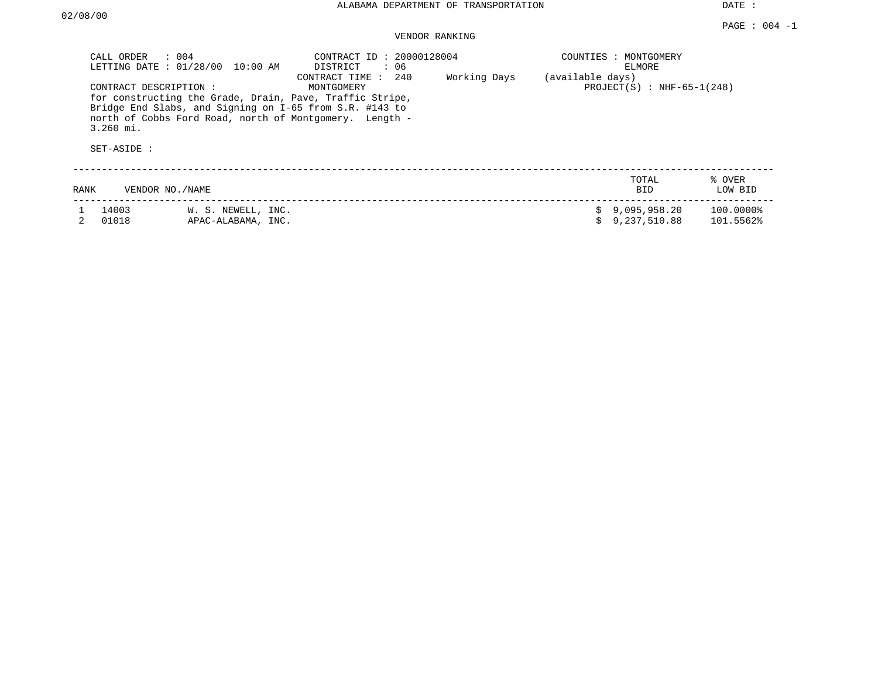DATE :

# VENDOR RANKING

| CALL ORDER<br>LETTING DATE : 01/28/00               | : 004<br>10:00 AM                                                                                                                                                              | CONTRACT ID: 20000128004<br>DISTRICT<br>: 06 |              | COUNTIES : MONTGOMERY | ELMORE                       |                        |
|-----------------------------------------------------|--------------------------------------------------------------------------------------------------------------------------------------------------------------------------------|----------------------------------------------|--------------|-----------------------|------------------------------|------------------------|
| CONTRACT DESCRIPTION:<br>$3.260$ mi.<br>SET-ASIDE : | for constructing the Grade, Drain, Pave, Traffic Stripe,<br>Bridge End Slabs, and Signing on I-65 from S.R. #143 to<br>north of Cobbs Ford Road, north of Montgomery. Length - | 240<br>CONTRACT TIME :<br>MONTGOMERY         | Working Days | (available days)      | $PROJECT(S) : NHF-65-1(248)$ |                        |
| RANK                                                | VENDOR NO./NAME                                                                                                                                                                |                                              |              |                       | TOTAL<br><b>BID</b>          | % OVER<br>LOW BID      |
| 14003<br>01018                                      | W. S. NEWELL, INC.<br>APAC-ALABAMA, INC.                                                                                                                                       |                                              |              | s                     | 9,095,958.20<br>9,237,510.88 | 100.0000%<br>101.5562% |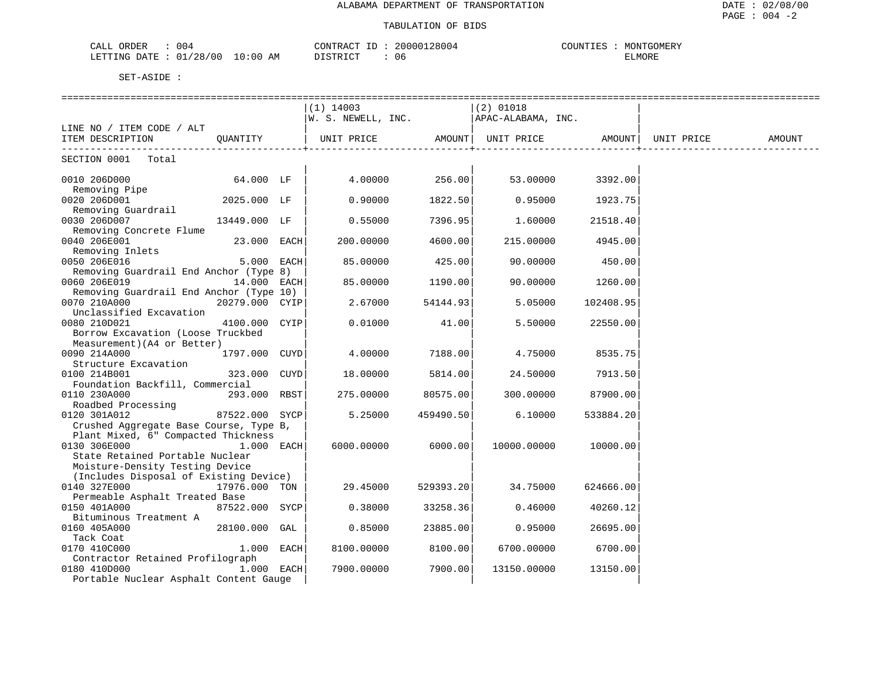## TABULATION OF BIDS

| 004<br>ORDER<br>ـد ـت                         |            | א שי | 2800<br>.0000<br>8004 | $\gamma$ OUNT <sub>+</sub> | TGOMERY<br>$\gamma$ $\cap$ $\Lambda$ <sup>T</sup> $\Gamma$ <sub>1</sub> |
|-----------------------------------------------|------------|------|-----------------------|----------------------------|-------------------------------------------------------------------------|
| 100<br>$\wedge$ N<br>mmm<br>7. TP TP<br>l INC | AΜ<br>0:00 | ו קי | U6                    |                            | ישו<br>'JMOKE                                                           |

|                                                                           |                | $(1)$ 14003                                                                              |           | $(2)$ 01018 |                    |        |
|---------------------------------------------------------------------------|----------------|------------------------------------------------------------------------------------------|-----------|-------------|--------------------|--------|
|                                                                           |                | $ w.$ S. NEWELL, INC. $ APAC-ALABAMA$ , INC.                                             |           |             |                    |        |
| LINE NO / ITEM CODE / ALT                                                 |                |                                                                                          |           |             |                    |        |
| ITEM DESCRIPTION<br>--------------------------------                      | QUANTITY       | UNIT PRICE                  AMOUNT    UNIT PRICE                    AMOUNT    UNIT PRICE |           |             | ----------------+- | AMOUNT |
| SECTION 0001 Total                                                        |                |                                                                                          |           |             |                    |        |
| 0010 206D000                                                              | 64.000 LF      | 4.00000                                                                                  | 256.00    | 53.00000    | 3392.00            |        |
| Removing Pipe<br>0020 206D001                                             | 2025.000 LF    |                                                                                          | 1822.50   |             | 1923.75            |        |
| Removing Guardrail                                                        |                | 0.90000                                                                                  |           | 0.95000     |                    |        |
| 0030 206D007                                                              | 13449.000 LF   | 0.55000                                                                                  | 7396.95   | 1.60000     | 21518.40           |        |
| Removing Concrete Flume                                                   |                |                                                                                          |           |             |                    |        |
| 0040 206E001                                                              | 23.000 EACH    | 200.00000                                                                                | 4600.00   | 215.00000   | 4945.00            |        |
| Removing Inlets                                                           |                |                                                                                          |           |             |                    |        |
| 0050 206E016                                                              | 5.000 EACH     | 85.00000                                                                                 | 425.00    | 90.00000    | 450.00             |        |
| Removing Guardrail End Anchor (Type 8)                                    |                |                                                                                          |           |             |                    |        |
| 0060 206E019                                                              | $14.000$ EACH  | 85.00000                                                                                 | 1190.00   | 90.00000    | 1260.00            |        |
| Removing Guardrail End Anchor (Type 10)                                   |                |                                                                                          |           |             |                    |        |
| 0070 210A000                                                              | 20279.000 CYIP | 2.67000                                                                                  | 54144.93  | 5.05000     | 102408.95          |        |
| Unclassified Excavation                                                   |                |                                                                                          |           |             |                    |        |
| 0080 210D021                                                              | 4100.000 CYIP  | 0.01000                                                                                  | 41.00     | 5.50000     | 22550.00           |        |
| Borrow Excavation (Loose Truckbed                                         |                |                                                                                          |           |             |                    |        |
| Measurement) (A4 or Better)                                               |                |                                                                                          |           |             |                    |        |
| 0090 214A000                                                              | 1797.000 CUYD  | 4.00000                                                                                  | 7188.00   | 4.75000     | 8535.75            |        |
| Structure Excavation                                                      |                |                                                                                          |           |             |                    |        |
| 0100 214B001                                                              | 323.000 CUYD   | 18.00000                                                                                 | 5814.00   | 24.50000    | 7913.50            |        |
| Foundation Backfill, Commercial                                           |                |                                                                                          |           |             |                    |        |
| 293.000 RBST<br>0110 230A000                                              |                | 275.00000                                                                                | 80575.00  | 300.00000   | 87900.00           |        |
| Roadbed Processing                                                        |                |                                                                                          |           |             |                    |        |
| 0120 301A012                                                              | 87522.000 SYCP | 5.25000                                                                                  | 459490.50 | 6.10000     | 533884.20          |        |
| Crushed Aggregate Base Course, Type B,                                    |                |                                                                                          |           |             |                    |        |
| Plant Mixed, 6" Compacted Thickness                                       |                |                                                                                          |           |             |                    |        |
| 0130 306E000                                                              | $1.000$ EACH   | 6000.00000                                                                               | 6000.00   | 10000.00000 | 10000.00           |        |
| State Retained Portable Nuclear                                           |                |                                                                                          |           |             |                    |        |
| Moisture-Density Testing Device<br>(Includes Disposal of Existing Device) |                |                                                                                          |           |             |                    |        |
| 0140 327E000                                                              | 17976.000 TON  | 29.45000                                                                                 | 529393.20 | 34.75000    | 624666.00          |        |
| Permeable Asphalt Treated Base                                            |                |                                                                                          |           |             |                    |        |
| 0150 401A000                                                              | 87522.000 SYCP | 0.38000                                                                                  | 33258.36  | 0.46000     | 40260.12           |        |
| Bituminous Treatment A                                                    |                |                                                                                          |           |             |                    |        |
| 0160 405A000                                                              | 28100.000 GAL  | 0.85000                                                                                  | 23885.00  | 0.95000     | 26695.00           |        |
| Tack Coat                                                                 |                |                                                                                          |           |             |                    |        |
| 0170 410C000                                                              | 1.000 EACH     | 8100.00000                                                                               | 8100.00   | 6700.00000  | 6700.00            |        |
| Contractor Retained Profilograph                                          |                |                                                                                          |           |             |                    |        |
| 0180 410D000                                                              | 1.000 EACH     | 7900.00000                                                                               | 7900.00   | 13150.00000 | 13150.00           |        |
| Portable Nuclear Asphalt Content Gauge                                    |                |                                                                                          |           |             |                    |        |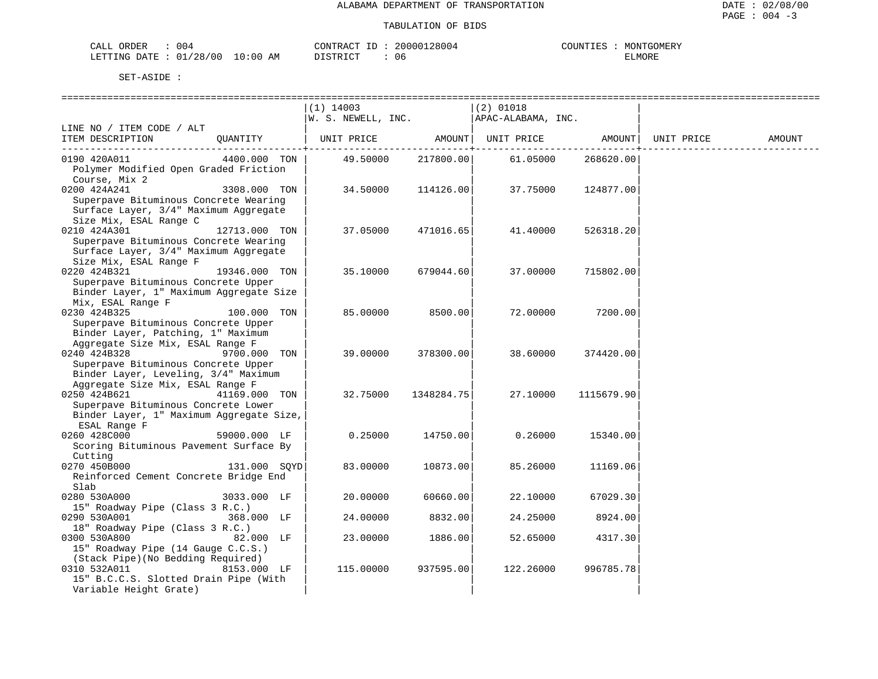| 004<br>ORDER<br>CALL     | CONTRACT                | 20000128004<br>$ -$ | COUNTIES<br>MONTGOMERY |
|--------------------------|-------------------------|---------------------|------------------------|
| 01/28/00<br>LETTING DATE | 10:00<br>AΜ<br>DISTRICT | 06                  | ELMORE                 |

|                                                       |               | $(1)$ 14003        |            | $(2)$ 01018        |            |            |        |
|-------------------------------------------------------|---------------|--------------------|------------|--------------------|------------|------------|--------|
|                                                       |               | W. S. NEWELL, INC. |            | APAC-ALABAMA, INC. |            |            |        |
| LINE NO / ITEM CODE / ALT                             |               |                    |            |                    |            |            |        |
| ITEM DESCRIPTION                                      | QUANTITY      | UNIT PRICE         | AMOUNT     | UNIT PRICE         | AMOUNT     | UNIT PRICE | AMOUNT |
| 0190 420A011                                          | 4400.000 TON  | 49.50000           | 217800.00  | 61.05000           | 268620.00  |            |        |
| Polymer Modified Open Graded Friction                 |               |                    |            |                    |            |            |        |
| Course, Mix 2                                         |               |                    |            |                    |            |            |        |
| 0200 424A241                                          | 3308.000 TON  | 34.50000           | 114126.00  | 37.75000           | 124877.00  |            |        |
| Superpave Bituminous Concrete Wearing                 |               |                    |            |                    |            |            |        |
| Surface Layer, 3/4" Maximum Aggregate                 |               |                    |            |                    |            |            |        |
| Size Mix, ESAL Range C                                |               |                    |            |                    |            |            |        |
| 0210 424A301                                          | 12713.000 TON | 37.05000           | 471016.65  | 41.40000           | 526318.20  |            |        |
| Superpave Bituminous Concrete Wearing                 |               |                    |            |                    |            |            |        |
| Surface Layer, 3/4" Maximum Aggregate                 |               |                    |            |                    |            |            |        |
| Size Mix, ESAL Range F                                |               |                    |            |                    |            |            |        |
| 0220 424B321                                          | 19346.000 TON | 35.10000           | 679044.60  | 37.00000           | 715802.00  |            |        |
| Superpave Bituminous Concrete Upper                   |               |                    |            |                    |            |            |        |
| Binder Layer, 1" Maximum Aggregate Size               |               |                    |            |                    |            |            |        |
| Mix, ESAL Range F                                     |               |                    |            |                    |            |            |        |
| 0230 424B325                                          | 100.000 TON   | 85.00000           | 8500.00    | 72.00000           | 7200.00    |            |        |
| Superpave Bituminous Concrete Upper                   |               |                    |            |                    |            |            |        |
| Binder Layer, Patching, 1" Maximum                    |               |                    |            |                    |            |            |        |
| Aggregate Size Mix, ESAL Range F                      |               |                    |            |                    |            |            |        |
| 0240 424B328                                          | 9700.000 TON  | 39.00000           | 378300.00  | 38.60000           | 374420.00  |            |        |
| Superpave Bituminous Concrete Upper                   |               |                    |            |                    |            |            |        |
| Binder Layer, Leveling, 3/4" Maximum                  |               |                    |            |                    |            |            |        |
| Aggregate Size Mix, ESAL Range F                      |               |                    |            |                    |            |            |        |
| 0250 424B621                                          | 41169.000 TON | 32.75000           | 1348284.75 | 27.10000           | 1115679.90 |            |        |
| Superpave Bituminous Concrete Lower                   |               |                    |            |                    |            |            |        |
| Binder Layer, 1" Maximum Aggregate Size,              |               |                    |            |                    |            |            |        |
| ESAL Range F                                          |               |                    |            |                    |            |            |        |
| 0260 428C000                                          | 59000.000 LF  | 0.25000            | 14750.00   | 0.26000            | 15340.00   |            |        |
| Scoring Bituminous Pavement Surface By                |               |                    |            |                    |            |            |        |
| Cutting                                               |               |                    |            |                    |            |            |        |
| 0270 450B000<br>Reinforced Cement Concrete Bridge End | 131.000 SOYD  | 83.00000           | 10873.00   | 85.26000           | 11169.06   |            |        |
| Slab                                                  |               |                    |            |                    |            |            |        |
| 0280 530A000                                          | 3033.000 LF   | 20.00000           | 60660.00   | 22.10000           | 67029.30   |            |        |
| 15" Roadway Pipe (Class 3 R.C.)                       |               |                    |            |                    |            |            |        |
| 0290 530A001                                          | 368.000 LF    | 24.00000           | 8832.00    | 24.25000           | 8924.00    |            |        |
| 18" Roadway Pipe (Class 3 R.C.)                       |               |                    |            |                    |            |            |        |
| 0300 530A800                                          | 82.000 LF     | 23.00000           | 1886.00    | 52.65000           | 4317.30    |            |        |
| 15" Roadway Pipe (14 Gauge C.C.S.)                    |               |                    |            |                    |            |            |        |
| (Stack Pipe) (No Bedding Required)                    |               |                    |            |                    |            |            |        |
| 0310 532A011                                          | 8153.000 LF   | 115.00000          | 937595.00  | 122.26000          | 996785.78  |            |        |
| 15" B.C.C.S. Slotted Drain Pipe (With                 |               |                    |            |                    |            |            |        |
| Variable Height Grate)                                |               |                    |            |                    |            |            |        |
|                                                       |               |                    |            |                    |            |            |        |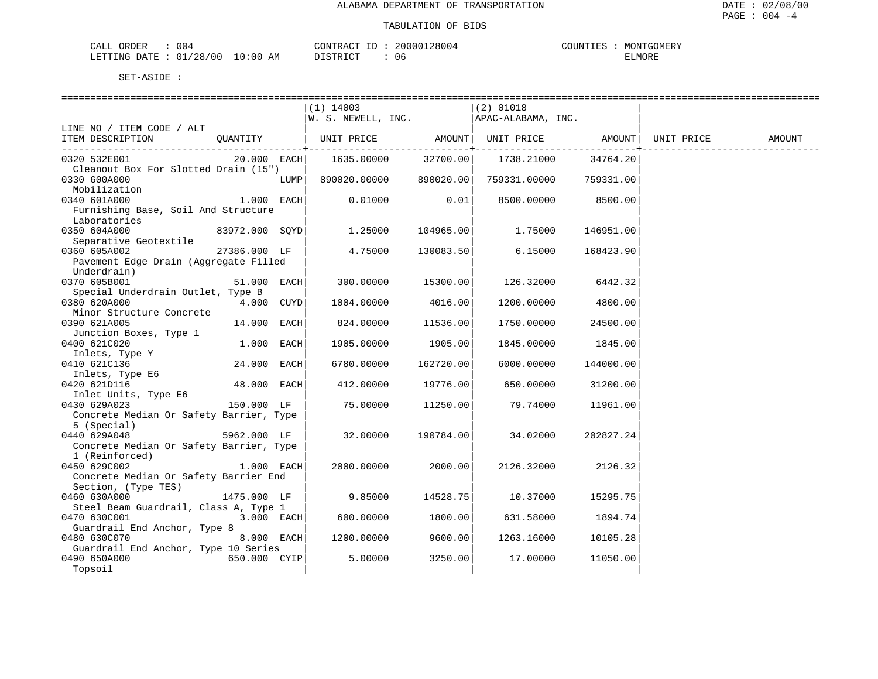## TABULATION OF BIDS

| )RDER<br>2AL1<br>004                                                                                                                                       |            | $\sim$<br>ΡΛ. | TTGOMERY<br>$\gamma$ תוזמי<br><b>MON</b><br>نىدىدىر |
|------------------------------------------------------------------------------------------------------------------------------------------------------------|------------|---------------|-----------------------------------------------------|
| /28<br>100<br>LETTING<br>איד בר $\pi$ .<br>the contract of the contract of the contract of the contract of the contract of the contract of the contract of | : 00<br>ΑM | ◠<br>U6       | MORE                                                |

|                                                 |               |      | ==============================                  |              |                                                       |           |            |        |
|-------------------------------------------------|---------------|------|-------------------------------------------------|--------------|-------------------------------------------------------|-----------|------------|--------|
|                                                 |               |      | $(1)$ 14003                                     |              | $(2)$ 01018                                           |           |            |        |
|                                                 |               |      | $ W.$ S. NEWELL, INC.                           |              | APAC-ALABAMA, INC.                                    |           |            |        |
| LINE NO / ITEM CODE / ALT                       |               |      |                                                 |              |                                                       |           |            |        |
| ITEM DESCRIPTION                                |               |      | QUANTITY   UNIT PRICE AMOUNT  UNIT PRICE AMOUNT |              |                                                       |           | UNIT PRICE | AMOUNT |
|                                                 |               |      |                                                 | ----------+- |                                                       |           |            |        |
| 0320 532E001                                    | $20.000$ EACH |      | $1635.00000$ $32700.00$ $1738.21000$ $34764.20$ |              |                                                       |           |            |        |
| Cleanout Box For Slotted Drain (15")            |               |      |                                                 |              |                                                       |           |            |        |
| 0330 600A000                                    |               | LUMP |                                                 |              | $890020.00000$ $890020.00$ $759331.00000$ $759331.00$ |           |            |        |
| Mobilization                                    |               |      |                                                 |              |                                                       |           |            |        |
| 0340 601A000                                    | $1.000$ EACH  |      | 0.01000                                         | 0.01         | 8500.00000 8500.00                                    |           |            |        |
| Furnishing Base, Soil And Structure             |               |      |                                                 |              |                                                       |           |            |        |
| Laboratories                                    |               |      |                                                 |              |                                                       |           |            |        |
| 0350 604A000                                    |               |      | 83972.000 SQYD 1.25000 104965.00                |              | 1.75000                                               | 146951.00 |            |        |
| Separative Geotextile                           |               |      |                                                 |              |                                                       |           |            |        |
| 0360 605A002                                    | 27386.000 LF  |      | 4.75000                                         | 130083.50    | 6.15000                                               | 168423.90 |            |        |
| Pavement Edge Drain (Aggregate Filled           |               |      |                                                 |              |                                                       |           |            |        |
| Underdrain)                                     |               |      |                                                 |              |                                                       |           |            |        |
| 0370 605B001                                    | $51.000$ EACH |      | 300.00000 15300.00                              |              | 126.32000                                             | 6442.32   |            |        |
| Special Underdrain Outlet, Type B               |               |      |                                                 |              |                                                       |           |            |        |
| 0380 620A000                                    | 4.000 CUYD    |      | 1004.00000                                      | 4016.00      | 1200.00000                                            | 4800.00   |            |        |
| Minor Structure Concrete                        |               |      |                                                 |              |                                                       |           |            |        |
| 0390 621A005                                    | $14.000$ EACH |      | 824.00000                                       | 11536.00     | 1750.00000                                            | 24500.00  |            |        |
| Junction Boxes, Type 1                          |               |      |                                                 |              |                                                       |           |            |        |
| 0400 621C020                                    | $1.000$ EACH  |      | 1905.00000                                      | 1905.00      | 1845.00000                                            | 1845.00   |            |        |
| Jive part.<br>Inlets, Type Y                    |               |      |                                                 |              |                                                       |           |            |        |
| 0410 621C136                                    | 24.000 EACH   |      | 6780.00000                                      | 162720.00    | 6000.00000                                            | 144000.00 |            |        |
|                                                 |               |      |                                                 |              |                                                       |           |            |        |
| Inlets, Type E6<br>0420 621D116<br>0420 621D116 | 48.000 EACH   |      | 412.00000                                       | 19776.00     | 650.00000                                             | 31200.00  |            |        |
| Inlet Units, Type E6                            |               |      |                                                 |              |                                                       |           |            |        |
| 0430 629A023                                    | 150.000 LF    |      | 75.00000                                        | 11250.00     | 79.74000                                              | 11961.00  |            |        |
| Concrete Median Or Safety Barrier, Type         |               |      |                                                 |              |                                                       |           |            |        |
| 5 (Special)                                     |               |      |                                                 |              |                                                       |           |            |        |
| 0440 629A048                                    | 5962.000 LF   |      | 32.00000                                        | 190784.00    | 34.02000                                              | 202827.24 |            |        |
| Concrete Median Or Safety Barrier, Type         |               |      |                                                 |              |                                                       |           |            |        |
| 1 (Reinforced)                                  |               |      |                                                 |              |                                                       |           |            |        |
| 0450 629C002                                    | $1.000$ EACH  |      | 2000.00000                                      | 2000.00      | 2126.32000 2126.32                                    |           |            |        |
| Concrete Median Or Safety Barrier End           |               |      |                                                 |              |                                                       |           |            |        |
| Section, (Type TES)                             |               |      |                                                 |              |                                                       |           |            |        |
| 0460 630A000                                    | 1475.000 LF   |      | 9.85000                                         | 14528.75     | 10.37000                                              | 15295.75  |            |        |
| Steel Beam Guardrail, Class A, Type 1           |               |      |                                                 |              |                                                       |           |            |        |
| 0470 630C001                                    | $3.000$ EACH  |      | 600.00000                                       | 1800.00      | 631.58000                                             | 1894.74   |            |        |
| Guardrail End Anchor, Type 8                    |               |      |                                                 |              |                                                       |           |            |        |
| 0480 630C070                                    | $8.000$ EACH  |      | 1200.00000                                      | 9600.00      | 1263.16000                                            | 10105.28  |            |        |
| Guardrail End Anchor, Type 10 Series            |               |      |                                                 |              |                                                       |           |            |        |
| 650.000 CYIP<br>0490 650A000                    |               |      | 5.00000                                         | 3250.00      | 17.00000                                              | 11050.00  |            |        |
| Topsoil                                         |               |      |                                                 |              |                                                       |           |            |        |
|                                                 |               |      |                                                 |              |                                                       |           |            |        |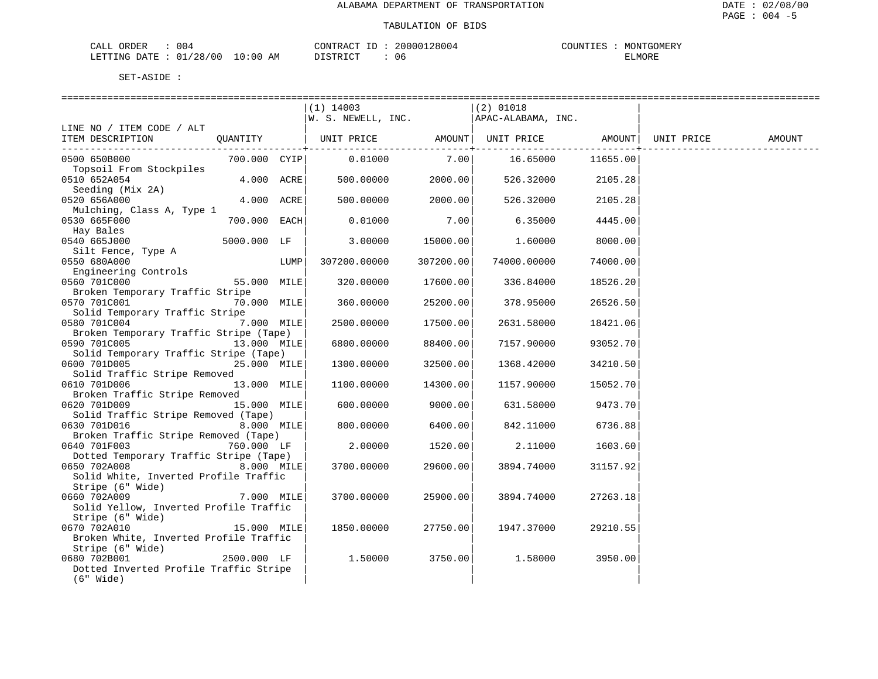## TABULATION OF BIDS

| 004<br>ORDER<br>CALL                        |                          | 28004<br>CONTRACT<br>200001<br>$- -$ | COUNTILES<br>TGOMERY<br>550377<br>TUDIN J |
|---------------------------------------------|--------------------------|--------------------------------------|-------------------------------------------|
| /28/00<br>. מאודייים<br><b>DATE</b><br>N(4) | 10:00 <sub>h</sub><br>ΆM | RTP.<br>06                           | ELMORE                                    |

|                                                                                                             |              |      | $(1)$ 14003<br>$\begin{vmatrix} 1 & 1 & 1 & 1 & 1 \\ 1 & 1 & 1 & 1 & 1 \\ 1 & 1 & 1 & 1 & 1 \\ 1 & 1 & 1 & 1 & 1 \end{vmatrix}$ (2) J1010<br>$\begin{vmatrix} 1 & 1 & 1 & 1 \\ 1 & 1 & 1 & 1 \\ 1 & 1 & 1 & 1 \\ 1 & 1 & 1 & 1 \end{vmatrix}$ apac-alabama, INC. |           | $(2)$ 01018       |          |        |
|-------------------------------------------------------------------------------------------------------------|--------------|------|------------------------------------------------------------------------------------------------------------------------------------------------------------------------------------------------------------------------------------------------------------------|-----------|-------------------|----------|--------|
| LINE NO / ITEM CODE / ALT<br>ITEM DESCRIPTION QUANTITY   UNIT PRICE AMOUNT   UNIT PRICE AMOUNT   UNIT PRICE |              |      |                                                                                                                                                                                                                                                                  |           |                   |          | AMOUNT |
| 0500 650B000<br>Topsoil From Stockpiles                                                                     |              |      | 700.000 CYIP 0.01000                                                                                                                                                                                                                                             |           | $7.00$ 16.65000   | 11655.00 |        |
| 0510 652A054<br>Seeding (Mix 2A)                                                                            | $4.000$ ACRE |      | 500.00000 2000.00                                                                                                                                                                                                                                                |           | 526.32000 2105.28 |          |        |
| 0520 656A000<br>Mulching, Class A, Type 1                                                                   | 4.000 ACRE   |      | 500.00000                                                                                                                                                                                                                                                        | 2000.00   | 526.32000         | 2105.28  |        |
| 0530 665F000<br>Hay Bales                                                                                   | 700.000 EACH |      | 0.01000                                                                                                                                                                                                                                                          | 7.00      | 6.35000           | 4445.00  |        |
| 0540 665J000<br>Silt Fence, Type A                                                                          | 5000.000 LF  |      | 3.00000                                                                                                                                                                                                                                                          | 15000.00  | 1.60000           | 8000.00  |        |
| 0550 680A000                                                                                                |              | LUMP | 307200.00000                                                                                                                                                                                                                                                     | 307200.00 | 74000.00000       | 74000.00 |        |
| 0560 701C000<br>Broken Temporary Traffic Stripe                                                             |              |      | 320.00000                                                                                                                                                                                                                                                        | 17600.00  | 336.84000         | 18526.20 |        |
| 0570 701C001<br>Solid Temporary Traffic Stripe                                                              | 70.000 MILE  |      | 360.00000                                                                                                                                                                                                                                                        | 25200.00  | 378.95000         | 26526.50 |        |
| 0580 701C004<br>7.000 MILE<br>Broken Temporary Traffic Stripe (Tape)                                        |              |      | 2500.00000                                                                                                                                                                                                                                                       | 17500.00  | 2631.58000        | 18421.06 |        |
| 0590 701C005 13.000 MILE<br>Solid Temporary Traffic Stripe (Tape)                                           |              |      | 6800.00000                                                                                                                                                                                                                                                       | 88400.00  | 7157.90000        | 93052.70 |        |
| 0600 701D005<br>Solid Traffic Stripe Removed                                                                | 25.000 MILE  |      | 1300.00000                                                                                                                                                                                                                                                       | 32500.00  | 1368.42000        | 34210.50 |        |
| 0610 701D006<br>Broken Traffic Stripe Removed                                                               | 13.000 MILE  |      | 1100.00000                                                                                                                                                                                                                                                       | 14300.00  | 1157.90000        | 15052.70 |        |
| 0620 701D009                                                                                                | 15.000 MILE  |      | 600.00000                                                                                                                                                                                                                                                        | 9000.00   | 631.58000         | 9473.70  |        |
| Solid Traffic Stripe Removed (Tape)<br>0630 701D016<br>8.000 MILE                                           |              |      | 800,00000                                                                                                                                                                                                                                                        | 6400.00   | 842.11000         | 6736.88  |        |
| Broken Traffic Stripe Removed (Tape)<br>0640 701F003                                                        | 760.000 LF   |      | 2.00000                                                                                                                                                                                                                                                          | 1520.00   | 2.11000           | 1603.60  |        |
| Dotted Temporary Traffic Stripe (Tape)<br>0650 702A008<br>Solid White, Inverted Profile Traffic             | 8.000 MILE   |      | 3700.00000                                                                                                                                                                                                                                                       | 29600.00  | 3894.74000        | 31157.92 |        |
| Stripe (6" Wide)<br>0660 702A009<br>Solid Yellow, Inverted Profile Traffic                                  | 7.000 MILE   |      | 3700.00000                                                                                                                                                                                                                                                       | 25900.00  | 3894.74000        | 27263.18 |        |
| Stripe (6" Wide)<br>0670 702A010<br>Broken White, Inverted Profile Traffic                                  | 15.000 MILE  |      | 1850.00000                                                                                                                                                                                                                                                       | 27750.00  | 1947.37000        | 29210.55 |        |
| Stripe (6" Wide)<br>0680 702B001<br>Dotted Inverted Profile Traffic Stripe<br>$(6"$ Wide)                   | 2500.000 LF  |      | 1.50000                                                                                                                                                                                                                                                          | 3750.00   | 1.58000           | 3950.00  |        |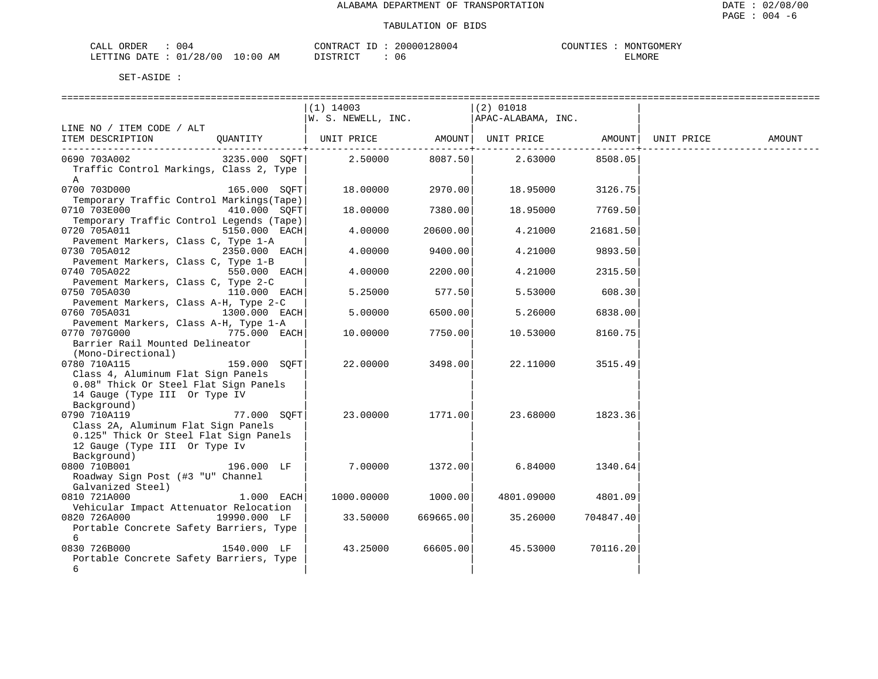| 004<br>־יית האו<br>. הי<br>DEF<br>للمحمد                      |               | <b>11700</b><br>7 A J | uu4 | MERY<br>11 I N<br>$\mathbf{u}$ |
|---------------------------------------------------------------|---------------|-----------------------|-----|--------------------------------|
| ' O C<br>ຳດ<br>מת דיחים<br>י∓יד∆ו<br>$\overline{\phantom{a}}$ | AM<br>$\cdot$ | יחד                   | U6  | ∺יאו<br>. IVI (<br>----        |

|                                              | $(1)$ 14003           |           | $(2)$ 01018                  |           |            |        |
|----------------------------------------------|-----------------------|-----------|------------------------------|-----------|------------|--------|
|                                              | $ W.$ S. NEWELL, INC. |           | APAC-ALABAMA, INC.           |           |            |        |
| LINE NO / ITEM CODE / ALT                    |                       |           |                              |           |            |        |
| ITEM DESCRIPTION<br>OUANTITY                 | UNIT PRICE            |           | AMOUNT   UNIT PRICE   AMOUNT |           | UNIT PRICE | AMOUNT |
|                                              |                       |           |                              |           |            |        |
| 3235.000 SOFT<br>0690 703A002                | 2.50000               | 8087.50   | 2.63000                      | 8508.05   |            |        |
| Traffic Control Markings, Class 2, Type      |                       |           |                              |           |            |        |
| A                                            |                       |           |                              |           |            |        |
| 0700 703D000<br>165.000 SOFT                 | 18.00000              | 2970.00   | 18.95000                     | 3126.75   |            |        |
| Temporary Traffic Control Markings (Tape)    |                       |           |                              |           |            |        |
| 0710 703E000<br>410.000 SOFT                 | 18.00000              | 7380.00   | 18.95000                     | 7769.50   |            |        |
| Temporary Traffic Control Legends (Tape)     |                       |           |                              |           |            |        |
| 0720 705A011<br>5150.000 EACH                | 4.00000               | 20600.00  | 4.21000                      | 21681.50  |            |        |
| Pavement Markers, Class C, Type 1-A          |                       |           |                              |           |            |        |
| 0730 705A012<br>2350.000 EACH                | 4.00000               | 9400.00   | 4.21000                      | 9893.50   |            |        |
| Pavement Markers, Class C, Type 1-B          |                       |           |                              |           |            |        |
| 0740 705A022<br>550.000 EACH                 | 4.00000               | 2200.00   | 4.21000                      | 2315.50   |            |        |
|                                              |                       |           |                              |           |            |        |
| Pavement Markers, Class C, Type 2-C          |                       |           |                              |           |            |        |
| 0750 705A030<br>110.000 EACH                 | 5.25000               | 577.50    | 5.53000                      | 608.30    |            |        |
| Pavement Markers, Class A-H, Type 2-C        |                       |           |                              |           |            |        |
| 0760 705A031<br>1300.000 EACH                | 5.00000               | 6500.00   | 5.26000                      | 6838.00   |            |        |
| Pavement Markers, Class A-H, Type 1-A        |                       |           |                              |           |            |        |
| 0770 707G000<br>775.000 EACH                 | 10.00000              | 7750.00   | 10.53000                     | 8160.75   |            |        |
| Barrier Rail Mounted Delineator              |                       |           |                              |           |            |        |
| (Mono-Directional)                           |                       |           |                              |           |            |        |
| 0780 710A115<br>159.000 SOFT                 | 22,00000              | 3498.00   | 22.11000                     | 3515.49   |            |        |
| Class 4, Aluminum Flat Sign Panels           |                       |           |                              |           |            |        |
| 0.08" Thick Or Steel Flat Sign Panels        |                       |           |                              |           |            |        |
| 14 Gauge (Type III Or Type IV                |                       |           |                              |           |            |        |
| Background)                                  |                       |           |                              |           |            |        |
| 0790 710A119<br>77.000 SOFT                  | 23.00000              | 1771.00   | 23.68000                     | 1823.36   |            |        |
| Class 2A, Aluminum Flat Sign Panels          |                       |           |                              |           |            |        |
| 0.125" Thick Or Steel Flat Sign Panels       |                       |           |                              |           |            |        |
| 12 Gauge (Type III Or Type Iv                |                       |           |                              |           |            |        |
| Background)                                  |                       |           |                              |           |            |        |
| 0800 710B001<br>196.000 LF                   | 7.00000               | 1372.00   | 6.84000                      | 1340.64   |            |        |
| Roadway Sign Post (#3 "U" Channel            |                       |           |                              |           |            |        |
| Galvanized Steel)                            |                       |           |                              |           |            |        |
| 0810 721A000<br>1.000 EACH                   | 1000.00000            | 1000.00   | 4801.09000                   | 4801.09   |            |        |
| Vehicular Impact Attenuator Relocation       |                       |           |                              |           |            |        |
| 0820 726A000<br>19990.000 LF                 | 33.50000              | 669665.00 | 35.26000                     | 704847.40 |            |        |
| Portable Concrete Safety Barriers, Type      |                       |           |                              |           |            |        |
| 6                                            |                       |           |                              |           |            |        |
| 0830 726B000<br>1540.000 LF                  | 43.25000              | 66605.00  | 45.53000                     | 70116.20  |            |        |
|                                              |                       |           |                              |           |            |        |
| Portable Concrete Safety Barriers, Type<br>6 |                       |           |                              |           |            |        |
|                                              |                       |           |                              |           |            |        |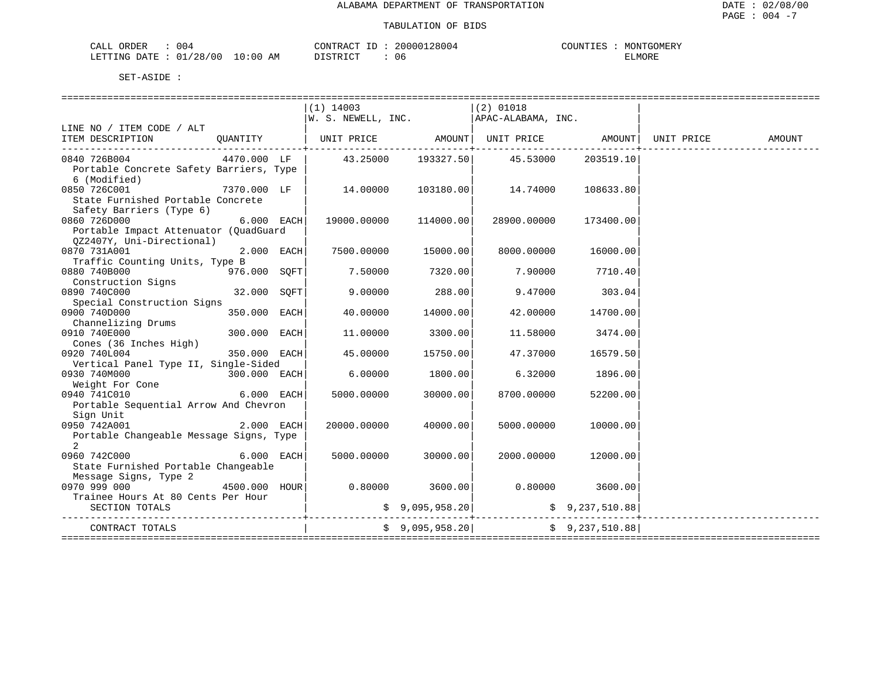## TABULATION OF BIDS

| ORDER<br>004<br>$C\Delta T$ | TONTRACT                                             | $-1$<br>, n n n c | $\bigcap$<br>『GOMERY<br>MONT<br>. I B.N |
|-----------------------------|------------------------------------------------------|-------------------|-----------------------------------------|
| /28/00<br>LETTING<br>πבר    | $\pm 0:00$<br>AM<br>$T \cap T$<br>ּתּרִי אֲד<br>$-1$ | U6                | ELMORE                                  |

|                                                                              |               |              | $(1)$ 14003                                   |                  | $(2)$ 01018       |                 |        |
|------------------------------------------------------------------------------|---------------|--------------|-----------------------------------------------|------------------|-------------------|-----------------|--------|
|                                                                              |               |              | $ W. S. NEWELL, INC.   APAC-ALABAMA, INC.$    |                  |                   |                 |        |
| LINE NO / ITEM CODE / ALT                                                    |               |              |                                               |                  |                   |                 |        |
| ITEM DESCRIPTION                                                             |               |              |                                               |                  |                   |                 | AMOUNT |
| -------------------------------------                                        |               |              |                                               |                  |                   |                 |        |
| 0840 726B004                                                                 | 4470.000 LF   |              | $43.25000$ $193327.50$ $45.53000$ $203519.10$ |                  |                   |                 |        |
| Portable Concrete Safety Barriers, Type                                      |               |              |                                               |                  |                   |                 |        |
| 6 (Modified)                                                                 |               |              |                                               |                  |                   |                 |        |
| 0850 726C001                                                                 | $7370.000$ LF |              |                                               |                  | 14.74000          | 108633.80       |        |
| State Furnished Portable Concrete                                            |               |              |                                               |                  |                   |                 |        |
| Safety Barriers (Type 6)                                                     |               |              |                                               |                  |                   |                 |        |
| 0860 726D000                                                                 |               | $6.000$ EACH | 19000.00000 114000.00                         |                  | 28900.00000       | 173400.00       |        |
|                                                                              |               |              |                                               |                  |                   |                 |        |
| Portable Impact Attenuator (QuadGuard                                        |               |              |                                               |                  |                   |                 |        |
| 0Z2407Y, Uni-Directional)                                                    |               |              |                                               |                  |                   |                 |        |
| 0870 731A001                                                                 |               | $2.000$ EACH | 7500.00000                                    | 15000.00         | 8000.00000        | 16000.00        |        |
| Traffic Counting Units, Type B                                               |               |              |                                               |                  |                   |                 |        |
| $976.000$ SQFT<br>0880 740B000                                               |               |              | $7.50000$ $7320.00$                           |                  |                   | 7.90000 7710.40 |        |
| Construction Signs                                                           |               |              |                                               |                  |                   |                 |        |
| 0890 740C000                                                                 | 32.000 SOFT   |              |                                               | $9.00000$ 288.00 |                   | 9.47000 303.04  |        |
| Special Construction Signs                                                   |               |              |                                               |                  |                   |                 |        |
| 0900 740D000                                                                 | 350.000 EACH  |              | 40.00000                                      | 14000.00         | 42.00000          | 14700.00        |        |
| Channelizing Drums                                                           |               |              |                                               |                  |                   |                 |        |
| 0910 740E000                                                                 | 300.000 EACH  |              | 11.00000                                      | 3300.00          | 11.58000          | 3474.00         |        |
| Cones (36 Inches High)                                                       |               |              |                                               |                  |                   |                 |        |
| 0920 740L004                                                                 | 350.000 EACH  |              | 45.00000                                      | 15750.00         | 47.37000 16579.50 |                 |        |
| Vertical Panel Type II, Single-Sided                                         |               |              |                                               |                  |                   |                 |        |
| 0930 740M000                                                                 | 300.000 EACH  |              | 6.00000                                       | 1800.00          | 6.32000           | 1896.00         |        |
| Weight For Cone                                                              |               |              |                                               |                  |                   |                 |        |
| $6.000$ EACH<br>0940 741C010                                                 |               |              | 5000.00000                                    | 30000.00         | 8700.00000        | 52200.00        |        |
| Portable Sequential Arrow And Chevron                                        |               |              |                                               |                  |                   |                 |        |
| Sign Unit                                                                    |               |              |                                               |                  |                   |                 |        |
| 0950 742A001                                                                 |               | 2.000 EACH   | 20000.00000                                   | 40000.00         | 5000.00000        | 10000.00        |        |
| Portable Changeable Message Signs, Type                                      |               |              |                                               |                  |                   |                 |        |
| 2                                                                            |               |              |                                               |                  |                   |                 |        |
| 0960 742C000                                                                 |               | $6.000$ EACH | 5000.00000                                    | 30000.00         | 2000.00000        | 12000.00        |        |
| State Furnished Portable Changeable                                          |               |              |                                               |                  |                   |                 |        |
| Message Signs, Type 2                                                        |               |              |                                               |                  |                   |                 |        |
| 0970 999 000 $\bullet$ 4500.000 HOUR 0.80000 3600.00 0.80000 0.80000 3600.00 |               |              |                                               |                  |                   |                 |        |
| Trainee Hours At 80 Cents Per Hour                                           |               |              |                                               |                  |                   |                 |        |
| SECTION TOTALS                                                               |               |              |                                               | \$9,095,958.20   |                   | \$9,237,510.88] |        |
|                                                                              |               |              |                                               |                  |                   |                 |        |
| CONTRACT TOTALS                                                              |               |              |                                               | \$9,095,958.20   |                   | \$9,237,510.88  |        |
|                                                                              |               |              |                                               |                  |                   |                 |        |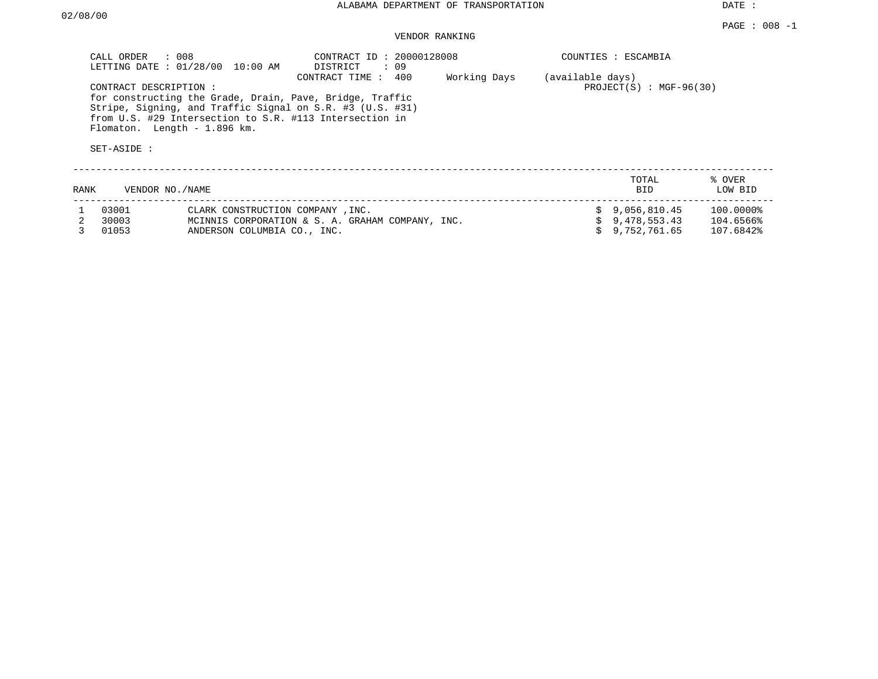DATE :

# VENDOR RANKING

| CALL ORDER : 008                      | LETTING DATE : 01/28/00 10:00 AM                                                                                                                    | CONTRACT ID: 20000128008<br>DISTRICT<br>: 09                                     |              | COUNTIES : ESCAMBIA                           |                   |
|---------------------------------------|-----------------------------------------------------------------------------------------------------------------------------------------------------|----------------------------------------------------------------------------------|--------------|-----------------------------------------------|-------------------|
| CONTRACT DESCRIPTION :<br>SET-ASIDE : | for constructing the Grade, Drain, Pave, Bridge, Traffic<br>from U.S. #29 Intersection to S.R. #113 Intersection in<br>Flomaton. Length - 1.896 km. | CONTRACT TIME : 400<br>Stripe, Signing, and Traffic Signal on S.R. #3 (U.S. #31) | Working Days | (available days)<br>$PROJECT(S) : MGF-96(30)$ |                   |
| RANK                                  | VENDOR NO./NAME                                                                                                                                     |                                                                                  |              | TOTAL<br><b>BID</b>                           | % OVER<br>LOW BID |
| 03001                                 | CLARK CONSTRUCTION COMPANY . INC.                                                                                                                   |                                                                                  |              | $\text{S}$ 9.056.810.45                       | 100.0000%         |

| 03001   | CLARK CONSTRUCTION COMPANY, INC.                 | \$9,056,810.45 | 100.0000% |
|---------|--------------------------------------------------|----------------|-----------|
| 2 30003 | MCINNIS CORPORATION & S. A. GRAHAM COMPANY, INC. | \$9.478.553.43 | 104.6566% |
| 3 01053 | ANDERSON COLUMBIA CO., INC.                      | \$9,752,761.65 | 107.6842% |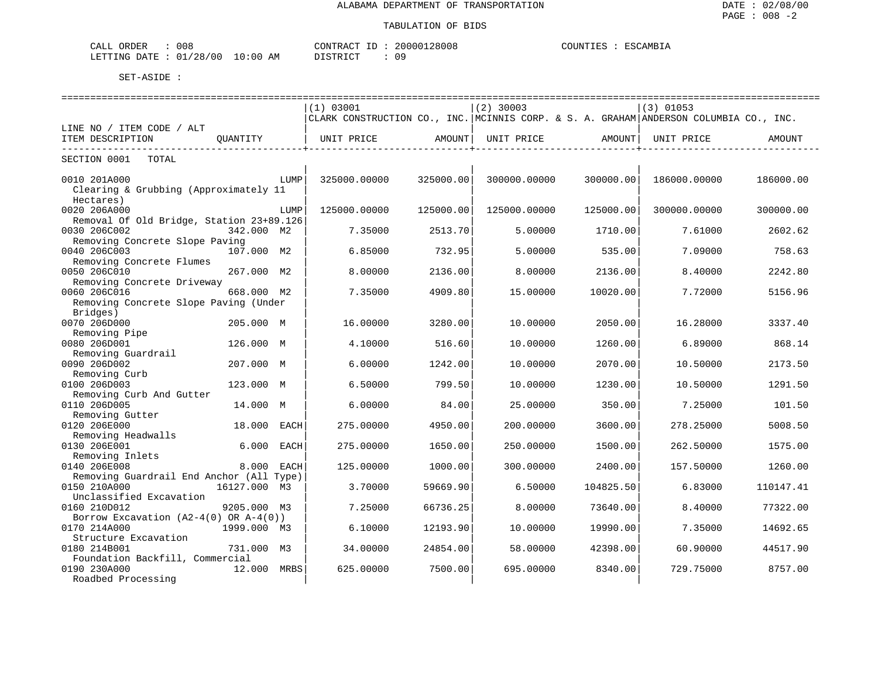| 00٤<br>ORDER<br>ـىلىمى        |                 | רים אידווחי | 28008<br>⊇OOOO1 | $\bigcap$<br>AMR<br>. |
|-------------------------------|-----------------|-------------|-----------------|-----------------------|
| '28/00<br>n –<br>LETTING DATF | . 0 : 0 0<br>ΆM | דת דפידי את |                 |                       |

|                                            | (1) 03001                                                                             |           | $(2)$ 30003  |           | $(3)$ 01053  |           |
|--------------------------------------------|---------------------------------------------------------------------------------------|-----------|--------------|-----------|--------------|-----------|
|                                            | CLARK CONSTRUCTION CO., INC. MCINNIS CORP. & S. A. GRAHAM ANDERSON COLUMBIA CO., INC. |           |              |           |              |           |
| LINE NO / ITEM CODE / ALT                  |                                                                                       |           |              |           |              |           |
| ITEM DESCRIPTION<br>OUANTITY               | UNIT PRICE                                                                            | AMOUNT    | UNIT PRICE   | AMOUNT    | UNIT PRICE   | AMOUNT    |
|                                            |                                                                                       |           |              |           |              |           |
| SECTION 0001<br>TOTAL                      |                                                                                       |           |              |           |              |           |
|                                            |                                                                                       |           |              |           |              |           |
| 0010 201A000<br>LUMP                       | 325000.00000                                                                          | 325000.00 | 300000.00000 | 300000.00 | 186000.00000 | 186000.00 |
| Clearing & Grubbing (Approximately 11      |                                                                                       |           |              |           |              |           |
| Hectares)                                  |                                                                                       |           |              |           |              |           |
| 0020 206A000<br>LUMP                       | 125000.00000                                                                          | 125000.00 | 125000.00000 | 125000.00 | 300000.00000 | 300000.00 |
| Removal Of Old Bridge, Station 23+89.126   |                                                                                       |           |              |           |              |           |
| 0030 206C002<br>342.000 M2                 | 7.35000                                                                               | 2513.70   | 5.00000      | 1710.00   | 7.61000      | 2602.62   |
| Removing Concrete Slope Paving             |                                                                                       |           |              |           |              |           |
| 0040 206C003<br>107.000 M2                 | 6.85000                                                                               | 732.95    | 5.00000      | 535.00    | 7.09000      | 758.63    |
| Removing Concrete Flumes                   |                                                                                       |           |              |           |              |           |
| 0050 206C010<br>267.000 M2                 | 8.00000                                                                               | 2136.00   | 8.00000      | 2136.00   | 8.40000      | 2242.80   |
| Removing Concrete Driveway                 |                                                                                       |           |              |           |              |           |
| 0060 206C016<br>668.000 M2                 | 7.35000                                                                               | 4909.80   | 15.00000     | 10020.00  | 7.72000      | 5156.96   |
| Removing Concrete Slope Paving (Under      |                                                                                       |           |              |           |              |           |
| Bridges)                                   |                                                                                       |           |              |           |              |           |
| 0070 206D000<br>205.000 M                  | 16.00000                                                                              | 3280.00   | 10.00000     | 2050.00   | 16.28000     | 3337.40   |
| Removing Pipe                              |                                                                                       |           |              |           |              |           |
| 0080 206D001<br>126.000 M                  | 4.10000                                                                               | 516.60    | 10.00000     | 1260.00   | 6.89000      | 868.14    |
| Removing Guardrail                         |                                                                                       |           |              |           |              |           |
|                                            |                                                                                       |           |              |           |              | 2173.50   |
| 0090 206D002<br>207.000 M                  | 6.00000                                                                               | 1242.00   | 10.00000     | 2070.00   | 10.50000     |           |
| Removing Curb                              |                                                                                       |           |              |           |              |           |
| 0100 206D003<br>123.000 M                  | 6.50000                                                                               | 799.50    | 10.00000     | 1230.00   | 10.50000     | 1291.50   |
| Removing Curb And Gutter                   |                                                                                       |           |              |           |              |           |
| 0110 206D005<br>14.000 M                   | 6.00000                                                                               | 84.00     | 25.00000     | 350.00    | 7.25000      | 101.50    |
| Removing Gutter                            |                                                                                       |           |              |           |              |           |
| 0120 206E000<br>18.000<br>EACH             | 275.00000                                                                             | 4950.00   | 200.00000    | 3600.00   | 278.25000    | 5008.50   |
| Removing Headwalls                         |                                                                                       |           |              |           |              |           |
| 0130 206E001<br>6.000<br>EACH              | 275.00000                                                                             | 1650.00   | 250.00000    | 1500.00   | 262.50000    | 1575.00   |
| Removing Inlets                            |                                                                                       |           |              |           |              |           |
| 0140 206E008<br>8.000 EACH                 | 125.00000                                                                             | 1000.00   | 300.00000    | 2400.00   | 157.50000    | 1260.00   |
| Removing Guardrail End Anchor (All Type)   |                                                                                       |           |              |           |              |           |
| 0150 210A000<br>16127.000<br>M3            | 3.70000                                                                               | 59669.90  | 6.50000      | 104825.50 | 6.83000      | 110147.41 |
| Unclassified Excavation                    |                                                                                       |           |              |           |              |           |
| 0160 210D012<br>9205.000 M3                | 7.25000                                                                               | 66736.25  | 8,00000      | 73640.00  | 8,40000      | 77322.00  |
| Borrow Excavation $(A2-4(0)$ OR $A-4(0)$ ) |                                                                                       |           |              |           |              |           |
| 0170 214A000<br>1999.000 M3                | 6.10000                                                                               | 12193.90  | 10.00000     | 19990.00  | 7.35000      | 14692.65  |
| Structure Excavation                       |                                                                                       |           |              |           |              |           |
| 0180 214B001<br>731.000 M3                 | 34.00000                                                                              | 24854.00  | 58.00000     | 42398.00  | 60.90000     | 44517.90  |
| Foundation Backfill, Commercial            |                                                                                       |           |              |           |              |           |
| 0190 230A000<br>12.000<br>MRBS             | 625.00000                                                                             | 7500.00   | 695.00000    | 8340.00   | 729.75000    | 8757.00   |
| Roadbed Processing                         |                                                                                       |           |              |           |              |           |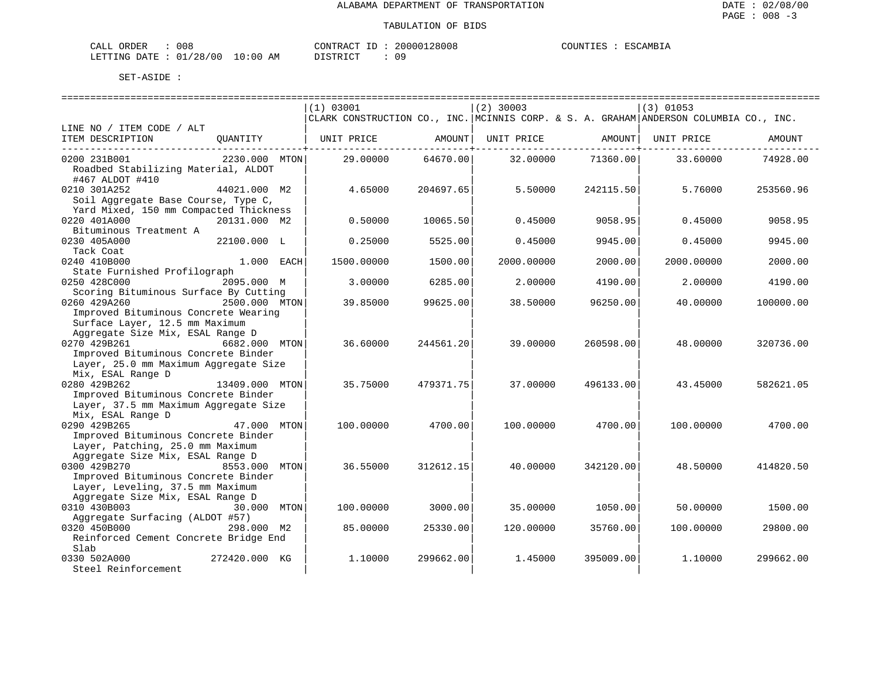| CALL ORDER                      | 008 |          |  | CONTRACT ID: 20000128008 | COUNTIES : ESCAMBIA |  |
|---------------------------------|-----|----------|--|--------------------------|---------------------|--|
| LETTING DATE: 01/28/00 10:00 AM |     | DISTRICT |  | 09                       |                     |  |

|                                                      |                |      | (1) 03001                                                                             |           | $(2)$ 30003 |           | $(3)$ 01053 |           |
|------------------------------------------------------|----------------|------|---------------------------------------------------------------------------------------|-----------|-------------|-----------|-------------|-----------|
|                                                      |                |      | CLARK CONSTRUCTION CO., INC. MCINNIS CORP. & S. A. GRAHAM ANDERSON COLUMBIA CO., INC. |           |             |           |             |           |
| LINE NO / ITEM CODE / ALT                            |                |      |                                                                                       |           |             |           |             |           |
| ITEM DESCRIPTION                                     | OUANTITY       |      | UNIT PRICE                                                                            | AMOUNT    | UNIT PRICE  | AMOUNT    | UNIT PRICE  | AMOUNT    |
| 0200 231B001                                         | 2230.000 MTON  |      | 29,00000                                                                              | 64670.00  | 32,00000    | 71360.00  | 33.60000    | 74928.00  |
| Roadbed Stabilizing Material, ALDOT                  |                |      |                                                                                       |           |             |           |             |           |
| #467 ALDOT #410<br>0210 301A252                      | 44021.000 M2   |      | 4.65000                                                                               | 204697.65 | 5.50000     | 242115.50 | 5.76000     | 253560.96 |
| Soil Aggregate Base Course, Type C,                  |                |      |                                                                                       |           |             |           |             |           |
| Yard Mixed, 150 mm Compacted Thickness               |                |      |                                                                                       |           |             |           |             |           |
| 0220 401A000                                         | 20131.000 M2   |      | 0.50000                                                                               | 10065.50  | 0.45000     | 9058.95   | 0.45000     | 9058.95   |
| Bituminous Treatment A                               |                |      |                                                                                       |           |             |           |             |           |
| 0230 405A000                                         | 22100.000 L    |      | 0.25000                                                                               | 5525.00   | 0.45000     | 9945.00   | 0.45000     | 9945.00   |
| Tack Coat                                            |                |      |                                                                                       |           |             |           |             |           |
| 0240 410B000                                         | 1.000 EACH     |      | 1500.00000                                                                            | 1500.00   | 2000.00000  | 2000.00   | 2000.00000  | 2000.00   |
| State Furnished Profilograph                         |                |      |                                                                                       |           |             |           |             |           |
| 0250 428C000                                         | 2095.000 M     |      | 3.00000                                                                               | 6285.00   | 2.00000     | 4190.00   | 2.00000     | 4190.00   |
| Scoring Bituminous Surface By Cutting                |                |      |                                                                                       |           |             |           |             |           |
| 0260 429A260<br>Improved Bituminous Concrete Wearing | 2500.000 MTON  |      | 39.85000                                                                              | 99625.00  | 38.50000    | 96250.00  | 40.00000    | 100000.00 |
| Surface Layer, 12.5 mm Maximum                       |                |      |                                                                                       |           |             |           |             |           |
| Aggregate Size Mix, ESAL Range D                     |                |      |                                                                                       |           |             |           |             |           |
| 0270 429B261                                         | 6682.000 MTON  |      | 36.60000                                                                              | 244561.20 | 39.00000    | 260598.00 | 48.00000    | 320736.00 |
| Improved Bituminous Concrete Binder                  |                |      |                                                                                       |           |             |           |             |           |
| Layer, 25.0 mm Maximum Aggregate Size                |                |      |                                                                                       |           |             |           |             |           |
| Mix, ESAL Range D                                    |                |      |                                                                                       |           |             |           |             |           |
| 0280 429B262                                         | 13409.000 MTON |      | 35.75000                                                                              | 479371.75 | 37.00000    | 496133.00 | 43.45000    | 582621.05 |
| Improved Bituminous Concrete Binder                  |                |      |                                                                                       |           |             |           |             |           |
| Layer, 37.5 mm Maximum Aggregate Size                |                |      |                                                                                       |           |             |           |             |           |
| Mix, ESAL Range D                                    |                |      |                                                                                       |           |             |           |             |           |
| 0290 429B265                                         | 47.000 MTON    |      | 100.00000                                                                             | 4700.00   | 100.00000   | 4700.00   | 100,00000   | 4700.00   |
| Improved Bituminous Concrete Binder                  |                |      |                                                                                       |           |             |           |             |           |
| Layer, Patching, 25.0 mm Maximum                     |                |      |                                                                                       |           |             |           |             |           |
| Aggregate Size Mix, ESAL Range D                     |                |      |                                                                                       |           |             |           |             |           |
| 0300 429B270                                         | 8553.000 MTON  |      | 36.55000                                                                              | 312612.15 | 40.00000    | 342120.00 | 48.50000    | 414820.50 |
| Improved Bituminous Concrete Binder                  |                |      |                                                                                       |           |             |           |             |           |
| Layer, Leveling, 37.5 mm Maximum                     |                |      |                                                                                       |           |             |           |             |           |
| Aggregate Size Mix, ESAL Range D<br>0310 430B003     | 30.000         |      |                                                                                       |           | 35.00000    |           | 50.00000    |           |
| Aggregate Surfacing (ALDOT #57)                      |                | MTON | 100.00000                                                                             | 3000.00   |             | 1050.00   |             | 1500.00   |
| 0320 450B000                                         | 298.000 M2     |      | 85.00000                                                                              | 25330.00  | 120.00000   | 35760.00  | 100,00000   | 29800.00  |
| Reinforced Cement Concrete Bridge End                |                |      |                                                                                       |           |             |           |             |           |
| Slab                                                 |                |      |                                                                                       |           |             |           |             |           |
| 0330 502A000                                         | 272420.000 KG  |      | 1,10000                                                                               | 299662.00 | 1.45000     | 395009.00 | 1,10000     | 299662.00 |
| Steel Reinforcement                                  |                |      |                                                                                       |           |             |           |             |           |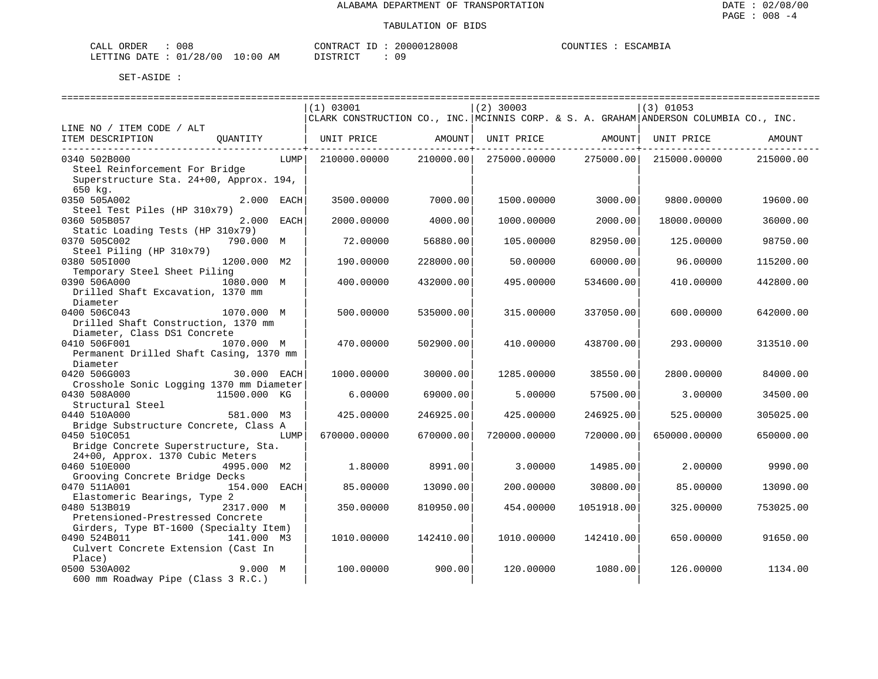| CALL ORDER                      | 008 |          |  | CONTRACT ID: 20000128008 | COUNTIES : ESCAMBIA |  |
|---------------------------------|-----|----------|--|--------------------------|---------------------|--|
| LETTING DATE: 01/28/00 10:00 AM |     | DISTRICT |  | 09                       |                     |  |

|                                          |              |      | (1) 03001                                                                             |           | $(2)$ 30003  |                   | $(3)$ 01053  |           |
|------------------------------------------|--------------|------|---------------------------------------------------------------------------------------|-----------|--------------|-------------------|--------------|-----------|
|                                          |              |      | CLARK CONSTRUCTION CO., INC. MCINNIS CORP. & S. A. GRAHAM ANDERSON COLUMBIA CO., INC. |           |              |                   |              |           |
| LINE NO / ITEM CODE / ALT                |              |      |                                                                                       |           |              |                   |              |           |
| ITEM DESCRIPTION                         | OUANTITY     |      | UNIT PRICE AMOUNT                                                                     |           |              | UNIT PRICE AMOUNT | UNIT PRICE   | AMOUNT    |
|                                          |              |      |                                                                                       |           |              |                   |              |           |
| 0340 502B000                             |              | LUMP | 210000.00000                                                                          | 210000.00 | 275000.00000 | 275000.00         | 215000.00000 | 215000.00 |
| Steel Reinforcement For Bridge           |              |      |                                                                                       |           |              |                   |              |           |
| Superstructure Sta. 24+00, Approx. 194,  |              |      |                                                                                       |           |              |                   |              |           |
| 650 kg.                                  |              |      |                                                                                       |           |              |                   |              |           |
| 0350 505A002                             | 2.000 EACH   |      | 3500.00000                                                                            | 7000.00   | 1500.00000   | 3000.00           | 9800.00000   | 19600.00  |
| Steel Test Piles (HP 310x79)             |              |      |                                                                                       |           |              |                   |              |           |
| 0360 505B057                             | 2.000 EACH   |      | 2000.00000                                                                            | 4000.00   | 1000.00000   | 2000.00           | 18000.00000  | 36000.00  |
| Static Loading Tests (HP 310x79)         |              |      |                                                                                       |           |              |                   |              |           |
| 0370 505C002                             | 790.000 M    |      | 72.00000                                                                              | 56880.00  | 105.00000    | 82950.00          | 125.00000    | 98750.00  |
| Steel Piling (HP 310x79)                 |              |      |                                                                                       |           |              |                   |              |           |
| 0380 505I000                             | 1200.000 M2  |      | 190.00000                                                                             | 228000.00 | 50.00000     | 60000.00          | 96.00000     | 115200.00 |
| Temporary Steel Sheet Piling             |              |      |                                                                                       |           |              |                   |              |           |
| 0390 506A000                             | 1080.000 M   |      | 400.00000                                                                             | 432000.00 | 495.00000    | 534600.00         | 410.00000    | 442800.00 |
| Drilled Shaft Excavation, 1370 mm        |              |      |                                                                                       |           |              |                   |              |           |
| Diameter                                 |              |      |                                                                                       |           |              |                   |              |           |
| 0400 506C043                             | 1070.000 M   |      | 500.00000                                                                             | 535000.00 | 315.00000    | 337050.00         | 600.00000    | 642000.00 |
| Drilled Shaft Construction, 1370 mm      |              |      |                                                                                       |           |              |                   |              |           |
| Diameter, Class DS1 Concrete             |              |      |                                                                                       |           |              |                   |              |           |
| 0410 506F001                             | 1070.000 M   |      | 470.00000                                                                             | 502900.00 | 410.00000    | 438700.00         | 293.00000    | 313510.00 |
| Permanent Drilled Shaft Casing, 1370 mm  |              |      |                                                                                       |           |              |                   |              |           |
| Diameter                                 |              |      |                                                                                       |           |              |                   |              |           |
| 0420 506G003                             | 30.000 EACH  |      | 1000.00000                                                                            | 30000.00  | 1285.00000   | 38550.00          | 2800.00000   | 84000.00  |
| Crosshole Sonic Logging 1370 mm Diameter |              |      |                                                                                       |           |              |                   |              |           |
| 0430 508A000                             | 11500.000 KG |      | 6.00000                                                                               | 69000.00  | 5.00000      | 57500.00          | 3.00000      | 34500.00  |
| Structural Steel                         |              |      |                                                                                       |           |              |                   |              |           |
| 0440 510A000                             | 581.000 M3   |      | 425.00000                                                                             | 246925.00 | 425.00000    | 246925.00         | 525.00000    | 305025.00 |
| Bridge Substructure Concrete, Class A    |              |      |                                                                                       |           |              |                   |              |           |
| 0450 510C051                             |              | LUMP | 670000.00000                                                                          | 670000.00 | 720000.00000 | 720000.00         | 650000.00000 | 650000.00 |
| Bridge Concrete Superstructure, Sta.     |              |      |                                                                                       |           |              |                   |              |           |
| 24+00, Approx. 1370 Cubic Meters         |              |      |                                                                                       |           |              |                   |              |           |
| 0460 510E000                             | 4995.000 M2  |      | 1,80000                                                                               | 8991.00   | 3.00000      | 14985.00          | 2.00000      | 9990.00   |
| Grooving Concrete Bridge Decks           |              |      |                                                                                       |           |              |                   |              |           |
| 0470 511A001                             | 154.000 EACH |      | 85.00000                                                                              | 13090.00  | 200.00000    | 30800.00          | 85.00000     | 13090.00  |
| Elastomeric Bearings, Type 2             |              |      |                                                                                       |           |              |                   |              |           |
| 0480 513B019                             | 2317.000 M   |      | 350.00000                                                                             | 810950.00 | 454.00000    | 1051918.00        | 325.00000    | 753025.00 |
| Pretensioned-Prestressed Concrete        |              |      |                                                                                       |           |              |                   |              |           |
| Girders, Type BT-1600 (Specialty Item)   |              |      |                                                                                       |           |              |                   |              |           |
| 0490 524B011                             | 141.000 M3   |      | 1010.00000                                                                            | 142410.00 | 1010.00000   | 142410.00         | 650.00000    | 91650.00  |
| Culvert Concrete Extension (Cast In      |              |      |                                                                                       |           |              |                   |              |           |
| Place)                                   |              |      |                                                                                       |           |              |                   |              |           |
| 0500 530A002                             | 9.000 M      |      | 100.00000                                                                             | 900.00    | 120.00000    | 1080.00           | 126.00000    | 1134.00   |
| 600 mm Roadway Pipe (Class 3 R.C.)       |              |      |                                                                                       |           |              |                   |              |           |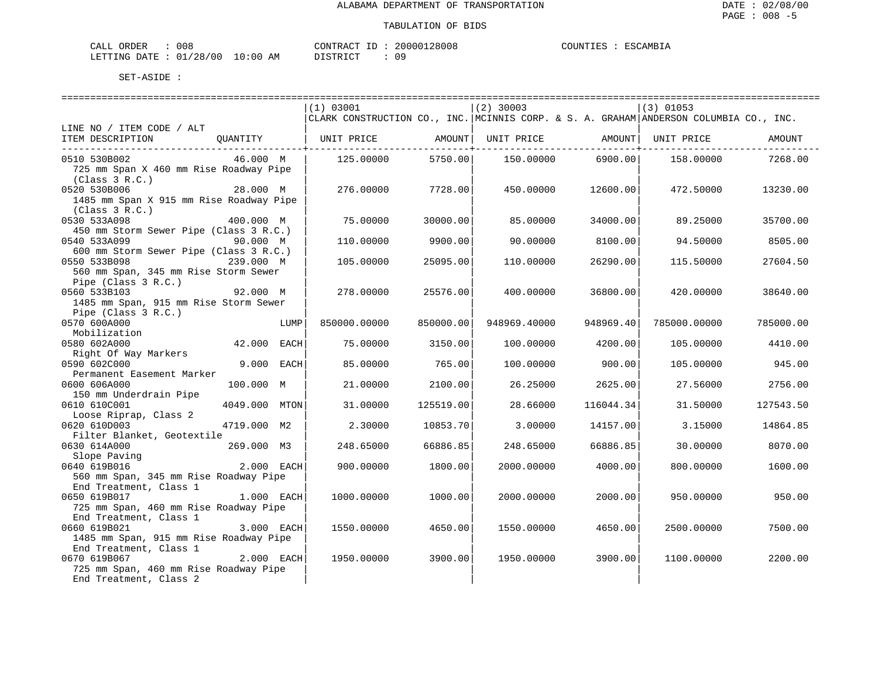| CALL ORDER                      | 008 |          |  | CONTRACT ID: 20000128008 | COUNTIES : ESCAMBIA |  |
|---------------------------------|-----|----------|--|--------------------------|---------------------|--|
| LETTING DATE: 01/28/00 10:00 AM |     | DISTRICT |  | 09                       |                     |  |

|                                         |             |      | (1) 03001                                                                                 |            | $(2)$ 30003  |                    | $(3)$ 01053  |           |
|-----------------------------------------|-------------|------|-------------------------------------------------------------------------------------------|------------|--------------|--------------------|--------------|-----------|
|                                         |             |      | CLARK CONSTRUCTION CO., INC.   MCINNIS CORP. & S. A. GRAHAM   ANDERSON COLUMBIA CO., INC. |            |              |                    |              |           |
| LINE NO / ITEM CODE / ALT               |             |      |                                                                                           |            |              |                    |              |           |
| ITEM DESCRIPTION                        | OUANTITY    |      | UNIT PRICE                                                                                | AMOUNT     | UNIT PRICE   | AMOUNT  UNIT PRICE |              | AMOUNT    |
|                                         |             |      |                                                                                           | . <b>.</b> |              | . <u>.</u>         |              |           |
| 0510 530B002                            | 46.000 M    |      | 125.00000                                                                                 | 5750.00    | 150.00000    | 6900.00            | 158.00000    | 7268.00   |
| 725 mm Span X 460 mm Rise Roadway Pipe  |             |      |                                                                                           |            |              |                    |              |           |
| (Class 3 R.C.)                          |             |      |                                                                                           |            |              |                    |              |           |
| 0520 530B006                            | 28.000 M    |      | 276.00000                                                                                 | 7728.00    | 450.00000    | 12600.00           | 472.50000    | 13230.00  |
| 1485 mm Span X 915 mm Rise Roadway Pipe |             |      |                                                                                           |            |              |                    |              |           |
| (Class 3 R.C.)                          |             |      |                                                                                           |            |              |                    |              |           |
| 0530 533A098                            | 400.000 M   |      | 75.00000                                                                                  | 30000.00   | 85,00000     | 34000.00           | 89.25000     | 35700.00  |
| 450 mm Storm Sewer Pipe (Class 3 R.C.)  |             |      |                                                                                           |            |              |                    |              |           |
| 0540 533A099                            | 90.000 M    |      |                                                                                           | 9900.00    | 90.00000     |                    | 94.50000     |           |
|                                         |             |      | 110.00000                                                                                 |            |              | 8100.00            |              | 8505.00   |
| 600 mm Storm Sewer Pipe (Class 3 R.C.)  |             |      |                                                                                           |            |              |                    |              |           |
| 0550 533B098                            | 239.000 M   |      | 105.00000                                                                                 | 25095.00   | 110.00000    | 26290.00           | 115.50000    | 27604.50  |
| 560 mm Span, 345 mm Rise Storm Sewer    |             |      |                                                                                           |            |              |                    |              |           |
| Pipe (Class 3 R.C.)                     |             |      |                                                                                           |            |              |                    |              |           |
| 0560 533B103                            | 92.000 M    |      | 278,00000                                                                                 | 25576.00   | 400.00000    | 36800.00           | 420.00000    | 38640.00  |
| 1485 mm Span, 915 mm Rise Storm Sewer   |             |      |                                                                                           |            |              |                    |              |           |
| Pipe (Class 3 R.C.)                     |             |      |                                                                                           |            |              |                    |              |           |
| 0570 600A000                            |             | LUMP | 850000.00000                                                                              | 850000.00  | 948969.40000 | 948969.40          | 785000.00000 | 785000.00 |
| Mobilization                            |             |      |                                                                                           |            |              |                    |              |           |
| 0580 602A000                            | 42.000      | EACH | 75.00000                                                                                  | 3150.00    | 100.00000    | 4200.00            | 105.00000    | 4410.00   |
| Right Of Way Markers                    |             |      |                                                                                           |            |              |                    |              |           |
| 0590 602C000                            | 9.000 EACH  |      | 85.00000                                                                                  | 765.00     | 100.00000    | 900.00             | 105.00000    | 945.00    |
| Permanent Easement Marker               |             |      |                                                                                           |            |              |                    |              |           |
| 0600 606A000                            | 100.000 M   |      | 21.00000                                                                                  | 2100.00    | 26.25000     | 2625.00            | 27.56000     | 2756.00   |
| 150 mm Underdrain Pipe                  |             |      |                                                                                           |            |              |                    |              |           |
| 0610 610C001                            | 4049.000    | MTON | 31.00000                                                                                  | 125519.00  | 28.66000     | 116044.34          | 31.50000     | 127543.50 |
| Loose Riprap, Class 2                   |             |      |                                                                                           |            |              |                    |              |           |
| 0620 610D003                            | 4719.000 M2 |      | 2.30000                                                                                   | 10853.70   | 3.00000      | 14157.00           | 3.15000      | 14864.85  |
| Filter Blanket, Geotextile              |             |      |                                                                                           |            |              |                    |              |           |
| 0630 614A000                            | 269.000 M3  |      | 248.65000                                                                                 | 66886.85   | 248.65000    | 66886.85           | 30.00000     | 8070.00   |
| Slope Paving                            |             |      |                                                                                           |            |              |                    |              |           |
| 0640 619B016                            | 2.000 EACH  |      | 900.00000                                                                                 | 1800.00    | 2000.00000   | 4000.00            | 800,00000    | 1600.00   |
| 560 mm Span, 345 mm Rise Roadway Pipe   |             |      |                                                                                           |            |              |                    |              |           |
| End Treatment, Class 1                  |             |      |                                                                                           |            |              |                    |              |           |
| 0650 619B017                            | 1.000 EACH  |      | 1000.00000                                                                                | 1000.00    | 2000.00000   | 2000.00            | 950.00000    | 950.00    |
| 725 mm Span, 460 mm Rise Roadway Pipe   |             |      |                                                                                           |            |              |                    |              |           |
| End Treatment, Class 1                  |             |      |                                                                                           |            |              |                    |              |           |
| 0660 619B021                            | 3.000 EACH  |      | 1550.00000                                                                                | 4650.00    | 1550.00000   | 4650.00            | 2500.00000   | 7500.00   |
| 1485 mm Span, 915 mm Rise Roadway Pipe  |             |      |                                                                                           |            |              |                    |              |           |
| End Treatment, Class 1                  |             |      |                                                                                           |            |              |                    |              |           |
| 0670 619B067                            | 2.000 EACH  |      | 1950.00000                                                                                | 3900.00    | 1950.00000   | 3900.00            | 1100.00000   | 2200.00   |
| 725 mm Span, 460 mm Rise Roadway Pipe   |             |      |                                                                                           |            |              |                    |              |           |
| End Treatment, Class 2                  |             |      |                                                                                           |            |              |                    |              |           |
|                                         |             |      |                                                                                           |            |              |                    |              |           |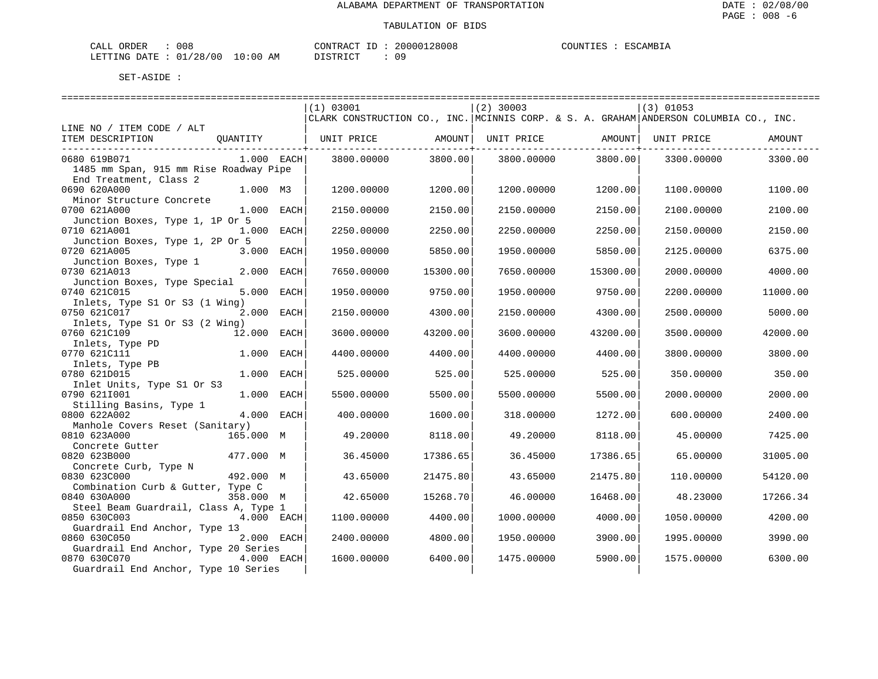| L ORDER<br>CALL                 | 008 |  | CONTRACT ID |  | 20000128008 | COUNTIES | ESCAMBIA |
|---------------------------------|-----|--|-------------|--|-------------|----------|----------|
| LETTING DATE: 01/28/00 10:00 AM |     |  | DISTRICT    |  | 09          |          |          |

|                                        | (1) 03001                                                                             |          | $(2)$ 30003 |                   | $(3)$ 01053 |          |
|----------------------------------------|---------------------------------------------------------------------------------------|----------|-------------|-------------------|-------------|----------|
|                                        | CLARK CONSTRUCTION CO., INC. MCINNIS CORP. & S. A. GRAHAM ANDERSON COLUMBIA CO., INC. |          |             |                   |             |          |
| LINE NO / ITEM CODE / ALT              |                                                                                       |          |             |                   |             |          |
| ITEM DESCRIPTION<br>OUANTITY           | UNIT PRICE                                                                            | AMOUNT   |             | UNIT PRICE AMOUNT | UNIT PRICE  | AMOUNT   |
|                                        |                                                                                       |          |             |                   |             |          |
| 0680 619B071<br>$1.000$ EACH           | 3800,00000                                                                            | 3800.00  | 3800,00000  | 3800.00           | 3300.00000  | 3300.00  |
| 1485 mm Span, 915 mm Rise Roadway Pipe |                                                                                       |          |             |                   |             |          |
| End Treatment, Class 2                 |                                                                                       |          |             |                   |             |          |
| 0690 620A000<br>1.000 M3               | 1200.00000                                                                            | 1200.00  | 1200.00000  | 1200.00           | 1100.00000  | 1100.00  |
| Minor Structure Concrete               |                                                                                       |          |             |                   |             |          |
| 0700 621A000<br>$1.000$ EACH           | 2150.00000                                                                            | 2150.00  | 2150.00000  | 2150.00           | 2100.00000  | 2100.00  |
| Junction Boxes, Type 1, 1P Or 5        |                                                                                       |          |             |                   |             |          |
| 0710 621A001<br>1.000<br>EACH          | 2250.00000                                                                            | 2250.00  | 2250.00000  | 2250.00           | 2150.00000  | 2150.00  |
| Junction Boxes, Type 1, 2P Or 5        |                                                                                       |          |             |                   |             |          |
| 0720 621A005<br>3.000<br>EACH          | 1950.00000                                                                            | 5850.00  | 1950.00000  | 5850.00           | 2125.00000  | 6375.00  |
| Junction Boxes, Type 1                 |                                                                                       |          |             |                   |             |          |
| 0730 621A013<br>2.000<br>EACH          | 7650.00000                                                                            | 15300.00 | 7650.00000  | 15300.00          | 2000.00000  | 4000.00  |
| Junction Boxes, Type Special           |                                                                                       |          |             |                   |             |          |
| 0740 621C015<br>5.000<br>EACH          | 1950.00000                                                                            | 9750.00  | 1950.00000  | 9750.00           | 2200.00000  | 11000.00 |
| Inlets, Type S1 Or S3 (1 Wing)         |                                                                                       |          |             |                   |             |          |
| 2.000<br>0750 621C017<br>EACH          | 2150.00000                                                                            | 4300.00  | 2150.00000  | 4300.00           | 2500.00000  | 5000.00  |
| Inlets, Type S1 Or S3 (2 Wing)         |                                                                                       |          |             |                   |             |          |
| 12.000 EACH<br>0760 621C109            | 3600.00000                                                                            | 43200.00 | 3600.00000  | 43200.00          | 3500.00000  | 42000.00 |
| Inlets, Type PD                        |                                                                                       |          |             |                   |             |          |
| 0770 621C111<br>1.000<br>EACH          | 4400.00000                                                                            | 4400.00  | 4400.00000  | 4400.00           | 3800.00000  | 3800.00  |
| Inlets, Type PB                        |                                                                                       |          |             |                   |             |          |
| 0780 621D015<br>1,000<br>EACH          | 525.00000                                                                             | 525.00   | 525.00000   | 525.00            | 350.00000   | 350.00   |
| Inlet Units, Type S1 Or S3             |                                                                                       |          |             |                   |             |          |
| 0790 6211001<br>1.000<br>EACH          | 5500.00000                                                                            | 5500.00  | 5500.00000  | 5500.00           | 2000.00000  | 2000.00  |
| Stilling Basins, Type 1                |                                                                                       |          |             |                   |             |          |
| 0800 622A002<br>4.000 EACH             | 400.00000                                                                             | 1600.00  | 318.00000   | 1272.00           | 600.00000   | 2400.00  |
| Manhole Covers Reset (Sanitary)        |                                                                                       |          |             |                   |             |          |
| 0810 623A000<br>165.000 M              | 49.20000                                                                              | 8118.00  |             | 8118.00           |             | 7425.00  |
|                                        |                                                                                       |          | 49.20000    |                   | 45.00000    |          |
| Concrete Gutter                        |                                                                                       |          |             |                   |             |          |
| 0820 623B000<br>477.000 M              | 36.45000                                                                              | 17386.65 | 36.45000    | 17386.65          | 65,00000    | 31005.00 |
| Concrete Curb, Type N                  |                                                                                       |          |             |                   |             |          |
| 0830 623C000<br>492.000 M              | 43.65000                                                                              | 21475.80 | 43.65000    | 21475.80          | 110.00000   | 54120.00 |
| Combination Curb & Gutter, Type C      |                                                                                       |          |             |                   |             |          |
| 0840 630A000<br>358.000 M              | 42.65000                                                                              | 15268.70 | 46.00000    | 16468.00          | 48.23000    | 17266.34 |
| Steel Beam Guardrail, Class A, Type 1  |                                                                                       |          |             |                   |             |          |
| 4.000 EACH<br>0850 630C003             | 1100.00000                                                                            | 4400.00  | 1000.00000  | 4000.00           | 1050.00000  | 4200.00  |
| Guardrail End Anchor, Type 13          |                                                                                       |          |             |                   |             |          |
| 0860 630C050<br>2.000 EACH             | 2400.00000                                                                            | 4800.00  | 1950.00000  | 3900.00           | 1995.00000  | 3990.00  |
| Guardrail End Anchor, Type 20 Series   |                                                                                       |          |             |                   |             |          |
| 0870 630C070<br>$4.000$ EACH           | 1600.00000                                                                            | 6400.00  | 1475.00000  | 5900.00           | 1575.00000  | 6300.00  |
| Guardrail End Anchor, Type 10 Series   |                                                                                       |          |             |                   |             |          |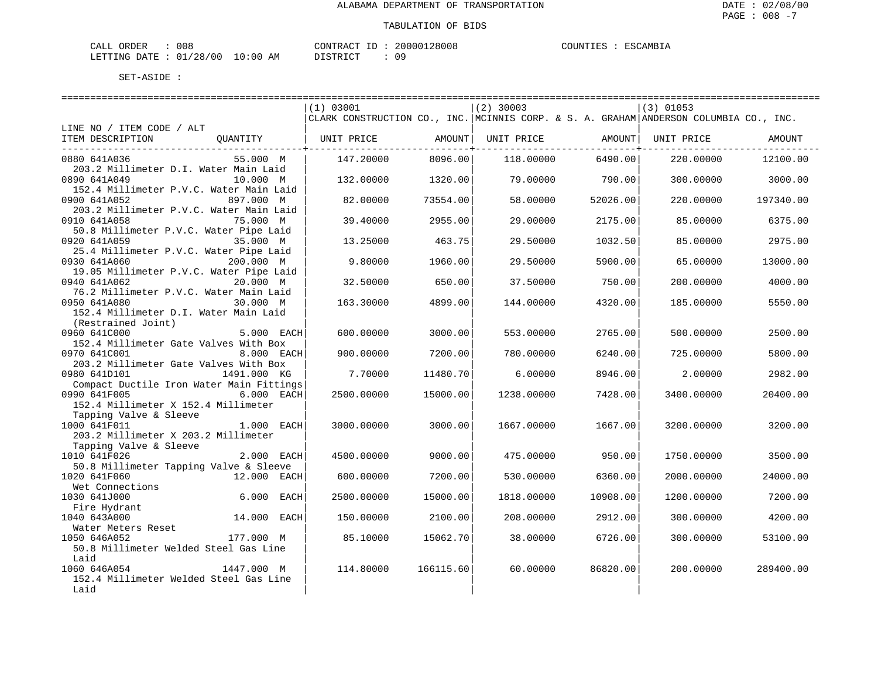| CALL ORDER                      | 008 | CONTRACT ID: | 20000128008 |  | COUNTIES : ESCAMBIA |
|---------------------------------|-----|--------------|-------------|--|---------------------|
| LETTING DATE: 01/28/00 10:00 AM |     | DISTRICT     | 09          |  |                     |

|                                          |               |                                                                                       |           |                   |          | ================================= |           |
|------------------------------------------|---------------|---------------------------------------------------------------------------------------|-----------|-------------------|----------|-----------------------------------|-----------|
|                                          |               | (1) 03001                                                                             |           | $(2)$ 30003       |          | $(3)$ 01053                       |           |
|                                          |               | CLARK CONSTRUCTION CO., INC. MCINNIS CORP. & S. A. GRAHAM ANDERSON COLUMBIA CO., INC. |           |                   |          |                                   |           |
| LINE NO / ITEM CODE / ALT                |               |                                                                                       |           |                   |          |                                   |           |
| ITEM DESCRIPTION                         | OUANTITY      | UNIT PRICE AMOUNT                                                                     |           | UNIT PRICE AMOUNT |          | UNIT PRICE                        | AMOUNT    |
|                                          |               |                                                                                       |           |                   |          |                                   |           |
| 0880 641A036                             | 55.000 M      | 147.20000                                                                             | 8096.00   | 118,00000         | 6490.00  | 220,00000                         | 12100.00  |
| 203.2 Millimeter D.I. Water Main Laid    |               |                                                                                       |           |                   |          |                                   |           |
| 0890 641A049                             | 10.000 M      | 132.00000                                                                             | 1320.00   | 79,00000          | 790.00   | 300,00000                         | 3000.00   |
| 152.4 Millimeter P.V.C. Water Main Laid  |               |                                                                                       |           |                   |          |                                   |           |
| 0900 641A052                             | 897.000 M     | 82.00000                                                                              | 73554.00  | 58.00000          | 52026.00 | 220,00000                         | 197340.00 |
| 203.2 Millimeter P.V.C. Water Main Laid  |               |                                                                                       |           |                   |          |                                   |           |
| 0910 641A058                             | 75.000 M      | 39.40000                                                                              | 2955.00   | 29.00000          | 2175.00  | 85,00000                          | 6375.00   |
| 50.8 Millimeter P.V.C. Water Pipe Laid   |               |                                                                                       |           |                   |          |                                   |           |
| 0920 641A059                             | 35.000 M      | 13.25000                                                                              | 463.75    | 29.50000          | 1032.50  | 85.00000                          | 2975.00   |
| 25.4 Millimeter P.V.C. Water Pipe Laid   |               |                                                                                       |           |                   |          |                                   |           |
| 0930 641A060                             | 200.000 M     | 9.80000                                                                               | 1960.00   | 29.50000          | 5900.00  | 65.00000                          | 13000.00  |
| 19.05 Millimeter P.V.C. Water Pipe Laid  |               |                                                                                       |           |                   |          |                                   |           |
| 0940 641A062                             | 20.000 M      | 32.50000                                                                              | 650.00    | 37.50000          | 750.00   | 200.00000                         | 4000.00   |
| 76.2 Millimeter P.V.C. Water Main Laid   |               |                                                                                       |           |                   |          |                                   |           |
| 0950 641A080                             | 30.000 M      | 163.30000                                                                             | 4899.00   | 144.00000         | 4320.00  | 185.00000                         | 5550.00   |
| 152.4 Millimeter D.I. Water Main Laid    |               |                                                                                       |           |                   |          |                                   |           |
| (Restrained Joint)                       |               |                                                                                       |           |                   |          |                                   |           |
| 0960 641C000                             | 5.000 EACH    | 600.00000                                                                             | 3000.00   | 553.00000         | 2765.00  | 500.00000                         | 2500.00   |
| 152.4 Millimeter Gate Valves With Box    |               |                                                                                       |           |                   |          |                                   |           |
| 0970 641C001                             | 8.000 EACH    | 900.00000                                                                             | 7200.00   | 780.00000         | 6240.00  | 725.00000                         | 5800.00   |
| 203.2 Millimeter Gate Valves With Box    |               |                                                                                       |           |                   |          |                                   |           |
| 0980 641D101                             | 1491.000 KG   | 7.70000                                                                               | 11480.70  | 6.00000           | 8946.00  | 2.00000                           | 2982.00   |
| Compact Ductile Iron Water Main Fittings |               |                                                                                       |           |                   |          |                                   |           |
| 0990 641F005                             | 6.000 EACH    | 2500.00000                                                                            | 15000.00  | 1238.00000        | 7428.00  | 3400.00000                        | 20400.00  |
| 152.4 Millimeter X 152.4 Millimeter      |               |                                                                                       |           |                   |          |                                   |           |
| Tapping Valve & Sleeve                   |               |                                                                                       |           |                   |          |                                   |           |
| 1000 641F011                             | 1.000 EACH    | 3000.00000                                                                            | 3000.00   | 1667.00000        | 1667.00  | 3200.00000                        | 3200.00   |
| 203.2 Millimeter X 203.2 Millimeter      |               |                                                                                       |           |                   |          |                                   |           |
| Tapping Valve & Sleeve                   |               |                                                                                       |           |                   |          |                                   |           |
| 1010 641F026                             | 2.000 EACH    | 4500.00000                                                                            | 9000.00   | 475.00000         | 950.00   | 1750.00000                        | 3500.00   |
| 50.8 Millimeter Tapping Valve & Sleeve   |               |                                                                                       |           |                   |          |                                   |           |
| 1020 641F060                             | 12.000 EACH   | 600.00000                                                                             | 7200.00   | 530.00000         | 6360.00  | 2000.00000                        | 24000.00  |
| Wet Connections                          |               |                                                                                       |           |                   |          |                                   |           |
| 1030 641J000                             | 6.000<br>EACH | 2500.00000                                                                            | 15000.00  | 1818,00000        | 10908.00 | 1200.00000                        | 7200.00   |
| Fire Hydrant                             |               |                                                                                       |           |                   |          |                                   |           |
| 1040 643A000                             | 14.000 EACH   | 150.00000                                                                             | 2100.00   | 208.00000         | 2912.00  | 300.00000                         | 4200.00   |
| Water Meters Reset                       |               |                                                                                       |           |                   |          |                                   |           |
| 1050 646A052                             | 177.000 M     | 85.10000                                                                              | 15062.70  | 38.00000          | 6726.00  | 300.00000                         | 53100.00  |
| 50.8 Millimeter Welded Steel Gas Line    |               |                                                                                       |           |                   |          |                                   |           |
| Laid                                     |               |                                                                                       |           |                   |          |                                   |           |
| 1060 646A054                             | 1447.000 M    | 114.80000                                                                             | 166115.60 | 60.00000          | 86820.00 | 200.00000                         | 289400.00 |
| 152.4 Millimeter Welded Steel Gas Line   |               |                                                                                       |           |                   |          |                                   |           |
| Laid                                     |               |                                                                                       |           |                   |          |                                   |           |
|                                          |               |                                                                                       |           |                   |          |                                   |           |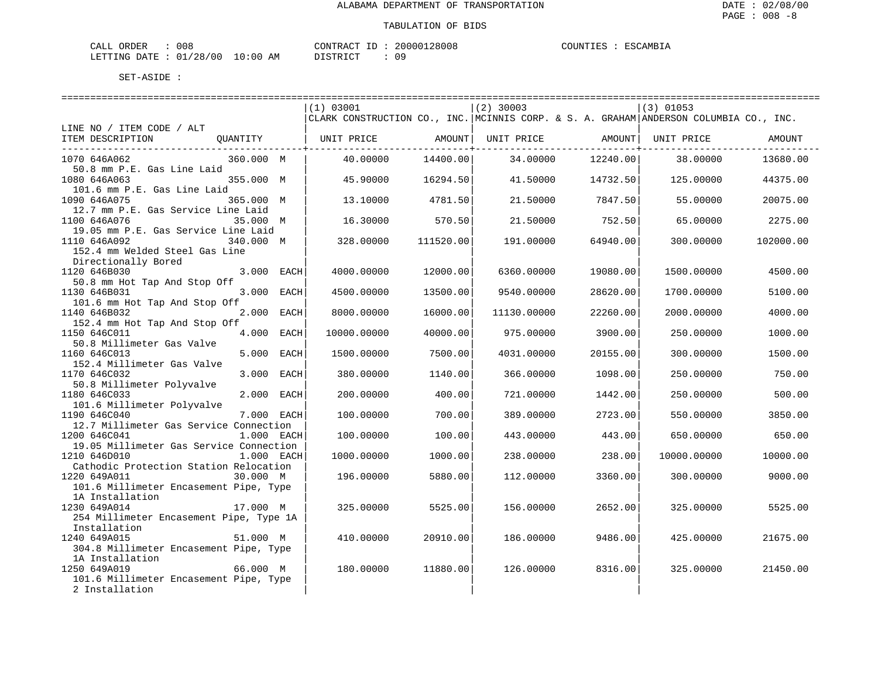| , ORDER<br>CALL                 | 008 |  | CONTRACT ID |  | 20000128008 | COUNTIES | ESCAMBIA |
|---------------------------------|-----|--|-------------|--|-------------|----------|----------|
| LETTING DATE: 01/28/00 10:00 AM |     |  | DISTRICT    |  | 09          |          |          |

|                                                       |            | (1) 03001                                                                               |           | $(2)$ 30003       |                   | $(3)$ 01053 |           |
|-------------------------------------------------------|------------|-----------------------------------------------------------------------------------------|-----------|-------------------|-------------------|-------------|-----------|
|                                                       |            | CLARK CONSTRUCTION CO., INC.  MCINNIS CORP. & S. A. GRAHAM  ANDERSON COLUMBIA CO., INC. |           |                   |                   |             |           |
| LINE NO / ITEM CODE / ALT                             |            |                                                                                         |           |                   |                   |             |           |
| ITEM DESCRIPTION<br>QUANTITY                          |            | UNIT PRICE AMOUNT                                                                       |           | UNIT PRICE AMOUNT |                   | UNIT PRICE  | AMOUNT    |
| 360.000 M<br>1070 646A062                             |            | 40.00000                                                                                | 14400.00  | 34.00000          | 12240.00          | 38.00000    | 13680.00  |
| 50.8 mm P.E. Gas Line Laid                            |            |                                                                                         |           |                   |                   |             |           |
| 1080 646A063<br>355.000 M                             |            | 45.90000                                                                                | 16294.50  |                   | 41.50000 14732.50 | 125.00000   | 44375.00  |
| 101.6 mm P.E. Gas Line Laid                           |            |                                                                                         |           |                   |                   |             |           |
| 1090 646A075<br>365.000 M                             |            | 13.10000                                                                                | 4781.50   | 21.50000          | 7847.50           | 55.00000    | 20075.00  |
| 12.7 mm P.E. Gas Service Line Laid                    |            |                                                                                         |           |                   |                   |             |           |
| 1100 646A076<br>35.000 M                              |            | 16.30000                                                                                | 570.50    | 21.50000          | 752.50            | 65.00000    | 2275.00   |
| 19.05 mm P.E. Gas Service Line Laid                   |            |                                                                                         |           |                   |                   |             |           |
| 1110 646A092<br>340.000 M                             |            | 328.00000                                                                               | 111520.00 | 191.00000         | 64940.00          | 300,00000   | 102000.00 |
| 152.4 mm Welded Steel Gas Line<br>Directionally Bored |            |                                                                                         |           |                   |                   |             |           |
| 1120 646B030<br>$3.000$ EACH                          |            | 4000.00000                                                                              | 12000.00  | 6360.00000        | 19080.00          | 1500.00000  | 4500.00   |
| 50.8 mm Hot Tap And Stop Off                          |            |                                                                                         |           |                   |                   |             |           |
| 1130 646B031                                          | 3.000 EACH | 4500.00000                                                                              | 13500.00  | 9540.00000        | 28620.00          | 1700.00000  | 5100.00   |
| 101.6 mm Hot Tap And Stop Off                         |            |                                                                                         |           |                   |                   |             |           |
| 1140 646B032                                          | 2.000 EACH | 8000.00000                                                                              | 16000.00  | 11130.00000       | 22260.00          | 2000.00000  | 4000.00   |
| 152.4 mm Hot Tap And Stop Off                         |            |                                                                                         |           |                   |                   |             |           |
| 1150 646C011                                          | 4.000 EACH | 10000.00000                                                                             | 40000.00  | 975.00000         | 3900.00           | 250.00000   | 1000.00   |
| 50.8 Millimeter Gas Valve                             |            |                                                                                         |           |                   |                   |             |           |
| 1160 646C013                                          | 5.000 EACH | 1500.00000                                                                              | 7500.001  | 4031.00000        | 20155.00          | 300.00000   | 1500.00   |
| 152.4 Millimeter Gas Valve                            |            |                                                                                         |           |                   |                   |             |           |
| 1170 646C032                                          | 3.000 EACH | 380.00000                                                                               | 1140.00   | 366.00000         | 1098.00           | 250.00000   | 750.00    |
| 50.8 Millimeter Polyvalve<br>1180 646C033             | 2.000 EACH | 200.00000                                                                               | 400.001   | 721,00000         | 1442.00           | 250.00000   | 500.00    |
| 101.6 Millimeter Polyvalve                            |            |                                                                                         |           |                   |                   |             |           |
| 1190 646C040                                          | 7.000 EACH | 100,00000                                                                               | 700.00    | 389,00000         | 2723.00           | 550.00000   | 3850.00   |
| 12.7 Millimeter Gas Service Connection                |            |                                                                                         |           |                   |                   |             |           |
| 1200 646C041                                          | 1.000 EACH | 100.00000                                                                               | 100.00    | 443.00000         | 443.00            | 650.00000   | 650.00    |
| 19.05 Millimeter Gas Service Connection               |            |                                                                                         |           |                   |                   |             |           |
| 1210 646D010<br>$1.000$ EACH                          |            | 1000.00000                                                                              | 1000.00   | 238.00000         | 238.00            | 10000.00000 | 10000.00  |
| Cathodic Protection Station Relocation                |            |                                                                                         |           |                   |                   |             |           |
| 1220 649A011<br>30.000 M                              |            | 196.00000                                                                               | 5880.00   | 112,00000         | 3360.00           | 300,00000   | 9000.00   |
| 101.6 Millimeter Encasement Pipe, Type                |            |                                                                                         |           |                   |                   |             |           |
| 1A Installation<br>1230 649A014<br>17.000 M           |            | 325.00000                                                                               | 5525.00   | 156.00000         | 2652.00           | 325.00000   | 5525.00   |
| 254 Millimeter Encasement Pipe, Type 1A               |            |                                                                                         |           |                   |                   |             |           |
| Installation                                          |            |                                                                                         |           |                   |                   |             |           |
| 1240 649A015<br>51.000 M                              |            | 410.00000                                                                               | 20910.00  | 186.00000         | 9486.00           | 425.00000   | 21675.00  |
| 304.8 Millimeter Encasement Pipe, Type                |            |                                                                                         |           |                   |                   |             |           |
| 1A Installation                                       |            |                                                                                         |           |                   |                   |             |           |
| 1250 649A019<br>66.000 M                              |            | 180.00000                                                                               | 11880.00  | 126.00000         | 8316.00           | 325.00000   | 21450.00  |
| 101.6 Millimeter Encasement Pipe, Type                |            |                                                                                         |           |                   |                   |             |           |
| 2 Installation                                        |            |                                                                                         |           |                   |                   |             |           |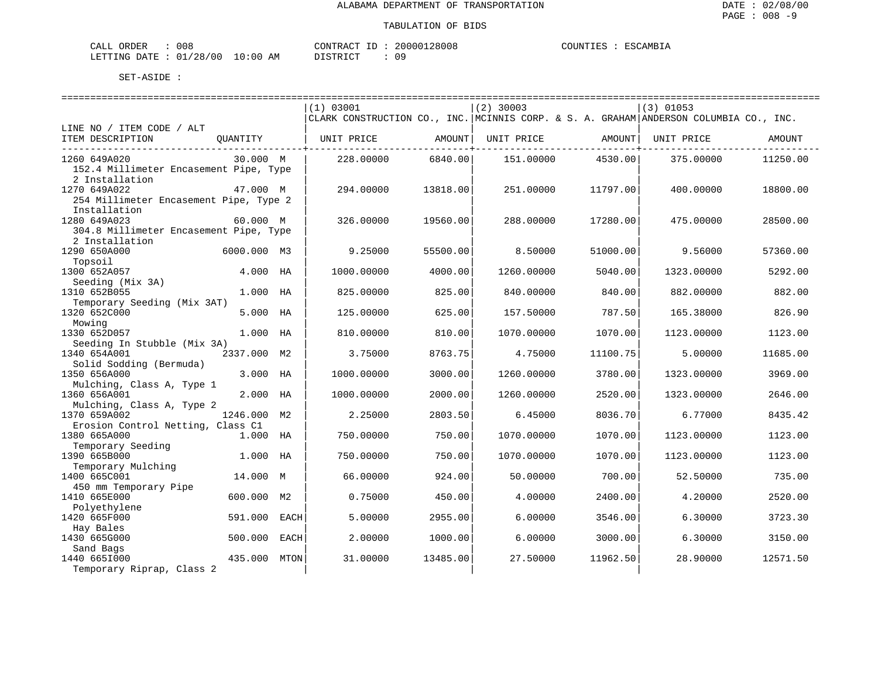| CALL ORDER                       | 008 |  |          |  | CONTRACT ID: 20000128008 | COUNTIES : ESCAMBIA |  |
|----------------------------------|-----|--|----------|--|--------------------------|---------------------|--|
| LETTING DATE : 01/28/00 10:00 AM |     |  | DISTRICT |  | 09                       |                     |  |

|                                        |             |                | (1) 03001                                                                             |          | $(2)$ 30003 |              | $(3)$ 01053 |          |
|----------------------------------------|-------------|----------------|---------------------------------------------------------------------------------------|----------|-------------|--------------|-------------|----------|
|                                        |             |                | CLARK CONSTRUCTION CO., INC. MCINNIS CORP. & S. A. GRAHAM ANDERSON COLUMBIA CO., INC. |          |             |              |             |          |
| LINE NO / ITEM CODE / ALT              |             |                |                                                                                       |          |             |              |             |          |
| ITEM DESCRIPTION                       | OUANTITY    |                | UNIT PRICE                                                                            | AMOUNT   | UNIT PRICE  | AMOUNT       | UNIT PRICE  | AMOUNT   |
|                                        |             |                |                                                                                       |          |             | ------------ |             |          |
| 1260 649A020                           | 30.000 M    |                | 228,00000                                                                             | 6840.00  | 151,00000   | 4530.00      | 375,00000   | 11250.00 |
| 152.4 Millimeter Encasement Pipe, Type |             |                |                                                                                       |          |             |              |             |          |
| 2 Installation                         |             |                |                                                                                       |          |             |              |             |          |
| 1270 649A022                           | 47.000 M    |                | 294.00000                                                                             | 13818.00 | 251.00000   | 11797.00     | 400,00000   | 18800.00 |
| 254 Millimeter Encasement Pipe, Type 2 |             |                |                                                                                       |          |             |              |             |          |
| Installation                           |             |                |                                                                                       |          |             |              |             |          |
| 1280 649A023                           | 60.000 M    |                | 326.00000                                                                             | 19560.00 | 288.00000   | 17280.00     | 475.00000   | 28500.00 |
| 304.8 Millimeter Encasement Pipe, Type |             |                |                                                                                       |          |             |              |             |          |
| 2 Installation                         |             |                |                                                                                       |          |             |              |             |          |
| 1290 650A000                           | 6000.000 M3 |                | 9.25000                                                                               | 55500.00 | 8.50000     | 51000.00     | 9.56000     | 57360.00 |
| Topsoil                                |             |                |                                                                                       |          |             |              |             |          |
| 1300 652A057                           | 4.000       | HA             | 1000.00000                                                                            | 4000.00  | 1260.00000  | 5040.00      | 1323.00000  | 5292.00  |
| Seeding (Mix 3A)                       |             |                |                                                                                       |          |             |              |             |          |
| 1310 652B055                           | 1.000       | НA             | 825.00000                                                                             | 825.00   | 840.00000   | 840.00       | 882,00000   | 882.00   |
| Temporary Seeding (Mix 3AT)            |             |                |                                                                                       |          |             |              |             |          |
| 1320 652C000                           | 5.000       | НA             | 125.00000                                                                             | 625.00   | 157.50000   | 787.50       | 165.38000   | 826.90   |
| Mowing                                 |             |                |                                                                                       |          |             |              |             |          |
| 1330 652D057                           | 1.000 HA    |                | 810.00000                                                                             | 810.00   | 1070.00000  | 1070.00      | 1123.00000  | 1123.00  |
| Seeding In Stubble (Mix 3A)            |             |                |                                                                                       |          |             |              |             |          |
| 1340 654A001                           | 2337.000    | М2             | 3.75000                                                                               | 8763.75  | 4.75000     | 11100.75     | 5.00000     | 11685.00 |
| Solid Sodding (Bermuda)                |             |                |                                                                                       |          |             |              |             |          |
| 1350 656A000                           | 3,000       | НA             | 1000.00000                                                                            | 3000.00  | 1260.00000  | 3780.00      | 1323.00000  | 3969.00  |
| Mulching, Class A, Type 1              |             |                |                                                                                       |          |             |              |             |          |
| 1360 656A001                           | 2.000 HA    |                | 1000.00000                                                                            | 2000.00  | 1260.00000  | 2520.00      | 1323.00000  | 2646.00  |
| Mulching, Class A, Type 2              |             |                |                                                                                       |          |             |              |             |          |
| 1370 659A002                           | 1246.000 M2 |                | 2.25000                                                                               | 2803.50  | 6.45000     | 8036.70      | 6.77000     | 8435.42  |
| Erosion Control Netting, Class C1      |             |                |                                                                                       |          |             |              |             |          |
| 1380 665A000                           | 1.000 HA    |                | 750.00000                                                                             | 750.00   | 1070.00000  | 1070.00      | 1123.00000  | 1123.00  |
| Temporary Seeding<br>1390 665B000      | 1.000       |                | 750.00000                                                                             | 750.00   |             | 1070.00      |             | 1123.00  |
| Temporary Mulching                     |             | НA             |                                                                                       |          | 1070.00000  |              | 1123.00000  |          |
| 1400 665C001                           | 14.000 M    |                | 66.00000                                                                              | 924.00   | 50.00000    | 700.00       | 52.50000    | 735.00   |
| 450 mm Temporary Pipe                  |             |                |                                                                                       |          |             |              |             |          |
| 1410 665E000                           | 600.000     | M <sub>2</sub> | 0.75000                                                                               | 450.00   | 4.00000     | 2400.00      | 4.20000     | 2520.00  |
| Polyethylene                           |             |                |                                                                                       |          |             |              |             |          |
| 1420 665F000                           | 591.000     | EACH           | 5.00000                                                                               | 2955.00  | 6.00000     | 3546.00      | 6.30000     | 3723.30  |
| Hay Bales                              |             |                |                                                                                       |          |             |              |             |          |
| 1430 665G000                           | 500.000     | EACH           | 2.00000                                                                               | 1000.00  | 6.00000     | 3000.00      | 6.30000     | 3150.00  |
| Sand Bags                              |             |                |                                                                                       |          |             |              |             |          |
| 1440 6651000                           | 435.000     | MTON           | 31.00000                                                                              | 13485.00 | 27.50000    | 11962.50     | 28,90000    | 12571.50 |
| Temporary Riprap, Class 2              |             |                |                                                                                       |          |             |              |             |          |
|                                        |             |                |                                                                                       |          |             |              |             |          |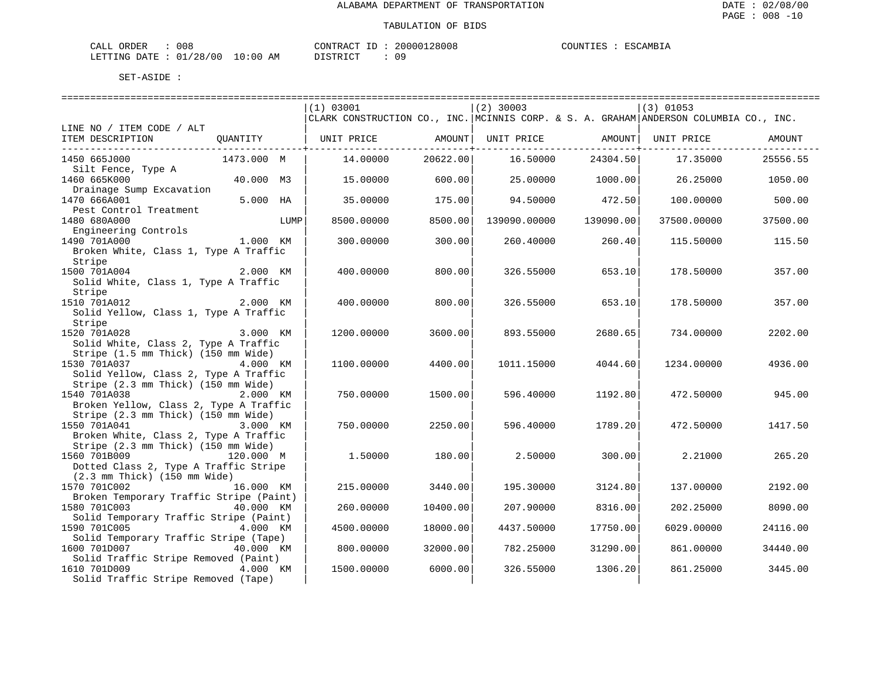| CALL ORDER             | 008 |            | CONTRACT ID | 20000128008 | COUNTIES : | ESCAMBIA |
|------------------------|-----|------------|-------------|-------------|------------|----------|
| LETTING DATE: 01/28/00 |     | $10:00$ AM | DISTRICT    |             |            |          |

|                                                  |            |      | (1) 03001                                                                             |                             | $(2)$ 30003  |                                             | $(3)$ 01053 |          |
|--------------------------------------------------|------------|------|---------------------------------------------------------------------------------------|-----------------------------|--------------|---------------------------------------------|-------------|----------|
|                                                  |            |      | CLARK CONSTRUCTION CO., INC. MCINNIS CORP. & S. A. GRAHAM ANDERSON COLUMBIA CO., INC. |                             |              |                                             |             |          |
| LINE NO / ITEM CODE / ALT                        |            |      |                                                                                       |                             |              |                                             |             |          |
| ITEM DESCRIPTION                                 | OUANTITY   |      | UNIT PRICE                                                                            | AMOUNT<br>----------+------ | UNIT PRICE   | AMOUNT<br>. _ _ _ _ _ _ _ _ _ _ + _ _ _ _ _ | UNIT PRICE  | AMOUNT   |
| 1450 665J000                                     | 1473.000 M |      | 14.00000                                                                              | 20622.00                    | 16.50000     | 24304.50                                    | 17.35000    | 25556.55 |
| Silt Fence, Type A                               |            |      |                                                                                       |                             |              |                                             |             |          |
| 1460 665K000                                     | 40.000 M3  |      | 15.00000                                                                              | 600.00                      | 25.00000     | 1000.00                                     | 26.25000    | 1050.00  |
| Drainage Sump Excavation<br>1470 666A001         | 5.000 HA   |      | 35.00000                                                                              | 175.00                      | 94.50000     | 472.50                                      | 100.00000   | 500.00   |
| Pest Control Treatment                           |            |      |                                                                                       |                             |              |                                             |             |          |
| 1480 680A000                                     |            | LUMP | 8500.00000                                                                            | 8500.00                     | 139090.00000 | 139090.00                                   | 37500.00000 | 37500.00 |
| Engineering Controls                             |            |      |                                                                                       |                             |              |                                             |             |          |
| 1490 701A000                                     | 1.000 KM   |      | 300,00000                                                                             | 300.00                      | 260.40000    | 260.40                                      | 115.50000   | 115.50   |
| Broken White, Class 1, Type A Traffic            |            |      |                                                                                       |                             |              |                                             |             |          |
| Stripe                                           |            |      |                                                                                       |                             |              |                                             |             |          |
| 1500 701A004                                     | 2.000 KM   |      | 400.00000                                                                             | 800.00                      | 326.55000    | 653.10                                      | 178.50000   | 357.00   |
| Solid White, Class 1, Type A Traffic             |            |      |                                                                                       |                             |              |                                             |             |          |
| Stripe                                           |            |      |                                                                                       |                             |              |                                             |             |          |
| 1510 701A012                                     | 2.000 KM   |      | 400.00000                                                                             | 800.00                      | 326.55000    | 653.10                                      | 178.50000   | 357.00   |
| Solid Yellow, Class 1, Type A Traffic            |            |      |                                                                                       |                             |              |                                             |             |          |
| Stripe                                           |            |      |                                                                                       |                             |              |                                             |             |          |
| 1520 701A028 3.000 KM                            |            |      | 1200.00000                                                                            | 3600.00                     | 893.55000    | 2680.65                                     | 734.00000   | 2202.00  |
| Solid White, Class 2, Type A Traffic             |            |      |                                                                                       |                             |              |                                             |             |          |
| Stripe (1.5 mm Thick) (150 mm Wide)              |            |      |                                                                                       |                             |              |                                             |             |          |
| 1530 701A037                                     | 4.000 KM   |      | 1100.00000                                                                            | 4400.00                     | 1011.15000   | 4044.60                                     | 1234.00000  | 4936.00  |
| Solid Yellow, Class 2, Type A Traffic            |            |      |                                                                                       |                             |              |                                             |             |          |
| Stripe (2.3 mm Thick) (150 mm Wide)              |            |      |                                                                                       |                             |              |                                             |             |          |
| 1540 701A038                                     | 2.000 KM   |      | 750.00000                                                                             | 1500.00                     | 596.40000    | 1192.80                                     | 472.50000   | 945.00   |
| Broken Yellow, Class 2, Type A Traffic           |            |      |                                                                                       |                             |              |                                             |             |          |
| Stripe (2.3 mm Thick) (150 mm Wide)              |            |      |                                                                                       |                             |              |                                             |             |          |
| 1550 701A041                                     | 3.000 KM   |      | 750.00000                                                                             | 2250.00                     | 596.40000    | 1789.20                                     | 472.50000   | 1417.50  |
| Broken White, Class 2, Type A Traffic            |            |      |                                                                                       |                             |              |                                             |             |          |
| Stripe (2.3 mm Thick) (150 mm Wide)              |            |      |                                                                                       |                             |              |                                             |             |          |
| 1560 701B009                                     | 120.000 M  |      | 1.50000                                                                               | 180.00                      | 2.50000      | 300.00                                      | 2.21000     | 265.20   |
| Dotted Class 2, Type A Traffic Stripe            |            |      |                                                                                       |                             |              |                                             |             |          |
| $(2.3 \text{ mm}$ Thick) $(150 \text{ mm}$ Wide) |            |      |                                                                                       |                             |              |                                             |             |          |
| 1570 701C002                                     | 16.000 KM  |      | 215,00000                                                                             | 3440.00                     | 195.30000    | 3124.80                                     | 137.00000   | 2192.00  |
| Broken Temporary Traffic Stripe (Paint)          |            |      |                                                                                       |                             |              |                                             |             |          |
| 1580 701C003                                     | 40.000 KM  |      | 260.00000                                                                             | 10400.00                    | 207.90000    | 8316.00                                     | 202.25000   | 8090.00  |
| Solid Temporary Traffic Stripe (Paint)           |            |      |                                                                                       |                             |              |                                             |             |          |
| 1590 701C005                                     | 4.000 KM   |      | 4500.00000                                                                            | 18000.00                    | 4437.50000   | 17750.00                                    | 6029.00000  | 24116.00 |
| Solid Temporary Traffic Stripe (Tape)            |            |      |                                                                                       |                             |              |                                             |             |          |
| 1600 701D007                                     | 40.000 KM  |      | 800.00000                                                                             | 32000.00                    | 782.25000    | 31290.00                                    | 861.00000   | 34440.00 |
| Solid Traffic Stripe Removed (Paint)             |            |      |                                                                                       |                             |              |                                             |             |          |
| 1610 701D009                                     | 4.000 KM   |      | 1500.00000                                                                            | 6000.00                     | 326.55000    | 1306.20                                     | 861.25000   | 3445.00  |
| Solid Traffic Stripe Removed (Tape)              |            |      |                                                                                       |                             |              |                                             |             |          |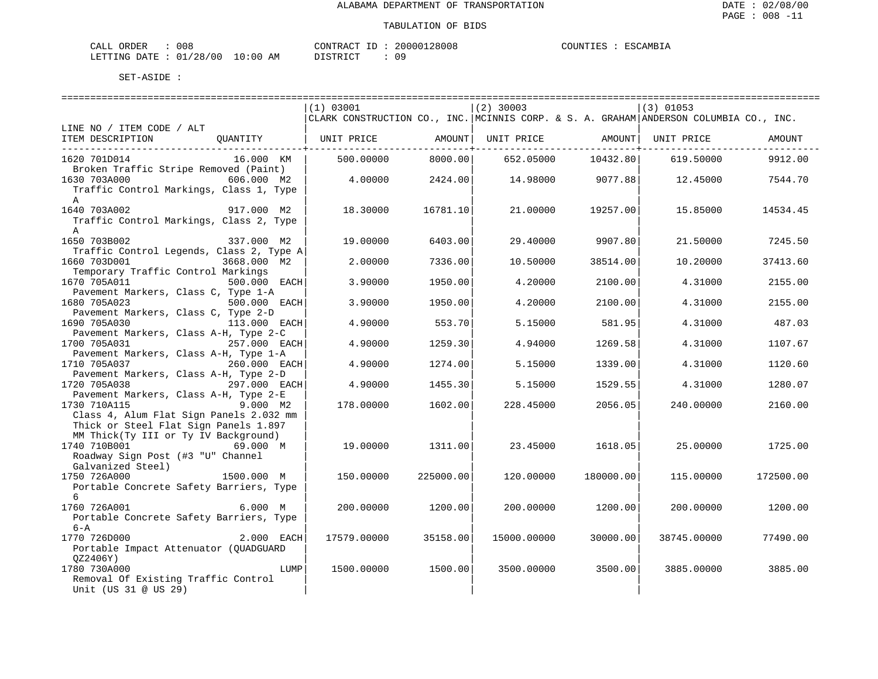| ORDER<br>CALI | 008          |       |    | CONTRACT         |  | 20000128008 | COUNTIES | <b>TSCAMRIA</b> |
|---------------|--------------|-------|----|------------------|--|-------------|----------|-----------------|
| LETTING DATE  | /28/00<br>01 | 10:00 | AM | DISTRICT<br>ັ∸ – |  | 09          |          |                 |

|                                          | (1) 03001                                                                             |           | $(2)$ 30003 |                              | $(3)$ 01053 |           |
|------------------------------------------|---------------------------------------------------------------------------------------|-----------|-------------|------------------------------|-------------|-----------|
|                                          | CLARK CONSTRUCTION CO., INC. MCINNIS CORP. & S. A. GRAHAM ANDERSON COLUMBIA CO., INC. |           |             |                              |             |           |
| LINE NO / ITEM CODE / ALT                |                                                                                       |           |             |                              |             |           |
| ITEM DESCRIPTION<br>OUANTITY             | UNIT PRICE                                                                            | AMOUNT    |             | UNIT PRICE AMOUNT UNIT PRICE |             | AMOUNT    |
|                                          |                                                                                       |           |             |                              |             |           |
| 16.000 KM<br>1620 701D014                | 500.00000                                                                             | 8000.00   | 652.05000   | 10432.80                     | 619.50000   | 9912.00   |
| Broken Traffic Stripe Removed (Paint)    |                                                                                       |           |             |                              |             |           |
| $606.000$ M2<br>1630 703A000             | 4.00000                                                                               | 2424.00   | 14.98000    | 9077.88                      | 12.45000    | 7544.70   |
| Traffic Control Markings, Class 1, Type  |                                                                                       |           |             |                              |             |           |
| A                                        |                                                                                       |           |             |                              |             |           |
| 1640 703A002<br>917.000 M2               | 18.30000                                                                              | 16781.10  | 21,00000    | 19257.00                     | 15.85000    | 14534.45  |
| Traffic Control Markings, Class 2, Type  |                                                                                       |           |             |                              |             |           |
|                                          |                                                                                       |           |             |                              |             |           |
| $\mathbb{A}$                             |                                                                                       |           |             |                              |             |           |
| 1650 703B002<br>337.000 M2               | 19.00000                                                                              | 6403.00   | 29.40000    | 9907.80                      | 21.50000    | 7245.50   |
| Traffic Control Legends, Class 2, Type A |                                                                                       |           |             |                              |             |           |
| 1660 703D001<br>3668.000 M2              | 2.00000                                                                               | 7336.00   | 10.50000    | 38514.00                     | 10.20000    | 37413.60  |
| Temporary Traffic Control Markings       |                                                                                       |           |             |                              |             |           |
| 1670 705A011<br>500.000 EACH             | 3.90000                                                                               | 1950.00   | 4.20000     | 2100.00                      | 4.31000     | 2155.00   |
| Pavement Markers, Class C, Type 1-A      |                                                                                       |           |             |                              |             |           |
| 500.000 EACH<br>1680 705A023             | 3.90000                                                                               | 1950.00   | 4.20000     | 2100.00                      | 4.31000     | 2155.00   |
| Pavement Markers, Class C, Type 2-D      |                                                                                       |           |             |                              |             |           |
| 1690 705A030<br>113.000 EACH             | 4.90000                                                                               | 553.70    | 5.15000     | 581.95                       | 4.31000     | 487.03    |
| Pavement Markers, Class A-H, Type 2-C    |                                                                                       |           |             |                              |             |           |
| 1700 705A031<br>257.000 EACH             | 4.90000                                                                               | 1259.30   | 4.94000     | 1269.58                      | 4.31000     | 1107.67   |
| Pavement Markers, Class A-H, Type 1-A    |                                                                                       |           |             |                              |             |           |
| 1710 705A037<br>260.000 EACH             | 4.90000                                                                               | 1274.00   | 5.15000     | 1339.00                      | 4.31000     | 1120.60   |
| Pavement Markers, Class A-H, Type 2-D    |                                                                                       |           |             |                              |             |           |
| 297.000 EACH<br>1720 705A038             | 4.90000                                                                               | 1455.30   | 5.15000     | 1529.55                      | 4.31000     | 1280.07   |
| Pavement Markers, Class A-H, Type 2-E    |                                                                                       |           |             |                              |             |           |
| 1730 710A115<br>9.000 M2                 | 178.00000                                                                             | 1602.00   | 228.45000   | 2056.05                      | 240.00000   | 2160.00   |
| Class 4, Alum Flat Sign Panels 2.032 mm  |                                                                                       |           |             |                              |             |           |
| Thick or Steel Flat Sign Panels 1.897    |                                                                                       |           |             |                              |             |           |
| MM Thick(Ty III or Ty IV Background)     |                                                                                       |           |             |                              |             |           |
| 1740 710B001<br>69.000 M                 | 19.00000                                                                              | 1311.00   | 23.45000    | 1618.05                      | 25.00000    | 1725.00   |
| Roadway Sign Post (#3 "U" Channel        |                                                                                       |           |             |                              |             |           |
| Galvanized Steel)                        |                                                                                       |           |             |                              |             |           |
| 1500.000 M<br>1750 726A000               | 150.00000                                                                             | 225000.00 | 120.00000   | 180000.00                    | 115.00000   | 172500.00 |
| Portable Concrete Safety Barriers, Type  |                                                                                       |           |             |                              |             |           |
| 6                                        |                                                                                       |           |             |                              |             |           |
| 1760 726A001<br>6.000 M                  | 200.00000                                                                             | 1200.00   | 200.00000   | 1200.00                      | 200.00000   | 1200.00   |
| Portable Concrete Safety Barriers, Type  |                                                                                       |           |             |                              |             |           |
| $6 - A$                                  |                                                                                       |           |             |                              |             |           |
| 1770 726D000<br>2.000 EACH               | 17579.00000                                                                           | 35158.00  | 15000.00000 | 30000.00                     | 38745.00000 | 77490.00  |
|                                          |                                                                                       |           |             |                              |             |           |
| Portable Impact Attenuator (QUADGUARD    |                                                                                       |           |             |                              |             |           |
| QZ2406Y)                                 |                                                                                       |           |             |                              |             |           |
| 1780 730A000<br>LUMP                     | 1500.00000                                                                            | 1500.00   | 3500.00000  | 3500.00                      | 3885.00000  | 3885.00   |
| Removal Of Existing Traffic Control      |                                                                                       |           |             |                              |             |           |
| Unit (US 31 @ US 29)                     |                                                                                       |           |             |                              |             |           |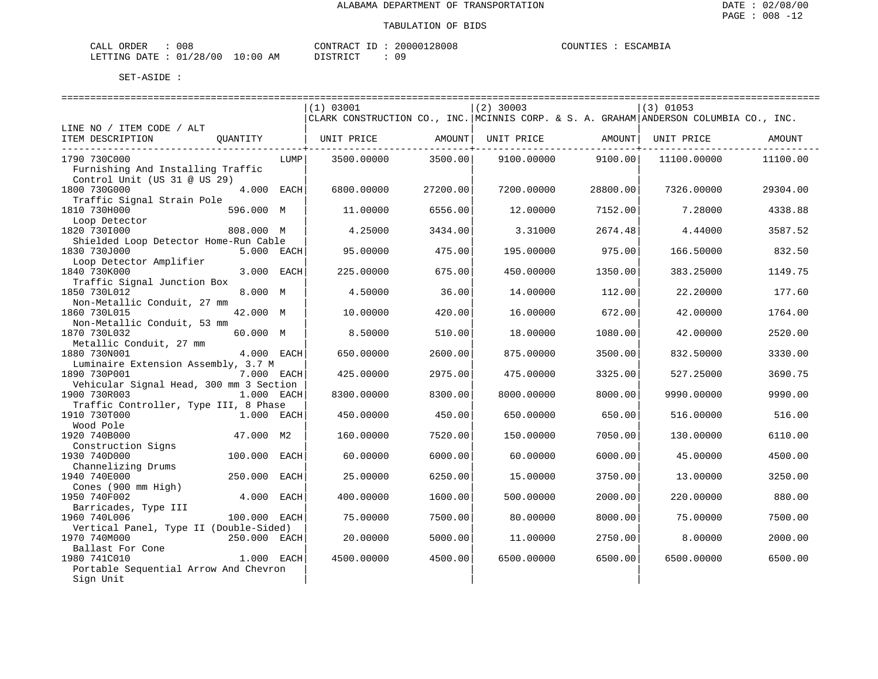| CALL ORDER                      | 008 | CONTRACT ID |  | 20000128008 | COUNTIES | : ESCAMBIA |
|---------------------------------|-----|-------------|--|-------------|----------|------------|
| LETTING DATE: 01/28/00 10:00 AM |     | DISTRICT    |  | 09          |          |            |

|                                         |              |      | (1) 03001                                                                             |          | $(2)$ 30003 |          | $(3)$ 01053 |          |  |
|-----------------------------------------|--------------|------|---------------------------------------------------------------------------------------|----------|-------------|----------|-------------|----------|--|
|                                         |              |      | CLARK CONSTRUCTION CO., INC. MCINNIS CORP. & S. A. GRAHAM ANDERSON COLUMBIA CO., INC. |          |             |          |             |          |  |
| LINE NO / ITEM CODE / ALT               |              |      |                                                                                       |          |             |          |             |          |  |
| ITEM DESCRIPTION                        | OUANTITY     |      | UNIT PRICE                                                                            | AMOUNT   | UNIT PRICE  | AMOUNT   | UNIT PRICE  | AMOUNT   |  |
|                                         |              |      |                                                                                       |          |             |          |             |          |  |
| 1790 730C000                            |              | LUMP | 3500.00000                                                                            | 3500.00  | 9100.00000  | 9100.00  | 11100.00000 | 11100.00 |  |
| Furnishing And Installing Traffic       |              |      |                                                                                       |          |             |          |             |          |  |
| Control Unit (US 31 @ US 29)            |              |      |                                                                                       |          |             |          |             |          |  |
| 1800 730G000                            | 4.000 EACH   |      | 6800,00000                                                                            | 27200.00 | 7200.00000  | 28800.00 | 7326.00000  | 29304.00 |  |
| Traffic Signal Strain Pole              |              |      |                                                                                       |          |             |          |             |          |  |
| 1810 730H000                            | 596.000 M    |      | 11.00000                                                                              | 6556.00  | 12.00000    | 7152.00  | 7.28000     | 4338.88  |  |
| Loop Detector                           |              |      |                                                                                       |          |             |          |             |          |  |
| 1820 7301000                            | 808.000 M    |      | 4.25000                                                                               | 3434.00  | 3.31000     | 2674.48  | 4.44000     | 3587.52  |  |
| Shielded Loop Detector Home-Run Cable   |              |      |                                                                                       |          |             |          |             |          |  |
| 1830 730J000                            | 5.000 EACH   |      | 95.00000                                                                              | 475.00   | 195.00000   | 975.00   | 166.50000   | 832.50   |  |
| Loop Detector Amplifier                 |              |      |                                                                                       |          |             |          |             |          |  |
| 1840 730K000                            | 3.000 EACH   |      | 225.00000                                                                             | 675.00   | 450.00000   | 1350.00  | 383.25000   | 1149.75  |  |
| Traffic Signal Junction Box             |              |      |                                                                                       |          |             |          |             |          |  |
| 1850 730L012                            | 8.000 M      |      | 4.50000                                                                               | 36.00    | 14,00000    | 112.00   | 22.20000    | 177.60   |  |
| Non-Metallic Conduit, 27 mm             |              |      |                                                                                       |          |             |          |             |          |  |
| 1860 730L015                            | 42.000 M     |      | 10.00000                                                                              | 420.00   | 16.00000    | 672.00   | 42.00000    | 1764.00  |  |
| Non-Metallic Conduit, 53 mm             |              |      |                                                                                       |          |             |          |             |          |  |
| 1870 730L032                            | 60.000 M     |      | 8.50000                                                                               | 510.00   | 18.00000    | 1080.00  | 42.00000    | 2520.00  |  |
| Metallic Conduit, 27 mm                 |              |      |                                                                                       |          |             |          |             |          |  |
| 1880 730N001                            | 4.000 EACH   |      | 650.00000                                                                             | 2600.00  | 875.00000   | 3500.00  | 832.50000   | 3330.00  |  |
| Luminaire Extension Assembly, 3.7 M     |              |      |                                                                                       |          |             |          |             |          |  |
| 1890 730P001                            | 7.000 EACH   |      | 425.00000                                                                             | 2975.00  | 475.00000   | 3325.00  | 527.25000   | 3690.75  |  |
| Vehicular Signal Head, 300 mm 3 Section |              |      |                                                                                       |          |             |          |             |          |  |
| 1900 730R003                            | 1.000 EACH   |      | 8300.00000                                                                            | 8300.00  | 8000.00000  | 8000.00  | 9990.00000  | 9990.00  |  |
| Traffic Controller, Type III, 8 Phase   |              |      |                                                                                       |          |             |          |             |          |  |
| 1910 730T000                            | 1.000 EACH   |      | 450.00000                                                                             | 450.00   | 650.00000   | 650.00   | 516.00000   | 516.00   |  |
| Wood Pole                               |              |      |                                                                                       |          |             |          |             |          |  |
| 1920 740B000                            | 47.000 M2    |      | 160.00000                                                                             | 7520.00  | 150.00000   | 7050.00  | 130.00000   | 6110.00  |  |
| Construction Signs                      |              |      |                                                                                       |          |             |          |             |          |  |
| 1930 740D000                            | 100.000      | EACH | 60.00000                                                                              | 6000.00  | 60.00000    | 6000.00  | 45.00000    | 4500.00  |  |
| Channelizing Drums                      |              |      |                                                                                       |          |             |          |             |          |  |
| 1940 740E000                            | 250.000      | EACH | 25.00000                                                                              | 6250.00  | 15.00000    | 3750.00  | 13.00000    | 3250.00  |  |
| Cones (900 mm High)                     |              |      |                                                                                       |          |             |          |             |          |  |
| 1950 740F002                            | 4.000        | EACH | 400.00000                                                                             | 1600.00  | 500.00000   | 2000.00  | 220.00000   | 880.00   |  |
| Barricades, Type III                    |              |      |                                                                                       |          |             |          |             |          |  |
| 1960 740L006                            | 100.000 EACH |      | 75.00000                                                                              | 7500.00  | 80.00000    | 8000.00  | 75.00000    | 7500.00  |  |
| Vertical Panel, Type II (Double-Sided)  |              |      |                                                                                       |          |             |          |             |          |  |
| 1970 740M000                            | 250.000 EACH |      | 20.00000                                                                              | 5000.00  | 11.00000    | 2750.00  | 8.00000     | 2000.00  |  |
| Ballast For Cone                        |              |      |                                                                                       |          |             |          |             |          |  |
| 1980 741C010                            | 1.000 EACH   |      | 4500.00000                                                                            | 4500.00  | 6500.00000  | 6500.00  | 6500.00000  | 6500.00  |  |
| Portable Sequential Arrow And Chevron   |              |      |                                                                                       |          |             |          |             |          |  |
| Sign Unit                               |              |      |                                                                                       |          |             |          |             |          |  |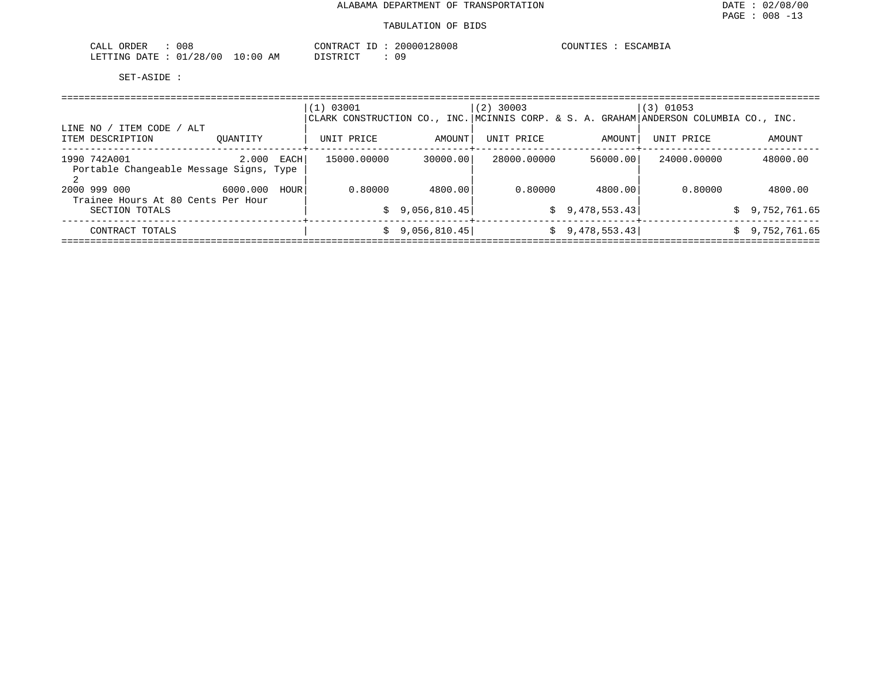| ORDER<br>CALL<br>008             |             | CONTRACT<br>$ -$ | 20000128008 | COUNTIES<br>ESCAMBIA |
|----------------------------------|-------------|------------------|-------------|----------------------|
| /28/00<br>01<br>LETTING<br>DATE. | 10:00<br>AΜ | DISTRICT         | nα          |                      |

| ITEM CODE / ALT<br>LINE NO                              |                  | 03001<br>(1) |              | $(2)$ 30003 |                | $(3)$ 01053<br>CLARK CONSTRUCTION CO., INC. MCINNIS CORP. & S. A. GRAHAM ANDERSON COLUMBIA CO., INC. |                    |
|---------------------------------------------------------|------------------|--------------|--------------|-------------|----------------|------------------------------------------------------------------------------------------------------|--------------------|
| ITEM DESCRIPTION                                        | OUANTITY         | UNIT PRICE   | AMOUNT       | UNIT PRICE  | AMOUNT         | UNIT PRICE                                                                                           | AMOUNT             |
| 1990 742A001<br>Portable Changeable Message Signs, Type | 2.000<br>EACH    | 15000.00000  | 30000.00     | 28000.00000 | 56000.00       | 24000.00000                                                                                          | 48000.00           |
| 2000 999 000<br>Trainee Hours At 80 Cents Per Hour      | 6000.000<br>HOUR | 0.80000      | 4800.00      | 0.80000     | 4800.00        | 0.80000                                                                                              | 4800.00            |
| SECTION TOTALS                                          |                  |              | 9,056,810.45 |             | \$9,478,553.43 |                                                                                                      | \$9,752,761.65     |
| CONTRACT TOTALS                                         |                  |              | 9,056,810.45 |             | \$9,478,553.43 |                                                                                                      | 9,752,761.65<br>S. |
|                                                         |                  |              |              |             |                |                                                                                                      |                    |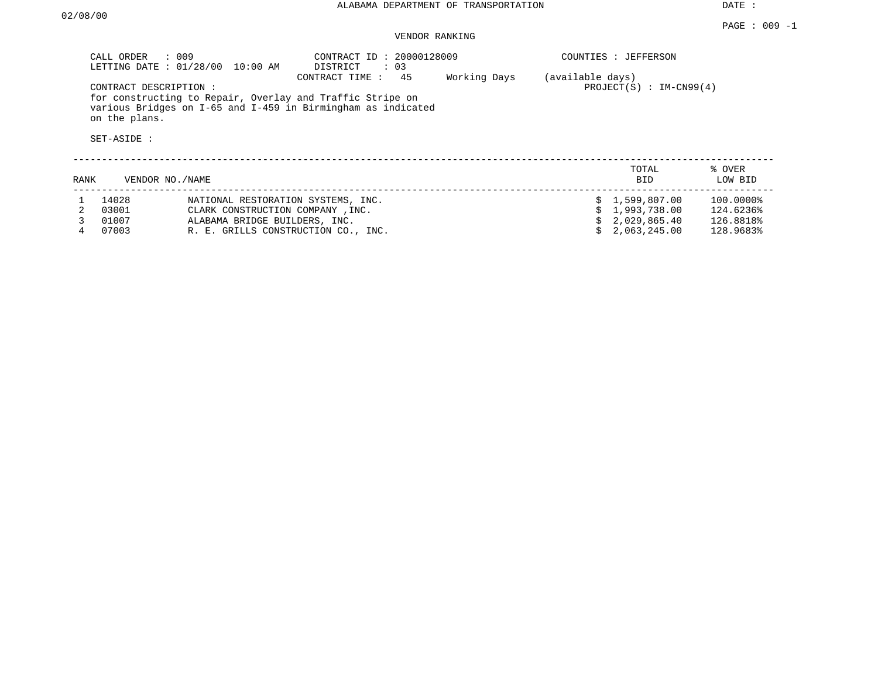DATE :

# VENDOR RANKING

|      | CALL ORDER : 009                                      | LETTING DATE : 01/28/00 10:00 AM                                                                        | CONTRACT ID: 20000128009<br>DISTRICT<br>$\therefore$ 03                                                                                         |              |                  | COUNTIES : JEFFERSON                           |                                     |
|------|-------------------------------------------------------|---------------------------------------------------------------------------------------------------------|-------------------------------------------------------------------------------------------------------------------------------------------------|--------------|------------------|------------------------------------------------|-------------------------------------|
|      | CONTRACT DESCRIPTION:<br>on the plans.<br>SET-ASIDE : |                                                                                                         | CONTRACT TIME : 45<br>for constructing to Repair, Overlay and Traffic Stripe on<br>various Bridges on I-65 and I-459 in Birmingham as indicated | Working Days | (available days) | $PROJECT(S) : IM-CN99(4)$                      |                                     |
| RANK | VENDOR NO./NAME                                       |                                                                                                         |                                                                                                                                                 |              |                  | TOTAL<br><b>BID</b>                            | % OVER<br>LOW BID                   |
|      | 14028<br>03001<br>01007                               | NATIONAL RESTORATION SYSTEMS, INC.<br>CLARK CONSTRUCTION COMPANY, INC.<br>ALABAMA BRIDGE BUILDERS, INC. |                                                                                                                                                 |              |                  | \$1,599,807.00<br>1,993,738.00<br>2,029,865.40 | 100.0000%<br>124.6236%<br>126.8818% |

4 07003 R. E. GRILLS CONSTRUCTION CO., INC. \$ 2,063,245.00 128.9683%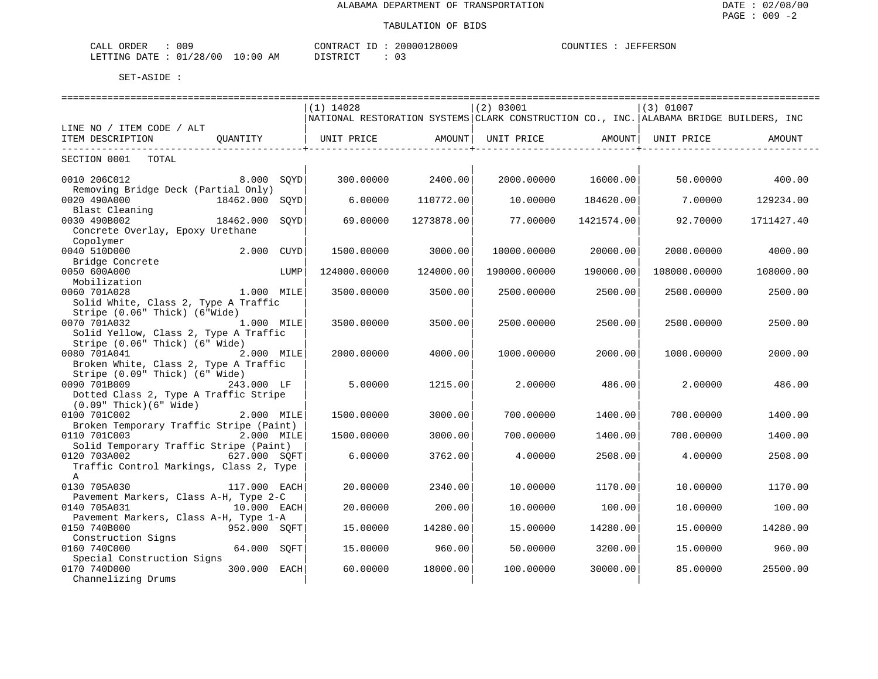| : 009<br>CALL ORDER              | CONTRACT ID: 20000128009 |  | COUNTIES : JEFFERSON |
|----------------------------------|--------------------------|--|----------------------|
| LETTING DATE : 01/28/00 10:00 AM | DISTRICT                 |  |                      |

|                                         |                | $(1)$ 14028                                                                            |            | (2) 03001    |                       | (3) 01007    |            |  |  |  |
|-----------------------------------------|----------------|----------------------------------------------------------------------------------------|------------|--------------|-----------------------|--------------|------------|--|--|--|
|                                         |                | NATIONAL RESTORATION SYSTEMS CLARK CONSTRUCTION CO., INC. ALABAMA BRIDGE BUILDERS, INC |            |              |                       |              |            |  |  |  |
| LINE NO / ITEM CODE / ALT               |                |                                                                                        |            |              |                       |              |            |  |  |  |
| ITEM DESCRIPTION                        | OUANTITY       | UNIT PRICE                                                                             | AMOUNT     | UNIT PRICE   | AMOUNT                | UNIT PRICE   | AMOUNT     |  |  |  |
| ------------------------                |                |                                                                                        |            |              | _____________________ |              |            |  |  |  |
| SECTION 0001<br>TOTAL                   |                |                                                                                        |            |              |                       |              |            |  |  |  |
|                                         |                |                                                                                        |            |              |                       |              |            |  |  |  |
| 0010 206C012                            | 8.000<br>SOYD  | 300.00000                                                                              | 2400.00    | 2000.00000   | 16000.00              | 50.00000     | 400.00     |  |  |  |
| Removing Bridge Deck (Partial Only)     |                |                                                                                        |            |              |                       |              |            |  |  |  |
| 0020 490A000<br>18462.000               | SOYD           | 6.00000                                                                                | 110772.00  | 10.00000     | 184620.00             | 7.00000      | 129234.00  |  |  |  |
| Blast Cleaning                          |                |                                                                                        |            |              |                       |              |            |  |  |  |
| 0030 490B002<br>18462.000               | SQYD           | 69.00000                                                                               | 1273878.00 | 77.00000     | 1421574.00            | 92.70000     | 1711427.40 |  |  |  |
| Concrete Overlay, Epoxy Urethane        |                |                                                                                        |            |              |                       |              |            |  |  |  |
| Copolymer                               |                |                                                                                        |            |              |                       |              |            |  |  |  |
| 0040 510D000                            | 2.000 CUYD     | 1500.00000                                                                             | 3000.00    | 10000.00000  | 20000.00              | 2000.00000   | 4000.00    |  |  |  |
| Bridge Concrete                         |                |                                                                                        |            |              |                       |              |            |  |  |  |
| 0050 600A000                            | LUMP           | 124000.00000                                                                           | 124000.00  | 190000.00000 | 190000.00             | 108000.00000 | 108000.00  |  |  |  |
| Mobilization                            |                |                                                                                        |            |              |                       |              |            |  |  |  |
| 0060 701A028<br>1.000 MILE              |                | 3500.00000                                                                             | 3500.00    | 2500.00000   | 2500.00               | 2500.00000   | 2500.00    |  |  |  |
| Solid White, Class 2, Type A Traffic    |                |                                                                                        |            |              |                       |              |            |  |  |  |
| Stripe (0.06" Thick) (6"Wide)           |                |                                                                                        |            |              |                       |              |            |  |  |  |
| 0070 701A032                            | 1.000 MILE     | 3500.00000                                                                             | 3500.00    | 2500.00000   | 2500.00               | 2500.00000   | 2500.00    |  |  |  |
| Solid Yellow, Class 2, Type A Traffic   |                |                                                                                        |            |              |                       |              |            |  |  |  |
| Stripe (0.06" Thick) (6" Wide)          |                |                                                                                        |            |              |                       |              |            |  |  |  |
| 0080 701A041                            | 2.000 MILE     | 2000.00000                                                                             | 4000.00    | 1000.00000   | 2000.00               | 1000.00000   | 2000.00    |  |  |  |
| Broken White, Class 2, Type A Traffic   |                |                                                                                        |            |              |                       |              |            |  |  |  |
| Stripe (0.09" Thick) (6" Wide)          |                |                                                                                        |            |              |                       |              |            |  |  |  |
| 0090 701B009                            | 243.000 LF     | 5.00000                                                                                | 1215.00    | 2,00000      | 486.00                | 2.00000      | 486.00     |  |  |  |
| Dotted Class 2, Type A Traffic Stripe   |                |                                                                                        |            |              |                       |              |            |  |  |  |
| $(0.09"$ Thick $)(6"$ Wide)             |                |                                                                                        |            |              |                       |              |            |  |  |  |
| 0100 701C002                            | 2.000 MILE     | 1500.00000                                                                             | 3000.00    | 700.00000    | 1400.00               | 700.00000    | 1400.00    |  |  |  |
| Broken Temporary Traffic Stripe (Paint) |                |                                                                                        |            |              |                       |              |            |  |  |  |
| 0110 701C003                            | 2.000 MILE     | 1500.00000                                                                             | 3000.00    | 700.00000    | 1400.00               | 700.00000    | 1400.00    |  |  |  |
| Solid Temporary Traffic Stripe (Paint)  |                |                                                                                        |            |              |                       |              |            |  |  |  |
| 0120 703A002                            | 627.000 SOFT   | 6.00000                                                                                | 3762.00    | 4.00000      | 2508.00               | 4.00000      | 2508.00    |  |  |  |
| Traffic Control Markings, Class 2, Type |                |                                                                                        |            |              |                       |              |            |  |  |  |
| $\mathsf{A}$                            |                |                                                                                        |            |              |                       |              |            |  |  |  |
| 0130 705A030                            | 117.000 EACH   | 20.00000                                                                               | 2340.00    | 10.00000     | 1170.00               | 10.00000     | 1170.00    |  |  |  |
| Pavement Markers, Class A-H, Type 2-C   |                |                                                                                        |            |              |                       |              |            |  |  |  |
| 0140 705A031                            | 10.000 EACH    | 20,00000                                                                               | 200.00     | 10,00000     | 100.00                | 10.00000     | 100.00     |  |  |  |
| Pavement Markers, Class A-H, Type 1-A   |                |                                                                                        |            |              |                       |              |            |  |  |  |
| 0150 740B000                            | 952.000 SOFT   | 15.00000                                                                               | 14280.00   | 15.00000     | 14280.00              | 15.00000     | 14280.00   |  |  |  |
| Construction Signs                      |                |                                                                                        |            |              |                       |              |            |  |  |  |
| 0160 740C000                            | 64.000<br>SOFT | 15.00000                                                                               | 960.00     | 50.00000     | 3200.00               | 15.00000     | 960.00     |  |  |  |
| Special Construction Signs              |                |                                                                                        |            |              |                       |              |            |  |  |  |
| 0170 740D000                            | 300.000 EACH   | 60.00000                                                                               | 18000.00   | 100.00000    | 30000.00              | 85.00000     | 25500.00   |  |  |  |
| Channelizing Drums                      |                |                                                                                        |            |              |                       |              |            |  |  |  |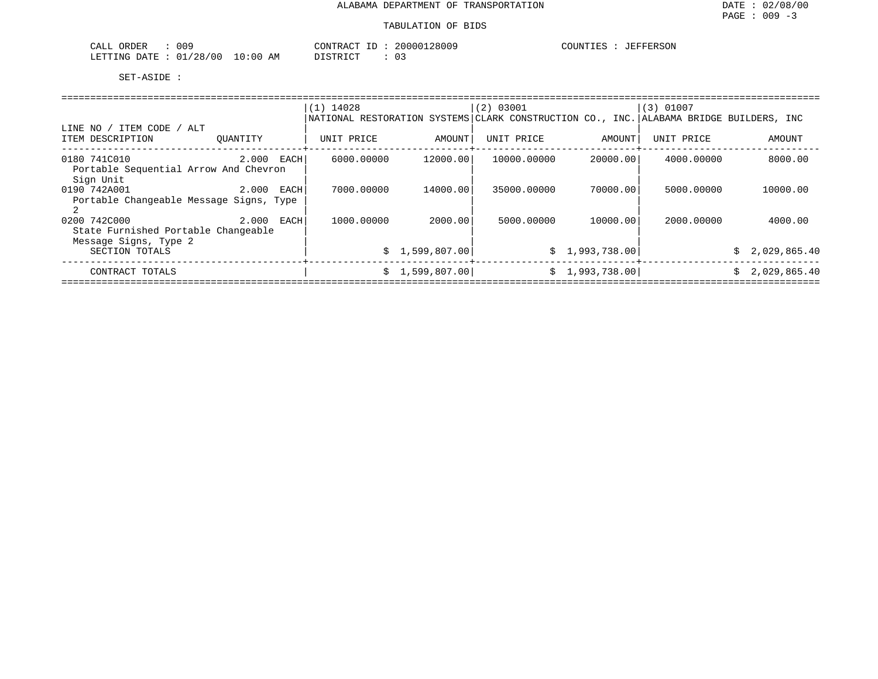| 009<br>CALL ORDER                | CONTRACT ID | 20000128009 | COUNTIES | : JEFFERSON |
|----------------------------------|-------------|-------------|----------|-------------|
| LETTING DATE : 01/28/00 10:00 AM | DISTRICT    |             |          |             |

|                                         |              | $(1)$ 14028                                                                            |                 | (2) 03001   |                | $(3)$ 01007 |                |
|-----------------------------------------|--------------|----------------------------------------------------------------------------------------|-----------------|-------------|----------------|-------------|----------------|
|                                         |              | NATIONAL RESTORATION SYSTEMS CLARK CONSTRUCTION CO., INC. ALABAMA BRIDGE BUILDERS, INC |                 |             |                |             |                |
| LINE NO / ITEM CODE / ALT               |              |                                                                                        |                 |             |                |             |                |
| ITEM DESCRIPTION                        | OUANTITY     | UNIT PRICE                                                                             | AMOUNT          | UNIT PRICE  | AMOUNT         | UNIT PRICE  | AMOUNT         |
| 0180 741C010                            | $2.000$ EACH | 6000.00000                                                                             | 12000.00        | 10000.00000 | 20000.00       | 4000.00000  | 8000.00        |
| Portable Sequential Arrow And Chevron   |              |                                                                                        |                 |             |                |             |                |
| Sign Unit                               |              |                                                                                        |                 |             |                |             |                |
| 0190 742A001<br>2.000 EACH              |              | 7000.00000                                                                             | 14000.00        | 35000.00000 | 70000.001      | 5000.00000  | 10000.00       |
| Portable Changeable Message Signs, Type |              |                                                                                        |                 |             |                |             |                |
| 0200 742C000                            | 2.000 EACH   | 1000.00000                                                                             | 2000.001        | 5000.00000  | 10000.00       | 2000.00000  | 4000.00        |
| State Furnished Portable Changeable     |              |                                                                                        |                 |             |                |             |                |
| Message Signs, Type 2                   |              |                                                                                        |                 |             |                |             |                |
| SECTION TOTALS                          |              |                                                                                        | \$1,599,807.00  |             | \$1,993,738.00 |             | \$2,029,865.40 |
| CONTRACT TOTALS                         |              |                                                                                        | \$1,599,807.00] |             | \$1,993,738.00 |             | \$2,029,865.40 |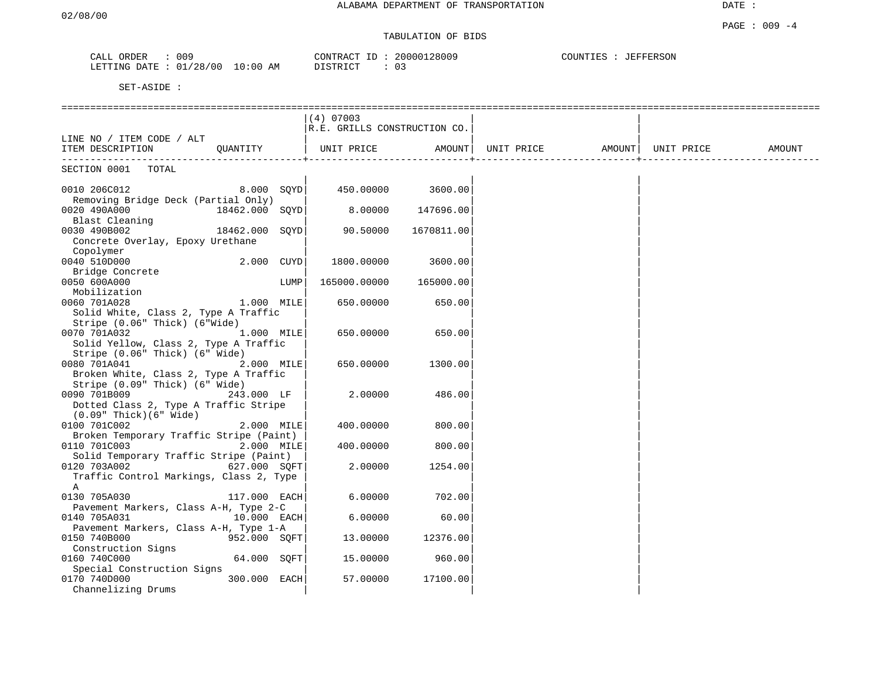# TABULATION OF BIDS

| ORDER<br>CALL   | 009                     | 20000128009<br>CONTRACT<br>ID | COUNTIES<br>JEFFERSON |
|-----------------|-------------------------|-------------------------------|-----------------------|
| LETTING<br>DATE | 01/28/00<br>10:00<br>ΆM | DISTORIAT<br>◡ ◡              |                       |

|                                         |                |      | $(4)$ 07003                  |            |                   |            |        |
|-----------------------------------------|----------------|------|------------------------------|------------|-------------------|------------|--------|
|                                         |                |      | R.E. GRILLS CONSTRUCTION CO. |            |                   |            |        |
| LINE NO / ITEM CODE / ALT               |                |      |                              |            |                   |            |        |
| ITEM DESCRIPTION                        |                |      | QUANTITY   UNIT PRICE        | AMOUNT     | UNIT PRICE AMOUNT | UNIT PRICE | AMOUNT |
|                                         |                |      |                              |            |                   |            |        |
| SECTION 0001 TOTAL                      |                |      |                              |            |                   |            |        |
|                                         |                |      |                              |            |                   |            |        |
| 0010 206C012                            | $8.000$ SQYD   |      | 450.00000 3600.00            |            |                   |            |        |
| Removing Bridge Deck (Partial Only)     |                |      |                              |            |                   |            |        |
| 0020 490A000<br>18462.000 SQYD          |                |      | 8.00000                      | 147696.00  |                   |            |        |
| Blast Cleaning                          |                |      |                              |            |                   |            |        |
| 0030 490B002                            | 18462.000 SOYD |      | 90.50000                     | 1670811.00 |                   |            |        |
| Concrete Overlay, Epoxy Urethane        |                |      |                              |            |                   |            |        |
| Copolymer                               |                |      |                              |            |                   |            |        |
| 0040 510D000                            | 2.000 CUYD     |      | 1800.00000                   | 3600.00    |                   |            |        |
| Bridge Concrete                         |                |      |                              |            |                   |            |        |
| 0050 600A000                            |                | LUMP | 165000.00000                 | 165000.00  |                   |            |        |
| Mobilization                            |                |      |                              |            |                   |            |        |
| 1.000 MILE<br>0060 701A028              |                |      | 650.00000                    | 650.00     |                   |            |        |
| Solid White, Class 2, Type A Traffic    |                |      |                              |            |                   |            |        |
| Stripe (0.06" Thick) (6"Wide)           |                |      |                              |            |                   |            |        |
| 0070 701A032                            | 1.000 MILE     |      | 650.00000                    | 650.00     |                   |            |        |
| Solid Yellow, Class 2, Type A Traffic   |                |      |                              |            |                   |            |        |
| Stripe (0.06" Thick) (6" Wide)          |                |      |                              |            |                   |            |        |
| 0080 701A041                            | $2.000$ MILE   |      | 650.00000                    | 1300.00    |                   |            |        |
| Broken White, Class 2, Type A Traffic   |                |      |                              |            |                   |            |        |
| Stripe (0.09" Thick) (6" Wide)          |                |      |                              |            |                   |            |        |
| 0090 701B009                            | 243.000 LF     |      | 2.00000                      | 486.00     |                   |            |        |
| Dotted Class 2, Type A Traffic Stripe   |                |      |                              |            |                   |            |        |
| $(0.09"$ Thick $)(6"$ Wide $)$          |                |      |                              |            |                   |            |        |
| 0100 701C002                            | 2.000 MILE     |      | 400.00000                    | 800.00     |                   |            |        |
| Broken Temporary Traffic Stripe (Paint) |                |      |                              |            |                   |            |        |
| 0110 701C003 2.000 MILE                 |                |      | 400.00000                    | 800.00     |                   |            |        |
| Solid Temporary Traffic Stripe (Paint)  |                |      |                              |            |                   |            |        |
| 0120 703A002                            | 627.000 SOFT   |      | 2.00000                      | 1254.00    |                   |            |        |
| Traffic Control Markings, Class 2, Type |                |      |                              |            |                   |            |        |
| Α                                       |                |      |                              |            |                   |            |        |
| 0130 705A030                            | 117.000 EACH   |      | 6.00000                      | 702.00     |                   |            |        |
| Pavement Markers, Class A-H, Type 2-C   |                |      |                              |            |                   |            |        |
| 0140 705A031                            | 10.000 EACH    |      | 6.00000                      | 60.00      |                   |            |        |
| Pavement Markers, Class A-H, Type 1-A   |                |      |                              |            |                   |            |        |
| 952.000 SOFT<br>0150 740B000            |                |      | 13.00000                     | 12376.00   |                   |            |        |
| Construction Signs                      |                |      |                              |            |                   |            |        |
| 0160 740C000                            | 64.000 SOFT    |      | 15.00000                     | 960.00     |                   |            |        |
| Special Construction Signs              |                |      |                              |            |                   |            |        |
| 0170 740D000                            | 300.000 EACH   |      | 57.00000                     | 17100.00   |                   |            |        |
| Channelizing Drums                      |                |      |                              |            |                   |            |        |
|                                         |                |      |                              |            |                   |            |        |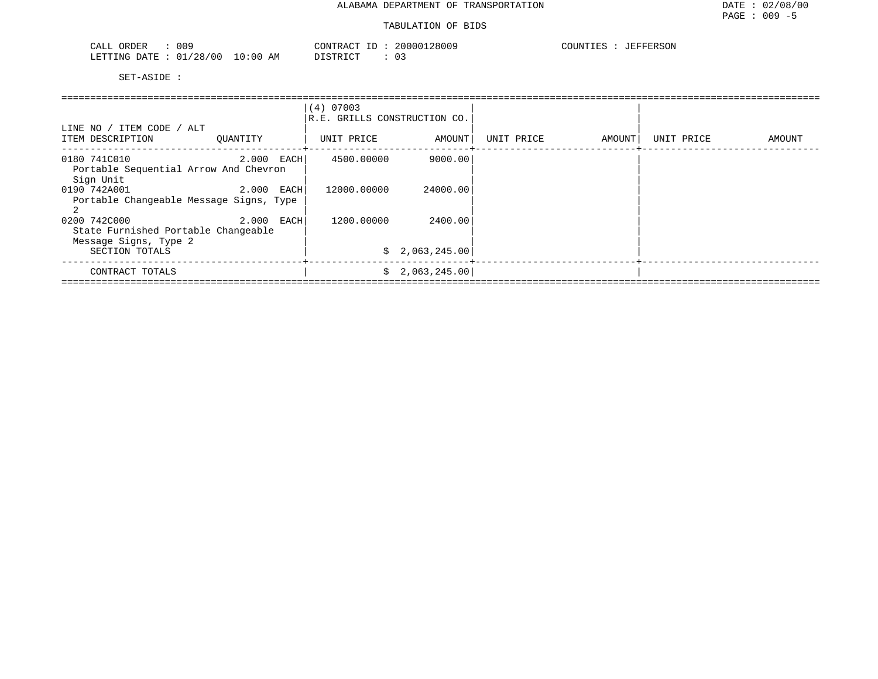| 009<br>ORDER<br>CALL         |             | CONTRACT.<br>T <sub>D</sub><br>⊥ப | 20000128009 | COUNTIES<br><b>JEFFERSON</b> |
|------------------------------|-------------|-----------------------------------|-------------|------------------------------|
| : 01/28/00<br>LETTING DATE : | 10:00<br>AΜ | DISTRICT                          | 03          |                              |

|                                                                              | (4) 07003<br>R.E. GRILLS CONSTRUCTION CO. |             |                |            |        |            |        |
|------------------------------------------------------------------------------|-------------------------------------------|-------------|----------------|------------|--------|------------|--------|
| LINE NO / ITEM CODE / ALT<br>ITEM DESCRIPTION                                | OUANTITY                                  | UNIT PRICE  | AMOUNT         | UNIT PRICE | AMOUNT | UNIT PRICE | AMOUNT |
| 0180 741C010<br>Portable Sequential Arrow And Chevron<br>Sign Unit           | 2.000 EACH                                | 4500.00000  | 9000.00        |            |        |            |        |
| 0190 742A001<br>Portable Changeable Message Signs, Type                      | 2.000 EACH                                | 12000.00000 | 24000.00       |            |        |            |        |
| 0200 742C000<br>State Furnished Portable Changeable<br>Message Signs, Type 2 | 2.000 EACH                                | 1200.00000  | 2400.00        |            |        |            |        |
| SECTION TOTALS                                                               |                                           |             | \$2,063,245.00 |            |        |            |        |
| CONTRACT TOTALS                                                              |                                           | S.          | 2,063,245.00   |            |        |            |        |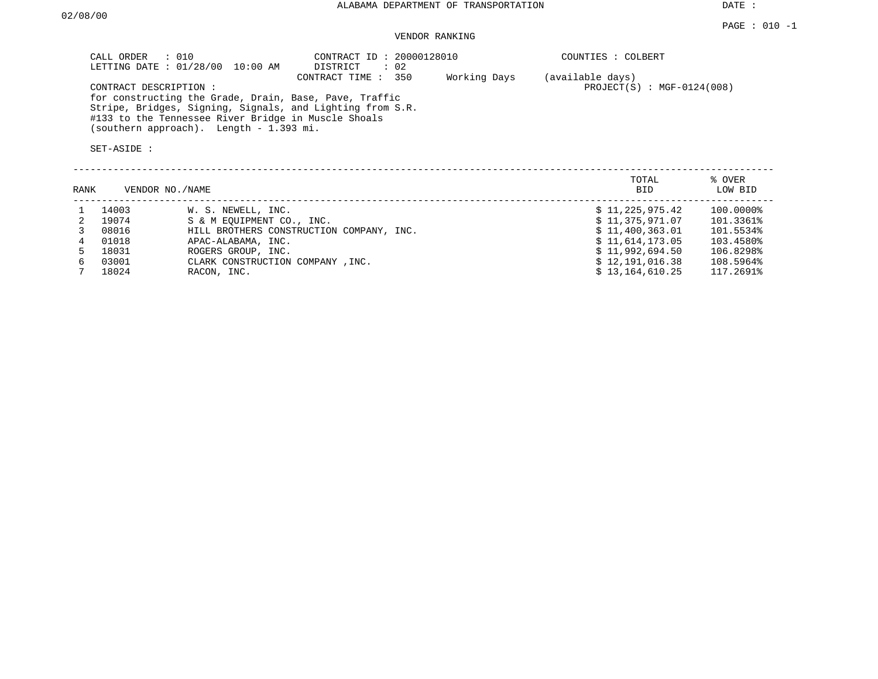DATE :

VENDOR RANKING

| CALL ORDER : 010<br>LETTING DATE : 01/28/00 10:00 AM |                                         | CONTRACT ID: 20000128010<br>DISTRICT                      | $\therefore$ 02 |              | COUNTIES : COLBERT                               |
|------------------------------------------------------|-----------------------------------------|-----------------------------------------------------------|-----------------|--------------|--------------------------------------------------|
| CONTRACT DESCRIPTION:                                |                                         | CONTRACT TIME : 350                                       |                 | Working Days | (available days)<br>$PROJECT(S) : MGF-0124(008)$ |
|                                                      |                                         | for constructing the Grade, Drain, Base, Pave, Traffic    |                 |              |                                                  |
|                                                      |                                         | Stripe, Bridges, Signing, Signals, and Lighting from S.R. |                 |              |                                                  |
|                                                      |                                         | #133 to the Tennessee River Bridge in Muscle Shoals       |                 |              |                                                  |
|                                                      | (southern approach). Length - 1.393 mi. |                                                           |                 |              |                                                  |

| TOTAL           | % OVER    |
|-----------------|-----------|
| <b>BID</b>      | LOW BID   |
| \$11,225,975.42 | 100.0000% |
| \$11,375,971.07 | 101.3361% |
| \$11,400,363.01 | 101.5534% |
| \$11.614.173.05 | 103.4580% |
| \$11,992,694.50 | 106.8298% |
| \$12,191,016.38 | 108.5964% |
| \$13.164.610.25 | 117.2691% |
|                 |           |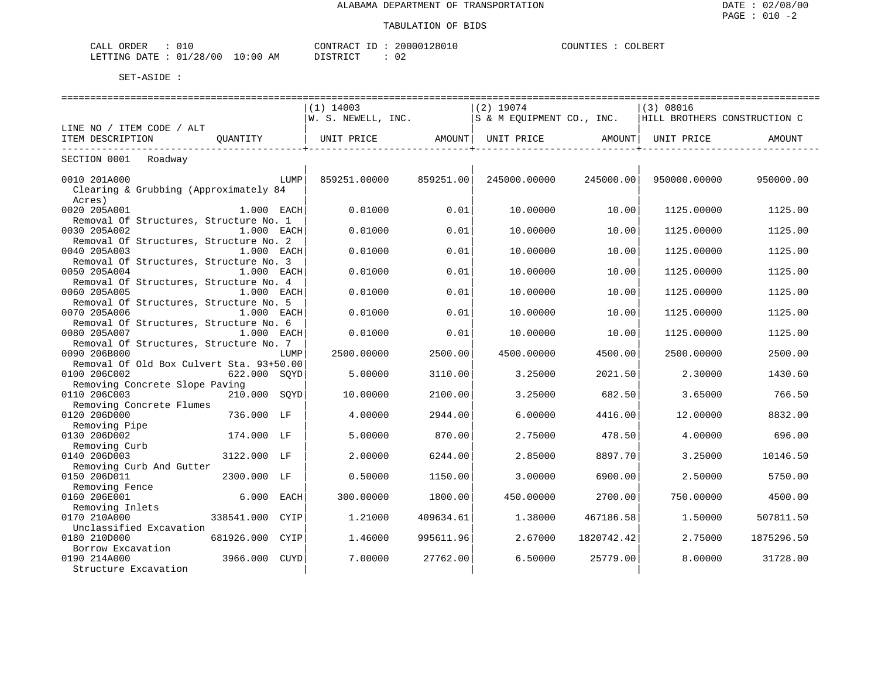| 010<br>CALL ORDER               |          | CONTRACT ID: 20000128010 | COUNTIES | COLBERT |
|---------------------------------|----------|--------------------------|----------|---------|
| LETTING DATE: 01/28/00 10:00 AM | DISTRICT | ◡∠                       |          |         |

| =====================                    |                                                                           |           |              |            |                              |            |
|------------------------------------------|---------------------------------------------------------------------------|-----------|--------------|------------|------------------------------|------------|
|                                          | $(1)$ 14003                                                               |           | $(2)$ 19074  |            | (3) 08016                    |            |
|                                          | $W. S. NEWELL, INC.$ S & M EOUIPMENT CO., INC.                            |           |              |            | HILL BROTHERS CONSTRUCTION C |            |
| LINE NO / ITEM CODE / ALT                |                                                                           |           |              |            |                              |            |
| ITEM DESCRIPTION<br>OUANTITY             | UNIT PRICE                  AMOUNT    UNIT PRICE                   AMOUNT |           |              |            | UNIT PRICE                   | AMOUNT     |
| -----------------------                  |                                                                           |           |              |            |                              |            |
| SECTION 0001 Roadway                     |                                                                           |           |              |            |                              |            |
|                                          |                                                                           |           |              |            |                              |            |
| 0010 201A000<br>LUMP                     | 859251.00000                                                              | 859251.00 | 245000.00000 | 245000.00  | 950000.00000                 | 950000.00  |
| Clearing & Grubbing (Approximately 84    |                                                                           |           |              |            |                              |            |
| Acres)                                   |                                                                           |           |              |            |                              |            |
| 0020 205A001<br>$1.000$ EACH             | 0.01000                                                                   | 0.01      | 10.00000     | 10.00      | 1125.00000                   | 1125.00    |
| Removal Of Structures, Structure No. 1   |                                                                           |           |              |            |                              |            |
| 0030 205A002<br>1.000 EACH               | 0.01000                                                                   | 0.01      | 10.00000     | 10.00      | 1125.00000                   | 1125.00    |
| Removal Of Structures, Structure No. 2   |                                                                           |           |              |            |                              |            |
| 0040 205A003<br>1.000 EACH               | 0.01000                                                                   | 0.01      | 10.00000     | 10.00      | 1125.00000                   | 1125.00    |
| Removal Of Structures, Structure No. 3   |                                                                           |           |              |            |                              |            |
| 0050 205A004<br>1.000 EACH               | 0.01000                                                                   | 0.01      | 10.00000     | 10.00      | 1125.00000                   | 1125.00    |
| Removal Of Structures, Structure No. 4   |                                                                           |           |              |            |                              |            |
| 0060 205A005<br>1.000 EACH               | 0.01000                                                                   | 0.01      | 10.00000     | 10.00      | 1125.00000                   | 1125.00    |
| Removal Of Structures, Structure No. 5   |                                                                           |           |              |            |                              |            |
| 0070 205A006<br>$1.000$ EACH             | 0.01000                                                                   | 0.01      | 10.00000     | 10.00      | 1125,00000                   | 1125.00    |
| Removal Of Structures, Structure No. 6   |                                                                           |           |              |            |                              |            |
| 0080 205A007<br>1.000 EACH               | 0.01000                                                                   | 0.01      | 10.00000     | 10.00      | 1125.00000                   | 1125.00    |
| Removal Of Structures, Structure No. 7   |                                                                           |           |              |            |                              |            |
| 0090 206B000<br>LUMP                     | 2500.00000                                                                | 2500.00   | 4500.00000   | 4500.00    | 2500.00000                   | 2500.00    |
| Removal Of Old Box Culvert Sta. 93+50.00 |                                                                           |           |              |            |                              |            |
| 0100 206C002<br>622.000 SOYD             | 5.00000                                                                   | 3110.00   | 3.25000      | 2021.50    | 2.30000                      | 1430.60    |
| Removing Concrete Slope Paving           |                                                                           |           |              |            |                              |            |
| 0110 206C003<br>210.000 SOYD             | 10,00000                                                                  | 2100.00   | 3.25000      | 682.50     | 3.65000                      | 766.50     |
| Removing Concrete Flumes                 |                                                                           |           |              |            |                              |            |
| 0120 206D000<br>736.000 LF               | 4.00000                                                                   | 2944.00   | 6.00000      | 4416.00    | 12,00000                     | 8832.00    |
| Removing Pipe                            |                                                                           |           |              |            |                              |            |
| 0130 206D002<br>174.000 LF               | 5.00000                                                                   | 870.00    | 2.75000      | 478.50     | 4.00000                      | 696.00     |
| Removing Curb                            |                                                                           |           |              |            |                              |            |
| 0140 206D003<br>3122.000 LF              | 2.00000                                                                   | 6244.00   | 2.85000      | 8897.70    | 3.25000                      | 10146.50   |
| Removing Curb And Gutter                 |                                                                           |           |              |            |                              |            |
| 0150 206D011<br>2300.000 LF              | 0.50000                                                                   | 1150.00   | 3.00000      | 6900.00    | 2.50000                      | 5750.00    |
| Removing Fence                           |                                                                           |           |              |            |                              |            |
| 0160 206E001<br>6.000 EACH               | 300.00000                                                                 | 1800.00   | 450.00000    | 2700.00    | 750.00000                    | 4500.00    |
| Removing Inlets                          |                                                                           |           |              |            |                              |            |
| 0170 210A000<br>338541.000<br>CYIP       | 1,21000                                                                   | 409634.61 | 1.38000      | 467186.58  | 1,50000                      | 507811.50  |
| Unclassified Excavation                  |                                                                           |           |              |            |                              |            |
| 0180 210D000<br>681926.000 CYIP          | 1.46000                                                                   | 995611.96 | 2.67000      | 1820742.42 | 2.75000                      | 1875296.50 |
| Borrow Excavation                        |                                                                           |           |              |            |                              |            |
| 0190 214A000<br>3966.000 CUYD            | 7.00000                                                                   | 27762.00  | 6.50000      | 25779.00   | 8.00000                      | 31728.00   |
| Structure Excavation                     |                                                                           |           |              |            |                              |            |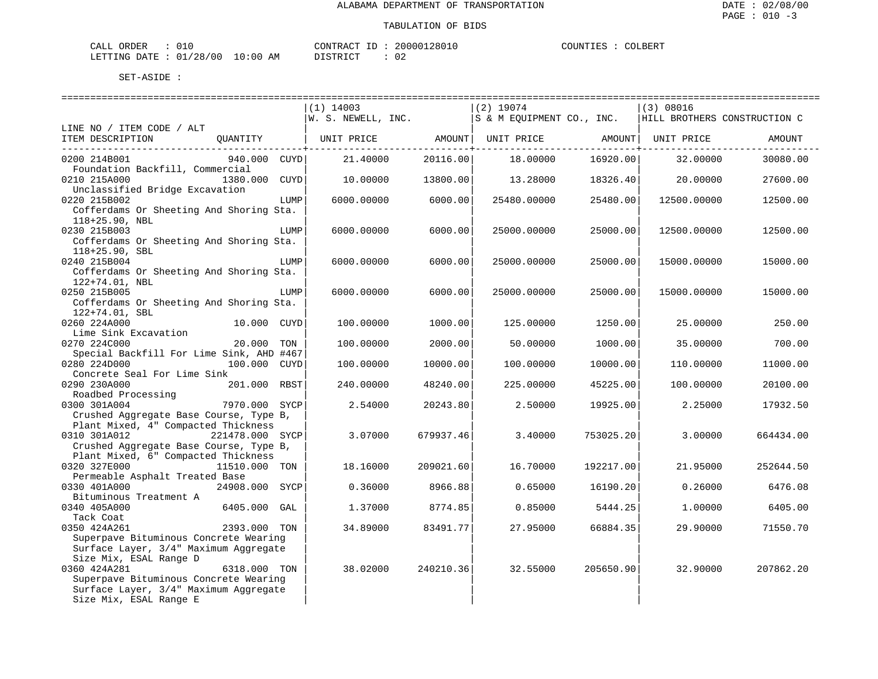| ORDER<br>CALI          | --       |                | CONTRACT<br>ΤĽ        | `12801เ<br>. UUUU. | COUNTIES | COLBERT |
|------------------------|----------|----------------|-----------------------|--------------------|----------|---------|
| <b>DATE</b><br>LETTING | 01/28/00 | LO : 0 C<br>ΑM | י פידים דרים<br>----- | ∩ ∩<br>υz          |          |         |

|                                          |                 |      | $(1)$ 14003                   |           | $(2)$ 19074               |           | (3) 08016                    |               |
|------------------------------------------|-----------------|------|-------------------------------|-----------|---------------------------|-----------|------------------------------|---------------|
|                                          |                 |      | $\mathsf{W.~S.~NEWELL,~INC.}$ |           | S & M EOUIPMENT CO., INC. |           | HILL BROTHERS CONSTRUCTION C |               |
| LINE NO / ITEM CODE / ALT                |                 |      |                               |           |                           |           |                              |               |
| ITEM DESCRIPTION                         | OUANTITY        |      | UNIT PRICE                    | AMOUNT    | UNIT PRICE AMOUNT         |           | UNIT PRICE                   | <b>AMOUNT</b> |
|                                          |                 |      |                               |           |                           |           |                              |               |
| 0200 214B001                             | 940.000 CUYD    |      | 21,40000                      | 20116.00  | 18.00000                  | 16920.00  | 32.00000                     | 30080.00      |
| Foundation Backfill, Commercial          |                 |      |                               |           |                           |           |                              |               |
| 0210 215A000                             | 1380.000        | CUYD | 10.00000                      | 13800.00  | 13,28000                  | 18326.40  | 20,00000                     | 27600.00      |
| Unclassified Bridge Excavation           |                 |      |                               |           |                           |           |                              |               |
| 0220 215B002                             |                 | LUMP | 6000.00000                    | 6000.00   | 25480.00000               | 25480.00  | 12500.00000                  | 12500.00      |
| Cofferdams Or Sheeting And Shoring Sta.  |                 |      |                               |           |                           |           |                              |               |
| 118+25.90, NBL                           |                 |      |                               |           |                           |           |                              |               |
| 0230 215B003                             |                 | LUMP | 6000.00000                    | 6000.00   | 25000.00000               | 25000.00  | 12500.00000                  | 12500.00      |
| Cofferdams Or Sheeting And Shoring Sta.  |                 |      |                               |           |                           |           |                              |               |
| $118+25.90$ , SBL                        |                 |      |                               |           |                           |           |                              |               |
| 0240 215B004                             |                 | LUMP | 6000.00000                    | 6000.00   | 25000.00000               | 25000.00  | 15000.00000                  | 15000.00      |
| Cofferdams Or Sheeting And Shoring Sta.  |                 |      |                               |           |                           |           |                              |               |
| 122+74.01, NBL                           |                 |      |                               |           |                           |           |                              |               |
| 0250 215B005                             |                 | LUMP | 6000.00000                    | 6000.00   | 25000.00000               | 25000.00  | 15000.00000                  | 15000.00      |
| Cofferdams Or Sheeting And Shoring Sta.  |                 |      |                               |           |                           |           |                              |               |
| 122+74.01, SBL                           |                 |      |                               |           |                           |           |                              |               |
| 0260 224A000                             | 10.000 CUYD     |      | 100.00000                     | 1000.00   | 125.00000                 | 1250.00   | 25.00000                     | 250.00        |
| Lime Sink Excavation                     |                 |      |                               |           |                           |           |                              |               |
| 0270 224C000                             | 20.000          | TON  | 100.00000                     | 2000.00   | 50.00000                  | 1000.00   | 35.00000                     | 700.00        |
| Special Backfill For Lime Sink, AHD #467 |                 |      |                               |           |                           |           |                              |               |
| 0280 224D000                             | 100.000 CUYD    |      | 100.00000                     | 10000.00  | 100.00000                 | 10000.00  | 110.00000                    | 11000.00      |
| Concrete Seal For Lime Sink              |                 |      |                               |           |                           |           |                              |               |
| 0290 230A000                             | 201.000 RBST    |      | 240.00000                     | 48240.00  | 225.00000                 | 45225.00  | 100.00000                    | 20100.00      |
| Roadbed Processing                       |                 |      |                               |           |                           |           |                              |               |
| 0300 301A004                             | 7970.000 SYCP   |      | 2.54000                       | 20243.80  | 2.50000                   | 19925.00  | 2.25000                      | 17932.50      |
| Crushed Aggregate Base Course, Type B,   |                 |      |                               |           |                           |           |                              |               |
| Plant Mixed, 4" Compacted Thickness      |                 |      |                               |           |                           |           |                              |               |
| 0310 301A012                             | 221478.000 SYCP |      | 3.07000                       | 679937.46 | 3.40000                   | 753025.20 | 3.00000                      | 664434.00     |
| Crushed Aggregate Base Course, Type B,   |                 |      |                               |           |                           |           |                              |               |
| Plant Mixed, 6" Compacted Thickness      |                 |      |                               |           |                           |           |                              |               |
| 0320 327E000                             | 11510.000 TON   |      | 18.16000                      | 209021.60 | 16.70000                  | 192217.00 | 21.95000                     | 252644.50     |
| Permeable Asphalt Treated Base           |                 |      |                               |           |                           |           |                              |               |
| 0330 401A000                             | 24908.000 SYCP  |      | 0.36000                       | 8966.88   | 0.65000                   | 16190.20  | 0.26000                      | 6476.08       |
| Bituminous Treatment A                   |                 |      |                               |           |                           |           |                              |               |
| 0340 405A000                             | 6405.000 GAL    |      | 1.37000                       | 8774.85   | 0.85000                   | 5444.25   | 1,00000                      | 6405.00       |
| Tack Coat                                |                 |      |                               |           |                           |           |                              |               |
| 0350 424A261                             | 2393.000 TON    |      | 34.89000                      | 83491.77  | 27.95000                  | 66884.35  | 29.90000                     | 71550.70      |
| Superpave Bituminous Concrete Wearing    |                 |      |                               |           |                           |           |                              |               |
| Surface Layer, 3/4" Maximum Aggregate    |                 |      |                               |           |                           |           |                              |               |
| Size Mix, ESAL Range D                   |                 |      |                               |           |                           |           |                              |               |
| 0360 424A281                             | 6318.000 TON    |      | 38.02000                      | 240210.36 | 32.55000                  | 205650.90 | 32.90000                     | 207862.20     |
| Superpave Bituminous Concrete Wearing    |                 |      |                               |           |                           |           |                              |               |
| Surface Layer, 3/4" Maximum Aggregate    |                 |      |                               |           |                           |           |                              |               |
| Size Mix, ESAL Range E                   |                 |      |                               |           |                           |           |                              |               |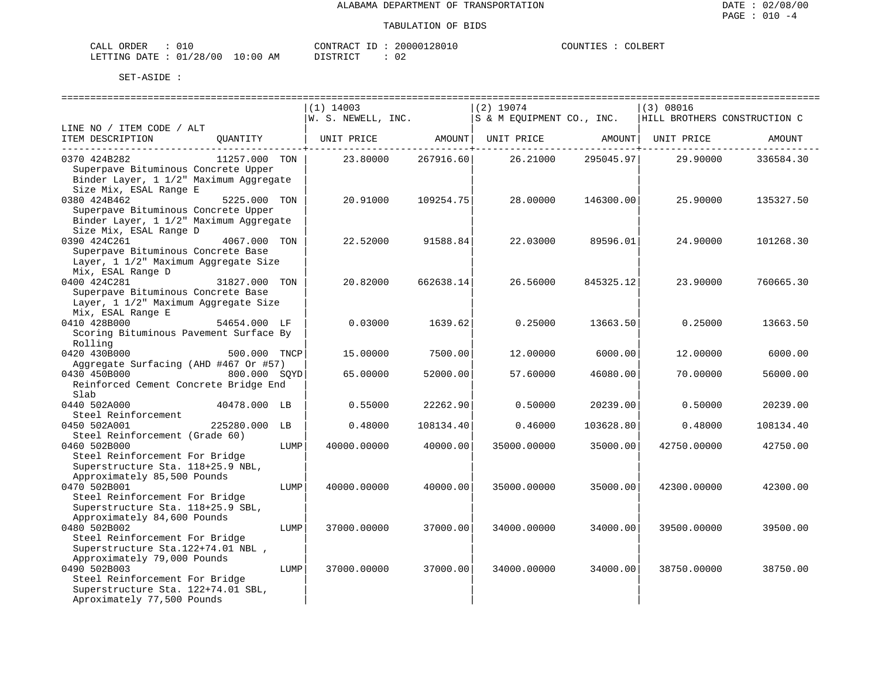| CALL ORDER                      |  | CONTRACT ID: 20000128010 |  | COUNTIES : | COLBERT |
|---------------------------------|--|--------------------------|--|------------|---------|
| LETTING DATE: 01/28/00 10:00 AM |  | DISTRICT                 |  |            |         |

|                                             |               |      | $(1)$ 14003        |           | $(2)$ 19074               |           | (3) 08016                    |           |
|---------------------------------------------|---------------|------|--------------------|-----------|---------------------------|-----------|------------------------------|-----------|
|                                             |               |      | W. S. NEWELL, INC. |           | S & M EOUIPMENT CO., INC. |           | HILL BROTHERS CONSTRUCTION C |           |
| LINE NO / ITEM CODE / ALT                   |               |      |                    |           |                           |           |                              |           |
| ITEM DESCRIPTION                            | OUANTITY      |      | UNIT PRICE         | AMOUNT    | UNIT PRICE                | AMOUNT    | UNIT PRICE                   | AMOUNT    |
| 0370 424B282                                | 11257.000 TON |      | 23.80000           | 267916.60 | 26.21000                  | 295045.97 | 29.90000                     | 336584.30 |
| Superpave Bituminous Concrete Upper         |               |      |                    |           |                           |           |                              |           |
| Binder Layer, 1 1/2" Maximum Aggregate      |               |      |                    |           |                           |           |                              |           |
| Size Mix, ESAL Range E                      |               |      |                    |           |                           |           |                              |           |
| 0380 424B462                                | 5225.000 TON  |      | 20.91000           | 109254.75 | 28.00000                  | 146300.00 | 25.90000                     | 135327.50 |
| Superpave Bituminous Concrete Upper         |               |      |                    |           |                           |           |                              |           |
| Binder Layer, 1 1/2" Maximum Aggregate      |               |      |                    |           |                           |           |                              |           |
| Size Mix, ESAL Range D                      |               |      |                    |           |                           |           |                              |           |
| 0390 424C261                                | 4067.000 TON  |      | 22.52000           | 91588.84  | 22.03000                  | 89596.01  | 24.90000                     | 101268.30 |
| Superpave Bituminous Concrete Base          |               |      |                    |           |                           |           |                              |           |
| Layer, 1 1/2" Maximum Aggregate Size        |               |      |                    |           |                           |           |                              |           |
| Mix, ESAL Range D                           |               |      |                    |           |                           |           |                              |           |
| 0400 424C281                                | 31827.000 TON |      | 20.82000           | 662638.14 | 26.56000                  | 845325.12 | 23.90000                     | 760665.30 |
| Superpave Bituminous Concrete Base          |               |      |                    |           |                           |           |                              |           |
| Layer, 1 1/2" Maximum Aggregate Size        |               |      |                    |           |                           |           |                              |           |
| Mix, ESAL Range E                           |               |      |                    |           |                           |           |                              |           |
| 0410 428B000                                | 54654.000 LF  |      | 0.03000            | 1639.62   | 0.25000                   | 13663.50  | 0.25000                      | 13663.50  |
| Scoring Bituminous Pavement Surface By      |               |      |                    |           |                           |           |                              |           |
| Rolling<br>0420 430B000                     |               |      |                    |           |                           |           |                              |           |
| Aggregate Surfacing (AHD #467 Or #57)       | 500.000 TNCP  |      | 15.00000           | 7500.00   | 12.00000                  | 6000.00   | 12.00000                     | 6000.00   |
| 0430 450B000                                | 800.000 SOYD  |      | 65.00000           | 52000.00  | 57.60000                  | 46080.00  | 70.00000                     | 56000.00  |
| Reinforced Cement Concrete Bridge End       |               |      |                    |           |                           |           |                              |           |
| Slab                                        |               |      |                    |           |                           |           |                              |           |
| 0440 502A000                                | 40478.000 LB  |      | 0.55000            | 22262.90  | 0.50000                   | 20239.00  | 0.50000                      | 20239.00  |
| Steel Reinforcement                         |               |      |                    |           |                           |           |                              |           |
| 0450 502A001                                | 225280.000    | LB   | 0.48000            | 108134.40 | 0.46000                   | 103628.80 | 0.48000                      | 108134.40 |
| Steel Reinforcement (Grade 60)              |               |      |                    |           |                           |           |                              |           |
| 0460 502B000                                |               | LUMP | 40000.00000        | 40000.00  | 35000.00000               | 35000.00  | 42750.00000                  | 42750.00  |
| Steel Reinforcement For Bridge              |               |      |                    |           |                           |           |                              |           |
| Superstructure Sta. 118+25.9 NBL,           |               |      |                    |           |                           |           |                              |           |
| Approximately 85,500 Pounds                 |               |      |                    |           |                           |           |                              |           |
| 0470 502B001                                |               | LUMP | 40000.00000        | 40000.00  | 35000.00000               | 35000.00  | 42300.00000                  | 42300.00  |
| Steel Reinforcement For Bridge              |               |      |                    |           |                           |           |                              |           |
| Superstructure Sta. 118+25.9 SBL,           |               |      |                    |           |                           |           |                              |           |
| Approximately 84,600 Pounds                 |               |      |                    |           |                           |           |                              |           |
| 0480 502B002                                |               | LUMP | 37000.00000        | 37000.00  | 34000.00000               | 34000.00  | 39500.00000                  | 39500.00  |
| Steel Reinforcement For Bridge              |               |      |                    |           |                           |           |                              |           |
| Superstructure Sta. 122+74.01 NBL,          |               |      |                    |           |                           |           |                              |           |
| Approximately 79,000 Pounds<br>0490 502B003 |               | LUMP | 37000.00000        | 37000.00  | 34000.00000               | 34000.00  | 38750.00000                  | 38750.00  |
| Steel Reinforcement For Bridge              |               |      |                    |           |                           |           |                              |           |
| Superstructure Sta. 122+74.01 SBL,          |               |      |                    |           |                           |           |                              |           |
| Aproximately 77,500 Pounds                  |               |      |                    |           |                           |           |                              |           |
|                                             |               |      |                    |           |                           |           |                              |           |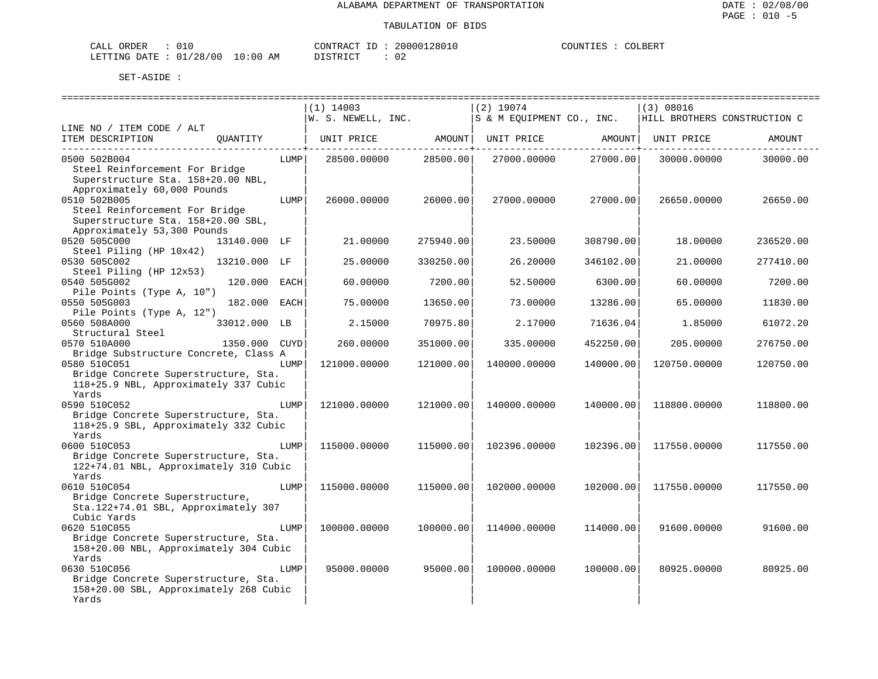| CALL ORDER                      | 01 በ |          | CONTRACT ID: 20000128010 | COUNTIES : | COLBERT |
|---------------------------------|------|----------|--------------------------|------------|---------|
| LETTING DATE: 01/28/00 10:00 AM |      | DISTRICT |                          |            |         |

|                                               |               |      | $(1)$ 14003        |           | $(2)$ 19074               |                                  | (3) 08016                    |           |
|-----------------------------------------------|---------------|------|--------------------|-----------|---------------------------|----------------------------------|------------------------------|-----------|
|                                               |               |      | W. S. NEWELL, INC. |           | S & M EOUIPMENT CO., INC. |                                  | HILL BROTHERS CONSTRUCTION C |           |
| LINE NO / ITEM CODE / ALT<br>ITEM DESCRIPTION | OUANTITY      |      | UNIT PRICE         | AMOUNT    | UNIT PRICE                | AMOUNT                           | UNIT PRICE                   | AMOUNT    |
| 0500 502B004                                  |               | LUMP |                    | 28500.00  |                           | ____________________<br>27000.00 |                              | 30000.00  |
| Steel Reinforcement For Bridge                |               |      | 28500.00000        |           | 27000.00000               |                                  | 30000.00000                  |           |
| Superstructure Sta. 158+20.00 NBL,            |               |      |                    |           |                           |                                  |                              |           |
| Approximately 60,000 Pounds                   |               |      |                    |           |                           |                                  |                              |           |
| 0510 502B005                                  |               | LUMP | 26000.00000        | 26000.00  | 27000.00000               | 27000.00                         | 26650.00000                  | 26650.00  |
| Steel Reinforcement For Bridge                |               |      |                    |           |                           |                                  |                              |           |
| Superstructure Sta. 158+20.00 SBL,            |               |      |                    |           |                           |                                  |                              |           |
| Approximately 53,300 Pounds                   |               |      |                    |           |                           |                                  |                              |           |
| 0520 505C000                                  | 13140.000 LF  |      | 21.00000           | 275940.00 | 23.50000                  | 308790.00                        | 18.00000                     | 236520.00 |
| Steel Piling (HP 10x42)                       |               |      |                    |           |                           |                                  |                              |           |
| 0530 505C002                                  | 13210.000 LF  |      | 25.00000           | 330250.00 | 26.20000                  | 346102.00                        | 21.00000                     | 277410.00 |
| Steel Piling (HP 12x53)                       |               |      |                    |           |                           |                                  |                              |           |
| 0540 505G002                                  | 120.000 EACH  |      | 60.00000           | 7200.00   | 52.50000                  | 6300.00                          | 60.00000                     | 7200.00   |
| Pile Points (Type A, 10")                     |               |      |                    |           |                           |                                  |                              |           |
| 0550 505G003                                  | 182.000 EACH  |      | 75.00000           | 13650.00  | 73.00000                  | 13286.00                         | 65.00000                     | 11830.00  |
| Pile Points (Type A, 12")                     |               |      |                    |           |                           |                                  |                              |           |
| 0560 508A000                                  | 33012.000 LB  |      | 2.15000            | 70975.80  | 2.17000                   | 71636.04                         | 1.85000                      | 61072.20  |
| Structural Steel                              |               |      |                    |           |                           |                                  |                              |           |
| 0570 510A000                                  | 1350.000 CUYD |      | 260.00000          | 351000.00 | 335.00000                 | 452250.00                        | 205.00000                    | 276750.00 |
| Bridge Substructure Concrete, Class A         |               |      |                    |           |                           |                                  |                              |           |
| 0580 510C051                                  |               | LUMP | 121000.00000       | 121000.00 | 140000.00000              | 140000.00                        | 120750.00000                 | 120750.00 |
| Bridge Concrete Superstructure, Sta.          |               |      |                    |           |                           |                                  |                              |           |
| 118+25.9 NBL, Approximately 337 Cubic         |               |      |                    |           |                           |                                  |                              |           |
| Yards                                         |               |      |                    |           |                           |                                  |                              |           |
| 0590 510C052                                  |               | LUMP | 121000.00000       | 121000.00 | 140000.00000              | 140000.00                        | 118800.00000                 | 118800.00 |
| Bridge Concrete Superstructure, Sta.          |               |      |                    |           |                           |                                  |                              |           |
| 118+25.9 SBL, Approximately 332 Cubic         |               |      |                    |           |                           |                                  |                              |           |
| Yards                                         |               |      |                    |           |                           |                                  |                              |           |
| 0600 510C053                                  |               | LUMP | 115000.00000       | 115000.00 | 102396.00000              | 102396.00                        | 117550.00000                 | 117550.00 |
| Bridge Concrete Superstructure, Sta.          |               |      |                    |           |                           |                                  |                              |           |
| 122+74.01 NBL, Approximately 310 Cubic        |               |      |                    |           |                           |                                  |                              |           |
| Yards                                         |               |      |                    |           |                           |                                  |                              |           |
| 0610 510C054                                  |               | LUMP | 115000.00000       | 115000.00 | 102000.00000              | 102000.00                        | 117550.00000                 | 117550.00 |
| Bridge Concrete Superstructure,               |               |      |                    |           |                           |                                  |                              |           |
| Sta.122+74.01 SBL, Approximately 307          |               |      |                    |           |                           |                                  |                              |           |
| Cubic Yards                                   |               |      |                    |           |                           |                                  |                              |           |
| 0620 510C055                                  |               | LUMP | 100000.00000       | 100000.00 | 114000.00000              | 114000.00                        | 91600.00000                  | 91600.00  |
| Bridge Concrete Superstructure, Sta.          |               |      |                    |           |                           |                                  |                              |           |
| 158+20.00 NBL, Approximately 304 Cubic        |               |      |                    |           |                           |                                  |                              |           |
| Yards                                         |               |      |                    |           |                           |                                  |                              |           |
| 0630 510C056                                  |               | LUMP | 95000.00000        | 95000.00  | 100000.00000              | 100000.00                        | 80925.00000                  | 80925.00  |
| Bridge Concrete Superstructure, Sta.          |               |      |                    |           |                           |                                  |                              |           |
| 158+20.00 SBL, Approximately 268 Cubic        |               |      |                    |           |                           |                                  |                              |           |
| Yards                                         |               |      |                    |           |                           |                                  |                              |           |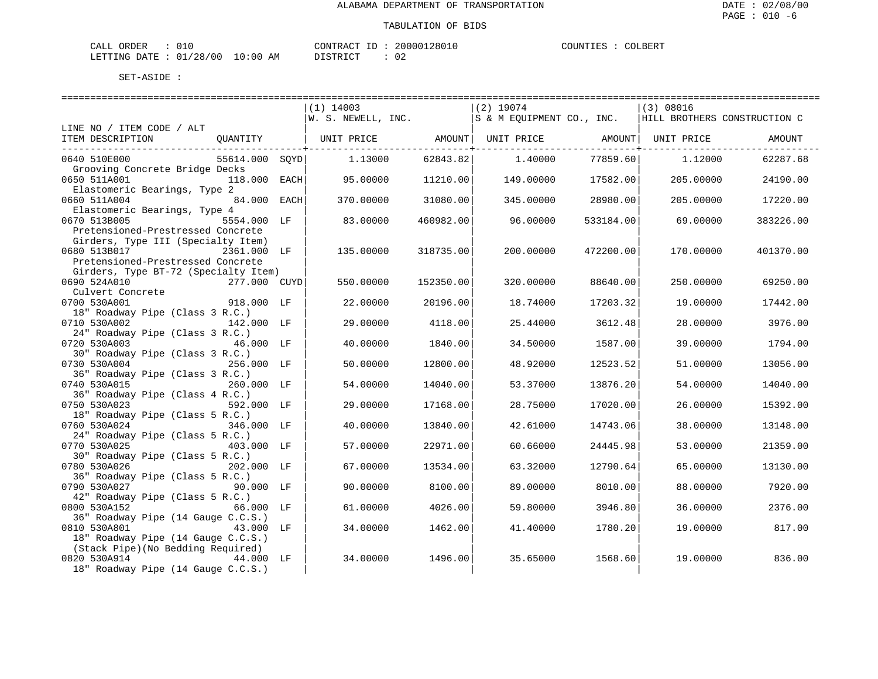| CALI<br>DRDER                 | --       |    | CONTRACT<br>TD.  | ՝ 2801ե<br>20000. | COUNTIF<br>. TRZ | COLBERT |
|-------------------------------|----------|----|------------------|-------------------|------------------|---------|
| <b>DATE</b><br><b>LETTING</b> | 01/28/00 | ΆM | ד פידים ד $\sim$ | n r<br>υz         |                  |         |

|                                                 |                | $(1)$ 14003        |           | $(2)$ 19074               |           | (3) 08016                    |           |
|-------------------------------------------------|----------------|--------------------|-----------|---------------------------|-----------|------------------------------|-----------|
|                                                 |                | W. S. NEWELL, INC. |           | S & M EQUIPMENT CO., INC. |           | HILL BROTHERS CONSTRUCTION C |           |
| LINE NO / ITEM CODE / ALT                       |                |                    |           |                           |           |                              |           |
| ITEM DESCRIPTION                                | QUANTITY       | UNIT PRICE         | AMOUNT    | UNIT PRICE AMOUNT         |           | UNIT PRICE                   | AMOUNT    |
| 0640 510E000                                    | 55614.000 SQYD | 1.13000            | 62843.82  | 1,40000                   | 77859.60  | 1,12000                      | 62287.68  |
| Grooving Concrete Bridge Decks                  |                |                    |           |                           |           |                              |           |
| 0650 511A001                                    | 118.000 EACH   | 95.00000           | 11210.00  | 149.00000                 | 17582.00  | 205,00000                    | 24190.00  |
| Elastomeric Bearings, Type 2                    |                |                    |           |                           |           |                              |           |
| 0660 511A004                                    | 84.000 EACH    | 370.00000          | 31080.00  | 345,00000                 | 28980.00  | 205.00000                    | 17220.00  |
| Elastomeric Bearings, Type 4                    |                |                    |           |                           |           |                              |           |
| 0670 513B005                                    | 5554.000 LF    | 83.00000           | 460982.00 | 96.00000                  | 533184.00 | 69.00000                     | 383226.00 |
| Pretensioned-Prestressed Concrete               |                |                    |           |                           |           |                              |           |
| Girders, Type III (Specialty Item)              |                |                    |           |                           |           |                              |           |
| 0680 513B017                                    | 2361.000 LF    | 135.00000          | 318735.00 | 200,00000                 | 472200.00 | 170.00000                    | 401370.00 |
| Pretensioned-Prestressed Concrete               |                |                    |           |                           |           |                              |           |
| Girders, Type BT-72 (Specialty Item)            |                |                    |           |                           |           |                              |           |
| 0690 524A010<br>277.000 CUYD                    |                | 550.00000          | 152350.00 | 320.00000                 | 88640.00  | 250.00000                    | 69250.00  |
| Culvert Concrete                                |                |                    |           |                           |           |                              |           |
| 918.000 LF<br>0700 530A001                      |                | 22.00000           | 20196.00  | 18.74000                  | 17203.32  | 19.00000                     | 17442.00  |
| 18" Roadway Pipe (Class 3 R.C.)                 |                |                    |           |                           |           |                              |           |
| 0710 530A002                                    | 142.000 LF     | 29.00000           | 4118.00   | 25.44000                  | 3612.48   | 28.00000                     | 3976.00   |
| 24" Roadway Pipe (Class 3 R.C.)<br>0720 530A003 | 46.000 LF      | 40.00000           | 1840.00   | 34.50000                  | 1587.00   | 39.00000                     | 1794.00   |
| 30" Roadway Pipe (Class 3 R.C.)                 |                |                    |           |                           |           |                              |           |
| 0730 530A004                                    | 256.000 LF     | 50.00000           | 12800.00  | 48.92000                  | 12523.52  | 51.00000                     | 13056.00  |
| 36" Roadway Pipe (Class 3 R.C.)                 |                |                    |           |                           |           |                              |           |
| 0740 530A015                                    | 260.000 LF     | 54.00000           | 14040.00  | 53.37000                  | 13876.20  | 54.00000                     | 14040.00  |
| 36" Roadway Pipe (Class 4 R.C.)                 |                |                    |           |                           |           |                              |           |
| 0750 530A023                                    | 592.000 LF     | 29,00000           | 17168.00  | 28.75000                  | 17020.00  | 26.00000                     | 15392.00  |
| 18" Roadway Pipe (Class 5 R.C.)                 |                |                    |           |                           |           |                              |           |
| 0760 530A024                                    | 346.000 LF     | 40.00000           | 13840.00  | 42.61000                  | 14743.06  | 38.00000                     | 13148.00  |
| 24" Roadway Pipe (Class 5 R.C.)                 |                |                    |           |                           |           |                              |           |
| 0770 530A025                                    | 403.000 LF     | 57.00000           | 22971.00  | 60.66000                  | 24445.98  | 53.00000                     | 21359.00  |
| 30" Roadway Pipe (Class 5 R.C.)                 |                |                    |           |                           |           |                              |           |
| 0780 530A026                                    | 202.000 LF     | 67.00000           | 13534.00  | 63.32000                  | 12790.64  | 65.00000                     | 13130.00  |
| 36" Roadway Pipe (Class 5 R.C.)                 |                |                    |           |                           |           |                              |           |
| 0790 530A027                                    | 90.000 LF      | 90.00000           | 8100.00   | 89.00000                  | 8010.00   | 88,00000                     | 7920.00   |
| 42" Roadway Pipe (Class 5 R.C.)                 |                |                    |           |                           |           |                              |           |
| 0800 530A152                                    | 66.000 LF      | 61.00000           | 4026.00   | 59.80000                  | 3946.80   | 36.00000                     | 2376.00   |
| 36" Roadway Pipe (14 Gauge C.C.S.)              |                |                    |           |                           |           |                              |           |
| 0810 530A801                                    | 43.000<br>LF   | 34.00000           | 1462.00   | 41.40000                  | 1780.20   | 19.00000                     | 817.00    |
| 18" Roadway Pipe (14 Gauge C.C.S.)              |                |                    |           |                           |           |                              |           |
| (Stack Pipe) (No Bedding Required)              |                |                    |           |                           |           |                              |           |
| 0820 530A914                                    | 44.000 LF      | 34.00000           | 1496.00   | 35.65000                  | 1568.60   | 19.00000                     | 836.00    |
| 18" Roadway Pipe (14 Gauge C.C.S.)              |                |                    |           |                           |           |                              |           |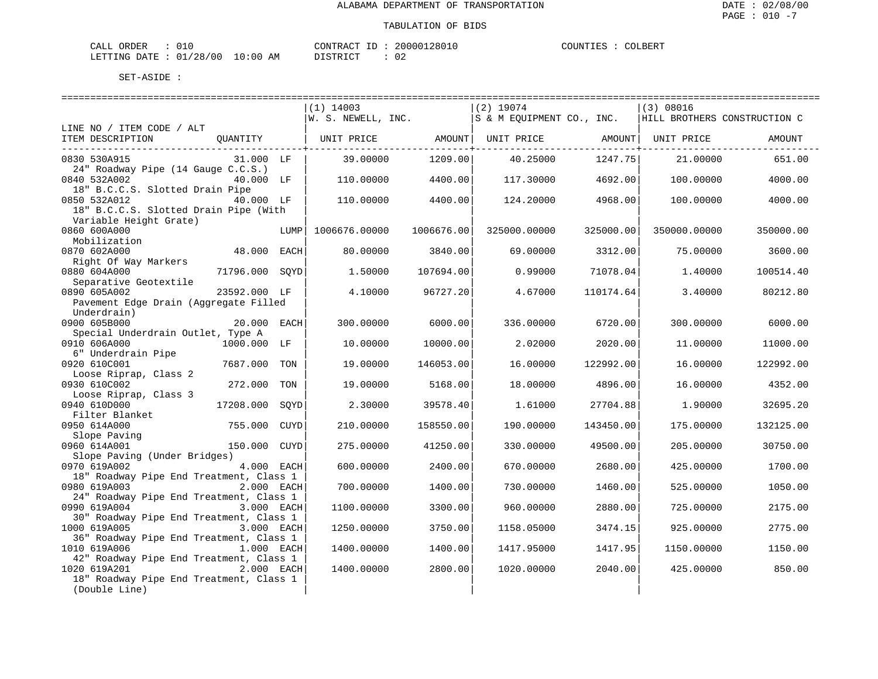| CALI<br>DRDER                 | --       |    | CONTRACT<br>TD.  | ՝ 2801ե<br>20000. | COUNTIF<br>. TRZ | COLBERT |
|-------------------------------|----------|----|------------------|-------------------|------------------|---------|
| <b>DATE</b><br><b>LETTING</b> | 01/28/00 | ΆM | ד פידים ד $\sim$ | n r<br>υz         |                  |         |

|                                              |                |             | ============================ |               |                                |           |                              |           |
|----------------------------------------------|----------------|-------------|------------------------------|---------------|--------------------------------|-----------|------------------------------|-----------|
|                                              |                |             | $(1)$ 14003                  |               | $(2)$ 19074                    |           | (3) 08016                    |           |
|                                              |                |             | W. S. NEWELL, INC.           |               | S & M EQUIPMENT CO., INC.      |           | HILL BROTHERS CONSTRUCTION C |           |
| LINE NO / ITEM CODE / ALT                    |                |             |                              |               |                                |           |                              |           |
| ITEM DESCRIPTION                             | OUANTITY       |             | UNIT PRICE AMOUNT            |               | UNIT PRICE AMOUNT   UNIT PRICE |           |                              | AMOUNT    |
|                                              |                |             |                              | ------------+ |                                |           |                              |           |
| 0830 530A915                                 | 31.000 LF      |             | 39.00000                     | 1209.00       | 40.25000                       | 1247.75   | 21.00000                     | 651.00    |
| 24" Roadway Pipe (14 Gauge C.C.S.)           |                |             |                              |               |                                |           |                              |           |
| 0840 532A002                                 | 40.000 LF      |             | 110.00000                    | 4400.00       | 117.30000                      | 4692.00   | 100.00000                    | 4000.00   |
| 18" B.C.C.S. Slotted Drain Pipe              |                |             |                              |               |                                |           |                              |           |
| 0850 532A012                                 | 40.000 LF      |             | 110.00000                    | 4400.00       | 124.20000                      | 4968.00   | 100.00000                    | 4000.00   |
| 18" B.C.C.S. Slotted Drain Pipe (With        |                |             |                              |               |                                |           |                              |           |
| Variable Height Grate)                       |                |             |                              |               |                                |           |                              |           |
| 0860 600A000                                 |                | LUMP        | 1006676.00000                | 1006676.00    | 325000.00000                   | 325000.00 | 350000.00000                 | 350000.00 |
| Mobilization                                 |                |             |                              |               |                                |           |                              |           |
| 0870 602A000                                 | 48.000 EACH    |             | 80,00000                     | 3840.00       | 69.00000                       | 3312.00   | 75.00000                     | 3600.00   |
| Right Of Way Markers                         |                |             |                              |               |                                |           |                              |           |
| 0880 604A000                                 | 71796.000 SOYD |             | 1,50000                      | 107694.00     | 0.99000                        | 71078.04  | 1.40000                      | 100514.40 |
| Separative Geotextile                        |                |             |                              |               |                                |           |                              |           |
| 0890 605A002                                 | 23592.000 LF   |             | 4.10000                      | 96727.20      | 4.67000                        | 110174.64 | 3.40000                      | 80212.80  |
| Pavement Edge Drain (Aggregate Filled        |                |             |                              |               |                                |           |                              |           |
| Underdrain)                                  |                |             |                              |               |                                |           |                              |           |
| 0900 605B000                                 | 20.000 EACH    |             | 300.00000                    | 6000.00       | 336.00000                      | 6720.00   | 300.00000                    | 6000.00   |
| Special Underdrain Outlet, Type A            |                |             |                              |               |                                |           |                              |           |
| 0910 606A000                                 | 1000.000 LF    |             | 10.00000                     | 10000.00      | 2.02000                        | 2020.00   | 11,00000                     | 11000.00  |
| 6" Underdrain Pipe                           |                |             |                              |               |                                |           |                              |           |
| 0920 610C001                                 | 7687.000       | TON         | 19.00000                     | 146053.00     | 16.00000                       | 122992.00 | 16.00000                     | 122992.00 |
| Loose Riprap, Class 2                        |                |             |                              |               |                                |           |                              |           |
| 0930 610C002                                 | 272.000        | TON         | 19.00000                     | 5168.00       | 18.00000                       | 4896.00   | 16.00000                     | 4352.00   |
| Loose Riprap, Class 3                        |                |             |                              |               |                                |           |                              |           |
| 0940 610D000                                 | 17208.000      | SOYD        | 2.30000                      | 39578.40      | 1.61000                        | 27704.88  | 1.90000                      | 32695.20  |
| Filter Blanket                               |                |             |                              |               |                                |           |                              |           |
| 0950 614A000                                 | 755.000        | <b>CUYD</b> | 210.00000                    | 158550.00     | 190.00000                      | 143450.00 | 175.00000                    | 132125.00 |
| Slope Paving                                 |                |             |                              |               |                                |           |                              |           |
| 0960 614A001<br>Slope Paving (Under Bridges) | 150.000        | CUYD        | 275,00000                    | 41250.00      | 330.00000                      | 49500.00  | 205,00000                    | 30750.00  |
| 0970 619A002                                 | 4.000 EACH     |             | 600.00000                    | 2400.00       | 670.00000                      | 2680.00   | 425.00000                    | 1700.00   |
| 18" Roadway Pipe End Treatment, Class 1      |                |             |                              |               |                                |           |                              |           |
| 0980 619A003                                 | 2.000 EACH     |             | 700.00000                    | 1400.00       | 730.00000                      | 1460.00   | 525.00000                    | 1050.00   |
| 24" Roadway Pipe End Treatment, Class 1      |                |             |                              |               |                                |           |                              |           |
| 0990 619A004                                 | 3.000 EACH     |             | 1100.00000                   | 3300.00       | 960.00000                      | 2880.00   | 725.00000                    | 2175.00   |
| 30" Roadway Pipe End Treatment, Class 1      |                |             |                              |               |                                |           |                              |           |
| 1000 619A005                                 | 3.000 EACH     |             | 1250.00000                   | 3750.00       | 1158.05000                     | 3474.15   | 925.00000                    | 2775.00   |
| 36" Roadway Pipe End Treatment, Class 1      |                |             |                              |               |                                |           |                              |           |
| 1010 619A006                                 | $1.000$ EACH   |             | 1400.00000                   | 1400.00       | 1417.95000                     | 1417.95   | 1150.00000                   | 1150.00   |
| 42" Roadway Pipe End Treatment, Class 1      |                |             |                              |               |                                |           |                              |           |
| 1020 619A201                                 | 2.000 EACH     |             | 1400.00000                   | 2800.00       | 1020.00000                     | 2040.00   | 425.00000                    | 850.00    |
| 18" Roadway Pipe End Treatment, Class 1      |                |             |                              |               |                                |           |                              |           |
| (Double Line)                                |                |             |                              |               |                                |           |                              |           |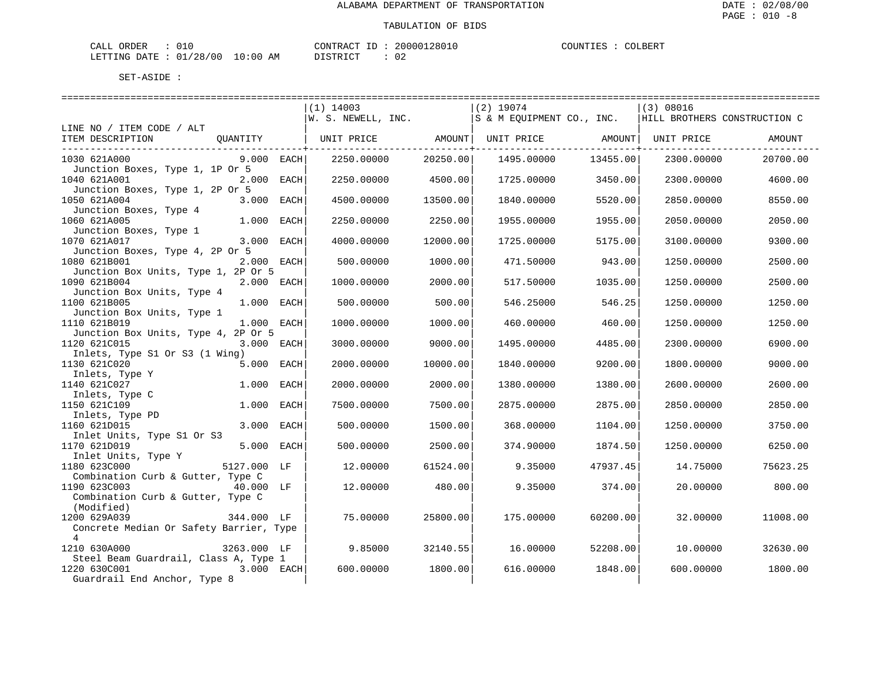| CALL ORDER                       |  | CONTRACT ID | 20000128010 | COUNTIES : | COLBERT |
|----------------------------------|--|-------------|-------------|------------|---------|
| LETTING DATE : 01/28/00 10:00 AM |  | DISTRICT    | 02          |            |         |

|                                                                       | $(1)$ 14003<br>$ W. S. NEWELL, INC.$ $ S \& M EUUPMENT CO. NUC.$ HILL BROTHERS CONSTRUCTION C |          | $(2)$ 19074 |          | $ (3)$ 08016 |          |
|-----------------------------------------------------------------------|-----------------------------------------------------------------------------------------------|----------|-------------|----------|--------------|----------|
| LINE NO / ITEM CODE / ALT                                             |                                                                                               |          |             |          |              |          |
| ITEM DESCRIPTION<br>OUANTITY<br>_____________________________         | UNIT PRICE AMOUNT  UNIT PRICE AMOUNT  UNIT PRICE                                              |          |             |          |              | AMOUNT   |
| 1030 621A000<br>$9.000$ EACH<br>Junction Boxes, Type 1, 1P Or 5       | 2250.00000                                                                                    | 20250.00 | 1495.00000  | 13455.00 | 2300.00000   | 20700.00 |
| 1040 621A001<br>2.000 EACH<br>Junction Boxes, Type 1, 2P Or 5         | 2250.00000                                                                                    | 4500.00  | 1725.00000  | 3450.00  | 2300.00000   | 4600.00  |
| 1050 621A004<br>3.000 EACH<br>Junction Boxes, Type 4                  | 4500.00000                                                                                    | 13500.00 | 1840.00000  | 5520.00  | 2850.00000   | 8550.00  |
| 1.000 EACH<br>1060 621A005<br>Junction Boxes, Type 1                  | 2250.00000                                                                                    | 2250.00  | 1955.00000  | 1955.00  | 2050.00000   | 2050.00  |
| 1070 621A017<br>3.000 EACH<br>Junction Boxes, Type 4, 2P Or 5         | 4000.00000                                                                                    | 12000.00 | 1725.00000  | 5175.00  | 3100.00000   | 9300.00  |
| 2.000 EACH<br>1080 621B001<br>Junction Box Units, Type 1, 2P Or 5     | 500.00000                                                                                     | 1000.00  | 471.50000   | 943.00   | 1250.00000   | 2500.00  |
| 1090 621B004<br>2.000 EACH<br>Junction Box Units, Type 4              | 1000.00000                                                                                    | 2000.00  | 517.50000   | 1035.00  | 1250.00000   | 2500.00  |
| 1.000 EACH<br>1100 621B005<br>Junction Box Units, Type 1              | 500.00000                                                                                     | 500.00   | 546.25000   | 546.25   | 1250.00000   | 1250.00  |
| 1.000 EACH<br>1110 621B019                                            | 1000.00000                                                                                    | 1000.00  | 460.00000   | 460.00   | 1250.00000   | 1250.00  |
| Junction Box Units, Type 4, 2P Or 5<br>1120 621C015<br>3.000 EACH     | 3000.00000                                                                                    | 9000.00  | 1495.00000  | 4485.00  | 2300.00000   | 6900.00  |
| Inlets, Type S1 Or S3 (1 Wing)<br>1130 621C020<br>5.000 EACH          | 2000.00000                                                                                    | 10000.00 | 1840.00000  | 9200.00  | 1800.00000   | 9000.00  |
| Inlets, Type Y<br>1140 621C027<br>1.000 EACH                          | 2000.00000                                                                                    | 2000.00  | 1380.00000  | 1380.00  | 2600.00000   | 2600.00  |
| 1140 621002,<br>Inlets, Type C<br>1150 621C109<br>1.000 EACH          | 7500.00000                                                                                    | 7500.00  | 2875.00000  | 2875.00  | 2850.00000   | 2850.00  |
| Inlets, Type PD<br>3.000 EACH<br>1160 621D015                         | 500.00000                                                                                     | 1500.00  | 368,00000   | 1104.00  | 1250.00000   | 3750.00  |
| Inlet Units, Type S1 Or S3<br>1170 621D019<br>5.000 EACH              | 500.00000                                                                                     | 2500.00  | 374.90000   | 1874.50  | 1250.00000   | 6250.00  |
| The Units, Type Y<br>1180 623C000 5127.000 LF<br>1180 623C000         | 12,00000                                                                                      | 61524.00 | 9.35000     | 47937.45 | 14.75000     | 75623.25 |
| Combination Curb & Gutter, Type C<br>40.000 LF<br>1190 623C003        | 12.00000                                                                                      | 480.00   | 9.35000     | 374.00   | 20.00000     | 800.00   |
| Combination Curb & Gutter, Type C<br>(Modified)                       |                                                                                               |          |             |          |              |          |
| 344.000 LF<br>1200 629A039<br>Concrete Median Or Safety Barrier, Type | 75.00000                                                                                      | 25800.00 | 175.00000   | 60200.00 | 32,00000     | 11008.00 |
| $\overline{4}$                                                        |                                                                                               |          |             |          |              |          |
| 1210 630A000<br>3263.000 LF                                           | 9.85000                                                                                       | 32140.55 | 16.00000    | 52208.00 | 10.00000     | 32630.00 |
| Steel Beam Guardrail, Class A, Type 1                                 |                                                                                               |          |             |          |              |          |
| 3.000 EACH<br>1220 630C001<br>Guardrail End Anchor, Type 8            | 600,00000                                                                                     | 1800.00  | 616.00000   | 1848.00  | 600,00000    | 1800.00  |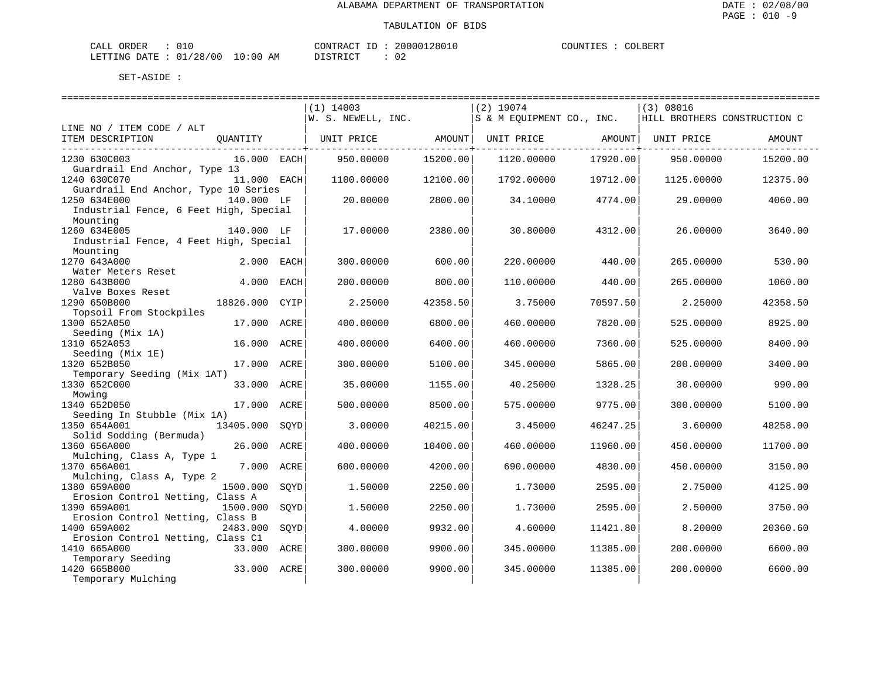| CALI<br>DRDER                 | --       |    | CONTRACT<br>TD.  | ՝ 2801ե<br>20000. | COUNTIF<br>. TRZ | COLBERT |
|-------------------------------|----------|----|------------------|-------------------|------------------|---------|
| <b>DATE</b><br><b>LETTING</b> | 01/28/00 | ΆM | ד פידים ד $\sim$ | n r<br>υz         |                  |         |

|                                             |                |      | $(1)$ 14003        |          | $(2)$ 19074               |          | (3) 08016                    |          |
|---------------------------------------------|----------------|------|--------------------|----------|---------------------------|----------|------------------------------|----------|
|                                             |                |      | W. S. NEWELL, INC. |          | S & M EQUIPMENT CO., INC. |          | HILL BROTHERS CONSTRUCTION C |          |
| LINE NO / ITEM CODE / ALT                   |                |      |                    | AMOUNT   |                           |          |                              |          |
| ITEM DESCRIPTION                            | QUANTITY       |      | UNIT PRICE         |          | UNIT PRICE AMOUNT         |          | UNIT PRICE                   | AMOUNT   |
| 1230 630C003                                | 16.000 EACH    |      | 950.00000          | 15200.00 | 1120.00000                | 17920.00 | 950.00000                    | 15200.00 |
| Guardrail End Anchor, Type 13               |                |      |                    |          |                           |          |                              |          |
| 1240 630C070                                | $11.000$ EACH  |      | 1100.00000         | 12100.00 | 1792.00000                | 19712.00 | 1125.00000                   | 12375.00 |
| Guardrail End Anchor, Type 10 Series        |                |      |                    |          |                           |          |                              |          |
| 1250 634E000<br>140.000 LF                  |                |      | 20.00000           | 2800.00  | 34.10000                  | 4774.00  | 29.00000                     | 4060.00  |
| Industrial Fence, 6 Feet High, Special      |                |      |                    |          |                           |          |                              |          |
| Mounting                                    |                |      |                    |          |                           |          |                              |          |
| 1260 634E005                                | 140.000 LF     |      | 17,00000           | 2380.00  | 30.80000                  | 4312.00  | 26,00000                     | 3640.00  |
| Industrial Fence, 4 Feet High, Special      |                |      |                    |          |                           |          |                              |          |
| Mounting                                    |                |      |                    |          |                           |          |                              |          |
| 1270 643A000                                | 2.000 EACH     |      | 300.00000          | 600.00   | 220.00000                 | 440.00   | 265.00000                    | 530.00   |
| Water Meters Reset                          |                |      |                    |          |                           |          |                              |          |
| 1280 643B000                                | 4.000 EACH     |      | 200,00000          | 800.00   | 110.00000                 | 440.00   | 265.00000                    | 1060.00  |
| Valve Boxes Reset                           |                |      |                    |          |                           |          |                              |          |
| 1290 650B000                                | 18826.000 CYIP |      | 2.25000            | 42358.50 | 3.75000                   | 70597.50 | 2.25000                      | 42358.50 |
| Topsoil From Stockpiles                     |                |      |                    |          |                           |          |                              |          |
| 1300 652A050                                | 17.000 ACRE    |      | 400.00000          | 6800.00  | 460.00000                 | 7820.00  | 525.00000                    | 8925.00  |
| Seeding (Mix 1A)                            |                |      |                    |          |                           |          |                              |          |
| 1310 652A053                                | 16.000 ACRE    |      | 400.00000          | 6400.00  | 460.00000                 | 7360.00  | 525.00000                    | 8400.00  |
| Seeding (Mix 1E)                            |                |      |                    |          |                           |          |                              |          |
| 1320 652B050                                | 17.000 ACRE    |      | 300.00000          | 5100.00  | 345.00000                 | 5865.00  | 200.00000                    | 3400.00  |
| Temporary Seeding (Mix 1AT)                 |                |      |                    |          |                           |          |                              |          |
| 1330 652C000                                | 33.000 ACRE    |      | 35.00000           | 1155.00  | 40.25000                  | 1328.25  | 30.00000                     | 990.00   |
| Mowing<br>1340 652D050                      | 17.000 ACRE    |      |                    | 8500.00  |                           | 9775.00  |                              |          |
|                                             |                |      | 500.00000          |          | 575.00000                 |          | 300,00000                    | 5100.00  |
| Seeding In Stubble (Mix 1A)<br>1350 654A001 | 13405.000 SOYD |      | 3.00000            | 40215.00 | 3.45000                   | 46247.25 | 3.60000                      | 48258.00 |
| Solid Sodding (Bermuda)                     |                |      |                    |          |                           |          |                              |          |
| 1360 656A000                                | 26.000 ACRE    |      | 400.00000          | 10400.00 | 460.00000                 | 11960.00 | 450.00000                    | 11700.00 |
| Mulching, Class A, Type 1                   |                |      |                    |          |                           |          |                              |          |
| 1370 656A001                                | 7.000 ACRE     |      | 600,00000          | 4200.00  | 690.00000                 | 4830.00  | 450.00000                    | 3150.00  |
| Mulching, Class A, Type 2                   |                |      |                    |          |                           |          |                              |          |
| 1380 659A000                                | 1500.000       | SOYD | 1.50000            | 2250.00  | 1,73000                   | 2595.00  | 2.75000                      | 4125.00  |
| Erosion Control Netting, Class A            |                |      |                    |          |                           |          |                              |          |
| 1390 659A001                                | 1500.000       | SOYD | 1.50000            | 2250.00  | 1.73000                   | 2595.00  | 2.50000                      | 3750.00  |
| Erosion Control Netting, Class B            |                |      |                    |          |                           |          |                              |          |
| 1400 659A002                                | 2483.000       | SOYD | 4.00000            | 9932.00  | 4.60000                   | 11421.80 | 8.20000                      | 20360.60 |
| Erosion Control Netting, Class C1           |                |      |                    |          |                           |          |                              |          |
| 1410 665A000                                | 33.000 ACRE    |      | 300.00000          | 9900.00  | 345.00000                 | 11385.00 | 200.00000                    | 6600.00  |
| Temporary Seeding                           |                |      |                    |          |                           |          |                              |          |
| 1420 665B000                                | 33.000 ACRE    |      | 300,00000          | 9900.00  | 345.00000                 | 11385.00 | 200.00000                    | 6600.00  |
| Temporary Mulching                          |                |      |                    |          |                           |          |                              |          |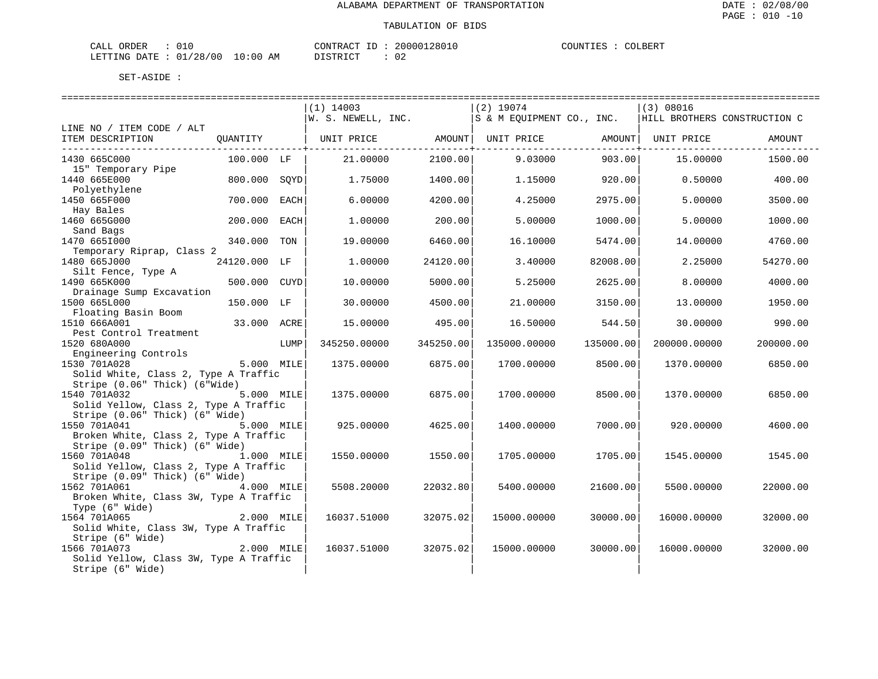| CALI<br>DRDER                 | --       |    | CONTRACT<br>TD.  | ՝ 2801ե<br>20000. | COUNTIF<br>. TRZ | COLBERT |
|-------------------------------|----------|----|------------------|-------------------|------------------|---------|
| <b>DATE</b><br><b>LETTING</b> | 01/28/00 | ΆM | ד פידים ד $\sim$ | n r<br>υz         |                  |         |

|                                                                           |                 | $(1)$ 14003                                                         |                       | $(2)$ 19074               |           | (3) 08016                    |           |
|---------------------------------------------------------------------------|-----------------|---------------------------------------------------------------------|-----------------------|---------------------------|-----------|------------------------------|-----------|
|                                                                           |                 |                                                                     | W. S. NEWELL, INC.    | S & M EQUIPMENT CO., INC. |           | HILL BROTHERS CONSTRUCTION C |           |
| LINE NO / ITEM CODE / ALT<br>ITEM DESCRIPTION                             |                 |                                                                     |                       |                           |           |                              | AMOUNT    |
|                                                                           |                 | QUANTITY   UNIT PRICE     AMOUNT  UNIT PRICE     AMOUNT  UNIT PRICE | --------------+------ |                           |           |                              |           |
| 1430 665C000                                                              | $100.000$ LF    | 21.00000                                                            | 2100.00               | 9.03000                   | 903.00    | 15.00000                     | 1500.00   |
| 15" Temporary Pipe<br>1440 665E000                                        | 800.000 SOYD    | 1.75000                                                             | 1400.00               | 1.15000                   | 920.00    | 0.50000                      | 400.00    |
| Polyethylene<br>1450 665F000                                              | 700.000<br>EACH | 6,00000                                                             | 4200.00               | 4.25000                   | 2975.00   | 5.00000                      | 3500.00   |
| Hay Bales                                                                 |                 |                                                                     |                       |                           |           |                              |           |
| 1460 665G000                                                              | 200.000<br>EACH | 1,00000                                                             | 200.00                | 5.00000                   | 1000.00   | 5.00000                      | 1000.00   |
| Sand Bags<br>1470 6651000                                                 | 340.000 TON     | 19,00000                                                            | 6460.00               | 16.10000                  | 5474.00   | 14,00000                     | 4760.00   |
| Temporary Riprap, Class 2                                                 |                 |                                                                     |                       |                           |           |                              |           |
| 1480 665J000<br>Silt Fence, Type A                                        | 24120.000 LF    | 1,00000                                                             | 24120.00              | 3.40000                   | 82008.00  | 2.25000                      | 54270.00  |
| 1490 665K000                                                              | 500.000 CUYD    | 10.00000                                                            | 5000.00               | 5.25000                   | 2625.00   | 8,00000                      | 4000.00   |
| Drainage Sump Excavation<br>1500 665L000                                  | 150.000 LF      | 30.00000                                                            | 4500.00               | 21.00000                  | 3150.00   | 13.00000                     | 1950.00   |
| Floating Basin Boom                                                       |                 |                                                                     |                       |                           |           |                              |           |
| 1510 666A001                                                              | 33.000 ACRE     | 15.00000                                                            | 495.00                | 16.50000                  | 544.50    | 30.00000                     | 990.00    |
| Pest Control Treatment<br>1520 680A000                                    | LUMP            | 345250.00000                                                        | 345250.00             | 135000.00000              | 135000.00 | 200000.00000                 | 200000.00 |
| Engineering Controls                                                      |                 |                                                                     |                       |                           |           |                              |           |
| 1530 701A028                                                              | 5.000 MILE      | 1375.00000                                                          | 6875.00               | 1700.00000                | 8500.00   | 1370.00000                   | 6850.00   |
| Solid White, Class 2, Type A Traffic<br>Stripe (0.06" Thick) (6"Wide)     |                 |                                                                     |                       |                           |           |                              |           |
| 1540 701A032                                                              | 5.000 MILE      | 1375.00000                                                          | 6875.00               | 1700.00000                | 8500.00   | 1370.00000                   | 6850.00   |
| Solid Yellow, Class 2, Type A Traffic                                     |                 |                                                                     |                       |                           |           |                              |           |
| Stripe (0.06" Thick) (6" Wide)                                            |                 |                                                                     |                       |                           |           |                              |           |
| 1550 701A041<br>Broken White, Class 2, Type A Traffic                     | 5.000 MILE      | 925.00000                                                           | 4625.00               | 1400.00000                | 7000.00   | 920.00000                    | 4600.00   |
| Stripe (0.09" Thick) (6" Wide)                                            |                 |                                                                     |                       |                           |           |                              |           |
| 1560 701A048                                                              | 1.000 MILE      | 1550.00000                                                          | 1550.00               | 1705.00000                | 1705.00   | 1545.00000                   | 1545.00   |
| Solid Yellow, Class 2, Type A Traffic                                     |                 |                                                                     |                       |                           |           |                              |           |
| Stripe (0.09" Thick) (6" Wide)<br>1562 701A061                            | 4.000 MILE      | 5508,20000                                                          | 22032.80              | 5400.00000                | 21600.00  | 5500.00000                   | 22000.00  |
| Broken White, Class 3W, Type A Traffic                                    |                 |                                                                     |                       |                           |           |                              |           |
| Type (6" Wide)                                                            |                 |                                                                     |                       |                           |           |                              |           |
| 1564 701A065                                                              | 2.000 MILE      | 16037.51000                                                         | 32075.02              | 15000.00000               | 30000.00  | 16000.00000                  | 32000.00  |
| Solid White, Class 3W, Type A Traffic<br>Solia wille,<br>Stripe (6" Wide) |                 |                                                                     |                       |                           |           |                              |           |
| 1566 701A073                                                              | 2.000 MILE      | 16037.51000                                                         | 32075.02              | 15000.00000               | 30000.00  | 16000.00000                  | 32000.00  |
| Solid Yellow, Class 3W, Type A Traffic                                    |                 |                                                                     |                       |                           |           |                              |           |
| Stripe (6" Wide)                                                          |                 |                                                                     |                       |                           |           |                              |           |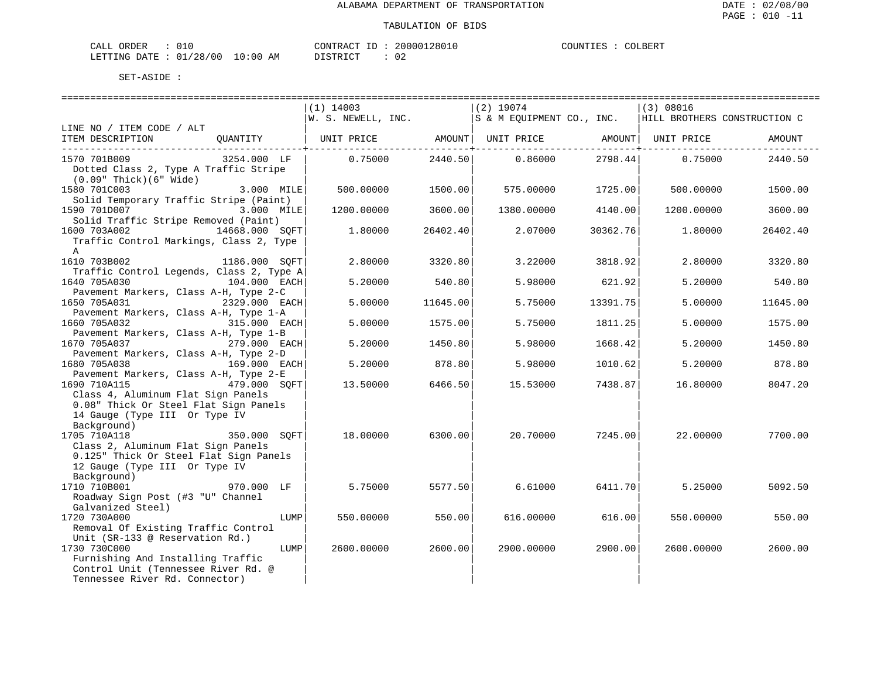| CALL ORDER |  |                                        | CONTRACT<br>. ID | 20000128010 | COUNTIES | COLBERT |
|------------|--|----------------------------------------|------------------|-------------|----------|---------|
|            |  | LETTING DATE : 01/28/00 10:00 AM<br>__ | DISTRICT         | 02          |          |         |

|                                                          |               |      | $(1)$ 14003                                                                      |          | $(2)$ 19074 |          | (3) 08016  |          |
|----------------------------------------------------------|---------------|------|----------------------------------------------------------------------------------|----------|-------------|----------|------------|----------|
|                                                          |               |      | $ w. s.$ NEWELL, INC. $ s \& M$ EQUIPMENT CO., INC. HILL BROTHERS CONSTRUCTION C |          |             |          |            |          |
| LINE NO / ITEM CODE / ALT                                |               |      |                                                                                  |          |             |          |            |          |
| ITEM DESCRIPTION                                         | QUANTITY      |      | UNIT PRICE AMOUNT   UNIT PRICE AMOUNT   UNIT PRICE                               |          |             |          |            | AMOUNT   |
| 1570 701B009                                             | 3254.000 LF   |      | 0.75000                                                                          | 2440.50  | 0.86000     | 2798.44  | 0.75000    | 2440.50  |
| Dotted Class 2, Type A Traffic Stripe                    |               |      |                                                                                  |          |             |          |            |          |
| $(0.09"$ Thick $)(6"$ Wide $)$                           |               |      |                                                                                  |          |             |          |            |          |
| 1580 701C003                                             | 3.000 MILE    |      | 500.00000                                                                        | 1500.00  | 575.00000   | 1725.00  | 500,00000  | 1500.00  |
| Solid Temporary Traffic Stripe (Paint)                   |               |      |                                                                                  |          |             |          |            |          |
| 1590 701D007                                             | 3.000 MILE    |      | 1200.00000                                                                       | 3600.00  | 1380.00000  | 4140.00  | 1200.00000 | 3600.00  |
| Solid Traffic Stripe Removed (Paint)                     |               |      |                                                                                  |          |             |          |            |          |
| 14668.000 SQFT<br>1600 703A002                           |               |      | 1.80000                                                                          | 26402.40 | 2.07000     | 30362.76 | 1,80000    | 26402.40 |
| Traffic Control Markings, Class 2, Type                  |               |      |                                                                                  |          |             |          |            |          |
| $\mathsf{A}$                                             |               |      |                                                                                  |          |             |          |            |          |
| 1610 703B002                                             | 1186.000 SOFT |      | 2.80000                                                                          | 3320.80  | 3.22000     | 3818.92  | 2.80000    | 3320.80  |
|                                                          |               |      |                                                                                  |          |             |          |            |          |
| Traffic Control Legends, Class 2, Type A<br>1640 705A030 | 104.000 EACH  |      | 5.20000                                                                          | 540.80   | 5.98000     | 621.92   | 5.20000    | 540.80   |
| Pavement Markers, Class A-H, Type 2-C                    |               |      |                                                                                  |          |             |          |            |          |
| 1650 705A031                                             | 2329.000 EACH |      | 5.00000                                                                          | 11645.00 | 5.75000     | 13391.75 | 5.00000    | 11645.00 |
| Pavement Markers, Class A-H, Type 1-A                    |               |      |                                                                                  |          |             |          |            |          |
| 1660 705A032                                             | 315.000 EACH  |      | 5.00000                                                                          | 1575.00  | 5.75000     | 1811.25  | 5.00000    | 1575.00  |
| Pavement Markers, Class A-H, Type 1-B                    |               |      |                                                                                  |          |             |          |            |          |
| 1670 705A037 279.000 EACH                                |               |      | 5.20000                                                                          | 1450.80  | 5.98000     | 1668.42  | 5.20000    | 1450.80  |
| Pavement Markers, Class A-H, Type 2-D                    |               |      |                                                                                  |          |             |          |            |          |
| 1680 705A038                                             | 169.000 EACH  |      | 5.20000                                                                          | 878.80   | 5.98000     | 1010.62  | 5.20000    | 878.80   |
| Pavement Markers, Class A-H, Type 2-E                    |               |      |                                                                                  |          |             |          |            |          |
| 479.000 SOFT<br>1690 710A115                             |               |      | 13.50000                                                                         | 6466.50  | 15.53000    | 7438.871 | 16.80000   | 8047.20  |
| Class 4, Aluminum Flat Sign Panels                       |               |      |                                                                                  |          |             |          |            |          |
| 0.08" Thick Or Steel Flat Sign Panels                    |               |      |                                                                                  |          |             |          |            |          |
| 14 Gauge (Type III Or Type IV                            |               |      |                                                                                  |          |             |          |            |          |
| Background)                                              |               |      |                                                                                  |          |             |          |            |          |
| 1705 710A118                                             | 350.000 SOFT  |      | 18.00000                                                                         | 6300.00  | 20.70000    | 7245.00  | 22.00000   | 7700.00  |
| Class 2, Aluminum Flat Sign Panels                       |               |      |                                                                                  |          |             |          |            |          |
| 0.125" Thick Or Steel Flat Sign Panels                   |               |      |                                                                                  |          |             |          |            |          |
| 12 Gauge (Type III Or Type IV                            |               |      |                                                                                  |          |             |          |            |          |
| Background)                                              |               |      |                                                                                  |          |             |          |            |          |
| 1710 710B001                                             | 970.000 LF    |      | 5.75000                                                                          | 5577.50  | 6.61000     | 6411.70  | 5.25000    | 5092.50  |
| Roadway Sign Post (#3 "U" Channel                        |               |      |                                                                                  |          |             |          |            |          |
| Galvanized Steel)                                        |               |      |                                                                                  |          |             |          |            |          |
| 1720 730A000                                             |               | LUMP | 550.00000                                                                        | 550.00   | 616.00000   | 616.00   | 550.00000  | 550.00   |
| Removal Of Existing Traffic Control                      |               |      |                                                                                  |          |             |          |            |          |
| Unit (SR-133 @ Reservation Rd.)                          |               |      |                                                                                  |          |             |          |            |          |
| 1730 730C000                                             |               | LUMP | 2600.00000                                                                       | 2600.00  | 2900.00000  | 2900.00  | 2600.00000 | 2600.00  |
| Furnishing And Installing Traffic                        |               |      |                                                                                  |          |             |          |            |          |
| Control Unit (Tennessee River Rd. @                      |               |      |                                                                                  |          |             |          |            |          |
| Tennessee River Rd. Connector)                           |               |      |                                                                                  |          |             |          |            |          |
|                                                          |               |      |                                                                                  |          |             |          |            |          |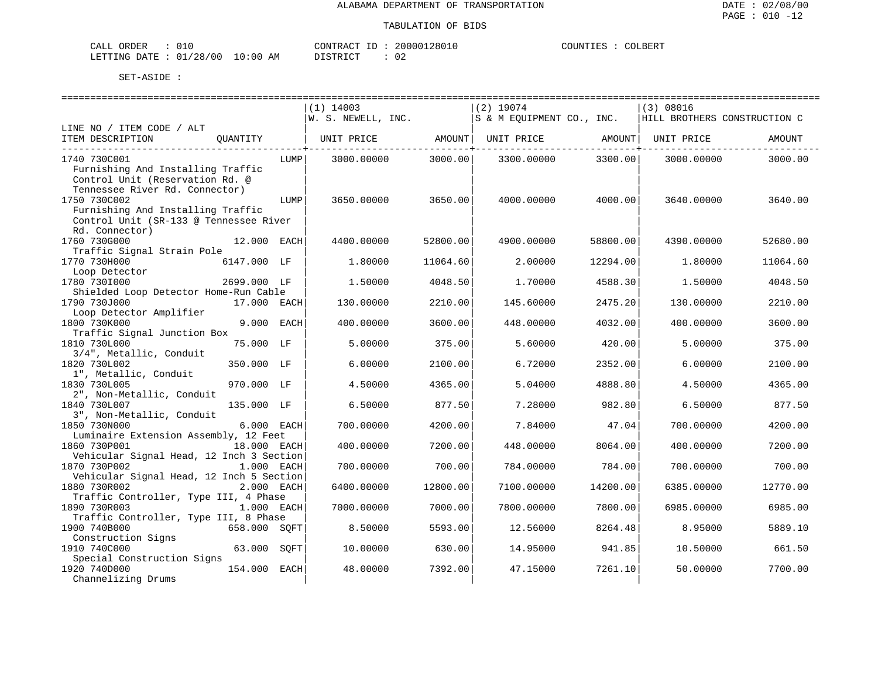| CALL ORDER |  |                                  |          | CONTRACT ID: 20000128010 | COUNTIES | COLBERT |
|------------|--|----------------------------------|----------|--------------------------|----------|---------|
|            |  | LETTING DATE : 01/28/00 10:00 AM | DISTRICT | 02                       |          |         |

| $(1)$ 14003<br>$(2)$ 19074<br>(3) 08016<br>W. S. NEWELL, INC.<br>S & M EOUIPMENT CO., INC.<br>HILL BROTHERS CONSTRUCTION C<br>LINE NO / ITEM CODE / ALT<br>ITEM DESCRIPTION<br>OUANTITY<br>UNIT PRICE<br>AMOUNT<br>UNIT PRICE<br>AMOUNT  <br>UNIT PRICE<br>AMOUNT<br>3000.00<br>3300.00<br>1740 730C001<br>LUMP  <br>3000.00000<br>3300.00000<br>3000.00000<br>3000.00<br>Furnishing And Installing Traffic<br>Control Unit (Reservation Rd. @<br>Tennessee River Rd. Connector)<br>1750 730C002<br>3650.00000<br>3650.00<br>4000.00000<br>4000.00<br>3640.00000<br>3640.00<br>LUMP<br>Furnishing And Installing Traffic<br>Control Unit (SR-133 @ Tennessee River<br>Rd. Connector)<br>1760 730G000<br>12.000 EACH<br>52800.00<br>58800.00<br>52680.00<br>4400.00000<br>4900.00000<br>4390.00000<br>Traffic Signal Strain Pole<br>1770 730H000<br>6147.000 LF<br>1,80000<br>11064.60<br>2.00000<br>12294.00<br>1,80000<br>11064.60<br>Loop Detector<br>1780 730I000<br>2699.000 LF<br>1.50000<br>4048.50<br>1,70000<br>4588.30<br>1.50000<br>4048.50<br>Shielded Loop Detector Home-Run Cable<br>1790 730J000<br>130.00000<br>2210.00<br>145.60000<br>2475.20<br>2210.00<br>17.000 EACH<br>130.00000<br>Loop Detector Amplifier<br>1800 730K000<br>9.000 EACH<br>3600.00<br>4032.00<br>3600.00<br>400.00000<br>448.00000<br>400.00000<br>Traffic Signal Junction Box<br>75.000 LF<br>375.00<br>1810 730L000<br>5.00000<br>375.00<br>5.60000<br>420.00<br>5.00000<br>3/4", Metallic, Conduit<br>1820 730L002<br>350.000 LF<br>6.00000<br>2100.00<br>6.72000<br>2352.00<br>6.00000<br>2100.00<br>1", Metallic, Conduit<br>1830 730L005<br>970.000 LF<br>4365.00<br>4888.80<br>4365.00<br>4.50000<br>5.04000<br>4.50000<br>2", Non-Metallic, Conduit<br>135.000 LF<br>877.50<br>877.50<br>1840 730L007<br>6.50000<br>7.28000<br>982.80<br>6.50000<br>3", Non-Metallic, Conduit<br>6.000 EACH<br>4200.00<br>1850 730N000<br>700.00000<br>7.84000<br>47.04<br>700,00000<br>4200.00<br>Luminaire Extension Assembly, 12 Feet<br>1860 730P001<br>18.000 EACH<br>400.00000<br>7200.00<br>448.00000<br>8064.00<br>400.00000<br>7200.00<br>Vehicular Signal Head, 12 Inch 3 Section<br>1870 730P002<br>1.000 EACH<br>700.00<br>700.00000<br>784.00000<br>784.00<br>700.00000<br>700.00<br>Vehicular Signal Head, 12 Inch 5 Section<br>1880 730R002<br>2.000 EACH<br>12800.00<br>14200.00<br>6400.00000<br>7100.00000<br>6385.00000<br>12770.00<br>Traffic Controller, Type III, 4 Phase<br>1.000 EACH<br>1890 730R003<br>7000.00000<br>7000.00<br>7800.00000<br>7800.00<br>6985.00000<br>6985.00<br>Traffic Controller, Type III, 8 Phase<br>1900 740B000<br>658.000 SQFT<br>5593.00<br>8.50000<br>12.56000<br>8264.48<br>8.95000<br>5889.10<br>Construction Signs<br>1910 740C000<br>63.000 SOFT<br>10.00000<br>630.00<br>941.85<br>661.50<br>14.95000<br>10.50000<br>Special Construction Signs<br>1920 740D000<br>154.000 EACH<br>48.00000<br>7392.00<br>47.15000<br>7261.10<br>50.00000<br>7700.00 |                    |  |  |  |  |
|-----------------------------------------------------------------------------------------------------------------------------------------------------------------------------------------------------------------------------------------------------------------------------------------------------------------------------------------------------------------------------------------------------------------------------------------------------------------------------------------------------------------------------------------------------------------------------------------------------------------------------------------------------------------------------------------------------------------------------------------------------------------------------------------------------------------------------------------------------------------------------------------------------------------------------------------------------------------------------------------------------------------------------------------------------------------------------------------------------------------------------------------------------------------------------------------------------------------------------------------------------------------------------------------------------------------------------------------------------------------------------------------------------------------------------------------------------------------------------------------------------------------------------------------------------------------------------------------------------------------------------------------------------------------------------------------------------------------------------------------------------------------------------------------------------------------------------------------------------------------------------------------------------------------------------------------------------------------------------------------------------------------------------------------------------------------------------------------------------------------------------------------------------------------------------------------------------------------------------------------------------------------------------------------------------------------------------------------------------------------------------------------------------------------------------------------------------------------------------------------------------------------------------------------------------------------------------------------------------------------------------------------------------------------------------------------------------------------------------------------------------------------------------------------------------------------------------------------------------------------------------------------------------------------------------------------------------------------------------------------------|--------------------|--|--|--|--|
|                                                                                                                                                                                                                                                                                                                                                                                                                                                                                                                                                                                                                                                                                                                                                                                                                                                                                                                                                                                                                                                                                                                                                                                                                                                                                                                                                                                                                                                                                                                                                                                                                                                                                                                                                                                                                                                                                                                                                                                                                                                                                                                                                                                                                                                                                                                                                                                                                                                                                                                                                                                                                                                                                                                                                                                                                                                                                                                                                                                               |                    |  |  |  |  |
|                                                                                                                                                                                                                                                                                                                                                                                                                                                                                                                                                                                                                                                                                                                                                                                                                                                                                                                                                                                                                                                                                                                                                                                                                                                                                                                                                                                                                                                                                                                                                                                                                                                                                                                                                                                                                                                                                                                                                                                                                                                                                                                                                                                                                                                                                                                                                                                                                                                                                                                                                                                                                                                                                                                                                                                                                                                                                                                                                                                               |                    |  |  |  |  |
|                                                                                                                                                                                                                                                                                                                                                                                                                                                                                                                                                                                                                                                                                                                                                                                                                                                                                                                                                                                                                                                                                                                                                                                                                                                                                                                                                                                                                                                                                                                                                                                                                                                                                                                                                                                                                                                                                                                                                                                                                                                                                                                                                                                                                                                                                                                                                                                                                                                                                                                                                                                                                                                                                                                                                                                                                                                                                                                                                                                               |                    |  |  |  |  |
|                                                                                                                                                                                                                                                                                                                                                                                                                                                                                                                                                                                                                                                                                                                                                                                                                                                                                                                                                                                                                                                                                                                                                                                                                                                                                                                                                                                                                                                                                                                                                                                                                                                                                                                                                                                                                                                                                                                                                                                                                                                                                                                                                                                                                                                                                                                                                                                                                                                                                                                                                                                                                                                                                                                                                                                                                                                                                                                                                                                               |                    |  |  |  |  |
|                                                                                                                                                                                                                                                                                                                                                                                                                                                                                                                                                                                                                                                                                                                                                                                                                                                                                                                                                                                                                                                                                                                                                                                                                                                                                                                                                                                                                                                                                                                                                                                                                                                                                                                                                                                                                                                                                                                                                                                                                                                                                                                                                                                                                                                                                                                                                                                                                                                                                                                                                                                                                                                                                                                                                                                                                                                                                                                                                                                               |                    |  |  |  |  |
|                                                                                                                                                                                                                                                                                                                                                                                                                                                                                                                                                                                                                                                                                                                                                                                                                                                                                                                                                                                                                                                                                                                                                                                                                                                                                                                                                                                                                                                                                                                                                                                                                                                                                                                                                                                                                                                                                                                                                                                                                                                                                                                                                                                                                                                                                                                                                                                                                                                                                                                                                                                                                                                                                                                                                                                                                                                                                                                                                                                               |                    |  |  |  |  |
|                                                                                                                                                                                                                                                                                                                                                                                                                                                                                                                                                                                                                                                                                                                                                                                                                                                                                                                                                                                                                                                                                                                                                                                                                                                                                                                                                                                                                                                                                                                                                                                                                                                                                                                                                                                                                                                                                                                                                                                                                                                                                                                                                                                                                                                                                                                                                                                                                                                                                                                                                                                                                                                                                                                                                                                                                                                                                                                                                                                               |                    |  |  |  |  |
|                                                                                                                                                                                                                                                                                                                                                                                                                                                                                                                                                                                                                                                                                                                                                                                                                                                                                                                                                                                                                                                                                                                                                                                                                                                                                                                                                                                                                                                                                                                                                                                                                                                                                                                                                                                                                                                                                                                                                                                                                                                                                                                                                                                                                                                                                                                                                                                                                                                                                                                                                                                                                                                                                                                                                                                                                                                                                                                                                                                               |                    |  |  |  |  |
|                                                                                                                                                                                                                                                                                                                                                                                                                                                                                                                                                                                                                                                                                                                                                                                                                                                                                                                                                                                                                                                                                                                                                                                                                                                                                                                                                                                                                                                                                                                                                                                                                                                                                                                                                                                                                                                                                                                                                                                                                                                                                                                                                                                                                                                                                                                                                                                                                                                                                                                                                                                                                                                                                                                                                                                                                                                                                                                                                                                               |                    |  |  |  |  |
|                                                                                                                                                                                                                                                                                                                                                                                                                                                                                                                                                                                                                                                                                                                                                                                                                                                                                                                                                                                                                                                                                                                                                                                                                                                                                                                                                                                                                                                                                                                                                                                                                                                                                                                                                                                                                                                                                                                                                                                                                                                                                                                                                                                                                                                                                                                                                                                                                                                                                                                                                                                                                                                                                                                                                                                                                                                                                                                                                                                               |                    |  |  |  |  |
|                                                                                                                                                                                                                                                                                                                                                                                                                                                                                                                                                                                                                                                                                                                                                                                                                                                                                                                                                                                                                                                                                                                                                                                                                                                                                                                                                                                                                                                                                                                                                                                                                                                                                                                                                                                                                                                                                                                                                                                                                                                                                                                                                                                                                                                                                                                                                                                                                                                                                                                                                                                                                                                                                                                                                                                                                                                                                                                                                                                               |                    |  |  |  |  |
|                                                                                                                                                                                                                                                                                                                                                                                                                                                                                                                                                                                                                                                                                                                                                                                                                                                                                                                                                                                                                                                                                                                                                                                                                                                                                                                                                                                                                                                                                                                                                                                                                                                                                                                                                                                                                                                                                                                                                                                                                                                                                                                                                                                                                                                                                                                                                                                                                                                                                                                                                                                                                                                                                                                                                                                                                                                                                                                                                                                               |                    |  |  |  |  |
|                                                                                                                                                                                                                                                                                                                                                                                                                                                                                                                                                                                                                                                                                                                                                                                                                                                                                                                                                                                                                                                                                                                                                                                                                                                                                                                                                                                                                                                                                                                                                                                                                                                                                                                                                                                                                                                                                                                                                                                                                                                                                                                                                                                                                                                                                                                                                                                                                                                                                                                                                                                                                                                                                                                                                                                                                                                                                                                                                                                               |                    |  |  |  |  |
|                                                                                                                                                                                                                                                                                                                                                                                                                                                                                                                                                                                                                                                                                                                                                                                                                                                                                                                                                                                                                                                                                                                                                                                                                                                                                                                                                                                                                                                                                                                                                                                                                                                                                                                                                                                                                                                                                                                                                                                                                                                                                                                                                                                                                                                                                                                                                                                                                                                                                                                                                                                                                                                                                                                                                                                                                                                                                                                                                                                               |                    |  |  |  |  |
|                                                                                                                                                                                                                                                                                                                                                                                                                                                                                                                                                                                                                                                                                                                                                                                                                                                                                                                                                                                                                                                                                                                                                                                                                                                                                                                                                                                                                                                                                                                                                                                                                                                                                                                                                                                                                                                                                                                                                                                                                                                                                                                                                                                                                                                                                                                                                                                                                                                                                                                                                                                                                                                                                                                                                                                                                                                                                                                                                                                               |                    |  |  |  |  |
|                                                                                                                                                                                                                                                                                                                                                                                                                                                                                                                                                                                                                                                                                                                                                                                                                                                                                                                                                                                                                                                                                                                                                                                                                                                                                                                                                                                                                                                                                                                                                                                                                                                                                                                                                                                                                                                                                                                                                                                                                                                                                                                                                                                                                                                                                                                                                                                                                                                                                                                                                                                                                                                                                                                                                                                                                                                                                                                                                                                               |                    |  |  |  |  |
|                                                                                                                                                                                                                                                                                                                                                                                                                                                                                                                                                                                                                                                                                                                                                                                                                                                                                                                                                                                                                                                                                                                                                                                                                                                                                                                                                                                                                                                                                                                                                                                                                                                                                                                                                                                                                                                                                                                                                                                                                                                                                                                                                                                                                                                                                                                                                                                                                                                                                                                                                                                                                                                                                                                                                                                                                                                                                                                                                                                               |                    |  |  |  |  |
|                                                                                                                                                                                                                                                                                                                                                                                                                                                                                                                                                                                                                                                                                                                                                                                                                                                                                                                                                                                                                                                                                                                                                                                                                                                                                                                                                                                                                                                                                                                                                                                                                                                                                                                                                                                                                                                                                                                                                                                                                                                                                                                                                                                                                                                                                                                                                                                                                                                                                                                                                                                                                                                                                                                                                                                                                                                                                                                                                                                               |                    |  |  |  |  |
|                                                                                                                                                                                                                                                                                                                                                                                                                                                                                                                                                                                                                                                                                                                                                                                                                                                                                                                                                                                                                                                                                                                                                                                                                                                                                                                                                                                                                                                                                                                                                                                                                                                                                                                                                                                                                                                                                                                                                                                                                                                                                                                                                                                                                                                                                                                                                                                                                                                                                                                                                                                                                                                                                                                                                                                                                                                                                                                                                                                               |                    |  |  |  |  |
|                                                                                                                                                                                                                                                                                                                                                                                                                                                                                                                                                                                                                                                                                                                                                                                                                                                                                                                                                                                                                                                                                                                                                                                                                                                                                                                                                                                                                                                                                                                                                                                                                                                                                                                                                                                                                                                                                                                                                                                                                                                                                                                                                                                                                                                                                                                                                                                                                                                                                                                                                                                                                                                                                                                                                                                                                                                                                                                                                                                               |                    |  |  |  |  |
|                                                                                                                                                                                                                                                                                                                                                                                                                                                                                                                                                                                                                                                                                                                                                                                                                                                                                                                                                                                                                                                                                                                                                                                                                                                                                                                                                                                                                                                                                                                                                                                                                                                                                                                                                                                                                                                                                                                                                                                                                                                                                                                                                                                                                                                                                                                                                                                                                                                                                                                                                                                                                                                                                                                                                                                                                                                                                                                                                                                               |                    |  |  |  |  |
|                                                                                                                                                                                                                                                                                                                                                                                                                                                                                                                                                                                                                                                                                                                                                                                                                                                                                                                                                                                                                                                                                                                                                                                                                                                                                                                                                                                                                                                                                                                                                                                                                                                                                                                                                                                                                                                                                                                                                                                                                                                                                                                                                                                                                                                                                                                                                                                                                                                                                                                                                                                                                                                                                                                                                                                                                                                                                                                                                                                               |                    |  |  |  |  |
|                                                                                                                                                                                                                                                                                                                                                                                                                                                                                                                                                                                                                                                                                                                                                                                                                                                                                                                                                                                                                                                                                                                                                                                                                                                                                                                                                                                                                                                                                                                                                                                                                                                                                                                                                                                                                                                                                                                                                                                                                                                                                                                                                                                                                                                                                                                                                                                                                                                                                                                                                                                                                                                                                                                                                                                                                                                                                                                                                                                               |                    |  |  |  |  |
|                                                                                                                                                                                                                                                                                                                                                                                                                                                                                                                                                                                                                                                                                                                                                                                                                                                                                                                                                                                                                                                                                                                                                                                                                                                                                                                                                                                                                                                                                                                                                                                                                                                                                                                                                                                                                                                                                                                                                                                                                                                                                                                                                                                                                                                                                                                                                                                                                                                                                                                                                                                                                                                                                                                                                                                                                                                                                                                                                                                               |                    |  |  |  |  |
|                                                                                                                                                                                                                                                                                                                                                                                                                                                                                                                                                                                                                                                                                                                                                                                                                                                                                                                                                                                                                                                                                                                                                                                                                                                                                                                                                                                                                                                                                                                                                                                                                                                                                                                                                                                                                                                                                                                                                                                                                                                                                                                                                                                                                                                                                                                                                                                                                                                                                                                                                                                                                                                                                                                                                                                                                                                                                                                                                                                               |                    |  |  |  |  |
|                                                                                                                                                                                                                                                                                                                                                                                                                                                                                                                                                                                                                                                                                                                                                                                                                                                                                                                                                                                                                                                                                                                                                                                                                                                                                                                                                                                                                                                                                                                                                                                                                                                                                                                                                                                                                                                                                                                                                                                                                                                                                                                                                                                                                                                                                                                                                                                                                                                                                                                                                                                                                                                                                                                                                                                                                                                                                                                                                                                               |                    |  |  |  |  |
|                                                                                                                                                                                                                                                                                                                                                                                                                                                                                                                                                                                                                                                                                                                                                                                                                                                                                                                                                                                                                                                                                                                                                                                                                                                                                                                                                                                                                                                                                                                                                                                                                                                                                                                                                                                                                                                                                                                                                                                                                                                                                                                                                                                                                                                                                                                                                                                                                                                                                                                                                                                                                                                                                                                                                                                                                                                                                                                                                                                               |                    |  |  |  |  |
|                                                                                                                                                                                                                                                                                                                                                                                                                                                                                                                                                                                                                                                                                                                                                                                                                                                                                                                                                                                                                                                                                                                                                                                                                                                                                                                                                                                                                                                                                                                                                                                                                                                                                                                                                                                                                                                                                                                                                                                                                                                                                                                                                                                                                                                                                                                                                                                                                                                                                                                                                                                                                                                                                                                                                                                                                                                                                                                                                                                               |                    |  |  |  |  |
|                                                                                                                                                                                                                                                                                                                                                                                                                                                                                                                                                                                                                                                                                                                                                                                                                                                                                                                                                                                                                                                                                                                                                                                                                                                                                                                                                                                                                                                                                                                                                                                                                                                                                                                                                                                                                                                                                                                                                                                                                                                                                                                                                                                                                                                                                                                                                                                                                                                                                                                                                                                                                                                                                                                                                                                                                                                                                                                                                                                               |                    |  |  |  |  |
|                                                                                                                                                                                                                                                                                                                                                                                                                                                                                                                                                                                                                                                                                                                                                                                                                                                                                                                                                                                                                                                                                                                                                                                                                                                                                                                                                                                                                                                                                                                                                                                                                                                                                                                                                                                                                                                                                                                                                                                                                                                                                                                                                                                                                                                                                                                                                                                                                                                                                                                                                                                                                                                                                                                                                                                                                                                                                                                                                                                               |                    |  |  |  |  |
|                                                                                                                                                                                                                                                                                                                                                                                                                                                                                                                                                                                                                                                                                                                                                                                                                                                                                                                                                                                                                                                                                                                                                                                                                                                                                                                                                                                                                                                                                                                                                                                                                                                                                                                                                                                                                                                                                                                                                                                                                                                                                                                                                                                                                                                                                                                                                                                                                                                                                                                                                                                                                                                                                                                                                                                                                                                                                                                                                                                               |                    |  |  |  |  |
|                                                                                                                                                                                                                                                                                                                                                                                                                                                                                                                                                                                                                                                                                                                                                                                                                                                                                                                                                                                                                                                                                                                                                                                                                                                                                                                                                                                                                                                                                                                                                                                                                                                                                                                                                                                                                                                                                                                                                                                                                                                                                                                                                                                                                                                                                                                                                                                                                                                                                                                                                                                                                                                                                                                                                                                                                                                                                                                                                                                               |                    |  |  |  |  |
|                                                                                                                                                                                                                                                                                                                                                                                                                                                                                                                                                                                                                                                                                                                                                                                                                                                                                                                                                                                                                                                                                                                                                                                                                                                                                                                                                                                                                                                                                                                                                                                                                                                                                                                                                                                                                                                                                                                                                                                                                                                                                                                                                                                                                                                                                                                                                                                                                                                                                                                                                                                                                                                                                                                                                                                                                                                                                                                                                                                               |                    |  |  |  |  |
|                                                                                                                                                                                                                                                                                                                                                                                                                                                                                                                                                                                                                                                                                                                                                                                                                                                                                                                                                                                                                                                                                                                                                                                                                                                                                                                                                                                                                                                                                                                                                                                                                                                                                                                                                                                                                                                                                                                                                                                                                                                                                                                                                                                                                                                                                                                                                                                                                                                                                                                                                                                                                                                                                                                                                                                                                                                                                                                                                                                               |                    |  |  |  |  |
|                                                                                                                                                                                                                                                                                                                                                                                                                                                                                                                                                                                                                                                                                                                                                                                                                                                                                                                                                                                                                                                                                                                                                                                                                                                                                                                                                                                                                                                                                                                                                                                                                                                                                                                                                                                                                                                                                                                                                                                                                                                                                                                                                                                                                                                                                                                                                                                                                                                                                                                                                                                                                                                                                                                                                                                                                                                                                                                                                                                               |                    |  |  |  |  |
|                                                                                                                                                                                                                                                                                                                                                                                                                                                                                                                                                                                                                                                                                                                                                                                                                                                                                                                                                                                                                                                                                                                                                                                                                                                                                                                                                                                                                                                                                                                                                                                                                                                                                                                                                                                                                                                                                                                                                                                                                                                                                                                                                                                                                                                                                                                                                                                                                                                                                                                                                                                                                                                                                                                                                                                                                                                                                                                                                                                               |                    |  |  |  |  |
|                                                                                                                                                                                                                                                                                                                                                                                                                                                                                                                                                                                                                                                                                                                                                                                                                                                                                                                                                                                                                                                                                                                                                                                                                                                                                                                                                                                                                                                                                                                                                                                                                                                                                                                                                                                                                                                                                                                                                                                                                                                                                                                                                                                                                                                                                                                                                                                                                                                                                                                                                                                                                                                                                                                                                                                                                                                                                                                                                                                               |                    |  |  |  |  |
|                                                                                                                                                                                                                                                                                                                                                                                                                                                                                                                                                                                                                                                                                                                                                                                                                                                                                                                                                                                                                                                                                                                                                                                                                                                                                                                                                                                                                                                                                                                                                                                                                                                                                                                                                                                                                                                                                                                                                                                                                                                                                                                                                                                                                                                                                                                                                                                                                                                                                                                                                                                                                                                                                                                                                                                                                                                                                                                                                                                               |                    |  |  |  |  |
|                                                                                                                                                                                                                                                                                                                                                                                                                                                                                                                                                                                                                                                                                                                                                                                                                                                                                                                                                                                                                                                                                                                                                                                                                                                                                                                                                                                                                                                                                                                                                                                                                                                                                                                                                                                                                                                                                                                                                                                                                                                                                                                                                                                                                                                                                                                                                                                                                                                                                                                                                                                                                                                                                                                                                                                                                                                                                                                                                                                               |                    |  |  |  |  |
|                                                                                                                                                                                                                                                                                                                                                                                                                                                                                                                                                                                                                                                                                                                                                                                                                                                                                                                                                                                                                                                                                                                                                                                                                                                                                                                                                                                                                                                                                                                                                                                                                                                                                                                                                                                                                                                                                                                                                                                                                                                                                                                                                                                                                                                                                                                                                                                                                                                                                                                                                                                                                                                                                                                                                                                                                                                                                                                                                                                               |                    |  |  |  |  |
|                                                                                                                                                                                                                                                                                                                                                                                                                                                                                                                                                                                                                                                                                                                                                                                                                                                                                                                                                                                                                                                                                                                                                                                                                                                                                                                                                                                                                                                                                                                                                                                                                                                                                                                                                                                                                                                                                                                                                                                                                                                                                                                                                                                                                                                                                                                                                                                                                                                                                                                                                                                                                                                                                                                                                                                                                                                                                                                                                                                               |                    |  |  |  |  |
|                                                                                                                                                                                                                                                                                                                                                                                                                                                                                                                                                                                                                                                                                                                                                                                                                                                                                                                                                                                                                                                                                                                                                                                                                                                                                                                                                                                                                                                                                                                                                                                                                                                                                                                                                                                                                                                                                                                                                                                                                                                                                                                                                                                                                                                                                                                                                                                                                                                                                                                                                                                                                                                                                                                                                                                                                                                                                                                                                                                               |                    |  |  |  |  |
|                                                                                                                                                                                                                                                                                                                                                                                                                                                                                                                                                                                                                                                                                                                                                                                                                                                                                                                                                                                                                                                                                                                                                                                                                                                                                                                                                                                                                                                                                                                                                                                                                                                                                                                                                                                                                                                                                                                                                                                                                                                                                                                                                                                                                                                                                                                                                                                                                                                                                                                                                                                                                                                                                                                                                                                                                                                                                                                                                                                               |                    |  |  |  |  |
|                                                                                                                                                                                                                                                                                                                                                                                                                                                                                                                                                                                                                                                                                                                                                                                                                                                                                                                                                                                                                                                                                                                                                                                                                                                                                                                                                                                                                                                                                                                                                                                                                                                                                                                                                                                                                                                                                                                                                                                                                                                                                                                                                                                                                                                                                                                                                                                                                                                                                                                                                                                                                                                                                                                                                                                                                                                                                                                                                                                               |                    |  |  |  |  |
|                                                                                                                                                                                                                                                                                                                                                                                                                                                                                                                                                                                                                                                                                                                                                                                                                                                                                                                                                                                                                                                                                                                                                                                                                                                                                                                                                                                                                                                                                                                                                                                                                                                                                                                                                                                                                                                                                                                                                                                                                                                                                                                                                                                                                                                                                                                                                                                                                                                                                                                                                                                                                                                                                                                                                                                                                                                                                                                                                                                               |                    |  |  |  |  |
|                                                                                                                                                                                                                                                                                                                                                                                                                                                                                                                                                                                                                                                                                                                                                                                                                                                                                                                                                                                                                                                                                                                                                                                                                                                                                                                                                                                                                                                                                                                                                                                                                                                                                                                                                                                                                                                                                                                                                                                                                                                                                                                                                                                                                                                                                                                                                                                                                                                                                                                                                                                                                                                                                                                                                                                                                                                                                                                                                                                               |                    |  |  |  |  |
|                                                                                                                                                                                                                                                                                                                                                                                                                                                                                                                                                                                                                                                                                                                                                                                                                                                                                                                                                                                                                                                                                                                                                                                                                                                                                                                                                                                                                                                                                                                                                                                                                                                                                                                                                                                                                                                                                                                                                                                                                                                                                                                                                                                                                                                                                                                                                                                                                                                                                                                                                                                                                                                                                                                                                                                                                                                                                                                                                                                               |                    |  |  |  |  |
|                                                                                                                                                                                                                                                                                                                                                                                                                                                                                                                                                                                                                                                                                                                                                                                                                                                                                                                                                                                                                                                                                                                                                                                                                                                                                                                                                                                                                                                                                                                                                                                                                                                                                                                                                                                                                                                                                                                                                                                                                                                                                                                                                                                                                                                                                                                                                                                                                                                                                                                                                                                                                                                                                                                                                                                                                                                                                                                                                                                               | Channelizing Drums |  |  |  |  |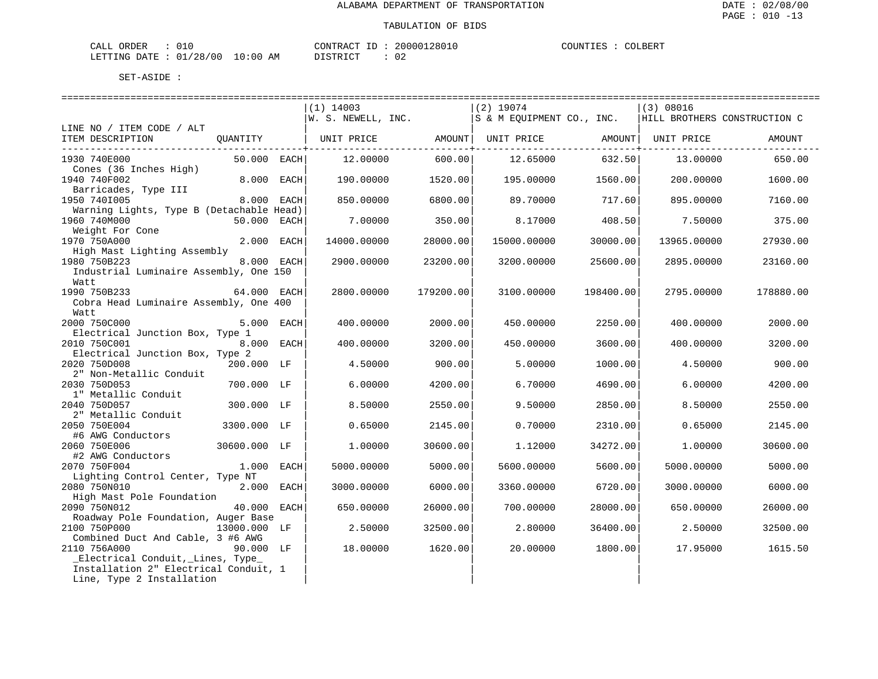| CALI<br>ORDER    | ---                   |                 | CONTRAC<br>ſΒ         | 12801u<br>0۵. | COUNTIT<br>. TES. | OLBER. |
|------------------|-----------------------|-----------------|-----------------------|---------------|-------------------|--------|
| DATE.<br>LETTING | /28/00<br>$\bigcap$ 1 | . O : O (<br>ΑM | ירי חיד פידי<br>----- | n r<br>◡∠     |                   |        |

| ========================                 |              | ============================                                                                                                                       |           |             |                   |             |           |
|------------------------------------------|--------------|----------------------------------------------------------------------------------------------------------------------------------------------------|-----------|-------------|-------------------|-------------|-----------|
|                                          |              | $(1)$ 14003                                                                                                                                        |           | $(2)$ 19074 |                   | (3) 08016   |           |
|                                          |              | $\begin{vmatrix} 1 & 1 & 1 & 1 & 1 \\ 0 & 1 & 1 & 1 & 1 \\ 0 & 0 & 0 & 1 & 1 \end{vmatrix}$ is a meguipment co., INC. HILL BROTHERS CONSTRUCTION C |           |             |                   |             |           |
| LINE NO / ITEM CODE / ALT                |              |                                                                                                                                                    |           |             |                   |             |           |
| ITEM DESCRIPTION<br>QUANTITY             |              | UNIT PRICE                 AMOUNT    UNIT PRICE                   AMOUNT    UNIT PRICE                                                             |           |             |                   |             | AMOUNT    |
| ---------------------------              |              |                                                                                                                                                    |           |             |                   |             |           |
| 1930 740E000                             | 50.000 EACH  | 12.00000                                                                                                                                           | 600.00    | 12.65000    | 632.50            | 13.00000    | 650.00    |
| Cones (36 Inches High)                   |              |                                                                                                                                                    |           |             |                   |             |           |
| 1940 740F002                             | 8.000 EACH   | 190.00000                                                                                                                                          | 1520.00   |             | 195.00000 1560.00 | 200.00000   | 1600.00   |
| Barricades, Type III                     |              |                                                                                                                                                    |           |             |                   |             |           |
| 1950 7401005                             | 8.000 EACH   | 850,00000                                                                                                                                          | 6800.00   | 89.70000    | 717.601           | 895.00000   | 7160.00   |
| Warning Lights, Type B (Detachable Head) |              |                                                                                                                                                    |           |             |                   |             |           |
| 1960 740M000                             | 50.000 EACH  | 7.00000                                                                                                                                            | 350.00    | 8.17000     | 408.50            | 7.50000     | 375.00    |
| Weight For Cone                          |              |                                                                                                                                                    |           |             |                   |             |           |
| 1970 750A000                             | 2.000 EACH   | 14000.00000                                                                                                                                        | 28000.00  | 15000.00000 | 30000.00          | 13965.00000 | 27930.00  |
| High Mast Lighting Assembly              |              |                                                                                                                                                    |           |             |                   |             |           |
| 1980 750B223                             | 8.000 EACH   | 2900.00000                                                                                                                                         | 23200.00  | 3200.00000  | 25600.00          | 2895.00000  | 23160.00  |
| Industrial Luminaire Assembly, One 150   |              |                                                                                                                                                    |           |             |                   |             |           |
| Watt                                     |              |                                                                                                                                                    |           |             |                   |             |           |
| 1990 750B233<br>64.000 EACH              |              | 2800.00000                                                                                                                                         | 179200.00 | 3100.00000  | 198400.00         | 2795.00000  | 178880.00 |
| Cobra Head Luminaire Assembly, One 400   |              |                                                                                                                                                    |           |             |                   |             |           |
| Watt                                     |              |                                                                                                                                                    |           |             |                   |             |           |
| 2000 750C000                             | 5.000 EACH   | 400.00000                                                                                                                                          | 2000.00   | 450.00000   | 2250.00           | 400.00000   | 2000.00   |
| Electrical Junction Box, Type 1          |              |                                                                                                                                                    |           |             |                   |             |           |
| 2010 750C001                             | 8.000 EACH   | 400.00000                                                                                                                                          | 3200.00   | 450.00000   | 3600.00           | 400.00000   | 3200.00   |
| Electrical Junction Box, Type 2          |              |                                                                                                                                                    |           |             |                   |             |           |
| 2020 750D008                             | 200.000 LF   | 4.50000                                                                                                                                            | 900.00    | 5.00000     | 1000.00           | 4.50000     | 900.00    |
| 2" Non-Metallic Conduit                  |              |                                                                                                                                                    |           |             |                   |             |           |
| 2030 750D053                             | 700.000 LF   | 6.00000                                                                                                                                            | 4200.00   | 6.70000     | 4690.00           | 6.00000     | 4200.00   |
| 1" Metallic Conduit                      |              |                                                                                                                                                    |           |             |                   |             |           |
| 2040 750D057                             | 300.000 LF   | 8.50000                                                                                                                                            | 2550.00   | 9.50000     | 2850.00           | 8.50000     | 2550.00   |
| 2" Metallic Conduit                      |              |                                                                                                                                                    |           |             |                   |             |           |
| 2050 750E004                             | 3300.000 LF  | 0.65000                                                                                                                                            | 2145.00   | 0.70000     | 2310.00           | 0.65000     | 2145.00   |
| #6 AWG Conductors                        |              |                                                                                                                                                    |           |             |                   |             |           |
| 2060 750E006                             | 30600.000 LF | 1,00000                                                                                                                                            | 30600.00  | 1,12000     | 34272.00          | 1,00000     | 30600.00  |
| #2 AWG Conductors                        |              |                                                                                                                                                    |           |             |                   |             |           |
| 2070 750F004                             | 1.000 EACH   | 5000.00000                                                                                                                                         | 5000.00   | 5600.00000  | 5600.00           | 5000.00000  | 5000.00   |
| Lighting Control Center, Type NT         |              |                                                                                                                                                    |           |             |                   |             |           |
| 2080 750N010                             | 2.000 EACH   | 3000.00000                                                                                                                                         | 6000.00   | 3360.00000  | 6720.00           | 3000.00000  | 6000.00   |
| High Mast Pole Foundation                |              |                                                                                                                                                    |           |             |                   |             |           |
| 2090 750N012                             | 40.000 EACH  | 650.00000                                                                                                                                          | 26000.00  | 700.00000   | 28000.00          | 650.00000   | 26000.00  |
| Roadway Pole Foundation, Auger Base      |              |                                                                                                                                                    |           |             |                   |             |           |
| 2100 750P000<br>13000.000 LF             |              | 2.50000                                                                                                                                            | 32500.00  | 2.80000     | 36400.00          | 2.50000     | 32500.00  |
| Combined Duct And Cable, 3 #6 AWG        |              |                                                                                                                                                    |           |             |                   |             |           |
| 2110 756A000                             | 90.000 LF    | 18.00000                                                                                                                                           | 1620.00   | 20.00000    | 1800.00           | 17.95000    | 1615.50   |
| _Electrical Conduit, _Lines, Type_       |              |                                                                                                                                                    |           |             |                   |             |           |
| Installation 2" Electrical Conduit, 1    |              |                                                                                                                                                    |           |             |                   |             |           |
| Line, Type 2 Installation                |              |                                                                                                                                                    |           |             |                   |             |           |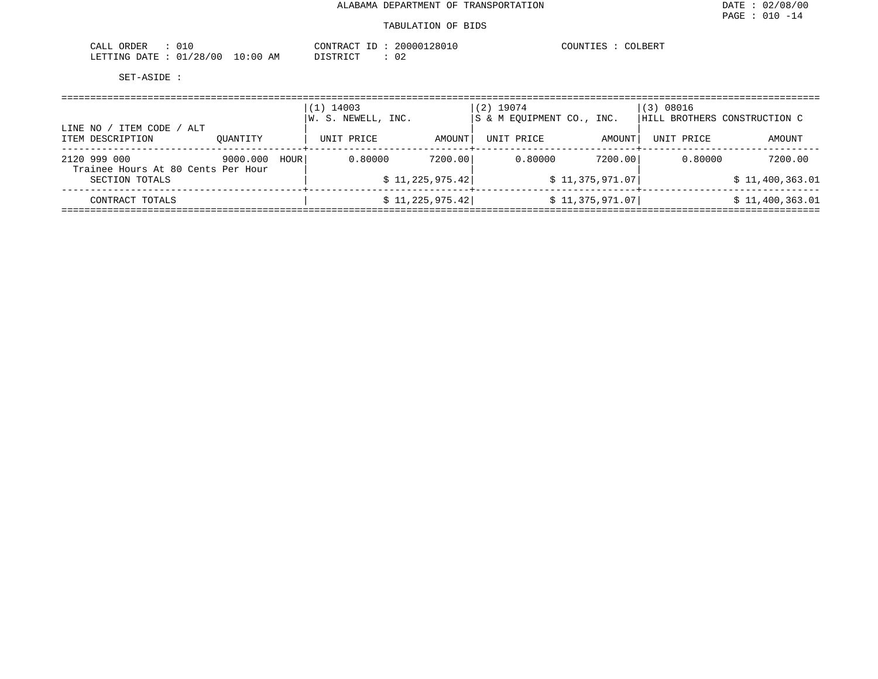| 01 <sup>c</sup><br>CALL ORDER        | 20000128010<br>CONTRACT<br>ID | COLBERT<br>COUNTIES |
|--------------------------------------|-------------------------------|---------------------|
| LETTING DATE: 01/28/00<br>$10:00$ AM | 02<br>DISTRICT                |                     |

| ITEM CODE<br>ALT<br>LINE NO /                      |          |      | 14003<br>$\perp$ )<br>W. S. NEWELL, INC. |                         | $(2)$ 19074<br>S & M EOUIPMENT CO., INC. |                 | (3) 08016  | HILL BROTHERS CONSTRUCTION C |
|----------------------------------------------------|----------|------|------------------------------------------|-------------------------|------------------------------------------|-----------------|------------|------------------------------|
| ITEM DESCRIPTION                                   | OUANTITY |      | UNIT PRICE                               | AMOUNT  <br>--------+-- | UNIT PRICE                               | AMOUNT          | UNIT PRICE | AMOUNT                       |
| 2120 999 000<br>Trainee Hours At 80 Cents Per Hour | 9000.000 | HOUR | 0.80000                                  | 7200.00                 | 0.80000                                  | 7200.00         | 0.80000    | 7200.00                      |
| SECTION TOTALS                                     |          |      |                                          | \$11,225,975.42]        |                                          | \$11,375,971.07 |            | \$11,400,363.01              |
| CONTRACT TOTALS                                    |          |      |                                          | \$11,225,975.42]        |                                          | \$11,375,971.07 |            | \$11,400,363.01              |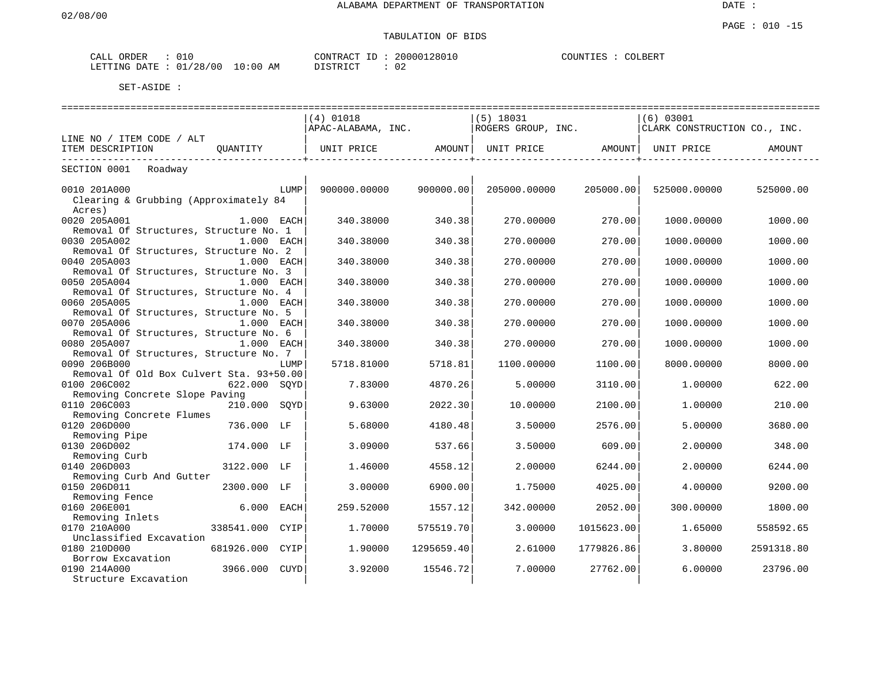# TABULATION OF BIDS

| ORDER<br>ىلىلى<br>∪⊥       |             | 20000128010<br>CONTRACT<br>___ | $\sim$ nnmm<br>COUNTIES<br>$\bigcap \bigcap$<br>⊷∸ |
|----------------------------|-------------|--------------------------------|----------------------------------------------------|
| /28/00<br>חת מח<br>LETTING | 10:00<br>ΆM | ISTRICT<br>$\sim$<br>∪∠        |                                                    |

| ====================                                            |              |      | =================== |            | =======================        |            | ================             |            |
|-----------------------------------------------------------------|--------------|------|---------------------|------------|--------------------------------|------------|------------------------------|------------|
|                                                                 |              |      | $(4)$ 01018         |            | $(5)$ 18031                    |            | (6) 03001                    |            |
|                                                                 |              |      | APAC-ALABAMA, INC.  |            | ROGERS GROUP, INC.             |            | CLARK CONSTRUCTION CO., INC. |            |
| LINE NO / ITEM CODE / ALT                                       |              |      |                     |            |                                |            |                              |            |
| ITEM DESCRIPTION                                                | OUANTITY     |      | UNIT PRICE          | AMOUNT     | UNIT PRICE AMOUNT   UNIT PRICE |            |                              | AMOUNT     |
| ------------<br>SECTION 0001<br>Roadway                         |              |      |                     |            |                                |            |                              |            |
|                                                                 |              |      |                     |            |                                |            |                              |            |
| 0010 201A000<br>Clearing & Grubbing (Approximately 84<br>Acres) |              | LUMP | 900000.00000        | 900000.00  | 205000.00000                   | 205000.00  | 525000.00000                 | 525000.00  |
| 0020 205A001                                                    | 1.000 EACH   |      | 340.38000           | 340.38     | 270.00000                      | 270.00     | 1000.00000                   | 1000.00    |
| Removal Of Structures, Structure No. 1                          |              |      |                     |            |                                |            |                              |            |
| 0030 205A002                                                    | 1.000 EACH   |      | 340.38000           | 340.38     | 270.00000                      | 270.00     | 1000.00000                   | 1000.00    |
| Removal Of Structures, Structure No. 2                          |              |      |                     |            |                                |            |                              |            |
| 0040 205A003                                                    | 1.000 EACH   |      | 340.38000           | 340.38     | 270.00000                      | 270.00     | 1000.00000                   | 1000.00    |
| Removal Of Structures, Structure No. 3                          |              |      |                     |            |                                |            |                              |            |
| 0050 205A004                                                    | 1.000 EACH   |      | 340.38000           | 340.38     | 270.00000                      | 270.00     | 1000.00000                   | 1000.00    |
| Removal Of Structures, Structure No. 4<br>0060 205A005          | 1.000 EACH   |      | 340.38000           | 340.38     | 270.00000                      | 270.00     | 1000.00000                   |            |
| Removal Of Structures, Structure No. 5                          |              |      |                     |            |                                |            |                              | 1000.00    |
| 0070 205A006                                                    | 1.000 EACH   |      | 340.38000           | 340.38     | 270.00000                      | 270.00     | 1000.00000                   | 1000.00    |
| Removal Of Structures, Structure No. 6                          |              |      |                     |            |                                |            |                              |            |
| 0080 205A007                                                    | 1.000 EACH   |      | 340.38000           | 340.38     | 270.00000                      | 270.00     | 1000.00000                   | 1000.00    |
| Removal Of Structures, Structure No. 7                          |              |      |                     |            |                                |            |                              |            |
| 0090 206B000                                                    |              | LUMP | 5718.81000          | 5718.81    | 1100.00000                     | 1100.00    | 8000.00000                   | 8000.00    |
| Removal Of Old Box Culvert Sta. 93+50.00                        |              |      |                     |            |                                |            |                              |            |
| 0100 206C002                                                    | 622.000 SOYD |      | 7.83000             | 4870.26    | 5.00000                        | 3110.00    | 1.00000                      | 622.00     |
| Removing Concrete Slope Paving                                  |              |      |                     |            |                                |            |                              |            |
| 0110 206C003                                                    | 210.000 SOYD |      | 9.63000             | 2022.30    | 10.00000                       | 2100.00    | 1,00000                      | 210.00     |
| Removing Concrete Flumes<br>0120 206D000                        | 736.000 LF   |      | 5.68000             | 4180.48    | 3.50000                        | 2576.00    | 5.00000                      | 3680.00    |
| Removing Pipe                                                   |              |      |                     |            |                                |            |                              |            |
| 0130 206D002                                                    | 174.000 LF   |      | 3.09000             | 537.66     | 3.50000                        | 609.00     | 2.00000                      | 348.00     |
| Removing Curb                                                   |              |      |                     |            |                                |            |                              |            |
| 0140 206D003                                                    | 3122.000 LF  |      | 1.46000             | 4558.12    | 2.00000                        | 6244.00    | 2.00000                      | 6244.00    |
| Removing Curb And Gutter                                        |              |      |                     |            |                                |            |                              |            |
| 0150 206D011                                                    | 2300.000     | LF   | 3.00000             | 6900.00    | 1.75000                        | 4025.00    | 4.00000                      | 9200.00    |
| Removing Fence                                                  |              |      |                     |            |                                |            |                              |            |
| 0160 206E001                                                    | 6.000 EACH   |      | 259.52000           | 1557.12    | 342.00000                      | 2052.00    | 300.00000                    | 1800.00    |
| Removing Inlets                                                 |              |      |                     |            |                                |            |                              |            |
| 0170 210A000                                                    | 338541.000   | CYIP | 1,70000             | 575519.70  | 3.00000                        | 1015623.00 | 1.65000                      | 558592.65  |
| Unclassified Excavation                                         |              |      |                     |            |                                |            |                              |            |
| 0180 210D000                                                    | 681926.000   | CYIP | 1,90000             | 1295659.40 | 2.61000                        | 1779826.86 | 3.80000                      | 2591318.80 |
| Borrow Excavation<br>0190 214A000                               | 3966.000     | CUYD | 3.92000             | 15546.72   | 7.00000                        | 27762.00   | 6.00000                      | 23796.00   |
| Structure Excavation                                            |              |      |                     |            |                                |            |                              |            |
|                                                                 |              |      |                     |            |                                |            |                              |            |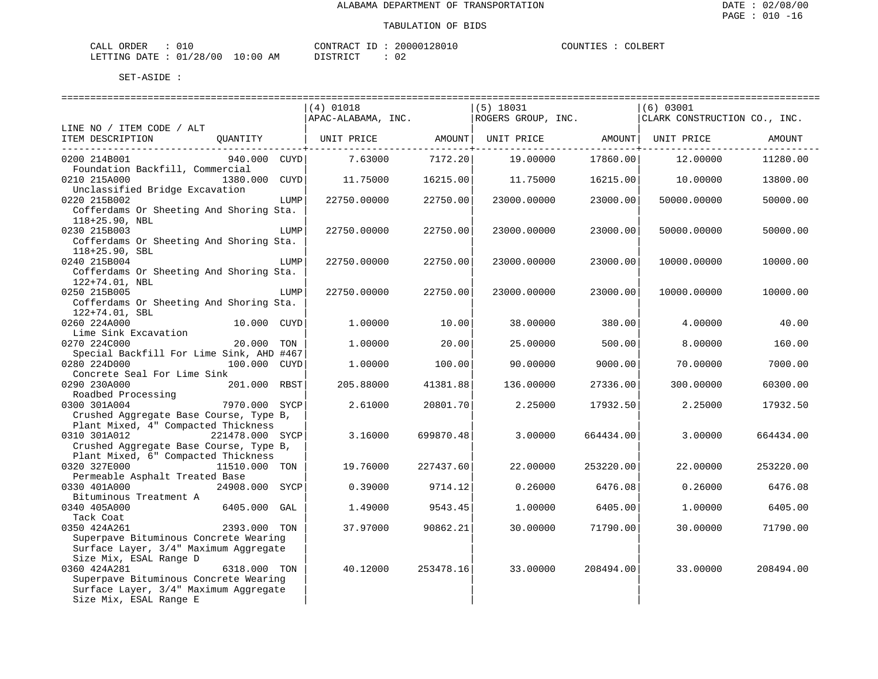| CALI<br>ORDER    | ---                   |                 | CONTRAC<br>ſΒ         | 12801u<br>0۵. | COUNTIT<br>. TES. | OLBER. |
|------------------|-----------------------|-----------------|-----------------------|---------------|-------------------|--------|
| DATE.<br>LETTING | /28/00<br>$\bigcap$ 1 | . O : O (<br>ΑM | ירי חיד פידי<br>----- | n r<br>◡∠     |                   |        |

|                                                                                                                                                            | ==========================<br>$(4)$ 01018<br>APAC-ALABAMA, INC. |           | ------------------------<br>$(5)$ 18031<br>ROGERS GROUP, INC. |           | (6) 03001<br>CLARK CONSTRUCTION CO., INC. |           |
|------------------------------------------------------------------------------------------------------------------------------------------------------------|-----------------------------------------------------------------|-----------|---------------------------------------------------------------|-----------|-------------------------------------------|-----------|
| LINE NO / ITEM CODE / ALT<br>ITEM DESCRIPTION                                                                                                              | QUANTITY   UNIT PRICE AMOUNT   UNIT PRICE AMOUNT   UNIT PRICE   |           |                                                               |           |                                           | AMOUNT    |
| 0200 214B001<br>940.000 CUYD<br>Foundation Backfill, Commercial                                                                                            | $7.63000$ $7172.20$                                             |           | 19.00000                                                      | 17860.00  | 12.00000                                  | 11280.00  |
| 0210 215A000<br>1380.000 CUYD<br>Unclassified Bridge Excavation                                                                                            | 11.75000                                                        | 16215.00  | 11.75000                                                      | 16215.00  | 10.00000                                  | 13800.00  |
| 0220 215B002<br>Cofferdams Or Sheeting And Shoring Sta.                                                                                                    | LUMP<br>22750.00000                                             | 22750.00  | 23000.00000                                                   | 23000.00  | 50000.00000                               | 50000.00  |
| 118+25.90, NBL<br>0230 215B003<br>Cofferdams Or Sheeting And Shoring Sta.<br>$118+25.90$ , SBL                                                             | LUMP<br>22750.00000                                             | 22750.00  | 23000.00000                                                   | 23000.00  | 50000.00000                               | 50000.00  |
| 0240 215B004<br>Cofferdams Or Sheeting And Shoring Sta.                                                                                                    | 22750.00000<br>LUMP                                             | 22750.00  | 23000.00000                                                   | 23000.00  | 10000.00000                               | 10000.00  |
| 122+74.01, NBL<br>0250 215B005<br>Cofferdams Or Sheeting And Shoring Sta.<br>$122+74.01$ , SBL                                                             | 22750.00000<br>LUMP                                             | 22750.00  | 23000.00000                                                   | 23000.00  | 10000.00000                               | 10000.00  |
| 0260 224A000<br>10.000 CUYD                                                                                                                                | 1,00000                                                         | 10.00     | 38.00000                                                      | 380.00    | 4.00000                                   | 40.00     |
| Lime Sink Excavation<br>0270 224C000<br>20.000 TON                                                                                                         | 1,00000                                                         | 20.00     | 25.00000                                                      | 500.00    | 8,00000                                   | 160.00    |
| Special Backfill For Lime Sink, AHD #467<br>0280 224D000<br>100.000 CUYD                                                                                   | 1,00000                                                         | 100.00    | 90.00000                                                      | 9000.00   | 70.00000                                  | 7000.00   |
| Concrete Seal For Lime Sink<br>0290 230A000<br>201.000 RBST                                                                                                | 205.88000                                                       | 41381.88  | 136.00000                                                     | 27336.00  | 300.00000                                 | 60300.00  |
| Roadbed Processing<br>0300 301A004<br>7970.000 SYCP                                                                                                        | 2.61000                                                         | 20801.70  | 2.25000                                                       | 17932.50  | 2.25000                                   | 17932.50  |
| Crushed Aggregate Base Course, Type B,<br>Plant Mixed, 4" Compacted Thickness<br>0310 301A012<br>221478.000 SYCP<br>Crushed Aggregate Base Course, Type B, | 3.16000                                                         | 699870.48 | 3,00000                                                       | 664434.00 | 3,00000                                   | 664434.00 |
| Plant Mixed, 6" Compacted Thickness<br>0320 327E000<br>11510.000 TON                                                                                       | 19.76000                                                        | 227437.60 | 22.00000                                                      | 253220.00 | 22.00000                                  | 253220.00 |
| Permeable Asphalt Treated Base<br>0330 401A000<br>24908.000 SYCP                                                                                           | 0.39000                                                         | 9714.12   | 0.26000                                                       | 6476.08   | 0.26000                                   | 6476.08   |
| Bituminous Treatment A                                                                                                                                     |                                                                 |           |                                                               |           |                                           |           |
| 0340 405A000<br>$6405.000$ GAL<br>Tack Coat                                                                                                                | 1.49000                                                         | 9543.45   | 1,00000                                                       | 6405.00   | 1,00000                                   | 6405.00   |
| 0350 424A261<br>2393.000 TON<br>Superpave Bituminous Concrete Wearing<br>Surface Layer, 3/4" Maximum Aggregate                                             | 37.97000                                                        | 90862.21  | 30.00000                                                      | 71790.00  | 30.00000                                  | 71790.00  |
| Size Mix, ESAL Range D<br>0360 424A281<br>6318.000 TON                                                                                                     | 40.12000                                                        | 253478.16 | 33.00000                                                      | 208494.00 | 33.00000                                  | 208494.00 |
| Superpave Bituminous Concrete Wearing<br>Surface Layer, 3/4" Maximum Aggregate<br>Size Mix, ESAL Range E                                                   |                                                                 |           |                                                               |           |                                           |           |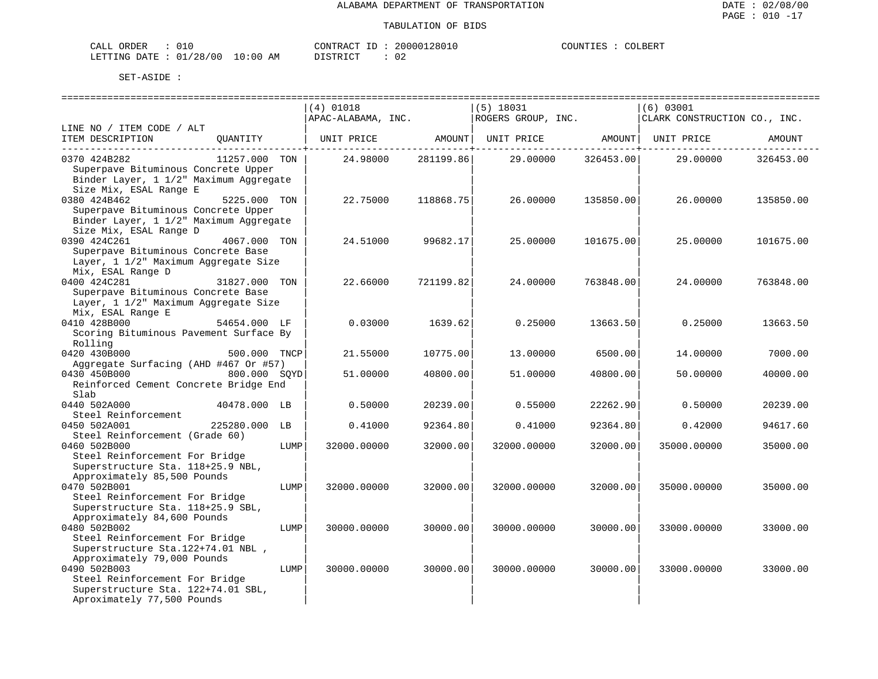| CALL ORDER                      |  | CONTRACT ID: 20000128010          |    | COUNTIES : | COLBERT |
|---------------------------------|--|-----------------------------------|----|------------|---------|
| LETTING DATE: 01/28/00 10:00 AM |  | דת TSTR דמ<br>້ີ່ ⊥ ∪ ⊥ ⊥ ∖ ⊥ ∪ ⊥ | 02 |            |         |

|                                                                            |               |      | $(4)$ 01018        |           | $(5)$ 18031        |           | (6) 03001                    |           |
|----------------------------------------------------------------------------|---------------|------|--------------------|-----------|--------------------|-----------|------------------------------|-----------|
|                                                                            |               |      | APAC-ALABAMA, INC. |           | ROGERS GROUP, INC. |           | CLARK CONSTRUCTION CO., INC. |           |
| LINE NO / ITEM CODE / ALT                                                  |               |      |                    |           |                    |           |                              |           |
| ITEM DESCRIPTION                                                           | OUANTITY      |      | UNIT PRICE         | AMOUNT    | UNIT PRICE         | AMOUNT    | UNIT PRICE                   | AMOUNT    |
| 0370 424B282                                                               | 11257.000 TON |      | 24.98000           | 281199.86 | 29.00000           | 326453.00 | 29.00000                     | 326453.00 |
| Superpave Bituminous Concrete Upper                                        |               |      |                    |           |                    |           |                              |           |
| Binder Layer, 1 1/2" Maximum Aggregate                                     |               |      |                    |           |                    |           |                              |           |
| Size Mix, ESAL Range E                                                     |               |      |                    |           |                    |           |                              |           |
| 0380 424B462                                                               | 5225.000 TON  |      | 22.75000           | 118868.75 | 26.00000           | 135850.00 | 26,00000                     | 135850.00 |
| Superpave Bituminous Concrete Upper                                        |               |      |                    |           |                    |           |                              |           |
| Binder Layer, 1 1/2" Maximum Aggregate                                     |               |      |                    |           |                    |           |                              |           |
| Size Mix, ESAL Range D                                                     |               |      |                    |           |                    |           |                              |           |
| 0390 424C261                                                               | 4067.000 TON  |      | 24.51000           | 99682.17  | 25,00000           | 101675.00 | 25,00000                     | 101675.00 |
| Superpave Bituminous Concrete Base<br>Layer, 1 1/2" Maximum Aggregate Size |               |      |                    |           |                    |           |                              |           |
| Mix, ESAL Range D                                                          |               |      |                    |           |                    |           |                              |           |
| 0400 424C281                                                               | 31827.000     | TON  | 22.66000           | 721199.82 | 24.00000           | 763848.00 | 24.00000                     | 763848.00 |
| Superpave Bituminous Concrete Base                                         |               |      |                    |           |                    |           |                              |           |
| Layer, 1 1/2" Maximum Aggregate Size                                       |               |      |                    |           |                    |           |                              |           |
| Mix, ESAL Range E                                                          |               |      |                    |           |                    |           |                              |           |
| 0410 428B000                                                               | 54654.000 LF  |      | 0.03000            | 1639.62   | 0.25000            | 13663.50  | 0.25000                      | 13663.50  |
| Scoring Bituminous Pavement Surface By                                     |               |      |                    |           |                    |           |                              |           |
| Rolling                                                                    |               |      |                    |           |                    |           |                              |           |
| 0420 430B000                                                               | 500.000 TNCP  |      | 21.55000           | 10775.00  | 13,00000           | 6500.00   | 14,00000                     | 7000.00   |
| Aggregate Surfacing (AHD #467 Or #57)                                      |               |      |                    |           |                    |           |                              |           |
| 0430 450B000                                                               | 800.000 SOYD  |      | 51.00000           | 40800.00  | 51.00000           | 40800.00  | 50.00000                     | 40000.00  |
| Reinforced Cement Concrete Bridge End<br>Slab                              |               |      |                    |           |                    |           |                              |           |
| 0440 502A000                                                               | 40478.000 LB  |      | 0.50000            | 20239.00  | 0.55000            | 22262.90  | 0.50000                      | 20239.00  |
| Steel Reinforcement                                                        |               |      |                    |           |                    |           |                              |           |
| 0450 502A001                                                               | 225280.000    | LB   | 0.41000            | 92364.80  | 0.41000            | 92364.80  | 0.42000                      | 94617.60  |
| Steel Reinforcement (Grade 60)                                             |               |      |                    |           |                    |           |                              |           |
| 0460 502B000                                                               |               | LUMP | 32000.00000        | 32000.00  | 32000.00000        | 32000.00  | 35000.00000                  | 35000.00  |
| Steel Reinforcement For Bridge                                             |               |      |                    |           |                    |           |                              |           |
| Superstructure Sta. 118+25.9 NBL,                                          |               |      |                    |           |                    |           |                              |           |
| Approximately 85,500 Pounds                                                |               |      |                    |           |                    |           |                              |           |
| 0470 502B001                                                               |               | LUMP | 32000.00000        | 32000.00  | 32000.00000        | 32000.00  | 35000.00000                  | 35000.00  |
| Steel Reinforcement For Bridge                                             |               |      |                    |           |                    |           |                              |           |
| Superstructure Sta. 118+25.9 SBL,                                          |               |      |                    |           |                    |           |                              |           |
| Approximately 84,600 Pounds<br>0480 502B002                                |               |      |                    | 30000.00  |                    | 30000.00  |                              |           |
| Steel Reinforcement For Bridge                                             |               | LUMP | 30000.00000        |           | 30000.00000        |           | 33000.00000                  | 33000.00  |
| Superstructure Sta. 122+74.01 NBL,                                         |               |      |                    |           |                    |           |                              |           |
| Approximately 79,000 Pounds                                                |               |      |                    |           |                    |           |                              |           |
| 0490 502B003                                                               |               | LUMP | 30000.00000        | 30000.00  | 30000.00000        | 30000.00  | 33000.00000                  | 33000.00  |
| Steel Reinforcement For Bridge                                             |               |      |                    |           |                    |           |                              |           |
| Superstructure Sta. 122+74.01 SBL,                                         |               |      |                    |           |                    |           |                              |           |
| Aproximately 77,500 Pounds                                                 |               |      |                    |           |                    |           |                              |           |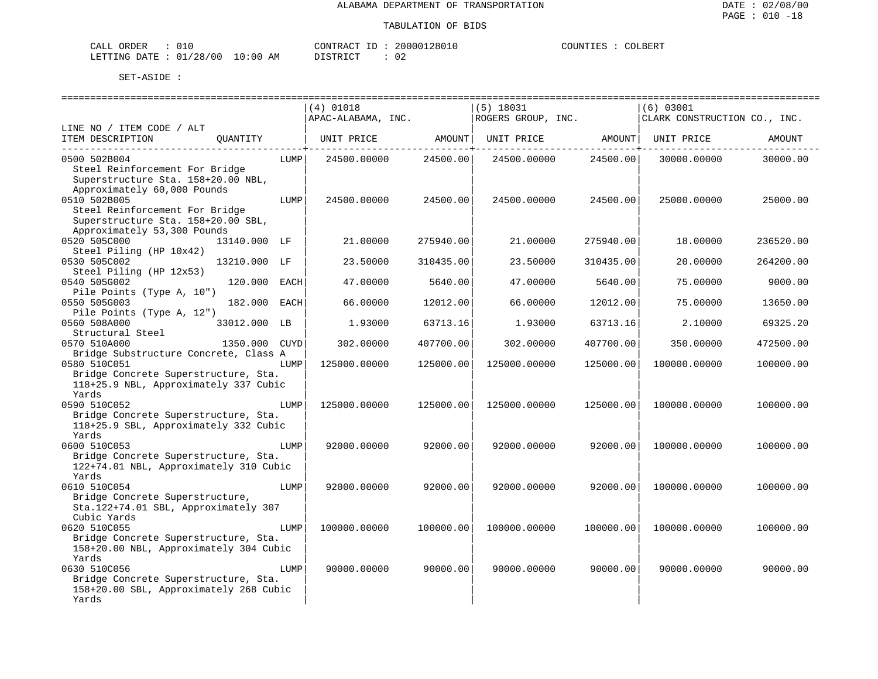| CALI<br>ORDER | ◡⊥◟        |             | CONTRACT<br>ΙD        | <sup>1</sup> 2801u<br>200001 | COUNTIES | COLBERT |
|---------------|------------|-------------|-----------------------|------------------------------|----------|---------|
| LETTING DATE  | : 01/28/00 | 10:00<br>AΜ | ד פידי ד<br>- - - - - | 02<br>$\sim$                 |          |         |

|                                                      |      | $(4)$ 01018        |           | $(5)$ 18031        |           | $(6)$ 03001                  |           |
|------------------------------------------------------|------|--------------------|-----------|--------------------|-----------|------------------------------|-----------|
|                                                      |      | APAC-ALABAMA, INC. |           | ROGERS GROUP, INC. |           | CLARK CONSTRUCTION CO., INC. |           |
| LINE NO / ITEM CODE / ALT                            |      |                    |           |                    |           |                              |           |
| ITEM DESCRIPTION<br>OUANTITY                         |      | UNIT PRICE         | AMOUNT    | UNIT PRICE         | AMOUNT    | UNIT PRICE                   | AMOUNT    |
| 0500 502B004                                         | LUMP | 24500.00000        | 24500.00  | 24500.00000        | 24500.00  | 30000.00000                  | 30000.00  |
| Steel Reinforcement For Bridge                       |      |                    |           |                    |           |                              |           |
| Superstructure Sta. 158+20.00 NBL,                   |      |                    |           |                    |           |                              |           |
| Approximately 60,000 Pounds                          |      |                    |           |                    |           |                              |           |
| 0510 502B005                                         | LUMP | 24500.00000        | 24500.00  | 24500.00000        | 24500.00  | 25000.00000                  | 25000.00  |
| Steel Reinforcement For Bridge                       |      |                    |           |                    |           |                              |           |
| Superstructure Sta. 158+20.00 SBL,                   |      |                    |           |                    |           |                              |           |
| Approximately 53,300 Pounds                          |      |                    |           |                    |           |                              |           |
| 0520 505C000<br>13140.000 LF                         |      | 21.00000           | 275940.00 | 21.00000           | 275940.00 | 18,00000                     | 236520.00 |
| Steel Piling (HP 10x42)                              |      |                    |           |                    |           |                              |           |
| 0530 505C002<br>13210.000 LF                         |      | 23.50000           | 310435.00 | 23.50000           | 310435.00 | 20.00000                     | 264200.00 |
| Steel Piling (HP 12x53)                              |      |                    |           |                    |           |                              |           |
| 0540 505G002<br>120.000                              | EACH | 47.00000           | 5640.00   | 47.00000           | 5640.00   | 75.00000                     | 9000.00   |
| Pile Points (Type A, 10")<br>0550 505G003<br>182.000 |      | 66.00000           | 12012.00  | 66.00000           |           | 75.00000                     |           |
| Pile Points (Type A, 12")                            | EACH |                    |           |                    | 12012.00  |                              | 13650.00  |
| 0560 508A000<br>33012.000 LB                         |      | 1.93000            | 63713.16  | 1.93000            | 63713.16  | 2.10000                      | 69325.20  |
| Structural Steel                                     |      |                    |           |                    |           |                              |           |
| 0570 510A000<br>1350.000                             | CUYD | 302.00000          | 407700.00 | 302.00000          | 407700.00 | 350.00000                    | 472500.00 |
| Bridge Substructure Concrete, Class A                |      |                    |           |                    |           |                              |           |
| 0580 510C051                                         | LUMP | 125000.00000       | 125000.00 | 125000.00000       | 125000.00 | 100000.00000                 | 100000.00 |
| Bridge Concrete Superstructure, Sta.                 |      |                    |           |                    |           |                              |           |
| 118+25.9 NBL, Approximately 337 Cubic                |      |                    |           |                    |           |                              |           |
| Yards                                                |      |                    |           |                    |           |                              |           |
| 0590 510C052                                         | LUMP | 125000.00000       | 125000.00 | 125000.00000       | 125000.00 | 100000.00000                 | 100000.00 |
| Bridge Concrete Superstructure, Sta.                 |      |                    |           |                    |           |                              |           |
| 118+25.9 SBL, Approximately 332 Cubic                |      |                    |           |                    |           |                              |           |
| Yards                                                |      |                    |           |                    |           |                              |           |
| 0600 510C053                                         | LUMP | 92000.00000        | 92000.00  | 92000.00000        | 92000.00  | 100000.00000                 | 100000.00 |
| Bridge Concrete Superstructure, Sta.                 |      |                    |           |                    |           |                              |           |
| 122+74.01 NBL, Approximately 310 Cubic<br>Yards      |      |                    |           |                    |           |                              |           |
| 0610 510C054                                         | LUMP | 92000.00000        | 92000.00  | 92000.00000        | 92000.00  | 100000.00000                 | 100000.00 |
| Bridge Concrete Superstructure,                      |      |                    |           |                    |           |                              |           |
| Sta.122+74.01 SBL, Approximately 307                 |      |                    |           |                    |           |                              |           |
| Cubic Yards                                          |      |                    |           |                    |           |                              |           |
| 0620 510C055                                         | LUMP | 100000.00000       | 100000.00 | 100000.00000       | 100000.00 | 100000.00000                 | 100000.00 |
| Bridge Concrete Superstructure, Sta.                 |      |                    |           |                    |           |                              |           |
| 158+20.00 NBL, Approximately 304 Cubic               |      |                    |           |                    |           |                              |           |
| Yards                                                |      |                    |           |                    |           |                              |           |
| 0630 510C056                                         | LUMP | 90000.00000        | 90000.00  | 90000.00000        | 90000.00  | 90000.00000                  | 90000.00  |
| Bridge Concrete Superstructure, Sta.                 |      |                    |           |                    |           |                              |           |
| 158+20.00 SBL, Approximately 268 Cubic               |      |                    |           |                    |           |                              |           |
| Yards                                                |      |                    |           |                    |           |                              |           |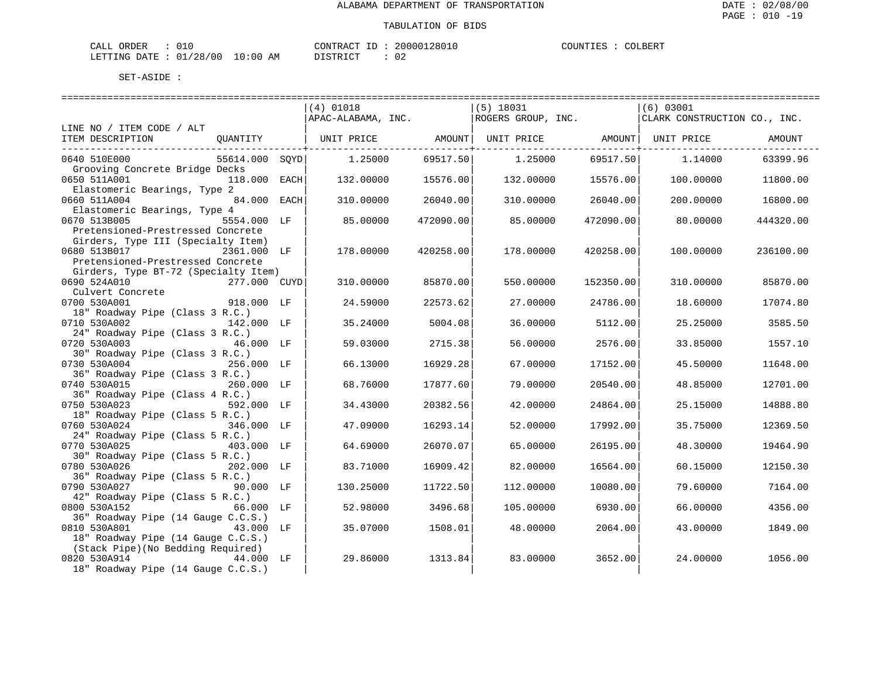| CALI<br>ORDER    | ---                   |                 | CONTRAC<br>ſΒ         | 12801u<br>0۵. | COUNTIT<br>. TES. | OLBER. |
|------------------|-----------------------|-----------------|-----------------------|---------------|-------------------|--------|
| DATE.<br>LETTING | /28/00<br>$\bigcap$ 1 | . O : O (<br>ΑM | ירי חיד פידי<br>----- | n r<br>◡∠     |                   |        |

|                                                              | ============================== |           |                    |           |                                |           |
|--------------------------------------------------------------|--------------------------------|-----------|--------------------|-----------|--------------------------------|-----------|
|                                                              | $(4)$ 01018                    |           | $(5)$ 18031        |           | $(6)$ 03001                    |           |
|                                                              | APAC-ALABAMA, INC.             |           | ROGERS GROUP, INC. |           | CLARK CONSTRUCTION CO., INC.   |           |
| LINE NO / ITEM CODE / ALT                                    |                                |           |                    |           |                                |           |
| ITEM DESCRIPTION<br>QUANTITY                                 | UNIT PRICE AMOUNT              |           |                    |           | UNIT PRICE AMOUNT   UNIT PRICE | AMOUNT    |
| 0640 510E000<br>55614.000 SOYD                               | 1.25000                        | 69517.50  | 1.25000            | 69517.50  | 1,14000                        | 63399.96  |
| Grooving Concrete Bridge Decks                               |                                |           |                    |           |                                |           |
| 0650 511A001<br>118.000 EACH                                 | 132.00000                      | 15576.00  | 132,00000          | 15576.00  | 100,00000                      | 11800.00  |
| Elastomeric Bearings, Type 2                                 |                                |           |                    |           |                                |           |
| 84.000 EACH<br>0660 511A004                                  | 310.00000                      | 26040.00  | 310.00000          | 26040.00  | 200.00000                      | 16800.00  |
| Elastomeric Bearings, Type 4                                 |                                |           |                    |           |                                |           |
| 0670 513B005<br>5554.000 LF                                  | 85.00000                       | 472090.00 | 85,00000           | 472090.00 | 80,00000                       | 444320.00 |
| Pretensioned-Prestressed Concrete                            |                                |           |                    |           |                                |           |
| Girders, Type III (Specialty Item)                           |                                |           |                    |           |                                |           |
| 0680 513B017<br>2361.000 LF                                  | 178.00000                      | 420258.00 | 178.00000          | 420258.00 | 100.00000                      | 236100.00 |
| Pretensioned-Prestressed Concrete                            |                                |           |                    |           |                                |           |
| Girders, Type BT-72 (Specialty Item)                         |                                |           |                    |           |                                |           |
| 0690 524A010<br>277.000 CUYD                                 | 310.00000                      | 85870.00  | 550.00000          | 152350.00 | 310.00000                      | 85870.00  |
| Culvert Concrete                                             |                                |           |                    |           |                                |           |
| 0700 530A001<br>918.000 LF                                   | 24.59000                       | 22573.62  | 27.00000           | 24786.00  | 18.60000                       | 17074.80  |
| 18" Roadway Pipe (Class 3 R.C.)                              |                                |           |                    |           |                                |           |
| 0710 530A002<br>142.000 LF                                   | 35.24000                       | 5004.08   | 36.00000           | 5112.00   | 25.25000                       | 3585.50   |
| 24" Roadway Pipe (Class 3 R.C.)<br>0720 530A003<br>46.000 LF | 59.03000                       | 2715.38   | 56.00000           | 2576.00   | 33.85000                       | 1557.10   |
| 30" Roadway Pipe (Class 3 R.C.)                              |                                |           |                    |           |                                |           |
| 0730 530A004<br>256.000 LF                                   | 66.13000                       | 16929.28  | 67.00000           | 17152.00  | 45.50000                       | 11648.00  |
| 36" Roadway Pipe (Class 3 R.C.)                              |                                |           |                    |           |                                |           |
| 0740 530A015<br>260.000 LF                                   | 68.76000                       | 17877.60  | 79.00000           | 20540.00  | 48.85000                       | 12701.00  |
| 36" Roadway Pipe (Class 4 R.C.)                              |                                |           |                    |           |                                |           |
| 0750 530A023<br>592.000 LF                                   | 34.43000                       | 20382.56  | 42.00000           | 24864.00  | 25.15000                       | 14888.80  |
| 18" Roadway Pipe (Class 5 R.C.)                              |                                |           |                    |           |                                |           |
| 0760 530A024<br>346.000 LF                                   | 47.09000                       | 16293.14  | 52.00000           | 17992.00  | 35.75000                       | 12369.50  |
| 24" Roadway Pipe (Class 5 R.C.)                              |                                |           |                    |           |                                |           |
| 0770 530A025<br>403.000 LF                                   | 64.69000                       | 26070.07  | 65.00000           | 26195.00  | 48.30000                       | 19464.90  |
| 30" Roadway Pipe (Class 5 R.C.)                              |                                |           |                    |           |                                |           |
| 0780 530A026<br>202.000 LF                                   | 83.71000                       | 16909.42  | 82.00000           | 16564.00  | 60.15000                       | 12150.30  |
| 36" Roadway Pipe (Class 5 R.C.)                              |                                |           |                    |           |                                |           |
| 0790 530A027<br>90.000 LF                                    | 130.25000                      | 11722.50  | 112,00000          | 10080.00  | 79.60000                       | 7164.00   |
| 42" Roadway Pipe (Class 5 R.C.)                              |                                |           |                    |           |                                |           |
| 0800 530A152<br>66.000 LF                                    | 52.98000                       | 3496.68   | 105.00000          | 6930.00   | 66.00000                       | 4356.00   |
| 36" Roadway Pipe (14 Gauge C.C.S.)                           |                                |           |                    |           |                                |           |
| 0810 530A801<br>43.000 LF                                    | 35.07000                       | 1508.01   | 48.00000           | 2064.00   | 43.00000                       | 1849.00   |
| 18" Roadway Pipe (14 Gauge C.C.S.)                           |                                |           |                    |           |                                |           |
| (Stack Pipe) (No Bedding Required)                           |                                |           |                    |           |                                |           |
| 0820 530A914 44.000 LF                                       | 29.86000                       | 1313.84   | 83.00000           | 3652.00   | 24.00000                       | 1056.00   |
| 18" Roadway Pipe (14 Gauge C.C.S.)                           |                                |           |                    |           |                                |           |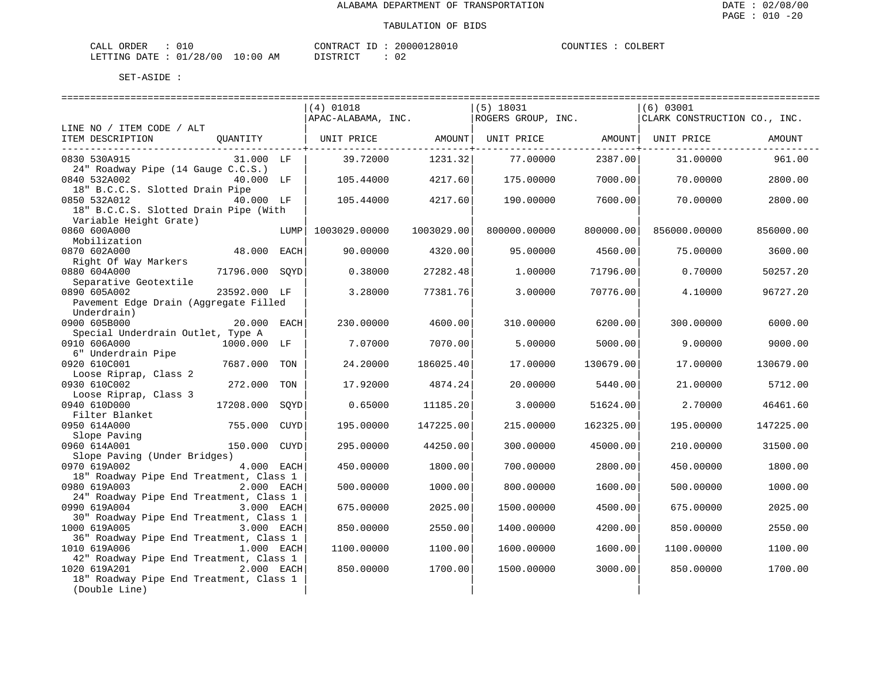| CALL ORDER                       |  | CONTRACT<br>ID | 20000128010 | COUNTIES | COLBERT |
|----------------------------------|--|----------------|-------------|----------|---------|
| LETTING DATE : 01/28/00 10:00 AM |  | DISTRICT       | 02          |          |         |

|                                         |                |      | ======================== |            |                              | ========================== |                              |           |
|-----------------------------------------|----------------|------|--------------------------|------------|------------------------------|----------------------------|------------------------------|-----------|
|                                         |                |      | (4) 01018                |            | $(5)$ 18031                  |                            | (6) 03001                    |           |
|                                         |                |      | APAC-ALABAMA, INC.       |            | ROGERS GROUP, INC.           |                            | CLARK CONSTRUCTION CO., INC. |           |
| LINE NO / ITEM CODE / ALT               |                |      |                          |            |                              |                            |                              |           |
| ITEM DESCRIPTION                        | OUANTITY       |      | UNIT PRICE AMOUNT        |            | UNIT PRICE AMOUNT UNIT PRICE |                            |                              | AMOUNT    |
|                                         |                |      |                          |            |                              |                            |                              |           |
| 0830 530A915                            | 31.000 LF      |      | 39.72000                 | 1231.32    | 77.00000                     | 2387.00                    | 31,00000                     | 961.00    |
| 24" Roadway Pipe (14 Gauge C.C.S.)      |                |      |                          |            |                              |                            |                              |           |
| 0840 532A002                            | 40.000 LF      |      | 105.44000                | 4217.60    | 175,00000                    | 7000.00                    | 70.00000                     | 2800.00   |
| 18" B.C.C.S. Slotted Drain Pipe         |                |      |                          |            |                              |                            |                              |           |
| 0850 532A012                            | 40.000 LF      |      | 105.44000                | 4217.60    | 190.00000                    | 7600.00                    | 70,00000                     | 2800.00   |
| 18" B.C.C.S. Slotted Drain Pipe (With   |                |      |                          |            |                              |                            |                              |           |
| Variable Height Grate)                  |                |      |                          |            |                              |                            |                              |           |
| 0860 600A000                            |                | LUMP | 1003029.00000            | 1003029.00 | 800000.00000                 | 800000.00                  | 856000.00000                 | 856000.00 |
| Mobilization                            |                |      |                          |            |                              |                            |                              |           |
| 0870 602A000                            | 48.000 EACH    |      | 90.00000                 | 4320.00    | 95.00000                     | 4560.00                    | 75.00000                     | 3600.00   |
| Right Of Way Markers                    |                |      |                          |            |                              |                            |                              |           |
| 0880 604A000                            | 71796.000 SOYD |      | 0.38000                  | 27282.48   | 1,00000                      | 71796.00                   | 0.70000                      | 50257.20  |
| Separative Geotextile                   |                |      |                          |            |                              |                            |                              |           |
| 0890 605A002                            | 23592.000 LF   |      | 3.28000                  | 77381.76   | 3.00000                      | 70776.00                   | 4.10000                      | 96727.20  |
| Pavement Edge Drain (Aggregate Filled   |                |      |                          |            |                              |                            |                              |           |
| Underdrain)                             |                |      |                          |            |                              |                            |                              |           |
| 0900 605B000                            | 20.000 EACH    |      | 230.00000                | 4600.00    | 310.00000                    | 6200.00                    | 300.00000                    | 6000.00   |
| Special Underdrain Outlet, Type A       |                |      |                          |            |                              |                            |                              |           |
| 0910 606A000                            | 1000.000 LF    |      | 7.07000                  | 7070.00    | 5.00000                      | 5000.00                    | 9.00000                      | 9000.00   |
| 6" Underdrain Pipe                      |                |      |                          |            |                              |                            |                              |           |
| 0920 610C001                            | 7687.000       | TON  | 24.20000                 | 186025.40  | 17.00000                     | 130679.00                  | 17.00000                     | 130679.00 |
| Loose Riprap, Class 2                   |                |      |                          |            |                              |                            |                              |           |
| 0930 610C002                            | 272.000 TON    |      | 17.92000                 | 4874.24    | 20.00000                     | 5440.00                    | 21.00000                     | 5712.00   |
| Loose Riprap, Class 3                   |                |      |                          |            |                              |                            |                              |           |
| 0940 610D000                            | 17208.000      | SOYD | 0.65000                  | 11185.20   | 3.00000                      | 51624.00                   | 2.70000                      | 46461.60  |
| Filter Blanket                          |                |      |                          |            |                              |                            |                              |           |
| 0950 614A000                            | 755.000 CUYD   |      | 195.00000                | 147225.00  | 215.00000                    | 162325.00                  | 195.00000                    | 147225.00 |
| Slope Paving                            |                |      |                          |            |                              |                            |                              |           |
| 0960 614A001                            | 150.000 CUYD   |      | 295.00000                | 44250.00   | 300.00000                    | 45000.00                   | 210.00000                    | 31500.00  |
| Slope Paving (Under Bridges)            |                |      |                          |            |                              |                            |                              |           |
| 0970 619A002                            | 4.000 EACH     |      | 450.00000                | 1800.00    | 700.00000                    | 2800.00                    | 450.00000                    | 1800.00   |
| 18" Roadway Pipe End Treatment, Class 1 |                |      |                          |            |                              |                            |                              |           |
| 0980 619A003                            | 2.000 EACH     |      | 500.00000                | 1000.00    | 800.00000                    | 1600.00                    | 500.00000                    | 1000.00   |
| 24" Roadway Pipe End Treatment, Class 1 |                |      |                          |            |                              |                            |                              |           |
| 0990 619A004                            | 3.000 EACH     |      | 675.00000                | 2025.00    | 1500.00000                   | 4500.00                    | 675.00000                    | 2025.00   |
| 30" Roadway Pipe End Treatment, Class 1 |                |      |                          |            |                              |                            |                              |           |
| 1000 619A005                            | 3.000 EACH     |      | 850.00000                | 2550.00    | 1400.00000                   | 4200.00                    | 850.00000                    | 2550.00   |
| 36" Roadway Pipe End Treatment, Class 1 |                |      |                          |            |                              |                            |                              |           |
| 1010 619A006                            | 1.000 EACH     |      | 1100.00000               | 1100.00    | 1600.00000                   | 1600.00                    | 1100.00000                   | 1100.00   |
| 42" Roadway Pipe End Treatment, Class 1 |                |      |                          |            |                              |                            |                              |           |
| 1020 619A201                            | 2.000 EACH     |      | 850.00000                | 1700.00    | 1500.00000                   | 3000.00                    | 850.00000                    | 1700.00   |
| 18" Roadway Pipe End Treatment, Class 1 |                |      |                          |            |                              |                            |                              |           |
| (Double Line)                           |                |      |                          |            |                              |                            |                              |           |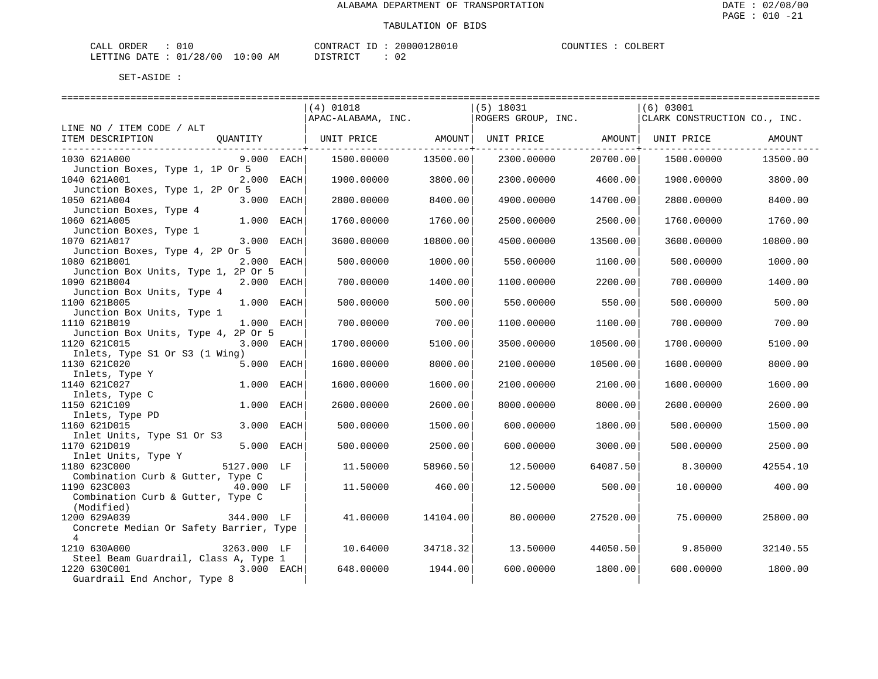| CALL ORDER                       |  | CONTRACT ID | 20000128010 | COUNTIES : | COLBERT |
|----------------------------------|--|-------------|-------------|------------|---------|
| LETTING DATE : 01/28/00 10:00 AM |  | DISTRICT    | 02          |            |         |

|                                                                                                     |              |      | $(4)$ 01018<br>APAC-ALABAMA, INC. |          | $(5)$ 18031<br>ROGERS GROUP, INC. |          | (6) 03001<br>CLARK CONSTRUCTION CO., INC. |          |
|-----------------------------------------------------------------------------------------------------|--------------|------|-----------------------------------|----------|-----------------------------------|----------|-------------------------------------------|----------|
| LINE NO / ITEM CODE / ALT<br>OUANTITY<br>ITEM DESCRIPTION<br>______________________________         |              |      | UNIT PRICE AMOUNT                 |          |                                   |          | UNIT PRICE AMOUNT   UNIT PRICE AMOUNT     |          |
| 1030 621A000<br>Junction Boxes, Type 1, 1P Or 5                                                     | $9.000$ EACH |      | 1500.00000                        | 13500.00 | 2300.00000                        | 20700.00 | 1500.00000                                | 13500.00 |
| 1040 621A001<br>2.000 EACH<br>Junction Boxes, Type 1, 2P Or 5                                       |              |      | 1900.00000                        | 3800.00  | 2300.00000                        | 4600.00  | 1900.00000                                | 3800.00  |
| 1050 621A004<br>Junction Boxes, Type 4                                                              | 3.000 EACH   |      | 2800.00000                        | 8400.00  | 4900.00000                        | 14700.00 | 2800.00000                                | 8400.00  |
| 1060 621A005<br>Junction Boxes, Type 1                                                              | 1.000 EACH   |      | 1760.00000                        | 1760.00  | 2500.00000                        | 2500.00  | 1760.00000                                | 1760.00  |
| 1070 621A017<br>3.000 EACH<br>Junction Boxes, Type 4, 2P Or 5                                       |              |      | 3600.00000                        | 10800.00 | 4500.00000                        | 13500.00 | 3600.00000                                | 10800.00 |
| 1080 621B001<br>Junction Box Units, Type 1, 2P Or 5                                                 | 2.000 EACH   |      | 500.00000                         | 1000.00  | 550.00000                         | 1100.00  | 500.00000                                 | 1000.00  |
| 1090 621B004<br>Junction Box Units, Type 4                                                          | 2.000 EACH   |      | 700.00000                         | 1400.00  | 1100.00000                        | 2200.00  | 700.00000                                 | 1400.00  |
| 1100 621B005<br>Junction Box Units, Type 1                                                          | 1.000 EACH   |      | 500.00000                         | 500.00   | 550.00000                         | 550.00   | 500.00000                                 | 500.00   |
| 1110 621B019<br>Junction Box Units, Type 4, 2P Or 5                                                 | 1.000 EACH   |      | 700.00000                         | 700.00   | 1100.00000                        | 1100.00  | 700.00000                                 | 700.00   |
| 1120 621C015<br>Inlets, Type S1 Or S3 (1 Wing)                                                      | 3.000 EACH   |      | 1700.00000                        | 5100.00  | 3500.00000                        | 10500.00 | 1700.00000                                | 5100.00  |
| 1130 621C020<br>Inlets, Type Y                                                                      | 5.000 EACH   |      | 1600.00000                        | 8000.00  | 2100.00000                        | 10500.00 | 1600.00000                                | 8000.00  |
| 1140 621C027<br>Inlets, Type C                                                                      | 1.000 EACH   |      | 1600.00000                        | 1600.00  | 2100.00000                        | 2100.00  | 1600.00000                                | 1600.00  |
| 1150 621C109<br>Inlets, Type PD                                                                     | 1.000 EACH   |      | 2600.00000                        | 2600.00  | 8000.00000                        | 8000.00  | 2600.00000                                | 2600.00  |
| 1160 621D015<br>Inlet Units, Type S1 Or S3                                                          | 3.000        | EACH | 500.00000                         | 1500.00  | 600,00000                         | 1800.00  | 500,00000                                 | 1500.00  |
| 1170 621D019                                                                                        | 5.000 EACH   |      | 500.00000                         | 2500.00  | 600.00000                         | 3000.00  | 500.00000                                 | 2500.00  |
| Thet Units, Type Y<br>1180 623C000 5127.000 LF<br>1180 623C000<br>Combination Curb & Gutter, Type C |              |      | 11.50000                          | 58960.50 | 12.50000                          | 64087.50 | 8.30000                                   | 42554.10 |
| $40.000$ LF<br>1190 623C003<br>Combination Curb & Gutter, Type C                                    |              |      | 11.50000                          | 460.00   | 12.50000                          | 500.00   | 10.00000                                  | 400.00   |
| (Modified)<br>344.000 LF<br>1200 629A039<br>Concrete Median Or Safety Barrier, Type                 |              |      | 41,00000                          | 14104.00 | 80.00000                          | 27520.00 | 75.00000                                  | 25800.00 |
| 4<br>1210 630A000                                                                                   | 3263.000 LF  |      | 10.64000                          | 34718.32 | 13.50000                          | 44050.50 | 9.85000                                   | 32140.55 |
| Steel Beam Guardrail, Class A, Type 1<br>1220 630C001<br>Guardrail End Anchor, Type 8               | 3.000 EACH   |      | 648.00000                         | 1944.00  | 600.00000                         | 1800.00  | 600.00000                                 | 1800.00  |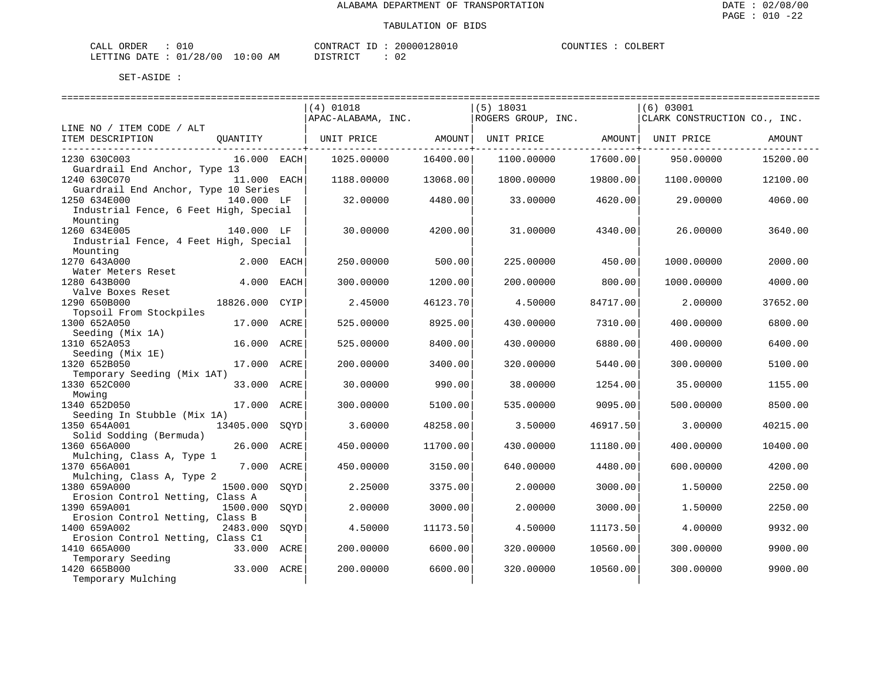| CALI<br>ORDER    | ---                   |                 | CONTRAC<br>ſΒ         | 12801u<br>0۵. | COUNTIT<br>. TES. | OLBER. |
|------------------|-----------------------|-----------------|-----------------------|---------------|-------------------|--------|
| DATE.<br>LETTING | /28/00<br>$\bigcap$ 1 | . O : O (<br>ΑM | ירי חיד פידי<br>----- | n r<br>◡∠     |                   |        |

|                                                                    |             |      | $(4)$ 01018        |          | $(5)$ 18031        |          | (6) 03001                    |          |
|--------------------------------------------------------------------|-------------|------|--------------------|----------|--------------------|----------|------------------------------|----------|
|                                                                    |             |      | APAC-ALABAMA, INC. |          | ROGERS GROUP, INC. |          | CLARK CONSTRUCTION CO., INC. |          |
| LINE NO / ITEM CODE / ALT<br>ITEM DESCRIPTION                      | OUANTITY    |      | UNIT PRICE         | AMOUNT   | UNIT PRICE         | AMOUNT   | UNIT PRICE                   | AMOUNT   |
| 1230 630C003<br>Guardrail End Anchor, Type 13                      | 16.000 EACH |      | 1025.00000         | 16400.00 | 1100.00000         | 17600.00 | 950.00000                    | 15200.00 |
| 1240 630C070<br>Guardrail End Anchor, Type 10 Series               | 11.000 EACH |      | 1188.00000         | 13068.00 | 1800,00000         | 19800.00 | 1100.00000                   | 12100.00 |
| 1250 634E000<br>Industrial Fence, 6 Feet High, Special<br>Mounting | 140.000 LF  |      | 32,00000           | 4480.00  | 33.00000           | 4620.00  | 29,00000                     | 4060.00  |
| 1260 634E005<br>Industrial Fence, 4 Feet High, Special<br>Mounting | 140.000 LF  |      | 30.00000           | 4200.00  | 31,00000           | 4340.00  | 26,00000                     | 3640.00  |
| 1270 643A000<br>Water Meters Reset                                 | 2.000 EACH  |      | 250.00000          | 500.00   | 225.00000          | 450.00   | 1000.00000                   | 2000.00  |
| 1280 643B000<br>Valve Boxes Reset                                  | 4.000 EACH  |      | 300.00000          | 1200.00  | 200.00000          | 800.00   | 1000.00000                   | 4000.00  |
| 1290 650B000<br>Topsoil From Stockpiles                            | 18826.000   | CYIP | 2.45000            | 46123.70 | 4.50000            | 84717.00 | 2.00000                      | 37652.00 |
| 1300 652A050<br>Seeding (Mix 1A)                                   | 17.000 ACRE |      | 525.00000          | 8925.00  | 430.00000          | 7310.00  | 400.00000                    | 6800.00  |
| 1310 652A053<br>Seeding (Mix 1E)                                   | 16.000      | ACRE | 525.00000          | 8400.00  | 430.00000          | 6880.00  | 400.00000                    | 6400.00  |
| 1320 652B050<br>Temporary Seeding (Mix 1AT)                        | 17.000 ACRE |      | 200.00000          | 3400.00  | 320.00000          | 5440.00  | 300.00000                    | 5100.00  |
| 1330 652C000<br>Mowing                                             | 33.000 ACRE |      | 30.00000           | 990.00   | 38.00000           | 1254.00  | 35.00000                     | 1155.00  |
| 1340 652D050<br>Seeding In Stubble (Mix 1A)                        | 17.000 ACRE |      | 300.00000          | 5100.00  | 535.00000          | 9095.00  | 500.00000                    | 8500.00  |
| 1350 654A001<br>Solid Sodding (Bermuda)                            | 13405.000   | SOYD | 3.60000            | 48258.00 | 3.50000            | 46917.50 | 3.00000                      | 40215.00 |
| 1360 656A000<br>Mulching, Class A, Type 1                          | 26.000      | ACRE | 450.00000          | 11700.00 | 430.00000          | 11180.00 | 400.00000                    | 10400.00 |
| 1370 656A001                                                       | 7.000 ACRE  |      | 450.00000          | 3150.00  | 640.00000          | 4480.00  | 600.00000                    | 4200.00  |
| Mulching, Class A, Type 2<br>1380 659A000                          | 1500.000    | SOYD | 2.25000            | 3375.00  | 2.00000            | 3000.00  | 1.50000                      | 2250.00  |
| Erosion Control Netting, Class A<br>1390 659A001                   | 1500.000    | SOYD | 2.00000            | 3000.00  | 2.00000            | 3000.00  | 1.50000                      | 2250.00  |
| Erosion Control Netting, Class B<br>1400 659A002                   | 2483.000    | SOYD | 4.50000            | 11173.50 | 4.50000            | 11173.50 | 4.00000                      | 9932.00  |
| Erosion Control Netting, Class C1<br>1410 665A000                  | 33.000 ACRE |      | 200.00000          | 6600.00  | 320.00000          | 10560.00 | 300.00000                    | 9900.00  |
| Temporary Seeding<br>1420 665B000<br>Temporary Mulching            | 33.000 ACRE |      | 200.00000          | 6600.00  | 320.00000          | 10560.00 | 300.00000                    | 9900.00  |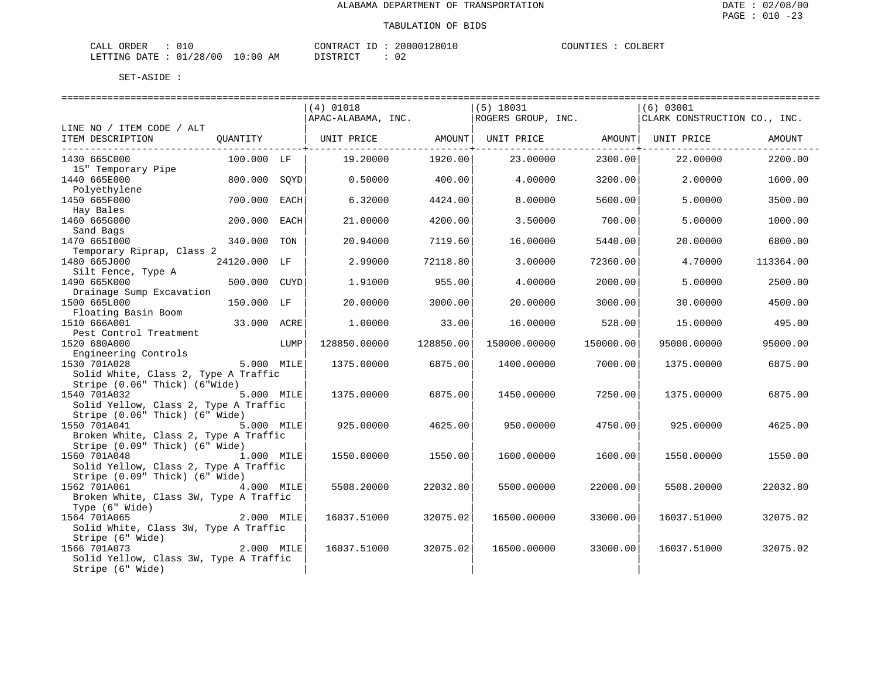## TABULATION OF BIDS

| ORDER<br>CALL          |  |             | CONTRACT | ID | 20000128010 | COUNTIES | COLBERT |
|------------------------|--|-------------|----------|----|-------------|----------|---------|
| LETTING DATE: 01/28/00 |  | 10:00<br>AM | TSTR TOT |    | 02          |          |         |

|                                                                                                                                                                                                                                                                                                                                                                                                                                        |              |      | $(4)$ 01018        |           | $(5)$ 18031        |                       | $(6)$ 03001                  |           |
|----------------------------------------------------------------------------------------------------------------------------------------------------------------------------------------------------------------------------------------------------------------------------------------------------------------------------------------------------------------------------------------------------------------------------------------|--------------|------|--------------------|-----------|--------------------|-----------------------|------------------------------|-----------|
|                                                                                                                                                                                                                                                                                                                                                                                                                                        |              |      | APAC-ALABAMA, INC. |           | ROGERS GROUP, INC. |                       | CLARK CONSTRUCTION CO., INC. |           |
| LINE NO / ITEM CODE / ALT<br>ITEM DESCRIPTION                                                                                                                                                                                                                                                                                                                                                                                          |              |      |                    |           |                    | ---------------+----- |                              | AMOUNT    |
| 1430 665C000<br>15" Temporary Pipe                                                                                                                                                                                                                                                                                                                                                                                                     | 100.000 LF   |      | 19.20000           | 1920.00   | 23.00000           | 2300.00               | 22.00000                     | 2200.00   |
| 1440 665E000                                                                                                                                                                                                                                                                                                                                                                                                                           | 800.000 SQYD |      | 0.50000            | 400.00    | 4.00000            | 3200.00               | 2,00000                      | 1600.00   |
| Polyethylene<br>1450 665F000                                                                                                                                                                                                                                                                                                                                                                                                           | 700.000      | EACH | 6.32000            | 4424.00   | 8,00000            | 5600.00               | 5,00000                      | 3500.00   |
| Hay Bales<br>1460 665G000                                                                                                                                                                                                                                                                                                                                                                                                              | 200.000      | EACH | 21.00000           | 4200.00   | 3.50000            | 700.00                | 5.00000                      | 1000.00   |
| Sand Bags<br>1470 6651000                                                                                                                                                                                                                                                                                                                                                                                                              | 340.000 TON  |      | 20.94000           | 7119.60   | 16,00000           | 5440.00               | 20,00000                     | 6800.00   |
| Temporary Riprap, Class 2<br>1480 665J000                                                                                                                                                                                                                                                                                                                                                                                              | 24120.000 LF |      | 2.99000            | 72118.80  | 3.00000            | 72360.00              | 4.70000                      | 113364.00 |
| Silt Fence, Type A<br>1490 665K000                                                                                                                                                                                                                                                                                                                                                                                                     | 500.000 CUYD |      | 1.91000            | 955.00    | 4.00000            | 2000.00               | 5,00000                      | 2500.00   |
| Drainage Sump Excavation<br>1500 665L000                                                                                                                                                                                                                                                                                                                                                                                               | 150.000 LF   |      | 20.00000           | 3000.00   | 20.00000           | 3000.00               | 30.00000                     | 4500.00   |
| Floating Basin Boom<br>1510 666A001                                                                                                                                                                                                                                                                                                                                                                                                    | 33.000 ACRE  |      | 1,00000            | 33.00     | 16.00000           | 528.00                | 15.00000                     | 495.00    |
| Pest Control Treatment<br>1520 680A000                                                                                                                                                                                                                                                                                                                                                                                                 |              | LUMP | 128850.00000       | 128850.00 | 150000.00000       | 150000.00             | 95000.00000                  | 95000.00  |
| Engineering Controls<br>5.000 MILE<br>1530 701A028                                                                                                                                                                                                                                                                                                                                                                                     |              |      | 1375.00000         | 6875.00   | 1400.00000         | 7000.00               | 1375.00000                   | 6875.00   |
| Solid White, Class 2, Type A Traffic<br>Stripe (0.06" Thick) (6"Wide)                                                                                                                                                                                                                                                                                                                                                                  |              |      |                    |           |                    |                       |                              |           |
| 1540 701A032<br>Solid Yellow, Class 2, Type A Traffic                                                                                                                                                                                                                                                                                                                                                                                  | 5.000 MILE   |      | 1375.00000         | 6875.00   | 1450.00000         | 7250.00               | 1375.00000                   | 6875.00   |
| Stripe (0.06" Thick) (6" Wide)<br>5.000 MILE<br>1550 701A041<br>Broken White, Class 2, Type A Traffic                                                                                                                                                                                                                                                                                                                                  |              |      | 925.00000          | 4625.00   | 950.00000          | 4750.00               | 925.00000                    | 4625.00   |
| Stripe (0.09" Thick) (6" Wide)<br>1560 701A048<br>Solid Yellow, Class 2, Type A Traffic                                                                                                                                                                                                                                                                                                                                                | 1.000 MILE   |      | 1550.00000         | 1550.00   | 1600.00000         | 1600.00               | 1550.00000                   | 1550.00   |
| Stripe (0.09" Thick) (6" Wide)<br>1562 701A061<br>Broken White, Class 3W, Type A Traffic                                                                                                                                                                                                                                                                                                                                               | 4.000 MILE   |      | 5508.20000         | 22032.80  | 5500.00000         | 22000.00              | 5508.20000                   | 22032.80  |
| Type (6" Wide)<br>1564 701A065                                                                                                                                                                                                                                                                                                                                                                                                         | 2.000 MILE   |      | 16037.51000        | 32075.02  | 16500.00000        | 33000.00              | 16037.51000                  | 32075.02  |
| Solid White, Class 3W, Type A Traffic<br>Solid winte,<br>Stripe (6" Wide)<br>2.000 MILE<br>$\begin{bmatrix} 2.000 & \text{MLE} \\ 2.000 & \text{white} \\ 2.000 & \text{white} \\ 2.000 & \text{white} \\ 2.000 & \text{white} \\ 2.000 & \text{white} \\ 2.000 & \text{white} \\ 2.000 & \text{white} \\ 2.000 & \text{white} \\ 2.000 & \text{white} \\ 2.000 & \text{white} \\ 2.000 & \text{white} \\ 2.000 & \text{white} \\ 2.0$ |              |      |                    |           |                    |                       |                              |           |
| 1566 701A073<br>Solid Yellow, Class 3W, Type A Traffic<br>Stripe (6" Wide)                                                                                                                                                                                                                                                                                                                                                             |              |      | 16037.51000        | 32075.02  | 16500.00000        | 33000.00              | 16037.51000                  | 32075.02  |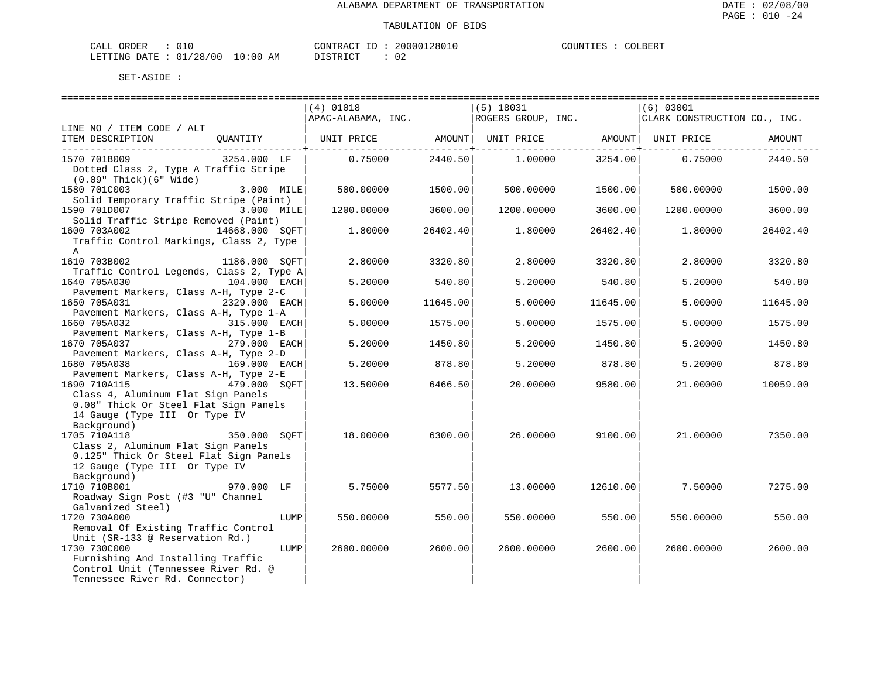| CALL ORDER                       |  | CONTRACT ID | 20000128010 | COUNTIES : | COLBERT |
|----------------------------------|--|-------------|-------------|------------|---------|
| LETTING DATE : 01/28/00 10:00 AM |  | DISTRICT    | 02          |            |         |

|                                              |                |      | $(4)$ 01018                                                              |          | (5) 18031  |          | (6) 03001  |          |
|----------------------------------------------|----------------|------|--------------------------------------------------------------------------|----------|------------|----------|------------|----------|
|                                              |                |      | APAC-ALABAMA, INC. ROGERS GROUP, INC. CLARK CONSTRUCTION CO., INC.       |          |            |          |            |          |
| LINE NO / ITEM CODE / ALT                    |                |      |                                                                          |          |            |          |            |          |
| ITEM DESCRIPTION                             |                |      | QUANTITY   UNIT PRICE      AMOUNT   UNIT PRICE       AMOUNT   UNIT PRICE |          |            |          |            | AMOUNT   |
|                                              |                |      |                                                                          |          |            |          |            |          |
| 1570 701B009                                 | 3254.000 LF    |      | 0.75000                                                                  | 2440.50  | 1.00000    | 3254.00  | 0.75000    | 2440.50  |
| Dotted Class 2, Type A Traffic Stripe        |                |      |                                                                          |          |            |          |            |          |
| $(0.09"$ Thick $)(6"$ Wide $)$               |                |      |                                                                          |          |            |          |            |          |
| 1580 701C003                                 | 3.000 MILE     |      | 500.00000                                                                | 1500.00  | 500.00000  | 1500.00  | 500.00000  | 1500.00  |
| Solid Temporary Traffic Stripe (Paint)       |                |      |                                                                          |          |            |          |            |          |
| 1590 701D007                                 | 3.000 MILE     |      | 1200.00000                                                               | 3600.00  | 1200.00000 | 3600.00  | 1200.00000 | 3600.00  |
| Solid Traffic Stripe Removed (Paint)         |                |      |                                                                          |          |            |          |            |          |
| 1600 703A002                                 | 14668.000 SOFT |      | 1,80000                                                                  | 26402.40 | 1.80000    | 26402.40 | 1,80000    | 26402.40 |
| Traffic Control Markings, Class 2, Type      |                |      |                                                                          |          |            |          |            |          |
| A                                            |                |      |                                                                          |          |            |          |            |          |
| 1610 703B002                                 | 1186.000 SOFT  |      | 2.80000                                                                  | 3320.80  | 2.80000    | 3320.80  | 2.80000    | 3320.80  |
| Traffic Control Legends, Class 2, Type A     |                |      |                                                                          |          |            |          |            |          |
| 1640 705A030                                 | 104.000 EACH   |      | 5.20000                                                                  | 540.80   | 5.20000    | 540.80   | 5.20000    | 540.80   |
| Pavement Markers, Class A-H, Type 2-C        |                |      |                                                                          |          |            |          |            |          |
| 1650 705A031<br>2329.000 EACH                |                |      | 5.00000                                                                  | 11645.00 | 5.00000    | 11645.00 | 5.00000    | 11645.00 |
| Pavement Markers, Class A-H, Type 1-A        |                |      |                                                                          |          |            |          |            |          |
| 1660 705A032                                 | 315.000 EACH   |      | 5.00000                                                                  | 1575.00  | 5.00000    | 1575.00  | 5.00000    | 1575.00  |
| Pavement Markers, Class A-H, Type 1-B        |                |      |                                                                          |          |            |          |            |          |
| 1670 705A037<br>279.000 EACH                 |                |      | 5.20000                                                                  | 1450.80  | 5.20000    | 1450.80  | 5.20000    | 1450.80  |
| Pavement Markers, Class A-H, Type 2-D        |                |      |                                                                          |          |            |          |            |          |
| 1680 705A038                                 | 169.000 EACH   |      | 5.20000                                                                  | 878.80   | 5.20000    | 878.80   | 5.20000    | 878.80   |
| Pavement Markers, Class A-H, Type 2-E        |                |      |                                                                          |          |            |          |            |          |
| 1690 710A115<br>479.000 SOFT                 |                |      | 13.50000                                                                 | 6466.50  | 20.00000   | 9580.00  | 21,00000   | 10059.00 |
| Class 4, Aluminum Flat Sign Panels           |                |      |                                                                          |          |            |          |            |          |
| 0.08" Thick Or Steel Flat Sign Panels        |                |      |                                                                          |          |            |          |            |          |
|                                              |                |      |                                                                          |          |            |          |            |          |
| 14 Gauge (Type III Or Type IV<br>Background) |                |      |                                                                          |          |            |          |            |          |
|                                              |                |      |                                                                          |          |            |          |            |          |
| 1705 710A118                                 | 350.000 SOFT   |      | 18.00000                                                                 | 6300.00  | 26.00000   | 9100.00  | 21.00000   | 7350.00  |
| Class 2, Aluminum Flat Sign Panels           |                |      |                                                                          |          |            |          |            |          |
| 0.125" Thick Or Steel Flat Sign Panels       |                |      |                                                                          |          |            |          |            |          |
| 12 Gauge (Type III Or Type IV                |                |      |                                                                          |          |            |          |            |          |
| Background)                                  |                |      |                                                                          |          |            |          |            |          |
| 1710 710B001                                 | 970.000 LF     |      | 5.75000                                                                  | 5577.50  | 13.00000   | 12610.00 | 7.50000    | 7275.00  |
| Roadway Sign Post (#3 "U" Channel            |                |      |                                                                          |          |            |          |            |          |
| Galvanized Steel)                            |                |      |                                                                          |          |            |          |            |          |
| 1720 730A000                                 |                | LUMP | 550.00000                                                                | 550.00   | 550.00000  | 550.00   | 550.00000  | 550.00   |
| Removal Of Existing Traffic Control          |                |      |                                                                          |          |            |          |            |          |
| Unit (SR-133 @ Reservation Rd.)              |                |      |                                                                          |          |            |          |            |          |
| 1730 730C000                                 |                | LUMP | 2600.00000                                                               | 2600.00  | 2600.00000 | 2600.00  | 2600.00000 | 2600.00  |
| Furnishing And Installing Traffic            |                |      |                                                                          |          |            |          |            |          |
| Control Unit (Tennessee River Rd. @          |                |      |                                                                          |          |            |          |            |          |
| Tennessee River Rd. Connector)               |                |      |                                                                          |          |            |          |            |          |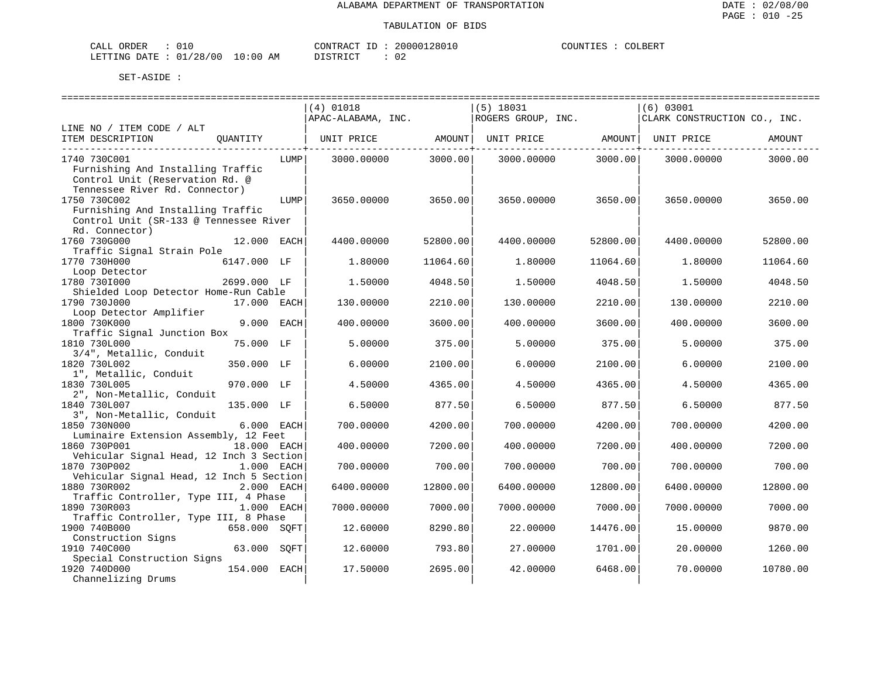| CALI<br>DRDER                 | --       |    | CONTRACT<br>TD.  | ՝ 2801ե<br>20000. | COUNTIF<br>. TRZ | COLBERT |
|-------------------------------|----------|----|------------------|-------------------|------------------|---------|
| <b>DATE</b><br><b>LETTING</b> | 01/28/00 | ΆM | ד פידים ד $\sim$ | n r<br>υz         |                  |         |

|                                                                                                                                                 |              |      | $(4)$ 01018<br>APAC-ALABAMA, INC. |          | $(5)$ 18031<br>ROGERS GROUP, INC. |          | (6) 03001<br>CLARK CONSTRUCTION CO., INC. |          |
|-------------------------------------------------------------------------------------------------------------------------------------------------|--------------|------|-----------------------------------|----------|-----------------------------------|----------|-------------------------------------------|----------|
| LINE NO / ITEM CODE / ALT<br>ITEM DESCRIPTION                                                                                                   | OUANTITY     |      |                                   | AMOUNT   | UNIT PRICE                        | AMOUNT   | UNIT PRICE                                | AMOUNT   |
|                                                                                                                                                 |              |      | UNIT PRICE                        |          |                                   |          |                                           |          |
| 1740 730C001<br>Furnishing And Installing Traffic<br>Control Unit (Reservation Rd. @                                                            |              | LUMP | 3000.00000                        | 3000.00  | 3000.00000                        | 3000.00  | 3000.00000                                | 3000.00  |
| Tennessee River Rd. Connector)<br>1750 730C002<br>Furnishing And Installing Traffic<br>Control Unit (SR-133 @ Tennessee River<br>Rd. Connector) |              | LUMP | 3650,00000                        | 3650.00  | 3650,00000                        | 3650.00  | 3650.00000                                | 3650.00  |
| 1760 730G000<br>Traffic Signal Strain Pole                                                                                                      | 12.000 EACH  |      | 4400.00000                        | 52800.00 | 4400.00000                        | 52800.00 | 4400.00000                                | 52800.00 |
| 1770 730H000                                                                                                                                    | 6147.000 LF  |      | 1,80000                           | 11064.60 | 1,80000                           | 11064.60 | 1,80000                                   | 11064.60 |
| Loop Detector<br>1780 7301000                                                                                                                   | 2699.000 LF  |      | 1.50000                           | 4048.50  | 1.50000                           | 4048.50  | 1,50000                                   | 4048.50  |
| Shielded Loop Detector Home-Run Cable<br>1790 730J000<br>Loop Detector Amplifier                                                                | 17.000 EACH  |      | 130.00000                         | 2210.00  | 130.00000                         | 2210.00  | 130.00000                                 | 2210.00  |
| 1800 730K000<br>Traffic Signal Junction Box                                                                                                     | 9.000        | EACH | 400.00000                         | 3600.00  | 400.00000                         | 3600.00  | 400.00000                                 | 3600.00  |
| 1810 730L000<br>3/4", Metallic, Conduit                                                                                                         | 75.000 LF    |      | 5.00000                           | 375.00   | 5.00000                           | 375.00   | 5.00000                                   | 375.00   |
| 1820 730L002                                                                                                                                    | 350.000 LF   |      | 6,00000                           | 2100.00  | 6.00000                           | 2100.00  | 6,00000                                   | 2100.00  |
| 1", Metallic, Conduit<br>1830 730L005<br>2", Non-Metallic, Conduit                                                                              | 970.000 LF   |      | 4.50000                           | 4365.00  | 4.50000                           | 4365.00  | 4.50000                                   | 4365.00  |
| 1840 730L007<br>3", Non-Metallic, Conduit                                                                                                       | 135.000 LF   |      | 6.50000                           | 877.50   | 6.50000                           | 877.50   | 6.50000                                   | 877.50   |
| 1850 730N000<br>Luminaire Extension Assembly, 12 Feet                                                                                           | 6.000 EACH   |      | 700.00000                         | 4200.00  | 700.00000                         | 4200.00  | 700.00000                                 | 4200.00  |
| 1860 730P001<br>Vehicular Signal Head, 12 Inch 3 Section                                                                                        | 18.000 EACH  |      | 400.00000                         | 7200.00  | 400.00000                         | 7200.00  | 400.00000                                 | 7200.00  |
| 1870 730P002<br>Vehicular Signal Head, 12 Inch 5 Section                                                                                        | 1.000 EACH   |      | 700.00000                         | 700.00   | 700.00000                         | 700.00   | 700.00000                                 | 700.00   |
| 1880 730R002                                                                                                                                    | 2.000 EACH   |      | 6400.00000                        | 12800.00 | 6400.00000                        | 12800.00 | 6400.00000                                | 12800.00 |
| Traffic Controller, Type III, 4 Phase<br>1890 730R003                                                                                           | 1.000 EACH   |      | 7000.00000                        | 7000.00  | 7000.00000                        | 7000.00  | 7000.00000                                | 7000.00  |
| Traffic Controller, Type III, 8 Phase<br>1900 740B000                                                                                           | 658.000 SOFT |      | 12.60000                          | 8290.80  | 22.00000                          | 14476.00 | 15.00000                                  | 9870.00  |
| Construction Signs<br>1910 740C000                                                                                                              | 63.000       | SOFT | 12.60000                          | 793.80   | 27.00000                          | 1701.00  | 20.00000                                  | 1260.00  |
| Special Construction Signs<br>1920 740D000<br>Channelizing Drums                                                                                | 154.000 EACH |      | 17.50000                          | 2695.00  | 42.00000                          | 6468.00  | 70.00000                                  | 10780.00 |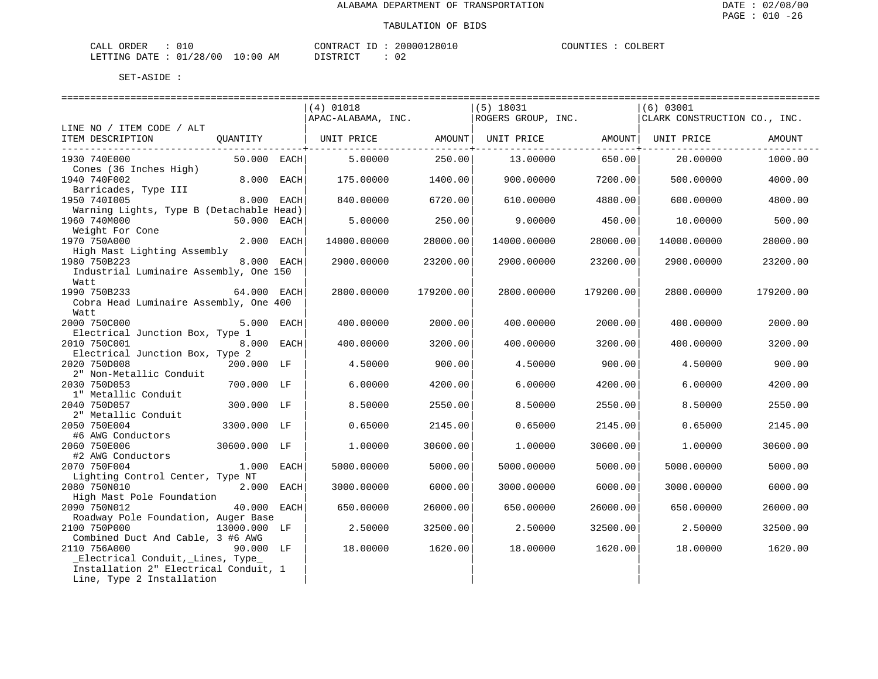| CALI | ORDER        | - - 1    |         |    | CONTRACT | ΙD | 20000128016 | COUNTIES | COLBERT |
|------|--------------|----------|---------|----|----------|----|-------------|----------|---------|
|      | LETTING DATE | 01/28/00 | LO : 00 | ΑM | .        |    | 02          |          |         |

|                                          |               |            | $(4)$ 01018                                                                                                          |           | $(5)$ 18031 |           | $(6)$ 03001 |           |
|------------------------------------------|---------------|------------|----------------------------------------------------------------------------------------------------------------------|-----------|-------------|-----------|-------------|-----------|
|                                          |               |            | APAC-ALABAMA, INC. ROGERS GROUP, INC. CLARK CONSTRUCTION CO., INC.                                                   |           |             |           |             |           |
| LINE NO / ITEM CODE / ALT                |               |            |                                                                                                                      |           |             |           |             |           |
| ITEM DESCRIPTION                         |               |            | QUANTITY   UNIT PRICE             AMOUNT   UNIT PRICE                   AMOUNT   UNIT PRICE                   AMOUNT |           |             |           |             |           |
|                                          |               |            |                                                                                                                      |           |             |           |             |           |
| 1930 740E000                             | $50.000$ EACH |            | 5.00000                                                                                                              | 250.00    | 13.00000    | 650.00    | 20.00000    | 1000.00   |
| Cones (36 Inches High)                   |               |            |                                                                                                                      |           |             |           |             |           |
| 1940 740F002                             | $8.000$ EACH  |            | 175.00000                                                                                                            | 1400.00   | 900.00000   | 7200.00   | 500,00000   | 4000.00   |
| Barricades, Type III                     |               |            |                                                                                                                      |           |             |           |             |           |
| 1950 7401005                             |               | 8.000 EACH | 840.00000                                                                                                            | 6720.001  | 610.00000   | 4880.00   | 600.00000   | 4800.00   |
| Warning Lights, Type B (Detachable Head) |               |            |                                                                                                                      |           |             |           |             |           |
| 1960 740M000                             | 50.000 EACH   |            | 5.00000                                                                                                              | 250.00    | 9,00000     | 450.00    | 10.00000    | 500.00    |
| Weight For Cone                          |               |            |                                                                                                                      |           |             |           |             |           |
| 1970 750A000                             | 2.000 EACH    |            | 14000.00000                                                                                                          | 28000.00  | 14000.00000 | 28000.00  | 14000.00000 | 28000.00  |
| High Mast Lighting Assembly              |               |            |                                                                                                                      |           |             |           |             |           |
| 1980 750B223                             |               | 8.000 EACH | 2900.00000                                                                                                           | 23200.00  | 2900.00000  | 23200.00  | 2900.00000  | 23200.00  |
| Industrial Luminaire Assembly, One 150   |               |            |                                                                                                                      |           |             |           |             |           |
| Watt                                     |               |            |                                                                                                                      |           |             |           |             |           |
| 1990 750B233<br>64.000 EACH              |               |            | 2800.00000                                                                                                           | 179200.00 | 2800.00000  | 179200.00 | 2800.00000  | 179200.00 |
| Cobra Head Luminaire Assembly, One 400   |               |            |                                                                                                                      |           |             |           |             |           |
| Watt                                     |               |            |                                                                                                                      |           |             |           |             |           |
| 2000 750C000                             | 5.000 EACH    |            | 400.00000                                                                                                            | 2000.00   | 400,00000   | 2000.00   | 400.00000   | 2000.00   |
| Electrical Junction Box, Type 1          |               |            |                                                                                                                      |           |             |           |             |           |
| 2010 750C001                             | 8.000 EACH    |            | 400.00000                                                                                                            | 3200.00   | 400.00000   | 3200.00   | 400.00000   | 3200.00   |
| Electrical Junction Box, Type 2          |               |            |                                                                                                                      |           |             |           |             |           |
| 2020 750D008                             | 200.000 LF    |            | 4.50000                                                                                                              | 900.00    | 4.50000     | 900.00    | 4.50000     | 900.00    |
| 2" Non-Metallic Conduit                  |               |            |                                                                                                                      |           |             |           |             |           |
| 2030 750D053                             | 700.000 LF    |            | 6,00000                                                                                                              | 4200.00   | 6,00000     | 4200.00   | 6.00000     | 4200.00   |
| 1" Metallic Conduit                      |               |            |                                                                                                                      |           |             |           |             |           |
| 2040 750D057                             | 300.000 LF    |            | 8.50000                                                                                                              | 2550.00   | 8.50000     | 2550.00   | 8.50000     | 2550.00   |
| 2" Metallic Conduit                      |               |            |                                                                                                                      |           |             |           |             |           |
| 2050 750E004                             | 3300.000 LF   |            | 0.65000                                                                                                              | 2145.00   | 0.65000     | 2145.00   | 0.65000     | 2145.00   |
| #6 AWG Conductors                        |               |            |                                                                                                                      |           |             |           |             |           |
| 2060 750E006                             | 30600.000 LF  |            | 1,00000                                                                                                              | 30600.00  | 1,00000     | 30600.00  | 1,00000     | 30600.00  |
| #2 AWG Conductors                        |               |            |                                                                                                                      |           |             |           |             |           |
| 2070 750F004                             | $1.000$ EACH  |            | 5000.00000                                                                                                           | 5000.00   | 5000.00000  | 5000.00   | 5000.00000  | 5000.00   |
| Lighting Control Center, Type NT         |               |            |                                                                                                                      |           |             |           |             |           |
| 2080 750N010                             | 2.000 EACH    |            | 3000.00000                                                                                                           | 6000.00   | 3000.00000  | 6000.00   | 3000.00000  | 6000.00   |
| High Mast Pole Foundation                |               |            |                                                                                                                      |           |             |           |             |           |
| 2090 750N012                             | 40.000 EACH   |            | 650.00000                                                                                                            | 26000.00  | 650.00000   | 26000.00  | 650.00000   | 26000.00  |
| Roadway Pole Foundation, Auger Base      |               |            |                                                                                                                      |           |             |           |             |           |
| 2100 750P000<br>13000.000 LF             |               |            | 2.50000                                                                                                              | 32500.00  | 2.50000     | 32500.00  | 2.50000     | 32500.00  |
| Combined Duct And Cable, 3 #6 AWG        |               |            |                                                                                                                      |           |             |           |             |           |
| 2110 756A000                             | 90.000 LF     |            | 18.00000                                                                                                             | 1620.00   | 18.00000    | 1620.00   | 18.00000    | 1620.00   |
| Electrical Conduit, Lines, Type          |               |            |                                                                                                                      |           |             |           |             |           |
| Installation 2" Electrical Conduit, 1    |               |            |                                                                                                                      |           |             |           |             |           |
| Line, Type 2 Installation                |               |            |                                                                                                                      |           |             |           |             |           |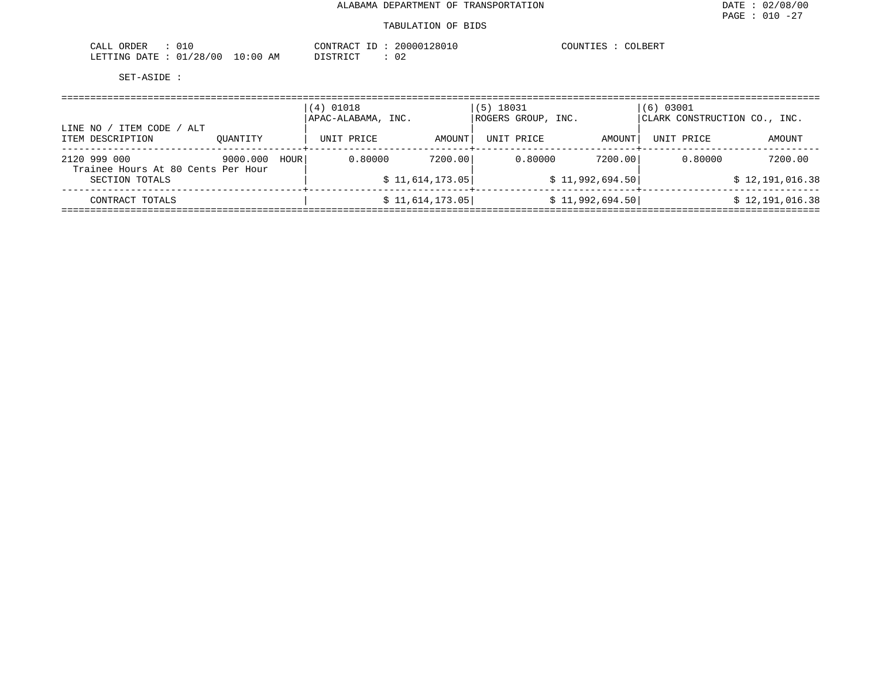## TABULATION OF BIDS

| <b>ORDER</b><br>ىلىلەت<br>∪⊥∪  |             | CONTRACT | 2801<br>nnnna | COUNTIES<br>$^{\prime\prime}$ OLBER. |
|--------------------------------|-------------|----------|---------------|--------------------------------------|
| ./28/00<br>LETTING DATE<br>01. | 10:00<br>ΆM | TAT      |               |                                      |

|                                                    |          |      | (4) 01018<br>APAC-ALABAMA, INC. |                 | $(5)$ 18031<br>ROGERS GROUP, INC. |                 | $(6)$ 03001<br>CLARK CONSTRUCTION CO., INC. |                 |
|----------------------------------------------------|----------|------|---------------------------------|-----------------|-----------------------------------|-----------------|---------------------------------------------|-----------------|
| ITEM CODE /<br>LINE NO<br>ALT<br>ITEM DESCRIPTION  | OUANTITY |      | UNIT PRICE                      | AMOUNT          | UNIT PRICE                        | AMOUNT          | UNIT PRICE                                  | AMOUNT          |
| 2120 999 000<br>Trainee Hours At 80 Cents Per Hour | 9000.000 | HOUR | 0.80000                         | 7200.00         | 0.80000                           | 7200.00         | 0.80000                                     | 7200.00         |
| SECTION TOTALS                                     |          |      |                                 | \$11,614,173.05 |                                   | \$11,992,694.50 |                                             | \$12,191,016.38 |
| CONTRACT TOTALS                                    |          |      |                                 | \$11,614,173.05 |                                   | \$11,992,694.50 |                                             | \$12,191,016.38 |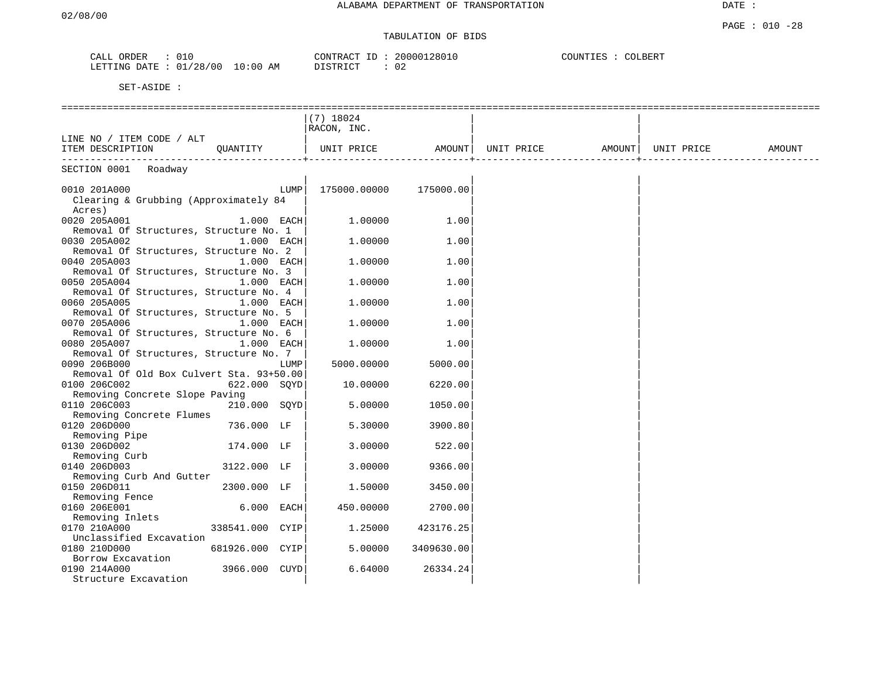# TABULATION OF BIDS

| ORDER<br>$+10$                                                     |    | CONTRACT     | 280<br>20 C<br>າບເ | COUNTIES<br><b>COLBERT</b> |
|--------------------------------------------------------------------|----|--------------|--------------------|----------------------------|
| /28<br>.700<br>DA TOD<br><b>ETTING</b><br>$\overline{\phantom{a}}$ | AΜ | דיי ד פידי פ | ◡∠                 |                            |

|                                                        |                 |      | $(7)$ 18024  |            |            |        |            |        |
|--------------------------------------------------------|-----------------|------|--------------|------------|------------|--------|------------|--------|
|                                                        |                 |      | RACON, INC.  |            |            |        |            |        |
| LINE NO / ITEM CODE / ALT                              |                 |      |              |            |            |        |            |        |
| ITEM DESCRIPTION                                       | OUANTITY        |      | UNIT PRICE   | AMOUNT     | UNIT PRICE | AMOUNT | UNIT PRICE | AMOUNT |
|                                                        |                 |      |              |            |            |        |            |        |
| SECTION 0001 Roadway                                   |                 |      |              |            |            |        |            |        |
| 0010 201A000                                           |                 | LUMP | 175000.00000 | 175000.00  |            |        |            |        |
| Clearing & Grubbing (Approximately 84                  |                 |      |              |            |            |        |            |        |
| Acres)                                                 |                 |      |              |            |            |        |            |        |
| 0020 205A001                                           | $1.000$ EACH    |      | 1,00000      | 1.00       |            |        |            |        |
| Removal Of Structures, Structure No. 1                 |                 |      |              |            |            |        |            |        |
| 0030 205A002                                           | $1.000$ EACH    |      | 1,00000      | 1.00       |            |        |            |        |
| Removal Of Structures, Structure No. 2                 |                 |      |              |            |            |        |            |        |
| 0040 205A003                                           | $1.000$ EACH    |      | 1,00000      | 1.00       |            |        |            |        |
| Removal Of Structures, Structure No. 3                 |                 |      |              |            |            |        |            |        |
| 0050 205A004                                           | $1.000$ EACH    |      | 1,00000      | 1.00       |            |        |            |        |
| Removal Of Structures, Structure No. 4                 |                 |      |              |            |            |        |            |        |
| 0060 205A005                                           | $1.000$ EACH    |      | 1,00000      | 1.00       |            |        |            |        |
| Removal Of Structures, Structure No. 5                 |                 |      |              |            |            |        |            |        |
| 0070 205A006                                           | $1.000$ EACH    |      | 1.00000      | 1.00       |            |        |            |        |
| Removal Of Structures, Structure No. 6                 |                 |      |              |            |            |        |            |        |
| 0080 205A007<br>Removal Of Structures, Structure No. 7 | $1.000$ EACH    |      | 1,00000      | 1.00       |            |        |            |        |
| 0090 206B000                                           |                 | LUMP | 5000.00000   | 5000.00    |            |        |            |        |
| Removal Of Old Box Culvert Sta. 93+50.00               |                 |      |              |            |            |        |            |        |
| 0100 206C002                                           | 622.000 SOYD    |      | 10.00000     | 6220.00    |            |        |            |        |
| Removing Concrete Slope Paving                         |                 |      |              |            |            |        |            |        |
| 0110 206C003                                           | 210.000 SOYD    |      | 5.00000      | 1050.00    |            |        |            |        |
| Removing Concrete Flumes                               |                 |      |              |            |            |        |            |        |
| 0120 206D000                                           | 736.000 LF      |      | 5.30000      | 3900.80    |            |        |            |        |
| Removing Pipe                                          |                 |      |              |            |            |        |            |        |
| 0130 206D002                                           | 174.000 LF      |      | 3.00000      | 522.00     |            |        |            |        |
| Removing Curb                                          |                 |      |              |            |            |        |            |        |
| 0140 206D003                                           | 3122.000 LF     |      | 3.00000      | 9366.00    |            |        |            |        |
| Removing Curb And Gutter                               |                 |      |              |            |            |        |            |        |
| 0150 206D011                                           | 2300.000 LF     |      | 1.50000      | 3450.00    |            |        |            |        |
| Removing Fence                                         |                 |      |              |            |            |        |            |        |
| 0160 206E001                                           | 6.000 EACH      |      | 450.00000    | 2700.00    |            |        |            |        |
| Removing Inlets                                        |                 |      |              |            |            |        |            |        |
| 0170 210A000<br>Unclassified Excavation                | 338541.000 CYIP |      | 1,25000      | 423176.25  |            |        |            |        |
| 0180 210D000                                           | 681926.000 CYIP |      | 5.00000      | 3409630.00 |            |        |            |        |
| Borrow Excavation                                      |                 |      |              |            |            |        |            |        |
| 0190 214A000                                           | 3966.000 CUYD   |      | 6.64000      | 26334.24   |            |        |            |        |
| Structure Excavation                                   |                 |      |              |            |            |        |            |        |
|                                                        |                 |      |              |            |            |        |            |        |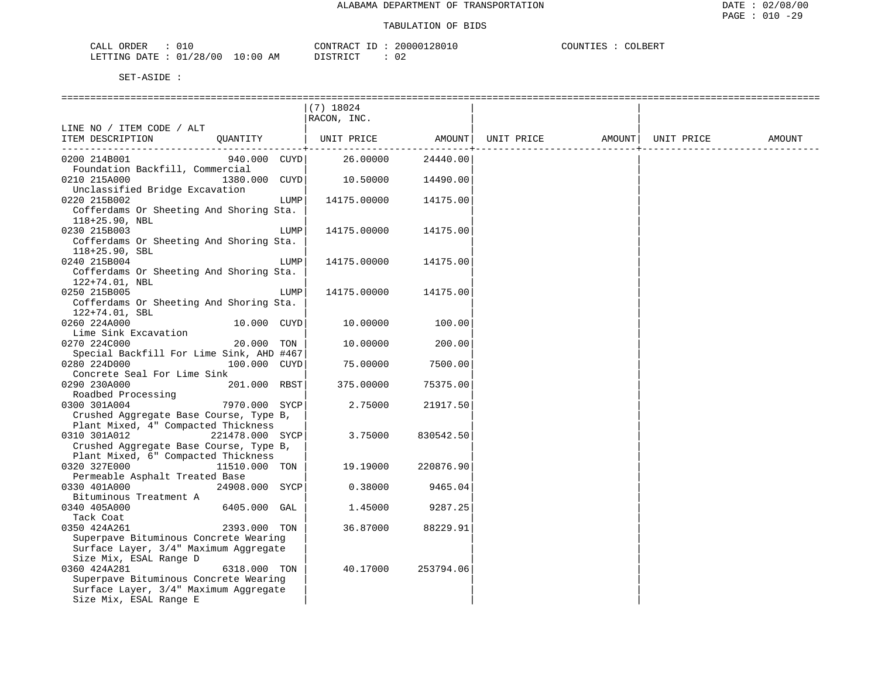| 010<br>CAT<br>ORDER<br>∪⊥∪<br>ىلىمى                                                                  | CONTR<br>Ή.        | 2801<br>20000 | COLINE<br>'')LBER.<br>, ⊥⊥⊥⊔ |
|------------------------------------------------------------------------------------------------------|--------------------|---------------|------------------------------|
| '28/<br>$' \cap \cap$<br><b>ETTING</b><br>01<br>D <sub>3</sub> mr<br>$\mathsf{I} \mathsf{A}$<br>ᆂᆇᆂᆂ | :00<br>AM<br>----- | ◡▵            |                              |

|                                          |                 |      | $(7)$ 18024 |           |                                      |            |        |
|------------------------------------------|-----------------|------|-------------|-----------|--------------------------------------|------------|--------|
|                                          |                 |      | RACON, INC. |           |                                      |            |        |
| LINE NO / ITEM CODE / ALT                |                 |      |             |           |                                      |            |        |
| ITEM DESCRIPTION                         | QUANTITY        |      |             |           | UNIT PRICE AMOUNT  UNIT PRICE AMOUNT | UNIT PRICE | AMOUNT |
|                                          |                 |      |             |           |                                      |            |        |
| 0200 214B001                             | 940.000 CUYD    |      | 26.00000    | 24440.00  |                                      |            |        |
| Foundation Backfill, Commercial          |                 |      |             |           |                                      |            |        |
| 0210 215A000                             | 1380.000 CUYD   |      | 10.50000    | 14490.00  |                                      |            |        |
| Unclassified Bridge Excavation           |                 |      |             |           |                                      |            |        |
| 0220 215B002                             |                 | LUMP | 14175.00000 | 14175.00  |                                      |            |        |
| Cofferdams Or Sheeting And Shoring Sta.  |                 |      |             |           |                                      |            |        |
| $118+25.90$ , NBL                        |                 |      |             |           |                                      |            |        |
| 0230 215B003                             |                 | LUMP | 14175.00000 | 14175.00  |                                      |            |        |
| Cofferdams Or Sheeting And Shoring Sta.  |                 |      |             |           |                                      |            |        |
| $118+25.90$ , SBL                        |                 |      |             |           |                                      |            |        |
| 0240 215B004                             |                 | LUMP | 14175.00000 | 14175.00  |                                      |            |        |
| Cofferdams Or Sheeting And Shoring Sta.  |                 |      |             |           |                                      |            |        |
| 122+74.01, NBL                           |                 |      |             |           |                                      |            |        |
| 0250 215B005                             |                 | LUMP | 14175.00000 | 14175.00  |                                      |            |        |
| Cofferdams Or Sheeting And Shoring Sta.  |                 |      |             |           |                                      |            |        |
| 122+74.01, SBL                           |                 |      |             |           |                                      |            |        |
| 0260 224A000                             | 10.000 CUYD     |      | 10.00000    | 100.00    |                                      |            |        |
| Lime Sink Excavation                     |                 |      |             |           |                                      |            |        |
| 0270 224C000                             | 20.000 TON      |      | 10.00000    | 200.00    |                                      |            |        |
| Special Backfill For Lime Sink, AHD #467 |                 |      |             |           |                                      |            |        |
| 0280 224D000                             | 100.000 CUYD    |      | 75.00000    | 7500.00   |                                      |            |        |
| Concrete Seal For Lime Sink              |                 |      |             |           |                                      |            |        |
| 0290 230A000                             | 201.000 RBST    |      | 375.00000   | 75375.00  |                                      |            |        |
| Roadbed Processing<br>0300 301A004       | 7970.000 SYCP   |      | 2.75000     | 21917.50  |                                      |            |        |
| Crushed Aggregate Base Course, Type B,   |                 |      |             |           |                                      |            |        |
| Plant Mixed, 4" Compacted Thickness      |                 |      |             |           |                                      |            |        |
| 0310 301A012                             | 221478.000 SYCP |      | 3.75000     | 830542.50 |                                      |            |        |
| Crushed Aggregate Base Course, Type B,   |                 |      |             |           |                                      |            |        |
| Plant Mixed, 6" Compacted Thickness      |                 |      |             |           |                                      |            |        |
| 0320 327E000                             | 11510.000 TON   |      | 19.19000    | 220876.90 |                                      |            |        |
| Permeable Asphalt Treated Base           |                 |      |             |           |                                      |            |        |
| 0330 401A000                             | 24908.000 SYCP  |      | 0.38000     | 9465.04   |                                      |            |        |
| Bituminous Treatment A                   |                 |      |             |           |                                      |            |        |
| 0340 405A000                             | 6405.000 GAL    |      | 1.45000     | 9287.25   |                                      |            |        |
| Tack Coat                                |                 |      |             |           |                                      |            |        |
| 0350 424A261                             | 2393.000 TON    |      | 36.87000    | 88229.91  |                                      |            |        |
| Superpave Bituminous Concrete Wearing    |                 |      |             |           |                                      |            |        |
| Surface Layer, 3/4" Maximum Aggregate    |                 |      |             |           |                                      |            |        |
| Size Mix, ESAL Range D                   |                 |      |             |           |                                      |            |        |
| 0360 424A281                             | 6318.000 TON    |      | 40.17000    | 253794.06 |                                      |            |        |
| Superpave Bituminous Concrete Wearing    |                 |      |             |           |                                      |            |        |
| Surface Layer, 3/4" Maximum Aggregate    |                 |      |             |           |                                      |            |        |
| Size Mix, ESAL Range E                   |                 |      |             |           |                                      |            |        |
|                                          |                 |      |             |           |                                      |            |        |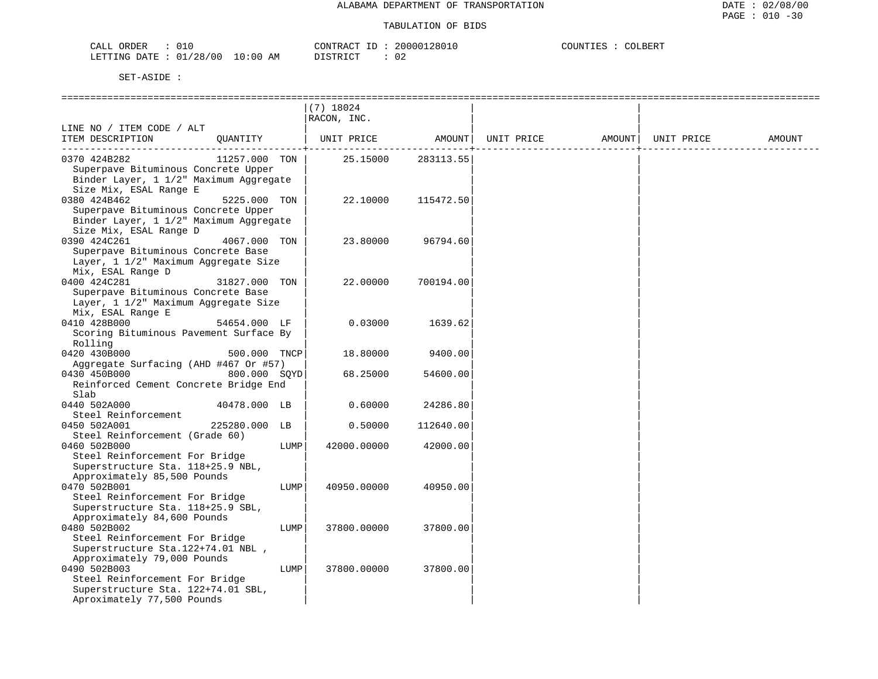| ORDER<br>$\cdot$ 1 (      |             | CONTRACT   | 20000<br>, , , ,<br>281 | COUNT<br>BER.<br>- 2007 |
|---------------------------|-------------|------------|-------------------------|-------------------------|
| 128/00<br>LETTING<br>DATE | AM<br>10:00 | T STR T CT | ◡∠                      |                         |

|                                        |               |      | --------------                 |           |        |            |        |
|----------------------------------------|---------------|------|--------------------------------|-----------|--------|------------|--------|
|                                        |               |      | $(7)$ 18024                    |           |        |            |        |
|                                        |               |      | RACON, INC.                    |           |        |            |        |
| LINE NO / ITEM CODE / ALT              |               |      |                                |           |        |            |        |
| ITEM DESCRIPTION                       | QUANTITY      |      | UNIT PRICE AMOUNT   UNIT PRICE |           | AMOUNT | UNIT PRICE | AMOUNT |
|                                        |               |      |                                |           |        |            |        |
| 0370 424B282                           | 11257.000 TON |      | 25.15000                       | 283113.55 |        |            |        |
| Superpave Bituminous Concrete Upper    |               |      |                                |           |        |            |        |
| Binder Layer, 1 1/2" Maximum Aggregate |               |      |                                |           |        |            |        |
| Size Mix, ESAL Range E                 |               |      |                                |           |        |            |        |
| 0380 424B462                           | 5225.000 TON  |      | 22.10000                       | 115472.50 |        |            |        |
| Superpave Bituminous Concrete Upper    |               |      |                                |           |        |            |        |
| Binder Layer, 1 1/2" Maximum Aggregate |               |      |                                |           |        |            |        |
| Size Mix, ESAL Range D                 |               |      |                                |           |        |            |        |
| 0390 424C261                           | 4067.000 TON  |      | 23.80000                       | 96794.60  |        |            |        |
| Superpave Bituminous Concrete Base     |               |      |                                |           |        |            |        |
| Layer, 1 1/2" Maximum Aggregate Size   |               |      |                                |           |        |            |        |
| Mix, ESAL Range D                      |               |      |                                |           |        |            |        |
| 0400 424C281                           | 31827.000 TON |      | 22.00000                       | 700194.00 |        |            |        |
|                                        |               |      |                                |           |        |            |        |
| Superpave Bituminous Concrete Base     |               |      |                                |           |        |            |        |
| Layer, 1 1/2" Maximum Aggregate Size   |               |      |                                |           |        |            |        |
| Mix, ESAL Range E                      |               |      |                                |           |        |            |        |
| 0410 428B000                           | 54654.000 LF  |      | 0.03000                        | 1639.62   |        |            |        |
| Scoring Bituminous Pavement Surface By |               |      |                                |           |        |            |        |
| Rolling                                |               |      |                                |           |        |            |        |
| 0420 430B000                           | 500.000 TNCP  |      | 18.80000                       | 9400.00   |        |            |        |
| Aggregate Surfacing (AHD #467 Or #57)  |               |      |                                |           |        |            |        |
| 0430 450B000                           | 800.000 SOYD  |      | 68.25000                       | 54600.00  |        |            |        |
| Reinforced Cement Concrete Bridge End  |               |      |                                |           |        |            |        |
| Slab                                   |               |      |                                |           |        |            |        |
| 0440 502A000                           | 40478.000 LB  |      | 0.60000                        | 24286.80  |        |            |        |
| Steel Reinforcement                    |               |      |                                |           |        |            |        |
| 0450 502A001                           | 225280.000 LB |      | 0.50000                        | 112640.00 |        |            |        |
| Steel Reinforcement (Grade 60)         |               |      |                                |           |        |            |        |
| 0460 502B000                           |               | LUMP | 42000.00000                    | 42000.00  |        |            |        |
| Steel Reinforcement For Bridge         |               |      |                                |           |        |            |        |
| Superstructure Sta. 118+25.9 NBL,      |               |      |                                |           |        |            |        |
| Approximately 85,500 Pounds            |               |      |                                |           |        |            |        |
| 0470 502B001                           |               | LUMP | 40950.00000                    | 40950.00  |        |            |        |
| Steel Reinforcement For Bridge         |               |      |                                |           |        |            |        |
| Superstructure Sta. 118+25.9 SBL,      |               |      |                                |           |        |            |        |
| Approximately 84,600 Pounds            |               |      |                                |           |        |            |        |
| 0480 502B002                           |               | LUMP | 37800.00000                    | 37800.00  |        |            |        |
|                                        |               |      |                                |           |        |            |        |
| Steel Reinforcement For Bridge         |               |      |                                |           |        |            |        |
| Superstructure Sta. 122+74.01 NBL,     |               |      |                                |           |        |            |        |
| Approximately 79,000 Pounds            |               |      |                                |           |        |            |        |
| 0490 502B003                           |               | LUMP | 37800.00000                    | 37800.00  |        |            |        |
| Steel Reinforcement For Bridge         |               |      |                                |           |        |            |        |
| Superstructure Sta. 122+74.01 SBL,     |               |      |                                |           |        |            |        |
| Aproximately 77,500 Pounds             |               |      |                                |           |        |            |        |
|                                        |               |      |                                |           |        |            |        |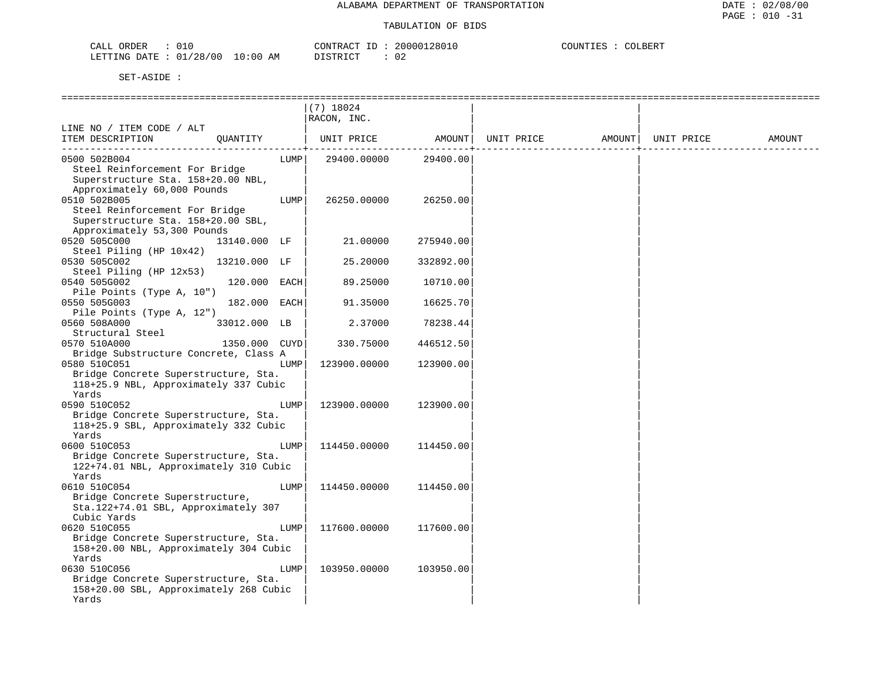| CALL ORDER                      | CONTRACT ID: 20000128010 | COUNTIES : COLBERT |
|---------------------------------|--------------------------|--------------------|
| LETTING DATE: 01/28/00 10:00 AM | 02<br>DISTRICT           |                    |

|                                        |               |      | $(7)$ 18024  |           |            |        |            |        |
|----------------------------------------|---------------|------|--------------|-----------|------------|--------|------------|--------|
|                                        |               |      | RACON, INC.  |           |            |        |            |        |
| LINE NO / ITEM CODE / ALT              |               |      |              |           |            |        |            |        |
| ITEM DESCRIPTION                       | OUANTITY      |      | UNIT PRICE   | AMOUNT    | UNIT PRICE | AMOUNT | UNIT PRICE | AMOUNT |
|                                        |               |      |              |           |            |        |            |        |
| 0500 502B004                           |               | LUMP | 29400.00000  | 29400.00  |            |        |            |        |
| Steel Reinforcement For Bridge         |               |      |              |           |            |        |            |        |
| Superstructure Sta. 158+20.00 NBL,     |               |      |              |           |            |        |            |        |
| Approximately 60,000 Pounds            |               |      |              |           |            |        |            |        |
| 0510 502B005                           |               | LUMP | 26250.00000  | 26250.00  |            |        |            |        |
| Steel Reinforcement For Bridge         |               |      |              |           |            |        |            |        |
| Superstructure Sta. 158+20.00 SBL,     |               |      |              |           |            |        |            |        |
| Approximately 53,300 Pounds            |               |      |              |           |            |        |            |        |
| 0520 505C000                           | 13140.000 LF  |      | 21,00000     | 275940.00 |            |        |            |        |
| Steel Piling (HP 10x42)                |               |      |              |           |            |        |            |        |
| 0530 505C002                           | 13210.000 LF  |      | 25.20000     | 332892.00 |            |        |            |        |
| Steel Piling (HP 12x53)                |               |      |              |           |            |        |            |        |
| 0540 505G002                           | 120.000 EACH  |      | 89.25000     | 10710.00  |            |        |            |        |
| Pile Points (Type A, 10")              |               |      |              |           |            |        |            |        |
| 0550 505G003                           | 182.000 EACH  |      | 91.35000     | 16625.70  |            |        |            |        |
| Pile Points (Type A, 12")              |               |      |              |           |            |        |            |        |
| 0560 508A000                           | 33012.000 LB  |      | 2.37000      | 78238.44  |            |        |            |        |
| Structural Steel                       |               |      |              |           |            |        |            |        |
| 0570 510A000                           | 1350.000 CUYD |      | 330.75000    | 446512.50 |            |        |            |        |
| Bridge Substructure Concrete, Class A  |               |      |              |           |            |        |            |        |
| 0580 510C051                           |               | LUMP | 123900.00000 | 123900.00 |            |        |            |        |
| Bridge Concrete Superstructure, Sta.   |               |      |              |           |            |        |            |        |
| 118+25.9 NBL, Approximately 337 Cubic  |               |      |              |           |            |        |            |        |
| Yards                                  |               |      |              |           |            |        |            |        |
| 0590 510C052                           |               | LUMP | 123900.00000 | 123900.00 |            |        |            |        |
| Bridge Concrete Superstructure, Sta.   |               |      |              |           |            |        |            |        |
| 118+25.9 SBL, Approximately 332 Cubic  |               |      |              |           |            |        |            |        |
| Yards                                  |               |      |              |           |            |        |            |        |
| 0600 510C053                           |               | LUMP | 114450.00000 | 114450.00 |            |        |            |        |
| Bridge Concrete Superstructure, Sta.   |               |      |              |           |            |        |            |        |
| 122+74.01 NBL, Approximately 310 Cubic |               |      |              |           |            |        |            |        |
| Yards                                  |               |      |              |           |            |        |            |        |
| 0610 510C054                           |               | LUMP | 114450.00000 | 114450.00 |            |        |            |        |
| Bridge Concrete Superstructure,        |               |      |              |           |            |        |            |        |
| Sta.122+74.01 SBL, Approximately 307   |               |      |              |           |            |        |            |        |
| Cubic Yards                            |               |      |              |           |            |        |            |        |
| 0620 510C055                           |               | LUMP | 117600.00000 | 117600.00 |            |        |            |        |
| Bridge Concrete Superstructure, Sta.   |               |      |              |           |            |        |            |        |
| 158+20.00 NBL, Approximately 304 Cubic |               |      |              |           |            |        |            |        |
| Yards                                  |               |      |              |           |            |        |            |        |
| 0630 510C056                           |               | LUMP | 103950.00000 | 103950.00 |            |        |            |        |
| Bridge Concrete Superstructure, Sta.   |               |      |              |           |            |        |            |        |
| 158+20.00 SBL, Approximately 268 Cubic |               |      |              |           |            |        |            |        |
| Yards                                  |               |      |              |           |            |        |            |        |
|                                        |               |      |              |           |            |        |            |        |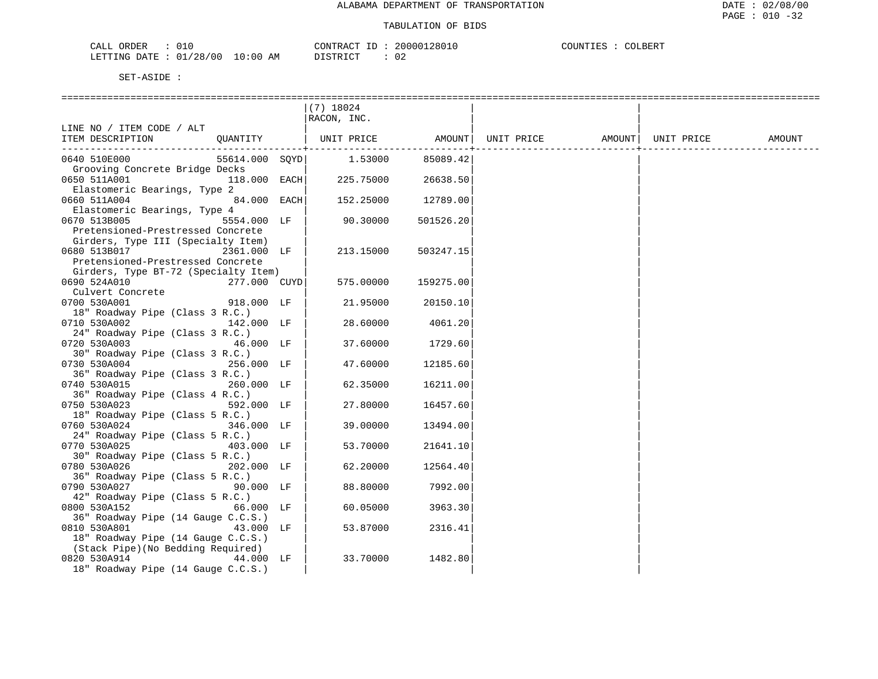| CALL ORDER                      |  | CONTRACT<br>. ID            | 20000128010 | COUNTIES | COLBERT |
|---------------------------------|--|-----------------------------|-------------|----------|---------|
| LETTING DATE: 01/28/00 10:00 AM |  | ገT STR T CT<br><i>┙</i> ∸┘∸ | 02          |          |         |

|                                      |      | $(7)$ 18024 |           |            |        |            |        |
|--------------------------------------|------|-------------|-----------|------------|--------|------------|--------|
|                                      |      | RACON, INC. |           |            |        |            |        |
| LINE NO / ITEM CODE / ALT            |      |             |           |            |        |            |        |
| OUANTITY<br>ITEM DESCRIPTION         |      | UNIT PRICE  | AMOUNT    | UNIT PRICE | AMOUNT | UNIT PRICE | AMOUNT |
|                                      |      |             |           |            |        |            |        |
| 0640 510E000<br>55614.000 SOYD       |      | 1.53000     | 85089.42  |            |        |            |        |
| Grooving Concrete Bridge Decks       |      |             |           |            |        |            |        |
| 0650 511A001<br>118.000              | EACH | 225.75000   | 26638.50  |            |        |            |        |
| Elastomeric Bearings, Type 2         |      |             |           |            |        |            |        |
| 84.000 EACH<br>0660 511A004          |      | 152.25000   | 12789.00  |            |        |            |        |
| Elastomeric Bearings, Type 4         |      |             |           |            |        |            |        |
| 0670 513B005<br>5554.000 LF          |      | 90.30000    | 501526.20 |            |        |            |        |
| Pretensioned-Prestressed Concrete    |      |             |           |            |        |            |        |
| Girders, Type III (Specialty Item)   |      |             |           |            |        |            |        |
| 0680 513B017<br>2361.000 LF          |      | 213.15000   | 503247.15 |            |        |            |        |
| Pretensioned-Prestressed Concrete    |      |             |           |            |        |            |        |
| Girders, Type BT-72 (Specialty Item) |      |             |           |            |        |            |        |
| 0690 524A010<br>277.000 CUYD         |      | 575.00000   | 159275.00 |            |        |            |        |
| Culvert Concrete                     |      |             |           |            |        |            |        |
| 0700 530A001<br>918.000 LF           |      | 21.95000    | 20150.10  |            |        |            |        |
| 18" Roadway Pipe (Class 3 R.C.)      |      |             |           |            |        |            |        |
| 0710 530A002<br>142.000 LF           |      | 28.60000    | 4061.20   |            |        |            |        |
| 24" Roadway Pipe (Class 3 R.C.)      |      |             |           |            |        |            |        |
| 0720 530A003<br>46.000 LF            |      | 37.60000    | 1729.60   |            |        |            |        |
| 30" Roadway Pipe (Class 3 R.C.)      |      |             |           |            |        |            |        |
| 0730 530A004<br>256.000 LF           |      | 47.60000    | 12185.60  |            |        |            |        |
| 36" Roadway Pipe (Class 3 R.C.)      |      |             |           |            |        |            |        |
| 0740 530A015<br>260.000 LF           |      | 62.35000    | 16211.00  |            |        |            |        |
| 36" Roadway Pipe (Class 4 R.C.)      |      |             |           |            |        |            |        |
| 0750 530A023<br>592.000 LF           |      | 27.80000    | 16457.60  |            |        |            |        |
| 18" Roadway Pipe (Class 5 R.C.)      |      |             |           |            |        |            |        |
| 0760 530A024<br>346.000 LF           |      | 39.00000    | 13494.00  |            |        |            |        |
| 24" Roadway Pipe (Class 5 R.C.)      |      |             |           |            |        |            |        |
| 0770 530A025<br>403.000 LF           |      | 53.70000    | 21641.10  |            |        |            |        |
| 30" Roadway Pipe (Class 5 R.C.)      |      |             |           |            |        |            |        |
| 0780 530A026<br>202.000 LF           |      | 62.20000    | 12564.40  |            |        |            |        |
| 36" Roadway Pipe (Class 5 R.C.)      |      |             |           |            |        |            |        |
| 0790 530A027<br>90.000 LF            |      | 88.80000    | 7992.00   |            |        |            |        |
| 42" Roadway Pipe (Class 5 R.C.)      |      |             |           |            |        |            |        |
| 0800 530A152<br>66.000 LF            |      | 60.05000    | 3963.30   |            |        |            |        |
| 36" Roadway Pipe (14 Gauge C.C.S.)   |      |             |           |            |        |            |        |
| 0810 530A801<br>43.000 LF            |      | 53.87000    | 2316.41   |            |        |            |        |
| 18" Roadway Pipe (14 Gauge C.C.S.)   |      |             |           |            |        |            |        |
| (Stack Pipe) (No Bedding Required)   |      |             |           |            |        |            |        |
| 0820 530A914<br>44.000 LF            |      | 33.70000    | 1482.80   |            |        |            |        |
| 18" Roadway Pipe (14 Gauge C.C.S.)   |      |             |           |            |        |            |        |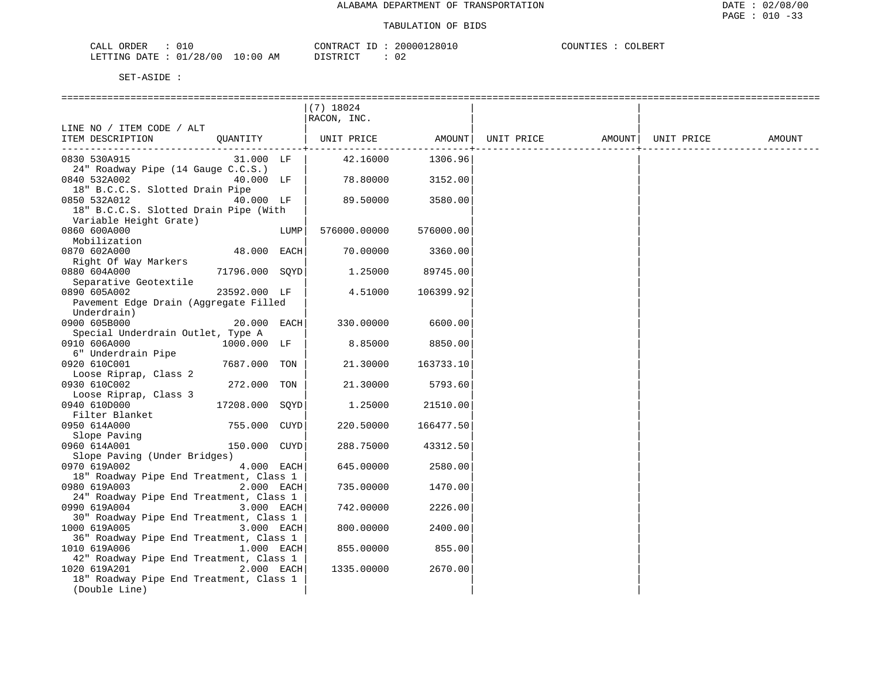| CALL ORDER                      | 01 በ |          | CONTRACT ID: 20000128010 | COUNTIES : | COLBERT |
|---------------------------------|------|----------|--------------------------|------------|---------|
| LETTING DATE: 01/28/00 10:00 AM |      | DISTRICT |                          |            |         |

|                                                         |                |            | $(7)$ 18024                  |           |            |        |            |        |
|---------------------------------------------------------|----------------|------------|------------------------------|-----------|------------|--------|------------|--------|
|                                                         |                |            | RACON, INC.                  |           |            |        |            |        |
| LINE NO / ITEM CODE / ALT                               |                |            |                              |           |            |        |            |        |
| ITEM DESCRIPTION                                        |                |            | QUANTITY   UNIT PRICE AMOUNT |           | UNIT PRICE | AMOUNT | UNIT PRICE | AMOUNT |
|                                                         |                |            |                              |           |            |        |            |        |
| 0830 530A915<br>24" Roadway Pipe (14 Gauge C.C.S.)      | 31.000 LF      |            | 42.16000                     | 1306.96   |            |        |            |        |
| 0840 532A002                                            | 40.000 LF      |            | 78.80000                     | 3152.00   |            |        |            |        |
| 18" B.C.C.S. Slotted Drain Pipe                         |                |            |                              |           |            |        |            |        |
| 0850 532A012                                            | 40.000 LF      |            | 89.50000                     | 3580.00   |            |        |            |        |
| 18" B.C.C.S. Slotted Drain Pipe (With                   |                |            |                              |           |            |        |            |        |
| Variable Height Grate)                                  |                |            |                              |           |            |        |            |        |
| 0860 600A000                                            |                | LUMP       | 576000.00000                 | 576000.00 |            |        |            |        |
| Mobilization                                            |                |            |                              |           |            |        |            |        |
| 0870 602A000                                            | 48.000 EACH    |            | 70.00000                     | 3360.00   |            |        |            |        |
| Right Of Way Markers                                    |                |            |                              |           |            |        |            |        |
| 0880 604A000                                            | 71796.000 SOYD |            | 1.25000                      | 89745.00  |            |        |            |        |
| Separative Geotextile                                   |                |            |                              |           |            |        |            |        |
| 0890 605A002                                            | 23592.000 LF   |            | 4.51000                      | 106399.92 |            |        |            |        |
| Pavement Edge Drain (Aggregate Filled                   |                |            |                              |           |            |        |            |        |
| Underdrain)                                             |                |            |                              |           |            |        |            |        |
| 0900 605B000                                            | $20.000$ EACH  |            | 330.00000                    | 6600.00   |            |        |            |        |
| Special Underdrain Outlet, Type A                       |                |            |                              |           |            |        |            |        |
| 0910 606A000                                            | 1000.000 LF    |            | 8.85000                      | 8850.00   |            |        |            |        |
| 6" Underdrain Pipe                                      |                |            |                              |           |            |        |            |        |
| 0920 610C001                                            | 7687.000 TON   |            | 21.30000                     | 163733.10 |            |        |            |        |
| Loose Riprap, Class 2                                   |                |            |                              |           |            |        |            |        |
| 0930 610C002                                            | 272.000 TON    |            | 21,30000                     | 5793.60   |            |        |            |        |
| Loose Riprap, Class 3                                   |                |            |                              |           |            |        |            |        |
| 0940 610D000                                            | 17208.000 SQYD |            | 1.25000                      | 21510.00  |            |        |            |        |
| Filter Blanket                                          |                |            |                              |           |            |        |            |        |
| 0950 614A000                                            | 755.000 CUYD   |            | 220.50000                    | 166477.50 |            |        |            |        |
| Slope Paving                                            |                |            |                              |           |            |        |            |        |
| 0960 614A001                                            | 150.000 CUYD   |            | 288.75000                    | 43312.50  |            |        |            |        |
| Slope Paving (Under Bridges)                            |                |            |                              |           |            |        |            |        |
| 0970 619A002<br>18" Roadway Pipe End Treatment, Class 1 |                | 4.000 EACH | 645.00000                    | 2580.00   |            |        |            |        |
| 0980 619A003                                            |                | 2.000 EACH | 735.00000                    | 1470.00   |            |        |            |        |
| 24" Roadway Pipe End Treatment, Class 1                 |                |            |                              |           |            |        |            |        |
| 0990 619A004                                            |                | 3.000 EACH | 742.00000                    | 2226.00   |            |        |            |        |
| 30" Roadway Pipe End Treatment, Class 1                 |                |            |                              |           |            |        |            |        |
| 1000 619A005                                            |                | 3.000 EACH | 800.00000                    | 2400.00   |            |        |            |        |
| 36" Roadway Pipe End Treatment, Class 1                 |                |            |                              |           |            |        |            |        |
| 1010 619A006                                            | 1.000 EACH     |            | 855.00000                    | 855.00    |            |        |            |        |
| 42" Roadway Pipe End Treatment, Class 1                 |                |            |                              |           |            |        |            |        |
| 1020 619A201                                            |                | 2.000 EACH | 1335.00000                   | 2670.00   |            |        |            |        |
| 18" Roadway Pipe End Treatment, Class 1                 |                |            |                              |           |            |        |            |        |
| (Double Line)                                           |                |            |                              |           |            |        |            |        |
|                                                         |                |            |                              |           |            |        |            |        |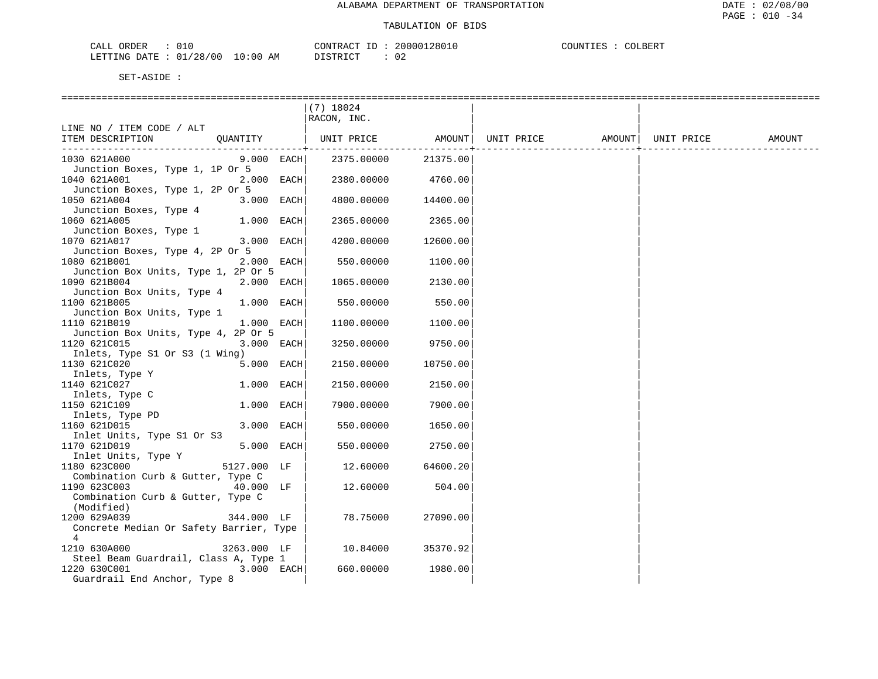| ORDER<br>CALI |            |                         | CONTRACT<br>TD.       | 20000128016         | COUNTIES | COLBERT |
|---------------|------------|-------------------------|-----------------------|---------------------|----------|---------|
| LETTING DATE  | : 01/28/00 | LO : 00<br>AМ<br>$\sim$ | ירי תידוף ד<br>-- - - | 02<br>$\sim$ $\sim$ |          |         |

|                                                 |              | (7) 18024   |          |                                                             |  |        |
|-------------------------------------------------|--------------|-------------|----------|-------------------------------------------------------------|--|--------|
|                                                 |              | RACON, INC. |          |                                                             |  |        |
| LINE NO / ITEM CODE / ALT                       |              |             |          |                                                             |  |        |
| ITEM DESCRIPTION                                |              |             |          | QUANTITY   UNIT PRICE AMOUNT  UNIT PRICE AMOUNT  UNIT PRICE |  | AMOUNT |
| 1030 621A000                                    | $9.000$ EACH | 2375.00000  | 21375.00 |                                                             |  |        |
| Junction Boxes, Type 1, 1P Or 5                 |              |             |          |                                                             |  |        |
| 1040 621A001                                    | 2.000 EACH   | 2380.00000  | 4760.00  |                                                             |  |        |
| Junction Boxes, Type 1, 2P Or 5                 |              |             |          |                                                             |  |        |
| 1050 621A004                                    | 3.000 EACH   | 4800.00000  | 14400.00 |                                                             |  |        |
| Junction Boxes, Type 4                          |              |             |          |                                                             |  |        |
| 1060 621A005                                    | 1.000 EACH   | 2365.00000  | 2365.00  |                                                             |  |        |
| Junction Boxes, Type 1                          |              |             |          |                                                             |  |        |
| 1070 621A017                                    | 3.000 EACH   | 4200.00000  | 12600.00 |                                                             |  |        |
| Junction Boxes, Type 4, 2P Or 5                 |              |             |          |                                                             |  |        |
| 1080 621B001                                    | 2.000 EACH   | 550.00000   | 1100.00  |                                                             |  |        |
| Junction Box Units, Type 1, 2P Or 5             |              |             |          |                                                             |  |        |
| 1090 621B004                                    | 2.000 EACH   | 1065.00000  | 2130.00  |                                                             |  |        |
| Junction Box Units, Type 4                      |              |             |          |                                                             |  |        |
| 1100 621B005<br>Junction Box Units, Type 1      | 1.000 EACH   | 550.00000   | 550.00   |                                                             |  |        |
| 1110 621B019                                    | 1.000 EACH   | 1100.00000  | 1100.00  |                                                             |  |        |
| Junction Box Units, Type 4, 2P Or 5             |              |             |          |                                                             |  |        |
| 1120 621C015                                    | 3.000 EACH   | 3250.00000  | 9750.00  |                                                             |  |        |
| Inlets, Type S1 Or S3 (1 Wing)                  |              |             |          |                                                             |  |        |
| 1130 621C020                                    | 5.000 EACH   | 2150.00000  | 10750.00 |                                                             |  |        |
| Inlets, Type Y                                  |              |             |          |                                                             |  |        |
| 1140 621C027                                    | 1.000 EACH   | 2150.00000  | 2150.00  |                                                             |  |        |
| Inlets, Type C                                  |              |             |          |                                                             |  |        |
| 1150 621C109                                    | 1.000 EACH   | 7900.00000  | 7900.00  |                                                             |  |        |
| Inlets, Type PD                                 |              |             |          |                                                             |  |        |
| 1160 621D015                                    | 3.000 EACH   | 550.00000   | 1650.00  |                                                             |  |        |
| Inlet Units, Type S1 Or S3                      |              |             |          |                                                             |  |        |
| 1170 621D019                                    | 5.000 EACH   | 550.00000   | 2750.00  |                                                             |  |        |
| Inlet Units, Type Y                             |              |             |          |                                                             |  |        |
| 5127.000 LF<br>1180 623C000                     |              | 12.60000    | 64600.20 |                                                             |  |        |
| Combination Curb & Gutter, Type C               |              |             |          |                                                             |  |        |
| 1190 623C003<br>40.000 LF                       |              | 12.60000    | 504.00   |                                                             |  |        |
| Combination Curb & Gutter, Type C<br>(Modified) |              |             |          |                                                             |  |        |
| 1200 629A039<br>344.000 LF                      |              | 78.75000    | 27090.00 |                                                             |  |        |
| Concrete Median Or Safety Barrier, Type         |              |             |          |                                                             |  |        |
| $\overline{4}$                                  |              |             |          |                                                             |  |        |
| 1210 630A000<br>3263.000 LF                     |              | 10.84000    | 35370.92 |                                                             |  |        |
| Steel Beam Guardrail, Class A, Type 1           |              |             |          |                                                             |  |        |
| 1220 630C001                                    | 3.000 EACH   | 660.00000   | 1980.00  |                                                             |  |        |
| Guardrail End Anchor, Type 8                    |              |             |          |                                                             |  |        |
|                                                 |              |             |          |                                                             |  |        |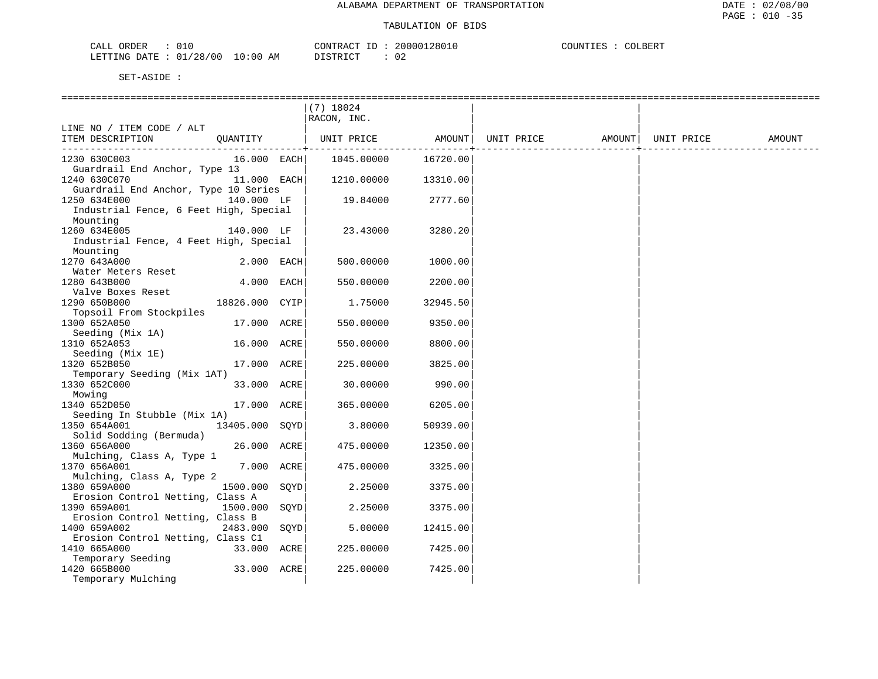| ORDER<br>$\cdot$<br>، ىلىل <i>لى</i><br>◡⊥◟                                                                                                                   |             | חים ג פידיזורם<br>'' ' ' A ( | 1128010<br>20000 | COLBERT<br><b>COLINE</b> |
|---------------------------------------------------------------------------------------------------------------------------------------------------------------|-------------|------------------------------|------------------|--------------------------|
| /28<br>70C<br>$\cap$ 1<br>LETTING<br>DATE.<br>the contract of the contract of the contract of the contract of the contract of the contract of the contract of | 10:00<br>AΜ | חים מחים דר                  | $\sim$<br>∪∠     |                          |

|                                        |                |      | $(7)$ 18024<br>RACON, INC. |          |            |        |            |        |
|----------------------------------------|----------------|------|----------------------------|----------|------------|--------|------------|--------|
| LINE NO / ITEM CODE / ALT              |                |      |                            |          |            |        |            |        |
| ITEM DESCRIPTION                       | OUANTITY       |      | UNIT PRICE                 | AMOUNT   | UNIT PRICE | AMOUNT | UNIT PRICE | AMOUNT |
|                                        |                |      |                            | -------  |            |        |            |        |
| 1230 630C003                           | 16.000 EACH    |      | 1045.00000                 | 16720.00 |            |        |            |        |
| Guardrail End Anchor, Type 13          |                |      |                            |          |            |        |            |        |
| 1240 630C070                           | 11.000 EACH    |      | 1210.00000                 | 13310.00 |            |        |            |        |
| Guardrail End Anchor, Type 10 Series   |                |      |                            |          |            |        |            |        |
| 1250 634E000                           | 140.000 LF     |      | 19.84000                   | 2777.60  |            |        |            |        |
| Industrial Fence, 6 Feet High, Special |                |      |                            |          |            |        |            |        |
| Mounting                               |                |      |                            |          |            |        |            |        |
| 1260 634E005                           | 140.000 LF     |      | 23.43000                   | 3280.20  |            |        |            |        |
| Industrial Fence, 4 Feet High, Special |                |      |                            |          |            |        |            |        |
| Mounting                               |                |      |                            |          |            |        |            |        |
| 1270 643A000                           | 2.000 EACH     |      | 500.00000                  | 1000.00  |            |        |            |        |
| Water Meters Reset                     |                |      |                            |          |            |        |            |        |
| 1280 643B000                           | 4.000 EACH     |      | 550.00000                  | 2200.00  |            |        |            |        |
| Valve Boxes Reset                      |                |      |                            |          |            |        |            |        |
| 1290 650B000                           | 18826.000 CYIP |      | 1.75000                    | 32945.50 |            |        |            |        |
| Topsoil From Stockpiles                |                |      |                            |          |            |        |            |        |
| 1300 652A050                           | 17.000 ACRE    |      | 550.00000                  | 9350.00  |            |        |            |        |
| Seeding (Mix 1A)                       |                |      |                            |          |            |        |            |        |
| 1310 652A053                           | 16.000 ACRE    |      | 550.00000                  | 8800.00  |            |        |            |        |
| Seeding (Mix 1E)                       |                |      |                            |          |            |        |            |        |
| 1320 652B050                           | 17.000 ACRE    |      | 225.00000                  | 3825.00  |            |        |            |        |
| Temporary Seeding (Mix 1AT)            |                |      |                            |          |            |        |            |        |
| 1330 652C000                           | 33.000 ACRE    |      | 30.00000                   | 990.00   |            |        |            |        |
| Mowing                                 |                |      |                            |          |            |        |            |        |
| 1340 652D050                           | 17.000 ACRE    |      | 365.00000                  | 6205.00  |            |        |            |        |
| Seeding In Stubble (Mix 1A)            |                |      |                            |          |            |        |            |        |
| 1350 654A001                           | 13405.000 SQYD |      | 3.80000                    | 50939.00 |            |        |            |        |
| Solid Sodding (Bermuda)                |                |      |                            |          |            |        |            |        |
| 1360 656A000                           | 26.000 ACRE    |      | 475.00000                  | 12350.00 |            |        |            |        |
| Mulching, Class A, Type 1              |                |      |                            |          |            |        |            |        |
| 1370 656A001                           | 7.000 ACRE     |      | 475.00000                  | 3325.00  |            |        |            |        |
| Mulching, Class A, Type 2              |                |      |                            |          |            |        |            |        |
| 1380 659A000                           | 1500.000       | SOYD | 2.25000                    | 3375.00  |            |        |            |        |
| Erosion Control Netting, Class A       |                |      |                            |          |            |        |            |        |
| 1390 659A001                           | 1500.000       | SOYD | 2.25000                    | 3375.00  |            |        |            |        |
| Erosion Control Netting, Class B       |                |      |                            |          |            |        |            |        |
| 1400 659A002                           | 2483.000       | SQYD | 5.00000                    | 12415.00 |            |        |            |        |
| Erosion Control Netting, Class C1      |                |      |                            |          |            |        |            |        |
| 1410 665A000                           | 33.000 ACRE    |      | 225.00000                  | 7425.00  |            |        |            |        |
| Temporary Seeding                      |                |      |                            |          |            |        |            |        |
| 1420 665B000                           | 33.000 ACRE    |      | 225,00000                  | 7425.00  |            |        |            |        |
| Temporary Mulching                     |                |      |                            |          |            |        |            |        |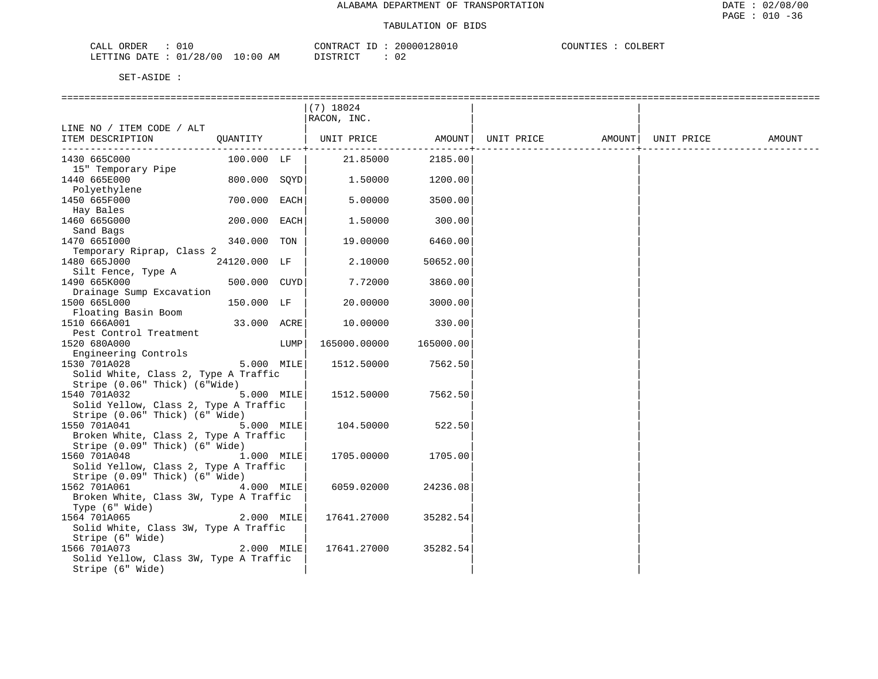| ORDER<br>0 T O<br>ו ∆י<br>للتلذيب                      | "ON"<br>ז הם                    | 20000128010 | COUNT.<br>_BERT<br>1 L L L J |
|--------------------------------------------------------|---------------------------------|-------------|------------------------------|
| /28/00<br>:00<br>LETTING<br>. 0 :<br>DATE<br>-49<br>◡⊥ | חר איריפידת<br>AΜ<br>. 1 \ .1 \ | ◡▵          |                              |

|                                        |              |      | $(7)$ 18024                  |           |  |                                       |  |
|----------------------------------------|--------------|------|------------------------------|-----------|--|---------------------------------------|--|
|                                        |              |      | RACON, INC.                  |           |  |                                       |  |
| LINE NO / ITEM CODE / ALT              |              |      |                              |           |  |                                       |  |
| ITEM DESCRIPTION                       |              |      | QUANTITY   UNIT PRICE AMOUNT |           |  | UNIT PRICE AMOUNT   UNIT PRICE AMOUNT |  |
|                                        |              |      |                              |           |  |                                       |  |
| 1430 665C000                           | 100.000 LF   |      | 21.85000                     | 2185.00   |  |                                       |  |
| 15" Temporary Pipe                     |              |      |                              |           |  |                                       |  |
| 1440 665E000                           | 800.000 SOYD |      | 1.50000                      | 1200.00   |  |                                       |  |
| Polyethylene                           |              |      |                              |           |  |                                       |  |
| 1450 665F000                           | 700.000 EACH |      | 5.00000                      | 3500.00   |  |                                       |  |
| Hay Bales                              |              |      |                              |           |  |                                       |  |
| 1460 665G000                           | 200.000 EACH |      | 1,50000                      | 300.00    |  |                                       |  |
| Sand Bags                              |              |      |                              |           |  |                                       |  |
| 1470 665I000                           | 340.000 TON  |      | 19.00000                     | 6460.00   |  |                                       |  |
| Temporary Riprap, Class 2              |              |      |                              |           |  |                                       |  |
| 1480 665J000                           | 24120.000 LF |      | 2.10000                      | 50652.00  |  |                                       |  |
| Silt Fence, Type A                     |              |      |                              |           |  |                                       |  |
| 1490 665K000                           | 500.000 CUYD |      | 7.72000                      | 3860.00   |  |                                       |  |
| Drainage Sump Excavation               |              |      |                              |           |  |                                       |  |
| 1500 665L000                           | 150.000 LF   |      | 20,00000                     | 3000.00   |  |                                       |  |
| Floating Basin Boom                    |              |      |                              |           |  |                                       |  |
| 1510 666A001                           | 33.000 ACRE  |      | 10.00000                     | 330.00    |  |                                       |  |
| Pest Control Treatment                 |              |      |                              |           |  |                                       |  |
| 1520 680A000                           |              | LUMP | 165000.00000                 | 165000.00 |  |                                       |  |
| Engineering Controls                   |              |      |                              |           |  |                                       |  |
| 1530 701A028                           | 5.000 MILE   |      | 1512.50000                   | 7562.50   |  |                                       |  |
| Solid White, Class 2, Type A Traffic   |              |      |                              |           |  |                                       |  |
| Stripe (0.06" Thick) (6"Wide)          |              |      |                              |           |  |                                       |  |
| 1540 701A032                           | 5.000 MILE   |      | 1512.50000                   | 7562.50   |  |                                       |  |
| Solid Yellow, Class 2, Type A Traffic  |              |      |                              |           |  |                                       |  |
| Stripe (0.06" Thick) (6" Wide)         |              |      |                              |           |  |                                       |  |
| 1550 701A041                           | 5.000 MILE   |      | 104.50000                    | 522.50    |  |                                       |  |
| Broken White, Class 2, Type A Traffic  |              |      |                              |           |  |                                       |  |
| Stripe (0.09" Thick) (6" Wide)         |              |      |                              |           |  |                                       |  |
| 1560 701A048                           | 1.000 MILE   |      | 1705.00000                   | 1705.00   |  |                                       |  |
| Solid Yellow, Class 2, Type A Traffic  |              |      |                              |           |  |                                       |  |
| Stripe (0.09" Thick) (6" Wide)         |              |      |                              |           |  |                                       |  |
| 1562 701A061                           | 4.000 MILE   |      | 6059.02000                   | 24236.08  |  |                                       |  |
| Broken White, Class 3W, Type A Traffic |              |      |                              |           |  |                                       |  |
| Type (6" Wide)                         |              |      |                              |           |  |                                       |  |
| 1564 701A065                           | 2.000 MILE   |      | 17641.27000                  | 35282.54  |  |                                       |  |
| Solid White, Class 3W, Type A Traffic  |              |      |                              |           |  |                                       |  |
| Stripe (6" Wide)                       |              |      |                              |           |  |                                       |  |
| 1566 701A073                           | $2.000$ MILE |      | 17641.27000                  | 35282.54  |  |                                       |  |
| Solid Yellow, Class 3W, Type A Traffic |              |      |                              |           |  |                                       |  |
| Stripe (6" Wide)                       |              |      |                              |           |  |                                       |  |
|                                        |              |      |                              |           |  |                                       |  |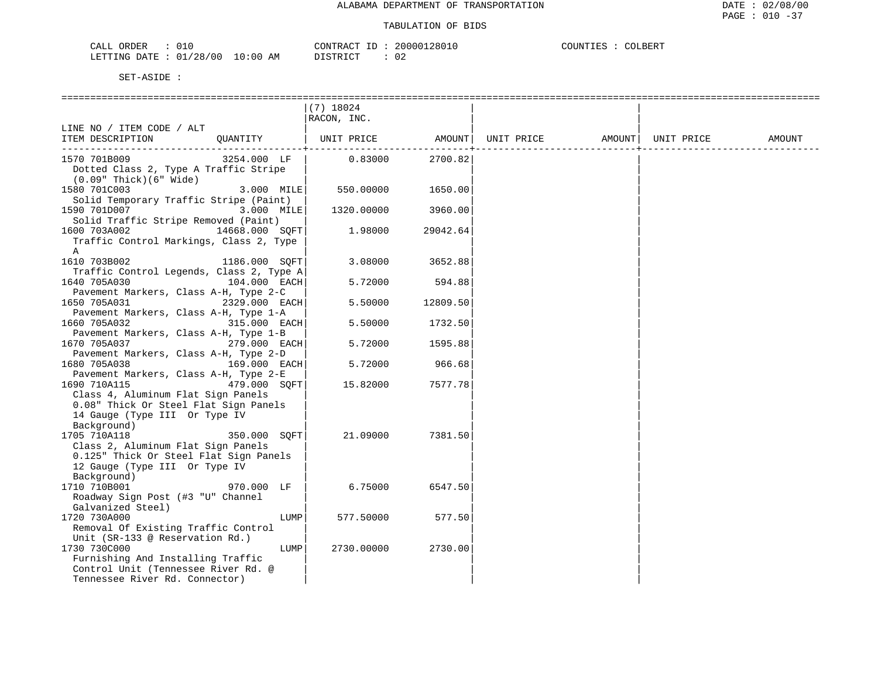| ORDER<br>CALI | ۰ ک      |               | <sup>~</sup> ONTRACT<br>TD. | 20000128016 | COUNTIES | COLBERT |
|---------------|----------|---------------|-----------------------------|-------------|----------|---------|
| LETTING DATE  | 01/28/00 | LO : 00<br>ΆM | ירום דרים -                 | 02          |          |         |

|                                          |                 | $(7)$ 18024 |          |            |        |            |        |
|------------------------------------------|-----------------|-------------|----------|------------|--------|------------|--------|
|                                          |                 | RACON, INC. |          |            |        |            |        |
| LINE NO / ITEM CODE / ALT                |                 |             |          |            |        |            |        |
| ITEM DESCRIPTION                         | OUANTITY        | UNIT PRICE  | AMOUNT   | UNIT PRICE | AMOUNT | UNIT PRICE | AMOUNT |
|                                          |                 |             |          |            |        |            |        |
| 1570 701B009                             | 3254.000 LF     | 0.83000     | 2700.82  |            |        |            |        |
| Dotted Class 2, Type A Traffic Stripe    |                 |             |          |            |        |            |        |
| $(0.09"$ Thick $)(6"$ Wide $)$           |                 |             |          |            |        |            |        |
| 1580 701C003                             | 3.000 MILE      | 550.00000   | 1650.00  |            |        |            |        |
| Solid Temporary Traffic Stripe (Paint)   |                 |             |          |            |        |            |        |
| 1590 701D007                             | 3.000 MILE      | 1320.00000  | 3960.00  |            |        |            |        |
| Solid Traffic Stripe Removed (Paint)     |                 |             |          |            |        |            |        |
| 1600 703A002                             | 14668.000 SQFT  | 1,98000     | 29042.64 |            |        |            |        |
| Traffic Control Markings, Class 2, Type  |                 |             |          |            |        |            |        |
| Α                                        |                 |             |          |            |        |            |        |
| 1610 703B002                             | 1186.000 SOFT   | 3.08000     | 3652.88  |            |        |            |        |
| Traffic Control Legends, Class 2, Type A |                 |             |          |            |        |            |        |
| 1640 705A030                             | 104.000 EACH    | 5.72000     | 594.88   |            |        |            |        |
| Pavement Markers, Class A-H, Type 2-C    |                 |             |          |            |        |            |        |
| 1650 705A031                             | 2329.000 EACH   | 5.50000     | 12809.50 |            |        |            |        |
| Pavement Markers, Class A-H, Type 1-A    |                 |             |          |            |        |            |        |
| 1660 705A032                             | 315.000 EACH    | 5.50000     | 1732.50  |            |        |            |        |
| Pavement Markers, Class A-H, Type 1-B    |                 |             |          |            |        |            |        |
| 1670 705A037                             | 279.000 EACH    | 5.72000     | 1595.88  |            |        |            |        |
| Pavement Markers, Class A-H, Type 2-D    |                 |             |          |            |        |            |        |
| 1680 705A038                             | 169.000 EACH    | 5.72000     | 966.68   |            |        |            |        |
| Pavement Markers, Class A-H, Type 2-E    |                 |             |          |            |        |            |        |
| 1690 710A115                             | 479.000 SOFT    | 15.82000    | 7577.78  |            |        |            |        |
| Class 4, Aluminum Flat Sign Panels       |                 |             |          |            |        |            |        |
| 0.08" Thick Or Steel Flat Sign Panels    |                 |             |          |            |        |            |        |
| 14 Gauge (Type III Or Type IV            |                 |             |          |            |        |            |        |
| Background)                              |                 |             |          |            |        |            |        |
| 1705 710A118                             | 350.000<br>SOFT | 21.09000    | 7381.50  |            |        |            |        |
| Class 2, Aluminum Flat Sign Panels       |                 |             |          |            |        |            |        |
| 0.125" Thick Or Steel Flat Sign Panels   |                 |             |          |            |        |            |        |
| 12 Gauge (Type III Or Type IV            |                 |             |          |            |        |            |        |
| Background)                              |                 |             |          |            |        |            |        |
| 1710 710B001                             | 970.000 LF      | 6.75000     | 6547.50  |            |        |            |        |
| Roadway Sign Post (#3 "U" Channel        |                 |             |          |            |        |            |        |
| Galvanized Steel)                        |                 |             |          |            |        |            |        |
| 1720 730A000                             | LUMP            | 577.50000   | 577.50   |            |        |            |        |
| Removal Of Existing Traffic Control      |                 |             |          |            |        |            |        |
| Unit (SR-133 @ Reservation Rd.)          |                 |             |          |            |        |            |        |
| 1730 730C000                             | LUMP            | 2730.00000  | 2730.00  |            |        |            |        |
| Furnishing And Installing Traffic        |                 |             |          |            |        |            |        |
| Control Unit (Tennessee River Rd. @      |                 |             |          |            |        |            |        |
| Tennessee River Rd. Connector)           |                 |             |          |            |        |            |        |
|                                          |                 |             |          |            |        |            |        |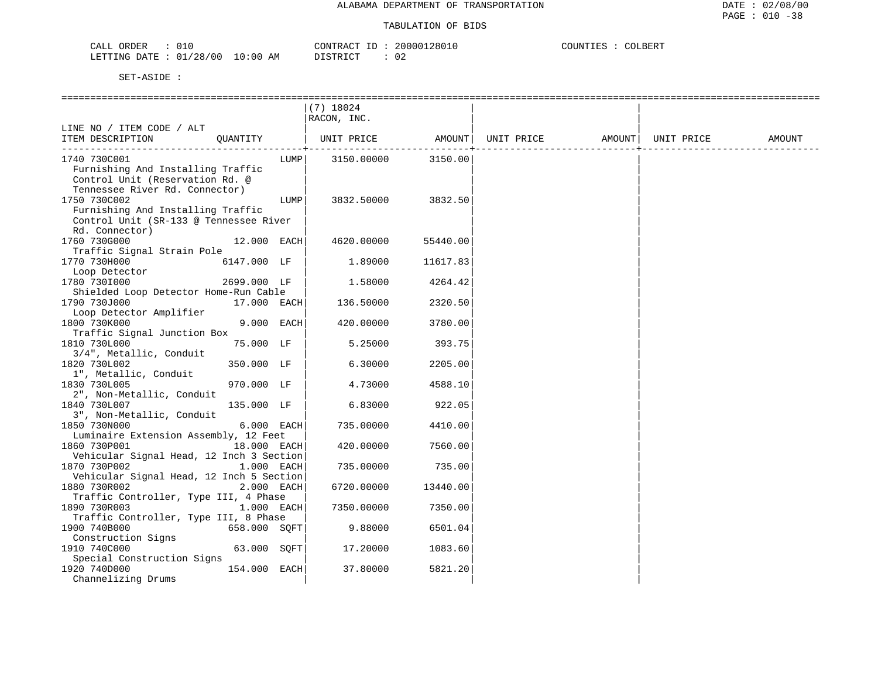| 010<br>CALL ORDER                | CONTRACT ID : | 20000128010 | COUNTIES | <sup>~</sup> OLBERT |
|----------------------------------|---------------|-------------|----------|---------------------|
| LETTING DATE : 01/28/00 10:00 AM | DISTRICT      |             |          |                     |

| ======================================      |              |      | ==================== |          |            |        |            |        |
|---------------------------------------------|--------------|------|----------------------|----------|------------|--------|------------|--------|
|                                             |              |      | $(7)$ 18024          |          |            |        |            |        |
|                                             |              |      | RACON, INC.          |          |            |        |            |        |
| LINE NO / ITEM CODE / ALT                   |              |      |                      |          |            |        |            |        |
| ITEM DESCRIPTION                            | OUANTITY     |      | UNIT PRICE           | AMOUNT   | UNIT PRICE | AMOUNT | UNIT PRICE | AMOUNT |
|                                             |              |      |                      |          |            |        |            |        |
| 1740 730C001                                |              | LUMP | 3150.00000           | 3150.00  |            |        |            |        |
| Furnishing And Installing Traffic           |              |      |                      |          |            |        |            |        |
| Control Unit (Reservation Rd. @             |              |      |                      |          |            |        |            |        |
| Tennessee River Rd. Connector)              |              |      |                      |          |            |        |            |        |
| 1750 730C002                                |              | LUMP | 3832.50000           | 3832.50  |            |        |            |        |
| Furnishing And Installing Traffic           |              |      |                      |          |            |        |            |        |
| Control Unit (SR-133 @ Tennessee River      |              |      |                      |          |            |        |            |        |
| Rd. Connector)                              |              |      |                      |          |            |        |            |        |
| 1760 730G000                                | 12.000 EACH  |      | 4620.00000           | 55440.00 |            |        |            |        |
| Traffic Signal Strain Pole                  |              |      |                      |          |            |        |            |        |
| 1770 730H000                                | 6147.000 LF  |      | 1.89000              | 11617.83 |            |        |            |        |
| Loop Detector                               |              |      |                      |          |            |        |            |        |
| 1780 730I000                                | 2699.000 LF  |      | 1.58000              | 4264.42  |            |        |            |        |
| Shielded Loop Detector Home-Run Cable       |              |      |                      |          |            |        |            |        |
| 1790 730J000                                | 17.000 EACH  |      | 136.50000            | 2320.50  |            |        |            |        |
| Loop Detector Amplifier                     |              |      |                      |          |            |        |            |        |
| 1800 730K000                                | 9.000 EACH   |      | 420.00000            | 3780.00  |            |        |            |        |
| Traffic Signal Junction Box<br>1810 730L000 | 75.000 LF    |      | 5.25000              | 393.75   |            |        |            |        |
| 3/4", Metallic, Conduit                     |              |      |                      |          |            |        |            |        |
| 1820 730L002                                | 350.000 LF   |      | 6.30000              | 2205.00  |            |        |            |        |
| 1", Metallic, Conduit                       |              |      |                      |          |            |        |            |        |
| 1830 730L005                                | 970.000 LF   |      | 4.73000              | 4588.10  |            |        |            |        |
| 2", Non-Metallic, Conduit                   |              |      |                      |          |            |        |            |        |
| 1840 730L007                                | 135.000 LF   |      | 6.83000              | 922.05   |            |        |            |        |
| 3", Non-Metallic, Conduit                   |              |      |                      |          |            |        |            |        |
| 1850 730N000                                | 6.000 EACH   |      | 735.00000            | 4410.00  |            |        |            |        |
| Luminaire Extension Assembly, 12 Feet       |              |      |                      |          |            |        |            |        |
| 1860 730P001                                | 18.000 EACH  |      | 420.00000            | 7560.00  |            |        |            |        |
| Vehicular Signal Head, 12 Inch 3 Section    |              |      |                      |          |            |        |            |        |
| 1870 730P002                                | 1.000 EACH   |      | 735.00000            | 735.00   |            |        |            |        |
| Vehicular Signal Head, 12 Inch 5 Section    |              |      |                      |          |            |        |            |        |
| 1880 730R002                                | 2.000 EACH   |      | 6720.00000           | 13440.00 |            |        |            |        |
| Traffic Controller, Type III, 4 Phase       |              |      |                      |          |            |        |            |        |
| 1890 730R003                                | 1.000 EACH   |      | 7350.00000           | 7350.00  |            |        |            |        |
| Traffic Controller, Type III, 8 Phase       |              |      |                      |          |            |        |            |        |
| 1900 740B000                                | 658.000 SOFT |      | 9.88000              | 6501.04  |            |        |            |        |
| Construction Signs                          |              |      |                      |          |            |        |            |        |
| 1910 740C000                                | 63.000 SQFT  |      | 17.20000             | 1083.60  |            |        |            |        |
| Special Construction Signs                  |              |      |                      |          |            |        |            |        |
| 1920 740D000                                | 154.000 EACH |      | 37.80000             | 5821.20  |            |        |            |        |
| Channelizing Drums                          |              |      |                      |          |            |        |            |        |
|                                             |              |      |                      |          |            |        |            |        |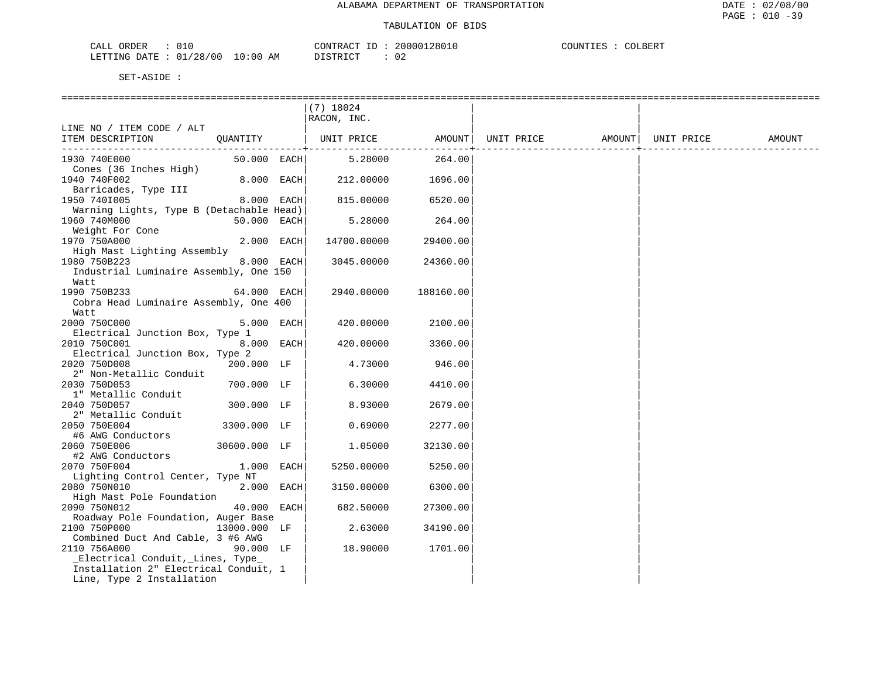| CALL ORDER                      |  |          | CONTRACT ID: 20000128010 | COUNTIES | COLBERT |  |
|---------------------------------|--|----------|--------------------------|----------|---------|--|
| LETTING DATE: 01/28/00 10:00 AM |  | DISTRICT | 02                       |          |         |  |

|                                                           |              | $(7)$ 18024 |                 |                   |            |        |
|-----------------------------------------------------------|--------------|-------------|-----------------|-------------------|------------|--------|
|                                                           |              | RACON, INC. |                 |                   |            |        |
| LINE NO / ITEM CODE / ALT<br>OUANTITY<br>ITEM DESCRIPTION |              | UNIT PRICE  | AMOUNT          | UNIT PRICE AMOUNT | UNIT PRICE | AMOUNT |
|                                                           |              |             | --------------+ |                   |            |        |
| 1930 740E000                                              | 50.000 EACH  | 5.28000     | 264.00          |                   |            |        |
| Cones (36 Inches High)                                    |              |             |                 |                   |            |        |
| 1940 740F002                                              | $8.000$ EACH | 212.00000   | 1696.00         |                   |            |        |
| Barricades, Type III                                      |              |             |                 |                   |            |        |
| 1950 7401005                                              | 8.000 EACH   | 815.00000   | 6520.00         |                   |            |        |
| Warning Lights, Type B (Detachable Head)<br>1960 740M000  | 50.000 EACH  | 5.28000     | 264.00          |                   |            |        |
| Weight For Cone                                           |              |             |                 |                   |            |        |
| 1970 750A000                                              | 2.000 EACH   | 14700.00000 | 29400.00        |                   |            |        |
| High Mast Lighting Assembly                               |              |             |                 |                   |            |        |
| 1980 750B223                                              | 8.000 EACH   | 3045.00000  | 24360.00        |                   |            |        |
| Industrial Luminaire Assembly, One 150                    |              |             |                 |                   |            |        |
| Watt                                                      |              |             |                 |                   |            |        |
| 1990 750B233                                              | 64.000 EACH  | 2940.00000  | 188160.00       |                   |            |        |
| Cobra Head Luminaire Assembly, One 400                    |              |             |                 |                   |            |        |
| Watt<br>2000 750C000                                      | 5.000 EACH   | 420.00000   | 2100.00         |                   |            |        |
| Electrical Junction Box, Type 1                           |              |             |                 |                   |            |        |
| 2010 750C001                                              | 8.000 EACH   | 420.00000   | 3360.00         |                   |            |        |
| Electrical Junction Box, Type 2                           |              |             |                 |                   |            |        |
| 200.000 LF<br>2020 750D008                                |              | 4.73000     | 946.00          |                   |            |        |
| 2" Non-Metallic Conduit                                   |              |             |                 |                   |            |        |
| 2030 750D053<br>700.000 LF                                |              | 6.30000     | 4410.00         |                   |            |        |
| 1" Metallic Conduit                                       |              |             |                 |                   |            |        |
| 2040 750D057<br>300.000 LF                                |              | 8.93000     | 2679.00         |                   |            |        |
| 2" Metallic Conduit<br>2050 750E004<br>3300.000 LF        |              | 0.69000     | 2277.00         |                   |            |        |
| #6 AWG Conductors                                         |              |             |                 |                   |            |        |
| 2060 750E006<br>30600.000 LF                              |              | 1.05000     | 32130.00        |                   |            |        |
| #2 AWG Conductors                                         |              |             |                 |                   |            |        |
| 2070 750F004                                              | 1.000 EACH   | 5250.00000  | 5250.00         |                   |            |        |
| Lighting Control Center, Type NT                          |              |             |                 |                   |            |        |
| 2080 750N010                                              | 2.000 EACH   | 3150.00000  | 6300.00         |                   |            |        |
| High Mast Pole Foundation                                 |              |             |                 |                   |            |        |
| 2090 750N012<br>Roadway Pole Foundation, Auger Base       | 40.000 EACH  | 682.50000   | 27300.00        |                   |            |        |
| 2100 750P000<br>13000.000 LF                              |              | 2.63000     | 34190.00        |                   |            |        |
| Combined Duct And Cable, 3 #6 AWG                         |              |             |                 |                   |            |        |
| 2110 756A000                                              | 90.000 LF    | 18.90000    | 1701.00         |                   |            |        |
| Electrical Conduit, Lines, Type                           |              |             |                 |                   |            |        |
| Installation 2" Electrical Conduit, 1                     |              |             |                 |                   |            |        |
| Line, Type 2 Installation                                 |              |             |                 |                   |            |        |
|                                                           |              |             |                 |                   |            |        |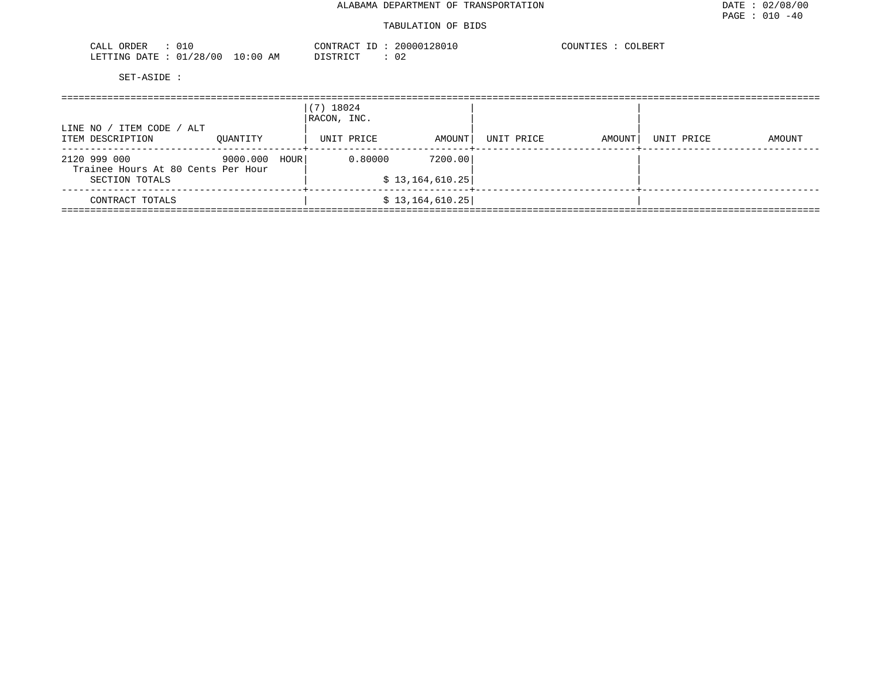| ORDER<br>CALL          |            | CONTRACT ID<br>LD. | 20000128010 | COUNTIES<br>COLBERT |
|------------------------|------------|--------------------|-------------|---------------------|
| LETTING DATE: 01/28/00 | $10:00$ AM | DISTRICT           |             |                     |

| ITEM CODE /<br>ALT<br>LINE NO                                        |          |      | (7) 18024<br>RACON, INC. |                            |            |        |            |        |  |  |
|----------------------------------------------------------------------|----------|------|--------------------------|----------------------------|------------|--------|------------|--------|--|--|
| ITEM DESCRIPTION                                                     | OUANTITY |      | UNIT PRICE               | AMOUNT                     | UNIT PRICE | AMOUNT | UNIT PRICE | AMOUNT |  |  |
| 2120 999 000<br>Trainee Hours At 80 Cents Per Hour<br>SECTION TOTALS | 9000.000 | HOUR | 0.80000                  | 7200.00<br>\$13,164,610.25 |            |        |            |        |  |  |
| CONTRACT TOTALS                                                      |          |      |                          | \$13,164,610.25            |            |        |            |        |  |  |
|                                                                      |          |      |                          |                            |            |        |            |        |  |  |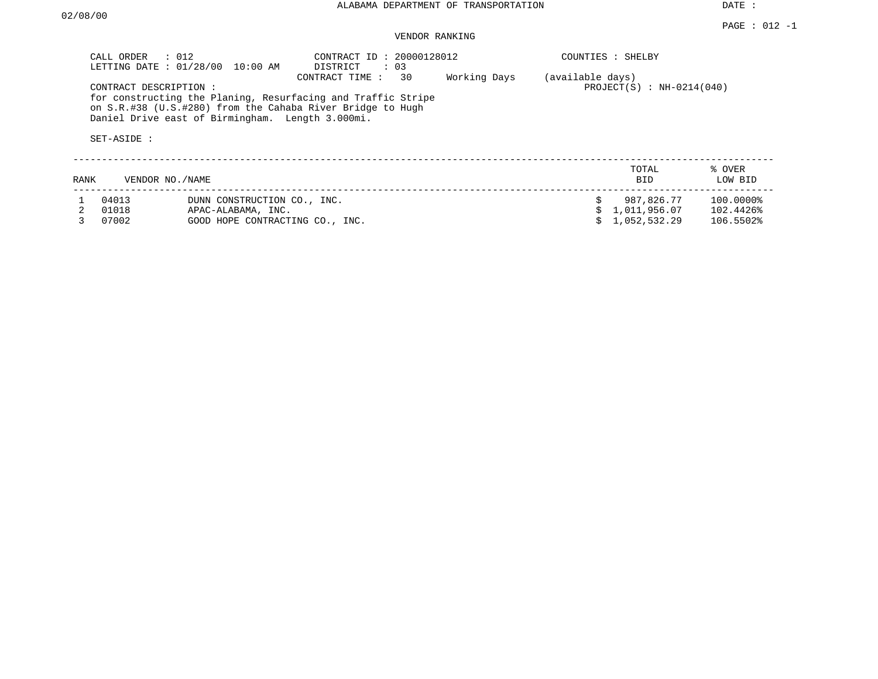DATE :

## VENDOR RANKING

|      | $\therefore$ 012<br>CALL ORDER<br>LETTING DATE: 01/28/00 | $10:00$ AM                                                                           | CONTRACT ID: 20000128012<br>DISTRICT<br>$\colon$ 03<br>30<br>CONTRACT TIME:                                                | Working Days | (available days) | COUNTIES : SHELBY                          |                                     |
|------|----------------------------------------------------------|--------------------------------------------------------------------------------------|----------------------------------------------------------------------------------------------------------------------------|--------------|------------------|--------------------------------------------|-------------------------------------|
|      | CONTRACT DESCRIPTION:<br>SET-ASIDE :                     | Daniel Drive east of Birmingham. Length 3.000mi.                                     | for constructing the Planing, Resurfacing and Traffic Stripe<br>on S.R.#38 (U.S.#280) from the Cahaba River Bridge to Hugh |              |                  | $PROJECT(S) : NH-0214(040)$                |                                     |
| RANK | VENDOR NO. / NAME                                        |                                                                                      |                                                                                                                            |              |                  | TOTAL<br>BID.                              | % OVER<br>LOW BID                   |
|      | 04013<br>01018<br>07002                                  | DUNN CONSTRUCTION CO., INC.<br>APAC-ALABAMA, INC.<br>GOOD HOPE CONTRACTING CO., INC. |                                                                                                                            |              |                  | 987,826.77<br>1,011,956.07<br>1,052,532.29 | 100.0000%<br>102.4426%<br>106.5502% |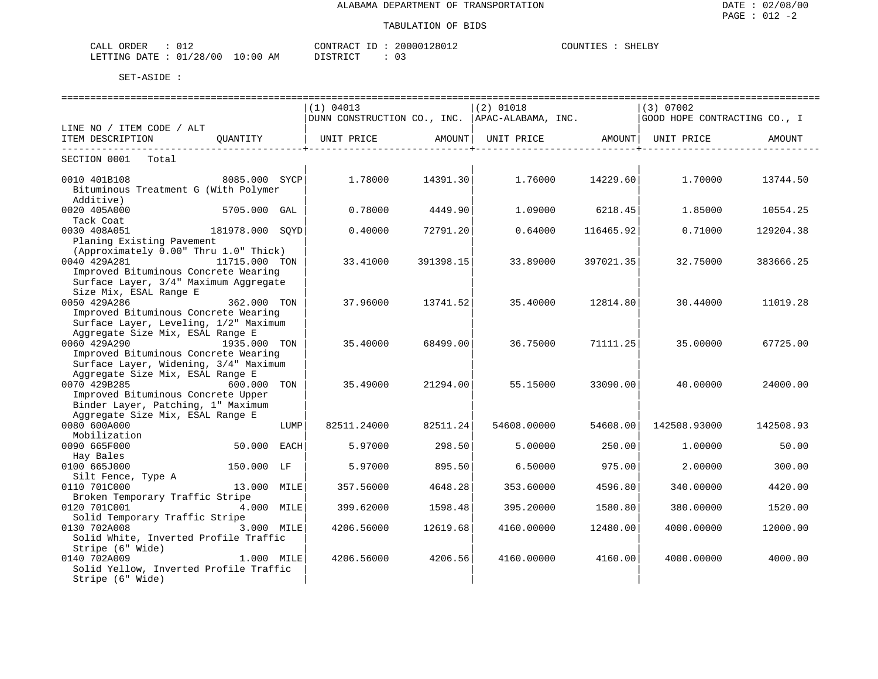| ORDER<br>CALI |            |             | CONTRACT             | 28012<br>200001 | COUNTIES | <b>SHN</b> |
|---------------|------------|-------------|----------------------|-----------------|----------|------------|
| LETTING DATE  | : 01/28/00 | 10:00<br>AM | ገ ገ ደ ግ ገ ገ ግ ፐ<br>. | 03              |          |            |

|                                                                    |                 |      | (1) 04013<br>DUNN CONSTRUCTION CO., INC.  APAC-ALABAMA, INC. |           | $(2)$ 01018                           |           | (3) 07002<br>GOOD HOPE CONTRACTING CO., I |           |
|--------------------------------------------------------------------|-----------------|------|--------------------------------------------------------------|-----------|---------------------------------------|-----------|-------------------------------------------|-----------|
| LINE NO / ITEM CODE / ALT                                          |                 |      |                                                              |           |                                       |           |                                           |           |
| ITEM DESCRIPTION                                                   | QUANTITY        |      | UNIT PRICE                                                   |           | AMOUNT  UNIT PRICE AMOUNT  UNIT PRICE |           |                                           | AMOUNT    |
| SECTION 0001<br>Total                                              |                 |      |                                                              |           |                                       |           |                                           |           |
| 0010 401B108                                                       | 8085.000 SYCP   |      | 1.78000                                                      | 14391.30  | 1.76000                               | 14229.60  | 1,70000                                   | 13744.50  |
| Bituminous Treatment G (With Polymer<br>Additive)                  |                 |      |                                                              |           |                                       |           |                                           |           |
| 0020 405A000                                                       | 5705.000 GAL    |      | 0.78000                                                      | 4449.90   | 1,09000                               | 6218.45   | 1.85000                                   | 10554.25  |
| Tack Coat                                                          |                 |      |                                                              |           |                                       |           |                                           |           |
| 0030 408A051                                                       | 181978.000 SQYD |      | 0.40000                                                      | 72791.20  | 0.64000                               | 116465.92 | 0.71000                                   | 129204.38 |
| Planing Existing Pavement<br>(Approximately 0.00" Thru 1.0" Thick) |                 |      |                                                              |           |                                       |           |                                           |           |
| 0040 429A281                                                       | 11715.000 TON   |      | 33.41000                                                     | 391398.15 | 33.89000                              | 397021.35 | 32.75000                                  | 383666.25 |
| Improved Bituminous Concrete Wearing                               |                 |      |                                                              |           |                                       |           |                                           |           |
| Surface Layer, 3/4" Maximum Aggregate                              |                 |      |                                                              |           |                                       |           |                                           |           |
| Size Mix, ESAL Range E                                             |                 |      |                                                              |           |                                       |           |                                           |           |
| 0050 429A286                                                       | 362.000 TON     |      | 37.96000                                                     | 13741.52  | 35.40000                              | 12814.80  | 30.44000                                  | 11019.28  |
| Improved Bituminous Concrete Wearing                               |                 |      |                                                              |           |                                       |           |                                           |           |
| Surface Layer, Leveling, 1/2" Maximum                              |                 |      |                                                              |           |                                       |           |                                           |           |
| Aggregate Size Mix, ESAL Range E<br>0060 429A290                   | 1935.000 TON    |      |                                                              | 68499.00  | 36.75000                              | 71111.25  |                                           |           |
| Improved Bituminous Concrete Wearing                               |                 |      | 35.40000                                                     |           |                                       |           | 35.00000                                  | 67725.00  |
| Surface Layer, Widening, 3/4" Maximum                              |                 |      |                                                              |           |                                       |           |                                           |           |
| Aggregate Size Mix, ESAL Range E                                   |                 |      |                                                              |           |                                       |           |                                           |           |
| 0070 429B285                                                       | 600.000 TON     |      | 35.49000                                                     | 21294.00  | 55.15000                              | 33090.00  | 40.00000                                  | 24000.00  |
| Improved Bituminous Concrete Upper                                 |                 |      |                                                              |           |                                       |           |                                           |           |
| Binder Layer, Patching, 1" Maximum                                 |                 |      |                                                              |           |                                       |           |                                           |           |
| Aggregate Size Mix, ESAL Range E                                   |                 |      |                                                              |           |                                       |           |                                           |           |
| 0080 600A000                                                       |                 | LUMP | 82511.24000                                                  | 82511.24  | 54608.00000                           | 54608.00  | 142508.93000                              | 142508.93 |
| Mobilization                                                       |                 |      |                                                              |           |                                       |           |                                           |           |
| 0090 665F000                                                       | 50.000 EACH     |      | 5.97000                                                      | 298.50    | 5,00000                               | 250.00    | 1,00000                                   | 50.00     |
| Hay Bales                                                          |                 |      |                                                              |           |                                       |           |                                           |           |
| 0100 665J000                                                       | 150.000 LF      |      | 5.97000                                                      | 895.50    | 6.50000                               | 975.00    | 2.00000                                   | 300.00    |
| Silt Fence, Type A                                                 |                 |      |                                                              |           |                                       |           |                                           |           |
| 0110 701C000                                                       | 13.000 MILE     |      | 357.56000                                                    | 4648.28   | 353.60000                             | 4596.80   | 340.00000                                 | 4420.00   |
| Broken Temporary Traffic Stripe                                    |                 |      |                                                              |           |                                       |           |                                           |           |
| 0120 701C001                                                       | 4.000 MILE      |      | 399.62000                                                    | 1598.48   | 395.20000                             | 1580.80   | 380.00000                                 | 1520.00   |
| Solid Temporary Traffic Stripe                                     |                 |      |                                                              |           |                                       |           |                                           |           |
| 0130 702A008                                                       | 3.000 MILE      |      | 4206.56000                                                   | 12619.68  | 4160.00000                            | 12480.00  | 4000.00000                                | 12000.00  |
| Solid White, Inverted Profile Traffic<br>Stripe (6" Wide)          |                 |      |                                                              |           |                                       |           |                                           |           |
| 0140 702A009                                                       | 1.000 MILE      |      | 4206.56000                                                   | 4206.56   | 4160.00000                            | 4160.00   | 4000.00000                                | 4000.00   |
| Solid Yellow, Inverted Profile Traffic                             |                 |      |                                                              |           |                                       |           |                                           |           |
| Stripe (6" Wide)                                                   |                 |      |                                                              |           |                                       |           |                                           |           |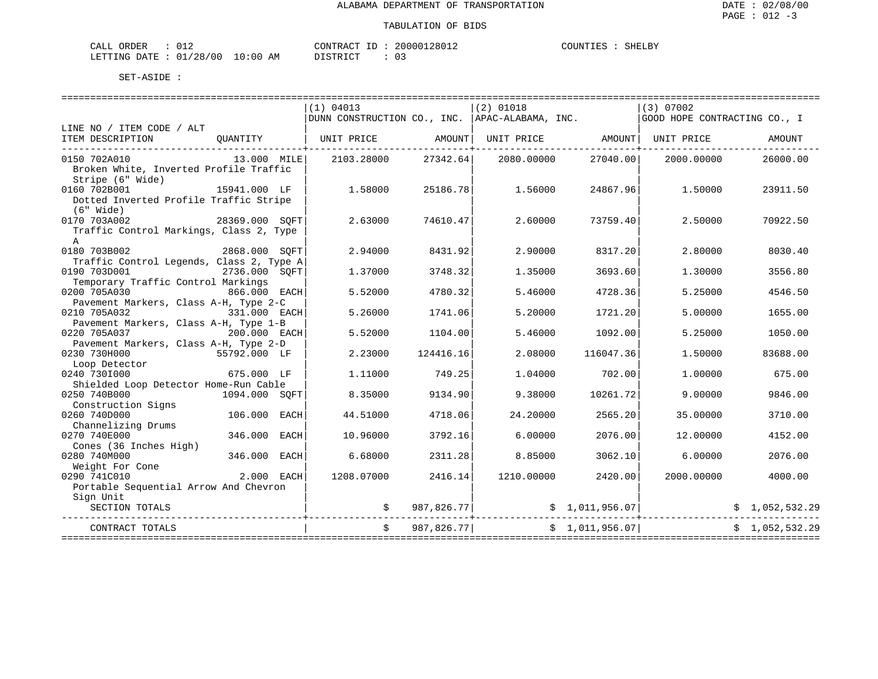| CALL ORDER                      |  |          | CONTRACT ID: 20000128012 | COUNTIES : . | SHELBY |
|---------------------------------|--|----------|--------------------------|--------------|--------|
| LETTING DATE: 01/28/00 10:00 AM |  | DISTRICT |                          |              |        |

|                                                                                                               |                                   |             | -----------------------------                    |               |                                |                 |                              |                |  |
|---------------------------------------------------------------------------------------------------------------|-----------------------------------|-------------|--------------------------------------------------|---------------|--------------------------------|-----------------|------------------------------|----------------|--|
|                                                                                                               |                                   |             | (1) 04013                                        |               | $(2)$ 01018                    |                 | (3) 07002                    |                |  |
|                                                                                                               |                                   |             | DUNN CONSTRUCTION CO., INC.   APAC-ALABAMA, INC. |               |                                |                 | GOOD HOPE CONTRACTING CO., I |                |  |
| LINE NO / ITEM CODE / ALT<br>ITEM DESCRIPTION                                                                 | OUANTITY                          |             | UNIT PRICE AMOUNT                                |               | UNIT PRICE AMOUNT   UNIT PRICE |                 |                              | AMOUNT         |  |
| -------------------------------<br>0150 702A010<br>Broken White, Inverted Profile Traffic<br>Stripe (6" Wide) | 13.000 MILE                       |             | 2103.28000                                       | 27342.64      | 2080.00000                     | 27040.00        | 2000.00000                   | 26000.00       |  |
| 0160 702B001<br>Dotted Inverted Profile Traffic Stripe<br>$(6"$ Wide)                                         | 15941.000 LF                      |             | 1.58000                                          | 25186.78      | 1.56000                        | 24867.96        | 1,50000                      | 23911.50       |  |
| 0170 703A002<br>Traffic Control Markings, Class 2, Type<br>$\mathbb{A}$                                       | 28369.000 SOFT                    |             | 2.63000                                          | 74610.47      | 2.60000                        | 73759.40        | 2.50000                      | 70922.50       |  |
| 2868.000 SQFT<br>0180 703B002<br>Traffic Control Legends, Class 2, Type A                                     |                                   |             | 2.94000                                          | 8431.92       | 2.90000                        | 8317.20         | 2.80000                      | 8030.40        |  |
| 0190 703D001<br>Temporary Traffic Control Markings                                                            | 2736.000 SOFT                     |             | 1.37000                                          | 3748.32       | 1.35000                        | 3693.60         | 1.30000                      | 3556.80        |  |
| 0200 705A030                                                                                                  | 866.000 EACH                      |             | 5.52000                                          | 4780.32       | 5.46000                        | 4728.36         | 5.25000                      | 4546.50        |  |
| Pavement Markers, Class A-H, Type 2-C<br>0210 705A032                                                         | 331.000 EACH                      |             | 5.26000                                          | 1741.06       | 5.20000                        | 1721.20         | 5,00000                      | 1655.00        |  |
| Pavement Markers, Class A-H, Type 1-B<br>0220 705A037                                                         | 200.000 EACH                      |             | 5.52000                                          | 1104.00       | 5.46000                        | 1092.00         | 5.25000                      | 1050.00        |  |
| Pavement Markers, Class A-H, Type 2-D<br>0230 730H000<br>Loop Detector                                        | 55792.000 LF                      |             | 2.23000                                          | 124416.16     | 2.08000                        | 116047.36       | 1,50000                      | 83688.00       |  |
| 0240 7301000<br>Shielded Loop Detector Home-Run Cable                                                         | 675.000 LF                        |             | 1,11000                                          | 749.25        | 1.04000                        | 702.00          | 1,00000                      | 675.00         |  |
| 0250 740B000<br>Construction Signs                                                                            | 1094.000 SOFT                     |             | 8.35000                                          | 9134.90       | 9.38000                        | 10261.72        | 9,00000                      | 9846.00        |  |
| 0260 740D000<br>Channelizing Drums                                                                            | 106.000                           | EACH        | 44.51000                                         | 4718.06       | 24.20000                       | 2565.20         | 35.00000                     | 3710.00        |  |
| 0270 740E000<br>Cones (36 Inches High)                                                                        | 346.000                           | <b>EACH</b> | 10.96000                                         | 3792.16       | 6.00000                        | 2076.00         | 12.00000                     | 4152.00        |  |
| 0280 740M000<br>Weight For Cone                                                                               | 346.000                           | EACH        | 6.68000                                          | 2311.28       | 8.85000                        | 3062.10         | 6,00000                      | 2076.00        |  |
| 0290 741C010<br>Portable Sequential Arrow And Chevron                                                         | 2.000 EACH                        |             | 1208.07000                                       | 2416.14       | 1210.00000                     | 2420.00         | 2000.00000                   | 4000.00        |  |
| Sign Unit<br>SECTION TOTALS                                                                                   |                                   |             |                                                  | \$987,826.77] |                                | \$1,011,956.07  |                              | \$1,052,532.29 |  |
| CONTRACT TOTALS                                                                                               | --------------------------------- |             | $\ddot{s}$                                       | 987,826.77    |                                | \$1,011,956.07] |                              | \$1,052,532.29 |  |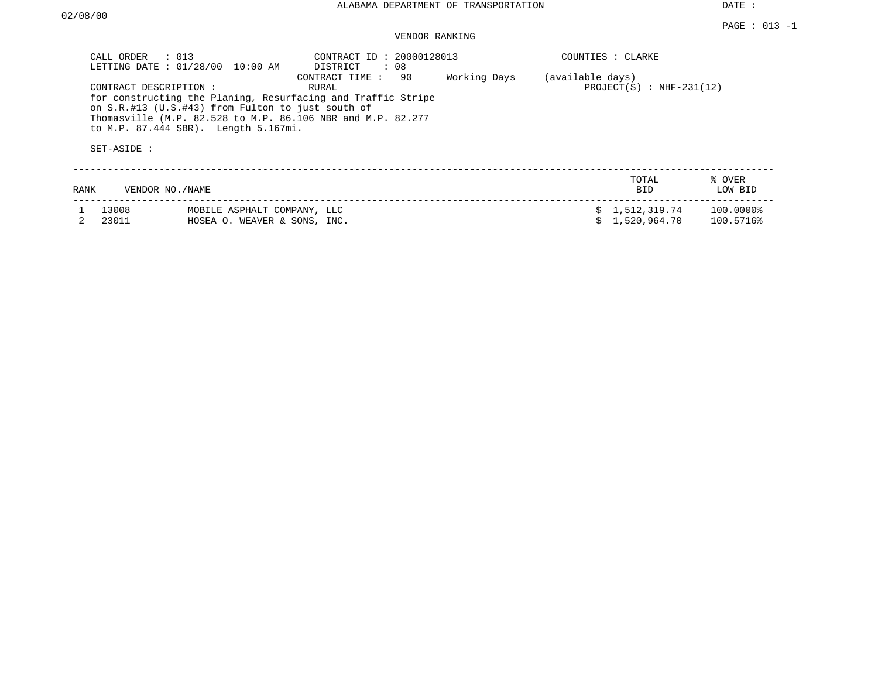DATE :

## VENDOR RANKING

|      | CALL ORDER<br>LETTING DATE : 01/28/00<br>CONTRACT DESCRIPTION :<br>SET-ASIDE : | $\therefore$ 013<br>10:00 AM<br>on S.R.#13 (U.S.#43) from Fulton to just south of<br>to M.P. 87.444 SBR). Length 5.167mi. | CONTRACT ID: 20000128013<br>DISTRICT<br>: 08<br>90<br>CONTRACT TIME:<br>RURAL<br>for constructing the Planing, Resurfacing and Traffic Stripe<br>Thomasville (M.P. 82.528 to M.P. 86.106 NBR and M.P. 82.277 | Working Days | (available days) | COUNTIES : CLARKE<br>$PROJECT(S)$ : NHF-231(12) |                           |
|------|--------------------------------------------------------------------------------|---------------------------------------------------------------------------------------------------------------------------|--------------------------------------------------------------------------------------------------------------------------------------------------------------------------------------------------------------|--------------|------------------|-------------------------------------------------|---------------------------|
| RANK | VENDOR NO./NAME                                                                |                                                                                                                           |                                                                                                                                                                                                              |              |                  | TOTAL<br><b>BID</b>                             | % OVER<br>LOW BID         |
|      | 13008<br>23011                                                                 | MOBILE ASPHALT COMPANY, LLC<br>HOSEA O. WEAVER & SONS, INC.                                                               |                                                                                                                                                                                                              |              |                  | \$1,512,319.74<br>1,520,964.70                  | $100.0000\%$<br>100.5716% |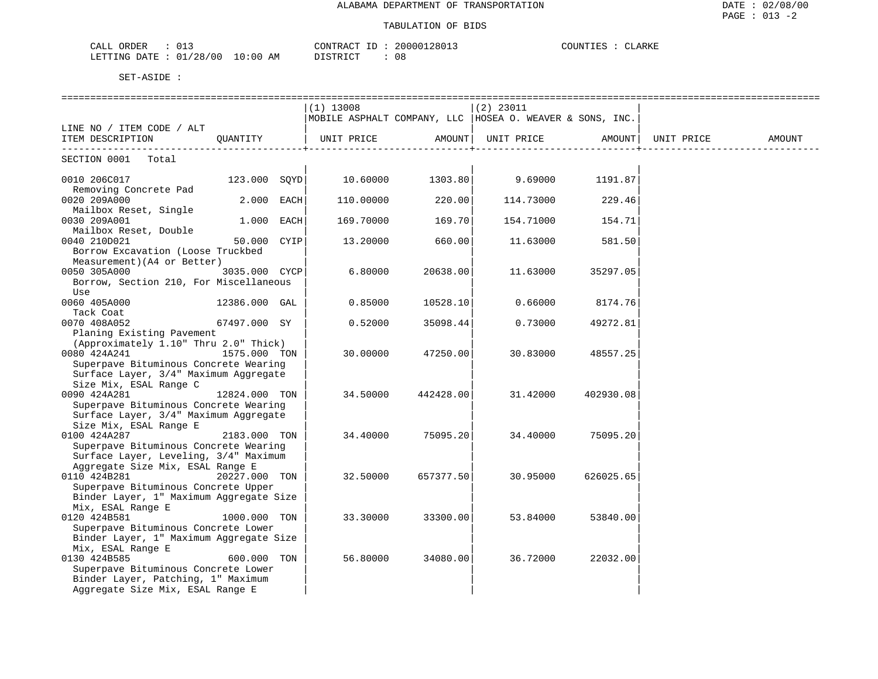#### TABULATION OF BIDS

| ORDER<br>$\sqrt{2}$<br>ىلىل<br>◡∸ ◡ | CONTRACT                                     | 20000128013 | COUNTIES<br>$\cdot$ . $\Delta$ $\vdash$<br>⊐ARN P |
|-------------------------------------|----------------------------------------------|-------------|---------------------------------------------------|
| LETTING DATE<br>./28/00<br>∩ 1<br>ັ | ΆM<br>10:00 -<br>די איד אידף דרו<br>-------- | ΩC<br>U C   |                                                   |

|                                                                                                                                                                   |               | $(1)$ 13008                                               |           | (2) 23011 |           |            |        |
|-------------------------------------------------------------------------------------------------------------------------------------------------------------------|---------------|-----------------------------------------------------------|-----------|-----------|-----------|------------|--------|
|                                                                                                                                                                   |               | MOBILE ASPHALT COMPANY, LLC  HOSEA O. WEAVER & SONS, INC. |           |           |           |            |        |
| LINE NO / ITEM CODE / ALT<br>ITEM DESCRIPTION QUANTITY                                                                                                            |               | UNIT PRICE AMOUNT  UNIT PRICE AMOUNT                      |           |           |           | UNIT PRICE | AMOUNT |
| SECTION 0001 Total                                                                                                                                                |               |                                                           |           |           |           |            |        |
| 0010 206C017 123.000 SQYD 10.60000 1303.80 9.69000 1191.87                                                                                                        |               |                                                           |           |           |           |            |        |
| Removing Concrete Pad<br>0020 209A000<br>Mailbox Reset, Single                                                                                                    | $2.000$ EACH  | 110.00000                                                 | 220.00    | 114.73000 | 229.46    |            |        |
| 0030 209A001                                                                                                                                                      | $1.000$ EACH  | 169.70000                                                 | 169.70    | 154.71000 | 154.71    |            |        |
| Mailbox Reset, Double<br>0040 210D021<br>Borrow Excavation (Loose Truckbed                                                                                        | 50.000 CYIP   | 13.20000                                                  | 660.00    | 11.63000  | 581.50    |            |        |
| Measurement) (A4 or Better)<br>0050 305A000<br>Borrow, Section 210, For Miscellaneous                                                                             | 3035.000 CYCP | 6.80000                                                   | 20638.00  | 11.63000  | 35297.05  |            |        |
| Use<br>0060 405A000                                                                                                                                               | 12386.000 GAL | 0.85000                                                   | 10528.10  | 0.66000   | 8174.76   |            |        |
| Tack Coat<br>0070 408A052                                                                                                                                         | 67497.000 SY  | 0.52000                                                   | 35098.44  | 0.73000   | 49272.81  |            |        |
| Planing Existing Pavement<br>(Approximately 1.10" Thru 2.0" Thick)<br>0080 424A241<br>Superpave Bituminous Concrete Wearing                                       | 1575.000 TON  | 30.00000                                                  | 47250.00  | 30.83000  | 48557.25  |            |        |
| Surface Layer, 3/4" Maximum Aggregate<br>Size Mix, ESAL Range C<br>0090 424A281<br>Superpave Bituminous Concrete Wearing<br>Surface Layer, 3/4" Maximum Aggregate | 12824.000 TON | 34.50000                                                  | 442428.00 | 31.42000  | 402930.08 |            |        |
| Size Mix, ESAL Range E<br>0100 424A287<br>Superpave Bituminous Concrete Wearing<br>Surface Layer, Leveling, 3/4" Maximum                                          | 2183.000 TON  | 34.40000                                                  | 75095.20  | 34.40000  | 75095.20  |            |        |
| Aggregate Size Mix, ESAL Range E<br>0110 424B281<br>Superpave Bituminous Concrete Upper                                                                           | 20227.000 TON | 32.50000                                                  | 657377.50 | 30.95000  | 626025.65 |            |        |
| Binder Layer, 1" Maximum Aggregate Size<br>Mix, ESAL Range E<br>0120 424B581<br>Superpave Bituminous Concrete Lower                                               | 1000.000 TON  | 33.30000                                                  | 33300.00  | 53.84000  | 53840.00  |            |        |
| Binder Layer, 1" Maximum Aggregate Size<br>Mix, ESAL Range E<br>0130 424B585<br>Superpave Bituminous Concrete Lower                                               | 600.000 TON   | 56.80000                                                  | 34080.00  | 36.72000  | 22032.00  |            |        |
| Binder Layer, Patching, 1" Maximum<br>Aggregate Size Mix, ESAL Range E                                                                                            |               |                                                           |           |           |           |            |        |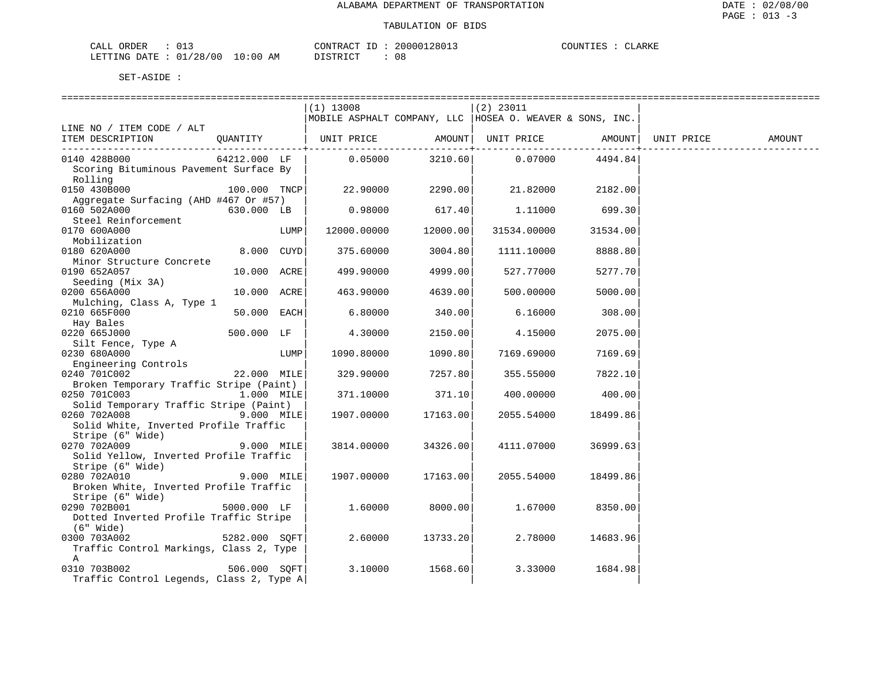| CALL ORDER             |  |             | CONTRACT<br>ID | $\sim$ | 20000128013 | COUNTIES | <b>CLARKE</b> |
|------------------------|--|-------------|----------------|--------|-------------|----------|---------------|
| LETTING DATE: 01/28/00 |  | 10:00<br>AM | DISTRICT       |        | 08          |          |               |

|                                          |                |      | $(1)$ 13008                                                |          | $(2)$ 23011          |          |            |        |
|------------------------------------------|----------------|------|------------------------------------------------------------|----------|----------------------|----------|------------|--------|
|                                          |                |      | MOBILE ASPHALT COMPANY, LLC   HOSEA O. WEAVER & SONS, INC. |          |                      |          |            |        |
| LINE NO / ITEM CODE / ALT                |                |      |                                                            |          |                      |          |            |        |
| ITEM DESCRIPTION                         | OUANTITY       |      | UNIT PRICE AMOUNT  UNIT PRICE AMOUNT                       |          |                      |          | UNIT PRICE | AMOUNT |
|                                          |                |      |                                                            |          | --------+----------- | .        |            |        |
| 0140 428B000                             | 64212.000 LF   |      | 0.05000                                                    | 3210.60  | 0.07000              | 4494.84  |            |        |
| Scoring Bituminous Pavement Surface By   |                |      |                                                            |          |                      |          |            |        |
| Rolling                                  |                |      |                                                            |          |                      |          |            |        |
| 0150 430B000                             | $100.000$ TNCP |      | 22.90000                                                   | 2290.00  | 21.82000             | 2182.00  |            |        |
| Aggregate Surfacing (AHD #467 Or #57)    |                |      |                                                            |          |                      |          |            |        |
| 0160 502A000                             | 630.000 LB     |      | 0.98000                                                    | 617.40   | 1,11000              | 699.30   |            |        |
| Steel Reinforcement                      |                |      |                                                            |          |                      |          |            |        |
| 0170 600A000                             |                | LUMP | 12000.00000                                                | 12000.00 | 31534.00000          | 31534.00 |            |        |
| Mobilization                             |                |      |                                                            |          |                      |          |            |        |
| 0180 620A000                             | 8.000 CUYD     |      |                                                            | 3004.80  |                      | 8888.80  |            |        |
|                                          |                |      | 375.60000                                                  |          | 1111.10000           |          |            |        |
| Minor Structure Concrete                 |                |      |                                                            |          |                      |          |            |        |
| 0190 652A057                             | 10.000 ACRE    |      | 499.90000                                                  | 4999.00  | 527.77000            | 5277.70  |            |        |
| Seeding (Mix 3A)                         |                |      |                                                            |          |                      |          |            |        |
| 0200 656A000                             | 10.000 ACRE    |      | 463.90000                                                  | 4639.00  | 500.00000            | 5000.00  |            |        |
| Mulching, Class A, Type 1                |                |      |                                                            |          |                      |          |            |        |
| 0210 665F000                             | 50.000 EACH    |      | 6.80000                                                    | 340.00   | 6.16000              | 308.00   |            |        |
| Hay Bales                                |                |      |                                                            |          |                      |          |            |        |
| 0220 665J000                             | 500.000 LF     |      | 4.30000                                                    | 2150.00  | 4.15000              | 2075.00  |            |        |
| Silt Fence, Type A                       |                |      |                                                            |          |                      |          |            |        |
| 0230 680A000                             |                | LUMP | 1090.80000                                                 | 1090.80  | 7169.69000           | 7169.69  |            |        |
| Engineering Controls                     |                |      |                                                            |          |                      |          |            |        |
| 0240 701C002                             | 22.000 MILE    |      | 329.90000                                                  | 7257.80  | 355.55000            | 7822.10  |            |        |
| Broken Temporary Traffic Stripe (Paint)  |                |      |                                                            |          |                      |          |            |        |
| 0250 701C003                             | 1.000 MILE     |      | 371.10000                                                  | 371.10   | 400.00000            | 400.00   |            |        |
| Solid Temporary Traffic Stripe (Paint)   |                |      |                                                            |          |                      |          |            |        |
| 0260 702A008                             | 9.000 MILE     |      | 1907.00000                                                 | 17163.00 | 2055.54000           | 18499.86 |            |        |
| Solid White, Inverted Profile Traffic    |                |      |                                                            |          |                      |          |            |        |
| Stripe (6" Wide)                         |                |      |                                                            |          |                      |          |            |        |
| 0270 702A009                             | 9.000 MILE     |      | 3814.00000                                                 | 34326.00 | 4111.07000           | 36999.63 |            |        |
| Solid Yellow, Inverted Profile Traffic   |                |      |                                                            |          |                      |          |            |        |
| Stripe (6" Wide)                         |                |      |                                                            |          |                      |          |            |        |
| 0280 702A010                             | 9.000 MILE     |      | 1907.00000                                                 | 17163.00 | 2055.54000           | 18499.86 |            |        |
| Broken White, Inverted Profile Traffic   |                |      |                                                            |          |                      |          |            |        |
| Stripe (6" Wide)                         |                |      |                                                            |          |                      |          |            |        |
| 0290 702B001                             | 5000.000 LF    |      | 1.60000                                                    | 8000.00  | 1.67000              | 8350.00  |            |        |
| Dotted Inverted Profile Traffic Stripe   |                |      |                                                            |          |                      |          |            |        |
| $(6"$ Wide)                              |                |      |                                                            |          |                      |          |            |        |
| 0300 703A002                             | 5282.000 SQFT  |      | 2.60000                                                    | 13733.20 | 2.78000              | 14683.96 |            |        |
| Traffic Control Markings, Class 2, Type  |                |      |                                                            |          |                      |          |            |        |
| Α                                        |                |      |                                                            |          |                      |          |            |        |
| 0310 703B002                             | 506.000 SOFT   |      | 3.10000                                                    | 1568.60  | 3.33000              | 1684.98  |            |        |
| Traffic Control Legends, Class 2, Type A |                |      |                                                            |          |                      |          |            |        |
|                                          |                |      |                                                            |          |                      |          |            |        |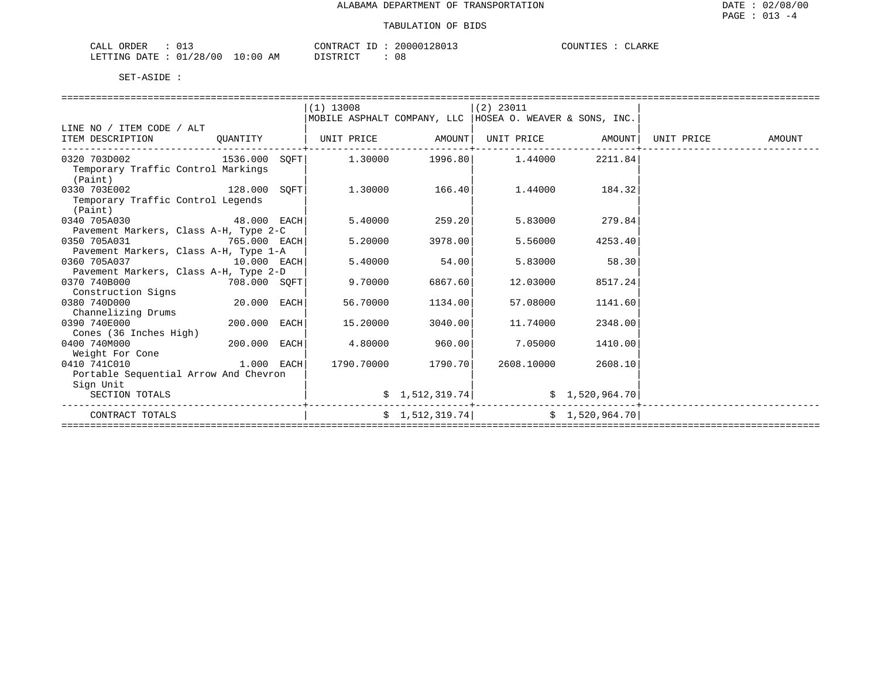| ORDER<br>CALL                      |            | CONTRACT ID | 20000128013 | COUNTIES<br>CLARKE |
|------------------------------------|------------|-------------|-------------|--------------------|
| LETTING DATE : $01/28/00$<br>_____ | $10:00$ AM | DISTRICT    | 08          |                    |

|                                                                                       |               | $(1)$ 13008       |                    | $(2)$ 23011                                                |                     |            |        |
|---------------------------------------------------------------------------------------|---------------|-------------------|--------------------|------------------------------------------------------------|---------------------|------------|--------|
|                                                                                       |               |                   |                    | MOBILE ASPHALT COMPANY, LLC   HOSEA O. WEAVER & SONS, INC. |                     |            |        |
| LINE NO / ITEM CODE / ALT                                                             |               |                   |                    |                                                            |                     |            |        |
| ITEM DESCRIPTION                                                                      | QUANTITY      | UNIT PRICE AMOUNT |                    | UNIT PRICE AMOUNT                                          |                     | UNIT PRICE | AMOUNT |
| $0320\hspace{.5mm} 703D002$ $1536.000$ $SOFF$ $1.30000$ $1996.80$ $1.44000$ $2211.84$ |               |                   |                    |                                                            | ------------------- |            |        |
| Temporary Traffic Control Markings                                                    |               |                   |                    |                                                            |                     |            |        |
| (Paint)                                                                               |               |                   |                    |                                                            |                     |            |        |
| 128.000 SOFT<br>0330 703E002                                                          |               | 1.30000           | 166.40             |                                                            | 1.44000 184.32      |            |        |
| Temporary Traffic Control Legends                                                     |               |                   |                    |                                                            |                     |            |        |
| (Paint)                                                                               |               |                   |                    |                                                            |                     |            |        |
| 0340 705A030 48.000 EACH                                                              |               | 5.40000           | 259.20             |                                                            | 5.83000 279.84      |            |        |
| Pavement Markers, Class A-H, Type 2-C                                                 |               |                   |                    |                                                            |                     |            |        |
| 0350 705A031<br>765.000 EACH                                                          |               | 5.20000           | 3978.00            | 5.56000                                                    | 4253.40             |            |        |
| Pavement Markers, Class A-H, Type 1-A                                                 |               |                   |                    |                                                            |                     |            |        |
| 0360 705A037<br>$10.000$ EACH                                                         |               | 5.40000           | 54.00              | 5.83000                                                    | 58.30               |            |        |
| Pavement Markers, Class A-H, Type 2-D                                                 |               |                   |                    |                                                            |                     |            |        |
| 0370 740B000<br>708.000 SOFT                                                          |               | 9.70000           | 6867.60            | 12.03000                                                   | 8517.24             |            |        |
| Construction Signs                                                                    |               |                   |                    |                                                            |                     |            |        |
| 0380 740D000                                                                          | $20.000$ EACH | 56.70000          | 1134.00            | 57.08000                                                   | 1141.60             |            |        |
| Channelizing Drums                                                                    |               |                   |                    |                                                            |                     |            |        |
| 0390 740E000<br>200.000 EACH                                                          |               | 15,20000          | 3040.00            | 11.74000                                                   | 2348.00             |            |        |
| Cones (36 Inches High)                                                                |               |                   |                    |                                                            |                     |            |        |
| $200.000$ EACH<br>0400 740M000                                                        |               | 4.80000           | 960.00             | 7.05000                                                    | 1410.00             |            |        |
| Weight For Cone                                                                       |               |                   |                    |                                                            |                     |            |        |
| $1.000$ EACH<br>0410 741C010                                                          |               |                   | 1790.70000 1790.70 | 2608.10000                                                 | 2608.10             |            |        |
| Portable Sequential Arrow And Chevron                                                 |               |                   |                    |                                                            |                     |            |        |
| Sign Unit<br>SECTION TOTALS                                                           |               |                   |                    |                                                            |                     |            |        |
|                                                                                       |               |                   | \$1,512,319.74     |                                                            | \$1,520,964.70      |            |        |
| CONTRACT TOTALS                                                                       |               |                   | \$1,512,319.74]    |                                                            | \$1,520,964.70]     |            |        |
|                                                                                       |               |                   |                    |                                                            |                     |            |        |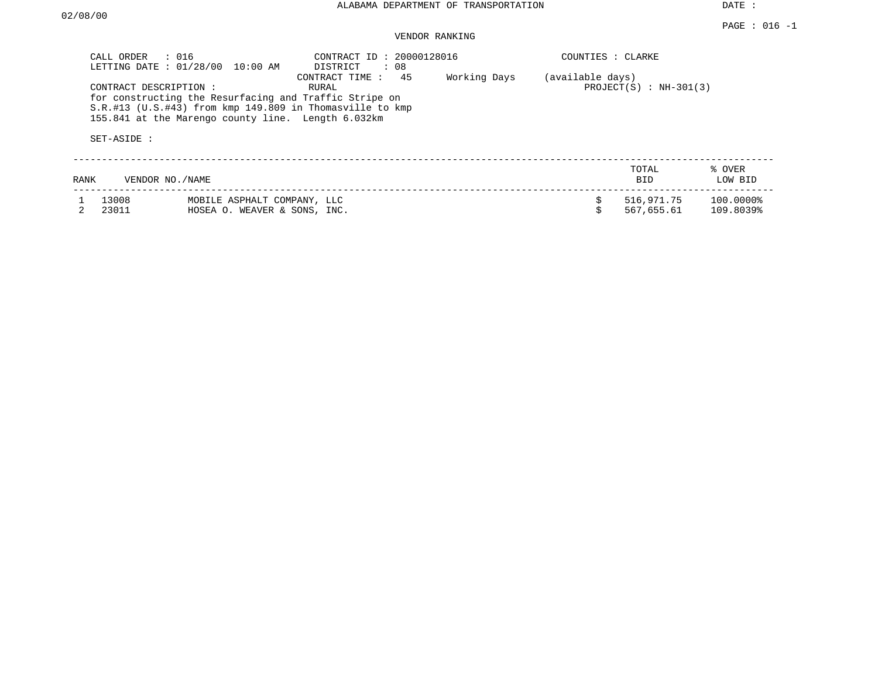DATE :

### VENDOR RANKING

| CALL ORDER     | $\therefore$ 016<br>LETTING DATE : 01/28/00<br>10:00 AM                                                                                                                                              | CONTRACT ID: 20000128016<br>DISTRICT : 08 |              | COUNTIES : CLARKE |                              |                        |
|----------------|------------------------------------------------------------------------------------------------------------------------------------------------------------------------------------------------------|-------------------------------------------|--------------|-------------------|------------------------------|------------------------|
| SET-ASIDE :    | CONTRACT DESCRIPTION:<br>for constructing the Resurfacing and Traffic Stripe on<br>$S.R.$ #13 (U.S.#43) from kmp 149.809 in Thomasville to kmp<br>155.841 at the Marengo county line. Length 6.032km | 45<br>CONTRACT TIME:<br>RURAL             | Working Days | (available days)  | PROJECT $(S)$ : NH-301 $(3)$ |                        |
| RANK           | VENDOR NO./NAME                                                                                                                                                                                      |                                           |              |                   | TOTAL<br>BID                 | % OVER<br>LOW BID      |
| 13008<br>23011 | MOBILE ASPHALT COMPANY, LLC<br>HOSEA O. WEAVER & SONS, INC.                                                                                                                                          |                                           |              |                   | 516,971.75<br>567,655.61     | 100.0000%<br>109.8039% |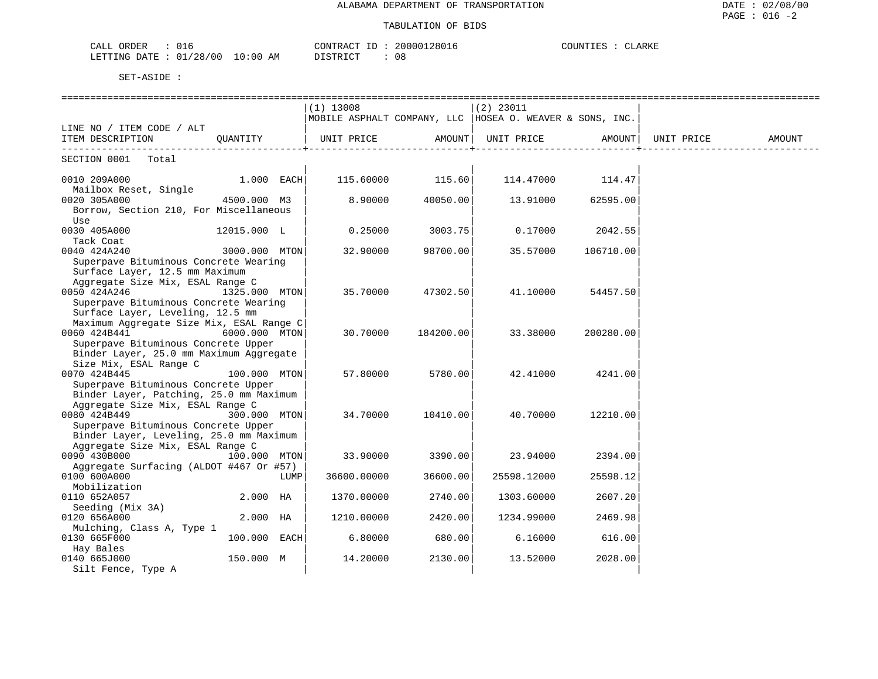#### TABULATION OF BIDS

| CALL ORDER<br>$\bigcap \pi$ $\tau$       | CONTRACT      | 20000128016 | CLARKE<br>COUNTIES |
|------------------------------------------|---------------|-------------|--------------------|
| : 01/28/00<br>$10:00$ AM<br>LETTING DATE | חים קידים דרו | 08          |                    |

|                                                                             |               |      | $(1)$ 13008                                                |           | $(2)$ 23011 |                  |            |        |
|-----------------------------------------------------------------------------|---------------|------|------------------------------------------------------------|-----------|-------------|------------------|------------|--------|
|                                                                             |               |      | MOBILE ASPHALT COMPANY, LLC   HOSEA O. WEAVER & SONS, INC. |           |             |                  |            |        |
| LINE NO / ITEM CODE / ALT                                                   |               |      |                                                            |           |             |                  |            |        |
| ITEM DESCRIPTION                                                            | OUANTITY      |      | UNIT PRICE                                                 | AMOUNT    | UNIT PRICE  | AMOUNT           | UNIT PRICE | AMOUNT |
| SECTION 0001 Total                                                          |               |      |                                                            |           |             |                  |            |        |
| 0010 209A000                                                                | $1.000$ EACH  |      | 115.60000                                                  |           |             | 114.47000 114.47 |            |        |
| Mailbox Reset, Single                                                       |               |      |                                                            | 115.60    |             |                  |            |        |
| 0020 305A000                                                                | 4500.000 M3   |      | 8.90000                                                    | 40050.00  | 13.91000    | 62595.00         |            |        |
| Borrow, Section 210, For Miscellaneous                                      |               |      |                                                            |           |             |                  |            |        |
| Use                                                                         |               |      |                                                            |           |             |                  |            |        |
| 0030 405A000                                                                | 12015.000 L   |      | 0.25000                                                    | 3003.75   | 0.17000     | 2042.55          |            |        |
| Tack Coat                                                                   |               |      |                                                            |           |             |                  |            |        |
| 0040 424A240                                                                | 3000.000 MTON |      | 32.90000                                                   | 98700.00  | 35.57000    | 106710.00        |            |        |
| Superpave Bituminous Concrete Wearing                                       |               |      |                                                            |           |             |                  |            |        |
| Surface Layer, 12.5 mm Maximum                                              |               |      |                                                            |           |             |                  |            |        |
| Aggregate Size Mix, ESAL Range C                                            |               |      |                                                            |           |             |                  |            |        |
| 0050 424A246                                                                | 1325.000 MTON |      | 35.70000                                                   | 47302.50  | 41.10000    | 54457.50         |            |        |
| Superpave Bituminous Concrete Wearing                                       |               |      |                                                            |           |             |                  |            |        |
| Surface Layer, Leveling, 12.5 mm                                            |               |      |                                                            |           |             |                  |            |        |
| Maximum Aggregate Size Mix, ESAL Range C                                    |               |      |                                                            |           |             |                  |            |        |
| 0060 424B441                                                                | 6000.000 MTON |      | 30.70000                                                   | 184200.00 | 33.38000    | 200280.00        |            |        |
| Superpave Bituminous Concrete Upper                                         |               |      |                                                            |           |             |                  |            |        |
| Binder Layer, 25.0 mm Maximum Aggregate                                     |               |      |                                                            |           |             |                  |            |        |
| Size Mix, ESAL Range C                                                      |               |      |                                                            |           |             |                  |            |        |
| 0070 424B445                                                                | 100.000 MTON  |      | 57.80000                                                   | 5780.00   | 42.41000    | 4241.00          |            |        |
| Superpave Bituminous Concrete Upper                                         |               |      |                                                            |           |             |                  |            |        |
| Binder Layer, Patching, 25.0 mm Maximum<br>Aggregate Size Mix, ESAL Range C |               |      |                                                            |           |             |                  |            |        |
| 0080 424B449                                                                | 300.000 MTON  |      |                                                            |           |             |                  |            |        |
| Superpave Bituminous Concrete Upper                                         |               |      | 34.70000                                                   | 10410.00  | 40.70000    | 12210.00         |            |        |
| Binder Layer, Leveling, 25.0 mm Maximum                                     |               |      |                                                            |           |             |                  |            |        |
| Aggregate Size Mix, ESAL Range C                                            |               |      |                                                            |           |             |                  |            |        |
| 0090 430B000                                                                | 100.000 MTON  |      | 33.90000                                                   | 3390.00   | 23.94000    | 2394.00          |            |        |
| Aggregate Surfacing (ALDOT #467 Or #57)                                     |               |      |                                                            |           |             |                  |            |        |
| 0100 600A000                                                                |               | LUMP | 36600.00000                                                | 36600.00  | 25598.12000 | 25598.12         |            |        |
| Mobilization                                                                |               |      |                                                            |           |             |                  |            |        |
| 0110 652A057                                                                | 2.000 HA      |      | 1370.00000                                                 | 2740.00   | 1303.60000  | 2607.20          |            |        |
| Seeding (Mix 3A)                                                            |               |      |                                                            |           |             |                  |            |        |
| 0120 656A000                                                                | 2.000 HA      |      | 1210.00000                                                 | 2420.00   | 1234.99000  | 2469.98          |            |        |
| Mulching, Class A, Type 1                                                   |               |      |                                                            |           |             |                  |            |        |
| 0130 665F000                                                                | 100.000 EACH  |      | 6.80000                                                    | 680.00    | 6.16000     | 616.00           |            |        |
| Hay Bales                                                                   |               |      |                                                            |           |             |                  |            |        |
| 0140 665J000                                                                | 150.000 M     |      | 14.20000                                                   | 2130.00   | 13.52000    | 2028.00          |            |        |
| Silt Fence, Type A                                                          |               |      |                                                            |           |             |                  |            |        |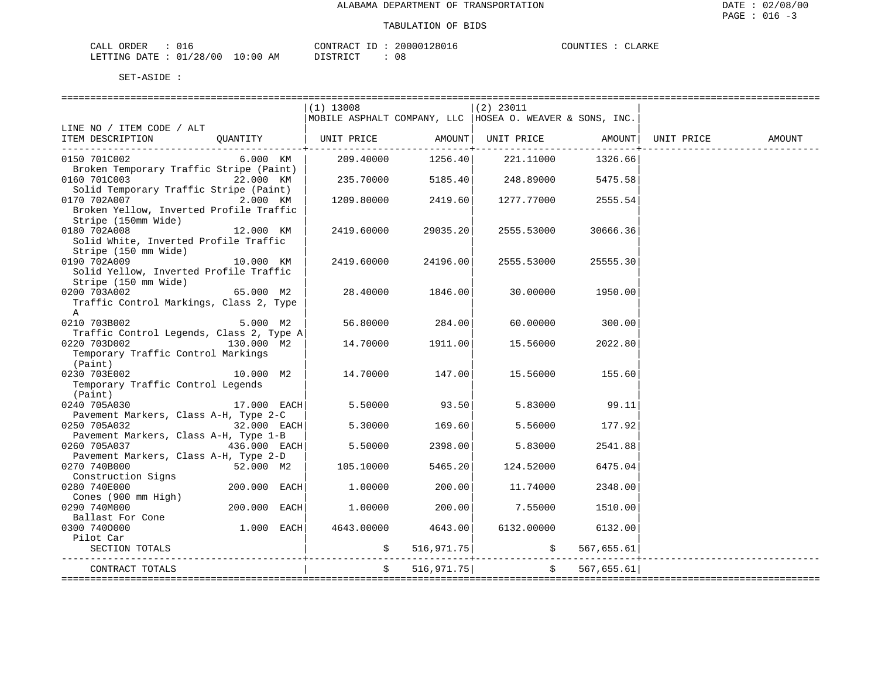| ORDER<br>CALL          |  |             | TD.<br>CONTRACT | 20000128016 | COUNTIES | CLARKE |
|------------------------|--|-------------|-----------------|-------------|----------|--------|
| LETTING DATE: 01/28/00 |  | 10:00<br>ΆM | חים דמים דת     | U C         |          |        |

|                                                         |                | $(1)$ 13008                                                |                   | $(2)$ 23011                |             |            |        |
|---------------------------------------------------------|----------------|------------------------------------------------------------|-------------------|----------------------------|-------------|------------|--------|
|                                                         |                | MOBILE ASPHALT COMPANY, LLC   HOSEA O. WEAVER & SONS, INC. |                   |                            |             |            |        |
| LINE NO / ITEM CODE / ALT                               |                |                                                            |                   |                            |             |            |        |
| ITEM DESCRIPTION                                        | OUANTITY       | UNIT PRICE                                                 |                   | AMOUNT   UNIT PRICE AMOUNT |             | UNIT PRICE | AMOUNT |
|                                                         |                |                                                            | -------+-         |                            |             |            |        |
| 0150 701C002<br>Broken Temporary Traffic Stripe (Paint) | 6.000 KM       | 209.40000                                                  | 1256.40           | 221.11000                  | 1326.66     |            |        |
| 0160 701C003                                            | 22.000 KM      |                                                            | 235.70000 5185.40 | 248.89000                  | 5475.58     |            |        |
| Solid Temporary Traffic Stripe (Paint)                  |                |                                                            |                   |                            |             |            |        |
| 0170 702A007                                            | 2.000 KM       | 1209.80000                                                 | 2419.60           | 1277.77000                 | 2555.54     |            |        |
| Broken Yellow, Inverted Profile Traffic                 |                |                                                            |                   |                            |             |            |        |
| Stripe (150mm Wide)                                     |                |                                                            |                   |                            |             |            |        |
| 0180 702A008                                            | 12.000 KM      | 2419.60000                                                 | 29035.20          | 2555.53000                 | 30666.36    |            |        |
| Solid White, Inverted Profile Traffic                   |                |                                                            |                   |                            |             |            |        |
| Stripe (150 mm Wide)                                    |                |                                                            |                   |                            |             |            |        |
| 0190 702A009                                            | 10.000 KM      | 2419.60000                                                 | 24196.00          | 2555.53000                 | 25555.30    |            |        |
| Solid Yellow, Inverted Profile Traffic                  |                |                                                            |                   |                            |             |            |        |
| Stripe (150 mm Wide)                                    |                |                                                            |                   |                            |             |            |        |
| 0200 703A002                                            | 65.000 M2      | 28.40000                                                   | 1846.00           | 30.00000                   | 1950.00     |            |        |
| Traffic Control Markings, Class 2, Type                 |                |                                                            |                   |                            |             |            |        |
| A                                                       |                |                                                            |                   |                            |             |            |        |
| 0210 703B002                                            | 5.000 M2       | 56.80000                                                   | 284.00            | 60.00000                   | 300.00      |            |        |
| Traffic Control Legends, Class 2, Type A                |                |                                                            |                   |                            |             |            |        |
| 0220 703D002                                            | 130.000 M2     | 14.70000                                                   | 1911.00           | 15.56000                   | 2022.80     |            |        |
| Temporary Traffic Control Markings                      |                |                                                            |                   |                            |             |            |        |
| (Paint)                                                 |                |                                                            |                   |                            |             |            |        |
| 0230 703E002                                            | 10.000 M2      | 14.70000                                                   | 147.00            | 15.56000                   | 155.60      |            |        |
| Temporary Traffic Control Legends                       |                |                                                            |                   |                            |             |            |        |
| (Paint)                                                 |                |                                                            |                   |                            |             |            |        |
| 0240 705A030                                            | 17.000 EACH    | 5.50000                                                    | 93.50             | 5.83000                    | 99.11       |            |        |
| Pavement Markers, Class A-H, Type 2-C                   |                |                                                            |                   |                            |             |            |        |
| 0250 705A032                                            | 32.000 EACH    | 5.30000                                                    | 169.60            | 5.56000                    | 177.92      |            |        |
| Pavement Markers, Class A-H, Type 1-B                   |                |                                                            |                   |                            |             |            |        |
| 0260 705A037                                            | $436.000$ EACH | 5.50000                                                    | 2398.00           | 5.83000                    | 2541.88     |            |        |
| Pavement Markers, Class A-H, Type 2-D                   |                |                                                            |                   |                            |             |            |        |
| 0270 740B000                                            | 52.000 M2      | 105.10000                                                  | 5465.20           | 124.52000                  | 6475.04     |            |        |
| Construction Signs                                      |                |                                                            |                   |                            |             |            |        |
| 0280 740E000                                            | $200.000$ EACH | 1.00000                                                    | 200.00            | 11.74000                   | 2348.00     |            |        |
| Cones (900 mm High)<br>0290 740M000                     | $200.000$ EACH | 1.00000                                                    | 200.00            | 7.55000                    | 1510.00     |            |        |
| Ballast For Cone                                        |                |                                                            |                   |                            |             |            |        |
| 0300 7400000                                            | $1.000$ EACH   | 4643.00000                                                 | 4643.00           | 6132.00000                 | 6132.00     |            |        |
| Pilot Car                                               |                |                                                            |                   |                            |             |            |        |
| SECTION TOTALS                                          |                |                                                            | \$516, 971.75]    | $\ddot{\mathsf{S}}$        | 567,655.61  |            |        |
|                                                         |                |                                                            |                   |                            |             |            |        |
| CONTRACT TOTALS                                         |                |                                                            | 516, 971.75       | Ŝ.                         | 567, 655.61 |            |        |
|                                                         |                |                                                            |                   |                            |             |            |        |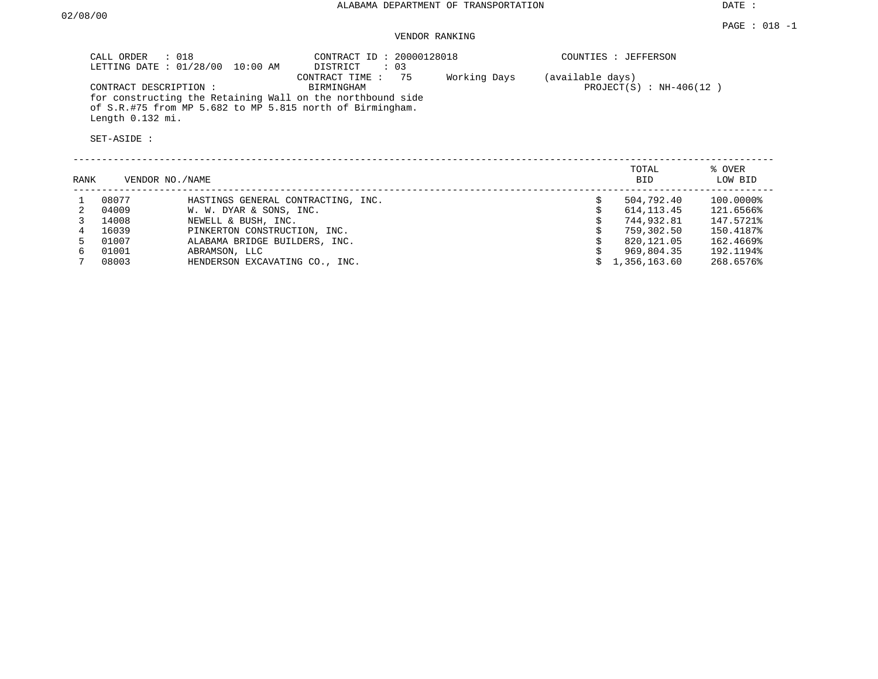## VENDOR RANKING

| CALL ORDER                                                | $\therefore$ 018<br>LETTING DATE : 01/28/00<br>$10:00$ AM                                                               | CONTRACT ID: 20000128018<br>$\therefore$ 03<br>DISTRICT |              |                  | COUNTIES : JEFFERSON          |                        |
|-----------------------------------------------------------|-------------------------------------------------------------------------------------------------------------------------|---------------------------------------------------------|--------------|------------------|-------------------------------|------------------------|
| CONTRACT DESCRIPTION :<br>Length 0.132 mi.<br>SET-ASIDE : | for constructing the Retaining Wall on the northbound side<br>of S.R.#75 from MP 5.682 to MP 5.815 north of Birmingham. | 75<br>CONTRACT TIME:<br>BIRMINGHAM                      | Working Days | (available days) | PROJECT $(S)$ : NH-406 $(12)$ |                        |
| RANK                                                      | VENDOR NO./NAME                                                                                                         |                                                         |              |                  | TOTAL<br><b>BID</b>           | % OVER<br>LOW BID      |
| 08077<br>04009                                            | HASTINGS GENERAL CONTRACTING, INC.<br>W. W. DYAR & SONS, INC.                                                           |                                                         |              | Ŝ.               | 504,792.40<br>614, 113, 45    | 100.0000%<br>121.6566% |

| 04009 | W. W. DYAR & SONS, INC.        | 614,113.45<br>121.6566%     |
|-------|--------------------------------|-----------------------------|
| 14008 | NEWELL & BUSH, INC.            | 147.5721%<br>744,932.81     |
| 16039 | PINKERTON CONSTRUCTION, INC.   | 150.4187%<br>759,302.50     |
| 01007 | ALABAMA BRIDGE BUILDERS, INC.  | 162.4669%<br>820,121.05     |
| 01001 | ABRAMSON, LLC                  | 192.1194%<br>969,804.35     |
| 08003 | HENDERSON EXCAVATING CO., INC. | 268.6576%<br>\$1,356,163.60 |
|       |                                |                             |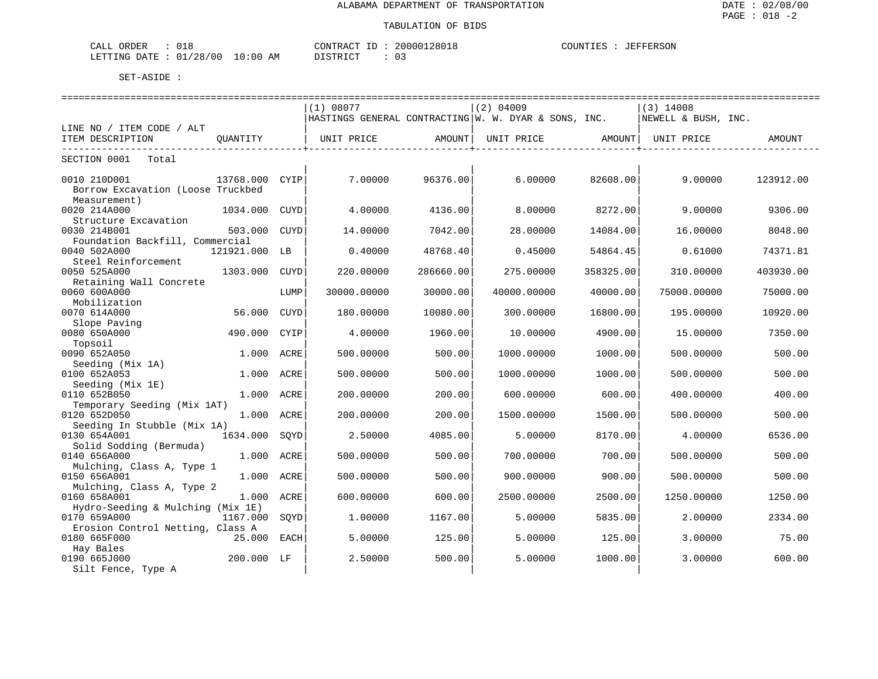| ORDER<br>CALL                                                                                                                                           |             | CONTRACT<br>ັບປະເມນະພົມ | 20000128018 | COUNTIES<br>JEFFERSON |
|---------------------------------------------------------------------------------------------------------------------------------------------------------|-------------|-------------------------|-------------|-----------------------|
| /28/00<br>. n 1<br>LETTING<br>DATE :<br>the contract of the contract of the contract of the contract of the contract of the contract of the contract of | 10:00<br>AΜ | דת לידי את ה            |             |                       |

|                                                                   |                |      |             |           | ----------------------------                           |           | =============================== |           |
|-------------------------------------------------------------------|----------------|------|-------------|-----------|--------------------------------------------------------|-----------|---------------------------------|-----------|
|                                                                   |                |      | (1) 08077   |           | $(2)$ 04009                                            |           | $(3)$ 14008                     |           |
|                                                                   |                |      |             |           | HASTINGS GENERAL CONTRACTING   W. W. DYAR & SONS, INC. |           | NEWELL & BUSH, INC.             |           |
| LINE NO / ITEM CODE / ALT                                         |                |      |             |           |                                                        |           |                                 |           |
| ITEM DESCRIPTION                                                  | OUANTITY       |      | UNIT PRICE  | AMOUNT    | UNIT PRICE                                             | AMOUNTI   | UNIT PRICE                      | AMOUNT    |
| SECTION 0001<br>Total                                             |                |      |             |           |                                                        |           |                                 |           |
| 0010 210D001<br>Borrow Excavation (Loose Truckbed<br>Measurement) | 13768.000 CYIP |      | 7.00000     | 96376.00  | 6,00000                                                | 82608.00  | 9.00000                         | 123912.00 |
| 0020 214A000<br>Structure Excavation                              | 1034.000       | CUYD | 4.00000     | 4136.00   | 8.00000                                                | 8272.00   | 9.00000                         | 9306.00   |
| 0030 214B001<br>Foundation Backfill, Commercial                   | 503.000        | CUYD | 14,00000    | 7042.00   | 28,00000                                               | 14084.00  | 16.00000                        | 8048.00   |
| 0040 502A000<br>Steel Reinforcement                               | 121921.000 LB  |      | 0.40000     | 48768.40  | 0.45000                                                | 54864.45  | 0.61000                         | 74371.81  |
| 0050 525A000                                                      | 1303.000       | CUYD | 220.00000   | 286660.00 | 275.00000                                              | 358325.00 | 310.00000                       | 403930.00 |
| Retaining Wall Concrete<br>0060 600A000                           |                | LUMP | 30000.00000 | 30000.00  | 40000.00000                                            | 40000.00  | 75000.00000                     | 75000.00  |
| Mobilization<br>0070 614A000                                      | 56.000         | CUYD | 180.00000   | 10080.00  | 300.00000                                              | 16800.00  | 195.00000                       | 10920.00  |
| Slope Paving<br>0080 650A000                                      | 490.000 CYIP   |      | 4.00000     | 1960.00   | 10.00000                                               | 4900.00   | 15.00000                        | 7350.00   |
| Topsoil<br>0090 652A050                                           | 1.000          | ACRE | 500.00000   | 500.00    | 1000.00000                                             | 1000.00   | 500.00000                       | 500.00    |
| Seeding (Mix 1A)<br>0100 652A053                                  | 1.000 ACRE     |      | 500.00000   | 500.00    | 1000.00000                                             | 1000.00   | 500.00000                       | 500.00    |
| Seeding (Mix 1E)<br>0110 652B050                                  | 1.000 ACRE     |      | 200.00000   | 200.00    | 600.00000                                              | 600.00    | 400.00000                       | 400.00    |
| Temporary Seeding (Mix 1AT)<br>0120 652D050                       | 1.000 ACRE     |      | 200.00000   | 200.00    | 1500.00000                                             | 1500.00   | 500.00000                       | 500.00    |
| Seeding In Stubble (Mix 1A)<br>0130 654A001                       | 1634.000       | SOYD | 2.50000     | 4085.00   | 5.00000                                                | 8170.00   | 4.00000                         | 6536.00   |
| Solid Sodding (Bermuda)<br>0140 656A000                           | 1,000          | ACRE | 500.00000   | 500.00    | 700.00000                                              | 700.00    | 500.00000                       | 500.00    |
| Mulching, Class A, Type 1<br>0150 656A001                         | 1.000 ACRE     |      | 500.00000   | 500.00    | 900.00000                                              | 900.00    | 500.00000                       | 500.00    |
| Mulching, Class A, Type 2<br>0160 658A001                         | 1.000 ACRE     |      | 600.00000   | 600.00    | 2500.00000                                             | 2500.00   | 1250.00000                      | 1250.00   |
| Hydro-Seeding & Mulching (Mix 1E)<br>0170 659A000                 | 1167.000       | SOYD | 1,00000     | 1167.00   | 5.00000                                                | 5835.00   | 2,00000                         | 2334.00   |
| Erosion Control Netting, Class A<br>0180 665F000                  | 25.000 EACH    |      | 5.00000     | 125.00    | 5.00000                                                | 125.00    | 3,00000                         | 75.00     |
| Hay Bales<br>0190 665J000<br>Silt Fence, Type A                   | 200.000 LF     |      | 2.50000     | 500.00    | 5.00000                                                | 1000.00   | 3.00000                         | 600.00    |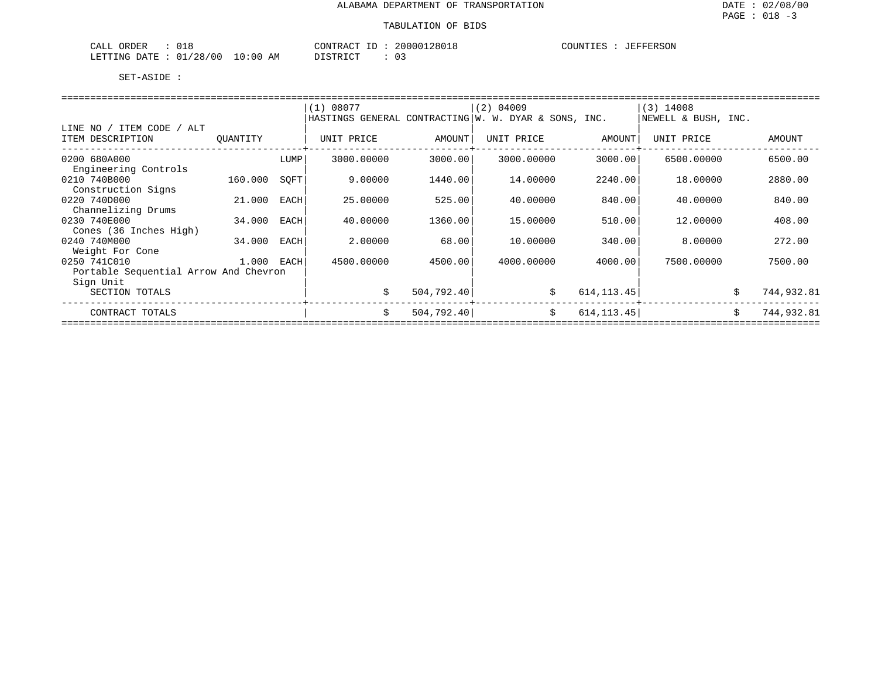| ORDER<br>CALL<br>UIX         | CONTRACT<br>TD.                            | 20000128018 | COUNTIES<br>JEFFERSON |
|------------------------------|--------------------------------------------|-------------|-----------------------|
| 01/28/00<br>LETTING<br>DATE. | 10:00<br>DISTRICT<br>AΜ<br><b>DIDINICI</b> |             |                       |

|                                       |          |      | (1) 08077                                            |             | (2) 04009  |             | $(3)$ 14008         |                  |
|---------------------------------------|----------|------|------------------------------------------------------|-------------|------------|-------------|---------------------|------------------|
|                                       |          |      | HASTINGS GENERAL CONTRACTING W. W. DYAR & SONS, INC. |             |            |             | NEWELL & BUSH, INC. |                  |
| LINE NO / ITEM CODE / ALT             |          |      |                                                      |             |            |             |                     |                  |
| ITEM DESCRIPTION                      | OUANTITY |      | UNIT PRICE                                           | AMOUNT      | UNIT PRICE | AMOUNT      | UNIT PRICE          | AMOUNT           |
| 0200 680A000                          |          | LUMP | 3000.00000                                           | 3000.00     | 3000.00000 | 3000.00     | 6500.00000          | 6500.00          |
| Engineering Controls                  |          |      |                                                      |             |            |             |                     |                  |
| 0210 740B000                          | 160.000  | SOFT | 9.00000                                              | 1440.00     | 14,00000   | 2240.00     | 18,00000            | 2880.00          |
| Construction Signs                    |          |      |                                                      |             |            |             |                     |                  |
| 0220 740D000                          | 21,000   | EACH | 25.00000                                             | 525.00      | 40.00000   | 840.00      | 40.00000            | 840.00           |
| Channelizing Drums                    |          |      |                                                      |             |            |             |                     |                  |
| 0230 740E000                          | 34.000   | EACH | 40.00000                                             | 1360.00     | 15.00000   | 510.00      | 12,00000            | 408.00           |
| Cones (36 Inches High)                |          |      |                                                      |             |            |             |                     |                  |
| 0240 740M000                          | 34.000   | EACH | 2.00000                                              | 68.00       | 10,00000   | 340.00      | 8,00000             | 272.00           |
| Weight For Cone                       |          |      |                                                      |             |            |             |                     |                  |
| 0250 741C010                          | 1.000    | EACH | 4500.00000                                           | 4500.00     | 4000.00000 | 4000.00     | 7500.00000          | 7500.00          |
| Portable Sequential Arrow And Chevron |          |      |                                                      |             |            |             |                     |                  |
| Sign Unit                             |          |      |                                                      |             |            |             |                     |                  |
| SECTION TOTALS                        |          |      | \$                                                   | 504, 792.40 | \$         | 614, 113.45 |                     | \$<br>744,932.81 |
| CONTRACT TOTALS                       |          |      | \$                                                   | 504, 792.40 | \$         | 614, 113.45 |                     | \$<br>744,932.81 |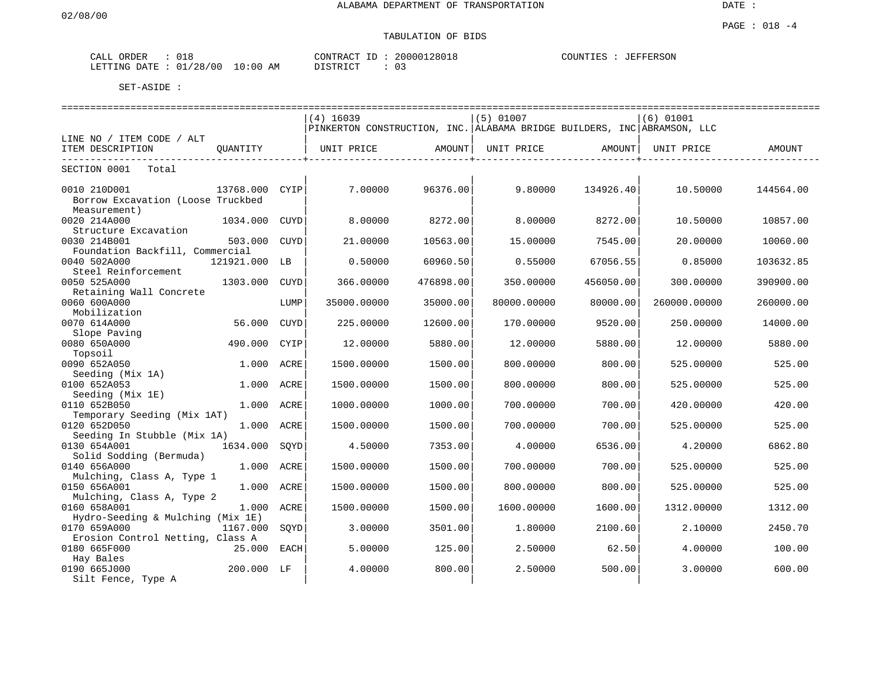# TABULATION OF BIDS

| ORDER<br>-----<br>CALL | ◡⊥◡                              | CONTRACT<br>$-1$<br>⊥ | 20000128018 | COUNTIES<br><b>JEFFERSON</b> |
|------------------------|----------------------------------|-----------------------|-------------|------------------------------|
| LETTING DATE           | 10:00<br>'28/<br>'00<br>01<br>AΜ | TAT<br>DI CIMP        | $\sim$      |                              |

|                                                                                     |             | ===============================                                         |           | =============================== |           |              | ---------------------------------- |
|-------------------------------------------------------------------------------------|-------------|-------------------------------------------------------------------------|-----------|---------------------------------|-----------|--------------|------------------------------------|
|                                                                                     |             | $(4)$ 16039                                                             |           | $(5)$ 01007                     |           | (6) 01001    |                                    |
|                                                                                     |             | PINKERTON CONSTRUCTION, INC. ALABAMA BRIDGE BUILDERS, INC ABRAMSON, LLC |           |                                 |           |              |                                    |
| LINE NO / ITEM CODE / ALT                                                           |             |                                                                         |           |                                 |           |              |                                    |
| ITEM DESCRIPTION<br>OUANTITY                                                        |             | UNIT PRICE                                                              | AMOUNT    | UNIT PRICE                      | AMOUNT    | UNIT PRICE   | AMOUNT                             |
| SECTION 0001<br>Total                                                               |             |                                                                         |           |                                 |           |              |                                    |
| 0010 210D001<br>13768.000 CYIP<br>Borrow Excavation (Loose Truckbed<br>Measurement) |             | 7.00000                                                                 | 96376.00  | 9.80000                         | 134926.40 | 10.50000     | 144564.00                          |
| 0020 214A000<br>1034.000<br>Structure Excavation                                    | CUYD        | 8.00000                                                                 | 8272.00   | 8,00000                         | 8272.00   | 10.50000     | 10857.00                           |
| 0030 214B001<br>503.000<br>Foundation Backfill, Commercial                          | <b>CUYD</b> | 21.00000                                                                | 10563.00  | 15.00000                        | 7545.00   | 20.00000     | 10060.00                           |
| 0040 502A000<br>121921.000 LB<br>Steel Reinforcement                                |             | 0.50000                                                                 | 60960.50  | 0.55000                         | 67056.55  | 0.85000      | 103632.85                          |
| 0050 525A000<br>1303.000<br>Retaining Wall Concrete                                 | CUYD        | 366.00000                                                               | 476898.00 | 350.00000                       | 456050.00 | 300,00000    | 390900.00                          |
| 0060 600A000<br>Mobilization                                                        | LUMP        | 35000.00000                                                             | 35000.00  | 80000.00000                     | 80000.00  | 260000.00000 | 260000.00                          |
| 0070 614A000<br>56.000<br>Slope Paving                                              | CUYD        | 225.00000                                                               | 12600.00  | 170.00000                       | 9520.00   | 250.00000    | 14000.00                           |
| 0080 650A000<br>490.000<br>Topsoil                                                  | CYIP        | 12,00000                                                                | 5880.00   | 12.00000                        | 5880.00   | 12.00000     | 5880.00                            |
| 0090 652A050<br>Seeding (Mix 1A)                                                    | 1.000 ACRE  | 1500.00000                                                              | 1500.00   | 800.00000                       | 800.00    | 525.00000    | 525.00                             |
| 0100 652A053<br>Seeding (Mix 1E)                                                    | 1.000 ACRE  | 1500.00000                                                              | 1500.00   | 800.00000                       | 800.00    | 525.00000    | 525.00                             |
| 0110 652B050<br>Temporary Seeding (Mix 1AT)                                         | 1.000 ACRE  | 1000.00000                                                              | 1000.00   | 700.00000                       | 700.00    | 420.00000    | 420.00                             |
| 0120 652D050<br>Seeding In Stubble (Mix 1A)                                         | 1.000 ACRE  | 1500.00000                                                              | 1500.00   | 700.00000                       | 700.00    | 525.00000    | 525.00                             |
| 0130 654A001<br>1634.000<br>Solid Sodding (Bermuda)                                 | SQYD        | 4.50000                                                                 | 7353.00   | 4.00000                         | 6536.00   | 4.20000      | 6862.80                            |
| 0140 656A000<br>Mulching, Class A, Type 1                                           | 1.000 ACRE  | 1500.00000                                                              | 1500.00   | 700.00000                       | 700.00    | 525.00000    | 525.00                             |
| 0150 656A001<br>1.000<br>Mulching, Class A, Type 2                                  | ACRE        | 1500.00000                                                              | 1500.00   | 800.00000                       | 800.00    | 525.00000    | 525.00                             |
| 0160 658A001<br>Hydro-Seeding & Mulching (Mix 1E)                                   | 1.000 ACRE  | 1500.00000                                                              | 1500.00   | 1600.00000                      | 1600.00   | 1312.00000   | 1312.00                            |
| 0170 659A000<br>1167.000<br>Erosion Control Netting, Class A                        | SOYD        | 3.00000                                                                 | 3501.00   | 1.80000                         | 2100.60   | 2.10000      | 2450.70                            |
| 0180 665F000<br>Hay Bales                                                           | 25.000 EACH | 5.00000                                                                 | 125.00    | 2.50000                         | 62.50     | 4.00000      | 100.00                             |
| 0190 665J000<br>200.000 LF<br>Silt Fence, Type A                                    |             | 4.00000                                                                 | 800.00    | 2.50000                         | 500.00    | 3.00000      | 600.00                             |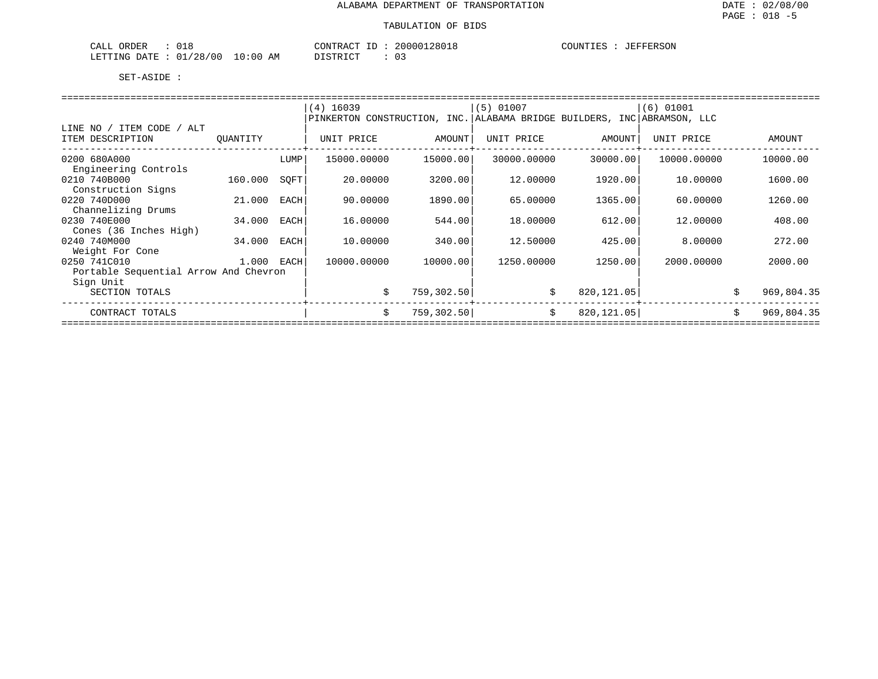| 018<br>CALL<br>ORDER                         |             | 20000128018<br>CONTRACT<br>H. | JEFFERSON<br>COUNTIES |
|----------------------------------------------|-------------|-------------------------------|-----------------------|
| /28/00<br>01 <sub>1</sub><br>LETTING<br>DATE | 10:00<br>AM | DISTRICT                      |                       |

|                                       |          |             | $(4)$ 16039                                                             |            | $(5)$ 01007 |             | $(6)$ 01001 |            |
|---------------------------------------|----------|-------------|-------------------------------------------------------------------------|------------|-------------|-------------|-------------|------------|
|                                       |          |             | PINKERTON CONSTRUCTION, INC. ALABAMA BRIDGE BUILDERS, INC ABRAMSON, LLC |            |             |             |             |            |
| LINE NO / ITEM CODE / ALT             |          |             |                                                                         |            |             |             |             |            |
| ITEM DESCRIPTION                      | OUANTITY |             | UNIT PRICE                                                              | AMOUNT     | UNIT PRICE  | AMOUNT      | UNIT PRICE  | AMOUNT     |
| 0200 680A000                          |          | LUMP        | 15000.00000                                                             | 15000.00   | 30000.00000 | 30000.00    | 10000.00000 | 10000.00   |
| Engineering Controls                  |          |             |                                                                         |            |             |             |             |            |
| 0210 740B000                          | 160.000  | SOFT        | 20.00000                                                                | 3200.00    | 12.00000    | 1920.00     | 10,00000    | 1600.00    |
| Construction Signs                    |          |             |                                                                         |            |             |             |             |            |
| 0220 740D000                          | 21.000   | <b>EACH</b> | 90.00000                                                                | 1890.00    | 65,00000    | 1365.00     | 60,00000    | 1260.00    |
| Channelizing Drums                    |          |             |                                                                         |            |             |             |             |            |
| 0230 740E000                          | 34.000   | EACH        | 16.00000                                                                | 544.00     | 18,00000    | 612.00      | 12,00000    | 408.00     |
| Cones (36 Inches High)                |          |             |                                                                         |            |             |             |             |            |
| 0240 740M000                          | 34.000   | EACH        | 10.00000                                                                | 340.00     | 12.50000    | 425.00      | 8,00000     | 272.00     |
| Weight For Cone                       |          |             |                                                                         |            |             |             |             |            |
| 0250 741C010                          | 1.000    | EACH        | 10000.00000                                                             | 10000.00   | 1250.00000  | 1250.00     | 2000.00000  | 2000.00    |
| Portable Sequential Arrow And Chevron |          |             |                                                                         |            |             |             |             |            |
| Sign Unit                             |          |             |                                                                         |            |             |             |             |            |
| SECTION TOTALS                        |          |             | \$                                                                      | 759,302.50 | \$          | 820, 121.05 |             | 969,804.35 |
| CONTRACT TOTALS                       |          |             |                                                                         | 759,302.50 | \$          | 820,121.05  |             | 969,804.35 |
|                                       |          |             |                                                                         |            |             |             |             |            |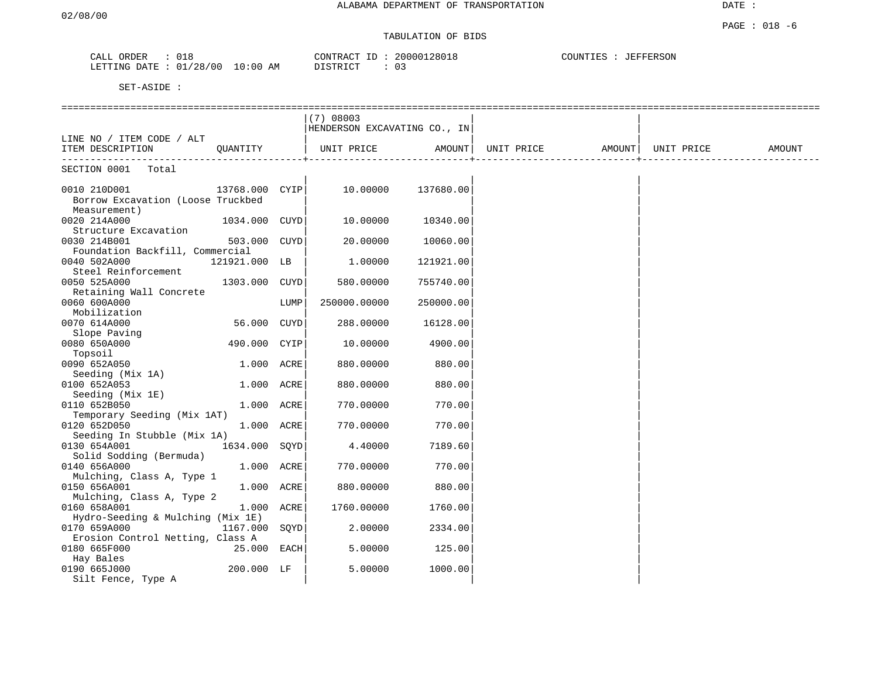DATE :

# TABULATION OF BIDS

| $\sim$ $\sim$ $\sim$<br>JRDER<br>ப | 01C<br>∪⊥c                             | ouuu<br>$ -$<br>C <sub>OM</sub><br>$\pi \cap m$<br>' 286<br>R AI | $1.777$ $0.037$<br><b>JEFFERSON</b><br>$\sim$ $\sim$ $\sim$ $\sim$ $\sim$ $\sim$<br>TNP<br>11 P.C<br>. |
|------------------------------------|----------------------------------------|------------------------------------------------------------------|--------------------------------------------------------------------------------------------------------|
| LETTING<br>ገ∆ ጥኩ                   | '00<br>، 28<br>∩ 1<br>AΜ<br>: or<br>◡⊥ | יחים דמיחים<br>$ -$<br>. U<br>---                                |                                                                                                        |

|                                                      |                |      | (7) 08003                    |           |            |        |            |        |
|------------------------------------------------------|----------------|------|------------------------------|-----------|------------|--------|------------|--------|
|                                                      |                |      | HENDERSON EXCAVATING CO., IN |           |            |        |            |        |
| LINE NO / ITEM CODE / ALT                            |                |      |                              |           |            |        |            |        |
| ITEM DESCRIPTION                                     | OUANTITY       |      | UNIT PRICE                   | AMOUNT    | UNIT PRICE | AMOUNT | UNIT PRICE | AMOUNT |
| SECTION 0001 Total                                   |                |      |                              |           |            |        |            |        |
|                                                      |                |      |                              |           |            |        |            |        |
| 0010 210D001<br>Borrow Excavation (Loose Truckbed    | 13768.000 CYIP |      | 10.00000                     | 137680.00 |            |        |            |        |
| Measurement)<br>0020 214A000<br>Structure Excavation | 1034.000 CUYD  |      | 10.00000                     | 10340.00  |            |        |            |        |
| 0030 214B001<br>Foundation Backfill, Commercial      | 503.000 CUYD   |      | 20.00000                     | 10060.00  |            |        |            |        |
| 0040 502A000<br>Steel Reinforcement                  | 121921.000 LB  |      | 1,00000                      | 121921.00 |            |        |            |        |
| 0050 525A000<br>Retaining Wall Concrete              | 1303.000 CUYD  |      | 580.00000                    | 755740.00 |            |        |            |        |
| 0060 600A000<br>Mobilization                         |                | LUMP | 250000.00000                 | 250000.00 |            |        |            |        |
| 0070 614A000<br>Slope Paving                         | 56.000 CUYD    |      | 288.00000                    | 16128.00  |            |        |            |        |
| 0080 650A000<br>Topsoil                              | 490.000 CYIP   |      | 10.00000                     | 4900.00   |            |        |            |        |
| 0090 652A050<br>Seeding (Mix 1A)                     | 1.000 ACRE     |      | 880.00000                    | 880.00    |            |        |            |        |
| 0100 652A053<br>Seeding (Mix 1E)                     | 1.000 ACRE     |      | 880.00000                    | 880.00    |            |        |            |        |
| 0110 652B050<br>Temporary Seeding (Mix 1AT)          | 1.000 ACRE     |      | 770.00000                    | 770.00    |            |        |            |        |
| 0120 652D050<br>Seeding In Stubble (Mix 1A)          | 1.000 ACRE     |      | 770.00000                    | 770.00    |            |        |            |        |
| 0130 654A001<br>Solid Sodding (Bermuda)              | 1634.000 SOYD  |      | 4.40000                      | 7189.60   |            |        |            |        |
| 0140 656A000<br>Mulching, Class A, Type 1            | 1.000 ACRE     |      | 770.00000                    | 770.00    |            |        |            |        |
| 0150 656A001<br>Mulching, Class A, Type 2            | 1.000 ACRE     |      | 880.00000                    | 880.00    |            |        |            |        |
| 0160 658A001<br>Hydro-Seeding & Mulching (Mix 1E)    | 1.000 ACRE     |      | 1760.00000                   | 1760.00   |            |        |            |        |
| 0170 659A000<br>Erosion Control Netting, Class A     | 1167.000       | SOYD | 2,00000                      | 2334.00   |            |        |            |        |
| 0180 665F000<br>Hay Bales                            | $25.000$ EACH  |      | 5.00000                      | 125.00    |            |        |            |        |
| 0190 665J000<br>Silt Fence, Type A                   | 200.000 LF     |      | 5.00000                      | 1000.00   |            |        |            |        |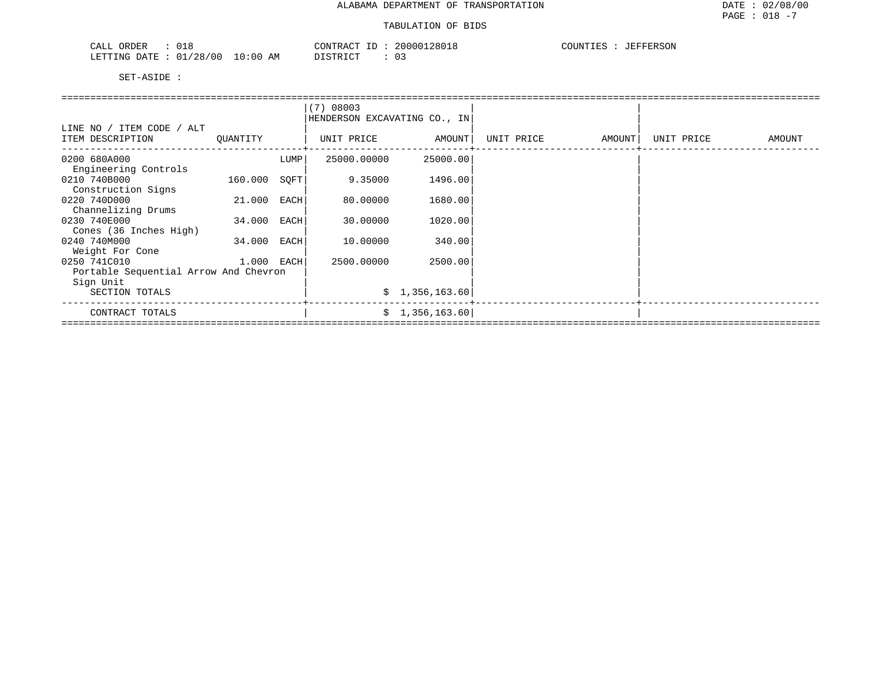| 018<br>ORDER<br>CALL                            |          | CONTRACT ID | 20000128018 | COUNTIES<br><b>JEFFERSON</b> |
|-------------------------------------------------|----------|-------------|-------------|------------------------------|
| $: 01/28/00 10:00$ AM<br>LETTING DATE :<br>____ | DISTRICT |             |             |                              |

|                                       |            |      | (7) 08003                    |                |            |        |            |        |
|---------------------------------------|------------|------|------------------------------|----------------|------------|--------|------------|--------|
|                                       |            |      | HENDERSON EXCAVATING CO., IN |                |            |        |            |        |
| LINE NO / ITEM CODE / ALT             |            |      |                              |                |            |        |            |        |
| ITEM DESCRIPTION                      | QUANTITY   |      | UNIT PRICE                   | AMOUNT         | UNIT PRICE | AMOUNT | UNIT PRICE | AMOUNT |
| 0200 680A000                          |            | LUMP | 25000.00000                  | 25000.00       |            |        |            |        |
| Engineering Controls                  |            |      |                              |                |            |        |            |        |
| 0210 740B000                          | 160.000    | SQFT | 9.35000                      | 1496.00        |            |        |            |        |
| Construction Signs                    |            |      |                              |                |            |        |            |        |
| 0220 740D000                          | 21.000     | EACH | 80.00000                     | 1680.00        |            |        |            |        |
| Channelizing Drums                    |            |      |                              |                |            |        |            |        |
| 0230 740E000                          | 34.000     | EACH | 30.00000                     | 1020.00        |            |        |            |        |
| Cones (36 Inches High)                |            |      |                              |                |            |        |            |        |
| 0240 740M000                          | 34.000     | EACH | 10.00000                     | 340.00         |            |        |            |        |
| Weight For Cone                       |            |      |                              |                |            |        |            |        |
| 0250 741C010                          | 1.000 EACH |      | 2500.00000                   | 2500.00        |            |        |            |        |
| Portable Sequential Arrow And Chevron |            |      |                              |                |            |        |            |        |
| Sign Unit                             |            |      |                              |                |            |        |            |        |
| SECTION TOTALS                        |            |      |                              | \$1,356,163.60 |            |        |            |        |
| CONTRACT TOTALS                       |            |      |                              | \$1,356,163.60 |            |        |            |        |
|                                       |            |      |                              |                |            |        |            |        |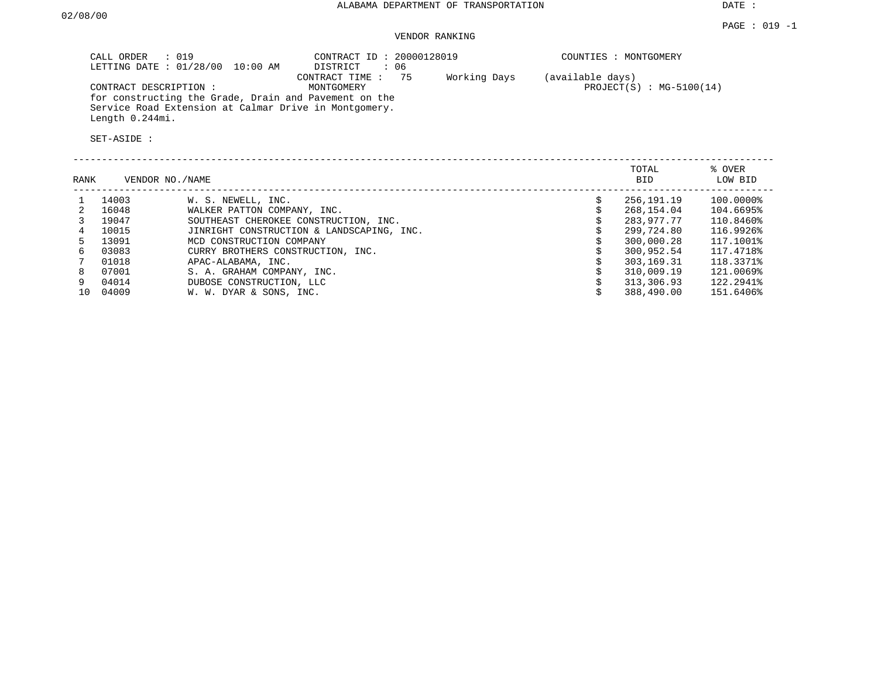# VENDOR RANKING

| CALL ORDER : 019<br>LETTING DATE : 01/28/00 10:00 AM                                                                              | CONTRACT ID: 20000128019<br>DISTRICT<br>፡ 06    | COUNTIES : MONTGOMERY                          |
|-----------------------------------------------------------------------------------------------------------------------------------|-------------------------------------------------|------------------------------------------------|
| CONTRACT DESCRIPTION:                                                                                                             | Working Days<br>CONTRACT TIME: 75<br>MONTGOMERY | (available days)<br>$PROJECT(S) : MG-5100(14)$ |
| for constructing the Grade, Drain and Pavement on the<br>Service Road Extension at Calmar Drive in Montgomery.<br>Length 0.244mi. |                                                 |                                                |

| RANK |       | VENDOR NO./NAME                           | TOTAL<br>BID. | % OVER<br>LOW BID |
|------|-------|-------------------------------------------|---------------|-------------------|
|      | 14003 | W. S. NEWELL, INC.                        | 256,191.19    | 100.0000%         |
| 2    | 16048 | WALKER PATTON COMPANY, INC.               | 268,154.04    | 104.6695%         |
|      | 19047 | SOUTHEAST CHEROKEE CONSTRUCTION, INC.     | 283,977.77    | 110.8460%         |
|      | 10015 | JINRIGHT CONSTRUCTION & LANDSCAPING, INC. | 299,724.80    | 116.9926%         |
| 5.   | 13091 | MCD CONSTRUCTION COMPANY                  | 300,000.28    | 117.1001%         |
| б.   | 03083 | CURRY BROTHERS CONSTRUCTION, INC.         | 300,952.54    | 117.4718%         |
|      | 01018 | APAC-ALABAMA, INC.                        | 303,169.31    | 118.3371%         |
| 8    | 07001 | S. A. GRAHAM COMPANY, INC.                | 310,009.19    | 121.0069%         |
| 9    | 04014 | DUBOSE CONSTRUCTION, LLC                  | 313,306.93    | 122.2941%         |
| 10   | 04009 | W. W. DYAR & SONS, INC.                   | 388,490.00    | 151.6406%         |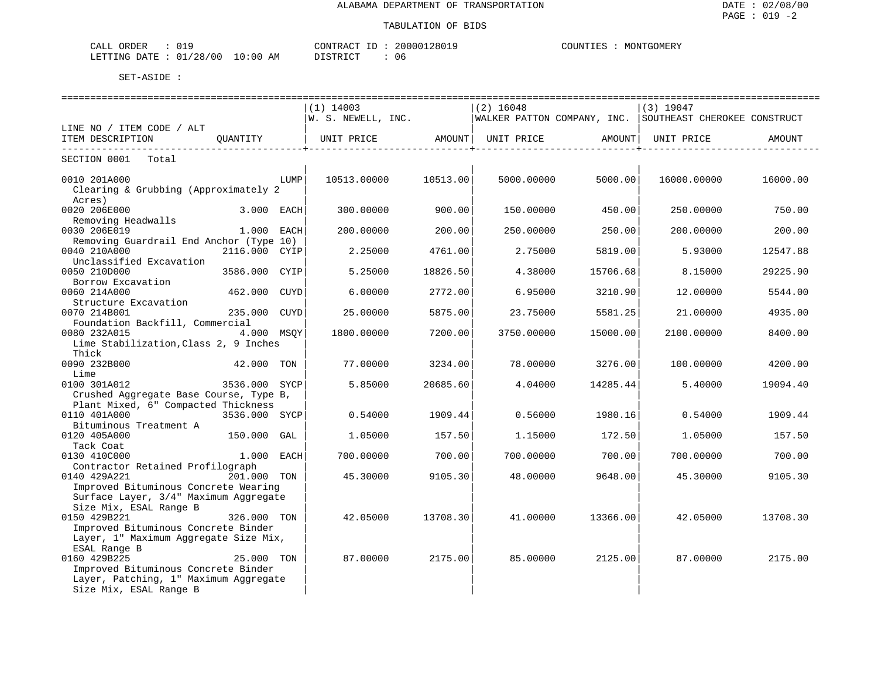| ORDER<br>77T<br>للسلطات |               |                   | CONTRACT<br>$- -$ | 200001<br>280. | $\cdot$ , $\text{I}\text{I}\text{M}^{\text{I}\text{I}\text{I}}$ | GOMERY<br>MON' |
|-------------------------|---------------|-------------------|-------------------|----------------|-----------------------------------------------------------------|----------------|
| DATE.<br>LETTING<br>.   | /28/00<br>ັບ⊥ | LO:00<br>AΜ<br>__ | די הדי אידי את    | 1 I F<br>.     |                                                                 |                |

| $(1)$ 14003<br>$(2)$ 16048<br>$(3)$ 19047<br>$ W. S. NEWELL, INC.$ WALKER PATTON COMPANY, INC. SOUTHEAST CHEROKEE CONSTRUCT<br>LINE NO / ITEM CODE / ALT<br>ITEM DESCRIPTION QUANTITY<br>UNIT PRICE AMOUNT   UNIT PRICE AMOUNT  <br>UNIT PRICE<br>AMOUNT<br>-----------------+<br>---------------+-<br>SECTION 0001 Total<br>10513.00000<br>10513.00<br>5000.00<br>0010 201A000<br><b>EXECUTE:</b> THE EXECUTIVE STATE SECTION PROPERTY AND RESPONDENTLY PROPERTY.<br>5000.00000<br>16000.00000<br>16000.00<br>Clearing & Grubbing (Approximately 2<br>Acres)<br>0020 206E000<br>3.000 EACH<br>300.00000<br>900.00<br>150.00000<br>450.00<br>250.00000<br>750.00<br>Removing Headwalls<br>0030 206E019<br>$1.000$ EACH<br>200.00000<br>200.00<br>250.00000<br>250.00<br>200.00000<br>200.00<br>Removing Guardrail End Anchor (Type 10) |
|----------------------------------------------------------------------------------------------------------------------------------------------------------------------------------------------------------------------------------------------------------------------------------------------------------------------------------------------------------------------------------------------------------------------------------------------------------------------------------------------------------------------------------------------------------------------------------------------------------------------------------------------------------------------------------------------------------------------------------------------------------------------------------------------------------------------------------------|
|                                                                                                                                                                                                                                                                                                                                                                                                                                                                                                                                                                                                                                                                                                                                                                                                                                        |
|                                                                                                                                                                                                                                                                                                                                                                                                                                                                                                                                                                                                                                                                                                                                                                                                                                        |
|                                                                                                                                                                                                                                                                                                                                                                                                                                                                                                                                                                                                                                                                                                                                                                                                                                        |
|                                                                                                                                                                                                                                                                                                                                                                                                                                                                                                                                                                                                                                                                                                                                                                                                                                        |
|                                                                                                                                                                                                                                                                                                                                                                                                                                                                                                                                                                                                                                                                                                                                                                                                                                        |
|                                                                                                                                                                                                                                                                                                                                                                                                                                                                                                                                                                                                                                                                                                                                                                                                                                        |
|                                                                                                                                                                                                                                                                                                                                                                                                                                                                                                                                                                                                                                                                                                                                                                                                                                        |
|                                                                                                                                                                                                                                                                                                                                                                                                                                                                                                                                                                                                                                                                                                                                                                                                                                        |
|                                                                                                                                                                                                                                                                                                                                                                                                                                                                                                                                                                                                                                                                                                                                                                                                                                        |
|                                                                                                                                                                                                                                                                                                                                                                                                                                                                                                                                                                                                                                                                                                                                                                                                                                        |
|                                                                                                                                                                                                                                                                                                                                                                                                                                                                                                                                                                                                                                                                                                                                                                                                                                        |
| 0040 210A000<br>2116.000 CYIP<br>2.25000<br>4761.00<br>2.75000<br>5819.00<br>5.93000<br>12547.88                                                                                                                                                                                                                                                                                                                                                                                                                                                                                                                                                                                                                                                                                                                                       |
| Unclassified Excavation                                                                                                                                                                                                                                                                                                                                                                                                                                                                                                                                                                                                                                                                                                                                                                                                                |
| 0050 210D000<br>3586.000 CYIP<br>5.25000<br>18826.50<br>4.38000<br>15706.68<br>8.15000<br>29225.90                                                                                                                                                                                                                                                                                                                                                                                                                                                                                                                                                                                                                                                                                                                                     |
| Borrow Excavation                                                                                                                                                                                                                                                                                                                                                                                                                                                                                                                                                                                                                                                                                                                                                                                                                      |
| 0060 214A000<br>462.000 CUYD<br>6.00000<br>2772.00<br>6.95000<br>3210.90<br>5544.00<br>12,00000                                                                                                                                                                                                                                                                                                                                                                                                                                                                                                                                                                                                                                                                                                                                        |
| Structure Excavation<br>235.000 CUYD<br>0070 214B001<br>25.00000<br>23.75000<br>5581.25<br>21,00000<br>4935.00<br>5875.00                                                                                                                                                                                                                                                                                                                                                                                                                                                                                                                                                                                                                                                                                                              |
| Foundation Backfill, Commercial                                                                                                                                                                                                                                                                                                                                                                                                                                                                                                                                                                                                                                                                                                                                                                                                        |
| 4.000 MSOY<br>0080 232A015<br>1800.00000<br>7200.00<br>3750.00000<br>15000.00<br>2100.00000<br>8400.00                                                                                                                                                                                                                                                                                                                                                                                                                                                                                                                                                                                                                                                                                                                                 |
| Lime Stabilization, Class 2, 9 Inches                                                                                                                                                                                                                                                                                                                                                                                                                                                                                                                                                                                                                                                                                                                                                                                                  |
| Thick                                                                                                                                                                                                                                                                                                                                                                                                                                                                                                                                                                                                                                                                                                                                                                                                                                  |
| 0090 232B000<br>42.000 TON<br>77.00000<br>3234.00<br>78.00000<br>3276.00<br>100.00000<br>4200.00                                                                                                                                                                                                                                                                                                                                                                                                                                                                                                                                                                                                                                                                                                                                       |
| Lime                                                                                                                                                                                                                                                                                                                                                                                                                                                                                                                                                                                                                                                                                                                                                                                                                                   |
| 0100 301A012<br>3536.000 SYCP<br>5.85000<br>20685.60<br>4.04000<br>14285.44<br>5.40000<br>19094.40                                                                                                                                                                                                                                                                                                                                                                                                                                                                                                                                                                                                                                                                                                                                     |
| Crushed Aggregate Base Course, Type B,                                                                                                                                                                                                                                                                                                                                                                                                                                                                                                                                                                                                                                                                                                                                                                                                 |
| Plant Mixed, 6" Compacted Thickness                                                                                                                                                                                                                                                                                                                                                                                                                                                                                                                                                                                                                                                                                                                                                                                                    |
| 3536.000 SYCP<br>0110 401A000<br>0.54000<br>1909.44<br>0.56000<br>1980.16<br>0.54000<br>1909.44                                                                                                                                                                                                                                                                                                                                                                                                                                                                                                                                                                                                                                                                                                                                        |
| Bituminous Treatment A                                                                                                                                                                                                                                                                                                                                                                                                                                                                                                                                                                                                                                                                                                                                                                                                                 |
| 0120 405A000<br>150.000 GAL<br>1.05000<br>157.50<br>1.15000<br>172.50<br>1.05000<br>157.50                                                                                                                                                                                                                                                                                                                                                                                                                                                                                                                                                                                                                                                                                                                                             |
| Tack Coat                                                                                                                                                                                                                                                                                                                                                                                                                                                                                                                                                                                                                                                                                                                                                                                                                              |
| $1.000$ EACH<br>700,00000<br>700.00<br>700.00000<br>700.00<br>700.00<br>0130 410C000<br>700.00000                                                                                                                                                                                                                                                                                                                                                                                                                                                                                                                                                                                                                                                                                                                                      |
| Contractor Retained Profilograph                                                                                                                                                                                                                                                                                                                                                                                                                                                                                                                                                                                                                                                                                                                                                                                                       |
| 0140 429A221<br>201.000 TON<br>48.00000<br>45.30000<br>9105.30<br>9648.00<br>45.30000<br>9105.30                                                                                                                                                                                                                                                                                                                                                                                                                                                                                                                                                                                                                                                                                                                                       |
| Improved Bituminous Concrete Wearing                                                                                                                                                                                                                                                                                                                                                                                                                                                                                                                                                                                                                                                                                                                                                                                                   |
| Surface Layer, 3/4" Maximum Aggregate<br>Size Mix, ESAL Range B                                                                                                                                                                                                                                                                                                                                                                                                                                                                                                                                                                                                                                                                                                                                                                        |
| 0150 429B221<br>42.05000<br>13708.30<br>41.00000<br>13366.00<br>13708.30<br>326.000 TON<br>42.05000                                                                                                                                                                                                                                                                                                                                                                                                                                                                                                                                                                                                                                                                                                                                    |
| Improved Bituminous Concrete Binder                                                                                                                                                                                                                                                                                                                                                                                                                                                                                                                                                                                                                                                                                                                                                                                                    |
| Layer, 1" Maximum Aggregate Size Mix,                                                                                                                                                                                                                                                                                                                                                                                                                                                                                                                                                                                                                                                                                                                                                                                                  |
| ESAL Range B                                                                                                                                                                                                                                                                                                                                                                                                                                                                                                                                                                                                                                                                                                                                                                                                                           |
| 0160 429B225<br>87.00000<br>2175.00<br>85.00000<br>87.00000<br>2175.00<br>25.000 TON<br>2125.00                                                                                                                                                                                                                                                                                                                                                                                                                                                                                                                                                                                                                                                                                                                                        |
| Improved Bituminous Concrete Binder                                                                                                                                                                                                                                                                                                                                                                                                                                                                                                                                                                                                                                                                                                                                                                                                    |
| Layer, Patching, 1" Maximum Aggregate                                                                                                                                                                                                                                                                                                                                                                                                                                                                                                                                                                                                                                                                                                                                                                                                  |
| Size Mix, ESAL Range B                                                                                                                                                                                                                                                                                                                                                                                                                                                                                                                                                                                                                                                                                                                                                                                                                 |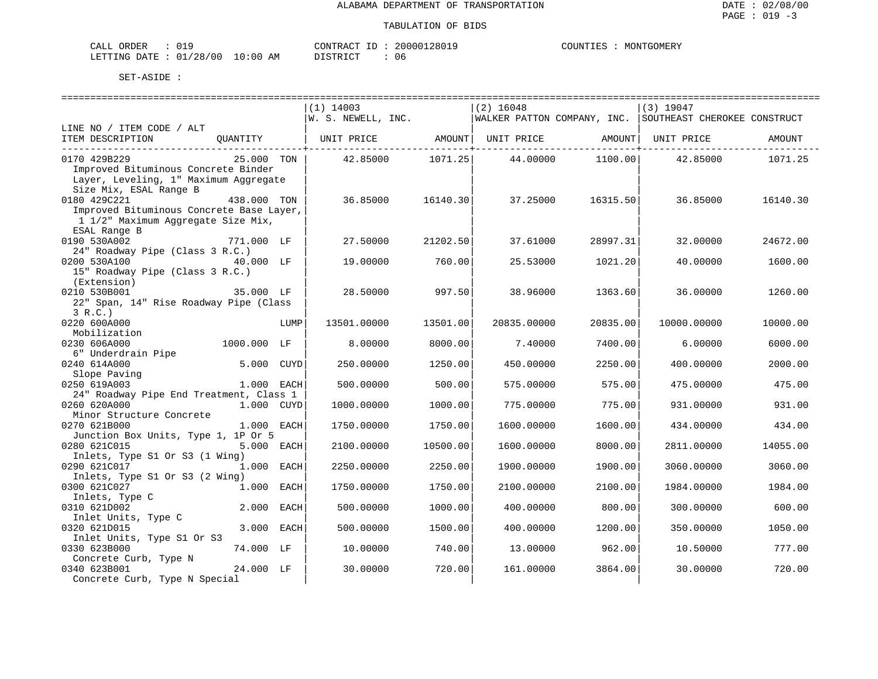| ORDER<br>77T<br>للسلطات |               |                   | CONTRACT<br>$- -$ | 200001<br>280. | $\cdot$ , $\text{I}\text{I}\text{M}^{\text{I}\text{I}\text{I}}$ | GOMERY<br>MON' |
|-------------------------|---------------|-------------------|-------------------|----------------|-----------------------------------------------------------------|----------------|
| DATE.<br>LETTING<br>.   | /28/00<br>ັບ⊥ | LO:00<br>AΜ<br>__ | די הדי אידי את    | 1 I F<br>.     |                                                                 |                |

|                                          |             |      | $(1)$ 14003        |          | $(2)$ 16048 |                  | $(3)$ 19047                                                |          |
|------------------------------------------|-------------|------|--------------------|----------|-------------|------------------|------------------------------------------------------------|----------|
|                                          |             |      | W. S. NEWELL, INC. |          |             |                  | WALKER PATTON COMPANY, INC.   SOUTHEAST CHEROKEE CONSTRUCT |          |
| LINE NO / ITEM CODE / ALT                |             |      |                    |          |             |                  |                                                            |          |
|                                          |             |      |                    |          |             |                  |                                                            | AMOUNT   |
|                                          |             |      |                    |          |             |                  |                                                            |          |
| 0170 429B229                             | 25.000 TON  |      | 42.85000 1071.25   |          |             | 44.00000 1100.00 | 42.85000                                                   | 1071.25  |
| Improved Bituminous Concrete Binder      |             |      |                    |          |             |                  |                                                            |          |
| Layer, Leveling, 1" Maximum Aggregate    |             |      |                    |          |             |                  |                                                            |          |
| Size Mix, ESAL Range B                   |             |      |                    |          |             |                  |                                                            |          |
| 0180 429C221                             | 438.000 TON |      | 36.85000           | 16140.30 | 37.25000    | 16315.50         | 36.85000                                                   | 16140.30 |
| Improved Bituminous Concrete Base Layer, |             |      |                    |          |             |                  |                                                            |          |
| 1 1/2" Maximum Aggregate Size Mix,       |             |      |                    |          |             |                  |                                                            |          |
| ESAL Range B                             |             |      |                    |          |             |                  |                                                            |          |
| 0190 530A002                             | 771.000 LF  |      | 27.50000           | 21202.50 | 37.61000    | 28997.31         | 32,00000                                                   | 24672.00 |
| 24" Roadway Pipe (Class 3 R.C.)          |             |      |                    |          |             |                  |                                                            |          |
| 0200 530A100                             |             |      | 19.00000           | 760.00   | 25.53000    | 1021.20          | 40.00000                                                   | 1600.00  |
| 15" Roadway Pipe (Class 3 R.C.)          |             |      |                    |          |             |                  |                                                            |          |
| (Extension)                              |             |      |                    |          |             |                  |                                                            |          |
|                                          | 35.000 LF   |      |                    |          |             |                  |                                                            |          |
| 0210 530B001                             |             |      | 28.50000           | 997.50   | 38.96000    | 1363.60          | 36.00000                                                   | 1260.00  |
| 22" Span, 14" Rise Roadway Pipe (Class   |             |      |                    |          |             |                  |                                                            |          |
| 3 R.C.                                   |             |      |                    |          |             |                  |                                                            |          |
| 0220 600A000                             |             | LUMP | 13501.00000        | 13501.00 | 20835.00000 | 20835.00         | 10000.00000                                                | 10000.00 |
| Mobilization                             |             |      |                    |          |             |                  |                                                            |          |
| 0230 606A000                             | 1000.000 LF |      | 8.00000            | 8000.00  | 7.40000     | 7400.00          | 6.00000                                                    | 6000.00  |
| 6" Underdrain Pipe                       |             |      |                    |          |             |                  |                                                            |          |
| 0240 614A000                             | 5.000 CUYD  |      | 250.00000          | 1250.00  | 450.00000   | 2250.00          | 400.00000                                                  | 2000.00  |
| Slope Paving                             |             |      |                    |          |             |                  |                                                            |          |
| 0250 619A003                             | 1.000 EACH  |      | 500.00000          | 500.00   | 575.00000   | 575.00           | 475.00000                                                  | 475.00   |
| 24" Roadway Pipe End Treatment, Class 1  |             |      |                    |          |             |                  |                                                            |          |
| 0260 620A000                             | 1.000 CUYD  |      | 1000.00000         | 1000.00  | 775.00000   | 775.00           | 931.00000                                                  | 931.00   |
| Minor Structure Concrete                 |             |      |                    |          |             |                  |                                                            |          |
| 0270 621B000                             | 1.000 EACH  |      | 1750.00000         | 1750.00  | 1600.00000  | 1600.00          | 434.00000                                                  | 434.00   |
| Junction Box Units, Type 1, 1P Or 5      |             |      |                    |          |             |                  |                                                            |          |
| 0280 621C015                             | 5.000 EACH  |      | 2100.00000         | 10500.00 | 1600.00000  | 8000.00          | 2811.00000                                                 | 14055.00 |
| Inlets, Type S1 Or S3 (1 Wing)           |             |      |                    |          |             |                  |                                                            |          |
| 0290 621C017                             | 1.000 EACH  |      | 2250.00000         | 2250.00  | 1900.00000  | 1900.00          | 3060.00000                                                 | 3060.00  |
| Inlets, Type S1 Or S3 (2 Wing)           |             |      |                    |          |             |                  |                                                            |          |
| 0300 621C027                             | 1.000 EACH  |      | 1750.00000         | 1750.00  | 2100.00000  | 2100.00          | 1984.00000                                                 | 1984.00  |
| Inlets, Type C                           |             |      |                    |          |             |                  |                                                            |          |
| 0310 621D002                             | 2.000 EACH  |      | 500.00000          | 1000.00  | 400.00000   | 800.00           | 300.00000                                                  | 600.00   |
| Inlet Units, Type C                      |             |      |                    |          |             |                  |                                                            |          |
| 0320 621D015                             | 3.000 EACH  |      | 500.00000          | 1500.00  | 400.00000   | 1200.00          | 350.00000                                                  | 1050.00  |
| Inlet Units, Type S1 Or S3               |             |      |                    |          |             |                  |                                                            |          |
| 0330 623B000                             | 74.000 LF   |      | 10.00000           | 740.00   | 13,00000    | 962.00           | 10.50000                                                   | 777.00   |
|                                          |             |      |                    |          |             |                  |                                                            |          |
| Concrete Curb, Type N<br>0340 623B001    | 24.000 LF   |      | 30.00000           | 720.00   | 161.00000   |                  |                                                            | 720.00   |
|                                          |             |      |                    |          |             | 3864.00          | 30.00000                                                   |          |
| Concrete Curb, Type N Special            |             |      |                    |          |             |                  |                                                            |          |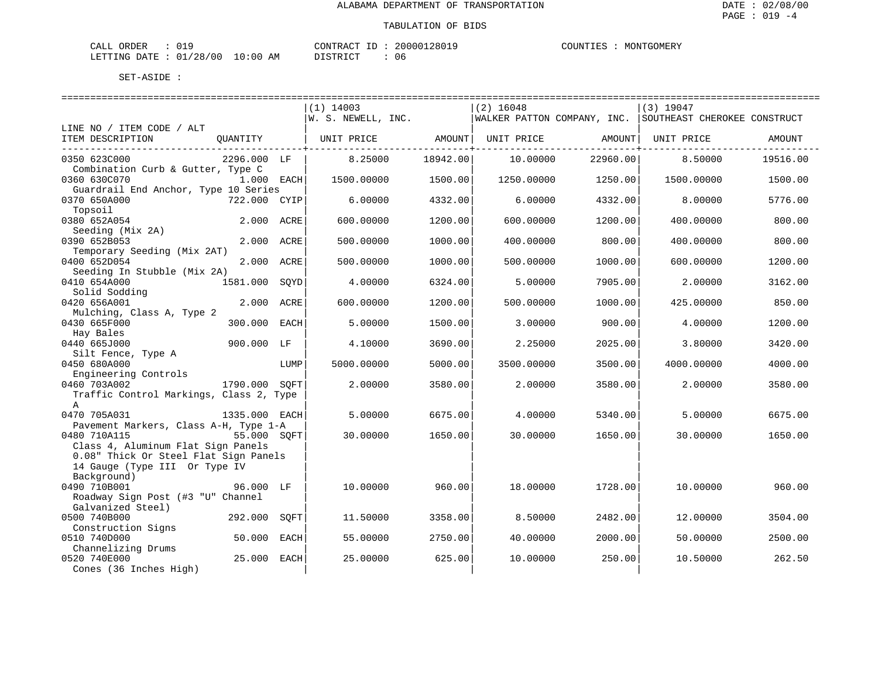| $\sim$ $\sim$<br>ORDER<br>$\sim$ $ -$<br>$\cdot$ $\wedge$ .<br><b>117</b><br>ັ∨ ⊥. |                                                            | $- -$<br>. ≀N'I"<br>. TRAC" | 200001             | $\gamma$ דוחדורי $\Gamma$ . | GOMER!<br>MON |
|------------------------------------------------------------------------------------|------------------------------------------------------------|-----------------------------|--------------------|-----------------------------|---------------|
| ם ר'<br>/ O C<br>LETTING<br>$+$ DATT<br>ັບ<br>$\sim$                               | $\sim$<br>$\cdot$ $\cap$ $\cap$<br>' : () (,<br>ΑM<br>- 17 | DIOTO IOT<br>⋯              | 1 I F<br><b>UU</b> |                             |               |

|                                                                                                                             |               |      | $(1)$ 14003<br>$W.$ S. NEWELL, INC. |          | $(2)$ 16048 |                   | $(3)$ 19047<br> WALKER PATTON COMPANY, INC.  SOUTHEAST CHEROKEE CONSTRUCT |          |
|-----------------------------------------------------------------------------------------------------------------------------|---------------|------|-------------------------------------|----------|-------------|-------------------|---------------------------------------------------------------------------|----------|
| LINE NO / ITEM CODE / ALT                                                                                                   |               |      |                                     |          |             |                   |                                                                           |          |
| ITEM DESCRIPTION                                                                                                            | QUANTITY      |      | UNIT PRICE                          | AMOUNT   |             | UNIT PRICE AMOUNT | UNIT PRICE                                                                | AMOUNT   |
| 0350 623C000<br>Combination Curb & Gutter, Type C                                                                           | 2296.000 LF   |      | 8.25000                             | 18942.00 | 10.00000    | 22960.00          | 8.50000                                                                   | 19516.00 |
| 0360 630C070                                                                                                                | 1.000 EACH    |      | 1500.00000                          | 1500.00  | 1250.00000  | 1250.00           | 1500.00000                                                                | 1500.00  |
| Guardrail End Anchor, Type 10 Series<br>0370 650A000                                                                        | 722.000 CYIP  |      | 6.00000                             | 4332.00  | 6,00000     | 4332.00           | 8,00000                                                                   | 5776.00  |
| Topsoil<br>0380 652A054                                                                                                     | 2.000 ACRE    |      | 600.00000                           | 1200.00  | 600.00000   | 1200.00           | 400.00000                                                                 | 800.00   |
| Seeding (Mix 2A)<br>0390 652B053                                                                                            | 2.000         | ACRE | 500.00000                           | 1000.00  | 400.00000   | 800.00            | 400.00000                                                                 | 800.00   |
| Temporary Seeding (Mix 2AT)<br>0400 652D054                                                                                 | 2.000 ACRE    |      | 500.00000                           | 1000.00  | 500.00000   | 1000.00           | 600,00000                                                                 | 1200.00  |
| Seeding In Stubble (Mix 2A)<br>0410 654A000                                                                                 | 1581.000 SOYD |      | 4.00000                             | 6324.00  | 5.00000     | 7905.00           | 2.00000                                                                   | 3162.00  |
| Solid Sodding<br>0420 656A001                                                                                               | 2.000 ACRE    |      | 600.00000                           | 1200.00  | 500.00000   | 1000.00           | 425.00000                                                                 | 850.00   |
| Mulching, Class A, Type 2<br>0430 665F000                                                                                   | 300.000 EACH  |      | 5.00000                             | 1500.00  | 3.00000     | 900.00            | 4.00000                                                                   | 1200.00  |
| Hay Bales                                                                                                                   |               |      |                                     |          |             |                   |                                                                           |          |
| 0440 665J000<br>Silt Fence, Type A                                                                                          | 900.000 LF    |      | 4.10000                             | 3690.00  | 2.25000     | 2025.00           | 3.80000                                                                   | 3420.00  |
| 0450 680A000<br>Engineering Controls                                                                                        |               | LUMP | 5000.00000                          | 5000.00  | 3500.00000  | 3500.00           | 4000.00000                                                                | 4000.00  |
| 0460 703A002<br>Traffic Control Markings, Class 2, Type<br>A                                                                | 1790.000 SOFT |      | 2.00000                             | 3580.00  | 2.00000     | 3580.00           | 2.00000                                                                   | 3580.00  |
| 0470 705A031                                                                                                                | 1335.000 EACH |      | 5.00000                             | 6675.00  | 4.00000     | 5340.00           | 5.00000                                                                   | 6675.00  |
| Pavement Markers, Class A-H, Type 1-A<br>0480 710A115                                                                       | 55.000 SOFT   |      | 30.00000                            | 1650.00  | 30.00000    | 1650.00           | 30.00000                                                                  | 1650.00  |
| Class 4, Aluminum Flat Sign Panels<br>0.08" Thick Or Steel Flat Sign Panels<br>14 Gauge (Type III Or Type IV<br>Background) |               |      |                                     |          |             |                   |                                                                           |          |
| 0490 710B001<br>Roadway Sign Post (#3 "U" Channel<br>Galvanized Steel)                                                      | 96.000 LF     |      | 10.00000                            | 960.00   | 18.00000    | 1728.00           | 10.00000                                                                  | 960.00   |
| 0500 740B000<br>Construction Signs                                                                                          | 292.000       | SOFT | 11.50000                            | 3358.00  | 8.50000     | 2482.00           | 12.00000                                                                  | 3504.00  |
| 0510 740D000                                                                                                                | 50.000        | EACH | 55.00000                            | 2750.00  | 40.00000    | 2000.00           | 50.00000                                                                  | 2500.00  |
| Channelizing Drums<br>0520 740E000<br>Cones (36 Inches High)                                                                | 25.000        | EACH | 25.00000                            | 625.00   | 10.00000    | 250.00            | 10.50000                                                                  | 262.50   |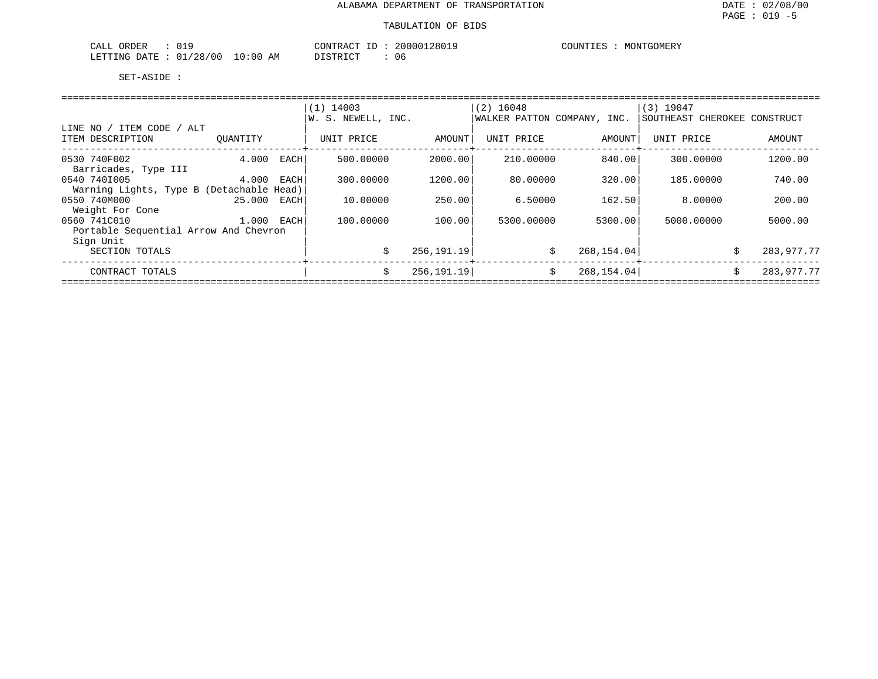| CALL<br>ORDER<br>UI.                                                                                                                        |               | CONTRACT | 20000128019 | 'GOMERY<br><b>COUNTIES</b><br>MONTO |
|---------------------------------------------------------------------------------------------------------------------------------------------|---------------|----------|-------------|-------------------------------------|
| 01/28/00<br>LETTING DATE<br>the contract of the contract of the contract of the contract of the contract of the contract of the contract of | LO : 00<br>ΆM | DISTRICT | . O 6       |                                     |

|                                          |          |      | $(1)$ 14003        |            | $(2)$ 16048                 |             | (3) 19047                    |            |
|------------------------------------------|----------|------|--------------------|------------|-----------------------------|-------------|------------------------------|------------|
|                                          |          |      | W. S. NEWELL, INC. |            | WALKER PATTON COMPANY, INC. |             | SOUTHEAST CHEROKEE CONSTRUCT |            |
| LINE NO / ITEM CODE / ALT                |          |      |                    |            |                             |             |                              |            |
| ITEM DESCRIPTION                         | OUANTITY |      | UNIT PRICE         | AMOUNT     | UNIT PRICE                  | AMOUNT      | UNIT PRICE                   | AMOUNT     |
| 0530 740F002                             | 4.000    | EACH | 500,00000          | 2000.00    | 210,00000                   | 840.00      | 300,00000                    | 1200.00    |
| Barricades, Type III                     |          |      |                    |            |                             |             |                              |            |
| 0540 7401005                             | 4.000    | EACH | 300.00000          | 1200.00    | 80.00000                    | 320.00      | 185,00000                    | 740.00     |
| Warning Lights, Type B (Detachable Head) |          |      |                    |            |                             |             |                              |            |
| 0550 740M000                             | 25.000   | EACH | 10.00000           | 250.00     | 6.50000                     | 162.50      | 8,00000                      | 200.00     |
| Weight For Cone                          |          |      |                    |            |                             |             |                              |            |
| 0560 741C010                             | 1.000    | EACH | 100,00000          | 100.00     | 5300.00000                  | 5300.00     | 5000,00000                   | 5000.00    |
| Portable Sequential Arrow And Chevron    |          |      |                    |            |                             |             |                              |            |
| Sign Unit                                |          |      |                    |            |                             |             |                              |            |
| SECTION TOTALS                           |          |      | S.                 | 256,191.19 | \$                          | 268, 154.04 | Ŝ.                           | 283,977.77 |
| CONTRACT TOTALS                          |          |      | Ŝ.                 | 256,191.19 | \$                          | 268, 154.04 | Ŝ.                           | 283,977.77 |
|                                          |          |      |                    |            |                             |             |                              |            |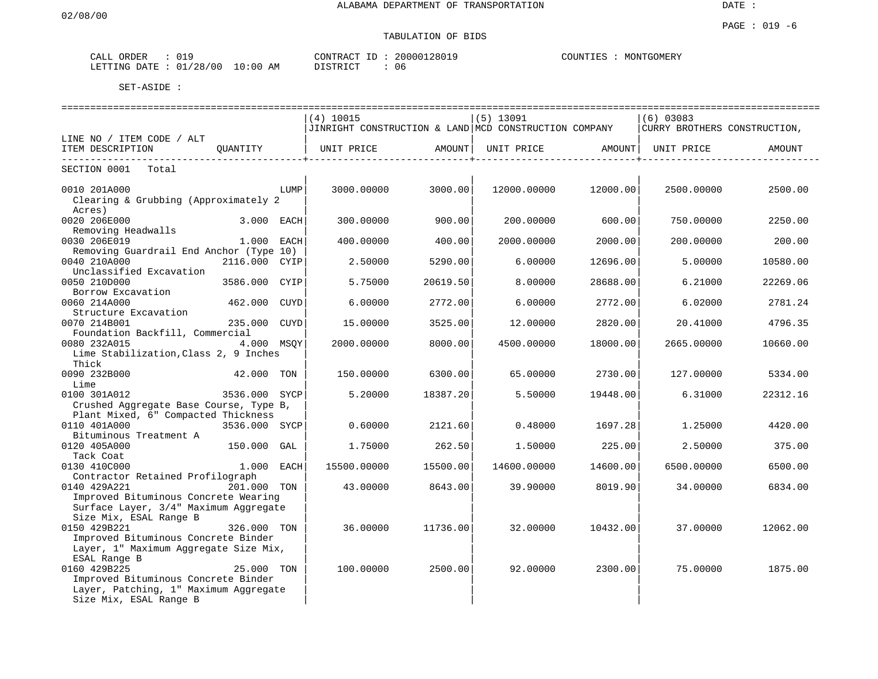# TABULATION OF BIDS

| CALL ORDER | 019                             | CONTRACT ID: 20000128019 |      | COUNTIES : MONTGOMERY |
|------------|---------------------------------|--------------------------|------|-----------------------|
|            | LETTING DATE: 01/28/00 10:00 AM | DISTRICT                 | - 06 |                       |

|                                                                               |               |      |                                                       |                      | ----------------------------- |          |                                | ================================== |
|-------------------------------------------------------------------------------|---------------|------|-------------------------------------------------------|----------------------|-------------------------------|----------|--------------------------------|------------------------------------|
|                                                                               |               |      | $(4)$ 10015                                           |                      | $(5)$ 13091                   |          | $(6)$ 03083                    |                                    |
|                                                                               |               |      | JINRIGHT CONSTRUCTION & LAND MCD CONSTRUCTION COMPANY |                      |                               |          | CURRY BROTHERS CONSTRUCTION,   |                                    |
| LINE NO / ITEM CODE / ALT                                                     |               |      |                                                       |                      |                               |          |                                |                                    |
| ITEM DESCRIPTION                                                              |               |      | OUANTITY   UNIT PRICE   AMOUNT                        |                      |                               |          | UNIT PRICE AMOUNT   UNIT PRICE | AMOUNT                             |
| SECTION 0001 Total                                                            |               |      | ----------+--------                                   | -----------------+-- |                               |          |                                |                                    |
| 0010 201A000                                                                  |               | LUMP | 3000.00000                                            | 3000.00              | 12000.00000                   | 12000.00 | 2500.00000                     | 2500.00                            |
| Clearing & Grubbing (Approximately 2<br>Acres)                                |               |      |                                                       |                      |                               |          |                                |                                    |
| 0020 206E000                                                                  | $3.000$ EACH  |      | 300.00000                                             | 900.00               | 200.00000                     | 600.00   | 750.00000                      | 2250.00                            |
| Removing Headwalls                                                            |               |      |                                                       |                      |                               |          |                                |                                    |
| 0030 206E019                                                                  | 1.000 EACH    |      | 400.00000                                             | 400.00               | 2000.00000                    | 2000.00  | 200.00000                      | 200.00                             |
| Removing Guardrail End Anchor (Type 10)<br>0040 210A000                       | 2116.000 CYIP |      | 2.50000                                               | 5290.00              | 6.00000                       | 12696.00 | 5.00000                        | 10580.00                           |
| Unclassified Excavation                                                       |               |      |                                                       |                      |                               |          |                                |                                    |
| 0050 210D000                                                                  | 3586.000 CYIP |      | 5.75000                                               | 20619.50             | 8.00000                       | 28688.00 | 6.21000                        | 22269.06                           |
| Borrow Excavation                                                             |               |      |                                                       |                      |                               |          |                                |                                    |
| 0060 214A000<br>Structure Excavation                                          | 462.000       | CUYD | 6.00000                                               | 2772.00              | 6.00000                       | 2772.00  | 6.02000                        | 2781.24                            |
| 0070 214B001                                                                  | 235.000       | CUYD | 15,00000                                              | 3525.00              | 12,00000                      | 2820.00  | 20.41000                       | 4796.35                            |
| Foundation Backfill, Commercial                                               |               |      |                                                       |                      |                               |          |                                |                                    |
| 0080 232A015                                                                  | 4.000 MSOY    |      | 2000.00000                                            | 8000.00              | 4500.00000                    | 18000.00 | 2665.00000                     | 10660.00                           |
| Lime Stabilization, Class 2, 9 Inches                                         |               |      |                                                       |                      |                               |          |                                |                                    |
| Thick<br>0090 232B000<br>42.000 TON                                           |               |      | 150.00000                                             | 6300.00              | 65.00000                      | 2730.00  | 127.00000                      | 5334.00                            |
| Lime                                                                          |               |      |                                                       |                      |                               |          |                                |                                    |
| 0100 301A012                                                                  | 3536.000 SYCP |      | 5.20000                                               | 18387.20             | 5.50000                       | 19448.00 | 6.31000                        | 22312.16                           |
| Crushed Aggregate Base Course, Type B,                                        |               |      |                                                       |                      |                               |          |                                |                                    |
| Plant Mixed, 6" Compacted Thickness                                           |               |      |                                                       |                      |                               |          |                                |                                    |
| 0110 401A000<br>Bituminous Treatment A                                        | 3536.000 SYCP |      | 0.60000                                               | 2121.60              | 0.48000                       | 1697.28  | 1,25000                        | 4420.00                            |
| 0120 405A000                                                                  | 150.000 GAL   |      | 1.75000                                               | 262.50               | 1.50000                       | 225.00   | 2.50000                        | 375.00                             |
| Tack Coat                                                                     |               |      |                                                       |                      |                               |          |                                |                                    |
| 0130 410C000                                                                  | 1.000 EACH    |      | 15500.00000                                           | 15500.00             | 14600.00000                   | 14600.00 | 6500.00000                     | 6500.00                            |
| Contractor Retained Profilograph                                              |               |      |                                                       |                      |                               |          |                                |                                    |
| 0140 429A221                                                                  | 201.000 TON   |      | 43.00000                                              | 8643.00              | 39.90000                      | 8019.90  | 34.00000                       | 6834.00                            |
| Improved Bituminous Concrete Wearing<br>Surface Layer, 3/4" Maximum Aggregate |               |      |                                                       |                      |                               |          |                                |                                    |
| Size Mix, ESAL Range B                                                        |               |      |                                                       |                      |                               |          |                                |                                    |
| 0150 429B221                                                                  | 326.000 TON   |      | 36.00000                                              | 11736.00             | 32.00000                      | 10432.00 | 37.00000                       | 12062.00                           |
| Improved Bituminous Concrete Binder                                           |               |      |                                                       |                      |                               |          |                                |                                    |
| Layer, 1" Maximum Aggregate Size Mix,                                         |               |      |                                                       |                      |                               |          |                                |                                    |
| ESAL Range B                                                                  |               |      |                                                       |                      |                               |          |                                |                                    |
| 0160 429B225                                                                  | 25.000 TON    |      | 100.00000                                             | 2500.00              | 92.00000                      | 2300.00  | 75,00000                       | 1875.00                            |
| Improved Bituminous Concrete Binder                                           |               |      |                                                       |                      |                               |          |                                |                                    |
| Layer, Patching, 1" Maximum Aggregate<br>Size Mix, ESAL Range B               |               |      |                                                       |                      |                               |          |                                |                                    |
|                                                                               |               |      |                                                       |                      |                               |          |                                |                                    |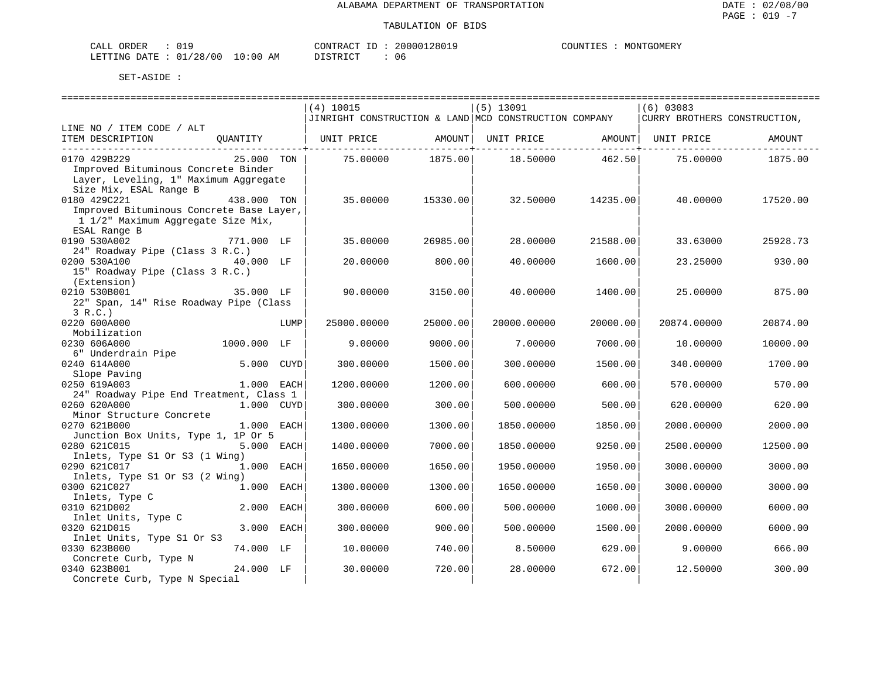#### TABULATION OF BIDS

| CALL ORDER                       | : 019 |  |
|----------------------------------|-------|--|
| LETTING DATE : 01/28/00 10:00 AM |       |  |

CONTRACT ID : 20000128019 DISTRICT : 06

COUNTIES : MONTGOMERY

| =====================                    |             |      |                                                       |          |             |          |                              |          |
|------------------------------------------|-------------|------|-------------------------------------------------------|----------|-------------|----------|------------------------------|----------|
|                                          |             |      | (4) 10015                                             |          | $(5)$ 13091 |          | $(6)$ 03083                  |          |
|                                          |             |      | JINRIGHT CONSTRUCTION & LAND MCD CONSTRUCTION COMPANY |          |             |          | CURRY BROTHERS CONSTRUCTION, |          |
| LINE NO / ITEM CODE / ALT                |             |      |                                                       |          |             |          |                              |          |
| ITEM DESCRIPTION                         | QUANTITY    |      | UNIT PRICE AMOUNT   UNIT PRICE AMOUNT   UNIT PRICE    |          |             |          |                              | AMOUNT   |
| 0170 429B229                             | 25.000 TON  |      | 75.00000 1875.00                                      |          | 18.50000    | 462.50   | 75.00000                     | 1875.00  |
| Improved Bituminous Concrete Binder      |             |      |                                                       |          |             |          |                              |          |
| Layer, Leveling, 1" Maximum Aggregate    |             |      |                                                       |          |             |          |                              |          |
| Size Mix, ESAL Range B                   |             |      |                                                       |          |             |          |                              |          |
| 0180 429C221                             | 438.000 TON |      | 35.00000                                              | 15330.00 | 32.50000    | 14235.00 | 40.00000                     | 17520.00 |
| Improved Bituminous Concrete Base Layer, |             |      |                                                       |          |             |          |                              |          |
| 1 1/2" Maximum Aggregate Size Mix,       |             |      |                                                       |          |             |          |                              |          |
| ESAL Range B                             |             |      |                                                       |          |             |          |                              |          |
| 0190 530A002                             | 771.000 LF  |      | 35.00000                                              | 26985.00 | 28.00000    | 21588.00 | 33.63000                     | 25928.73 |
| 24" Roadway Pipe (Class 3 R.C.)          |             |      |                                                       |          |             |          |                              |          |
| 0200 530A100                             | 40.000 LF   |      | 20.00000                                              | 800.00   | 40.00000    | 1600.00  | 23.25000                     | 930.00   |
| 15" Roadway Pipe (Class 3 R.C.)          |             |      |                                                       |          |             |          |                              |          |
| (Extension)                              |             |      |                                                       |          |             |          |                              |          |
| 0210 530B001                             | 35.000 LF   |      | 90.00000                                              | 3150.00  | 40.00000    | 1400.00  | 25.00000                     | 875.00   |
| 22" Span, 14" Rise Roadway Pipe (Class   |             |      |                                                       |          |             |          |                              |          |
| 3 R.C.                                   |             |      |                                                       |          |             |          |                              |          |
| 0220 600A000                             |             | LUMP | 25000.00000                                           | 25000.00 | 20000.00000 | 20000.00 | 20874.00000                  | 20874.00 |
| Mobilization                             |             |      |                                                       |          |             |          |                              |          |
| 0230 606A000                             | 1000.000 LF |      | 9.00000                                               | 9000.00  | 7.00000     | 7000.00  | 10.00000                     | 10000.00 |
| 6" Underdrain Pipe                       |             |      |                                                       |          |             |          |                              |          |
| 0240 614A000                             | 5.000 CUYD  |      | 300.00000                                             | 1500.00  | 300.00000   | 1500.00  | 340.00000                    | 1700.00  |
| Slope Paving                             |             |      |                                                       |          |             |          |                              |          |
| 0250 619A003                             | 1.000 EACH  |      | 1200.00000                                            | 1200.00  | 600.00000   | 600.00   | 570.00000                    | 570.00   |
| 24" Roadway Pipe End Treatment, Class 1  |             |      |                                                       |          |             |          |                              |          |
| 0260 620A000                             | 1.000 CUYD  |      | 300.00000                                             | 300.00   | 500.00000   | 500.00   | 620.00000                    | 620.00   |
| Minor Structure Concrete                 |             |      |                                                       |          |             |          |                              |          |
| 0270 621B000                             | 1.000 EACH  |      | 1300.00000                                            | 1300.00  | 1850.00000  | 1850.00  | 2000.00000                   | 2000.00  |
| Junction Box Units, Type 1, 1P Or 5      |             |      |                                                       |          |             |          |                              |          |
| 0280 621C015                             | 5.000 EACH  |      | 1400.00000                                            | 7000.00  | 1850.00000  | 9250.00  | 2500.00000                   | 12500.00 |
| Inlets, Type S1 Or S3 (1 Wing)           |             |      |                                                       |          |             |          |                              |          |
| 0290 621C017                             | 1.000 EACH  |      | 1650.00000                                            | 1650.00  | 1950.00000  | 1950.00  | 3000.00000                   | 3000.00  |
| Inlets, Type S1 Or S3 (2 Wing)           |             |      |                                                       |          |             |          |                              |          |
| 0300 621C027                             | 1.000 EACH  |      | 1300.00000                                            | 1300.00  | 1650.00000  | 1650.00  | 3000.00000                   | 3000.00  |
| Inlets, Type C                           |             |      |                                                       |          |             |          |                              |          |
| 0310 621D002                             | 2.000 EACH  |      | 300.00000                                             | 600.00   | 500.00000   | 1000.00  | 3000.00000                   | 6000.00  |
| Inlet Units, Type C                      |             |      |                                                       |          |             |          |                              |          |
| 0320 621D015                             | 3.000 EACH  |      | 300.00000                                             | 900.00   | 500.00000   | 1500.00  | 2000.00000                   | 6000.00  |
| Inlet Units, Type S1 Or S3               |             |      |                                                       |          |             |          |                              |          |
| 0330 623B000                             | 74.000 LF   |      | 10.00000                                              | 740.00   | 8.50000     | 629.00   | 9.00000                      | 666.00   |
| Concrete Curb, Type N                    |             |      |                                                       |          |             |          |                              |          |
| 0340 623B001                             | 24.000 LF   |      | 30.00000                                              | 720.00   | 28.00000    | 672.00   | 12.50000                     | 300.00   |
| Concrete Curb, Type N Special            |             |      |                                                       |          |             |          |                              |          |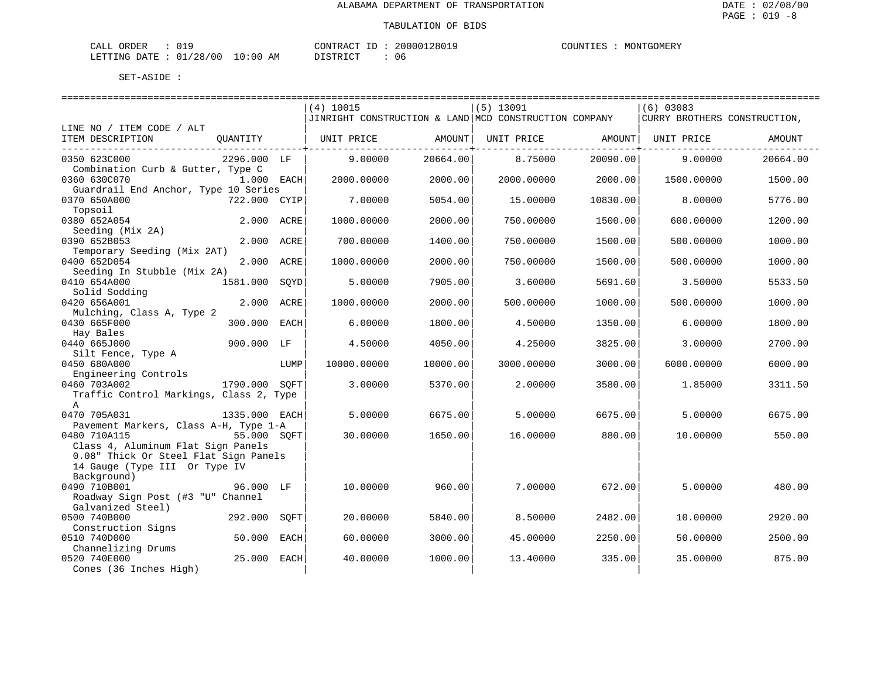| CALL ORDER |                                 |          | CONTRACT ID: 20000128019 | COUNTIES : MONTGOMERY |
|------------|---------------------------------|----------|--------------------------|-----------------------|
|            | LETTING DATE: 01/28/00 10:00 AM | DISTRICT |                          |                       |

|                                                    |               |      |             |          | -----------------------------                         |          | ===========================  |          |
|----------------------------------------------------|---------------|------|-------------|----------|-------------------------------------------------------|----------|------------------------------|----------|
|                                                    |               |      | $(4)$ 10015 |          | $(5)$ 13091                                           |          | $(6)$ 03083                  |          |
|                                                    |               |      |             |          | JINRIGHT CONSTRUCTION & LAND MCD CONSTRUCTION COMPANY |          | CURRY BROTHERS CONSTRUCTION, |          |
| LINE NO / ITEM CODE / ALT                          |               |      |             |          |                                                       |          |                              |          |
| ITEM DESCRIPTION                                   | OUANTITY      |      | UNIT PRICE  | AMOUNT   | UNIT PRICE                                            | AMOUNT   | UNIT PRICE                   | AMOUNT   |
| 0350 623C000                                       | 2296.000 LF   |      | 9.00000     | 20664.00 | 8.75000                                               | 20090.00 | 9.00000                      | 20664.00 |
| Combination Curb & Gutter, Type C                  |               |      |             |          |                                                       |          |                              |          |
| 0360 630C070                                       | 1.000 EACH    |      | 2000.00000  | 2000.00  | 2000.00000                                            | 2000.00  | 1500.00000                   | 1500.00  |
| Guardrail End Anchor, Type 10 Series               |               |      |             |          |                                                       |          |                              |          |
| 0370 650A000                                       | 722.000 CYIP  |      | 7.00000     | 5054.00  | 15.00000                                              | 10830.00 | 8,00000                      | 5776.00  |
| Topsoil                                            |               |      |             |          |                                                       |          |                              |          |
| 0380 652A054                                       | 2.000 ACRE    |      | 1000.00000  | 2000.00  | 750.00000                                             | 1500.00  | 600.00000                    | 1200.00  |
| Seeding (Mix 2A)<br>0390 652B053                   | 2.000 ACRE    |      | 700.00000   | 1400.00  | 750.00000                                             | 1500.00  | 500.00000                    | 1000.00  |
| Temporary Seeding (Mix 2AT)                        |               |      |             |          |                                                       |          |                              |          |
| 0400 652D054                                       | 2.000 ACRE    |      | 1000.00000  | 2000.00  | 750.00000                                             | 1500.00  | 500.00000                    | 1000.00  |
| Seeding In Stubble (Mix 2A)                        |               |      |             |          |                                                       |          |                              |          |
| 0410 654A000                                       | 1581.000      | SOYD | 5.00000     | 7905.00  | 3.60000                                               | 5691.60  | 3.50000                      | 5533.50  |
| Solid Sodding                                      |               |      |             |          |                                                       |          |                              |          |
| 0420 656A001                                       | 2.000         | ACRE | 1000.00000  | 2000.00  | 500.00000                                             | 1000.00  | 500.00000                    | 1000.00  |
| Mulching, Class A, Type 2                          |               |      |             |          |                                                       |          |                              |          |
| 0430 665F000                                       | 300.000       | EACH | 6.00000     | 1800.00  | 4.50000                                               | 1350.00  | 6.00000                      | 1800.00  |
| Hay Bales<br>0440 665J000                          | 900.000 LF    |      | 4.50000     | 4050.00  | 4.25000                                               | 3825.00  | 3.00000                      | 2700.00  |
| Silt Fence, Type A                                 |               |      |             |          |                                                       |          |                              |          |
| 0450 680A000                                       |               | LUMP | 10000.00000 | 10000.00 | 3000.00000                                            | 3000.00  | 6000.00000                   | 6000.00  |
| Engineering Controls                               |               |      |             |          |                                                       |          |                              |          |
| 0460 703A002                                       | 1790.000 SOFT |      | 3.00000     | 5370.00  | 2.00000                                               | 3580.00  | 1.85000                      | 3311.50  |
| Traffic Control Markings, Class 2, Type            |               |      |             |          |                                                       |          |                              |          |
| $\mathbb{A}$                                       |               |      |             |          |                                                       |          |                              |          |
| 0470 705A031                                       | 1335.000 EACH |      | 5.00000     | 6675.00  | 5.00000                                               | 6675.00  | 5.00000                      | 6675.00  |
| Pavement Markers, Class A-H, Type 1-A              |               |      |             |          |                                                       |          |                              |          |
| 0480 710A115<br>Class 4, Aluminum Flat Sign Panels | 55.000 SOFT   |      | 30.00000    | 1650.00  | 16.00000                                              | 880.00   | 10.00000                     | 550.00   |
| 0.08" Thick Or Steel Flat Sign Panels              |               |      |             |          |                                                       |          |                              |          |
| 14 Gauge (Type III Or Type IV                      |               |      |             |          |                                                       |          |                              |          |
| Background)                                        |               |      |             |          |                                                       |          |                              |          |
| 0490 710B001                                       | 96.000 LF     |      | 10.00000    | 960.00   | 7.00000                                               | 672.00   | 5.00000                      | 480.00   |
| Roadway Sign Post (#3 "U" Channel                  |               |      |             |          |                                                       |          |                              |          |
| Galvanized Steel)                                  |               |      |             |          |                                                       |          |                              |          |
| 0500 740B000                                       | 292.000       | SOFT | 20,00000    | 5840.00  | 8.50000                                               | 2482.00  | 10.00000                     | 2920.00  |
| Construction Signs                                 |               |      |             |          |                                                       |          |                              |          |
| 0510 740D000                                       | 50.000        | EACH | 60.00000    | 3000.00  | 45.00000                                              | 2250.00  | 50.00000                     | 2500.00  |
| Channelizing Drums<br>0520 740E000                 | 25.000 EACH   |      | 40.00000    | 1000.00  | 13.40000                                              | 335.00   | 35.00000                     | 875.00   |
| Cones (36 Inches High)                             |               |      |             |          |                                                       |          |                              |          |
|                                                    |               |      |             |          |                                                       |          |                              |          |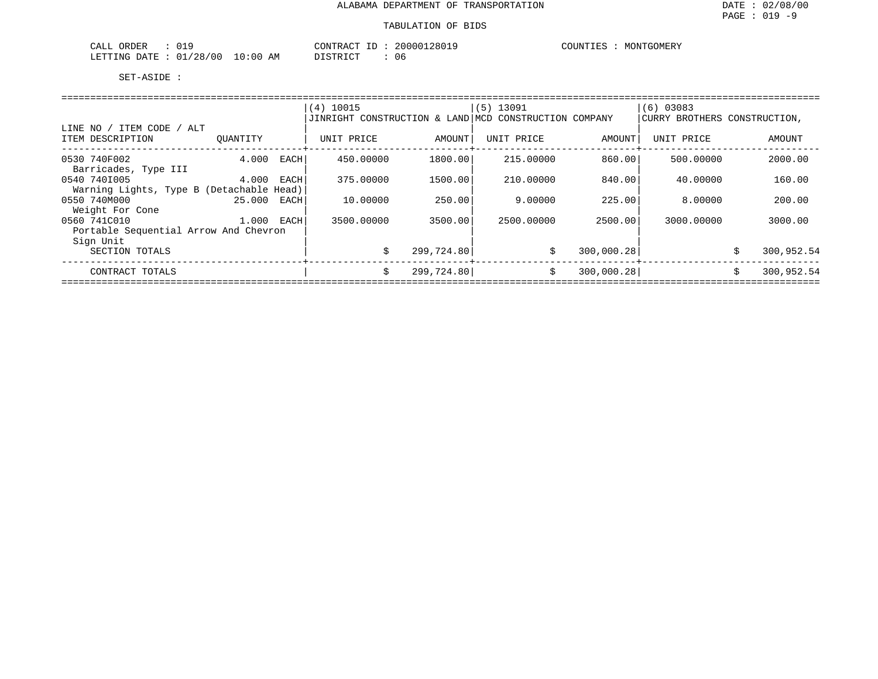| 019<br>$\sim$ $\sim$ $\sim$<br>JRDER<br>. .<br>للطلات |              | $\bigcap_{\Lambda}$<br>$\sim$<br>$\sim$ A i | 28019<br>20000 | COUNTIES<br>MONTGOMERY |
|-------------------------------------------------------|--------------|---------------------------------------------|----------------|------------------------|
| ، 28'<br>'00<br>01<br>LETTING<br>- ππ ∆ר              | ΆM<br>- : 00 | $\sim$                                      | U C            |                        |

|                                                          |          |      | $(4)$ 10015<br>JINRIGHT CONSTRUCTION & LAND MCD CONSTRUCTION COMPANY |            | $(5)$ 13091 |            | $(6)$ 03083<br>CURRY BROTHERS CONSTRUCTION, |    |            |
|----------------------------------------------------------|----------|------|----------------------------------------------------------------------|------------|-------------|------------|---------------------------------------------|----|------------|
| ITEM CODE / ALT<br>LINE NO<br>ITEM DESCRIPTION           | OUANTITY |      | UNIT PRICE                                                           | AMOUNT     | UNIT PRICE  | AMOUNT     | UNIT PRICE                                  |    | AMOUNT     |
| 0530 740F002<br>Barricades, Type III                     | 4.000    | EACH | 450.00000                                                            | 1800.00    | 215,00000   | 860.00     | 500,00000                                   |    | 2000.00    |
| 0540 7401005<br>Warning Lights, Type B (Detachable Head) | 4.000    | EACH | 375.00000                                                            | 1500.00    | 210.00000   | 840.001    | 40.00000                                    |    | 160.00     |
| 0550 740M000<br>Weight For Cone                          | 25.000   | EACH | 10.00000                                                             | 250.00     | 9,00000     | 225.00     | 8,00000                                     |    | 200.00     |
| 0560 741C010<br>Portable Sequential Arrow And Chevron    | 1.000    | EACH | 3500.00000                                                           | 3500.00    | 2500.00000  | 2500.00    | 3000.00000                                  |    | 3000.00    |
| Sign Unit<br>SECTION TOTALS                              |          |      | Ŝ.                                                                   | 299,724.80 | \$          | 300,000.28 |                                             | Ŝ. | 300,952.54 |
| CONTRACT TOTALS                                          |          |      | Ŝ.                                                                   | 299,724.80 | \$          | 300,000.28 |                                             | Ŝ. | 300,952.54 |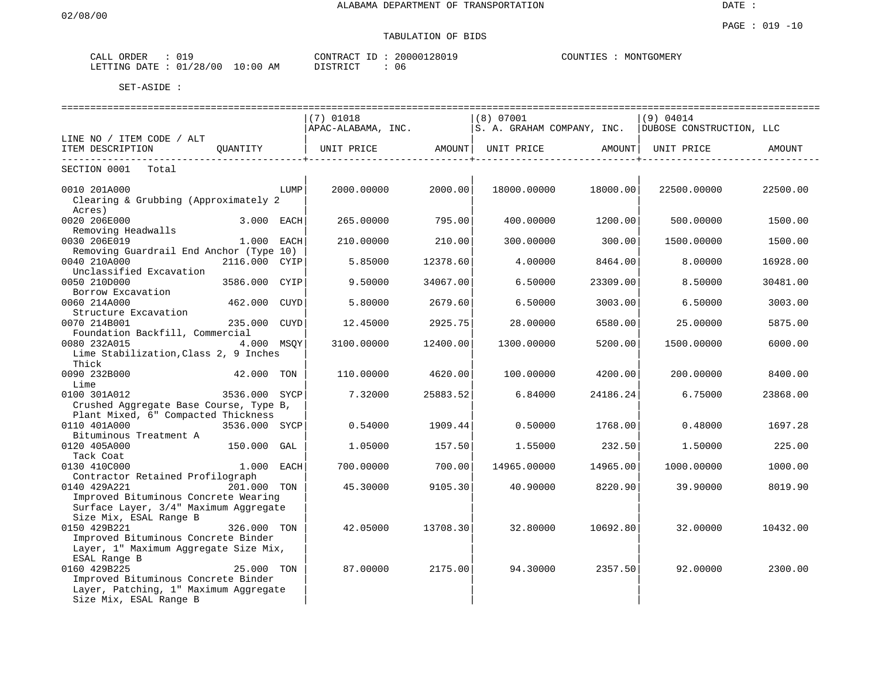# TABULATION OF BIDS

| ORDER<br>CALL | 9⊥ ل                        | CONTRACT<br>$ -$ | 128019<br>200001 | COUNTIES<br>MONTGOMERY |
|---------------|-----------------------------|------------------|------------------|------------------------|
| LETTING DATE  | /28/00<br>01<br>10:00<br>AΜ | TSTRICT          | 06               |                        |

|                                                                     |                                       |      | ---------------------------- |          | ========================= |          | ================================                      |          |
|---------------------------------------------------------------------|---------------------------------------|------|------------------------------|----------|---------------------------|----------|-------------------------------------------------------|----------|
|                                                                     |                                       |      | $(7)$ 01018                  |          | (8) 07001                 |          | (9) 04014                                             |          |
|                                                                     |                                       |      | APAC-ALABAMA, INC.           |          |                           |          | S. A. GRAHAM COMPANY, INC.   DUBOSE CONSTRUCTION, LLC |          |
| LINE NO / ITEM CODE / ALT                                           |                                       |      |                              |          |                           |          |                                                       |          |
| ITEM DESCRIPTION<br>. <u>.</u> .                                    | QUANTITY                              |      | UNIT PRICE                   | AMOUNT   | UNIT PRICE AMOUNT         |          | UNIT PRICE                                            | AMOUNT   |
| SECTION 0001 Total                                                  |                                       |      |                              |          |                           |          |                                                       |          |
| 0010 201A000                                                        |                                       | LUMP | 2000.00000                   | 2000.00  | 18000.00000               | 18000.00 | 22500.00000                                           | 22500.00 |
| Clearing & Grubbing (Approximately 2<br>Acres)                      |                                       |      |                              |          |                           |          |                                                       |          |
| 0020 206E000                                                        | 3.000 EACH                            |      | 265,00000                    | 795.00   | 400.00000                 | 1200.00  | 500.00000                                             | 1500.00  |
| Removing Headwalls                                                  |                                       |      |                              |          |                           |          |                                                       |          |
| 0030 206E019                                                        | $1.000$ EACH                          |      | 210.00000                    | 210.00   | 300.00000                 | 300.00   | 1500.00000                                            | 1500.00  |
| Removing Guardrail End Anchor (Type 10)                             |                                       |      |                              |          |                           |          |                                                       |          |
| 0040 210A000                                                        | 2116.000 CYIP                         |      | 5.85000                      | 12378.60 | 4.00000                   | 8464.00  | 8,00000                                               | 16928.00 |
| Unclassified Excavation                                             |                                       |      |                              |          |                           |          |                                                       |          |
| 0050 210D000                                                        | 3586.000 CYIP                         |      | 9.50000                      | 34067.00 | 6.50000                   | 23309.00 | 8.50000                                               | 30481.00 |
| Borrow Excavation                                                   |                                       |      |                              |          |                           |          |                                                       |          |
| 0060 214A000                                                        | 462.000 CUYD                          |      | 5.80000                      | 2679.60  | 6.50000                   | 3003.00  | 6.50000                                               | 3003.00  |
| Structure Excavation                                                |                                       |      |                              |          |                           |          |                                                       |          |
| 0070 214B001                                                        | 235.000 CUYD                          |      | 12.45000                     | 2925.75  | 28,00000                  | 6580.00  | 25,00000                                              | 5875.00  |
| Foundation Backfill, Commercial                                     |                                       |      |                              |          |                           |          |                                                       |          |
| 0080 232A015<br>4.000 MSOY<br>Lime Stabilization, Class 2, 9 Inches |                                       |      | 3100.00000                   | 12400.00 | 1300.00000                | 5200.00  | 1500.00000                                            | 6000.00  |
| Thick                                                               |                                       |      |                              |          |                           |          |                                                       |          |
| 0090 232B000<br>42.000 TON                                          |                                       |      | 110.00000                    | 4620.00  | 100.00000                 | 4200.00  | 200.00000                                             | 8400.00  |
| Lime                                                                |                                       |      |                              |          |                           |          |                                                       |          |
| 0100 301A012                                                        | 3536.000 SYCP                         |      | 7.32000                      | 25883.52 | 6.84000                   | 24186.24 | 6.75000                                               | 23868.00 |
| Crushed Aggregate Base Course, Type B,                              |                                       |      |                              |          |                           |          |                                                       |          |
| Plant Mixed, 6" Compacted Thickness                                 |                                       |      |                              |          |                           |          |                                                       |          |
| 0110 401A000<br>$3536.000$ SYCP                                     |                                       |      | 0.54000                      | 1909.44  | 0.50000                   | 1768.00  | 0.48000                                               | 1697.28  |
| Bituminous Treatment A                                              |                                       |      |                              |          |                           |          |                                                       |          |
| 0120 405A000                                                        | 150.000 GAL                           |      | 1.05000                      | 157.50   | 1.55000                   | 232.50   | 1.50000                                               | 225.00   |
| Tack Coat                                                           |                                       |      |                              |          |                           |          |                                                       |          |
| 0130 410C000                                                        | $1.000$ EACH                          |      | 700.00000                    | 700.00   | 14965.00000               | 14965.00 | 1000.00000                                            | 1000.00  |
| Contractor Retained Profilograph                                    |                                       |      |                              |          |                           |          |                                                       |          |
| 0140 429A221                                                        | 201.000 TON                           |      | 45.30000                     | 9105.30  | 40.90000                  | 8220.90  | 39.90000                                              | 8019.90  |
| Improved Bituminous Concrete Wearing                                |                                       |      |                              |          |                           |          |                                                       |          |
| Surface Layer, 3/4" Maximum Aggregate                               |                                       |      |                              |          |                           |          |                                                       |          |
| Size Mix, ESAL Range B                                              |                                       |      |                              |          |                           |          |                                                       |          |
| 0150 429B221                                                        | 326.000 TON                           |      | 42.05000                     | 13708.30 | 32.80000                  | 10692.80 | 32.00000                                              | 10432.00 |
| Improved Bituminous Concrete Binder                                 |                                       |      |                              |          |                           |          |                                                       |          |
|                                                                     | Layer, 1" Maximum Aggregate Size Mix, |      |                              |          |                           |          |                                                       |          |
| ESAL Range B                                                        |                                       |      |                              |          |                           |          |                                                       |          |
| 0160 429B225                                                        | 25.000 TON                            |      | 87.00000                     | 2175.00  | 94.30000                  | 2357.50  | 92.00000                                              | 2300.00  |
| Improved Bituminous Concrete Binder                                 |                                       |      |                              |          |                           |          |                                                       |          |
| Layer, Patching, 1" Maximum Aggregate                               |                                       |      |                              |          |                           |          |                                                       |          |
| Size Mix, ESAL Range B                                              |                                       |      |                              |          |                           |          |                                                       |          |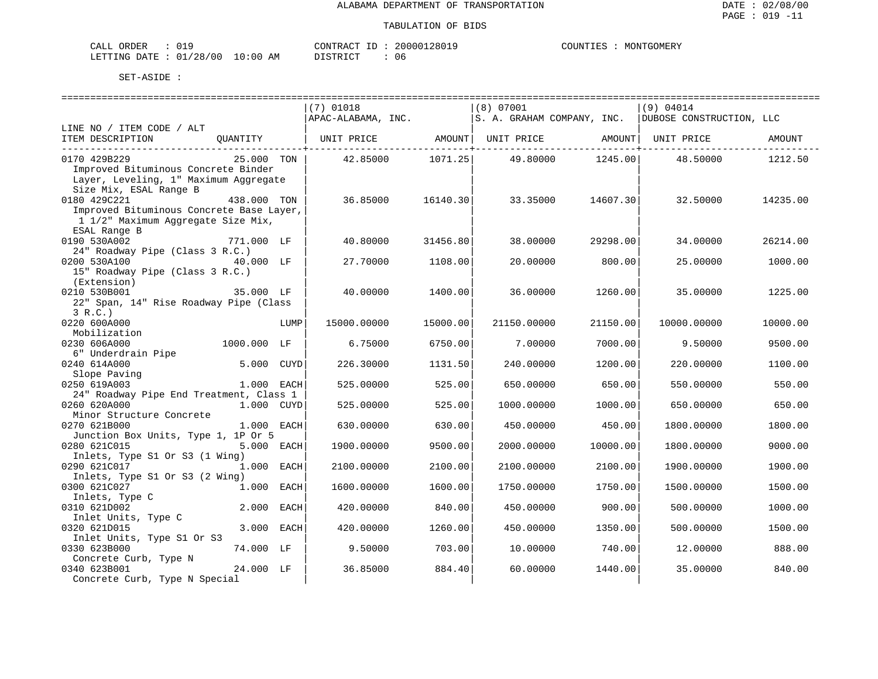| CALL ORDER                      |  | CONTRACT<br>ID | 20000128019 | COUNTIES | MONTGOMERY |
|---------------------------------|--|----------------|-------------|----------|------------|
| LETTING DATE: 01/28/00 10:00 AM |  | DISTRICT       | 06          |          |            |

|                                                                                                 | $(7)$ 01018        |          | (8) 07001                  |                        | (9) 04014                |          |
|-------------------------------------------------------------------------------------------------|--------------------|----------|----------------------------|------------------------|--------------------------|----------|
|                                                                                                 | APAC-ALABAMA, INC. |          | S. A. GRAHAM COMPANY, INC. |                        | DUBOSE CONSTRUCTION, LLC |          |
| LINE NO / ITEM CODE / ALT                                                                       |                    |          |                            |                        |                          |          |
| QUANTITY   UNIT PRICE         AMOUNT  UNIT PRICE         AMOUNT  UNIT PRICE<br>ITEM DESCRIPTION |                    |          |                            |                        |                          | AMOUNT   |
|                                                                                                 |                    |          |                            | ---------------+------ |                          |          |
| 0170 429B229<br>25.000 TON                                                                      | 42.85000 1071.25   |          | 49.80000 1245.00           |                        | 48.50000                 | 1212.50  |
| Improved Bituminous Concrete Binder                                                             |                    |          |                            |                        |                          |          |
| Layer, Leveling, 1" Maximum Aggregate                                                           |                    |          |                            |                        |                          |          |
| Size Mix, ESAL Range B                                                                          |                    |          |                            |                        |                          |          |
| 0180 429C221<br>438.000 TON                                                                     | 36.85000           | 16140.30 | 33.35000                   | 14607.30               | 32.50000                 | 14235.00 |
| Improved Bituminous Concrete Base Layer,                                                        |                    |          |                            |                        |                          |          |
| 1 1/2" Maximum Aggregate Size Mix,                                                              |                    |          |                            |                        |                          |          |
| ESAL Range B                                                                                    |                    |          |                            |                        |                          |          |
| 771.000 LF<br>0190 530A002                                                                      | 40.80000           | 31456.80 | 38,00000                   | 29298.00               | 34,00000                 | 26214.00 |
| 24" Roadway Pipe (Class 3 R.C.)                                                                 |                    |          |                            |                        |                          |          |
| 0200 530A100                                                                                    | 27.70000           | 1108.00  | 20.00000                   | 800.00                 | 25.00000                 | 1000.00  |
| 15" Roadway Pipe (Class 3 R.C.)                                                                 |                    |          |                            |                        |                          |          |
| (Extension)                                                                                     |                    |          |                            |                        |                          |          |
| 35.000 LF<br>0210 530B001                                                                       | 40.00000           | 1400.00  | 36,00000                   | 1260.00                | 35.00000                 | 1225.00  |
| 22" Span, 14" Rise Roadway Pipe (Class                                                          |                    |          |                            |                        |                          |          |
| 3 R.C.                                                                                          |                    |          |                            |                        |                          |          |
| 0220 600A000<br>LUMP                                                                            | 15000.00000        | 15000.00 | 21150.00000                | 21150.00               | 10000.00000              | 10000.00 |
| Mobilization                                                                                    |                    |          |                            |                        |                          |          |
| 1000.000 LF<br>0230 606A000                                                                     | 6.75000            | 6750.00  | 7.00000                    | 7000.00                | 9.50000                  | 9500.00  |
| 6" Underdrain Pipe                                                                              |                    |          |                            |                        |                          |          |
| 5.000 CUYD<br>0240 614A000                                                                      | 226.30000          | 1131.50  | 240.00000                  | 1200.00                | 220.00000                | 1100.00  |
|                                                                                                 |                    |          |                            |                        |                          |          |
| Slope Paving                                                                                    |                    |          |                            |                        |                          |          |
| 0250 619A003<br>1.000 EACH                                                                      | 525.00000          | 525.00   | 650.00000                  | 650.00                 | 550.00000                | 550.00   |
| 24" Roadway Pipe End Treatment, Class 1                                                         |                    |          |                            |                        |                          |          |
| 1.000 CUYD<br>0260 620A000                                                                      | 525.00000          | 525.00   | 1000.00000                 | 1000.00                | 650.00000                | 650.00   |
| Minor Structure Concrete                                                                        |                    |          |                            |                        |                          |          |
| 0270 621B000<br>1.000 EACH                                                                      | 630.00000          | 630.00   | 450.00000                  | 450.00                 | 1800.00000               | 1800.00  |
| Junction Box Units, Type 1, 1P Or 5                                                             |                    |          |                            |                        |                          |          |
| 0280 621C015<br>5.000 EACH                                                                      | 1900.00000         | 9500.00  | 2000.00000                 | 10000.00               | 1800.00000               | 9000.00  |
| Inlets, Type S1 Or S3 (1 Wing)                                                                  |                    |          |                            |                        |                          |          |
| 0290 621C017<br>1.000 EACH                                                                      | 2100.00000         | 2100.00  | 2100.00000                 | 2100.00                | 1900.00000               | 1900.00  |
| Inlets, Type S1 Or S3 (2 Wing)                                                                  |                    |          |                            |                        |                          |          |
| 0300 621C027<br>1.000<br>EACH                                                                   | 1600.00000         | 1600.00  | 1750.00000                 | 1750.00                | 1500.00000               | 1500.00  |
| Inlets, Type C                                                                                  |                    |          |                            |                        |                          |          |
| 2.000 EACH<br>0310 621D002                                                                      | 420.00000          | 840.00   | 450.00000                  | 900.00                 | 500.00000                | 1000.00  |
| Inlet Units, Type C                                                                             |                    |          |                            |                        |                          |          |
| 3.000 EACH<br>0320 621D015                                                                      | 420.00000          | 1260.00  | 450.00000                  | 1350.00                | 500.00000                | 1500.00  |
| Inlet Units, Type S1 Or S3                                                                      |                    |          |                            |                        |                          |          |
| 74.000 LF<br>0330 623B000                                                                       | 9.50000            | 703.00   | 10.00000                   | 740.00                 | 12.00000                 | 888.00   |
| Concrete Curb, Type N                                                                           |                    |          |                            |                        |                          |          |
| 0340 623B001<br>24.000 LF                                                                       | 36.85000           | 884.40   | 60.00000                   | 1440.00                | 35.00000                 | 840.00   |
| Concrete Curb, Type N Special                                                                   |                    |          |                            |                        |                          |          |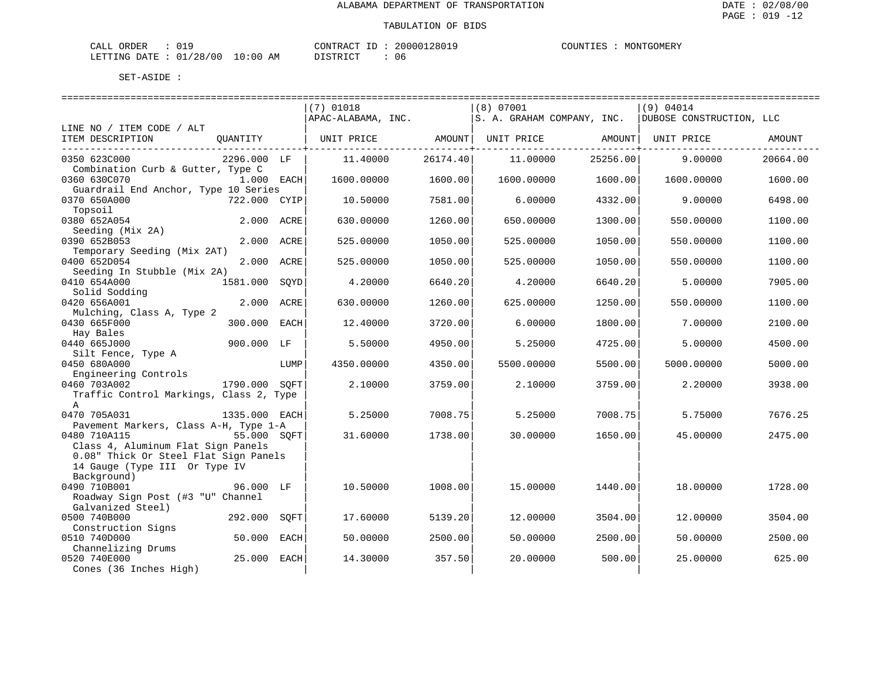| $\sim$ $\sim$<br>ORDER<br>$\sim$ $ -$<br>$\cdot$ $\wedge$ .<br><b>117</b><br>ັ∨ ⊥. |                                                            | $- -$<br>. ≀N'I"<br>. TRAC" | 200001             | $\gamma$ דוחדורי $\Gamma$ . | GOMER!<br>MON |
|------------------------------------------------------------------------------------|------------------------------------------------------------|-----------------------------|--------------------|-----------------------------|---------------|
| ם ר'<br>/ O C<br>LETTING<br>$+$ DATT<br>ັບ<br>$\sim$                               | $\sim$<br>$\cdot$ $\cap$ $\cap$<br>' : () (,<br>ΑM<br>- 17 | DIOTO IOT<br>⋯              | 1 I F<br><b>UU</b> |                             |               |

|                                                                                       |               |      | $(7)$ 01018        |          | $(8)$ 07001                    |          | (9) 04014                |          |
|---------------------------------------------------------------------------------------|---------------|------|--------------------|----------|--------------------------------|----------|--------------------------|----------|
|                                                                                       |               |      | APAC-ALABAMA, INC. |          | S. A. GRAHAM COMPANY, INC.     |          | DUBOSE CONSTRUCTION, LLC |          |
| LINE NO / ITEM CODE / ALT<br>ITEM DESCRIPTION                                         | OUANTITY      |      | UNIT PRICE AMOUNT  |          | UNIT PRICE AMOUNT   UNIT PRICE |          |                          | AMOUNT   |
| 0350 623C000<br>Combination Curb & Gutter, Type C                                     | 2296.000 LF   |      | 11,40000           | 26174.40 | 11.00000                       | 25256.00 | 9.00000                  | 20664.00 |
| 0360 630C070<br>Guardrail End Anchor, Type 10 Series                                  | 1.000 EACH    |      | 1600.00000         | 1600.00  | 1600.00000                     | 1600.00  | 1600.00000               | 1600.00  |
| 0370 650A000<br>Topsoil                                                               | 722.000 CYIP  |      | 10.50000           | 7581.00  | 6,00000                        | 4332.00  | 9.00000                  | 6498.00  |
| 0380 652A054<br>Seeding (Mix 2A)                                                      | 2.000 ACRE    |      | 630.00000          | 1260.00  | 650.00000                      | 1300.00  | 550.00000                | 1100.00  |
| 0390 652B053<br>Temporary Seeding (Mix 2AT)                                           | 2.000 ACRE    |      | 525.00000          | 1050.00  | 525.00000                      | 1050.00  | 550.00000                | 1100.00  |
| 0400 652D054<br>Seeding In Stubble (Mix 2A)                                           | 2.000 ACRE    |      | 525.00000          | 1050.00  | 525.00000                      | 1050.00  | 550.00000                | 1100.00  |
| 0410 654A000<br>Solid Sodding                                                         | 1581.000 SOYD |      | 4.20000            | 6640.20  | 4.20000                        | 6640.20  | 5.00000                  | 7905.00  |
| 0420 656A001<br>Mulching, Class A, Type 2                                             | 2.000 ACRE    |      | 630.00000          | 1260.00  | 625.00000                      | 1250.00  | 550.00000                | 1100.00  |
| 0430 665F000<br>Hay Bales                                                             | 300.000 EACH  |      | 12.40000           | 3720.00  | 6.00000                        | 1800.00  | 7.00000                  | 2100.00  |
| 0440 665J000                                                                          | 900.000 LF    |      | 5.50000            | 4950.00  | 5.25000                        | 4725.00  | 5.00000                  | 4500.00  |
| Silt Fence, Type A<br>0450 680A000<br>Engineering Controls                            |               | LUMP | 4350.00000         | 4350.00  | 5500.00000                     | 5500.00  | 5000.00000               | 5000.00  |
| 0460 703A002<br>Traffic Control Markings, Class 2, Type<br>$\mathbb{A}$               | 1790.000 SOFT |      | 2.10000            | 3759.00  | 2.10000                        | 3759.00  | 2.20000                  | 3938.00  |
| 0470 705A031<br>Pavement Markers, Class A-H, Type 1-A                                 | 1335.000 EACH |      | 5.25000            | 7008.75  | 5.25000                        | 7008.75  | 5.75000                  | 7676.25  |
| 0480 710A115<br>Class 4, Aluminum Flat Sign Panels                                    | 55.000 SOFT   |      | 31.60000           | 1738.00  | 30,00000                       | 1650.00  | 45.00000                 | 2475.00  |
| 0.08" Thick Or Steel Flat Sign Panels<br>14 Gauge (Type III Or Type IV<br>Background) |               |      |                    |          |                                |          |                          |          |
| 0490 710B001<br>Roadway Sign Post (#3 "U" Channel<br>Galvanized Steel)                | 96.000 LF     |      | 10.50000           | 1008.00  | 15,00000                       | 1440.00  | 18,00000                 | 1728.00  |
| 0500 740B000<br>Construction Signs                                                    | 292.000       | SOFT | 17.60000           | 5139.20  | 12,00000                       | 3504.00  | 12,00000                 | 3504.00  |
| 0510 740D000<br>Channelizing Drums                                                    | 50.000        | EACH | 50.00000           | 2500.00  | 50.00000                       | 2500.00  | 50.00000                 | 2500.00  |
| 0520 740E000<br>Cones (36 Inches High)                                                | 25.000        | EACH | 14.30000           | 357.50   | 20.00000                       | 500.00   | 25.00000                 | 625.00   |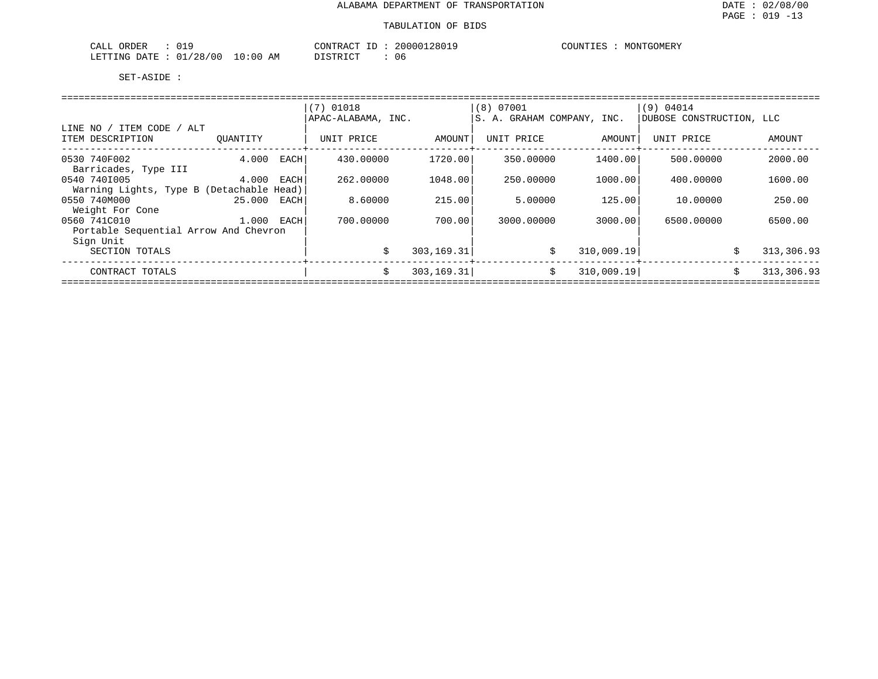| ORDER<br>CALL<br>UI.              | 20000128019<br>CONTRACT<br>T <sub>0</sub><br>⊥ப | COUNTIES<br>MONTGOMERY |
|-----------------------------------|-------------------------------------------------|------------------------|
| 01/28/00<br>10:00<br>LETTING DATE | DISTRICT<br>ΆM<br>U6                            |                        |

|                                                          |          |      | $(7)$ 01018        |             | (8) 07001                  |                  | (9) 04014                |            |  |
|----------------------------------------------------------|----------|------|--------------------|-------------|----------------------------|------------------|--------------------------|------------|--|
|                                                          |          |      | APAC-ALABAMA, INC. |             | S. A. GRAHAM COMPANY, INC. |                  | DUBOSE CONSTRUCTION, LLC |            |  |
| ' ITEM CODE / ALT<br>LINE NO /<br>ITEM DESCRIPTION       | OUANTITY |      | UNIT PRICE         | AMOUNT      | UNIT PRICE                 | AMOUNT           | UNIT PRICE               | AMOUNT     |  |
| 0530 740F002<br>Barricades, Type III                     | 4.000    | EACH | 430.00000          | 1720.00     | 350.00000                  | 1400.00          | 500.00000                | 2000.00    |  |
| 0540 7401005<br>Warning Lights, Type B (Detachable Head) | 4.000    | EACH | 262,00000          | 1048.00     | 250.00000                  | 1000.00          | 400.00000                | 1600.00    |  |
| 0550 740M000<br>Weight For Cone                          | 25.000   | EACH | 8.60000            | 215.00      | 5.00000                    | 125.00           | 10,00000                 | 250.00     |  |
| 0560 741C010<br>Portable Sequential Arrow And Chevron    | 1.000    | EACH | 700.00000          | 700.00      | 3000.00000                 | 3000.00          | 6500.00000               | 6500.00    |  |
| Sign Unit<br>SECTION TOTALS                              |          |      | \$                 | 303,169.31  |                            | \$<br>310,009.19 | \$                       | 313,306.93 |  |
| CONTRACT TOTALS                                          |          |      | Ŝ.                 | 303, 169.31 |                            | 310,009.19<br>Ŝ. | Ŝ.                       | 313,306.93 |  |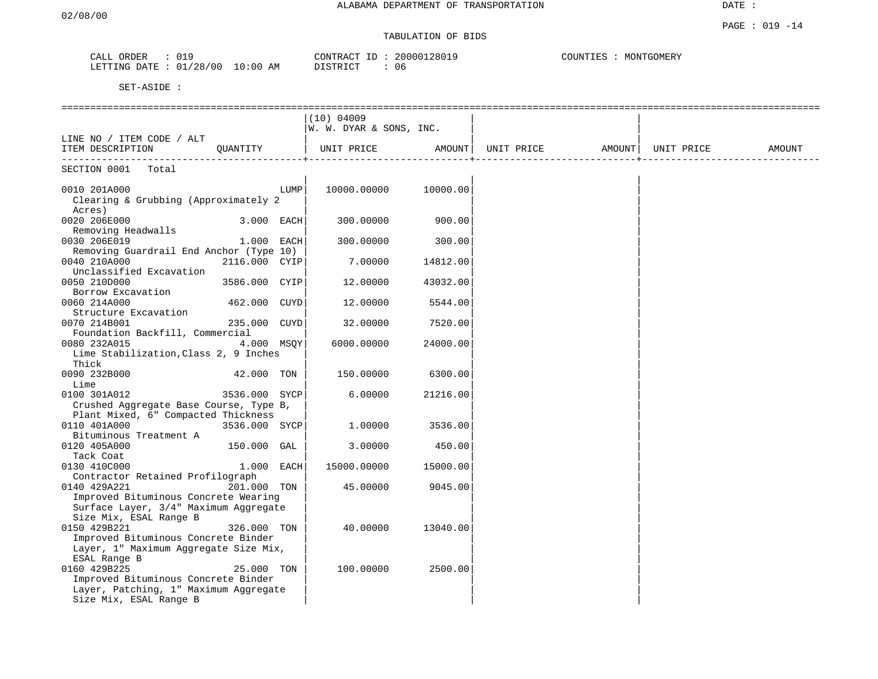# TABULATION OF BIDS

| ORDER<br>CALL             | 019 |          | CONTRACT ID     | 20000128019 | COUNTIES<br>MONTGOMERY |
|---------------------------|-----|----------|-----------------|-------------|------------------------|
| LETTING DATE : $01/28/00$ |     | 10:00 AM | <b>DISTRICT</b> | 06          |                        |

|                                                     |               |      | (10) 04009              |          |                                         |  |        |
|-----------------------------------------------------|---------------|------|-------------------------|----------|-----------------------------------------|--|--------|
|                                                     |               |      | W. W. DYAR & SONS, INC. |          |                                         |  |        |
| LINE NO / ITEM CODE / ALT                           |               |      |                         |          |                                         |  |        |
| ITEM DESCRIPTION                                    | QUANTITY      |      | UNIT PRICE              |          | AMOUNT   UNIT PRICE AMOUNT   UNIT PRICE |  | AMOUNT |
| --------------------------<br>SECTION 0001<br>Total |               |      |                         |          |                                         |  |        |
|                                                     |               |      |                         |          |                                         |  |        |
| 0010 201A000                                        |               | LUMP | 10000.00000             | 10000.00 |                                         |  |        |
| Clearing & Grubbing (Approximately 2                |               |      |                         |          |                                         |  |        |
| Acres)                                              |               |      |                         |          |                                         |  |        |
| 0020 206E000                                        | 3.000 EACH    |      | 300.00000               | 900.00   |                                         |  |        |
| Removing Headwalls                                  |               |      |                         |          |                                         |  |        |
| 0030 206E019                                        | 1.000 EACH    |      | 300.00000               | 300.00   |                                         |  |        |
| Removing Guardrail End Anchor (Type 10)             |               |      |                         |          |                                         |  |        |
| 0040 210A000                                        | 2116.000 CYIP |      | 7.00000                 | 14812.00 |                                         |  |        |
| Unclassified Excavation                             |               |      |                         |          |                                         |  |        |
| 0050 210D000                                        | 3586.000 CYIP |      | 12,00000                | 43032.00 |                                         |  |        |
| Borrow Excavation                                   |               |      |                         |          |                                         |  |        |
| 0060 214A000                                        | 462.000 CUYD  |      | 12.00000                | 5544.00  |                                         |  |        |
| Structure Excavation                                |               |      |                         |          |                                         |  |        |
| 0070 214B001                                        | 235.000 CUYD  |      | 32.00000                | 7520.00  |                                         |  |        |
| Foundation Backfill, Commercial                     |               |      |                         |          |                                         |  |        |
| 0080 232A015                                        | 4.000 MSOY    |      | 6000.00000              | 24000.00 |                                         |  |        |
| Lime Stabilization, Class 2, 9 Inches               |               |      |                         |          |                                         |  |        |
| Thick                                               |               |      |                         |          |                                         |  |        |
| 0090 232B000                                        | 42.000 TON    |      | 150.00000               | 6300.00  |                                         |  |        |
| Lime                                                |               |      |                         |          |                                         |  |        |
| 0100 301A012                                        | 3536.000 SYCP |      | 6.00000                 | 21216.00 |                                         |  |        |
| Crushed Aggregate Base Course, Type B,              |               |      |                         |          |                                         |  |        |
| Plant Mixed, 6" Compacted Thickness                 |               |      |                         |          |                                         |  |        |
| 0110 401A000                                        | 3536.000 SYCP |      | 1,00000                 | 3536.00  |                                         |  |        |
| Bituminous Treatment A                              |               |      |                         |          |                                         |  |        |
| 0120 405A000                                        | 150.000 GAL   |      | 3.00000                 | 450.00   |                                         |  |        |
| Tack Coat                                           |               |      |                         |          |                                         |  |        |
| 0130 410C000                                        | 1.000 EACH    |      | 15000.00000             | 15000.00 |                                         |  |        |
| Contractor Retained Profilograph                    |               |      |                         |          |                                         |  |        |
| 0140 429A221                                        | 201.000 TON   |      | 45.00000                | 9045.00  |                                         |  |        |
| Improved Bituminous Concrete Wearing                |               |      |                         |          |                                         |  |        |
| Surface Layer, 3/4" Maximum Aggregate               |               |      |                         |          |                                         |  |        |
| Size Mix, ESAL Range B                              |               |      |                         |          |                                         |  |        |
| 0150 429B221                                        | 326.000 TON   |      | 40.00000                | 13040.00 |                                         |  |        |
| Improved Bituminous Concrete Binder                 |               |      |                         |          |                                         |  |        |
| Layer, 1" Maximum Aggregate Size Mix,               |               |      |                         |          |                                         |  |        |
| ESAL Range B                                        |               |      |                         |          |                                         |  |        |
| 0160 429B225                                        | 25.000 TON    |      | 100.00000               | 2500.00  |                                         |  |        |
| Improved Bituminous Concrete Binder                 |               |      |                         |          |                                         |  |        |
| Layer, Patching, 1" Maximum Aggregate               |               |      |                         |          |                                         |  |        |
| Size Mix, ESAL Range B                              |               |      |                         |          |                                         |  |        |
|                                                     |               |      |                         |          |                                         |  |        |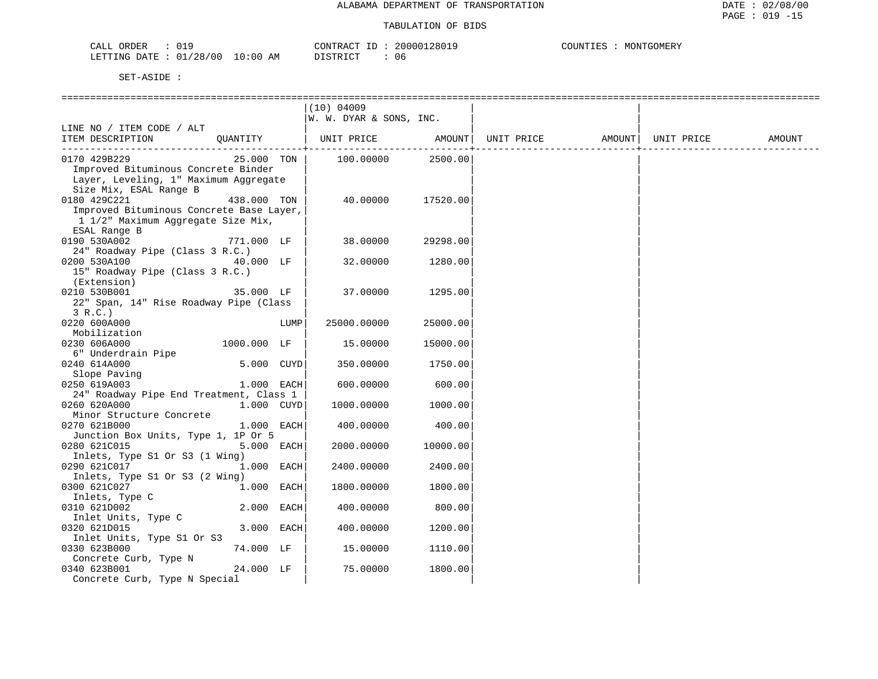| ORDER<br>CALL  |            |             | CONTRACT | 20000128019 | COUNT<br>MONTGOMERY<br>TES |
|----------------|------------|-------------|----------|-------------|----------------------------|
| LETTING DATE : | : 01/28/00 | 10:00<br>AΜ | DISTRICT | 06          |                            |

|                                          |             |      | (10) 04009              |          |            |        |            |        |
|------------------------------------------|-------------|------|-------------------------|----------|------------|--------|------------|--------|
|                                          |             |      | W. W. DYAR & SONS, INC. |          |            |        |            |        |
| LINE NO / ITEM CODE / ALT                |             |      |                         |          |            |        |            |        |
| ITEM DESCRIPTION                         | OUANTITY    |      | UNIT PRICE AMOUNT       |          | UNIT PRICE | AMOUNT | UNIT PRICE | AMOUNT |
|                                          |             |      |                         |          |            |        |            |        |
| 0170 429B229                             | 25.000 TON  |      | 100.00000               | 2500.00  |            |        |            |        |
| Improved Bituminous Concrete Binder      |             |      |                         |          |            |        |            |        |
| Layer, Leveling, 1" Maximum Aggregate    |             |      |                         |          |            |        |            |        |
| Size Mix, ESAL Range B                   |             |      |                         |          |            |        |            |        |
| 0180 429C221                             | 438.000 TON |      | 40.00000                | 17520.00 |            |        |            |        |
| Improved Bituminous Concrete Base Layer, |             |      |                         |          |            |        |            |        |
| 1 1/2" Maximum Aggregate Size Mix,       |             |      |                         |          |            |        |            |        |
| ESAL Range B                             |             |      |                         |          |            |        |            |        |
| 0190 530A002                             | 771.000 LF  |      | 38.00000                | 29298.00 |            |        |            |        |
| 24" Roadway Pipe (Class 3 R.C.)          |             |      |                         |          |            |        |            |        |
| 0200 530A100                             | 40.000 LF   |      | 32.00000                | 1280.00  |            |        |            |        |
| 15" Roadway Pipe (Class 3 R.C.)          |             |      |                         |          |            |        |            |        |
| (Extension)                              |             |      |                         |          |            |        |            |        |
| 0210 530B001                             | 35.000 LF   |      | 37.00000                | 1295.00  |            |        |            |        |
| 22" Span, 14" Rise Roadway Pipe (Class   |             |      |                         |          |            |        |            |        |
| 3 R.C.)                                  |             |      |                         |          |            |        |            |        |
| 0220 600A000                             |             | LUMP | 25000.00000             | 25000.00 |            |        |            |        |
| Mobilization                             |             |      |                         |          |            |        |            |        |
| 0230 606A000                             | 1000.000 LF |      | 15.00000                | 15000.00 |            |        |            |        |
| 6" Underdrain Pipe                       |             |      |                         |          |            |        |            |        |
| 0240 614A000                             | 5.000 CUYD  |      | 350.00000               | 1750.00  |            |        |            |        |
| Slope Paving                             |             |      |                         |          |            |        |            |        |
| 0250 619A003                             | 1.000 EACH  |      | 600.00000               | 600.00   |            |        |            |        |
| 24" Roadway Pipe End Treatment, Class 1  |             |      |                         |          |            |        |            |        |
| 0260 620A000                             | 1.000 CUYD  |      | 1000.00000              | 1000.00  |            |        |            |        |
| Minor Structure Concrete                 |             |      |                         |          |            |        |            |        |
| 0270 621B000                             | 1.000 EACH  |      | 400.00000               | 400.00   |            |        |            |        |
| Junction Box Units, Type 1, 1P Or 5      |             |      |                         |          |            |        |            |        |
| 0280 621C015                             | 5.000 EACH  |      | 2000.00000              | 10000.00 |            |        |            |        |
| Inlets, Type S1 Or S3 (1 Wing)           |             |      |                         |          |            |        |            |        |
| 0290 621C017                             | 1.000 EACH  |      | 2400.00000              | 2400.00  |            |        |            |        |
| Inlets, Type S1 Or S3 (2 Wing)           |             |      |                         |          |            |        |            |        |
| 0300 621C027                             | 1.000 EACH  |      | 1800.00000              | 1800.00  |            |        |            |        |
| Inlets, Type C                           |             |      |                         |          |            |        |            |        |
| 0310 621D002                             | 2.000 EACH  |      | 400.00000               | 800.00   |            |        |            |        |
| Inlet Units, Type C                      |             |      |                         |          |            |        |            |        |
| 0320 621D015                             | 3.000 EACH  |      | 400.00000               | 1200.00  |            |        |            |        |
| Inlet Units, Type S1 Or S3               |             |      |                         |          |            |        |            |        |
| 0330 623B000                             | 74.000 LF   |      | 15.00000                | 1110.00  |            |        |            |        |
| Concrete Curb, Type N                    |             |      |                         |          |            |        |            |        |
| 0340 623B001                             | 24.000 LF   |      | 75.00000                | 1800.00  |            |        |            |        |
| Concrete Curb, Type N Special            |             |      |                         |          |            |        |            |        |
|                                          |             |      |                         |          |            |        |            |        |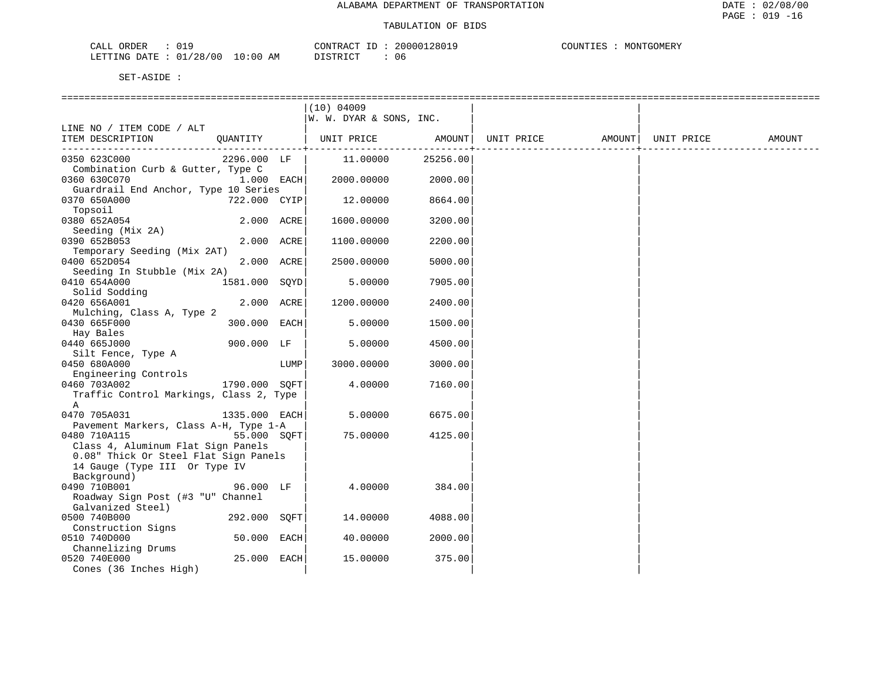| つやいだん<br>$\sim - -$<br>البلطات<br>KDER                                                 |    | <b>ANTE</b><br>$\sim$<br>א שי |      | ำMERY<br>: TNT"<br>IVIL JIV<br>ن نا نا |
|----------------------------------------------------------------------------------------|----|-------------------------------|------|----------------------------------------|
| ח ה'<br><b>FTTING</b><br>$^{\prime}$ כ<br>DATE.<br>the contract of the contract of the | AM | $T$ $\cap$ $T$<br>תחים:       | - 06 |                                        |

|                                                                             |               |      | (10) 04009<br>W. W. DYAR & SONS, INC. |          |                   |            |        |
|-----------------------------------------------------------------------------|---------------|------|---------------------------------------|----------|-------------------|------------|--------|
| LINE NO / ITEM CODE / ALT<br>ITEM DESCRIPTION                               | QUANTITY      |      | UNIT PRICE                            | AMOUNT   | UNIT PRICE AMOUNT | UNIT PRICE | AMOUNT |
| 0350 623C000                                                                | 2296.000 LF   |      | 11,00000                              | 25256.00 |                   |            |        |
| Combination Curb & Gutter, Type C<br>0360 630C070                           | $1.000$ EACH  |      | 2000.00000                            | 2000.00  |                   |            |        |
| Guardrail End Anchor, Type 10 Series<br>0370 650A000                        | 722.000 CYIP  |      | 12.00000                              | 8664.00  |                   |            |        |
| Topsoil<br>0380 652A054                                                     | 2.000 ACRE    |      | 1600.00000                            | 3200.00  |                   |            |        |
| Seeding (Mix 2A)                                                            |               |      |                                       |          |                   |            |        |
| 0390 652B053<br>Temporary Seeding (Mix 2AT)                                 | 2.000 ACRE    |      | 1100.00000                            | 2200.00  |                   |            |        |
| 0400 652D054<br>Seeding In Stubble (Mix 2A)                                 | 2.000 ACRE    |      | 2500.00000                            | 5000.00  |                   |            |        |
| 0410 654A000<br>Solid Sodding                                               | 1581.000 SQYD |      | 5.00000                               | 7905.00  |                   |            |        |
| 0420 656A001<br>Mulching, Class A, Type 2                                   | 2.000 ACRE    |      | 1200.00000                            | 2400.00  |                   |            |        |
| 0430 665F000                                                                | 300.000 EACH  |      | 5.00000                               | 1500.00  |                   |            |        |
| Hay Bales<br>0440 665J000                                                   | 900.000 LF    |      | 5.00000                               | 4500.00  |                   |            |        |
| Silt Fence, Type A<br>0450 680A000                                          |               | LUMP | 3000.00000                            | 3000.00  |                   |            |        |
| Engineering Controls<br>0460 703A002                                        | 1790.000 SOFT |      | 4.00000                               | 7160.00  |                   |            |        |
| Traffic Control Markings, Class 2, Type<br>A                                |               |      |                                       |          |                   |            |        |
| 0470 705A031<br>Pavement Markers, Class A-H, Type 1-A                       | 1335.000 EACH |      | 5.00000                               | 6675.00  |                   |            |        |
| 0480 710A115                                                                | 55.000 SOFT   |      | 75.00000                              | 4125.00  |                   |            |        |
| Class 4, Aluminum Flat Sign Panels<br>0.08" Thick Or Steel Flat Sign Panels |               |      |                                       |          |                   |            |        |
| 14 Gauge (Type III Or Type IV<br>Background)                                |               |      |                                       |          |                   |            |        |
| 0490 710B001<br>Roadway Sign Post (#3 "U" Channel                           | 96.000 LF     |      | 4.00000                               | 384.00   |                   |            |        |
| Galvanized Steel)<br>0500 740B000                                           | 292.000 SOFT  |      | 14.00000                              | 4088.00  |                   |            |        |
| Construction Signs<br>0510 740D000                                          | 50.000 EACH   |      | 40.00000                              | 2000.00  |                   |            |        |
| Channelizing Drums<br>0520 740E000                                          | 25.000 EACH   |      | 15.00000                              | 375.00   |                   |            |        |
| Cones (36 Inches High)                                                      |               |      |                                       |          |                   |            |        |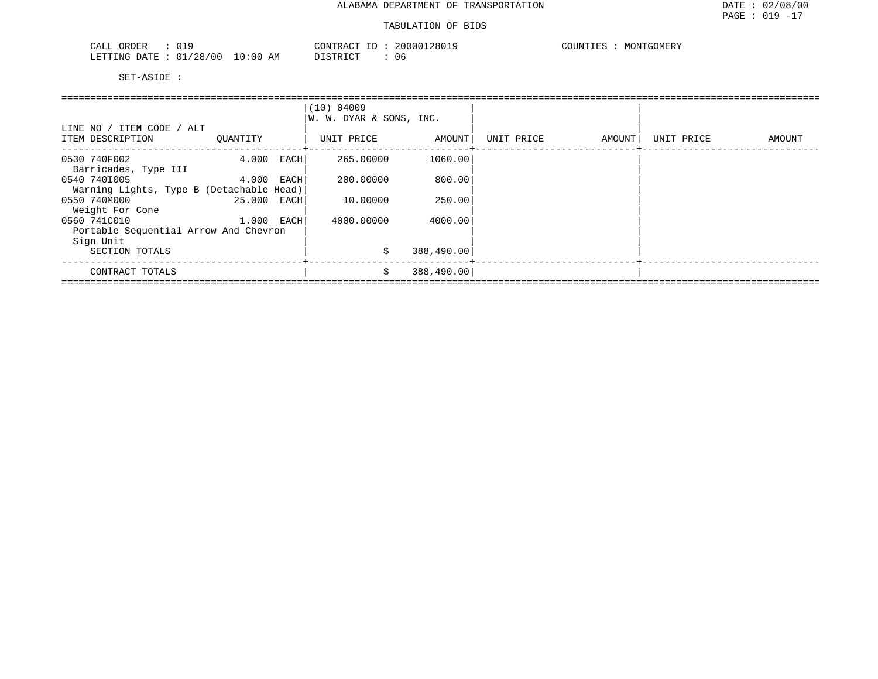#### TABULATION OF BIDS

| ORDER<br>CALL<br>. U 1. -       | CONTRACT<br>TD.                    | 2000012801 | COUNTIES<br>MONTGOMERY |
|---------------------------------|------------------------------------|------------|------------------------|
| /28/00<br>LETTING<br>DATE<br>01 | 10:00<br>DISTRICT<br>AΜ<br>◡∸◡+៶+◡ | -06        |                        |

|                                          |             |      | (10) 04009              |            |            |        |            |        |  |  |  |
|------------------------------------------|-------------|------|-------------------------|------------|------------|--------|------------|--------|--|--|--|
|                                          |             |      | W. W. DYAR & SONS, INC. |            |            |        |            |        |  |  |  |
| LINE NO / ITEM CODE / ALT                |             |      |                         |            |            |        |            |        |  |  |  |
| ITEM DESCRIPTION                         | QUANTITY    |      | UNIT PRICE              | AMOUNT     | UNIT PRICE | AMOUNT | UNIT PRICE | AMOUNT |  |  |  |
| 0530 740F002                             | 4.000       | EACH | 265.00000               | 1060.00    |            |        |            |        |  |  |  |
| Barricades, Type III                     |             |      |                         |            |            |        |            |        |  |  |  |
| 0540 7401005                             | 4.000 EACH  |      | 200.00000               | 800.00     |            |        |            |        |  |  |  |
| Warning Lights, Type B (Detachable Head) |             |      |                         |            |            |        |            |        |  |  |  |
| 0550 740M000                             | 25.000 EACH |      | 10.00000                | 250.00     |            |        |            |        |  |  |  |
| Weight For Cone                          |             |      |                         |            |            |        |            |        |  |  |  |
| 0560 741C010                             | 1.000 EACH  |      | 4000.00000              | 4000.00    |            |        |            |        |  |  |  |
| Portable Sequential Arrow And Chevron    |             |      |                         |            |            |        |            |        |  |  |  |
| Sign Unit                                |             |      |                         |            |            |        |            |        |  |  |  |
| SECTION TOTALS                           |             |      | \$                      | 388,490.00 |            |        |            |        |  |  |  |
| CONTRACT TOTALS                          |             |      | Ŝ.                      | 388,490.00 |            |        |            |        |  |  |  |
|                                          |             |      |                         |            |            |        |            |        |  |  |  |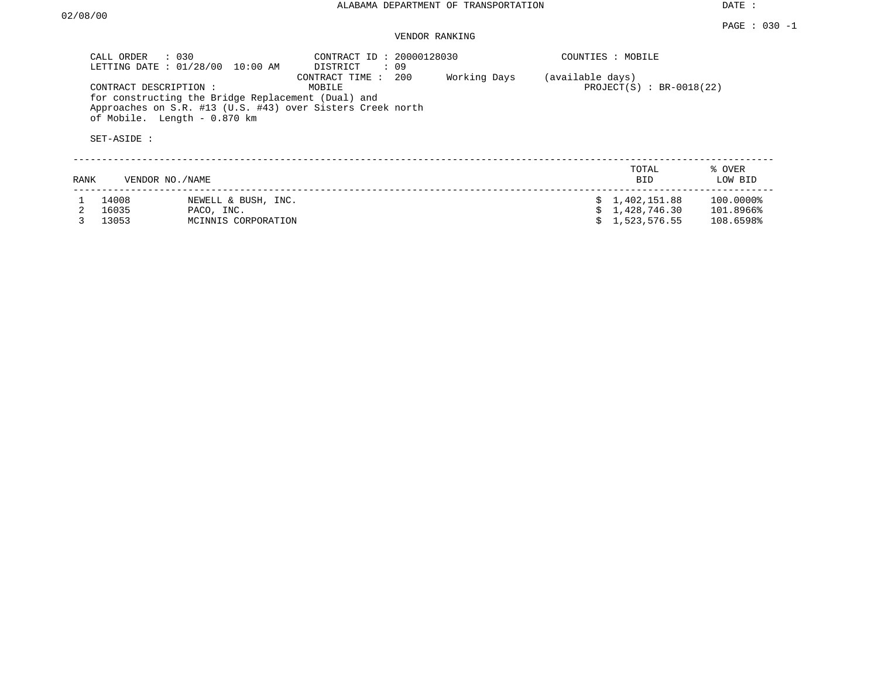DATE :

# VENDOR RANKING

|      | CALL ORDER<br>$\therefore$ 030<br>LETTING DATE: 01/28/00 | $10:00$ AM                                                                         | CONTRACT ID: 20000128030<br>DISTRICT<br>: 09                                                  |              | COUNTIES : MOBILE |                            |                   |
|------|----------------------------------------------------------|------------------------------------------------------------------------------------|-----------------------------------------------------------------------------------------------|--------------|-------------------|----------------------------|-------------------|
|      | CONTRACT DESCRIPTION:<br>SET-ASIDE :                     | for constructing the Bridge Replacement (Dual) and<br>of Mobile. Length - 0.870 km | 200<br>CONTRACT TIME:<br>MOBILE<br>Approaches on S.R. #13 (U.S. #43) over Sisters Creek north | Working Days | (available days)  | $PROJECT(S)$ : BR-0018(22) |                   |
| RANK | VENDOR NO./NAME                                          |                                                                                    |                                                                                               |              |                   | TOTAL<br><b>BID</b>        | % OVER<br>LOW BID |
|      | 14008                                                    | NEWELL & BUSH, INC.                                                                |                                                                                               |              | S.                | 1,402,151.88               | 100.0000%         |
|      | 16035                                                    | PACO, INC.                                                                         |                                                                                               |              |                   | 1,428,746.30               | 101.8966%         |
|      | 13053                                                    | MCINNIS CORPORATION                                                                |                                                                                               |              |                   | 1,523,576.55               | 108.6598%         |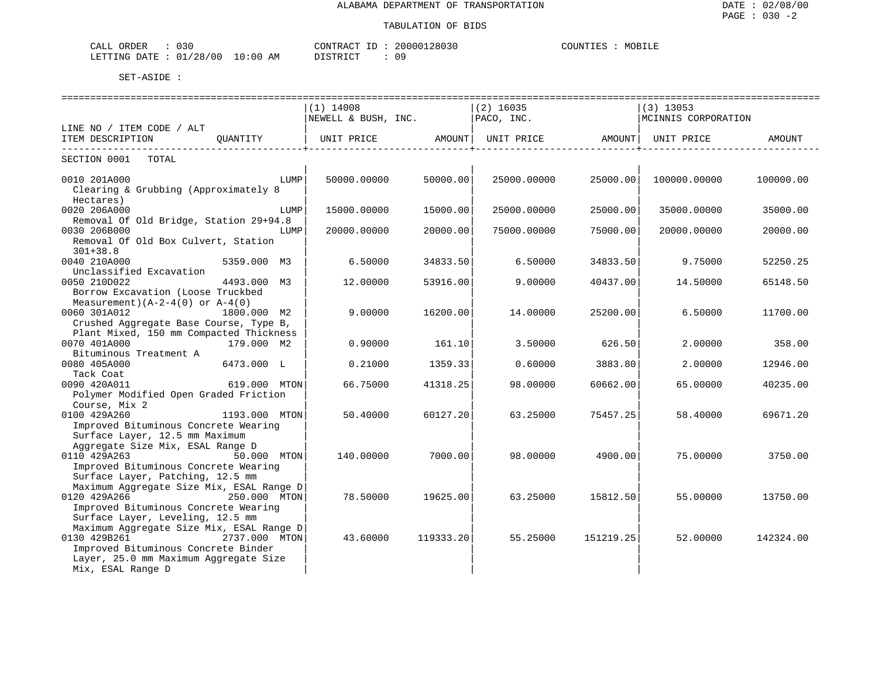| CALL ORDER                      | 030 | CONTRACT ID: | 20000128030 | COUNTIES | MOBILE |
|---------------------------------|-----|--------------|-------------|----------|--------|
| LETTING DATE: 01/28/00 10:00 AM |     | DISTRICT     | 09          |          |        |

|                                                                      | ===============================       |           | =============================== |                    | ---------------------------------- |           |
|----------------------------------------------------------------------|---------------------------------------|-----------|---------------------------------|--------------------|------------------------------------|-----------|
|                                                                      | $(1)$ 14008                           |           | $(2)$ 16035                     |                    | $(3)$ 13053                        |           |
|                                                                      | NEWELL & BUSH, INC.                   |           | PACO, INC.                      |                    | MCINNIS CORPORATION                |           |
| LINE NO / ITEM CODE / ALT                                            |                                       |           |                                 |                    |                                    |           |
| ITEM DESCRIPTION<br>OUANTITY                                         | UNIT PRICE AMOUNT   UNIT PRICE AMOUNT |           |                                 | -----------------+ | UNIT PRICE                         | AMOUNT    |
| SECTION 0001<br>TOTAL                                                |                                       |           |                                 |                    |                                    |           |
| 0010 201A000<br>LUMP                                                 | 50000.00000                           | 50000.00  | 25000.00000                     | 25000.00           | 100000.00000                       | 100000.00 |
| Clearing & Grubbing (Approximately 8                                 |                                       |           |                                 |                    |                                    |           |
| Hectares)                                                            |                                       |           |                                 |                    |                                    |           |
| 0020 206A000<br>LUMP                                                 | 15000.00000                           | 15000.00  | 25000.00000                     | 25000.00           | 35000.00000                        | 35000.00  |
| Removal Of Old Bridge, Station 29+94.8                               |                                       |           |                                 |                    |                                    |           |
| 0030 206B000<br>LUMP                                                 | 20000.00000                           | 20000.00  | 75000.00000                     | 75000.00           | 20000.00000                        | 20000.00  |
| Removal Of Old Box Culvert, Station<br>$301 + 38.8$                  |                                       |           |                                 |                    |                                    |           |
| 0040 210A000<br>5359.000 M3                                          | 6.50000                               | 34833.50  | 6.50000                         | 34833.50           | 9.75000                            | 52250.25  |
| Unclassified Excavation                                              |                                       |           |                                 |                    |                                    |           |
| 0050 210D022<br>4493.000 M3                                          | 12.00000                              | 53916.00  | 9.00000                         | 40437.00           | 14.50000                           | 65148.50  |
| Borrow Excavation (Loose Truckbed                                    |                                       |           |                                 |                    |                                    |           |
| Measurement) $(A-2-4(0)$ or $A-4(0)$                                 |                                       |           |                                 |                    |                                    |           |
| 0060 301A012<br>1800.000 M2                                          | 9.00000                               | 16200.00  | 14.00000                        | 25200.00           | 6.50000                            | 11700.00  |
| Crushed Aggregate Base Course, Type B,                               |                                       |           |                                 |                    |                                    |           |
| Plant Mixed, 150 mm Compacted Thickness                              |                                       |           |                                 |                    |                                    |           |
| 0070 401A000<br>179.000 M2                                           | 0.90000                               | 161.10    | 3.50000                         | 626.50             | 2,00000                            | 358.00    |
| Bituminous Treatment A<br>0080 405A000<br>6473.000 L                 | 0.21000                               | 1359.33   | 0.60000                         | 3883.80            | 2.00000                            | 12946.00  |
| Tack Coat                                                            |                                       |           |                                 |                    |                                    |           |
| 0090 420A011<br>619.000 MTON                                         | 66.75000                              | 41318.25  | 98.00000                        | 60662.00           | 65.00000                           | 40235.00  |
| Polymer Modified Open Graded Friction                                |                                       |           |                                 |                    |                                    |           |
| Course, Mix 2                                                        |                                       |           |                                 |                    |                                    |           |
| 0100 429A260<br>1193.000 MTON                                        | 50.40000                              | 60127.20  | 63.25000                        | 75457.25           | 58.40000                           | 69671.20  |
| Improved Bituminous Concrete Wearing                                 |                                       |           |                                 |                    |                                    |           |
| Surface Layer, 12.5 mm Maximum                                       |                                       |           |                                 |                    |                                    |           |
| Aggregate Size Mix, ESAL Range D                                     |                                       |           |                                 |                    |                                    |           |
| 0110 429A263<br>50.000 MTON                                          | 140.00000                             | 7000.00   | 98.00000                        | 4900.00            | 75.00000                           | 3750.00   |
| Improved Bituminous Concrete Wearing                                 |                                       |           |                                 |                    |                                    |           |
| Surface Layer, Patching, 12.5 mm                                     |                                       |           |                                 |                    |                                    |           |
| Maximum Aggregate Size Mix, ESAL Range D                             |                                       |           |                                 |                    |                                    |           |
| 0120 429A266<br>250.000 MTON                                         | 78.50000                              | 19625.00  | 63.25000                        | 15812.50           | 55.00000                           | 13750.00  |
| Improved Bituminous Concrete Wearing                                 |                                       |           |                                 |                    |                                    |           |
| Surface Layer, Leveling, 12.5 mm                                     |                                       |           |                                 |                    |                                    |           |
| Maximum Aggregate Size Mix, ESAL Range D                             |                                       |           |                                 |                    |                                    |           |
| 0130 429B261<br>2737.000 MTON<br>Improved Bituminous Concrete Binder | 43.60000                              | 119333.20 | 55.25000                        | 151219.25          | 52.00000                           | 142324.00 |
| Layer, 25.0 mm Maximum Aggregate Size                                |                                       |           |                                 |                    |                                    |           |
|                                                                      |                                       |           |                                 |                    |                                    |           |
| Mix, ESAL Range D                                                    |                                       |           |                                 |                    |                                    |           |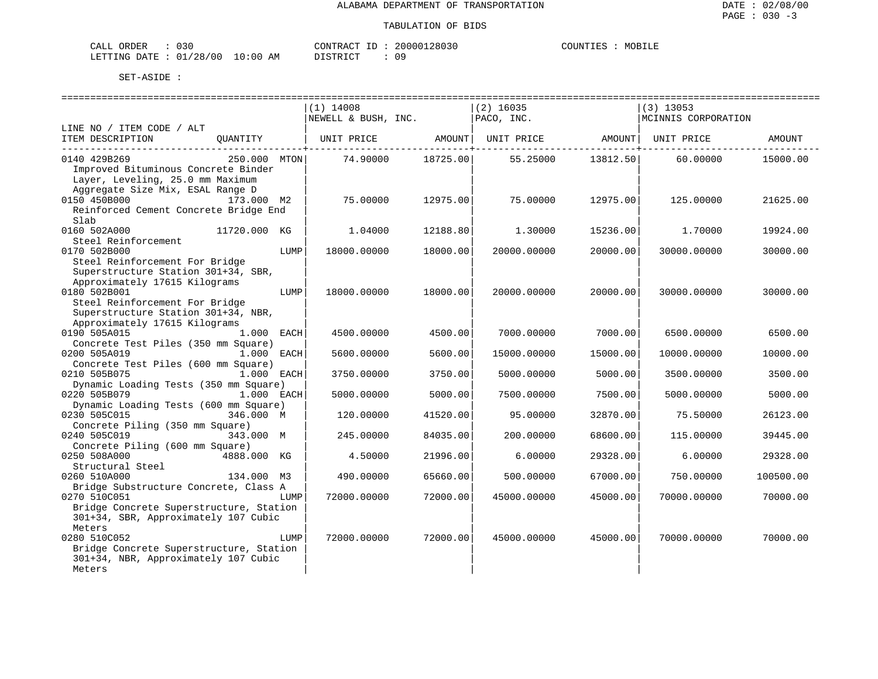| ORDER<br>CALL (               | 030 |    | CONTRACT ID: | 20000128030 | COUNTIES | MOBILE |
|-------------------------------|-----|----|--------------|-------------|----------|--------|
| LETTING DATE : 01/28/00 10:00 |     | AΜ | PISTRICT     |             |          |        |

|                                         |      | =============================        |          | =========================== |          | ============================                   |           |
|-----------------------------------------|------|--------------------------------------|----------|-----------------------------|----------|------------------------------------------------|-----------|
|                                         |      | $(1)$ 14008                          |          | $(2)$ 16035                 |          | $(3)$ 13053                                    |           |
|                                         |      | $NEWELL & BUSH, INC.$ $  PACO, INC.$ |          |                             |          | MCINNIS CORPORATION                            |           |
| LINE NO / ITEM CODE / ALT               |      |                                      |          |                             |          |                                                |           |
| ITEM DESCRIPTION<br>QUANTITY            |      |                                      |          |                             |          | UNIT PRICE AMOUNT UNIT PRICE AMOUNT UNIT PRICE | AMOUNT    |
| ---------------------------             |      |                                      |          |                             |          |                                                |           |
| 0140 429B269<br>250.000 MTON            |      | 74.90000 18725.00                    |          | 55.25000                    | 13812.50 | 60.00000                                       | 15000.00  |
| Improved Bituminous Concrete Binder     |      |                                      |          |                             |          |                                                |           |
| Layer, Leveling, 25.0 mm Maximum        |      |                                      |          |                             |          |                                                |           |
| Aggregate Size Mix, ESAL Range D        |      |                                      |          |                             |          |                                                |           |
| 0150 450B000<br>173.000 M2              |      | 75,00000                             | 12975.00 | 75.00000                    | 12975.00 | 125,00000                                      | 21625.00  |
| Reinforced Cement Concrete Bridge End   |      |                                      |          |                             |          |                                                |           |
| Slab                                    |      |                                      |          |                             |          |                                                |           |
| 0160 502A000<br>11720.000 KG            |      | 1.04000                              | 12188.80 | 1,30000                     | 15236.00 | 1,70000                                        | 19924.00  |
| Steel Reinforcement                     |      |                                      |          |                             |          |                                                |           |
| 0170 502B000                            | LUMP | 18000.00000                          | 18000.00 | 20000.00000                 | 20000.00 | 30000.00000                                    | 30000.00  |
| Steel Reinforcement For Bridge          |      |                                      |          |                             |          |                                                |           |
| Superstructure Station 301+34, SBR,     |      |                                      |          |                             |          |                                                |           |
| Approximately 17615 Kilograms           |      |                                      |          |                             |          |                                                |           |
| 0180 502B001                            | LUMP | 18000.00000                          | 18000.00 | 20000.00000                 | 20000.00 | 30000.00000                                    | 30000.00  |
| Steel Reinforcement For Bridge          |      |                                      |          |                             |          |                                                |           |
| Superstructure Station 301+34, NBR,     |      |                                      |          |                             |          |                                                |           |
| Approximately 17615 Kilograms           |      |                                      |          |                             |          |                                                |           |
| 0190 505A015<br>1.000 EACH              |      | 4500.00000                           | 4500.00  | 7000.00000                  | 7000.00  | 6500.00000                                     | 6500.00   |
| Concrete Test Piles (350 mm Square)     |      |                                      |          |                             |          |                                                |           |
| 0200 505A019<br>1.000 EACH              |      | 5600.00000                           | 5600.00  | 15000.00000                 | 15000.00 | 10000.00000                                    | 10000.00  |
| Concrete Test Piles (600 mm Square)     |      |                                      |          |                             |          |                                                |           |
| 0210 505B075<br>1.000 EACH              |      | 3750.00000                           | 3750.00  | 5000.00000                  | 5000.00  | 3500.00000                                     | 3500.00   |
| Dynamic Loading Tests (350 mm Square)   |      |                                      |          |                             |          |                                                |           |
| 0220 505B079<br>1.000 EACH              |      | 5000.00000                           | 5000.00  | 7500.00000                  | 7500.00  | 5000.00000                                     | 5000.00   |
| Dynamic Loading Tests (600 mm Square)   |      |                                      |          |                             |          |                                                |           |
| 0230 505C015<br>346.000 M               |      | 120.00000                            | 41520.00 | 95.00000                    | 32870.00 | 75.50000                                       | 26123.00  |
| Concrete Piling (350 mm Square)         |      |                                      |          |                             |          |                                                |           |
| 0240 505C019<br>343.000 M               |      | 245.00000                            | 84035.00 | 200.00000                   | 68600.00 | 115.00000                                      | 39445.00  |
| Concrete Piling (600 mm Square)         |      |                                      |          |                             |          |                                                |           |
| 0250 508A000<br>4888.000 KG             |      | 4.50000                              | 21996.00 | 6.00000                     | 29328.00 | 6.00000                                        | 29328.00  |
| Structural Steel                        |      |                                      |          |                             |          |                                                |           |
| 0260 510A000<br>134.000 M3              |      | 490.00000                            | 65660.00 | 500.00000                   | 67000.00 | 750.00000                                      | 100500.00 |
| Bridge Substructure Concrete, Class A   |      |                                      |          |                             |          |                                                |           |
| 0270 510C051                            | LUMP | 72000.00000                          | 72000.00 | 45000.00000                 | 45000.00 | 70000.00000                                    | 70000.00  |
| Bridge Concrete Superstructure, Station |      |                                      |          |                             |          |                                                |           |
| 301+34, SBR, Approximately 107 Cubic    |      |                                      |          |                             |          |                                                |           |
| Meters                                  |      |                                      |          |                             |          |                                                |           |
| 0280 510C052                            | LUMP | 72000.00000                          | 72000.00 | 45000.00000                 | 45000.00 | 70000.00000                                    | 70000.00  |
| Bridge Concrete Superstructure, Station |      |                                      |          |                             |          |                                                |           |
| 301+34, NBR, Approximately 107 Cubic    |      |                                      |          |                             |          |                                                |           |
| Meters                                  |      |                                      |          |                             |          |                                                |           |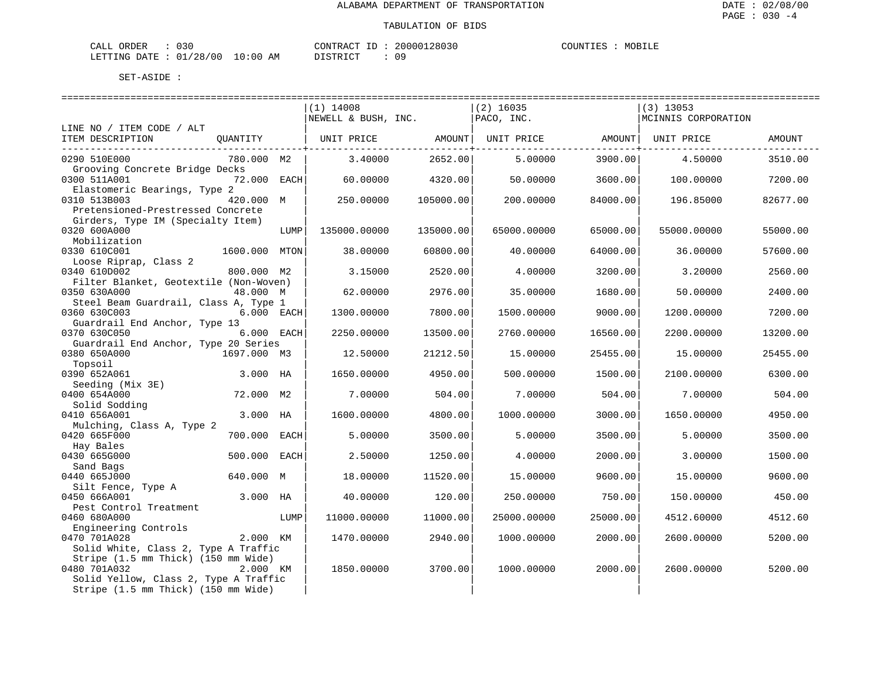| CALL ORDER | 030                              |          |  | CONTRACT ID: 20000128030 | COUNTIES | MOBILE |
|------------|----------------------------------|----------|--|--------------------------|----------|--------|
|            | LETTING DATE : 01/28/00 10:00 AM | DISTRICT |  |                          |          |        |

|                                                                                   |             |      | =============================<br>$(1)$ 14008 |           | ================================<br>$(2)$ 16035 |          | =============================<br>$(3)$ 13053 |               |
|-----------------------------------------------------------------------------------|-------------|------|----------------------------------------------|-----------|-------------------------------------------------|----------|----------------------------------------------|---------------|
| LINE NO / ITEM CODE / ALT                                                         |             |      | NEWELL & BUSH, INC.                          |           | PACO, INC.                                      |          | MCINNIS CORPORATION                          |               |
| ITEM DESCRIPTION                                                                  | OUANTITY    |      | UNIT PRICE                                   | AMOUNT    | UNIT PRICE                                      | AMOUNT   | UNIT PRICE                                   | <b>AMOUNT</b> |
| 0290 510E000<br>Grooving Concrete Bridge Decks                                    | 780.000 M2  |      | 3.40000                                      | 2652.00   | 5,00000                                         | 3900.00  | 4.50000                                      | 3510.00       |
| 0300 511A001                                                                      | 72.000 EACH |      | 60.00000                                     | 4320.00   | 50.00000                                        | 3600.00  | 100.00000                                    | 7200.00       |
| Elastomeric Bearings, Type 2<br>0310 513B003<br>Pretensioned-Prestressed Concrete | 420.000 M   |      | 250.00000                                    | 105000.00 | 200.00000                                       | 84000.00 | 196.85000                                    | 82677.00      |
| Girders, Type IM (Specialty Item)<br>0320 600A000<br>Mobilization                 |             | LUMP | 135000.00000                                 | 135000.00 | 65000.00000                                     | 65000.00 | 55000.00000                                  | 55000.00      |
| 0330 610C001<br>Loose Riprap, Class 2                                             | 1600.000    | MTON | 38.00000                                     | 60800.00  | 40.00000                                        | 64000.00 | 36.00000                                     | 57600.00      |
| 0340 610D002                                                                      | 800.000 M2  |      | 3.15000                                      | 2520.00   | 4.00000                                         | 3200.00  | 3.20000                                      | 2560.00       |
| Filter Blanket, Geotextile (Non-Woven)<br>0350 630A000                            | 48.000 M    |      | 62.00000                                     | 2976.00   | 35.00000                                        | 1680.00  | 50.00000                                     | 2400.00       |
| Steel Beam Guardrail, Class A, Type 1<br>0360 630C003                             | 6.000 EACH  |      | 1300.00000                                   | 7800.00   | 1500.00000                                      | 9000.00  | 1200.00000                                   | 7200.00       |
| Guardrail End Anchor, Type 13<br>0370 630C050                                     | 6.000 EACH  |      | 2250.00000                                   | 13500.00  | 2760.00000                                      | 16560.00 | 2200.00000                                   | 13200.00      |
| Guardrail End Anchor, Type 20 Series<br>0380 650A000                              | 1697.000 M3 |      | 12.50000                                     | 21212.50  | 15,00000                                        | 25455.00 | 15,00000                                     | 25455.00      |
| Topsoil<br>0390 652A061                                                           | 3.000 HA    |      | 1650.00000                                   | 4950.00   | 500,00000                                       | 1500.00  | 2100.00000                                   | 6300.00       |
| Seeding (Mix 3E)<br>0400 654A000                                                  | 72.000 M2   |      | 7.00000                                      | 504.00    | 7.00000                                         | 504.00   | 7.00000                                      | 504.00        |
| Solid Sodding<br>0410 656A001                                                     | 3.000 HA    |      | 1600.00000                                   | 4800.00   | 1000.00000                                      | 3000.00  | 1650.00000                                   | 4950.00       |
| Mulching, Class A, Type 2<br>0420 665F000                                         | 700.000     | EACH | 5.00000                                      | 3500.00   | 5,00000                                         | 3500.00  | 5.00000                                      | 3500.00       |
| Hay Bales<br>0430 665G000                                                         | 500.000     | EACH | 2.50000                                      | 1250.00   | 4.00000                                         | 2000.00  | 3.00000                                      | 1500.00       |
| Sand Bags<br>0440 665J000                                                         | 640.000 M   |      | 18.00000                                     | 11520.00  | 15.00000                                        | 9600.00  | 15.00000                                     | 9600.00       |
| Silt Fence, Type A<br>0450 666A001                                                | 3.000 HA    |      | 40.00000                                     | 120.00    | 250.00000                                       | 750.00   | 150.00000                                    | 450.00        |
| Pest Control Treatment                                                            |             |      |                                              |           |                                                 |          |                                              |               |
| 0460 680A000<br>Engineering Controls                                              |             | LUMP | 11000.00000                                  | 11000.00  | 25000.00000                                     | 25000.00 | 4512.60000                                   | 4512.60       |
| 0470 701A028                                                                      | 2.000 KM    |      | 1470.00000                                   | 2940.00   | 1000.00000                                      | 2000.00  | 2600.00000                                   | 5200.00       |
| Solid White, Class 2, Type A Traffic<br>Stripe (1.5 mm Thick) (150 mm Wide)       |             |      |                                              |           |                                                 |          |                                              |               |
| 0480 701A032<br>Solid Yellow, Class 2, Type A Traffic                             | 2.000 KM    |      | 1850.00000                                   | 3700.00   | 1000.00000                                      | 2000.00  | 2600.00000                                   | 5200.00       |
| Stripe (1.5 mm Thick) (150 mm Wide)                                               |             |      |                                              |           |                                                 |          |                                              |               |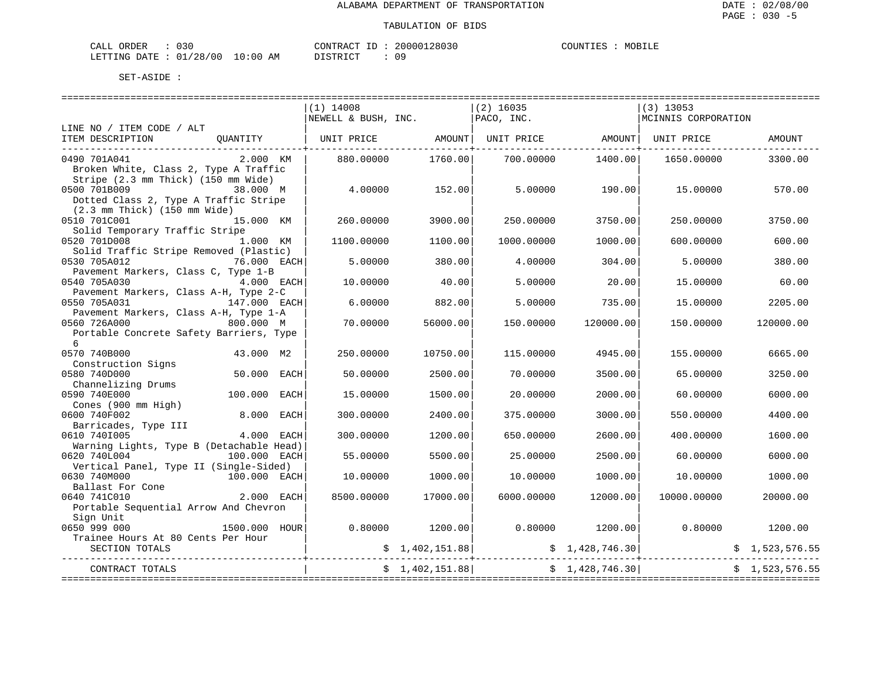| CALL ORDER                      | 030 | CONTRACT ID: 20000128030 |     | COUNTIES | MOBILE |
|---------------------------------|-----|--------------------------|-----|----------|--------|
| LETTING DATE: 01/28/00 10:00 AM |     | DISTRICT                 | 0 S |          |        |

|                                                                                                           |                 | $(1)$ 14008<br>NEWELL & BUSH, INC. |                 | $(2)$ 16035<br>PACO, INC.                   | ======================= | $(3)$ 13053<br>MCINNIS CORPORATION                                                                                    |                |
|-----------------------------------------------------------------------------------------------------------|-----------------|------------------------------------|-----------------|---------------------------------------------|-------------------------|-----------------------------------------------------------------------------------------------------------------------|----------------|
| LINE NO / ITEM CODE / ALT                                                                                 |                 |                                    |                 |                                             |                         |                                                                                                                       |                |
| ITEM DESCRIPTION                                                                                          | OUANTITY        |                                    |                 |                                             |                         | UNIT PRICE $\qquad \qquad \text{AMOUNT} \qquad \text{UNIT} \qquad \text{RMOUNT} \qquad \text{UNIT} \qquad \text{ENT}$ | AMOUNT         |
| 0490 701A041<br>Broken White, Class 2, Type A Traffic<br>Stripe (2.3 mm Thick) (150 mm Wide)              | 2.000 KM        | 880.00000                          | 1760.00         | 700.00000                                   | 1400.00                 | 1650.00000                                                                                                            | 3300.00        |
| 0500 701B009<br>Dotted Class 2, Type A Traffic Stripe<br>$(2.3 \text{ mm}$ Thick) $(150 \text{ mm}$ Wide) | 38.000 M        | 4.00000                            | 152.00          | 5.00000                                     | 190.001                 | 15.00000                                                                                                              | 570.00         |
| 0510 701C001<br>Solid Temporary Traffic Stripe                                                            | 15.000 KM       | 260.00000                          | 3900.00         | 250.00000                                   | 3750.00                 | 250.00000                                                                                                             | 3750.00        |
| 0520 701D008<br>Solid Traffic Stripe Removed (Plastic)                                                    | 1.000 KM        | 1100.00000                         | 1100.00         | 1000.00000                                  | 1000.00                 | 600.00000                                                                                                             | 600.00         |
| 0530 705A012<br>Pavement Markers, Class C, Type 1-B                                                       | 76.000 EACH     | 5.00000                            | 380.00          | 4.00000                                     | 304.00                  | 5.00000                                                                                                               | 380.00         |
| 0540 705A030<br>Pavement Markers, Class A-H, Type 2-C                                                     | 4.000 EACH      | 10.00000                           | 40.00           | 5,00000                                     | 20.00                   | 15.00000                                                                                                              | 60.00          |
| 0550 705A031<br>Pavement Markers, Class A-H, Type 1-A                                                     | $147.000$ EACH  | 6.00000                            | 882.00          | 5.00000                                     | 735.00                  | 15.00000                                                                                                              | 2205.00        |
| 0560 726A000<br>Portable Concrete Safety Barriers, Type<br>6                                              | 800.000 M       | 70,00000                           | 56000.00        | 150.00000                                   | 120000.00               | 150.00000                                                                                                             | 120000.00      |
| 0570 740B000<br>Construction Signs                                                                        | 43.000 M2       | 250.00000                          | 10750.00        | 115,00000                                   | 4945.00                 | 155.00000                                                                                                             | 6665.00        |
| 0580 740D000<br>Channelizing Drums                                                                        | 50.000 EACH     | 50.00000                           | 2500.00         | 70.00000                                    | 3500.00                 | 65.00000                                                                                                              | 3250.00        |
| 0590 740E000<br>Cones (900 mm High)                                                                       | 100.000<br>EACH | 15.00000                           | 1500.00         | 20.00000                                    | 2000.00                 | 60.00000                                                                                                              | 6000.00        |
| 0600 740F002<br>Barricades, Type III                                                                      | 8.000 EACH      | 300.00000                          | 2400.00         | 375.00000                                   | 3000.00                 | 550.00000                                                                                                             | 4400.00        |
| 0610 7401005<br>Warning Lights, Type B (Detachable Head)                                                  | 4.000 EACH      | 300.00000                          | 1200.00         | 650.00000                                   | 2600.00                 | 400.00000                                                                                                             | 1600.00        |
| 0620 740L004<br>Vertical Panel, Type II (Single-Sided)                                                    | 100.000 EACH    | 55.00000                           | 5500.00         | 25.00000                                    | 2500.00                 | 60.00000                                                                                                              | 6000.00        |
| 0630 740M000<br>Ballast For Cone                                                                          | 100.000 EACH    | 10.00000                           | 1000.00         | 10.00000                                    | 1000.00                 | 10.00000                                                                                                              | 1000.00        |
| 0640 741C010<br>Portable Sequential Arrow And Chevron<br>Sign Unit                                        | $2.000$ EACH    | 8500.00000                         | 17000.00        | 6000.00000                                  | 12000.00                | 10000.00000                                                                                                           | 20000.00       |
| 0650 999 000<br>Trainee Hours At 80 Cents Per Hour                                                        | 1500.000 HOUR   | 0.80000                            | 1200.00         |                                             |                         | $0.80000$ $1200.00$ $0.80000$                                                                                         | 1200.00        |
| SECTION TOTALS                                                                                            |                 |                                    |                 | $\sharp$ 1,402,151.88 $\sharp$ 1,428,746.30 |                         |                                                                                                                       | \$1,523,576.55 |
| CONTRACT TOTALS<br>==============                                                                         |                 |                                    | \$1,402,151.88] |                                             | \$1,428,746.30          |                                                                                                                       | \$1.523.576.55 |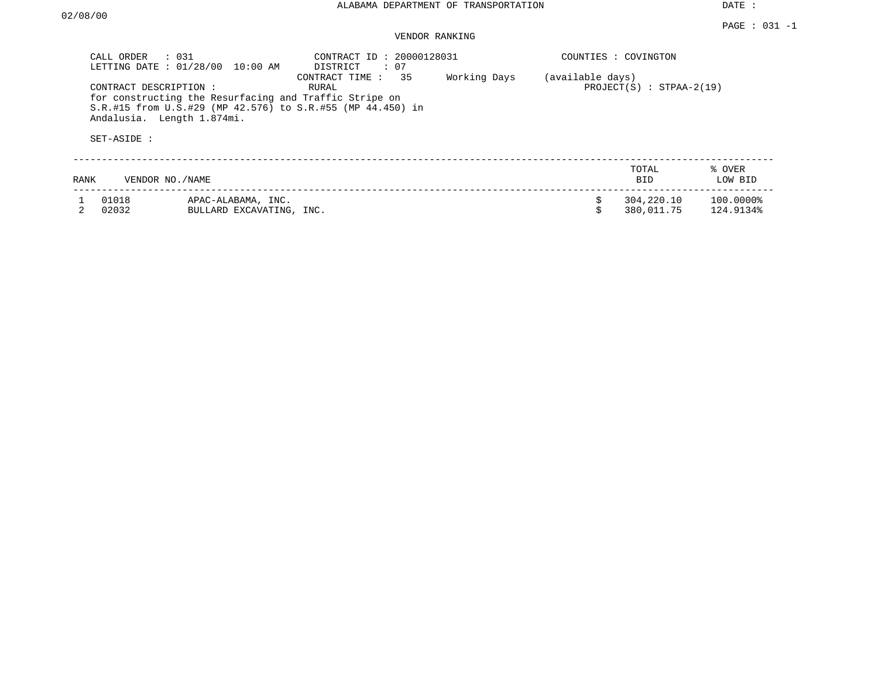DATE :

## VENDOR RANKING

|      | $\therefore$ 031<br>CALL ORDER<br>LETTING DATE: 01/28/00                                                                      | 10:00 AM                                       | CONTRACT ID: 20000128031<br>DISTRICT<br>: 07                                                |              |                  | COUNTIES : COVINGTON       |                        |
|------|-------------------------------------------------------------------------------------------------------------------------------|------------------------------------------------|---------------------------------------------------------------------------------------------|--------------|------------------|----------------------------|------------------------|
|      | CONTRACT DESCRIPTION :<br>for constructing the Resurfacing and Traffic Stripe on<br>Andalusia. Length 1.874mi.<br>SET-ASIDE : |                                                | 35<br>CONTRACT TIME:<br>RURAL<br>S.R.#15 from U.S.#29 (MP 42.576) to S.R.#55 (MP 44.450) in | Working Days | (available days) | $PROJECT(S)$ : STPAA-2(19) |                        |
| RANK | VENDOR NO./NAME                                                                                                               |                                                |                                                                                             |              |                  | TOTAL<br><b>BID</b>        | % OVER<br>LOW BID      |
|      | 01018<br>02032                                                                                                                | APAC-ALABAMA, INC.<br>BULLARD EXCAVATING, INC. |                                                                                             |              | Ŝ.               | 304,220.10<br>380,011.75   | 100.0000%<br>124.9134% |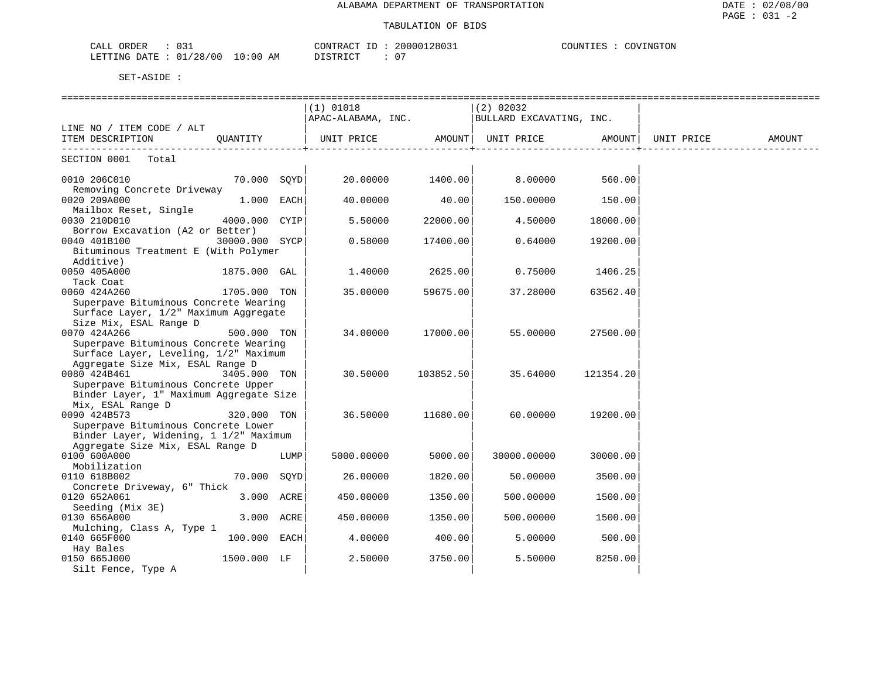| 031<br>CALL ORDER                |          | 20000128031<br>CONTRACT ID | COUNTIES :<br>COVINGTON |
|----------------------------------|----------|----------------------------|-------------------------|
| LETTING DATE : 01/28/00 10:00 AM | DISTRICT | - 07                       |                         |

|                                                                                |                |      | . =============================<br>$(1)$ 01018 |                  | ===================<br>$(2)$ 02032<br>$APAC-ALABAMA, INC.$ BULLARD EXCAVATING, INC. |                                   |        |
|--------------------------------------------------------------------------------|----------------|------|------------------------------------------------|------------------|-------------------------------------------------------------------------------------|-----------------------------------|--------|
| LINE NO / ITEM CODE / ALT                                                      |                |      |                                                |                  |                                                                                     |                                   |        |
| ITEM DESCRIPTION QUANTITY                                                      |                |      | UNIT PRICE AMOUNT                              | --------------+- | UNIT PRICE AMOUNT   UNIT PRICE                                                      | . _ _ _ _ _ _ _ _ _ _ _ _ _ _ _ _ | AMOUNT |
| SECTION 0001 Total                                                             |                |      |                                                |                  |                                                                                     |                                   |        |
| 0010 206C010<br>Removing Concrete Driveway                                     | 70.000 SQYD    |      | 20.00000 1400.00                               |                  | 8.00000                                                                             | 560.00                            |        |
| 0020 209A000<br>Mailbox Reset, Single                                          | $1.000$ EACH   |      | 40.00000                                       | 40.00            | 150.00000                                                                           | 150.00                            |        |
| 0030 210D010                                                                   | 4000.000 CYIP  |      | 5.50000                                        | 22000.00         | 4.50000                                                                             | 18000.00                          |        |
| Borrow Excavation (A2 or Better)<br>0040 401B100                               | 30000.000 SYCP |      | 0.58000                                        | 17400.00         | 0.64000                                                                             | 19200.00                          |        |
| Bituminous Treatment E (With Polymer<br>Additive)                              |                |      |                                                |                  |                                                                                     |                                   |        |
| 0050 405A000<br>Tack Coat                                                      | 1875.000 GAL   |      | 1.40000                                        | 2625.00          | 0.75000                                                                             | 1406.25                           |        |
| 0060 424A260<br>Superpave Bituminous Concrete Wearing                          | 1705.000 TON   |      | 35.00000                                       | 59675.00         | 37.28000                                                                            | 63562.40                          |        |
| Surface Layer, 1/2" Maximum Aggregate                                          |                |      |                                                |                  |                                                                                     |                                   |        |
| Size Mix, ESAL Range D<br>0070 424A266                                         | 500.000 TON    |      | 34.00000                                       | 17000.00         | 55.00000                                                                            | 27500.00                          |        |
| Superpave Bituminous Concrete Wearing<br>Surface Layer, Leveling, 1/2" Maximum |                |      |                                                |                  |                                                                                     |                                   |        |
| Aggregate Size Mix, ESAL Range D<br>0080 424B461                               | 3405.000 TON   |      | 30.50000                                       | 103852.50        | 35.64000                                                                            | 121354.20                         |        |
| Superpave Bituminous Concrete Upper<br>Binder Layer, 1" Maximum Aggregate Size |                |      |                                                |                  |                                                                                     |                                   |        |
| Mix, ESAL Range D                                                              |                |      |                                                |                  |                                                                                     |                                   |        |
| 0090 424B573<br>Superpave Bituminous Concrete Lower                            | 320.000 TON    |      | 36.50000                                       | 11680.00         | 60.00000                                                                            | 19200.00                          |        |
| Binder Layer, Widening, 1 1/2" Maximum<br>Aggregate Size Mix, ESAL Range D     |                |      |                                                |                  |                                                                                     |                                   |        |
| 0100 600A000                                                                   |                | LUMP | 5000.00000                                     | 5000.00          | 30000.00000                                                                         | 30000.00                          |        |
| Mobilization<br>0110 618B002                                                   | 70.000 SOYD    |      | 26.00000                                       | 1820.00          | 50.00000                                                                            | 3500.00                           |        |
| Concrete Driveway, 6" Thick<br>0120 652A061                                    | 3.000 ACRE     |      | 450.00000                                      | 1350.00          | 500.00000                                                                           | 1500.00                           |        |
| Seeding (Mix 3E)<br>0130 656A000                                               | 3.000 ACRE     |      | 450.00000                                      | 1350.00          | 500.00000                                                                           | 1500.00                           |        |
| Mulching, Class A, Type 1                                                      |                |      |                                                |                  |                                                                                     |                                   |        |
| 0140 665F000<br>Hay Bales                                                      | 100.000 EACH   |      | 4.00000                                        | 400.00           | 5.00000                                                                             | 500.00                            |        |
| 0150 665J000<br>Silt Fence, Type A                                             | 1500.000 LF    |      | 2.50000                                        | 3750.00          | 5.50000                                                                             | 8250.00                           |        |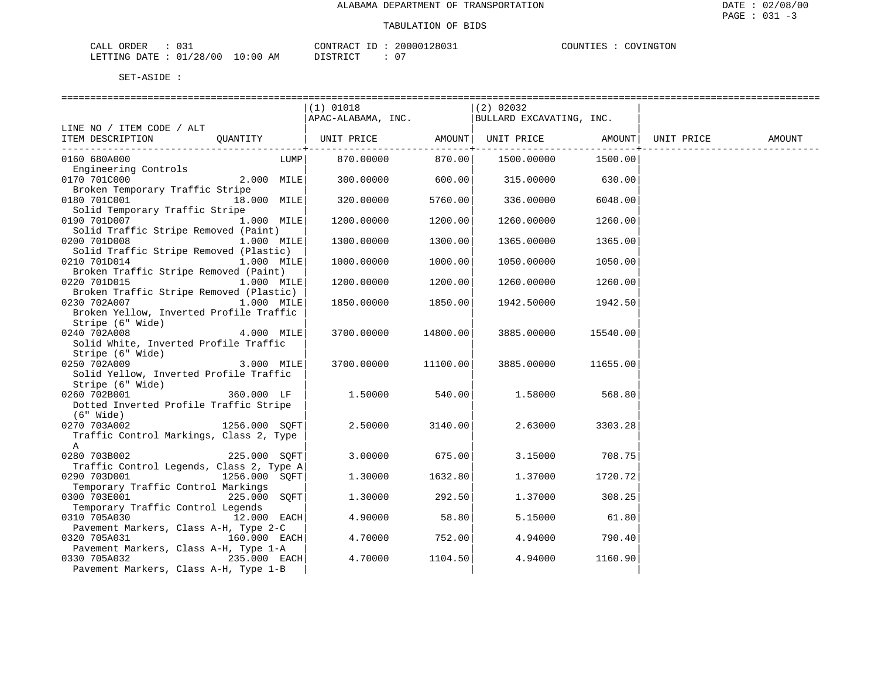| 031                              | 20000128031             | COVINGTON |
|----------------------------------|-------------------------|-----------|
| CALL ORDER                       | CONTRACT ID:            | COUNTIES  |
| LETTING DATE : 01/28/00 10:00 AM | $\cap$<br>DISTRICT<br>U |           |

| SET-ASIDE |  |
|-----------|--|
|           |  |

|                                          | (1) 01018                                                   |                        | (2) 02032           |                 |        |
|------------------------------------------|-------------------------------------------------------------|------------------------|---------------------|-----------------|--------|
|                                          | $\vert$ APAC-ALABAMA, INC. $\vert$ BULLARD EXCAVATING, INC. |                        |                     |                 |        |
| LINE NO / ITEM CODE / ALT                |                                                             |                        |                     |                 |        |
| ITEM DESCRIPTION QUANTITY                |                                                             |                        |                     |                 | AMOUNT |
|                                          |                                                             | --------------+------- |                     | --------------+ |        |
| 0160 680A000<br>LUMP                     | 870.00000                                                   |                        | 870.00   1500.00000 | 1500.00         |        |
| Engineering Controls                     |                                                             |                        |                     |                 |        |
| 0170 701C000<br>2.000 MILE               | $300.00000$ 600.00                                          |                        | 315.00000 630.00    |                 |        |
| Broken Temporary Traffic Stripe          |                                                             |                        |                     |                 |        |
| 0180 701C001<br>18.000 MILE              | 320.00000                                                   | 5760.00                | 336.00000           | 6048.00         |        |
| Solid Temporary Traffic Stripe           |                                                             |                        |                     |                 |        |
| 1.000 MILE<br>0190 701D007               | 1200.00000                                                  | 1200.00                | 1260.00000          | 1260.00         |        |
| Solid Traffic Stripe Removed (Paint)     |                                                             |                        |                     |                 |        |
| 0200 701D008<br>1.000 MILE               | 1300.00000                                                  | 1300.00                | 1365.00000          | 1365.00         |        |
| Solid Traffic Stripe Removed (Plastic)   |                                                             |                        |                     |                 |        |
| 0210 701D014<br>$1.000$ MILE             | 1000.00000                                                  | 1000.00                | 1050.00000          | 1050.00         |        |
| Broken Traffic Stripe Removed (Paint)    |                                                             |                        |                     |                 |        |
| 0220 701D015<br>1.000 MILE               | 1200.00000                                                  | 1200.00                | 1260.00000          | 1260.00         |        |
| Broken Traffic Stripe Removed (Plastic)  |                                                             |                        |                     |                 |        |
| 0230 702A007<br>1.000 MILE               | 1850.00000                                                  | 1850.00                | 1942.50000          | 1942.50         |        |
| Broken Yellow, Inverted Profile Traffic  |                                                             |                        |                     |                 |        |
| Stripe (6" Wide)                         |                                                             |                        |                     |                 |        |
| 4.000 MILE<br>0240 702A008               | 3700.00000 14800.00                                         |                        | 3885.00000          | 15540.00        |        |
| Solid White, Inverted Profile Traffic    |                                                             |                        |                     |                 |        |
| Stripe (6" Wide)                         |                                                             |                        |                     |                 |        |
| 0250 702A009<br>3.000 MILE               | 3700.00000                                                  | 11100.00               | 3885.00000          | 11655.00        |        |
| Solid Yellow, Inverted Profile Traffic   |                                                             |                        |                     |                 |        |
| Stripe (6" Wide)                         |                                                             |                        |                     |                 |        |
| - ,<br>360.000 LF<br>0260 702B001        | $1.50000$ $540.00$                                          |                        | 1.58000             | 568.80          |        |
| Dotted Inverted Profile Traffic Stripe   |                                                             |                        |                     |                 |        |
| (6" Wide)                                |                                                             |                        |                     |                 |        |
| 1256.000 SQFT <br>0270 703A002           | 2.50000                                                     | 3140.00                | 2.63000             | 3303.28         |        |
| Traffic Control Markings, Class 2, Type  |                                                             |                        |                     |                 |        |
| A                                        |                                                             |                        |                     |                 |        |
| 225.000 SOFT<br>0280 703B002             | 3.00000                                                     | 675.00                 | 3.15000             | 708.75          |        |
| Traffic Control Legends, Class 2, Type A |                                                             |                        |                     |                 |        |
| 0290 703D001<br>1256.000 SOFT            | 1,30000                                                     | 1632.80                | 1.37000             | 1720.72         |        |
| Temporary Traffic Control Markings       |                                                             |                        |                     |                 |        |
| 0300 703E001<br>225.000 SOFT             | 1.30000                                                     | 292.50                 | 1.37000             | 308.25          |        |
| Temporary Traffic Control Legends        |                                                             |                        |                     |                 |        |
| $12.000$ EACH<br>0310 705A030            | 4.90000                                                     | 58.80                  | 5.15000             | 61.80           |        |
| Pavement Markers, Class A-H, Type 2-C    |                                                             |                        |                     |                 |        |
| 0320 705A031<br>160.000 EACH             | 4.70000                                                     | 752.00                 | 4.94000             | 790.40          |        |
| Pavement Markers, Class A-H, Type 1-A    |                                                             |                        |                     |                 |        |
| 235.000 EACH<br>0330 705A032             | 4.70000                                                     | 1104.50                | 4.94000             | 1160.90         |        |
| Pavement Markers, Class A-H, Type 1-B    |                                                             |                        |                     |                 |        |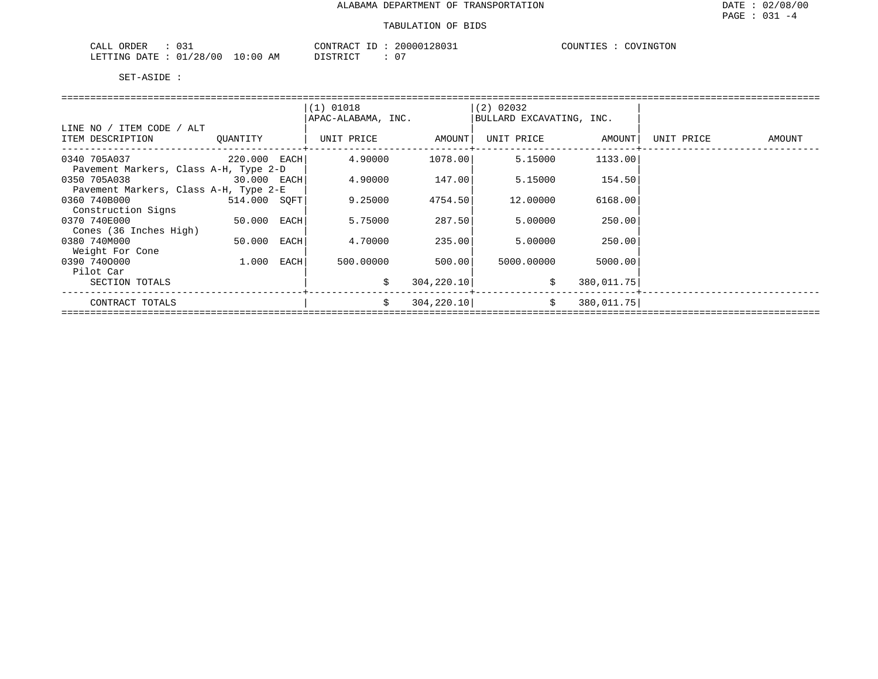| ORDER<br>$\sim$ $ -$<br>CALI<br>$\sim$<br><u> v v …</u> |             | CONTRACT     | 28031<br>200001    | NGTON:<br>COUNTIF<br>70V <sub>1</sub> |
|---------------------------------------------------------|-------------|--------------|--------------------|---------------------------------------|
| 128<br>100<br>LETTING<br>DATE                           | 10:00<br>AΜ | די היה די דר | $\sim$ $\sim$<br>ັ |                                       |

|                                       |              |      | $(1)$ 01018        |             | $(2)$ 02032              |            |            |        |
|---------------------------------------|--------------|------|--------------------|-------------|--------------------------|------------|------------|--------|
|                                       |              |      | APAC-ALABAMA, INC. |             | BULLARD EXCAVATING, INC. |            |            |        |
| LINE NO / ITEM CODE / ALT             |              |      |                    |             |                          |            |            |        |
| ITEM DESCRIPTION                      | QUANTITY     |      | UNIT PRICE         | AMOUNT      | UNIT PRICE               | AMOUNT     | UNIT PRICE | AMOUNT |
|                                       |              |      |                    |             |                          |            |            |        |
| 0340 705A037<br>$220.000$ EACH        |              |      | 4.90000            | 1078.00     | 5.15000                  | 1133.00    |            |        |
| Pavement Markers, Class A-H, Type 2-D |              |      |                    |             |                          |            |            |        |
| 0350 705A038<br>30.000 EACH           |              |      | 4.90000            | 147.00      | 5.15000                  | 154.50     |            |        |
| Pavement Markers, Class A-H, Type 2-E |              |      |                    |             |                          |            |            |        |
| 0360 740B000                          | 514.000 SOFT |      | 9.25000            | 4754.50     | 12,00000                 | 6168.00    |            |        |
| Construction Signs                    |              |      |                    |             |                          |            |            |        |
| 0370 740E000                          | 50.000       | EACH | 5.75000            | 287.50      | 5.00000                  | 250.00     |            |        |
| Cones (36 Inches High)                |              |      |                    |             |                          |            |            |        |
| 0380 740M000                          | 50.000       | EACH | 4.70000            | 235.00      | 5.00000                  | 250.00     |            |        |
| Weight For Cone                       |              |      |                    |             |                          |            |            |        |
| 0390 7400000                          | 1.000        | EACH | 500.00000          | 500.00      | 5000.00000               | 5000.00    |            |        |
| Pilot Car                             |              |      |                    |             |                          |            |            |        |
| SECTION TOTALS                        |              |      | \$                 | 304, 220.10 | \$                       | 380,011.75 |            |        |
|                                       |              |      | \$                 |             | Ŝ.                       |            |            |        |
| CONTRACT TOTALS                       |              |      |                    | 304, 220.10 |                          | 380,011.75 |            |        |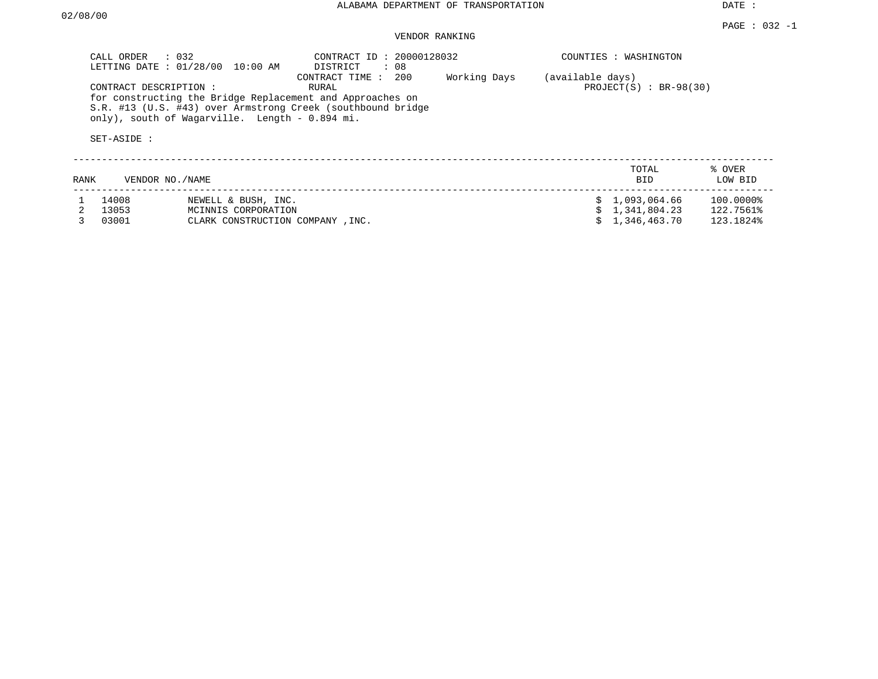DATE :

## VENDOR RANKING

|      | CALL ORDER<br>LETTING DATE: 01/28/00 | $\therefore$ 032<br>10:00 AM                   | CONTRACT ID: 20000128032<br>DISTRICT<br>: 08                                                                                                                |              |                  | COUNTIES : WASHINGTON     |                   |
|------|--------------------------------------|------------------------------------------------|-------------------------------------------------------------------------------------------------------------------------------------------------------------|--------------|------------------|---------------------------|-------------------|
|      | CONTRACT DESCRIPTION:<br>SET-ASIDE : | only), south of Wagarville. Length - 0.894 mi. | 200<br>CONTRACT TIME :<br>RURAL<br>for constructing the Bridge Replacement and Approaches on<br>S.R. #13 (U.S. #43) over Armstrong Creek (southbound bridge | Working Days | (available days) | PROJECT $(S)$ : BR-98(30) |                   |
| RANK |                                      | VENDOR NO. / NAME                              |                                                                                                                                                             |              |                  | TOTAL<br><b>BID</b>       | % OVER<br>LOW BID |
|      | 14008                                | NEWELL & BUSH, INC.                            |                                                                                                                                                             |              |                  | 1,093,064.66              | 100.0000%         |
|      | 13053                                | MCINNIS CORPORATION                            |                                                                                                                                                             |              |                  | 1,341,804.23              | 122.7561%         |
|      | 03001                                | CLARK CONSTRUCTION COMPANY, INC.               |                                                                                                                                                             |              |                  | 1,346,463.70              | 123.1824%         |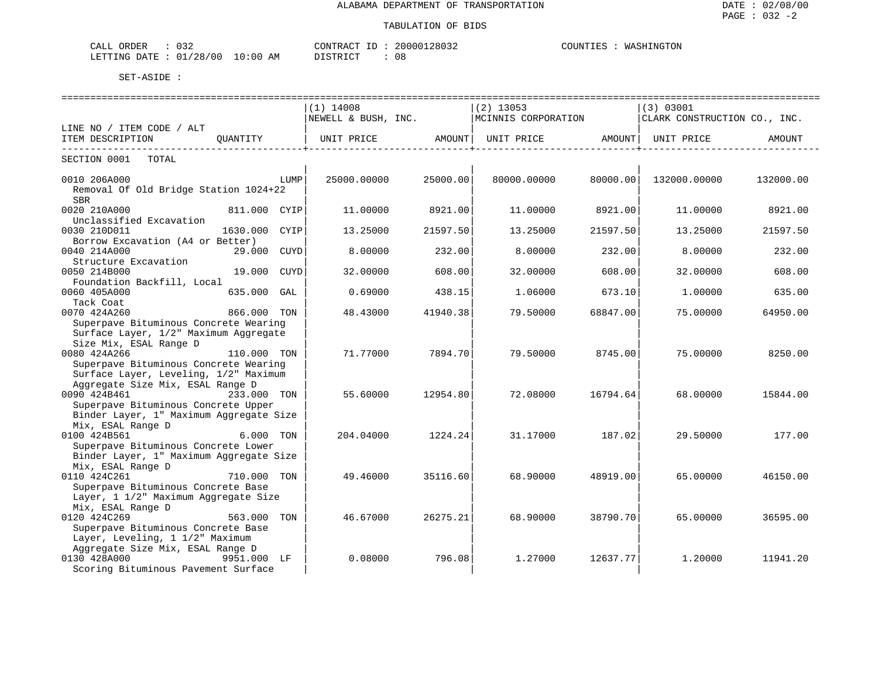| $\sim$<br>ORDER<br>$^{\circ}$ $\Delta$ $\Gamma$ .<br>للطلاب<br>0 J Z                                                                                                                            |                 | TIO'     |     | iTON<br>דרדר<br>$\cdots$ |
|-------------------------------------------------------------------------------------------------------------------------------------------------------------------------------------------------|-----------------|----------|-----|--------------------------|
| $^{\circ}$ $\cap$<br>00 /<br>$\Delta$ mm $\Gamma$<br>استست<br>- NTC 2<br>۱Д'<br>the contract of the contract of the contract of the contract of the contract of the contract of the contract of | AM<br>1:00<br>. | TAT<br>. | UC. |                          |

|                                                            | $(1)$ 14008         |          | $(2)$ 13053         |          | (3) 03001                    |           |
|------------------------------------------------------------|---------------------|----------|---------------------|----------|------------------------------|-----------|
|                                                            | NEWELL & BUSH, INC. |          | MCINNIS CORPORATION |          | CLARK CONSTRUCTION CO., INC. |           |
| LINE NO / ITEM CODE / ALT                                  |                     |          |                     |          |                              |           |
| ITEM DESCRIPTION<br>OUANTITY                               | UNIT PRICE AMOUNT   |          | UNIT PRICE          | AMOUNT   | UNIT PRICE                   | AMOUNT    |
| _________________________________<br>SECTION 0001<br>TOTAL |                     |          |                     |          |                              |           |
|                                                            |                     |          |                     |          |                              |           |
| 0010 206A000<br>LUMP                                       | 25000.00000         | 25000.00 | 80000.00000         | 80000.00 | 132000.00000                 | 132000.00 |
| Removal Of Old Bridge Station 1024+22                      |                     |          |                     |          |                              |           |
| <b>SBR</b>                                                 |                     |          |                     |          |                              |           |
| 0020 210A000<br>811.000 CYIP                               | 11.00000            | 8921.00  | 11.00000            | 8921.00  | 11.00000                     | 8921.00   |
| Unclassified Excavation                                    |                     |          |                     |          |                              |           |
| 0030 210D011<br>1630.000<br>CYIP                           | 13.25000            | 21597.50 | 13.25000            | 21597.50 | 13.25000                     | 21597.50  |
| Borrow Excavation (A4 or Better)                           |                     |          |                     |          |                              |           |
| 0040 214A000<br>CUYD<br>29.000                             | 8,00000             | 232.00   | 8.00000             | 232.00   | 8.00000                      | 232.00    |
| Structure Excavation                                       |                     |          |                     |          |                              |           |
| 0050 214B000<br>19.000<br>CUYD                             | 32.00000            | 608.00   | 32.00000            | 608.00   | 32,00000                     | 608.00    |
| Foundation Backfill, Local                                 |                     |          |                     |          |                              |           |
| 0060 405A000<br>635.000<br>GAL                             | 0.69000             | 438.15   | 1,06000             | 673.10   | 1,00000                      | 635.00    |
| Tack Coat                                                  |                     |          |                     |          |                              |           |
| 0070 424A260<br>866.000 TON                                | 48.43000            | 41940.38 | 79.50000            | 68847.00 | 75.00000                     | 64950.00  |
| Superpave Bituminous Concrete Wearing                      |                     |          |                     |          |                              |           |
| Surface Layer, 1/2" Maximum Aggregate                      |                     |          |                     |          |                              |           |
| Size Mix, ESAL Range D                                     |                     |          |                     |          |                              |           |
| 0080 424A266<br>110.000 TON                                | 71.77000            | 7894.701 | 79.50000            | 8745.00  | 75.00000                     | 8250.00   |
| Superpave Bituminous Concrete Wearing                      |                     |          |                     |          |                              |           |
| Surface Layer, Leveling, 1/2" Maximum                      |                     |          |                     |          |                              |           |
| Aggregate Size Mix, ESAL Range D                           |                     |          |                     |          |                              |           |
| 0090 424B461<br>233.000 TON                                | 55.60000            | 12954.80 | 72.08000            | 16794.64 | 68,00000                     | 15844.00  |
| Superpave Bituminous Concrete Upper                        |                     |          |                     |          |                              |           |
| Binder Layer, 1" Maximum Aggregate Size                    |                     |          |                     |          |                              |           |
| Mix, ESAL Range D                                          |                     |          |                     |          |                              |           |
| 0100 424B561<br>6.000 TON                                  | 204.04000           | 1224.24  | 31.17000            | 187.02   | 29.50000                     | 177.00    |
| Superpave Bituminous Concrete Lower                        |                     |          |                     |          |                              |           |
| Binder Layer, 1" Maximum Aggregate Size                    |                     |          |                     |          |                              |           |
| Mix, ESAL Range D                                          |                     |          |                     |          |                              |           |
| 0110 424C261<br>710.000<br>TON                             | 49.46000            | 35116.60 | 68,90000            | 48919.00 | 65.00000                     | 46150.00  |
| Superpave Bituminous Concrete Base                         |                     |          |                     |          |                              |           |
| Layer, 1 1/2" Maximum Aggregate Size                       |                     |          |                     |          |                              |           |
| Mix, ESAL Range D                                          |                     |          |                     |          |                              |           |
| 0120 424C269<br>563.000 TON                                | 46.67000            | 26275.21 | 68,90000            | 38790.70 | 65.00000                     | 36595.00  |
| Superpave Bituminous Concrete Base                         |                     |          |                     |          |                              |           |
| Layer, Leveling, 1 1/2" Maximum                            |                     |          |                     |          |                              |           |
| Aggregate Size Mix, ESAL Range D                           |                     |          |                     |          |                              |           |
| 0130 428A000<br>9951.000 LF                                | 0.08000             | 796.08   | 1.27000             | 12637.77 | 1,20000                      | 11941.20  |
| Scoring Bituminous Pavement Surface                        |                     |          |                     |          |                              |           |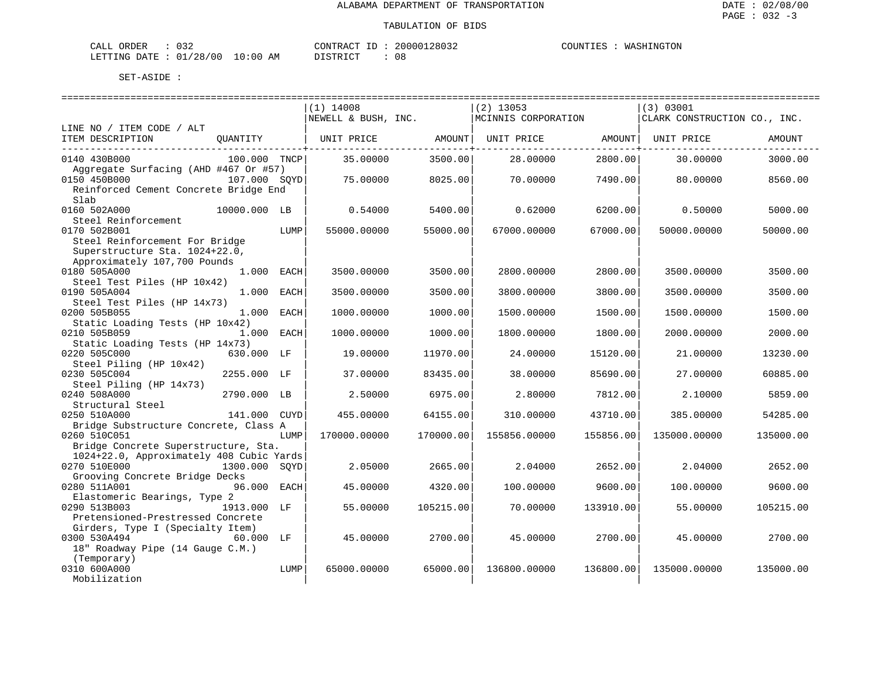| CALL ORDER                      |  |          | CONTRACT ID: 20000128032 | COUNTIES : WASHINGTON |
|---------------------------------|--|----------|--------------------------|-----------------------|
| LETTING DATE: 01/28/00 10:00 AM |  | DISTRICT |                          |                       |

|                                                                                                                  |               |      | $(1)$ 14008<br>NEWELL & BUSH, INC. |           | $(2)$ 13053<br>MCINNIS CORPORATION |           | (3) 03001<br>CLARK CONSTRUCTION CO., INC. |           |
|------------------------------------------------------------------------------------------------------------------|---------------|------|------------------------------------|-----------|------------------------------------|-----------|-------------------------------------------|-----------|
| LINE NO / ITEM CODE / ALT                                                                                        |               |      |                                    |           |                                    |           |                                           |           |
| ITEM DESCRIPTION                                                                                                 | OUANTITY      |      | UNIT PRICE                         | AMOUNT    | UNIT PRICE                         | AMOUNT    | UNIT PRICE                                | AMOUNT    |
| 0140 430B000<br>Aggregate Surfacing (AHD #467 Or #57)                                                            | 100.000 TNCP  |      | 35.00000                           | 3500.00   | 28.00000                           | 2800.00   | 30.00000                                  | 3000.00   |
| 0150 450B000<br>Reinforced Cement Concrete Bridge End<br>Slab                                                    | 107.000 SOYD  |      | 75.00000                           | 8025.00   | 70.00000                           | 7490.00   | 80,00000                                  | 8560.00   |
| 0160 502A000<br>Steel Reinforcement                                                                              | 10000.000 LB  |      | 0.54000                            | 5400.00   | 0.62000                            | 6200.00   | 0.50000                                   | 5000.00   |
| 0170 502B001<br>Steel Reinforcement For Bridge<br>Superstructure Sta. 1024+22.0,<br>Approximately 107,700 Pounds |               | LUMP | 55000.00000                        | 55000.00  | 67000.00000                        | 67000.00  | 50000.00000                               | 50000.00  |
| 0180 505A000<br>Steel Test Piles (HP 10x42)                                                                      | 1.000 EACH    |      | 3500.00000                         | 3500.00   | 2800.00000                         | 2800.00   | 3500.00000                                | 3500.00   |
| 0190 505A004<br>Steel Test Piles (HP 14x73)                                                                      | 1,000         | EACH | 3500.00000                         | 3500.00   | 3800.00000                         | 3800.00   | 3500.00000                                | 3500.00   |
| 0200 505B055<br>Static Loading Tests (HP 10x42)                                                                  | 1.000 EACH    |      | 1000.00000                         | 1000.00   | 1500.00000                         | 1500.00   | 1500.00000                                | 1500.00   |
| 0210 505B059<br>Static Loading Tests (HP 14x73)                                                                  | 1.000 EACH    |      | 1000.00000                         | 1000.00   | 1800.00000                         | 1800.00   | 2000.00000                                | 2000.00   |
| 0220 505C000<br>Steel Piling (HP 10x42)                                                                          | 630.000 LF    |      | 19.00000                           | 11970.00  | 24,00000                           | 15120.00  | 21,00000                                  | 13230.00  |
| 0230 505C004<br>Steel Piling (HP 14x73)                                                                          | 2255.000 LF   |      | 37.00000                           | 83435.00  | 38,00000                           | 85690.00  | 27.00000                                  | 60885.00  |
| 0240 508A000<br>Structural Steel                                                                                 | 2790.000 LB   |      | 2.50000                            | 6975.00   | 2.80000                            | 7812.00   | 2.10000                                   | 5859.00   |
| 0250 510A000<br>Bridge Substructure Concrete, Class A                                                            | 141.000 CUYD  |      | 455.00000                          | 64155.00  | 310.00000                          | 43710.00  | 385.00000                                 | 54285.00  |
| 0260 510C051<br>Bridge Concrete Superstructure, Sta.                                                             |               | LUMP | 170000.00000                       | 170000.00 | 155856.00000                       | 155856.00 | 135000.00000                              | 135000.00 |
| 1024+22.0, Approximately 408 Cubic Yards<br>0270 510E000                                                         | 1300.000 SOYD |      | 2.05000                            | 2665.00   | 2.04000                            | 2652.00   | 2.04000                                   | 2652.00   |
| Grooving Concrete Bridge Decks<br>0280 511A001                                                                   | 96.000 EACH   |      | 45.00000                           | 4320.00   | 100.00000                          | 9600.00   | 100.00000                                 | 9600.00   |
| Elastomeric Bearings, Type 2<br>0290 513B003<br>Pretensioned-Prestressed Concrete                                | 1913.000 LF   |      | 55.00000                           | 105215.00 | 70.00000                           | 133910.00 | 55.00000                                  | 105215.00 |
| Girders, Type I (Specialty Item)<br>0300 530A494<br>18" Roadway Pipe (14 Gauge C.M.)                             | 60.000 LF     |      | 45.00000                           | 2700.00   | 45.00000                           | 2700.00   | 45.00000                                  | 2700.00   |
| (Temporary)<br>0310 600A000<br>Mobilization                                                                      |               | LUMP | 65000.00000                        | 65000.00  | 136800.00000                       | 136800.00 | 135000.00000                              | 135000.00 |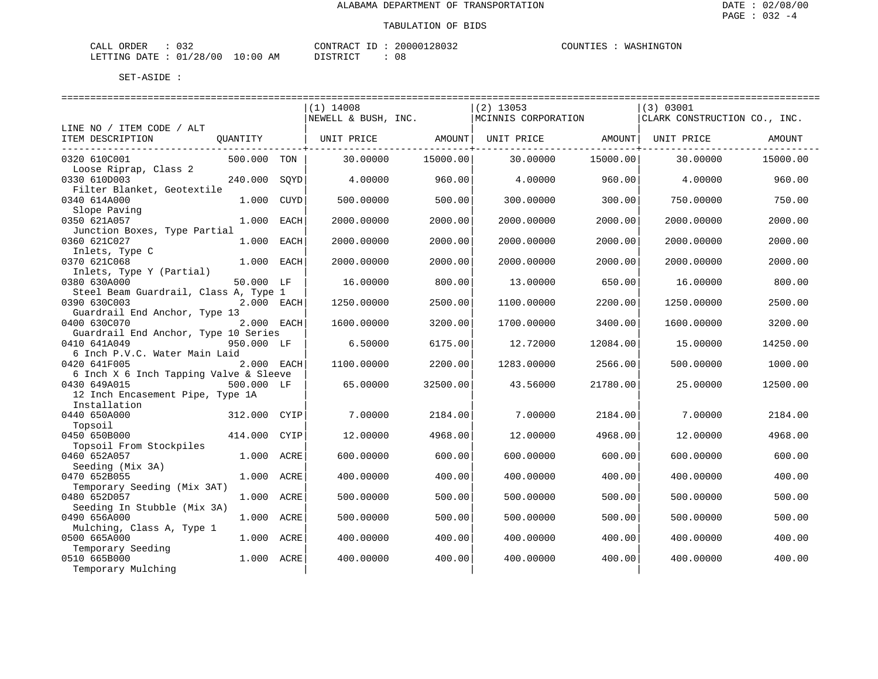| CALL ORDER                      |  |          | CONTRACT ID: 20000128032 | COUNTIES : WASHINGTON |
|---------------------------------|--|----------|--------------------------|-----------------------|
| LETTING DATE: 01/28/00 10:00 AM |  | DISTRICT |                          |                       |

|                                                      |              |      | $(1)$ 14008<br>NEWELL & BUSH, INC. |          | $(2)$ 13053<br>MCINNIS CORPORATION |          | (3) 03001<br>CLARK CONSTRUCTION CO., INC. |          |
|------------------------------------------------------|--------------|------|------------------------------------|----------|------------------------------------|----------|-------------------------------------------|----------|
| LINE NO / ITEM CODE / ALT<br>ITEM DESCRIPTION        | QUANTITY     |      |                                    |          |                                    |          |                                           | AMOUNT   |
| ----------------------------<br>0320 610C001         | 500.000 TON  |      | 30.00000                           | 15000.00 | 30.00000                           | 15000.00 | 30.00000                                  | 15000.00 |
| Loose Riprap, Class 2                                |              |      |                                    |          |                                    |          |                                           |          |
| 0330 610D003                                         | 240.000      | SOYD | 4.00000                            | 960.00   | 4.00000                            | 960.00   | 4.00000                                   | 960.00   |
| Filter Blanket, Geotextile<br>0340 614A000           | 1.000        | CUYD | 500.00000                          | 500.00   | 300,00000                          | 300.00   | 750.00000                                 | 750.00   |
| Slope Paving                                         |              |      |                                    |          |                                    |          |                                           |          |
| 0350 621A057                                         | 1.000 EACH   |      | 2000.00000                         | 2000.00  | 2000.00000                         | 2000.00  | 2000.00000                                | 2000.00  |
| Junction Boxes, Type Partial                         |              |      |                                    |          |                                    |          |                                           |          |
| 0360 621C027                                         | 1.000 EACH   |      | 2000.00000                         | 2000.00  | 2000.00000                         | 2000.00  | 2000.00000                                | 2000.00  |
| Inlets, Type C<br>0370 621C068                       | $1.000$ EACH |      | 2000.00000                         | 2000.00  | 2000.00000                         | 2000.00  | 2000.00000                                | 2000.00  |
| Inlets, Type Y (Partial)                             |              |      |                                    |          |                                    |          |                                           |          |
| 0380 630A000                                         | 50.000 LF    |      | 16.00000                           | 800.00   | 13.00000                           | 650.00   | 16.00000                                  | 800.00   |
| Steel Beam Guardrail, Class A, Type 1                |              |      |                                    |          |                                    |          |                                           |          |
| 0390 630C003<br>Guardrail End Anchor, Type 13        | 2.000 EACH   |      | 1250.00000                         | 2500.00  | 1100.00000                         | 2200.00  | 1250.00000                                | 2500.00  |
| 0400 630C070                                         | 2.000 EACH   |      | 1600.00000                         | 3200.00  | 1700.00000                         | 3400.00  | 1600.00000                                | 3200.00  |
| Guardrail End Anchor, Type 10 Series<br>0410 641A049 | 950.000 LF   |      | 6.50000                            | 6175.00  | 12.72000                           | 12084.00 | 15.00000                                  | 14250.00 |
| 6 Inch P.V.C. Water Main Laid                        |              |      |                                    |          |                                    |          |                                           |          |
| 0420 641F005                                         | 2.000 EACH   |      | 1100.00000                         | 2200.00  | 1283.00000                         | 2566.00  | 500.00000                                 | 1000.00  |
| 6 Inch X 6 Inch Tapping Valve & Sleeve               |              |      |                                    |          |                                    |          |                                           |          |
| 0430 649A015                                         | 500.000 LF   |      | 65.00000                           | 32500.00 | 43.56000                           | 21780.00 | 25,00000                                  | 12500.00 |
| 12 Inch Encasement Pipe, Type 1A                     |              |      |                                    |          |                                    |          |                                           |          |
| Installation                                         |              |      |                                    |          |                                    |          |                                           |          |
| 0440 650A000                                         | 312.000 CYIP |      | 7.00000                            | 2184.00  | 7.00000                            | 2184.00  | 7.00000                                   | 2184.00  |
| Topsoil<br>0450 650B000                              | 414.000 CYIP |      | 12.00000                           | 4968.00  | 12.00000                           | 4968.00  | 12.00000                                  | 4968.00  |
| Topsoil From Stockpiles                              |              |      |                                    |          |                                    |          |                                           |          |
| 0460 652A057                                         | 1.000        | ACRE | 600.00000                          | 600.00   | 600.00000                          | 600.00   | 600.00000                                 | 600.00   |
| Seeding (Mix 3A)                                     |              |      |                                    |          |                                    |          |                                           |          |
| 0470 652B055                                         | 1.000 ACRE   |      | 400.00000                          | 400.00   | 400.00000                          | 400.00   | 400.00000                                 | 400.00   |
| Temporary Seeding (Mix 3AT)                          |              |      |                                    |          |                                    |          |                                           |          |
| 0480 652D057                                         | 1.000 ACRE   |      | 500.00000                          | 500.00   | 500.00000                          | 500.00   | 500.00000                                 | 500.00   |
| Seeding In Stubble (Mix 3A)<br>0490 656A000          | 1.000 ACRE   |      | 500.00000                          | 500.00   | 500.00000                          | 500.00   | 500.00000                                 | 500.00   |
| Mulching, Class A, Type 1                            |              |      |                                    |          |                                    |          |                                           |          |
| 0500 665A000                                         | 1.000 ACRE   |      | 400.00000                          | 400.00   | 400.00000                          | 400.00   | 400.00000                                 | 400.00   |
| Temporary Seeding<br>0510 665B000                    | 1.000 ACRE   |      | 400.00000                          | 400.00   | 400.00000                          | 400.00   | 400.00000                                 | 400.00   |
| Temporary Mulching                                   |              |      |                                    |          |                                    |          |                                           |          |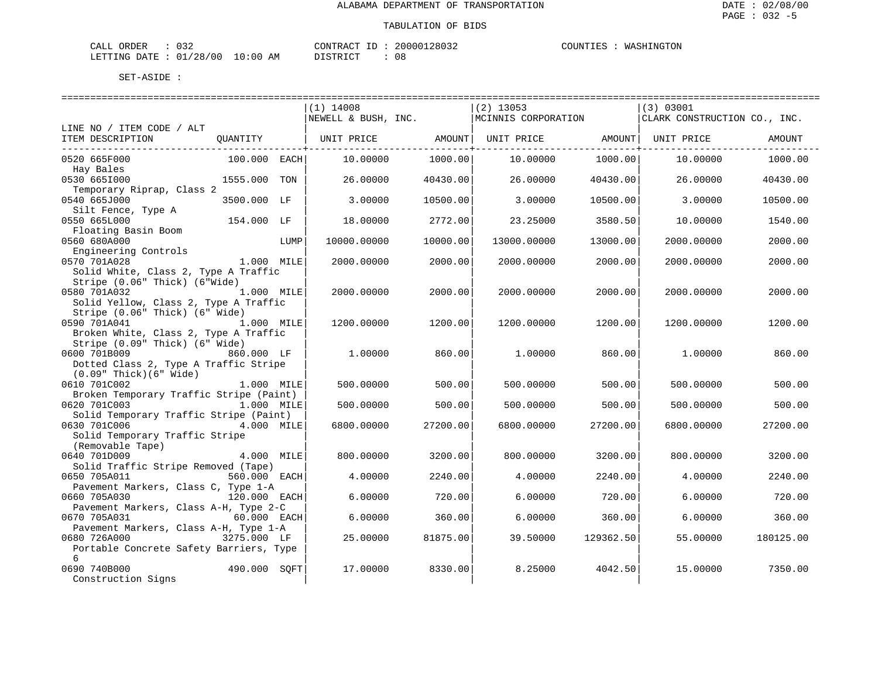| CALL ORDER                      |  |          | CONTRACT ID: 20000128032 | COUNTIES : WASHINGTON |  |
|---------------------------------|--|----------|--------------------------|-----------------------|--|
| LETTING DATE: 01/28/00 10:00 AM |  | DISTRICT |                          |                       |  |

|                                                        |              |      | ===============================                             |                         |             |                         |                              |           |
|--------------------------------------------------------|--------------|------|-------------------------------------------------------------|-------------------------|-------------|-------------------------|------------------------------|-----------|
|                                                        |              |      | $(1)$ 14008                                                 |                         | $(2)$ 13053 |                         | (3) 03001                    |           |
|                                                        |              |      | NEWELL & BUSH, INC. MCINNIS CORPORATION                     |                         |             |                         | CLARK CONSTRUCTION CO., INC. |           |
| LINE NO / ITEM CODE / ALT                              |              |      |                                                             |                         |             |                         |                              |           |
| ITEM DESCRIPTION                                       |              |      | QUANTITY   UNIT PRICE AMOUNT  UNIT PRICE AMOUNT  UNIT PRICE |                         |             |                         |                              | AMOUNT    |
| -------------------------------                        |              |      |                                                             | ---------------+------- |             | -----------------+----- |                              |           |
| 0520 665F000                                           | 100.000 EACH |      | 10,00000                                                    | 1000.00                 | 10,00000    | 1000.00                 | 10.00000                     | 1000.00   |
| Hay Bales                                              |              |      |                                                             |                         |             |                         |                              |           |
| 0530 6651000                                           | 1555.000 TON |      | 26.00000                                                    | 40430.00                | 26.00000    | 40430.00                | 26.00000                     | 40430.00  |
| Temporary Riprap, Class 2                              |              |      |                                                             |                         |             |                         |                              |           |
| 0540 665J000                                           | 3500.000 LF  |      | 3,00000                                                     | 10500.00                | 3.00000     | 10500.00                | 3.00000                      | 10500.00  |
| Silt Fence, Type A                                     |              |      |                                                             |                         |             |                         |                              |           |
| 0550 665L000                                           | 154.000 LF   |      | 18,00000                                                    | 2772.00                 | 23.25000    | 3580.50                 | 10.00000                     | 1540.00   |
| Floating Basin Boom                                    |              |      |                                                             |                         |             |                         |                              |           |
| 0560 680A000                                           |              | LUMP | 10000.00000                                                 | 10000.00                | 13000.00000 | 13000.00                | 2000.00000                   | 2000.00   |
| Engineering Controls                                   |              |      |                                                             |                         |             |                         |                              |           |
| 0570 701A028                                           | 1.000 MILE   |      | 2000.00000                                                  | 2000.00                 | 2000.00000  | 2000.00                 | 2000.00000                   | 2000.00   |
| Solid White, Class 2, Type A Traffic                   |              |      |                                                             |                         |             |                         |                              |           |
| Stripe (0.06" Thick) (6"Wide)                          |              |      |                                                             |                         |             |                         |                              |           |
| 0580 701A032                                           | 1.000 MILE   |      | 2000.00000                                                  | 2000.00                 | 2000.00000  | 2000.00                 | 2000.00000                   | 2000.00   |
| Solid Yellow, Class 2, Type A Traffic                  |              |      |                                                             |                         |             |                         |                              |           |
| Stripe (0.06" Thick) (6" Wide)                         |              |      |                                                             |                         |             |                         |                              |           |
| 0590 701A041                                           | 1.000 MILE   |      | 1200.00000                                                  | 1200.00                 | 1200.00000  | 1200.00                 | 1200.00000                   | 1200.00   |
| Broken White, Class 2, Type A Traffic                  |              |      |                                                             |                         |             |                         |                              |           |
| Stripe (0.09" Thick) (6" Wide)                         |              |      |                                                             |                         |             |                         |                              |           |
| 0600 701B009                                           | 860.000 LF   |      | 1,00000                                                     | 860.00                  | 1,00000     | 860.00                  | 1,00000                      | 860.00    |
| Dotted Class 2, Type A Traffic Stripe                  |              |      |                                                             |                         |             |                         |                              |           |
| $(0.09"$ Thick $)(6"$ Wide $)$                         |              |      |                                                             |                         |             |                         |                              |           |
| 0610 701C002                                           | 1.000 MILE   |      | 500.00000                                                   | 500.00                  | 500.00000   | 500.00                  | 500.00000                    | 500.00    |
| Broken Temporary Traffic Stripe (Paint)                |              |      |                                                             |                         |             |                         |                              |           |
| 0620 701C003                                           | 1.000 MILE   |      | 500.00000                                                   | 500.00                  | 500.00000   | 500.00                  | 500.00000                    | 500.00    |
|                                                        |              |      |                                                             |                         |             |                         |                              |           |
| Solid Temporary Traffic Stripe (Paint)<br>0630 701C006 | 4.000 MILE   |      |                                                             | 27200.00                |             |                         |                              |           |
|                                                        |              |      | 6800.00000                                                  |                         | 6800.00000  | 27200.00                | 6800.00000                   | 27200.00  |
| Solid Temporary Traffic Stripe                         |              |      |                                                             |                         |             |                         |                              |           |
| (Removable Tape)                                       |              |      |                                                             |                         |             |                         |                              |           |
| 0640 701D009                                           | 4.000 MILE   |      | 800.00000                                                   | 3200.00                 | 800.00000   | 3200.00                 | 800.00000                    | 3200.00   |
| Solid Traffic Stripe Removed (Tape)                    |              |      | 4.00000                                                     |                         |             |                         |                              |           |
| 0650 705A011                                           | 560.000 EACH |      |                                                             | 2240.00                 | 4.00000     | 2240.00                 | 4.00000                      | 2240.00   |
| Pavement Markers, Class C, Type 1-A<br>0660 705A030    | 120.000 EACH |      | 6.00000                                                     | 720.00                  |             |                         |                              | 720.00    |
|                                                        |              |      |                                                             |                         | 6,00000     | 720.00                  | 6,00000                      |           |
| Pavement Markers, Class A-H, Type 2-C                  |              |      |                                                             |                         |             |                         |                              |           |
| 0670 705A031                                           | 60.000 EACH  |      | 6.00000                                                     | 360.00                  | 6.00000     | 360.00                  | 6.00000                      | 360.00    |
| Pavement Markers, Class A-H, Type 1-A                  |              |      |                                                             |                         |             |                         |                              |           |
| 3275.000 LF<br>0680 726A000                            |              |      | 25.00000                                                    | 81875.00                | 39.50000    | 129362.50               | 55.00000                     | 180125.00 |
| Portable Concrete Safety Barriers, Type                |              |      |                                                             |                         |             |                         |                              |           |
| 6                                                      |              |      |                                                             |                         |             |                         |                              |           |
| 0690 740B000                                           | 490.000 SQFT |      | 17,00000                                                    | 8330.00                 | 8.25000     | 4042.50                 | 15,00000                     | 7350.00   |
| Construction Signs                                     |              |      |                                                             |                         |             |                         |                              |           |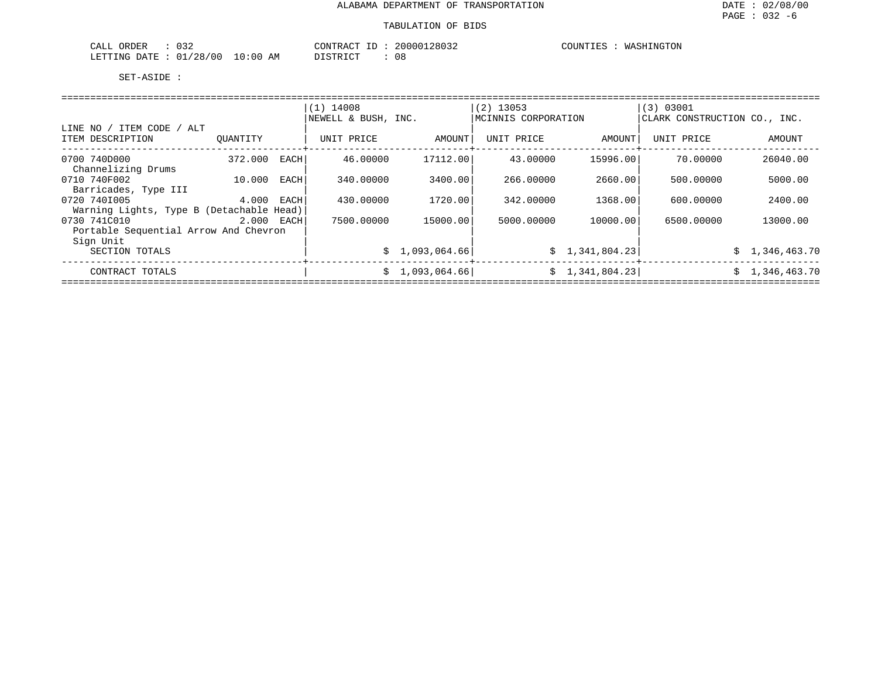| 032<br>ORDER<br>CALL            | CONTRACT                              | 20000128032 | COUNTIES | `HINGTON<br>WASH<br>.'UN |
|---------------------------------|---------------------------------------|-------------|----------|--------------------------|
| 100<br>/28.<br>LETTING<br>RATE: | LO : 00<br><b>חומת היחים</b> דר<br>AΜ | າ ດ<br>υŏ   |          |                          |

|                                          |            |      | $(1)$ 14008         |                 | $(2)$ 13053         |                 | (3) 03001                    |                |  |  |  |  |  |
|------------------------------------------|------------|------|---------------------|-----------------|---------------------|-----------------|------------------------------|----------------|--|--|--|--|--|
|                                          |            |      | NEWELL & BUSH, INC. |                 | MCINNIS CORPORATION |                 | CLARK CONSTRUCTION CO., INC. |                |  |  |  |  |  |
| LINE NO / ITEM CODE / ALT                |            |      |                     |                 |                     |                 |                              |                |  |  |  |  |  |
| ITEM DESCRIPTION                         | OUANTITY   |      | UNIT PRICE          | AMOUNT          | UNIT PRICE          | AMOUNT          | UNIT PRICE                   | AMOUNT         |  |  |  |  |  |
| 0700 740D000<br>Channelizing Drums       | 372.000    | EACH | 46.00000            | 17112.00        | 43.00000            | 15996.00        | 70.00000                     | 26040.00       |  |  |  |  |  |
| 0710 740F002<br>Barricades, Type III     | 10.000     | EACH | 340.00000           | 3400.00         | 266.00000           | 2660.00         | 500.00000                    | 5000.00        |  |  |  |  |  |
| 0720 7401005                             | 4.000      | EACH | 430.00000           | 1720.00         | 342.00000           | 1368.00         | 600,00000                    | 2400.00        |  |  |  |  |  |
| Warning Lights, Type B (Detachable Head) |            |      |                     |                 |                     |                 |                              |                |  |  |  |  |  |
| 0730 741C010                             | 2.000 EACH |      | 7500.00000          | 15000.00        | 5000.00000          | 10000.00        | 6500.00000                   | 13000.00       |  |  |  |  |  |
| Portable Sequential Arrow And Chevron    |            |      |                     |                 |                     |                 |                              |                |  |  |  |  |  |
| Sign Unit                                |            |      |                     |                 |                     |                 |                              |                |  |  |  |  |  |
| SECTION TOTALS                           |            |      |                     | \$1,093,064.66] |                     | \$1,341,804.23  |                              | \$1,346,463.70 |  |  |  |  |  |
| CONTRACT TOTALS                          |            |      | S                   | 1,093,064.66    |                     | \$1,341,804.23] |                              | \$1,346,463.70 |  |  |  |  |  |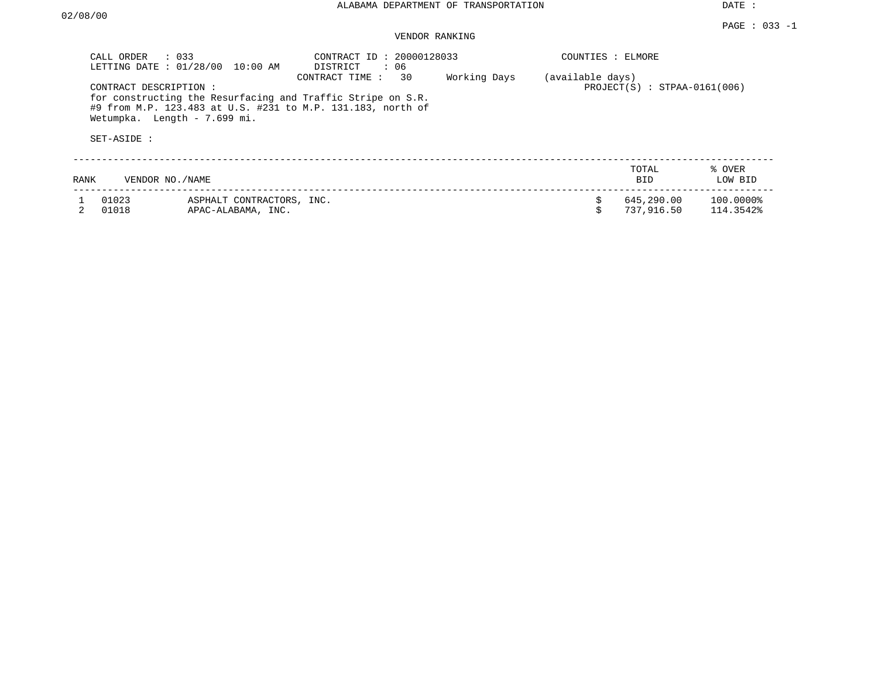DATE :

# VENDOR RANKING

| CALL ORDER     | $\therefore$ 033<br>LETTING DATE : 01/28/00<br>10:00 AM                                                                                                                             | CONTRACT ID: 20000128033<br>DISTRICT<br>: 06 |              | COUNTIES : ELMORE |                                |                        |
|----------------|-------------------------------------------------------------------------------------------------------------------------------------------------------------------------------------|----------------------------------------------|--------------|-------------------|--------------------------------|------------------------|
| SET-ASIDE :    | CONTRACT DESCRIPTION:<br>for constructing the Resurfacing and Traffic Stripe on S.R.<br>#9 from M.P. 123.483 at U.S. #231 to M.P. 131.183, north of<br>Wetumpka. Length - 7.699 mi. | 30<br>CONTRACT TIME:                         | Working Days | (available days)  | $PROJECT(S)$ : STPAA-0161(006) |                        |
|                |                                                                                                                                                                                     |                                              |              |                   |                                |                        |
| RANK           | VENDOR NO./NAME                                                                                                                                                                     |                                              |              |                   | TOTAL<br><b>BID</b>            | % OVER<br>LOW BID      |
| 01023<br>01018 | ASPHALT CONTRACTORS, INC.<br>APAC-ALABAMA, INC.                                                                                                                                     |                                              |              | \$                | 645,290.00<br>737,916.50       | 100.0000%<br>114.3542% |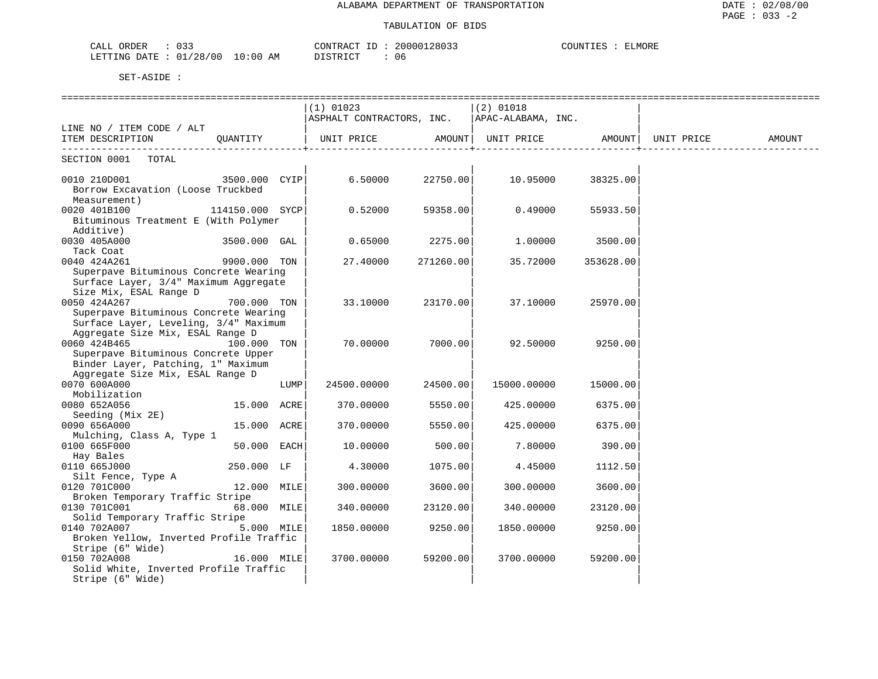### TABULATION OF BIDS

| 033<br>CALL<br>ORDER       |               | CONTRACT TT | 20000128033 | COUNTIES<br>ELMORE |
|----------------------------|---------------|-------------|-------------|--------------------|
| 01/28/00<br>LETTING DATE : | LO : 00<br>ΆM | DI STR TOT  | 06          |                    |

|                                                |                 |      | ===============================          |           |                                     |           |            |        |
|------------------------------------------------|-----------------|------|------------------------------------------|-----------|-------------------------------------|-----------|------------|--------|
|                                                |                 |      | $(1)$ 01023<br>ASPHALT CONTRACTORS, INC. |           | $(2)$ 01018<br>  APAC-ALABAMA, INC. |           |            |        |
| LINE NO / ITEM CODE / ALT                      |                 |      |                                          |           |                                     |           |            |        |
| ITEM DESCRIPTION<br>-------------------------- | QUANTITY        |      | UNIT PRICE AMOUNT                        |           | UNIT PRICE AMOUNT                   |           | UNIT PRICE | AMOUNT |
| SECTION 0001 TOTAL                             |                 |      |                                          |           |                                     |           |            |        |
| 0010 210D001                                   | 3500.000 CYIP   |      | 6.50000                                  | 22750.00  | 10.95000                            | 38325.00  |            |        |
| Borrow Excavation (Loose Truckbed              |                 |      |                                          |           |                                     |           |            |        |
| Measurement)                                   |                 |      |                                          |           |                                     |           |            |        |
| 0020 401B100                                   | 114150.000 SYCP |      | 0.52000                                  | 59358.00  | 0.49000                             | 55933.50  |            |        |
| Bituminous Treatment E (With Polymer           |                 |      |                                          |           |                                     |           |            |        |
| Additive)                                      |                 |      |                                          |           |                                     |           |            |        |
| 0030 405A000                                   | 3500.000 GAL    |      | 0.65000                                  | 2275.00   | 1,00000                             | 3500.00   |            |        |
| Tack Coat                                      |                 |      |                                          |           |                                     |           |            |        |
| 0040 424A261                                   | 9900.000 TON    |      | 27.40000                                 | 271260.00 | 35.72000                            | 353628.00 |            |        |
| Superpave Bituminous Concrete Wearing          |                 |      |                                          |           |                                     |           |            |        |
| Surface Layer, 3/4" Maximum Aggregate          |                 |      |                                          |           |                                     |           |            |        |
| Size Mix, ESAL Range D                         |                 |      |                                          |           |                                     |           |            |        |
| 0050 424A267                                   | 700.000 TON     |      | 33.10000                                 | 23170.00  | 37.10000                            | 25970.00  |            |        |
| Superpave Bituminous Concrete Wearing          |                 |      |                                          |           |                                     |           |            |        |
| Surface Layer, Leveling, 3/4" Maximum          |                 |      |                                          |           |                                     |           |            |        |
| Aggregate Size Mix, ESAL Range D               |                 |      |                                          |           |                                     |           |            |        |
| 0060 424B465                                   | 100.000 TON     |      | 70.00000                                 | 7000.00   | 92.50000                            | 9250.00   |            |        |
| Superpave Bituminous Concrete Upper            |                 |      |                                          |           |                                     |           |            |        |
| Binder Layer, Patching, 1" Maximum             |                 |      |                                          |           |                                     |           |            |        |
| Aggregate Size Mix, ESAL Range D               |                 |      |                                          |           |                                     |           |            |        |
| 0070 600A000                                   |                 | LUMP | 24500.00000                              | 24500.00  | 15000.00000                         | 15000.00  |            |        |
| Mobilization                                   |                 |      |                                          |           |                                     |           |            |        |
| 0080 652A056                                   | 15.000 ACRE     |      | 370.00000                                | 5550.00   | 425.00000                           | 6375.00   |            |        |
| Seeding (Mix 2E)                               |                 |      |                                          |           |                                     |           |            |        |
| 0090 656A000                                   | 15.000 ACRE     |      | 370.00000                                | 5550.00   | 425.00000                           | 6375.00   |            |        |
| Mulching, Class A, Type 1                      |                 |      |                                          |           |                                     |           |            |        |
| 0100 665F000<br>Hay Bales                      | 50.000 EACH     |      | 10.00000                                 | 500.00    | 7.80000                             | 390.00    |            |        |
| 0110 665J000                                   |                 |      |                                          |           |                                     |           |            |        |
|                                                | 250.000 LF      |      | 4.30000                                  | 1075.00   | 4.45000                             | 1112.50   |            |        |
| Silt Fence, Type A<br>0120 701C000             | 12.000 MILE     |      | 300.00000                                | 3600.00   | 300.00000                           | 3600.00   |            |        |
| Broken Temporary Traffic Stripe                |                 |      |                                          |           |                                     |           |            |        |
| 0130 701C001                                   | 68.000 MILE     |      | 340.00000                                | 23120.00  | 340.00000                           | 23120.00  |            |        |
| Solid Temporary Traffic Stripe                 |                 |      |                                          |           |                                     |           |            |        |
| 0140 702A007                                   | 5.000 MILE      |      | 1850.00000                               | 9250.00   | 1850.00000                          | 9250.00   |            |        |
| Broken Yellow, Inverted Profile Traffic        |                 |      |                                          |           |                                     |           |            |        |
| Stripe (6" Wide)                               |                 |      |                                          |           |                                     |           |            |        |
| 0150 702A008                                   | 16.000 MILE     |      | 3700.00000                               | 59200.00  | 3700.00000                          | 59200.00  |            |        |
| Solid White, Inverted Profile Traffic          |                 |      |                                          |           |                                     |           |            |        |
| Stripe (6" Wide)                               |                 |      |                                          |           |                                     |           |            |        |
|                                                |                 |      |                                          |           |                                     |           |            |        |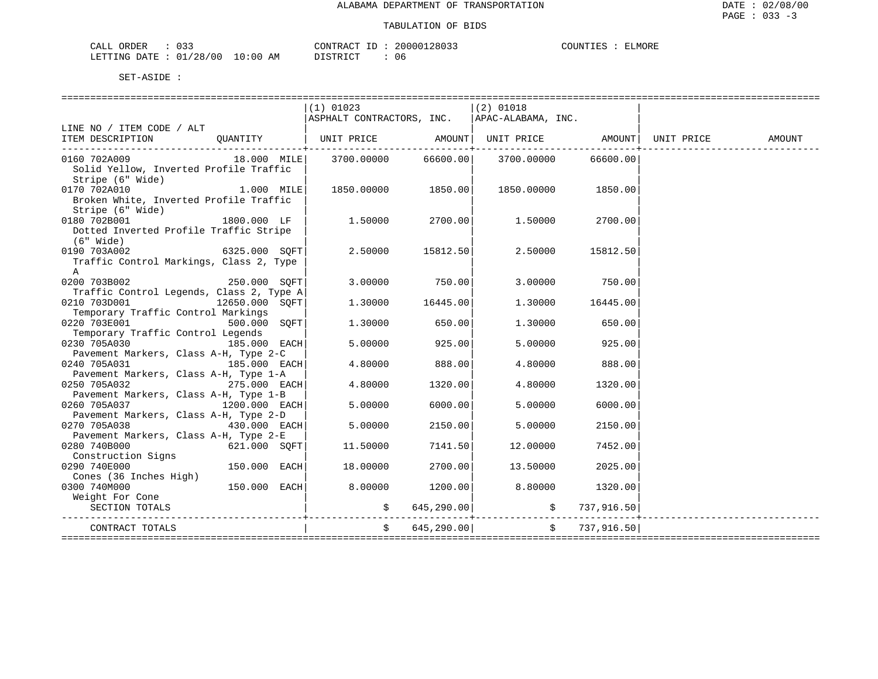| ∩RDER<br>N I A<br>ᆠᄯᅺᄔ | $\sim$ $\sim$ $\sim$<br>◡ ◡ ◡ |                                                                                                                                | CONTRACT | TD. | 12803.<br>200001 | $\gamma$ דורורי<br>上耳后 | ۱۱۷ . |
|------------------------|-------------------------------|--------------------------------------------------------------------------------------------------------------------------------|----------|-----|------------------|------------------------|-------|
| LETTING DATE           | 01/28/00                      | 10:00<br>AΜ<br>the contract of the contract of the contract of the contract of the contract of the contract of the contract of |          |     | u c              |                        |       |

|                                                                                   |              | $(1)$ 01023                                    |                | (2) 01018          |                                          |  |
|-----------------------------------------------------------------------------------|--------------|------------------------------------------------|----------------|--------------------|------------------------------------------|--|
|                                                                                   |              | ASPHALT CONTRACTORS, INC.   APAC-ALABAMA, INC. |                |                    |                                          |  |
| LINE NO / ITEM CODE / ALT                                                         |              |                                                |                |                    |                                          |  |
| ITEM DESCRIPTION QUANTITY   UNIT PRICE AMOUNT UNIT PRICE AMOUNT UNIT PRICE AMOUNT |              |                                                |                |                    |                                          |  |
| 0160 702A009                                                                      |              |                                                |                |                    | 66600.00                                 |  |
| Solid Yellow, Inverted Profile Traffic                                            |              |                                                |                |                    |                                          |  |
| Stripe (6" Wide)                                                                  |              |                                                |                |                    |                                          |  |
| 1.000 MILE<br>0170 702A010                                                        |              | 1850.00000 1850.00                             |                | 1850.00000 1850.00 |                                          |  |
| Broken White, Inverted Profile Traffic                                            |              |                                                |                |                    |                                          |  |
| Stripe (6" Wide)                                                                  |              |                                                |                |                    |                                          |  |
| 0180 702B001                                                                      | 1800.000 LF  | $1.50000$ $2700.00$ $1.50000$ $2700.00$        |                |                    |                                          |  |
| Dotted Inverted Profile Traffic Stripe                                            |              |                                                |                |                    |                                          |  |
| (6" Wide)                                                                         |              |                                                |                |                    |                                          |  |
| 0190 703A002 6325.000 SQFT                                                        |              | $2.50000$ 15812.50                             |                | 2.50000            | 15812.50                                 |  |
| Traffic Control Markings, Class 2, Type                                           |              |                                                |                |                    |                                          |  |
| $\mathbb A$                                                                       |              |                                                |                |                    |                                          |  |
| 0200 703B002 250.000 SQFT                                                         |              | $3.00000$ 750.00                               |                |                    | 3.00000 750.00                           |  |
| Traffic Control Legends, Class 2, Type A                                          |              |                                                |                |                    |                                          |  |
| 0210 703D001<br>12650.000 SOFT                                                    |              | $1.30000$ $16445.00$                           |                |                    | 1.30000 16445.00                         |  |
| Temporary Traffic Control Markings                                                |              |                                                |                |                    |                                          |  |
| $500.000$ SOFT<br>0220 703E001                                                    |              | 1,30000                                        | 650.00         | 1.30000            | 650.00                                   |  |
| Temporary Traffic Control Legends                                                 |              |                                                |                |                    |                                          |  |
| 0230 705A030 185.000 EACH                                                         |              | 5.00000                                        | 925.00         | 5.00000            | 925.00                                   |  |
| Pavement Markers, Class A-H, Type 2-C                                             |              |                                                |                |                    |                                          |  |
| 0240 705A031                                                                      | 185.000 EACH | 4.80000                                        | 888.00         |                    | 4.80000 888.00                           |  |
| Pavement Markers, Class A-H, Type 1-A                                             |              |                                                |                |                    |                                          |  |
| 275.000 EACH<br>0250 705A032                                                      |              | 4.80000                                        | 1320.00        | 4.80000            | 1320.00                                  |  |
| Pavement Markers, Class A-H, Type 1-B                                             |              |                                                |                |                    |                                          |  |
| $1200.000$ EACH<br>0260 705A037                                                   |              | 5.00000                                        | 6000.00        | 5.00000            | 6000.00                                  |  |
| Pavement Markers, Class A-H, Type 2-D                                             |              | 5.00000                                        |                |                    |                                          |  |
| $430.000$ EACH<br>0270 705A038                                                    |              |                                                | 2150.00        | 5,00000            | 2150.00                                  |  |
| Pavement Markers, Class A-H, Type 2-E<br>0280 740B000                             | 621.000 SOFT |                                                | 7141.50        |                    |                                          |  |
| Construction Signs                                                                |              | 11.50000                                       |                | 12.00000           | 7452.00                                  |  |
| 0290 740E000                                                                      | 150.000 EACH | 18.00000                                       | 2700.00        | 13.50000           | 2025.00                                  |  |
| Cones (36 Inches High)                                                            |              |                                                |                |                    |                                          |  |
| 0300 740M000                                                                      | 150.000 EACH | 8.00000                                        | 1200.00        |                    | $8.80000$ 1320.00                        |  |
| Weight For Cone                                                                   |              |                                                |                |                    |                                          |  |
| SECTION TOTALS                                                                    |              |                                                | \$645,290.00]  |                    |                                          |  |
|                                                                                   |              |                                                |                |                    | 737,916.50<br>-------------------------- |  |
| CONTRACT TOTALS                                                                   |              |                                                | \$645, 290.00] |                    | \$737,916.50]                            |  |
| ==================                                                                |              |                                                |                |                    |                                          |  |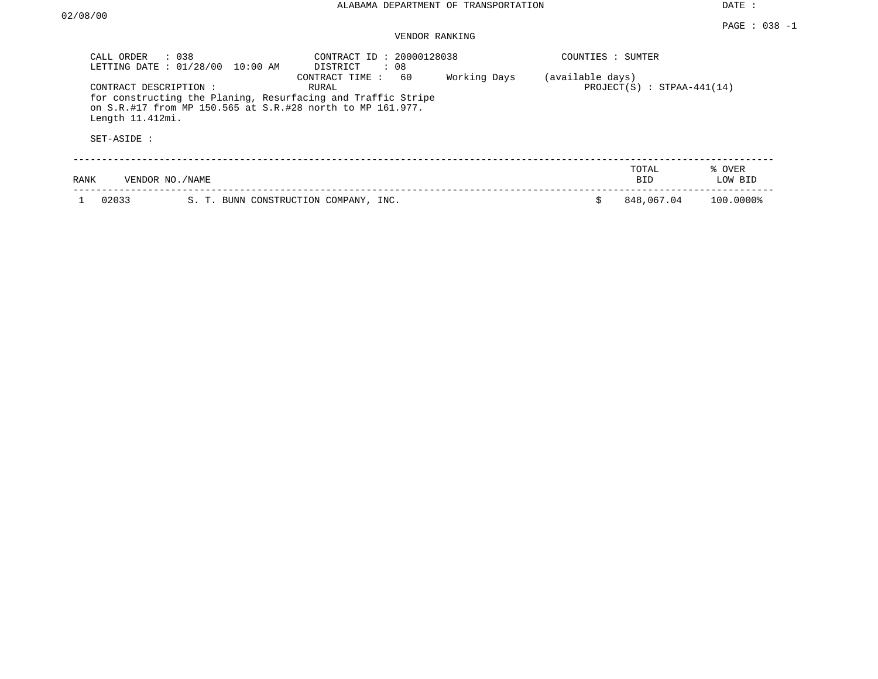DATE :

## VENDOR RANKING

| CALL ORDER<br>LETTING DATE: 01/28/00                    | $\therefore$ 0.38<br>10:00 AM                              | CONTRACT ID: 20000128038<br>: 08<br>DISTRICT                                                  |              | COUNTIES : SUMTER |                              |                   |
|---------------------------------------------------------|------------------------------------------------------------|-----------------------------------------------------------------------------------------------|--------------|-------------------|------------------------------|-------------------|
| CONTRACT DESCRIPTION:<br>Length 11.412mi.<br>SET-ASIDE: | on S.R.#17 from MP 150.565 at S.R.#28 north to MP 161.977. | 60<br>CONTRACT TIME:<br>RURAL<br>for constructing the Planing, Resurfacing and Traffic Stripe | Working Days | (available days)  | $PROJECT(S) : STPAA-441(14)$ |                   |
| VENDOR NO. / NAME<br>RANK                               |                                                            |                                                                                               |              |                   | TOTAL<br>BID                 | % OVER<br>LOW BID |
| 02033                                                   | S. T. BUNN CONSTRUCTION COMPANY, INC.                      |                                                                                               |              |                   | 848,067.04                   | 100.0000%         |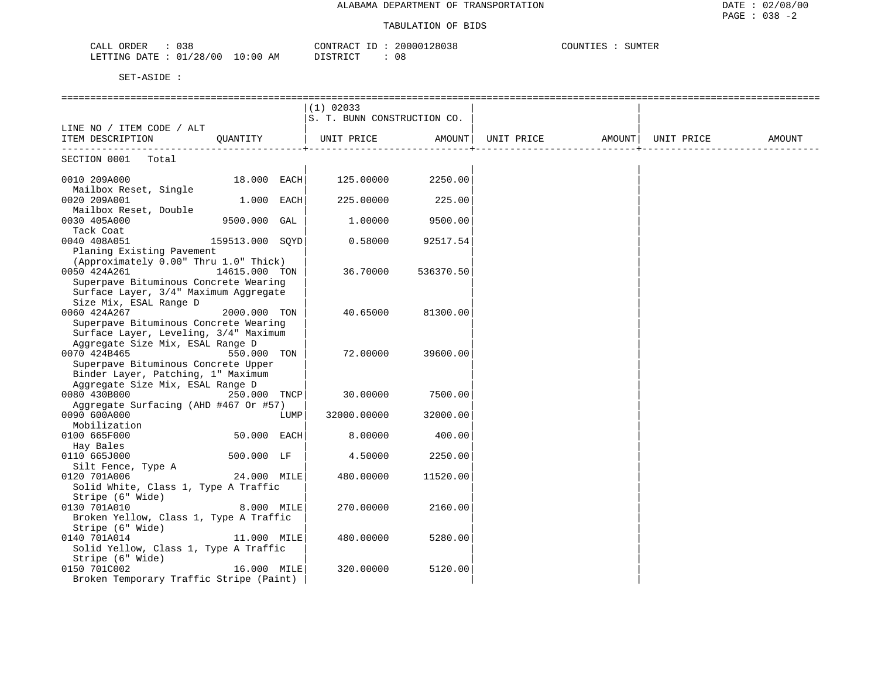### TABULATION OF BIDS

| CALI<br>ORDER<br><b>UJU</b>                                                                                                                                                 | .28038<br>20000<br>סידיזו∩י<br>`R A (             | $\sqrt{2}$<br>SUMTER<br>INI |
|-----------------------------------------------------------------------------------------------------------------------------------------------------------------------------|---------------------------------------------------|-----------------------------|
| <b>ETTING</b><br>DATE<br>:28<br>$\Omega$<br>00 /<br>()()<br>the contract of the contract of the contract of the contract of the contract of the contract of the contract of | $\alpha$ mp $\tau$ $\alpha$ m<br>ΑM<br>. .<br>U C |                             |

|                                                      |                 |      | $(1)$ 02033                 |           |                   |                      |            |        |
|------------------------------------------------------|-----------------|------|-----------------------------|-----------|-------------------|----------------------|------------|--------|
|                                                      |                 |      | S. T. BUNN CONSTRUCTION CO. |           |                   |                      |            |        |
| LINE NO / ITEM CODE / ALT                            |                 |      |                             |           |                   |                      |            |        |
| ITEM DESCRIPTION                                     | QUANTITY        |      | UNIT PRICE AMOUNT           |           | UNIT PRICE AMOUNT |                      | UNIT PRICE | AMOUNT |
| --------------------------                           |                 |      |                             |           |                   | -------------------+ |            |        |
| SECTION 0001 Total                                   |                 |      |                             |           |                   |                      |            |        |
| 0010 209A000                                         | 18.000 EACH     |      | 125.00000                   | 2250.00   |                   |                      |            |        |
| Mailbox Reset, Single                                |                 |      |                             |           |                   |                      |            |        |
| 0020 209A001                                         | $1.000$ EACH    |      | 225.00000                   | 225.00    |                   |                      |            |        |
| Mailbox Reset, Double                                |                 |      |                             |           |                   |                      |            |        |
| 0030 405A000                                         | 9500.000 GAL    |      | 1,00000                     | 9500.00   |                   |                      |            |        |
| Tack Coat                                            |                 |      |                             |           |                   |                      |            |        |
| 0040 408A051                                         | 159513.000 SQYD |      | 0.58000                     | 92517.54  |                   |                      |            |        |
| Planing Existing Pavement                            |                 |      |                             |           |                   |                      |            |        |
| (Approximately 0.00" Thru 1.0" Thick)                |                 |      |                             |           |                   |                      |            |        |
| 0050 424A261                                         | 14615.000 TON   |      | 36.70000                    | 536370.50 |                   |                      |            |        |
| Superpave Bituminous Concrete Wearing                |                 |      |                             |           |                   |                      |            |        |
| Surface Layer, 3/4" Maximum Aggregate                |                 |      |                             |           |                   |                      |            |        |
| Size Mix, ESAL Range D                               |                 |      |                             |           |                   |                      |            |        |
| 0060 424A267                                         | 2000.000 TON    |      | 40.65000                    | 81300.00  |                   |                      |            |        |
| Superpave Bituminous Concrete Wearing                |                 |      |                             |           |                   |                      |            |        |
| Surface Layer, Leveling, 3/4" Maximum                |                 |      |                             |           |                   |                      |            |        |
| Aggregate Size Mix, ESAL Range D                     |                 |      |                             |           |                   |                      |            |        |
| 0070 424B465                                         | 550.000 TON     |      | 72.00000                    | 39600.00  |                   |                      |            |        |
| Superpave Bituminous Concrete Upper                  |                 |      |                             |           |                   |                      |            |        |
| Binder Layer, Patching, 1" Maximum                   |                 |      |                             |           |                   |                      |            |        |
| Aggregate Size Mix, ESAL Range D                     |                 |      |                             |           |                   |                      |            |        |
| 0080 430B000                                         | 250.000 TNCP    |      | 30.00000                    | 7500.00   |                   |                      |            |        |
| Aggregate Surfacing (AHD #467 Or #57)                |                 |      |                             |           |                   |                      |            |        |
| 0090 600A000                                         |                 | LUMP | 32000.00000                 | 32000.00  |                   |                      |            |        |
| Mobilization                                         |                 |      |                             |           |                   |                      |            |        |
| 0100 665F000                                         | 50.000 EACH     |      | 8.00000                     | 400.00    |                   |                      |            |        |
| Hay Bales                                            |                 |      |                             |           |                   |                      |            |        |
| 0110 665J000                                         | 500.000 LF      |      | 4.50000                     | 2250.00   |                   |                      |            |        |
| Silt Fence, Type A                                   |                 |      |                             |           |                   |                      |            |        |
| 0120 701A006<br>Solid White, Class 1, Type A Traffic | 24.000 MILE     |      | 480.00000                   | 11520.00  |                   |                      |            |        |
|                                                      |                 |      |                             |           |                   |                      |            |        |
| Stripe (6" Wide)<br>0130 701A010                     | 8.000 MILE      |      | 270.00000                   | 2160.00   |                   |                      |            |        |
| Broken Yellow, Class 1, Type A Traffic               |                 |      |                             |           |                   |                      |            |        |
| Stripe (6" Wide)                                     |                 |      |                             |           |                   |                      |            |        |
| 0140 701A014                                         | 11.000 MILE     |      | 480.00000                   | 5280.00   |                   |                      |            |        |
| Solid Yellow, Class 1, Type A Traffic                |                 |      |                             |           |                   |                      |            |        |
| Stripe (6" Wide)                                     |                 |      |                             |           |                   |                      |            |        |
| 0150 701C002                                         | 16.000 MILE     |      | 320.00000                   | 5120.00   |                   |                      |            |        |
| Broken Temporary Traffic Stripe (Paint)              |                 |      |                             |           |                   |                      |            |        |
|                                                      |                 |      |                             |           |                   |                      |            |        |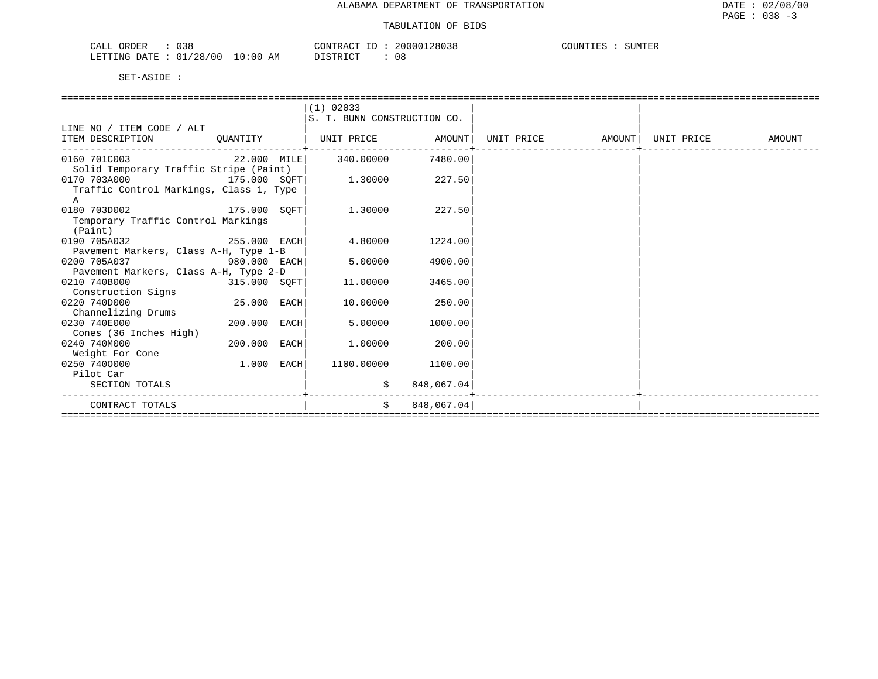| 038<br>CALL ORDER               | CONTRACT ID: 20000128038 | COUNTIES : SUMTER |
|---------------------------------|--------------------------|-------------------|
| LETTING DATE: 01/28/00 10:00 AM | 08<br>DISTRICT           |                   |

|                                         |              | (1) 02033                   |            |                   |            |        |
|-----------------------------------------|--------------|-----------------------------|------------|-------------------|------------|--------|
|                                         |              | S. T. BUNN CONSTRUCTION CO. |            |                   |            |        |
| LINE NO / ITEM CODE / ALT               |              |                             |            |                   |            |        |
| ITEM DESCRIPTION OUANTITY               |              | UNIT PRICE AMOUNT           |            | UNIT PRICE AMOUNT | UNIT PRICE | AMOUNT |
| 0160 701C003                            |              | 22.000 MILE 340.00000       | 7480.00    |                   |            |        |
| Solid Temporary Traffic Stripe (Paint)  |              |                             |            |                   |            |        |
| 0170 703A000<br>175.000 SOFT            |              | 1.30000                     | 227.50     |                   |            |        |
| Traffic Control Markings, Class 1, Type |              |                             |            |                   |            |        |
| A                                       |              |                             |            |                   |            |        |
| 0180 703D002<br>175.000 SOFT            |              | 1.30000                     | 227.50     |                   |            |        |
| Temporary Traffic Control Markings      |              |                             |            |                   |            |        |
| (Paint)                                 |              |                             |            |                   |            |        |
| 255.000 EACH<br>0190 705A032            |              | 4.80000                     | 1224.00    |                   |            |        |
| Pavement Markers, Class A-H, Type 1-B   |              |                             |            |                   |            |        |
| 0200 705A037<br>980.000 EACH            |              | 5.00000                     | 4900.00    |                   |            |        |
| Pavement Markers, Class A-H, Type 2-D   |              |                             |            |                   |            |        |
| 0210 740B000<br>315.000 SOFT            |              | 11,00000                    | 3465.00    |                   |            |        |
| Construction Signs                      |              |                             |            |                   |            |        |
| 0220 740D000                            | 25.000 EACH  | 10.00000                    | 250.00     |                   |            |        |
| Channelizing Drums                      |              |                             |            |                   |            |        |
| 0230 740E000                            | 200.000 EACH | 5.00000                     | 1000.00    |                   |            |        |
| Cones (36 Inches High)                  |              |                             |            |                   |            |        |
| 0240 740M000                            | 200.000 EACH | 1,00000                     | 200.00     |                   |            |        |
| Weight For Cone                         |              |                             |            |                   |            |        |
| 0250 7400000                            | $1.000$ EACH | 1100.00000                  | 1100.00    |                   |            |        |
| Pilot Car                               |              |                             |            |                   |            |        |
| SECTION TOTALS                          |              | \$                          | 848,067.04 |                   |            |        |
| CONTRACT TOTALS                         |              | Ŝ.                          | 848,067.04 |                   |            |        |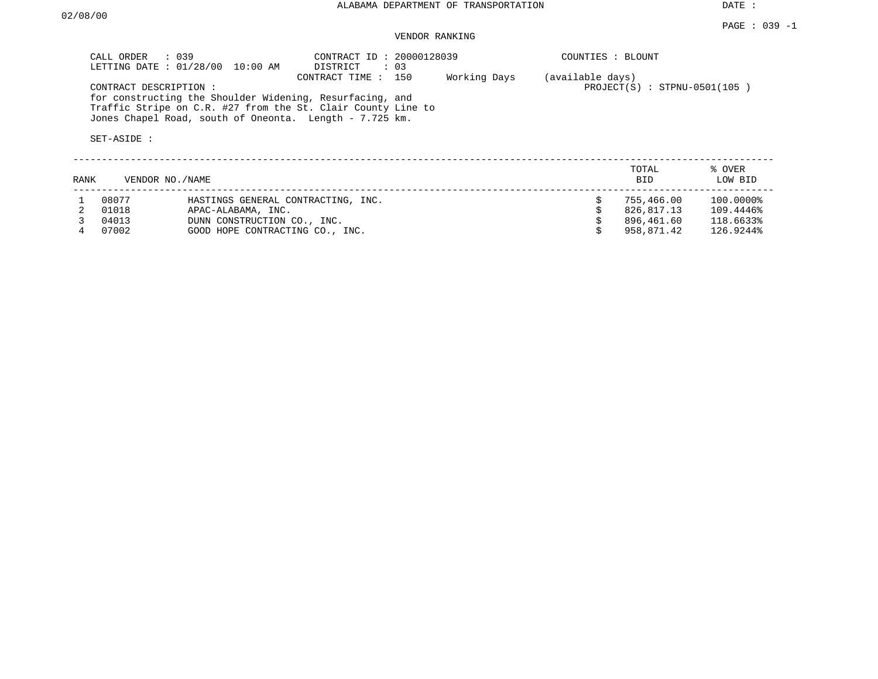DATE :

# VENDOR RANKING

|      | CALL ORDER : 039                     | LETTING DATE : 01/28/00 10:00 AM                                                                                                                                                    | CONTRACT ID: 20000128039<br>DISTRICT<br>$\therefore$ 03 |              | COUNTIES : BLOUNT                                  |                   |
|------|--------------------------------------|-------------------------------------------------------------------------------------------------------------------------------------------------------------------------------------|---------------------------------------------------------|--------------|----------------------------------------------------|-------------------|
|      | CONTRACT DESCRIPTION:<br>SET-ASIDE : | for constructing the Shoulder Widening, Resurfacing, and<br>Traffic Stripe on C.R. #27 from the St. Clair County Line to<br>Jones Chapel Road, south of Oneonta. Length - 7.725 km. | CONTRACT TIME: 150                                      | Working Days | (available days)<br>$PROJECT(S)$ : STPNU-0501(105) |                   |
| RANK | VENDOR NO./NAME                      |                                                                                                                                                                                     |                                                         |              | TOTAL<br>BID                                       | % OVER<br>LOW BID |
|      | 08077                                | HASTINGS GENERAL CONTRACTING, INC.                                                                                                                                                  |                                                         |              | 755,466.00                                         | 100.0000%         |

4 07002 GOOD HOPE CONTRACTING CO., INC. \$ 958,871.42 126.9244%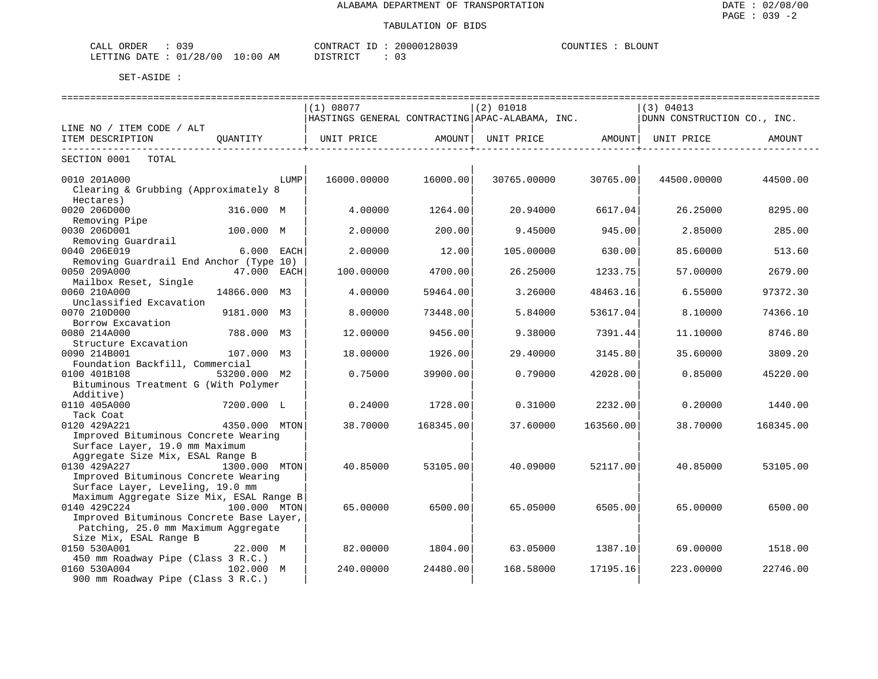| 039<br>ORDER<br>CALL<br>. U J - |             | CONTRACT<br>$ -$ | 20000128039 | COUNTIES<br><b>BLOUNT</b> |
|---------------------------------|-------------|------------------|-------------|---------------------------|
| 01/28/00<br>LETTING<br>DATE     | 10:00<br>ΆM | DI STR TOT       |             |                           |

|                                                 |               |      |                                                 |                   | =============================== |                    |                             |           |
|-------------------------------------------------|---------------|------|-------------------------------------------------|-------------------|---------------------------------|--------------------|-----------------------------|-----------|
|                                                 |               |      | (1) 08077                                       |                   | $(2)$ 01018                     |                    | (3) 04013                   |           |
|                                                 |               |      | HASTINGS GENERAL CONTRACTING APAC-ALABAMA, INC. |                   |                                 |                    | DUNN CONSTRUCTION CO., INC. |           |
| LINE NO / ITEM CODE / ALT                       |               |      |                                                 |                   |                                 |                    |                             |           |
| ITEM DESCRIPTION<br>--------------------------- | OUANTITY      |      | UNIT PRICE AMOUNT                               | ----------------+ | UNIT PRICE AMOUNT               | ----------------+- | UNIT PRICE                  | AMOUNT    |
| SECTION 0001 TOTAL                              |               |      |                                                 |                   |                                 |                    |                             |           |
| 0010 201A000                                    |               | LUMP | 16000.00000                                     | 16000.00          | 30765.00000                     | 30765.00           | 44500.00000                 | 44500.00  |
| Clearing & Grubbing (Approximately 8            |               |      |                                                 |                   |                                 |                    |                             |           |
| Hectares)                                       |               |      |                                                 |                   |                                 |                    |                             |           |
| 0020 206D000                                    | 316.000 M     |      | 4.00000                                         | 1264.00           | 20.94000                        | 6617.04            | 26.25000                    | 8295.00   |
| Removing Pipe                                   |               |      |                                                 |                   |                                 |                    |                             |           |
| 0030 206D001                                    | 100.000 M     |      | 2,00000                                         | 200.00            | 9.45000                         | 945.00             | 2.85000                     | 285.00    |
| Removing Guardrail                              |               |      |                                                 |                   |                                 |                    |                             |           |
| 0040 206E019                                    | $6.000$ EACH  |      | 2.00000                                         | 12.00             | 105.00000                       | 630.00             | 85.60000                    | 513.60    |
| Removing Guardrail End Anchor (Type 10)         |               |      |                                                 |                   |                                 |                    |                             |           |
| 0050 209A000                                    | 47.000 EACH   |      | 100.00000                                       | 4700.00           | 26.25000                        | 1233.75            | 57.00000                    | 2679.00   |
| Mailbox Reset, Single                           |               |      |                                                 |                   |                                 |                    |                             |           |
| 0060 210A000                                    | 14866.000 M3  |      | 4.00000                                         | 59464.00          | 3.26000                         | 48463.16           | 6.55000                     | 97372.30  |
| Unclassified Excavation                         |               |      |                                                 |                   |                                 |                    |                             |           |
| 0070 210D000                                    | 9181.000 M3   |      | 8.00000                                         | 73448.00          | 5.84000                         | 53617.04           | 8.10000                     | 74366.10  |
| Borrow Excavation                               |               |      |                                                 |                   |                                 |                    |                             |           |
| 0080 214A000                                    | 788.000 M3    |      | 12.00000                                        | 9456.00           | 9.38000                         | 7391.44            | 11,10000                    | 8746.80   |
| Structure Excavation                            |               |      |                                                 |                   |                                 |                    |                             |           |
| 0090 214B001                                    | 107.000 M3    |      | 18,00000                                        | 1926.00           | 29,40000                        | 3145.80            | 35.60000                    | 3809.20   |
| Foundation Backfill, Commercial                 |               |      |                                                 |                   |                                 |                    |                             |           |
| 0100 401B108                                    | 53200.000 M2  |      | 0.75000                                         | 39900.00          | 0.79000                         | 42028.00           | 0.85000                     | 45220.00  |
| Bituminous Treatment G (With Polymer            |               |      |                                                 |                   |                                 |                    |                             |           |
| Additive)                                       |               |      |                                                 |                   |                                 |                    |                             |           |
| 0110 405A000                                    | 7200.000 L    |      | 0.24000                                         | 1728.00           | 0.31000                         | 2232.00            | 0.20000                     | 1440.00   |
| Tack Coat                                       |               |      |                                                 |                   |                                 |                    |                             |           |
| 0120 429A221                                    | 4350.000 MTON |      | 38.70000                                        | 168345.00         | 37.60000                        | 163560.00          | 38.70000                    | 168345.00 |
| Improved Bituminous Concrete Wearing            |               |      |                                                 |                   |                                 |                    |                             |           |
| Surface Layer, 19.0 mm Maximum                  |               |      |                                                 |                   |                                 |                    |                             |           |
| Aggregate Size Mix, ESAL Range B                |               |      |                                                 |                   |                                 |                    |                             |           |
| 0130 429A227                                    | 1300.000 MTON |      | 40.85000                                        | 53105.00          | 40.09000                        | 52117.00           | 40.85000                    | 53105.00  |
| Improved Bituminous Concrete Wearing            |               |      |                                                 |                   |                                 |                    |                             |           |
| Surface Layer, Leveling, 19.0 mm                |               |      |                                                 |                   |                                 |                    |                             |           |
| Maximum Aggregate Size Mix, ESAL Range B        |               |      |                                                 |                   |                                 |                    |                             |           |
| 0140 429C224                                    | 100.000 MTON  |      | 65.00000                                        | 6500.00           | 65.05000                        | 6505.00            | 65.00000                    | 6500.00   |
| Improved Bituminous Concrete Base Layer,        |               |      |                                                 |                   |                                 |                    |                             |           |
| Patching, 25.0 mm Maximum Aggregate             |               |      |                                                 |                   |                                 |                    |                             |           |
| Size Mix, ESAL Range B                          |               |      |                                                 |                   |                                 |                    |                             |           |
| 0150 530A001                                    | 22.000 M      |      | 82.00000                                        | 1804.00           | 63.05000                        | 1387.10            | 69.00000                    | 1518.00   |
| 450 mm Roadway Pipe (Class 3 R.C.)              |               |      |                                                 |                   |                                 |                    |                             |           |
| 0160 530A004<br>102.000 M                       |               |      | 240.00000                                       | 24480.00          | 168.58000                       | 17195.16           | 223,00000                   | 22746.00  |
| 900 mm Roadway Pipe (Class 3 R.C.)              |               |      |                                                 |                   |                                 |                    |                             |           |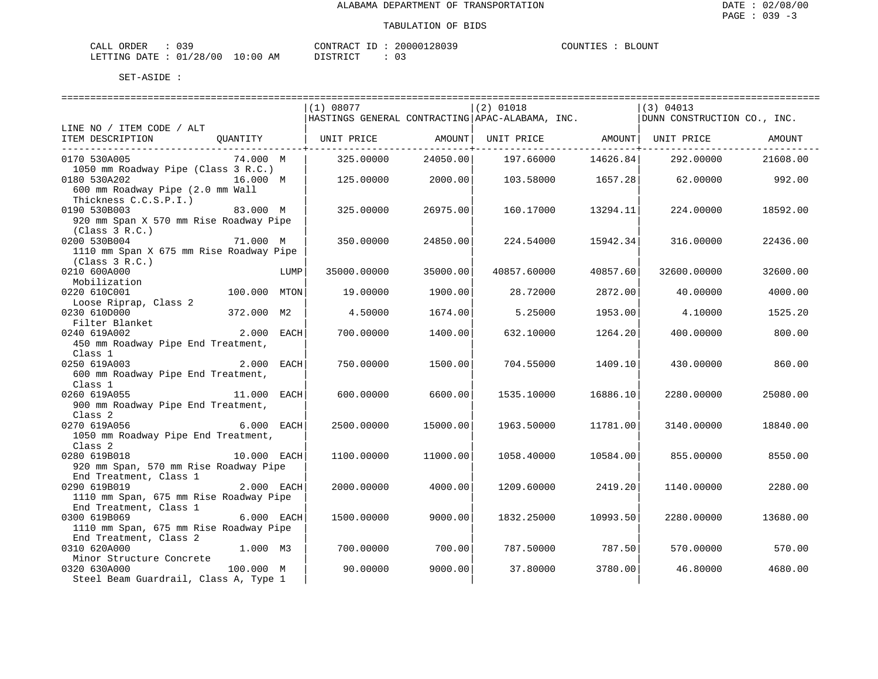| ORDER<br>CALL (        | $\sim$ $\sim$ $\sim$ |             | CONTRACT ID: | 20000128039 | COUNTIES | <b>BLOUNT</b> |
|------------------------|----------------------|-------------|--------------|-------------|----------|---------------|
| LETTING DATE: 01/28/00 |                      | 10:00<br>ΑM | DI STR TAT   | ∩ −         |          |               |

|                                         |              |      | (1) 08077                                         |          | $(2)$ 01018 |          | (3) 04013                   |          |
|-----------------------------------------|--------------|------|---------------------------------------------------|----------|-------------|----------|-----------------------------|----------|
|                                         |              |      | HASTINGS GENERAL CONTRACTING   APAC-ALABAMA, INC. |          |             |          | DUNN CONSTRUCTION CO., INC. |          |
| LINE NO / ITEM CODE / ALT               |              |      |                                                   |          |             |          |                             |          |
| ITEM DESCRIPTION                        | QUANTITY     |      | UNIT PRICE                                        | AMOUNT   | UNIT PRICE  |          | AMOUNT  UNIT PRICE          | AMOUNT   |
|                                         |              |      |                                                   |          |             |          |                             |          |
| 0170 530A005                            | 74.000 M     |      | 325.00000                                         | 24050.00 | 197.66000   | 14626.84 | 292.00000                   | 21608.00 |
| 1050 mm Roadway Pipe (Class 3 R.C.)     |              |      |                                                   |          |             |          |                             |          |
| 0180 530A202                            | 16.000 M     |      | 125.00000                                         | 2000.00  | 103.58000   | 1657.28  | 62.00000                    | 992.00   |
| 600 mm Roadway Pipe (2.0 mm Wall        |              |      |                                                   |          |             |          |                             |          |
| Thickness C.C.S.P.I.)                   |              |      |                                                   |          |             |          |                             |          |
| 0190 530B003                            | 83.000 M     |      | 325.00000                                         | 26975.00 | 160.17000   | 13294.11 | 224.00000                   | 18592.00 |
| 920 mm Span X 570 mm Rise Roadway Pipe  |              |      |                                                   |          |             |          |                             |          |
| (Class 3 R.C.)                          |              |      |                                                   |          |             |          |                             |          |
| 0200 530B004                            | 71.000 M     |      | 350.00000                                         | 24850.00 | 224.54000   | 15942.34 | 316.00000                   | 22436.00 |
| 1110 mm Span X 675 mm Rise Roadway Pipe |              |      |                                                   |          |             |          |                             |          |
| (Class 3 R.C.)                          |              |      |                                                   |          |             |          |                             |          |
| 0210 600A000                            |              | LUMP | 35000.00000                                       | 35000.00 | 40857.60000 | 40857.60 | 32600.00000                 | 32600.00 |
| Mobilization                            |              |      |                                                   |          |             |          |                             |          |
| 0220 610C001                            | 100.000 MTON |      | 19.00000                                          | 1900.00  | 28.72000    | 2872.00  | 40.00000                    | 4000.00  |
| Loose Riprap, Class 2                   |              |      |                                                   |          |             |          |                             |          |
| 0230 610D000                            | 372.000 M2   |      | 4.50000                                           | 1674.00  | 5.25000     | 1953.00  | 4.10000                     | 1525.20  |
| Filter Blanket                          |              |      |                                                   |          |             |          |                             |          |
| 0240 619A002                            | 2.000        | EACH | 700.00000                                         | 1400.00  | 632.10000   | 1264.20  | 400,00000                   | 800.00   |
| 450 mm Roadway Pipe End Treatment,      |              |      |                                                   |          |             |          |                             |          |
| Class 1                                 |              |      |                                                   |          |             |          |                             |          |
| 0250 619A003                            | 2.000        | EACH | 750.00000                                         | 1500.00  | 704.55000   | 1409.10  | 430.00000                   | 860.00   |
| 600 mm Roadway Pipe End Treatment,      |              |      |                                                   |          |             |          |                             |          |
| Class 1                                 |              |      |                                                   |          |             |          |                             |          |
| 11.000 EACH<br>0260 619A055             |              |      | 600.00000                                         | 6600.00  | 1535.10000  | 16886.10 | 2280.00000                  | 25080.00 |
| 900 mm Roadway Pipe End Treatment,      |              |      |                                                   |          |             |          |                             |          |
| Class <sub>2</sub>                      |              |      |                                                   |          |             |          |                             |          |
| 0270 619A056                            | 6.000 EACH   |      | 2500.00000                                        | 15000.00 | 1963.50000  | 11781.00 | 3140.00000                  | 18840.00 |
| 1050 mm Roadway Pipe End Treatment,     |              |      |                                                   |          |             |          |                             |          |
| Class <sub>2</sub>                      |              |      |                                                   |          |             |          |                             |          |
| 0280 619B018                            | 10.000 EACH  |      | 1100.00000                                        | 11000.00 | 1058.40000  | 10584.00 | 855.00000                   | 8550.00  |
| 920 mm Span, 570 mm Rise Roadway Pipe   |              |      |                                                   |          |             |          |                             |          |
| End Treatment, Class 1                  |              |      |                                                   |          |             |          |                             |          |
| 0290 619B019                            | 2.000 EACH   |      | 2000.00000                                        | 4000.00  | 1209.60000  | 2419.20  | 1140.00000                  | 2280.00  |
| 1110 mm Span, 675 mm Rise Roadway Pipe  |              |      |                                                   |          |             |          |                             |          |
| End Treatment, Class 1                  |              |      |                                                   |          |             |          |                             |          |
| 0300 619B069                            | 6.000 EACH   |      | 1500.00000                                        | 9000.00  | 1832.25000  | 10993.50 | 2280.00000                  | 13680.00 |
| 1110 mm Span, 675 mm Rise Roadway Pipe  |              |      |                                                   |          |             |          |                             |          |
| End Treatment, Class 2                  |              |      |                                                   |          |             |          |                             |          |
| 0310 620A000                            | 1.000 M3     |      | 700.00000                                         | 700.00   | 787.50000   | 787.50   | 570.00000                   | 570.00   |
| Minor Structure Concrete                |              |      |                                                   |          |             |          |                             |          |
| 0320 630A000                            | 100.000 M    |      | 90.00000                                          | 9000.00  | 37.80000    | 3780.00  | 46.80000                    | 4680.00  |
| Steel Beam Guardrail, Class A, Type 1   |              |      |                                                   |          |             |          |                             |          |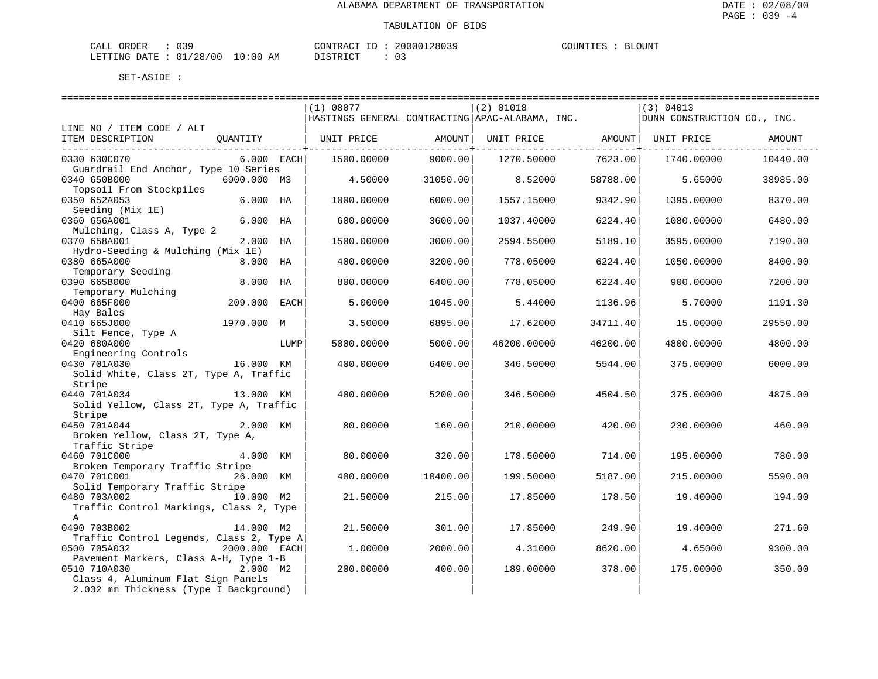| CALL ORDER                       | 039 | CONTRACT ID : |  | 20000128039 | COUNTIES | BLOUNT |
|----------------------------------|-----|---------------|--|-------------|----------|--------|
| LETTING DATE : 01/28/00 10:00 AM |     | DISTRICT      |  |             |          |        |

|                                                                                              |               |      | (1) 08077<br>HASTINGS GENERAL CONTRACTING APAC-ALABAMA, INC. |                                    | $(2)$ 01018 |                                                         | (3) 04013<br>DUNN CONSTRUCTION CO., INC. |          |
|----------------------------------------------------------------------------------------------|---------------|------|--------------------------------------------------------------|------------------------------------|-------------|---------------------------------------------------------|------------------------------------------|----------|
| LINE NO / ITEM CODE / ALT                                                                    |               |      |                                                              |                                    |             |                                                         |                                          |          |
| ITEM DESCRIPTION                                                                             | OUANTITY      |      | UNIT PRICE                                                   | AMOUNT  <br>--------------+------- |             | UNIT PRICE AMOUNT   UNIT PRICE<br>--------------------- |                                          | AMOUNT   |
| 0330 630C070<br>Guardrail End Anchor, Type 10 Series                                         | 6.000 EACH    |      | 1500.00000                                                   | 9000.00                            | 1270.50000  | 7623.00                                                 | 1740.00000                               | 10440.00 |
| 0340 650B000<br>Topsoil From Stockpiles                                                      | 6900.000 M3   |      | 4.50000                                                      | 31050.00                           | 8.52000     | 58788.00                                                | 5.65000                                  | 38985.00 |
| 0350 652A053<br>Seeding (Mix 1E)                                                             | $6.000$ HA    |      | 1000.00000                                                   | 6000.00                            | 1557.15000  | 9342.90                                                 | 1395.00000                               | 8370.00  |
| 0360 656A001<br>Mulching, Class A, Type 2                                                    | $6.000$ HA    |      | 600.00000                                                    | 3600.00                            | 1037.40000  | 6224.40                                                 | 1080.00000                               | 6480.00  |
| 0370 658A001<br>Hydro-Seeding & Mulching (Mix 1E)                                            | 2.000 HA      |      | 1500.00000                                                   | 3000.00                            | 2594.55000  | 5189.10                                                 | 3595.00000                               | 7190.00  |
| 0380 665A000<br>Temporary Seeding                                                            | 8.000 HA      |      | 400.00000                                                    | 3200.00                            | 778.05000   | 6224.40                                                 | 1050.00000                               | 8400.00  |
| 0390 665B000<br>Temporary Mulching                                                           | 8.000         | HA   | 800.00000                                                    | 6400.00                            | 778.05000   | 6224.40                                                 | 900.00000                                | 7200.00  |
| 0400 665F000<br>Hay Bales                                                                    | 209.000       | EACH | 5.00000                                                      | 1045.00                            | 5.44000     | 1136.96                                                 | 5.70000                                  | 1191.30  |
| 0410 665J000<br>Silt Fence, Type A                                                           | 1970.000 M    |      | 3.50000                                                      | 6895.00                            | 17.62000    | 34711.40                                                | 15,00000                                 | 29550.00 |
| 0420 680A000<br>Engineering Controls                                                         |               | LUMP | 5000.00000                                                   | 5000.00                            | 46200.00000 | 46200.00                                                | 4800.00000                               | 4800.00  |
| 0430 701A030<br>Solid White, Class 2T, Type A, Traffic                                       | 16.000 KM     |      | 400.00000                                                    | 6400.00                            | 346.50000   | 5544.00                                                 | 375.00000                                | 6000.00  |
| Stripe<br>0440 701A034<br>Solid Yellow, Class 2T, Type A, Traffic                            | 13.000 KM     |      | 400.00000                                                    | 5200.00                            | 346.50000   | 4504.50                                                 | 375,00000                                | 4875.00  |
| Stripe<br>0450 701A044<br>Broken Yellow, Class 2T, Type A,<br>Traffic Stripe                 | 2.000 KM      |      | 80.00000                                                     | 160.00                             | 210.00000   | 420.00                                                  | 230.00000                                | 460.00   |
| 0460 701C000<br>Broken Temporary Traffic Stripe                                              | 4.000 KM      |      | 80.00000                                                     | 320.00                             | 178.50000   | 714.00                                                  | 195.00000                                | 780.00   |
| 0470 701C001<br>Solid Temporary Traffic Stripe                                               | 26.000 KM     |      | 400.00000                                                    | 10400.00                           | 199.50000   | 5187.00                                                 | 215.00000                                | 5590.00  |
| 0480 703A002<br>Traffic Control Markings, Class 2, Type<br>$\mathsf{A}$                      | 10.000 M2     |      | 21.50000                                                     | 215.00                             | 17.85000    | 178.50                                                  | 19.40000                                 | 194.00   |
| 0490 703B002<br>Traffic Control Legends, Class 2, Type A                                     | 14.000 M2     |      | 21.50000                                                     | 301.00                             | 17.85000    | 249.90                                                  | 19,40000                                 | 271.60   |
| 0500 705A032<br>Pavement Markers, Class A-H, Type 1-B                                        | 2000.000 EACH |      | 1,00000                                                      | 2000.00                            | 4.31000     | 8620.00                                                 | 4.65000                                  | 9300.00  |
| 0510 710A030<br>Class 4, Aluminum Flat Sign Panels<br>2.032 mm Thickness (Type I Background) | 2.000 M2      |      | 200.00000                                                    | 400.00                             | 189.00000   | 378.00                                                  | 175.00000                                | 350.00   |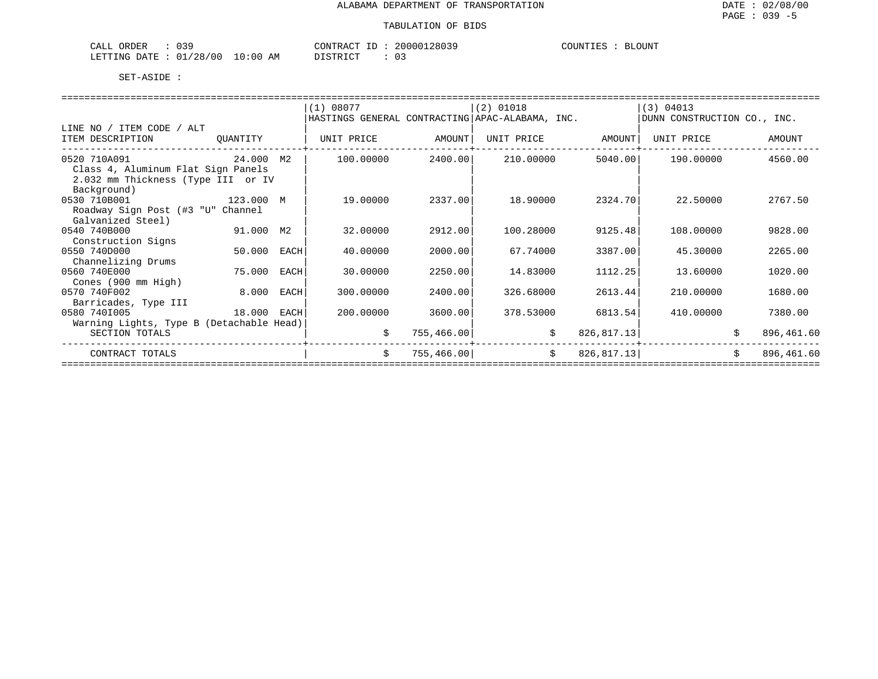| $\mathcal{D}$ C<br>אתרו אר<br>ו ∆י<br>لللطاب<br>ັບ ມ |            | --<br>ATTR'T<br>$\sim$ | 28039<br>$\sim$ $\sim$<br>200<br>2 Q | LOUNT<br>. н. |
|------------------------------------------------------|------------|------------------------|--------------------------------------|---------------|
| גר י<br>חים מר<br>. חחידים<br>__                     | ΆM<br>፡ 00 | $\sim$                 |                                      |               |

|                                          |           |      | (1) 08077                                         |             | $(2)$ 01018 |             | (3) 04013                   |    |            |
|------------------------------------------|-----------|------|---------------------------------------------------|-------------|-------------|-------------|-----------------------------|----|------------|
|                                          |           |      | HASTINGS GENERAL CONTRACTING   APAC-ALABAMA, INC. |             |             |             | DUNN CONSTRUCTION CO., INC. |    |            |
| LINE NO / ITEM CODE / ALT                |           |      |                                                   |             |             |             |                             |    |            |
| ITEM DESCRIPTION                         | OUANTITY  |      | UNIT PRICE                                        | AMOUNT      | UNIT PRICE  | AMOUNT      | UNIT PRICE                  |    | AMOUNT     |
|                                          |           |      |                                                   |             |             |             |                             |    |            |
| 0520 710A091                             | 24.000    | M2   | 100.00000                                         | 2400.00     | 210.00000   | 5040.00     | 190.00000                   |    | 4560.00    |
| Class 4, Aluminum Flat Sign Panels       |           |      |                                                   |             |             |             |                             |    |            |
| 2.032 mm Thickness (Type III or IV       |           |      |                                                   |             |             |             |                             |    |            |
| Background)                              |           |      |                                                   |             |             |             |                             |    |            |
| 0530 710B001                             | 123.000 M |      | 19.00000                                          | 2337.00     | 18.90000    | 2324.70     | 22.50000                    |    | 2767.50    |
| Roadway Sign Post (#3 "U" Channel        |           |      |                                                   |             |             |             |                             |    |            |
| Galvanized Steel)                        |           |      |                                                   |             |             |             |                             |    |            |
| 0540 740B000                             | 91.000    | M2   | 32.00000                                          | 2912.00     | 100.28000   | 9125.48     | 108.00000                   |    | 9828.00    |
| Construction Signs                       |           |      |                                                   |             |             |             |                             |    |            |
| 0550 740D000                             | 50.000    | EACH | 40.00000                                          | 2000.00     | 67.74000    | 3387.00     | 45.30000                    |    | 2265.00    |
| Channelizing Drums                       |           |      |                                                   |             |             |             |                             |    |            |
| 0560 740E000                             | 75.000    | EACH | 30.00000                                          | 2250.00     | 14.83000    | 1112.25     | 13.60000                    |    | 1020.00    |
| Cones (900 mm High)                      |           |      |                                                   |             |             |             |                             |    |            |
| 0570 740F002                             | 8.000     | EACH | 300,00000                                         | 2400.00     | 326.68000   | 2613.44     | 210,00000                   |    | 1680.00    |
| Barricades, Type III                     |           |      |                                                   |             |             |             |                             |    |            |
| 0580 7401005                             | 18.000    | EACH | 200.00000                                         | 3600.00     | 378.53000   | 6813.54     | 410.00000                   |    | 7380.00    |
| Warning Lights, Type B (Detachable Head) |           |      |                                                   |             |             |             |                             |    |            |
| SECTION TOTALS                           |           |      | \$                                                | 755, 466.00 | \$          | 826,817.13  |                             | Ŝ. | 896,461.60 |
|                                          |           |      | \$                                                |             | \$          |             |                             |    | 896,461.60 |
| CONTRACT TOTALS                          |           |      |                                                   | 755, 466.00 |             | 826, 817.13 |                             | \$ |            |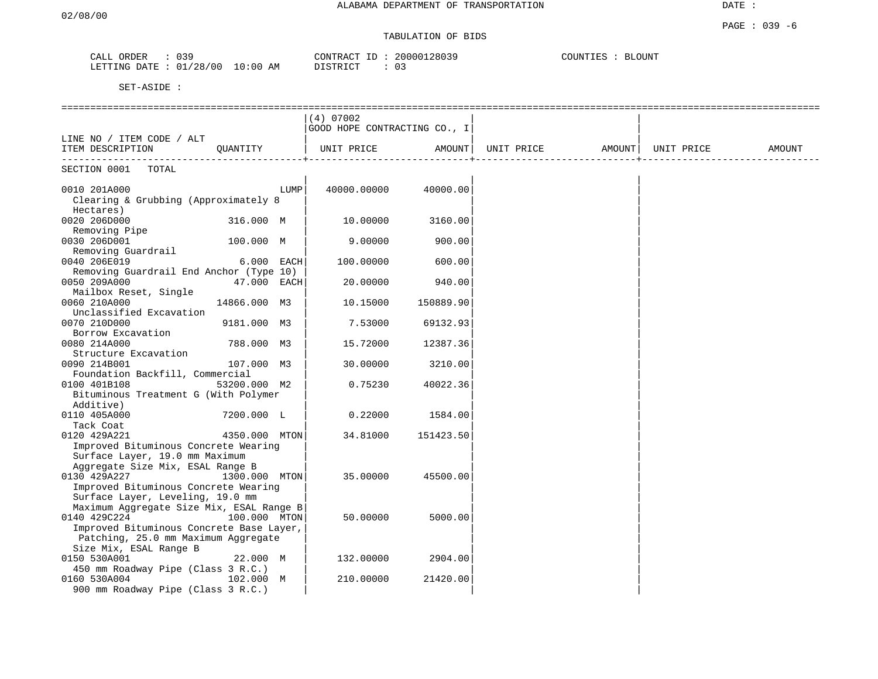TABULATION OF BIDS

| CALL ORDER                      | $\therefore$ 039 |          | CONTRACT ID: 20000128039 | COUNTIES : BLOUNT |
|---------------------------------|------------------|----------|--------------------------|-------------------|
| LETTING DATE: 01/28/00 10:00 AM |                  | DISTRICT | - 03                     |                   |

|                                          |               |      | $(4)$ 07002                  |           |            |        |            |        |
|------------------------------------------|---------------|------|------------------------------|-----------|------------|--------|------------|--------|
|                                          |               |      | GOOD HOPE CONTRACTING CO., I |           |            |        |            |        |
| LINE NO / ITEM CODE / ALT                |               |      |                              |           |            |        |            |        |
| ITEM DESCRIPTION                         | OUANTITY      |      | UNIT PRICE                   | AMOUNT    | UNIT PRICE | AMOUNT | UNIT PRICE | AMOUNT |
| SECTION 0001<br>TOTAL                    |               |      |                              |           |            |        |            |        |
| 0010 201A000                             |               | LUMP | 40000.00000                  | 40000.00  |            |        |            |        |
| Clearing & Grubbing (Approximately 8     |               |      |                              |           |            |        |            |        |
| Hectares)                                |               |      |                              |           |            |        |            |        |
| 0020 206D000                             | 316.000 M     |      | 10.00000                     | 3160.00   |            |        |            |        |
| Removing Pipe                            |               |      |                              |           |            |        |            |        |
| 0030 206D001                             | 100.000 M     |      | 9.00000                      | 900.00    |            |        |            |        |
| Removing Guardrail                       |               |      |                              |           |            |        |            |        |
| 0040 206E019                             | 6.000 EACH    |      | 100.00000                    | 600.00    |            |        |            |        |
| Removing Guardrail End Anchor (Type 10)  |               |      |                              |           |            |        |            |        |
| 0050 209A000                             | 47.000 EACH   |      | 20.00000                     | 940.00    |            |        |            |        |
| Mailbox Reset, Single                    |               |      |                              |           |            |        |            |        |
| 0060 210A000                             | 14866.000 M3  |      | 10.15000                     | 150889.90 |            |        |            |        |
| Unclassified Excavation                  |               |      |                              |           |            |        |            |        |
| 0070 210D000                             | 9181.000 M3   |      | 7.53000                      | 69132.93  |            |        |            |        |
| Borrow Excavation                        |               |      |                              |           |            |        |            |        |
| 0080 214A000                             | 788.000 M3    |      | 15.72000                     | 12387.36  |            |        |            |        |
| Structure Excavation                     |               |      |                              |           |            |        |            |        |
| 0090 214B001                             | 107.000 M3    |      | 30.00000                     | 3210.00   |            |        |            |        |
| Foundation Backfill, Commercial          |               |      |                              |           |            |        |            |        |
| 0100 401B108                             | 53200.000 M2  |      | 0.75230                      | 40022.36  |            |        |            |        |
| Bituminous Treatment G (With Polymer     |               |      |                              |           |            |        |            |        |
| Additive)                                |               |      |                              |           |            |        |            |        |
| 0110 405A000                             | 7200.000 L    |      | 0.22000                      | 1584.00   |            |        |            |        |
| Tack Coat                                |               |      |                              |           |            |        |            |        |
| 0120 429A221                             | 4350.000 MTON |      | 34.81000                     | 151423.50 |            |        |            |        |
| Improved Bituminous Concrete Wearing     |               |      |                              |           |            |        |            |        |
| Surface Layer, 19.0 mm Maximum           |               |      |                              |           |            |        |            |        |
| Aggregate Size Mix, ESAL Range B         |               |      |                              |           |            |        |            |        |
| 0130 429A227                             | 1300.000 MTON |      | 35.00000                     | 45500.00  |            |        |            |        |
| Improved Bituminous Concrete Wearing     |               |      |                              |           |            |        |            |        |
| Surface Layer, Leveling, 19.0 mm         |               |      |                              |           |            |        |            |        |
| Maximum Aggregate Size Mix, ESAL Range B |               |      |                              |           |            |        |            |        |
| 0140 429C224                             | 100.000 MTON  |      | 50.00000                     | 5000.00   |            |        |            |        |
| Improved Bituminous Concrete Base Layer, |               |      |                              |           |            |        |            |        |
| Patching, 25.0 mm Maximum Aggregate      |               |      |                              |           |            |        |            |        |
| Size Mix, ESAL Range B                   |               |      |                              |           |            |        |            |        |
| 0150 530A001                             | 22.000 M      |      | 132.00000                    | 2904.00   |            |        |            |        |
| 450 mm Roadway Pipe (Class 3 R.C.)       |               |      |                              |           |            |        |            |        |
| 0160 530A004                             | 102.000 M     |      | 210.00000                    | 21420.00  |            |        |            |        |
| 900 mm Roadway Pipe (Class 3 R.C.)       |               |      |                              |           |            |        |            |        |
|                                          |               |      |                              |           |            |        |            |        |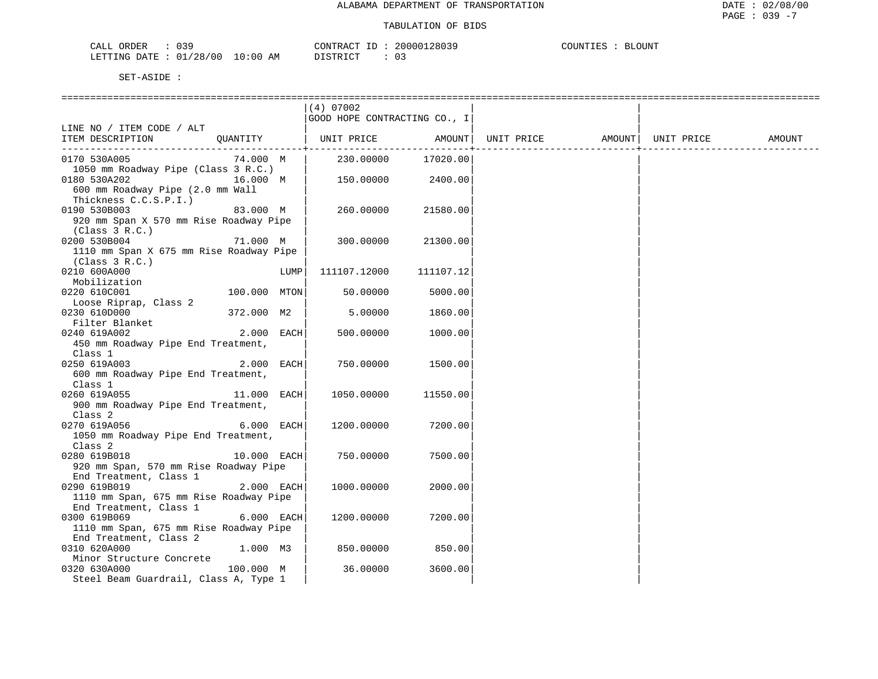| CALL ORDER                       | CONTRACT ID: | 20000128039   | COUNTIES<br><b>BLOUNT</b> |
|----------------------------------|--------------|---------------|---------------------------|
| LETTING DATE : 01/28/00 10:00 AM | DISTRICT     | $\sim$ $\sim$ |                           |

|                                         |              | $(4)$ 07002                  |           |            |        |            |        |
|-----------------------------------------|--------------|------------------------------|-----------|------------|--------|------------|--------|
|                                         |              | GOOD HOPE CONTRACTING CO., I |           |            |        |            |        |
| LINE NO / ITEM CODE / ALT               |              |                              |           |            |        |            |        |
| ITEM DESCRIPTION                        | QUANTITY     | UNIT PRICE                   | AMOUNT    | UNIT PRICE | AMOUNT | UNIT PRICE | AMOUNT |
|                                         |              |                              |           |            |        |            |        |
| 0170 530A005                            | 74.000 M     | 230.00000                    | 17020.00  |            |        |            |        |
| 1050 mm Roadway Pipe (Class 3 R.C.)     |              |                              |           |            |        |            |        |
| 16.000 M<br>0180 530A202                |              | 150.00000                    | 2400.00   |            |        |            |        |
| 600 mm Roadway Pipe (2.0 mm Wall        |              |                              |           |            |        |            |        |
| Thickness C.C.S.P.I.)                   |              |                              |           |            |        |            |        |
| 0190 530B003                            | 83.000 M     | 260.00000                    | 21580.00  |            |        |            |        |
| 920 mm Span X 570 mm Rise Roadway Pipe  |              |                              |           |            |        |            |        |
| (Class 3 R.C.)                          |              |                              |           |            |        |            |        |
| 0200 530B004                            | 71.000 M     | 300.00000                    | 21300.00  |            |        |            |        |
| 1110 mm Span X 675 mm Rise Roadway Pipe |              |                              |           |            |        |            |        |
| (Class 3 R.C.)                          |              |                              |           |            |        |            |        |
| 0210 600A000                            | LUMP         | 111107.12000                 | 111107.12 |            |        |            |        |
| Mobilization                            |              |                              |           |            |        |            |        |
| 0220 610C001                            | 100.000 MTON | 50.00000                     | 5000.00   |            |        |            |        |
| Loose Riprap, Class 2                   |              |                              |           |            |        |            |        |
| 0230 610D000                            | 372.000 M2   | 5.00000                      | 1860.00   |            |        |            |        |
| Filter Blanket                          |              |                              |           |            |        |            |        |
| 0240 619A002                            | 2.000 EACH   | 500.00000                    | 1000.00   |            |        |            |        |
| 450 mm Roadway Pipe End Treatment,      |              |                              |           |            |        |            |        |
| Class 1                                 |              |                              |           |            |        |            |        |
| 0250 619A003                            | 2.000 EACH   | 750.00000                    | 1500.00   |            |        |            |        |
| 600 mm Roadway Pipe End Treatment,      |              |                              |           |            |        |            |        |
| Class 1                                 |              |                              |           |            |        |            |        |
| 0260 619A055                            | 11.000 EACH  | 1050.00000                   | 11550.00  |            |        |            |        |
| 900 mm Roadway Pipe End Treatment,      |              |                              |           |            |        |            |        |
| Class 2                                 |              |                              |           |            |        |            |        |
| 0270 619A056                            | 6.000 EACH   | 1200.00000                   | 7200.00   |            |        |            |        |
| 1050 mm Roadway Pipe End Treatment,     |              |                              |           |            |        |            |        |
| Class 2                                 |              |                              |           |            |        |            |        |
| 0280 619B018                            | 10.000 EACH  | 750.00000                    | 7500.00   |            |        |            |        |
| 920 mm Span, 570 mm Rise Roadway Pipe   |              |                              |           |            |        |            |        |
| End Treatment, Class 1                  |              |                              |           |            |        |            |        |
| 0290 619B019                            | 2.000 EACH   | 1000.00000                   | 2000.00   |            |        |            |        |
| 1110 mm Span, 675 mm Rise Roadway Pipe  |              |                              |           |            |        |            |        |
| End Treatment, Class 1                  |              |                              |           |            |        |            |        |
| 0300 619B069                            | 6.000 EACH   | 1200.00000                   | 7200.00   |            |        |            |        |
| 1110 mm Span, 675 mm Rise Roadway Pipe  |              |                              |           |            |        |            |        |
| End Treatment, Class 2                  |              |                              |           |            |        |            |        |
| 0310 620A000                            | 1.000 M3     | 850.00000                    | 850.00    |            |        |            |        |
| Minor Structure Concrete                |              |                              |           |            |        |            |        |
| 0320 630A000                            | 100.000 M    | 36.00000                     | 3600.00   |            |        |            |        |
| Steel Beam Guardrail, Class A, Type 1   |              |                              |           |            |        |            |        |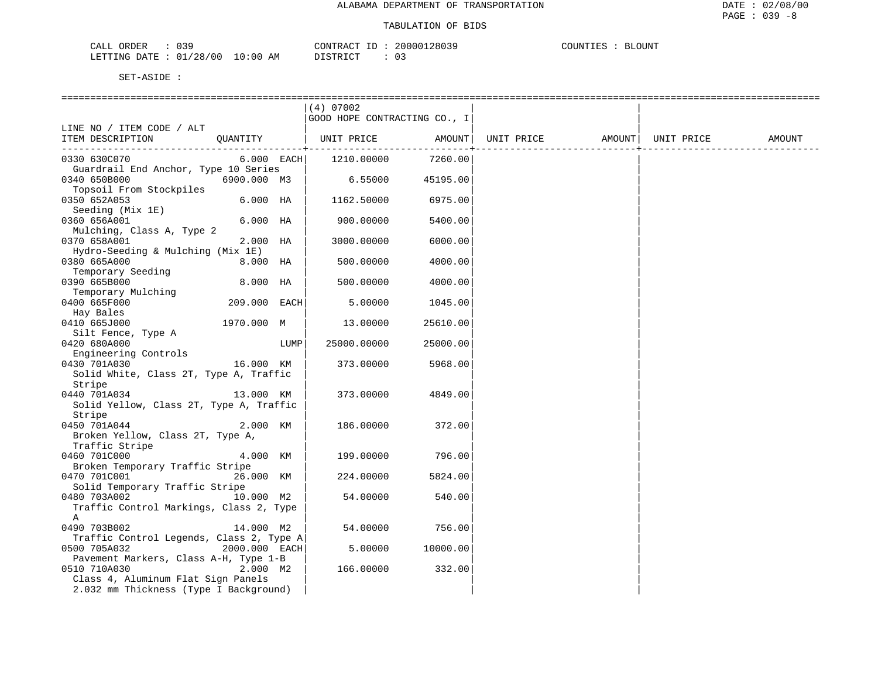| CALL ORDER                       | CONTRACT ID | : 20000128039 | COUNTIES : BLOUNT |  |
|----------------------------------|-------------|---------------|-------------------|--|
| LETTING DATE : 01/28/00 10:00 AM | DISTRICT    |               |                   |  |

|                                                                                             |               |      | $(4)$ 07002<br>GOOD HOPE CONTRACTING CO., I |          |            |                    |        |
|---------------------------------------------------------------------------------------------|---------------|------|---------------------------------------------|----------|------------|--------------------|--------|
| LINE NO / ITEM CODE / ALT<br>ITEM DESCRIPTION                                               | QUANTITY      |      | UNIT PRICE AMOUNT                           |          | UNIT PRICE | AMOUNT  UNIT PRICE | AMOUNT |
| 0330 630C070                                                                                | $6.000$ EACH  |      | 1210.00000                                  | 7260.00  |            |                    |        |
| Guardrail End Anchor, Type 10 Series<br>0340 650B000<br>Topsoil From Stockpiles             | 6900.000 M3   |      | 6.55000                                     | 45195.00 |            |                    |        |
| 0350 652A053                                                                                | $6.000$ HA    |      | 1162.50000                                  | 6975.00  |            |                    |        |
| Seeding (Mix 1E)<br>0360 656A001                                                            | $6.000$ HA    |      | 900.00000                                   | 5400.00  |            |                    |        |
| Mulching, Class A, Type 2<br>0370 658A001<br>Hydro-Seeding & Mulching (Mix 1E)              | 2.000 HA      |      | 3000.00000                                  | 6000.00  |            |                    |        |
| 0380 665A000<br>Temporary Seeding                                                           | 8.000 HA      |      | 500.00000                                   | 4000.00  |            |                    |        |
| 0390 665B000                                                                                | 8.000 HA      |      | 500.00000                                   | 4000.00  |            |                    |        |
| Temporary Mulching<br>0400 665F000                                                          | 209.000 EACH  |      | 5.00000                                     | 1045.00  |            |                    |        |
| Hay Bales<br>0410 665J000                                                                   | 1970.000 M    |      | 13.00000                                    | 25610.00 |            |                    |        |
| Silt Fence, Type A<br>0420 680A000                                                          |               | LUMP | 25000.00000                                 | 25000.00 |            |                    |        |
| Engineering Controls<br>0430 701A030                                                        | 16.000 KM     |      | 373.00000                                   | 5968.00  |            |                    |        |
| Solid White, Class 2T, Type A, Traffic<br>Stripe                                            |               |      |                                             |          |            |                    |        |
| 0440 701A034<br>Solid Yellow, Class 2T, Type A, Traffic                                     | 13.000 KM     |      | 373.00000                                   | 4849.00  |            |                    |        |
| Stripe                                                                                      |               |      |                                             |          |            |                    |        |
| 0450 701A044<br>Broken Yellow, Class 2T, Type A,                                            | 2.000 KM      |      | 186.00000                                   | 372.00   |            |                    |        |
| Traffic Stripe<br>0460 701C000                                                              | 4.000 KM      |      | 199.00000                                   | 796.00   |            |                    |        |
| Broken Temporary Traffic Stripe<br>0470 701C001                                             | 26.000 KM     |      | 224.00000                                   | 5824.00  |            |                    |        |
| Solid Temporary Traffic Stripe<br>0480 703A002<br>Traffic Control Markings, Class 2, Type   | 10.000 M2     |      | 54.00000                                    | 540.00   |            |                    |        |
| A<br>0490 703B002                                                                           | 14.000 M2     |      | 54.00000                                    | 756.00   |            |                    |        |
| Traffic Control Legends, Class 2, Type A<br>0500 705A032                                    | 2000.000 EACH |      | 5.00000                                     | 10000.00 |            |                    |        |
| Pavement Markers, Class A-H, Type 1-B<br>0510 710A030<br>Class 4, Aluminum Flat Sign Panels | 2.000 M2      |      | 166.00000                                   | 332.00   |            |                    |        |
| 2.032 mm Thickness (Type I Background)                                                      |               |      |                                             |          |            |                    |        |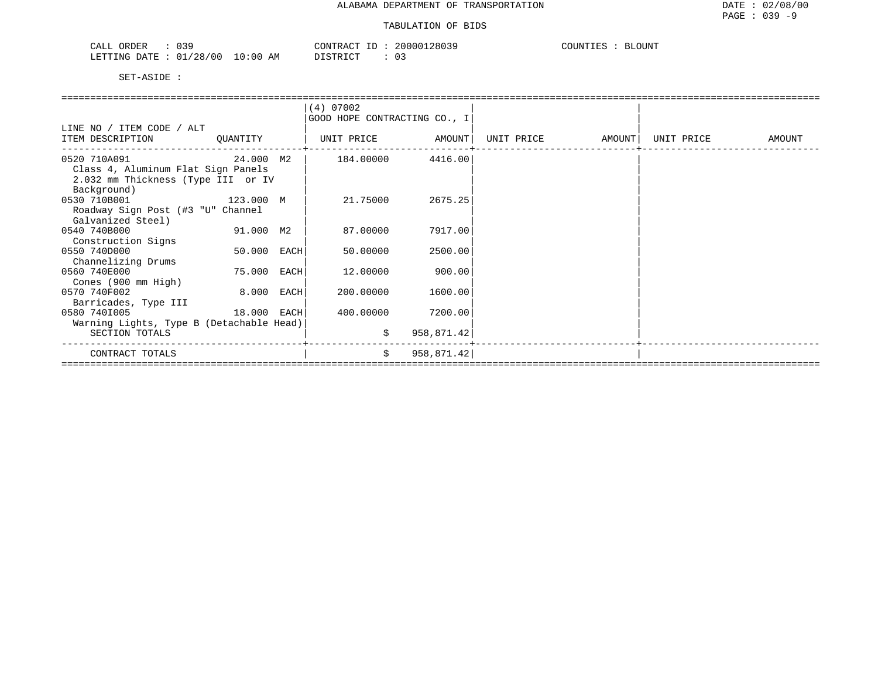| 039<br>ORDER<br>CALL (  |            | CONTRACT<br>ID | 20000128039<br>$\sim$ | COUNTIES<br>BLOUNT |
|-------------------------|------------|----------------|-----------------------|--------------------|
| LETTING DATE : 01/28/00 | $10:00$ AM | DISTRICT       | 03                    |                    |

|                                          |             |      | (4) 07002                    |            |            |        |            |        |
|------------------------------------------|-------------|------|------------------------------|------------|------------|--------|------------|--------|
|                                          |             |      | GOOD HOPE CONTRACTING CO., I |            |            |        |            |        |
| LINE NO / ITEM CODE / ALT                |             |      |                              |            |            |        |            |        |
| ITEM DESCRIPTION                         | QUANTITY    |      | UNIT PRICE AMOUNT            |            | UNIT PRICE | AMOUNT | UNIT PRICE | AMOUNT |
| 0520 710A091<br>24.000 M2                |             |      | 184.00000                    | 4416.00    |            |        |            |        |
| Class 4, Aluminum Flat Sign Panels       |             |      |                              |            |            |        |            |        |
| 2.032 mm Thickness (Type III or IV       |             |      |                              |            |            |        |            |        |
| Background)                              |             |      |                              |            |            |        |            |        |
| 0530 710B001                             | 123.000 M   |      | 21.75000                     | 2675.25    |            |        |            |        |
| Roadway Sign Post (#3 "U" Channel        |             |      |                              |            |            |        |            |        |
| Galvanized Steel)                        |             |      |                              |            |            |        |            |        |
| 0540 740B000                             | 91.000 M2   |      | 87.00000                     | 7917.00    |            |        |            |        |
| Construction Signs                       |             |      |                              |            |            |        |            |        |
| 0550 740D000                             | 50.000 EACH |      | 50.00000                     | 2500.00    |            |        |            |        |
| Channelizing Drums                       |             |      |                              |            |            |        |            |        |
| 0560 740E000                             | 75.000      | EACH | 12.00000                     | 900.00     |            |        |            |        |
| Cones (900 mm High)                      |             |      |                              |            |            |        |            |        |
| 0570 740F002                             | 8.000       | EACH | 200,00000                    | 1600.00    |            |        |            |        |
| Barricades, Type III                     |             |      |                              |            |            |        |            |        |
| 0580 7401005<br>18.000 EACH              |             |      | 400.00000                    | 7200.00    |            |        |            |        |
| Warning Lights, Type B (Detachable Head) |             |      |                              |            |            |        |            |        |
| SECTION TOTALS                           |             |      | \$                           | 958,871.42 |            |        |            |        |
| CONTRACT TOTALS                          |             |      | \$                           | 958,871.42 |            |        |            |        |
|                                          |             |      |                              |            |            |        |            |        |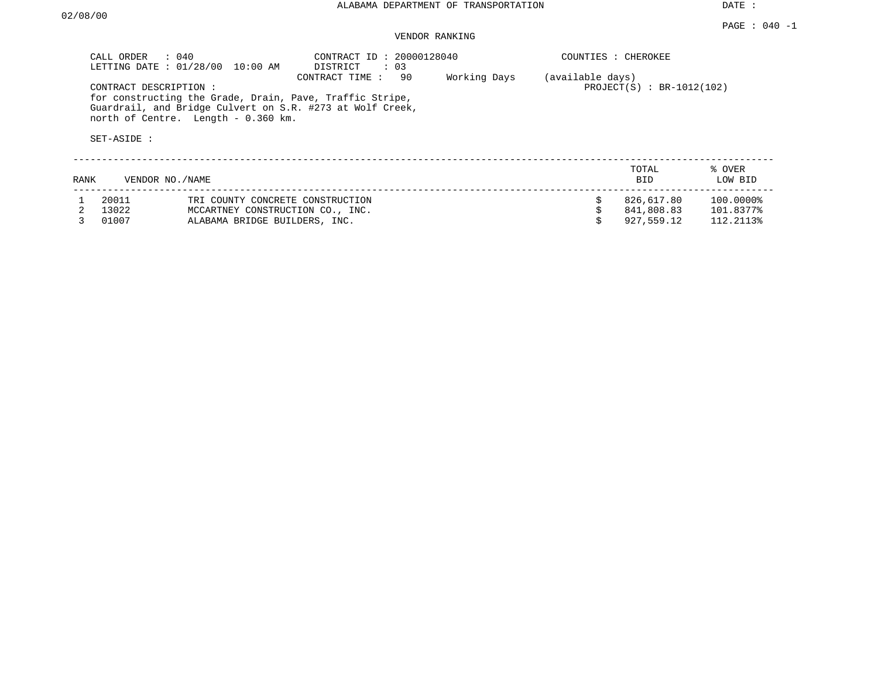DATE :

# VENDOR RANKING

|      | $\therefore$ 040<br>CALL ORDER<br>LETTING DATE: 01/28/00 | 10:00 AM                            | CONTRACT ID: 20000128040<br>DISTRICT<br>$\therefore$ 03                                                                                       |              |                  | COUNTIES : CHEROKEE         |                   |  |  |
|------|----------------------------------------------------------|-------------------------------------|-----------------------------------------------------------------------------------------------------------------------------------------------|--------------|------------------|-----------------------------|-------------------|--|--|
|      | CONTRACT DESCRIPTION:<br>SET-ASIDE :                     | north of Centre. Length - 0.360 km. | CONTRACT TIME:<br>90<br>for constructing the Grade, Drain, Pave, Traffic Stripe,<br>Guardrail, and Bridge Culvert on S.R. #273 at Wolf Creek, | Working Days | (available days) | $PROJECT(S) : BR-1012(102)$ |                   |  |  |
| RANK | VENDOR NO./NAME                                          |                                     |                                                                                                                                               |              |                  | TOTAL<br><b>BID</b>         | % OVER<br>LOW BID |  |  |
|      | 20011                                                    | TRI COUNTY CONCRETE CONSTRUCTION    |                                                                                                                                               |              |                  | 826,617.80                  | 100.0000%         |  |  |
|      | 13022                                                    | MCCARTNEY CONSTRUCTION CO., INC.    |                                                                                                                                               |              |                  | 841,808.83                  | 101.8377%         |  |  |
|      | 01007                                                    | ALABAMA BRIDGE BUILDERS, INC.       |                                                                                                                                               |              |                  | 927,559.12                  | 112.2113%         |  |  |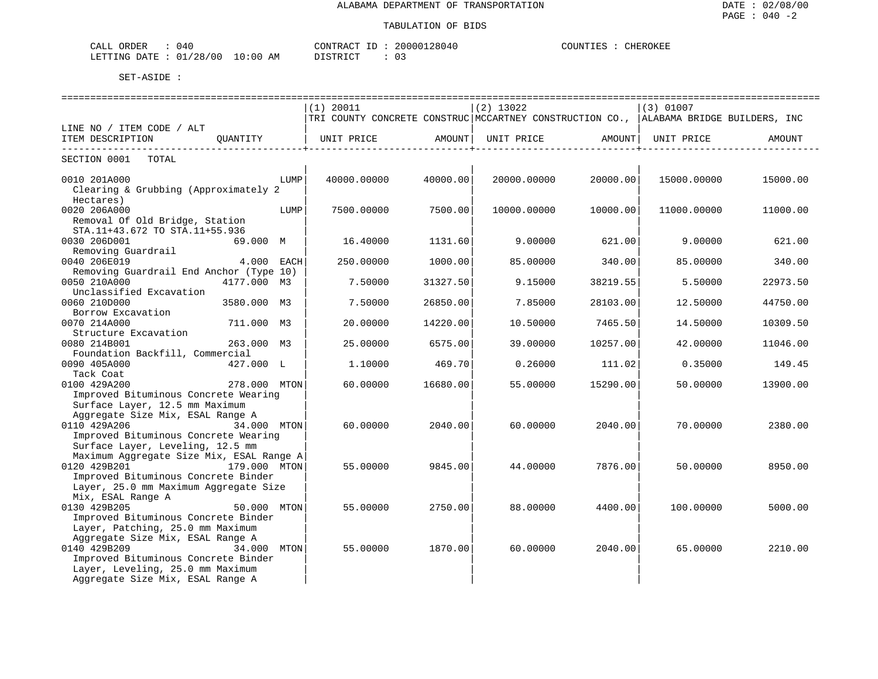| ORDER<br>140<br>. ا ∆ '<br>للطلاب<br>ັັ   |                  | <b>ATTIOL</b> | 14 I | $TD$ $Tz$ $Tz$<br>777<br>דרדר<br>$\overline{\phantom{a}}$<br>⊐ىدىر |
|-------------------------------------------|------------------|---------------|------|--------------------------------------------------------------------|
| $\sim$<br>00 /<br>) בר ב<br>. سست<br>NIG. | AΜ<br>1.111<br>. | TAT<br>.      |      |                                                                    |

|                                          |              |      | $(1)$ 20011                                                                                                  |          | $(2)$ 13022 |          | $(3)$ 01007 |               |
|------------------------------------------|--------------|------|--------------------------------------------------------------------------------------------------------------|----------|-------------|----------|-------------|---------------|
|                                          |              |      | TRI COUNTY CONCRETE CONSTRUC MCCARTNEY CONSTRUCTION CO., ALABAMA BRIDGE BUILDERS, INC                        |          |             |          |             |               |
| LINE NO / ITEM CODE / ALT                |              |      |                                                                                                              |          |             |          |             |               |
| ITEM DESCRIPTION                         | OUANTITY     |      | UNIT PRICE                AMOUNT    UNIT PRICE                AMOUNT    UNIT PRICE                    AMOUNT |          |             |          |             |               |
|                                          |              |      |                                                                                                              |          |             |          |             | _____________ |
| SECTION 0001 TOTAL                       |              |      |                                                                                                              |          |             |          |             |               |
| 0010 201A000                             |              | LUMP | 40000.00000                                                                                                  | 40000.00 | 20000.00000 | 20000.00 | 15000.00000 | 15000.00      |
| Clearing & Grubbing (Approximately 2     |              |      |                                                                                                              |          |             |          |             |               |
| Hectares)                                |              |      |                                                                                                              |          |             |          |             |               |
| 0020 206A000                             |              | LUMP | 7500.00000                                                                                                   | 7500.00  | 10000.00000 | 10000.00 | 11000.00000 | 11000.00      |
| Removal Of Old Bridge, Station           |              |      |                                                                                                              |          |             |          |             |               |
| STA.11+43.672 TO STA.11+55.936           |              |      |                                                                                                              |          |             |          |             |               |
| 0030 206D001                             | 69.000 M     |      | 16.40000                                                                                                     | 1131.60  | 9,00000     | 621.00   | 9.00000     | 621.00        |
| Removing Guardrail                       |              |      |                                                                                                              |          |             |          |             |               |
| 0040 206E019                             | 4.000 EACH   |      | 250.00000                                                                                                    | 1000.00  | 85.00000    | 340.00   | 85.00000    | 340.00        |
| Removing Guardrail End Anchor (Type 10)  |              |      |                                                                                                              |          |             |          |             |               |
| 0050 210A000                             | 4177.000 M3  |      | 7.50000                                                                                                      | 31327.50 | 9.15000     | 38219.55 | 5.50000     | 22973.50      |
|                                          |              |      |                                                                                                              |          |             |          |             |               |
| Unclassified Excavation                  |              |      |                                                                                                              |          |             |          |             |               |
| 0060 210D000                             | 3580.000 M3  |      | 7.50000                                                                                                      | 26850.00 | 7.85000     | 28103.00 | 12.50000    | 44750.00      |
| Borrow Excavation                        |              |      |                                                                                                              |          |             |          |             |               |
| 0070 214A000                             | 711.000 M3   |      | 20.00000                                                                                                     | 14220.00 | 10.50000    | 7465.50  | 14.50000    | 10309.50      |
| Structure Excavation                     |              |      |                                                                                                              |          |             |          |             |               |
| 0080 214B001                             | 263.000 M3   |      | 25.00000                                                                                                     | 6575.00  | 39,00000    | 10257.00 | 42.00000    | 11046.00      |
| Foundation Backfill, Commercial          |              |      |                                                                                                              |          |             |          |             |               |
| 0090 405A000                             | 427.000 L    |      | 1,10000                                                                                                      | 469.70   | 0.26000     | 111.02   | 0.35000     | 149.45        |
| Tack Coat                                |              |      |                                                                                                              |          |             |          |             |               |
| 0100 429A200                             | 278.000 MTON |      | 60.00000                                                                                                     | 16680.00 | 55.00000    | 15290.00 | 50.00000    | 13900.00      |
| Improved Bituminous Concrete Wearing     |              |      |                                                                                                              |          |             |          |             |               |
| Surface Layer, 12.5 mm Maximum           |              |      |                                                                                                              |          |             |          |             |               |
| Aggregate Size Mix, ESAL Range A         |              |      |                                                                                                              |          |             |          |             |               |
| 0110 429A206                             | 34.000 MTON  |      | 60.00000                                                                                                     | 2040.00  | 60.00000    | 2040.00  | 70.00000    | 2380.00       |
| Improved Bituminous Concrete Wearing     |              |      |                                                                                                              |          |             |          |             |               |
| Surface Layer, Leveling, 12.5 mm         |              |      |                                                                                                              |          |             |          |             |               |
| Maximum Aggregate Size Mix, ESAL Range A |              |      |                                                                                                              |          |             |          |             |               |
| 0120 429B201                             | 179.000 MTON |      | 55.00000                                                                                                     | 9845.00  | 44.00000    | 7876.00  | 50.00000    | 8950.00       |
| Improved Bituminous Concrete Binder      |              |      |                                                                                                              |          |             |          |             |               |
| Layer, 25.0 mm Maximum Aggregate Size    |              |      |                                                                                                              |          |             |          |             |               |
| Mix, ESAL Range A                        |              |      |                                                                                                              |          |             |          |             |               |
| 0130 429B205                             | 50.000 MTON  |      | 55.00000                                                                                                     | 2750.00  | 88.00000    | 4400.00  | 100.00000   | 5000.00       |
| Improved Bituminous Concrete Binder      |              |      |                                                                                                              |          |             |          |             |               |
| Layer, Patching, 25.0 mm Maximum         |              |      |                                                                                                              |          |             |          |             |               |
| Aggregate Size Mix, ESAL Range A         |              |      |                                                                                                              |          |             |          |             |               |
| 0140 429B209                             | 34.000 MTON  |      |                                                                                                              |          |             |          |             | 2210.00       |
|                                          |              |      | 55.00000                                                                                                     | 1870.00  | 60.00000    | 2040.00  | 65.00000    |               |
| Improved Bituminous Concrete Binder      |              |      |                                                                                                              |          |             |          |             |               |
| Layer, Leveling, 25.0 mm Maximum         |              |      |                                                                                                              |          |             |          |             |               |
| Aggregate Size Mix, ESAL Range A         |              |      |                                                                                                              |          |             |          |             |               |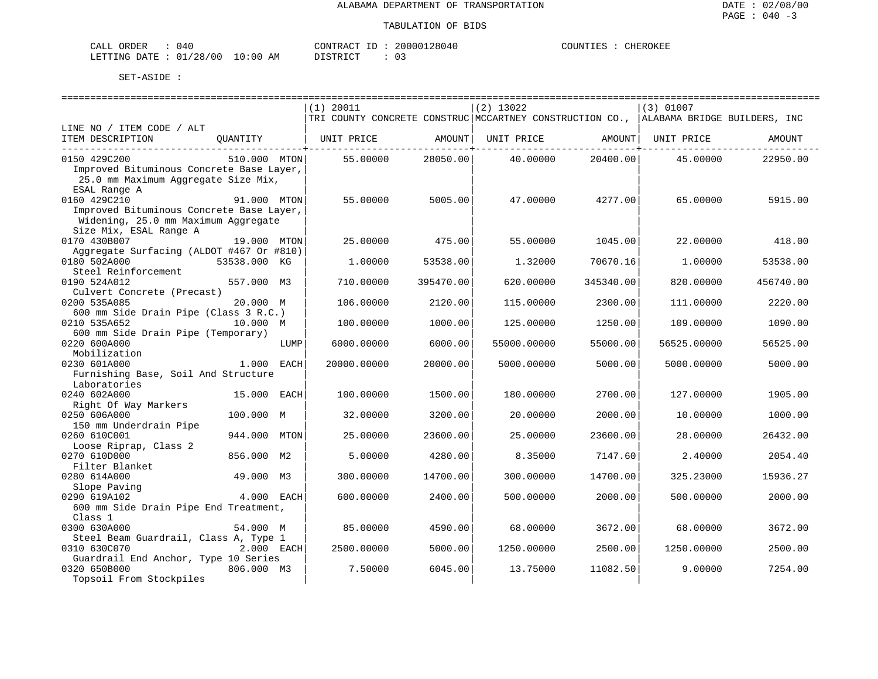| CALL ORDER                      | 040 |          | CONTRACT ID: 20000128040 | COUNTIES : | CHEROKEE |
|---------------------------------|-----|----------|--------------------------|------------|----------|
| LETTING DATE: 01/28/00 10:00 AM |     | DISTRICT | 03                       |            |          |

|                                          |              |      | (1) 20011                                                                             |           | $(2)$ 13022 |           | (3) 01007          |           |
|------------------------------------------|--------------|------|---------------------------------------------------------------------------------------|-----------|-------------|-----------|--------------------|-----------|
|                                          |              |      | TRI COUNTY CONCRETE CONSTRUC MCCARTNEY CONSTRUCTION CO., ALABAMA BRIDGE BUILDERS, INC |           |             |           |                    |           |
| LINE NO / ITEM CODE / ALT                |              |      |                                                                                       |           |             |           |                    |           |
| ITEM DESCRIPTION                         | OUANTITY     |      | UNIT PRICE                                                                            | AMOUNT    | UNIT PRICE  |           | AMOUNT  UNIT PRICE | AMOUNT    |
| --------------------------------         |              |      |                                                                                       |           |             |           |                    |           |
| 0150 429C200                             | 510.000 MTON |      | 55.00000                                                                              | 28050.00  | 40.00000    | 20400.00  | 45.00000           | 22950.00  |
| Improved Bituminous Concrete Base Layer, |              |      |                                                                                       |           |             |           |                    |           |
| 25.0 mm Maximum Aggregate Size Mix,      |              |      |                                                                                       |           |             |           |                    |           |
| ESAL Range A                             |              |      |                                                                                       |           |             |           |                    |           |
| 0160 429C210                             | 91.000 MTON  |      | 55.00000                                                                              | 5005.00   | 47.00000    | 4277.00   | 65.00000           | 5915.00   |
| Improved Bituminous Concrete Base Layer, |              |      |                                                                                       |           |             |           |                    |           |
| Widening, 25.0 mm Maximum Aggregate      |              |      |                                                                                       |           |             |           |                    |           |
| Size Mix, ESAL Range A                   |              |      |                                                                                       |           |             |           |                    |           |
| 0170 430B007                             | 19.000 MTON  |      | 25.00000                                                                              | 475.00    | 55.00000    | 1045.00   | 22.00000           | 418.00    |
| Aggregate Surfacing (ALDOT #467 Or #810) |              |      |                                                                                       |           |             |           |                    |           |
|                                          |              |      |                                                                                       |           |             |           |                    |           |
| 0180 502A000                             | 53538.000 KG |      | 1.00000                                                                               | 53538.00  | 1,32000     | 70670.16  | 1,00000            | 53538.00  |
| Steel Reinforcement                      |              |      |                                                                                       |           |             |           |                    |           |
| 0190 524A012                             | 557.000 M3   |      | 710.00000                                                                             | 395470.00 | 620.00000   | 345340.00 | 820,00000          | 456740.00 |
| Culvert Concrete (Precast)               |              |      |                                                                                       |           |             |           |                    |           |
| 0200 535A085                             | 20.000 M     |      | 106.00000                                                                             | 2120.00   | 115.00000   | 2300.00   | 111,00000          | 2220.00   |
| 600 mm Side Drain Pipe (Class 3 R.C.)    |              |      |                                                                                       |           |             |           |                    |           |
| 0210 535A652                             | 10.000 M     |      | 100.00000                                                                             | 1000.00   | 125.00000   | 1250.00   | 109.00000          | 1090.00   |
| 600 mm Side Drain Pipe (Temporary)       |              |      |                                                                                       |           |             |           |                    |           |
| 0220 600A000                             |              | LUMP | 6000.00000                                                                            | 6000.00   | 55000.00000 | 55000.00  | 56525.00000        | 56525.00  |
| Mobilization                             |              |      |                                                                                       |           |             |           |                    |           |
| 0230 601A000                             | 1.000 EACH   |      | 20000.00000                                                                           | 20000.001 | 5000.00000  | 5000.00   | 5000.00000         | 5000.00   |
| Furnishing Base, Soil And Structure      |              |      |                                                                                       |           |             |           |                    |           |
| Laboratories                             |              |      |                                                                                       |           |             |           |                    |           |
| 0240 602A000                             | 15.000 EACH  |      | 100.00000                                                                             | 1500.00   | 180.00000   | 2700.00   | 127.00000          | 1905.00   |
| Right Of Way Markers                     |              |      |                                                                                       |           |             |           |                    |           |
| 0250 606A000                             | 100.000 M    |      | 32.00000                                                                              | 3200.00   | 20.00000    | 2000.00   | 10.00000           | 1000.00   |
| 150 mm Underdrain Pipe                   |              |      |                                                                                       |           |             |           |                    |           |
| 0260 610C001                             | 944.000      | MTON | 25.00000                                                                              | 23600.00  | 25.00000    | 23600.00  | 28.00000           | 26432.00  |
| Loose Riprap, Class 2                    |              |      |                                                                                       |           |             |           |                    |           |
| 0270 610D000                             | 856.000 M2   |      | 5.00000                                                                               | 4280.00   | 8.35000     | 7147.60   | 2.40000            | 2054.40   |
| Filter Blanket                           |              |      |                                                                                       |           |             |           |                    |           |
| 0280 614A000                             | 49.000 M3    |      | 300.00000                                                                             | 14700.00  | 300,00000   | 14700.00  | 325.23000          | 15936.27  |
| Slope Paving                             |              |      |                                                                                       |           |             |           |                    |           |
| 0290 619A102                             | 4.000 EACH   |      | 600.00000                                                                             | 2400.00   | 500.00000   | 2000.00   | 500.00000          | 2000.00   |
| 600 mm Side Drain Pipe End Treatment,    |              |      |                                                                                       |           |             |           |                    |           |
| Class 1                                  |              |      |                                                                                       |           |             |           |                    |           |
| 0300 630A000                             | 54.000 M     |      | 85.00000                                                                              | 4590.00   | 68,00000    | 3672.00   | 68.00000           | 3672.00   |
| Steel Beam Guardrail, Class A, Type 1    |              |      |                                                                                       |           |             |           |                    |           |
| 0310 630C070                             | 2.000 EACH   |      | 2500.00000                                                                            | 5000.00   | 1250.00000  | 2500.00   | 1250.00000         | 2500.00   |
| Guardrail End Anchor, Type 10 Series     |              |      |                                                                                       |           |             |           |                    |           |
| 0320 650B000                             | 806.000 M3   |      | 7.50000                                                                               | 6045.00   | 13.75000    | 11082.50  | 9.00000            | 7254.00   |
| Topsoil From Stockpiles                  |              |      |                                                                                       |           |             |           |                    |           |
|                                          |              |      |                                                                                       |           |             |           |                    |           |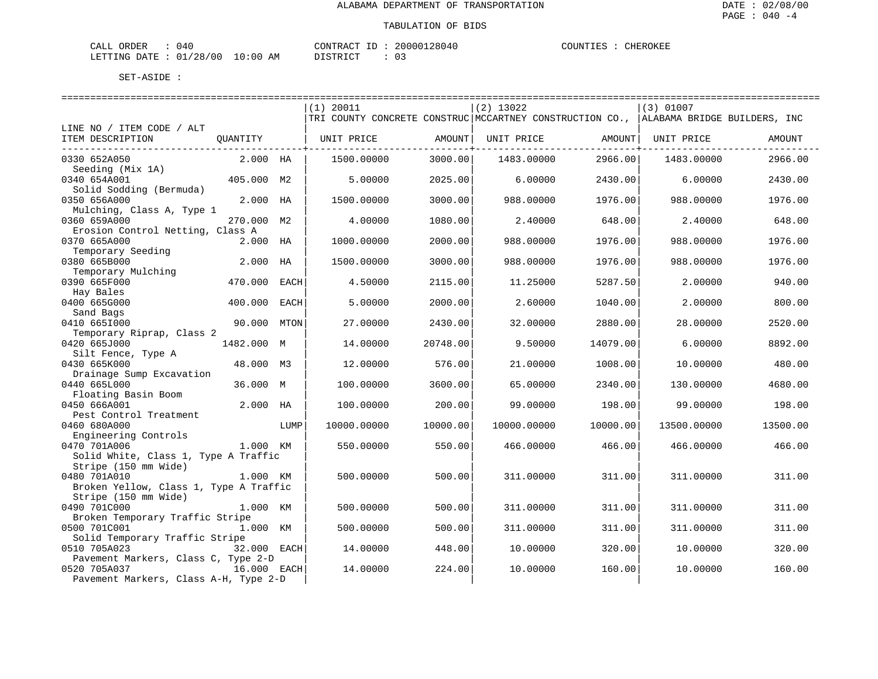| ORDER<br>CALL | (141)        |       |    | $\mathbf{u} \cdot \mathbf{B}$ $\mathbf{\Delta} \mathbf{C}$<br>סידיזו∩י |  | 20000128040 | COUNTIES | CHEROKEF |
|---------------|--------------|-------|----|------------------------------------------------------------------------|--|-------------|----------|----------|
| LETTING DATE  | /28/00<br>01 | 10:00 | AM | $T \cap T$<br><b>DIOTE</b><br>ب:                                       |  | U J         |          |          |

|                                                 |                 |      | $(1)$ 20011                                                                           |               | $(2)$ 13022 |                        | (3) 01007   |          |
|-------------------------------------------------|-----------------|------|---------------------------------------------------------------------------------------|---------------|-------------|------------------------|-------------|----------|
|                                                 |                 |      | TRI COUNTY CONCRETE CONSTRUC MCCARTNEY CONSTRUCTION CO., ALABAMA BRIDGE BUILDERS, INC |               |             |                        |             |          |
| LINE NO / ITEM CODE / ALT                       |                 |      |                                                                                       |               |             |                        |             |          |
| ITEM DESCRIPTION                                | QUANTITY        |      | UNIT PRICE                                                                            | AMOUNT        | UNIT PRICE  | AMOUNT                 | UNIT PRICE  | AMOUNT   |
|                                                 | --------------- |      |                                                                                       | ------------+ |             | ---------------+------ |             |          |
| 0330 652A050                                    | 2.000 HA        |      | 1500.00000                                                                            | 3000.00       | 1483.00000  | 2966.00                | 1483.00000  | 2966.00  |
| Seeding (Mix 1A)                                |                 |      |                                                                                       |               |             |                        |             |          |
| 0340 654A001                                    | 405.000 M2      |      | 5.00000                                                                               | 2025.00       | 6.00000     | 2430.00                | 6.00000     | 2430.00  |
| Solid Sodding (Bermuda)<br>0350 656A000         | 2.000 HA        |      | 1500.00000                                                                            | 3000.00       | 988.00000   | 1976.00                | 988,00000   | 1976.00  |
| Mulching, Class A, Type 1                       |                 |      |                                                                                       |               |             |                        |             |          |
| 0360 659A000                                    | 270.000 M2      |      | 4.00000                                                                               | 1080.00       | 2.40000     | 648.00                 | 2.40000     | 648.00   |
| Erosion Control Netting, Class A                |                 |      |                                                                                       |               |             |                        |             |          |
| 0370 665A000                                    | 2.000 HA        |      | 1000.00000                                                                            | 2000.00       | 988.00000   | 1976.00                | 988,00000   | 1976.00  |
| Temporary Seeding                               |                 |      |                                                                                       |               |             |                        |             |          |
| 0380 665B000                                    | 2.000           | HA   | 1500.00000                                                                            | 3000.00       | 988.00000   | 1976.00                | 988,00000   | 1976.00  |
| Temporary Mulching                              |                 |      |                                                                                       |               |             |                        |             |          |
| 0390 665F000                                    | 470.000         | EACH | 4.50000                                                                               | 2115.00       | 11.25000    | 5287.50                | 2.00000     | 940.00   |
| Hay Bales                                       |                 |      |                                                                                       |               |             |                        |             |          |
| 0400 665G000                                    | 400.000         | EACH | 5.00000                                                                               | 2000.00       | 2.60000     | 1040.00                | 2.00000     | 800.00   |
| Sand Bags                                       |                 |      |                                                                                       |               |             |                        |             |          |
| 0410 6651000                                    | 90.000 MTON     |      | 27.00000                                                                              | 2430.00       | 32.00000    | 2880.00                | 28.00000    | 2520.00  |
| Temporary Riprap, Class 2                       |                 |      |                                                                                       |               |             |                        |             |          |
| 0420 665J000                                    | 1482.000 M      |      | 14.00000                                                                              | 20748.00      | 9.50000     | 14079.00               | 6.00000     | 8892.00  |
| Silt Fence, Type A<br>0430 665K000              | 48.000 M3       |      | 12.00000                                                                              | 576.00        | 21.00000    | 1008.00                | 10.00000    | 480.00   |
| Drainage Sump Excavation                        |                 |      |                                                                                       |               |             |                        |             |          |
| 0440 665L000                                    | 36.000 M        |      | 100.00000                                                                             | 3600.00       | 65.00000    | 2340.00                | 130.00000   | 4680.00  |
| Floating Basin Boom                             |                 |      |                                                                                       |               |             |                        |             |          |
| 0450 666A001                                    | 2.000 HA        |      | 100.00000                                                                             | 200.00        | 99.00000    | 198.00                 | 99.00000    | 198.00   |
| Pest Control Treatment                          |                 |      |                                                                                       |               |             |                        |             |          |
| 0460 680A000                                    |                 | LUMP | 10000.00000                                                                           | 10000.00      | 10000.00000 | 10000.00               | 13500.00000 | 13500.00 |
| Engineering Controls                            |                 |      |                                                                                       |               |             |                        |             |          |
| 0470 701A006                                    | 1.000 KM        |      | 550.00000                                                                             | 550.00        | 466.00000   | 466.00                 | 466.00000   | 466.00   |
| Solid White, Class 1, Type A Traffic            |                 |      |                                                                                       |               |             |                        |             |          |
| Stripe (150 mm Wide)                            |                 |      |                                                                                       |               |             |                        |             |          |
| 0480 701A010                                    | 1.000 KM        |      | 500.00000                                                                             | 500.00        | 311.00000   | 311.00                 | 311.00000   | 311.00   |
| Broken Yellow, Class 1, Type A Traffic          |                 |      |                                                                                       |               |             |                        |             |          |
| Stripe (150 mm Wide)                            |                 |      |                                                                                       |               |             |                        |             |          |
| 0490 701C000<br>Broken Temporary Traffic Stripe | 1.000 KM        |      | 500.00000                                                                             | 500.00        | 311.00000   | 311.00                 | 311,00000   | 311.00   |
| 0500 701C001                                    | 1.000 KM        |      | 500.00000                                                                             | 500.00        | 311.00000   | 311.00                 | 311.00000   | 311.00   |
| Solid Temporary Traffic Stripe                  |                 |      |                                                                                       |               |             |                        |             |          |
| 0510 705A023                                    | 32.000 EACH     |      | 14.00000                                                                              | 448.00        | 10.00000    | 320.00                 | 10.00000    | 320.00   |
| Pavement Markers, Class C, Type 2-D             |                 |      |                                                                                       |               |             |                        |             |          |
| 0520 705A037                                    | 16.000 EACH     |      | 14.00000                                                                              | 224.00        | 10.00000    | 160.00                 | 10.00000    | 160.00   |
| Pavement Markers, Class A-H, Type 2-D           |                 |      |                                                                                       |               |             |                        |             |          |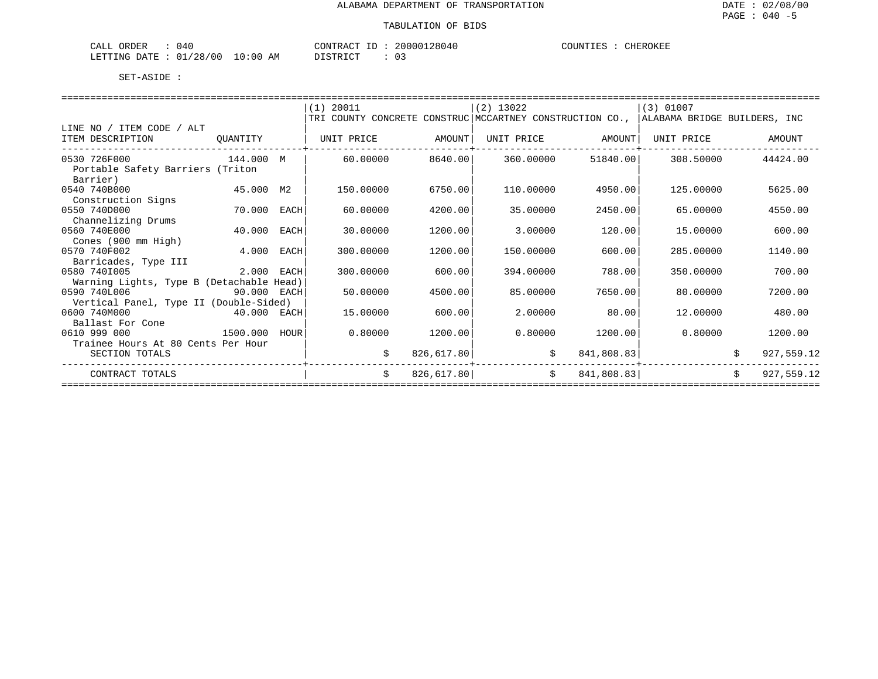| ORDER<br>CALL<br>040          |             | CONTRACT<br>$ -$ | 20000128040 | COUNTIES<br><b>CHEROKEL</b> |
|-------------------------------|-------------|------------------|-------------|-----------------------------|
| /28/00<br>በ 1<br>LETTING DATE | 10:00<br>AΜ | TOMD TOM         |             |                             |

|                                                      |             |      | $(1)$ 20011                                                                           |            | (2) 13022  |            | (3) 01007  |    |            |  |  |
|------------------------------------------------------|-------------|------|---------------------------------------------------------------------------------------|------------|------------|------------|------------|----|------------|--|--|
|                                                      |             |      | TRI COUNTY CONCRETE CONSTRUC MCCARTNEY CONSTRUCTION CO., ALABAMA BRIDGE BUILDERS, INC |            |            |            |            |    |            |  |  |
| LINE NO / ITEM CODE / ALT                            |             |      |                                                                                       |            |            |            |            |    |            |  |  |
| ITEM DESCRIPTION<br>------------------               | OUANTITY    |      | UNIT PRICE                                                                            | AMOUNT     | UNIT PRICE | AMOUNT     | UNIT PRICE |    | AMOUNT     |  |  |
| 0530 726F000<br>Portable Safety Barriers (Triton     | 144.000 M   |      | 60.00000                                                                              | 8640.00    | 360.00000  | 51840.00   | 308.50000  |    | 44424.00   |  |  |
| Barrier)<br>0540 740B000                             | 45.000 M2   |      | 150.00000                                                                             | 6750.00    | 110.00000  | 4950.00    | 125,00000  |    | 5625.00    |  |  |
| Construction Signs<br>0550 740D000                   | 70.000      | EACH | 60.00000                                                                              | 4200.00    | 35.00000   | 2450.00    | 65.00000   |    | 4550.00    |  |  |
| Channelizing Drums<br>0560 740E000                   | 40.000      | EACH | 30.00000                                                                              | 1200.00    | 3.00000    | 120.00     | 15,00000   |    | 600.00     |  |  |
| Cones (900 mm High)<br>0570 740F002                  | 4.000       | EACH | 300.00000                                                                             | 1200.00    | 150.00000  | 600.00     | 285.00000  |    | 1140.00    |  |  |
| Barricades, Type III<br>0580 7401005                 | 2.000 EACH  |      | 300.00000                                                                             | 600.00     | 394.00000  | 788.00     | 350.00000  |    | 700.00     |  |  |
| Warning Lights, Type B (Detachable Head)             |             |      |                                                                                       |            |            |            |            |    |            |  |  |
| 0590 740L006                                         | 90.000 EACH |      | 50.00000                                                                              | 4500.00    | 85,00000   | 7650.00    | 80,00000   |    | 7200.00    |  |  |
| Vertical Panel, Type II (Double-Sided)               |             |      |                                                                                       |            |            |            |            |    |            |  |  |
| 0600 740M000<br>$40.000$ EACH                        |             |      | 15.00000                                                                              | 600.00     | 2.00000    | 80.00      | 12,00000   |    | 480.00     |  |  |
| Ballast For Cone                                     |             |      |                                                                                       |            |            |            |            |    |            |  |  |
| 0610 999 000                                         | 1500.000    | HOUR | 0.80000                                                                               | 1200.00    | 0.80000    | 1200.00    | 0.80000    |    | 1200.00    |  |  |
| Trainee Hours At 80 Cents Per Hour<br>SECTION TOTALS |             |      | \$                                                                                    | 826,617.80 | \$         | 841,808.83 |            |    | 927,559.12 |  |  |
| CONTRACT TOTALS                                      |             |      | \$                                                                                    | 826,617.80 | \$         | 841,808.83 |            | \$ | 927,559.12 |  |  |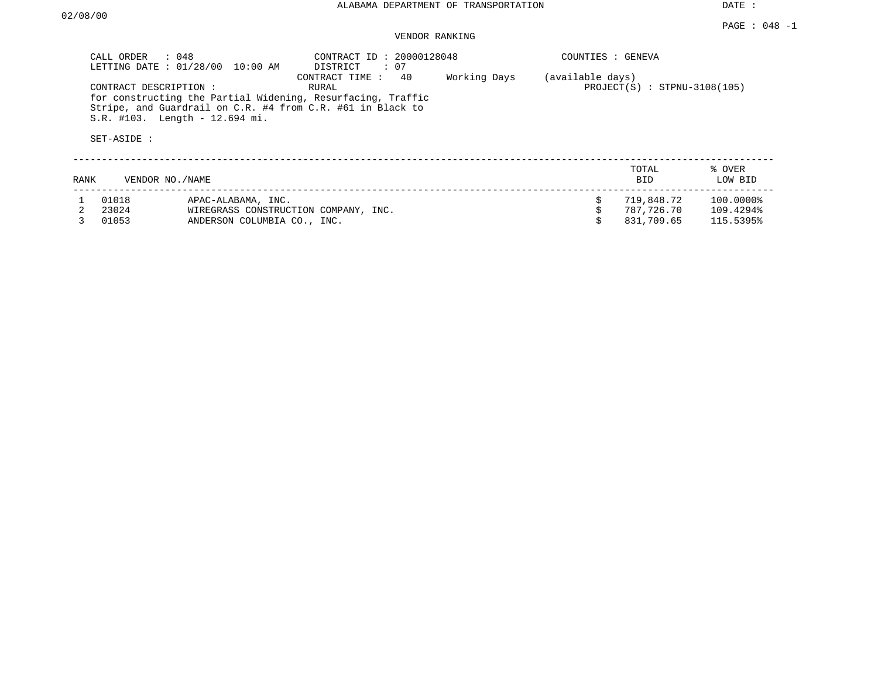#### VENDOR RANKING

|      | CALL ORDER : 048                     | LETTING DATE : 01/28/00 10:00 AM                           | CONTRACT ID: 20000128048<br>DISTRICT : 07                                                                                                               |              | COUNTIES : GENEVA |                                |                        |
|------|--------------------------------------|------------------------------------------------------------|---------------------------------------------------------------------------------------------------------------------------------------------------------|--------------|-------------------|--------------------------------|------------------------|
|      | CONTRACT DESCRIPTION:<br>SET-ASIDE : | S.R. #103. Length - 12.694 mi.                             | CONTRACT TIME: 40<br>RURAL<br>for constructing the Partial Widening, Resurfacing, Traffic<br>Stripe, and Guardrail on C.R. #4 from C.R. #61 in Black to | Working Days | (available days)  | $PROJECT(S)$ : STPNU-3108(105) |                        |
| RANK |                                      | VENDOR NO./NAME                                            |                                                                                                                                                         |              |                   | TOTAL<br>BID                   | % OVER<br>LOW BID      |
|      | 01018<br>23024                       | APAC-ALABAMA, INC.<br>WIREGRASS CONSTRUCTION COMPANY, INC. |                                                                                                                                                         |              |                   | 719,848.72<br>787.726.70       | 100.0000%<br>109.4294% |

3 01053 ANDERSON COLUMBIA CO., INC. \$ 831,709.65 115.5395%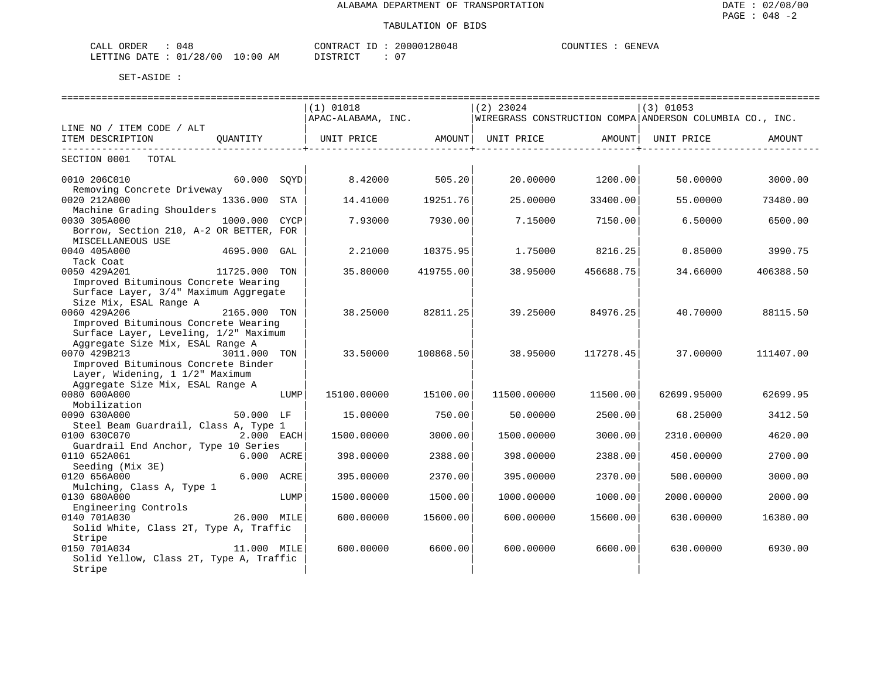| ORDER<br>CALL ( | 148                       |             | CONTRACT ID :       | 20000128048 | COUNTIES | <b>GENEVA</b> |
|-----------------|---------------------------|-------------|---------------------|-------------|----------|---------------|
|                 | LETTING DATE : $01/28/00$ | 10:00<br>ΑM | ידי איד פידי פ<br>. | ∩ ⊤         |          |               |

|                                                                                                                            |               |      | ===============================                             |           |             |           |                                                          |           |
|----------------------------------------------------------------------------------------------------------------------------|---------------|------|-------------------------------------------------------------|-----------|-------------|-----------|----------------------------------------------------------|-----------|
|                                                                                                                            |               |      | (1) 01018                                                   |           | $(2)$ 23024 |           | $(3)$ 01053                                              |           |
|                                                                                                                            |               |      | APAC-ALABAMA, INC.                                          |           |             |           | WIREGRASS CONSTRUCTION COMPA ANDERSON COLUMBIA CO., INC. |           |
| LINE NO / ITEM CODE / ALT                                                                                                  |               |      |                                                             |           |             |           |                                                          |           |
| ITEM DESCRIPTION                                                                                                           |               |      | QUANTITY   UNIT PRICE AMOUNT  UNIT PRICE AMOUNT  UNIT PRICE |           |             |           |                                                          | AMOUNT    |
| SECTION 0001 TOTAL                                                                                                         |               |      |                                                             |           |             |           |                                                          |           |
| 0010 206C010<br>Removing Concrete Driveway                                                                                 | 60.000 SOYD   |      | 8.42000                                                     | 505.20    | 20.00000    | 1200.00   | 50.00000                                                 | 3000.00   |
| 0020 212A000<br>Machine Grading Shoulders                                                                                  | 1336.000 STA  |      | 14.41000                                                    | 19251.76  | 25.00000    | 33400.00  | 55.00000                                                 | 73480.00  |
| 0030 305A000<br>Borrow, Section 210, A-2 OR BETTER, FOR<br>MISCELLANEOUS USE                                               | 1000.000 CYCP |      | 7.93000                                                     | 7930.00   | 7.15000     | 7150.00   | 6.50000                                                  | 6500.00   |
| 0040 405A000<br>Tack Coat                                                                                                  | 4695.000 GAL  |      | 2.21000                                                     | 10375.95  | 1.75000     | 8216.25   | 0.85000                                                  | 3990.75   |
| 0050 429A201<br>Improved Bituminous Concrete Wearing<br>Surface Layer, 3/4" Maximum Aggregate                              | 11725.000 TON |      | 35.80000                                                    | 419755.00 | 38.95000    | 456688.75 | 34.66000                                                 | 406388.50 |
| Size Mix, ESAL Range A<br>0060 429A206<br>Improved Bituminous Concrete Wearing<br>Surface Layer, Leveling, 1/2" Maximum    | 2165.000 TON  |      | 38.25000                                                    | 82811.25  | 39.25000    | 84976.25  | 40.70000                                                 | 88115.50  |
| Aggregate Size Mix, ESAL Range A<br>0070 429B213<br>Improved Bituminous Concrete Binder<br>Layer, Widening, 1 1/2" Maximum | 3011.000 TON  |      | 33.50000                                                    | 100868.50 | 38.95000    | 117278.45 | 37.00000                                                 | 111407.00 |
| Aggregate Size Mix, ESAL Range A<br>0080 600A000<br>Mobilization                                                           |               | LUMP | 15100.00000                                                 | 15100.00  | 11500.00000 | 11500.00  | 62699.95000                                              | 62699.95  |
| 0090 630A000                                                                                                               | 50.000 LF     |      | 15.00000                                                    | 750.00    | 50.00000    | 2500.00   | 68.25000                                                 | 3412.50   |
| Steel Beam Guardrail, Class A, Type 1<br>0100 630C070                                                                      | 2.000 EACH    |      | 1500.00000                                                  | 3000.00   | 1500.00000  | 3000.00   | 2310.00000                                               | 4620.00   |
| Guardrail End Anchor, Type 10 Series<br>0110 652A061                                                                       | 6.000 ACRE    |      | 398.00000                                                   | 2388.00   | 398.00000   | 2388.00   | 450.00000                                                | 2700.00   |
| Seeding (Mix 3E)<br>0120 656A000<br>Mulching, Class A, Type 1                                                              | 6.000 ACRE    |      | 395.00000                                                   | 2370.00   | 395.00000   | 2370.00   | 500.00000                                                | 3000.00   |
| 0130 680A000<br>Engineering Controls                                                                                       |               | LUMP | 1500.00000                                                  | 1500.00   | 1000.00000  | 1000.00   | 2000.00000                                               | 2000.00   |
| 0140 701A030<br>26.000 MILE<br>Solid White, Class 2T, Type A, Traffic                                                      |               |      | 600.00000                                                   | 15600.00  | 600.00000   | 15600.00  | 630.00000                                                | 16380.00  |
| Stripe<br>0150 701A034<br>Solid Yellow, Class 2T, Type A, Traffic<br>Stripe                                                | 11.000 MILE   |      | 600,00000                                                   | 6600.00   | 600,00000   | 6600.00   | 630,00000                                                | 6930.00   |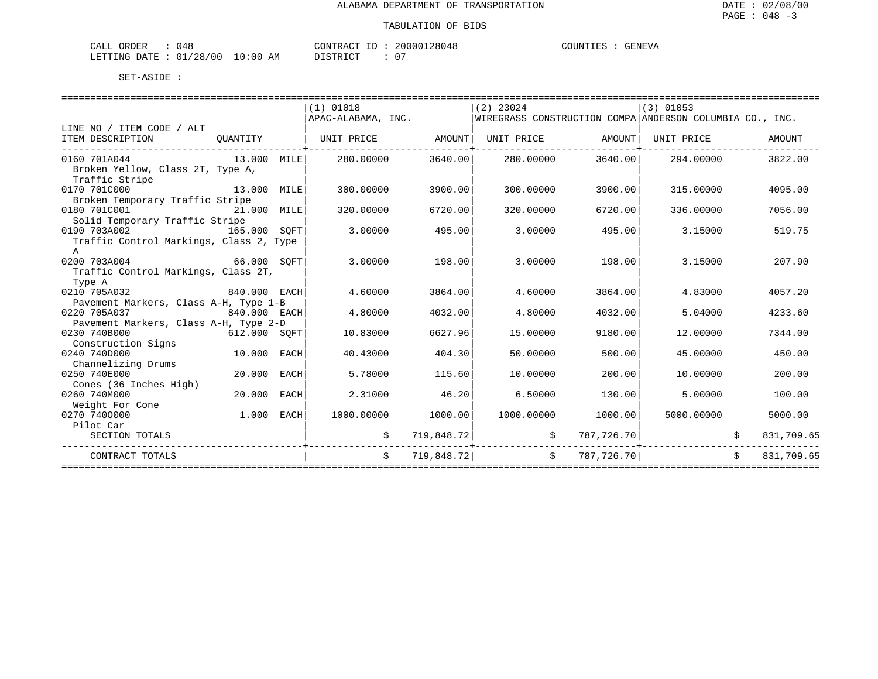| ORDER<br>CALL           | 14۶ |             | $\tau$<br>CONTRACT | 20000128048 | COUNTIES | GENEVA |
|-------------------------|-----|-------------|--------------------|-------------|----------|--------|
| LETTING DATE : 01/28/00 |     | 10:00<br>ΆM | ידי איד פידי פ     | _ດ –        |          |        |

|                                                    |              |      | (1) 01018          |            | $(2)$ 23024 |                   | $(3)$ 01053                                              |            |
|----------------------------------------------------|--------------|------|--------------------|------------|-------------|-------------------|----------------------------------------------------------|------------|
|                                                    |              |      | APAC-ALABAMA, INC. |            |             |                   | WIREGRASS CONSTRUCTION COMPA ANDERSON COLUMBIA CO., INC. |            |
| LINE NO / ITEM CODE / ALT                          |              |      |                    |            |             |                   |                                                          |            |
| ITEM DESCRIPTION                                   | OUANTITY     |      | UNIT PRICE         | AMOUNT     |             | UNIT PRICE AMOUNT | UNIT PRICE                                               | AMOUNT     |
| 0160 701A044                                       | 13.000 MILE  |      | 280.00000          | 3640.00    | 280.00000   | 3640.00           | 294.00000                                                | 3822.00    |
| Broken Yellow, Class 2T, Type A,<br>Traffic Stripe |              |      |                    |            |             |                   |                                                          |            |
| 0170 701C000                                       | 13,000       | MILE | 300,00000          | 3900.00    | 300,00000   | 3900.00           | 315,00000                                                | 4095.00    |
| Broken Temporary Traffic Stripe                    |              |      |                    |            |             |                   |                                                          |            |
| 0180 701C001                                       | 21.000 MILE  |      | 320.00000          | 6720.00    | 320.00000   | 6720.00           | 336.00000                                                | 7056.00    |
| Solid Temporary Traffic Stripe                     |              |      |                    |            |             |                   |                                                          |            |
| 0190 703A002                                       | 165.000 SOFT |      | 3.00000            | 495.00     | 3.00000     | 495.00            | 3.15000                                                  | 519.75     |
| Traffic Control Markings, Class 2, Type<br>A       |              |      |                    |            |             |                   |                                                          |            |
| 0200 703A004<br>66.000 SOFT                        |              |      | 3.00000            | 198.00     | 3.00000     | 198.00            | 3.15000                                                  | 207.90     |
| Traffic Control Markings, Class 2T,                |              |      |                    |            |             |                   |                                                          |            |
| Type A                                             |              |      |                    |            |             |                   |                                                          |            |
| 0210 705A032                                       | 840.000 EACH |      | 4.60000            | 3864.00    | 4.60000     | 3864.00           | 4.83000                                                  | 4057.20    |
| Pavement Markers, Class A-H, Type 1-B              |              |      |                    |            |             |                   |                                                          |            |
| 0220 705A037                                       | 840.000 EACH |      | 4.80000            | 4032.00    | 4.80000     | 4032.00           | 5.04000                                                  | 4233.60    |
| Pavement Markers, Class A-H, Type 2-D              |              |      |                    |            |             |                   |                                                          |            |
| 0230 740B000                                       | 612.000 SOFT |      | 10.83000           | 6627.96    | 15,00000    | 9180.00           | 12,00000                                                 | 7344.00    |
| Construction Signs                                 |              |      |                    |            |             |                   |                                                          |            |
| 0240 740D000                                       | 10.000       | EACH | 40.43000           | 404.30     | 50.00000    | 500.00            | 45.00000                                                 | 450.00     |
| Channelizing Drums                                 |              |      |                    |            |             |                   |                                                          |            |
| 0250 740E000                                       | 20,000       | EACH | 5.78000            | 115.60     | 10.00000    | 200.00            | 10.00000                                                 | 200.00     |
| Cones (36 Inches High)                             |              |      |                    |            |             |                   |                                                          |            |
| 0260 740M000                                       | 20,000       | EACH | 2.31000            | 46.20      | 6.50000     | 130.00            | 5.00000                                                  | 100.00     |
| Weight For Cone                                    |              |      |                    |            |             |                   |                                                          |            |
| 0270 7400000                                       | 1,000        | EACH | 1000.00000         | 1000.00    | 1000.00000  | 1000.00           | 5000.00000                                               | 5000.00    |
| Pilot Car                                          |              |      |                    |            |             |                   |                                                          |            |
| SECTION TOTALS                                     |              |      |                    | 719,848.72 | \$          | 787,726.70        |                                                          | 831,709.65 |
| CONTRACT TOTALS                                    |              |      | Ŝ.                 | 719,848.72 | Ŝ.          | 787,726.70        |                                                          | 831,709.65 |
|                                                    |              |      |                    |            |             |                   |                                                          |            |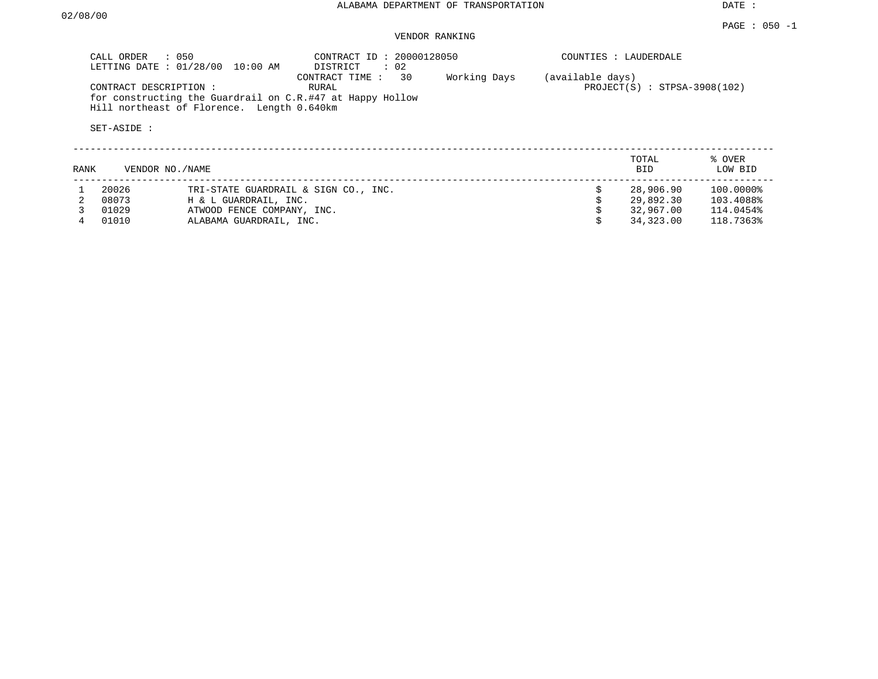PAGE : 050 -1

DATE :

#### VENDOR RANKING

| CALL ORDER<br>CONTRACT DESCRIPTION:<br>SET-ASIDE: | : 050<br>LETTING DATE: 01/28/00<br>10:00 AM<br>for constructing the Guardrail on C.R.#47 at Happy Hollow<br>Hill northeast of Florence. Length 0.640km | CONTRACT ID: 20000128050<br>DISTRICT<br>$\therefore$ 02<br>30<br>CONTRACT TIME:<br>RURAL | Working Days | (available days) | COUNTIES : LAUDERDALE<br>$PROJECT(S)$ : STPSA-3908(102) |                        |
|---------------------------------------------------|--------------------------------------------------------------------------------------------------------------------------------------------------------|------------------------------------------------------------------------------------------|--------------|------------------|---------------------------------------------------------|------------------------|
| RANK                                              | VENDOR NO. / NAME                                                                                                                                      |                                                                                          |              |                  | TOTAL<br><b>BID</b>                                     | % OVER<br>LOW BID      |
| 20026<br>08073                                    | H & L GUARDRAIL, INC.                                                                                                                                  | TRI-STATE GUARDRAIL & SIGN CO., INC.                                                     |              |                  | 28,906.90<br>29,892.30                                  | 100.0000%<br>103.4088% |

 3 01029 ATWOOD FENCE COMPANY, INC. \$ 32,967.00 114.0454% 4 01010 ALABAMA GUARDRAIL, INC. \$ 34,323.00 118.7363%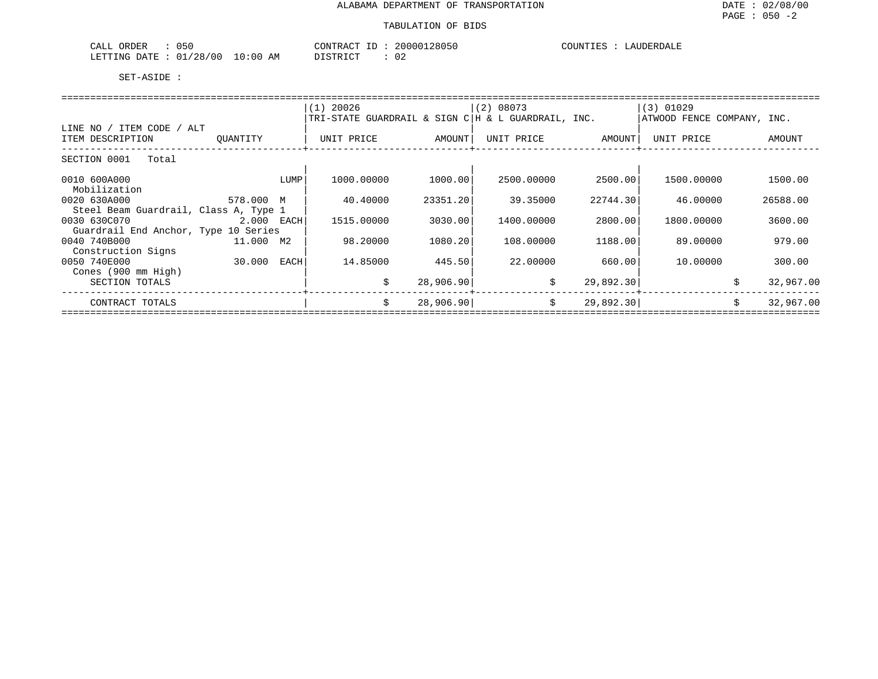| 050<br>$\sim$ $\sim$ $\sim$<br>ORDER<br>ىلىل                                                                                                         |            | $\bigcap_{\Lambda}$<br>$ -$<br>$\pi \cap$<br>'KAL | .28050<br>200001    | COUNTIES<br><b>JDERDALF</b><br>$\cdot$ $\sim$ |
|------------------------------------------------------------------------------------------------------------------------------------------------------|------------|---------------------------------------------------|---------------------|-----------------------------------------------|
| '28/00<br>01<br>LETTING<br>חים מ∩<br>the contract of the contract of the contract of the contract of the contract of the contract of the contract of | ΑM<br>: OC | T T C T T T T T T                                 | $\sim$ $\sim$<br>◡∠ |                                               |

|                                       |            |      | $(1)$ 20026                                        |           | (2) 08073  |           | (3) 01029                  |    |           |
|---------------------------------------|------------|------|----------------------------------------------------|-----------|------------|-----------|----------------------------|----|-----------|
|                                       |            |      | TRI-STATE GUARDRAIL & SIGN C H & L GUARDRAIL, INC. |           |            |           | ATWOOD FENCE COMPANY, INC. |    |           |
| LINE NO / ITEM CODE / ALT             |            |      |                                                    |           |            |           |                            |    |           |
| ITEM DESCRIPTION                      | OUANTITY   |      | UNIT PRICE                                         | AMOUNT    | UNIT PRICE | AMOUNT    | UNIT PRICE                 |    | AMOUNT    |
| SECTION 0001<br>Total                 |            |      |                                                    |           |            |           |                            |    |           |
| 0010 600A000                          |            | LUMP | 1000.00000                                         | 1000.00   | 2500.00000 | 2500.00   | 1500.00000                 |    | 1500.00   |
| Mobilization                          |            |      |                                                    |           |            |           |                            |    |           |
| 0020 630A000                          | 578.000 M  |      | 40.40000                                           | 23351.20  | 39.35000   | 22744.30  | 46.00000                   |    | 26588.00  |
| Steel Beam Guardrail, Class A, Type 1 |            |      |                                                    |           |            |           |                            |    |           |
| 0030 630C070                          | 2.000 EACH |      | 1515.00000                                         | 3030.00   | 1400.00000 | 2800.00   | 1800.00000                 |    | 3600.00   |
| Guardrail End Anchor, Type 10 Series  |            |      |                                                    |           |            |           |                            |    |           |
| 0040 740B000                          | 11.000     | M2   | 98.20000                                           | 1080.20   | 108,00000  | 1188.00   | 89,00000                   |    | 979.00    |
| Construction Signs                    |            |      |                                                    |           |            |           |                            |    |           |
| 0050 740E000                          | 30.000     | EACH | 14.85000                                           | 445.50    | 22,00000   | 660.00    | 10.00000                   |    | 300.00    |
| Cones (900 mm High)                   |            |      |                                                    |           |            |           |                            |    |           |
| SECTION TOTALS                        |            |      | \$                                                 | 28,906.90 | \$         | 29,892.30 |                            | \$ | 32,967.00 |
| CONTRACT TOTALS                       |            |      | \$                                                 | 28,906.90 | \$         | 29,892.30 |                            | Ŝ. | 32,967.00 |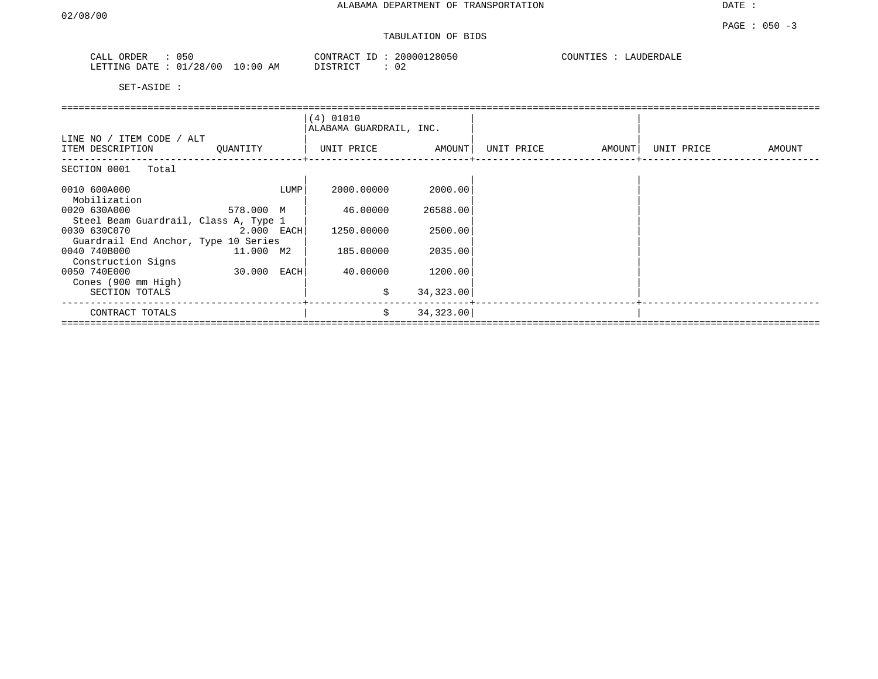| 050<br>CALL ORDER       |            | CONTRACT ID: | 20000128050 | COUNTIES : | LAUDERDALE |
|-------------------------|------------|--------------|-------------|------------|------------|
| LETTING DATE : 01/28/00 | $10:00$ AM | DISTRICT     |             |            |            |

|                                                       |              |      | (4) 01010<br>ALABAMA GUARDRAIL, INC. |            |            |        |            |        |
|-------------------------------------------------------|--------------|------|--------------------------------------|------------|------------|--------|------------|--------|
| LINE NO / ITEM CODE / ALT<br>ITEM DESCRIPTION         | QUANTITY     |      | UNIT PRICE                           | AMOUNT     | UNIT PRICE | AMOUNT | UNIT PRICE | AMOUNT |
| SECTION 0001 Total                                    |              |      |                                      |            |            |        |            |        |
| 0010 600A000<br>Mobilization                          |              | LUMP | 2000.00000                           | 2000.00    |            |        |            |        |
| 0020 630A000<br>Steel Beam Guardrail, Class A, Type 1 | 578.000 M    |      | 46.00000                             | 26588.00   |            |        |            |        |
| 0030 630C070<br>Guardrail End Anchor, Type 10 Series  | $2.000$ EACH |      | 1250.00000                           | 2500.00    |            |        |            |        |
| 0040 740B000<br>Construction Signs                    | 11.000 M2    |      | 185.00000                            | 2035.00    |            |        |            |        |
| 0050 740E000<br>Cones (900 mm High)                   | 30.000       | EACH | 40.00000                             | 1200.00    |            |        |            |        |
| SECTION TOTALS                                        |              |      | \$                                   | 34,323.00  |            |        |            |        |
| CONTRACT TOTALS                                       |              |      | \$                                   | 34, 323.00 |            |        |            |        |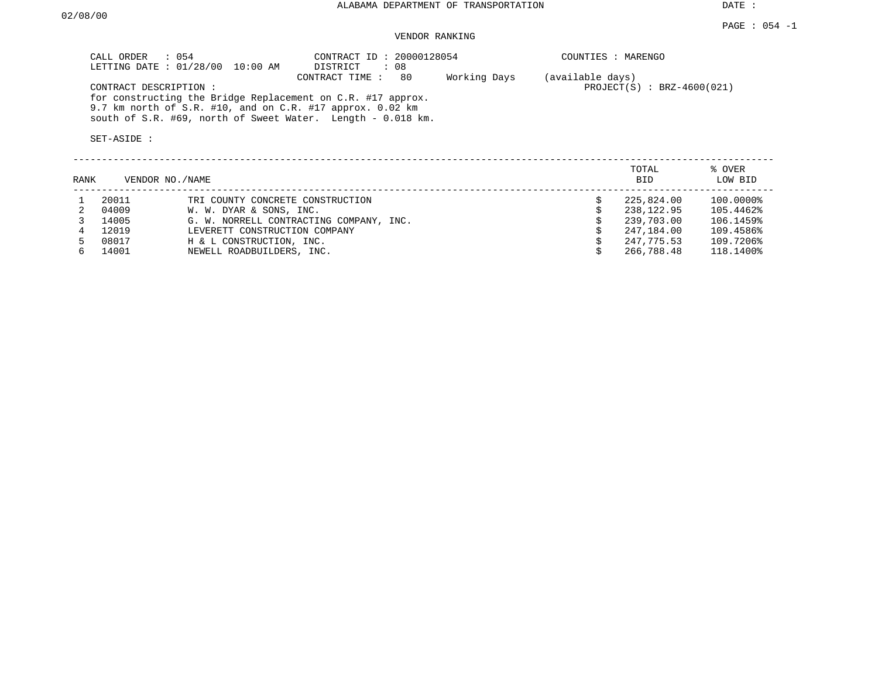#### VENDOR RANKING

| CONTRACT ID: 20000128054<br>CALL ORDER<br>$\therefore$ 054<br>COUNTIES : MARENGO<br>LETTING DATE: 01/28/00<br>DISTRICT<br>: 08<br>10:00 AM<br>80<br>Working Days<br>(available days)<br>CONTRACT TIME :<br>$PROJECT(S) : BRZ-4600(021)$<br>CONTRACT DESCRIPTION:<br>for constructing the Bridge Replacement on C.R. #17 approx.<br>9.7 km north of S.R. #10, and on C.R. #17 approx. 0.02 km<br>south of S.R. #69, north of Sweet Water. Length - 0.018 km.<br>SET-ASIDE:<br>TOTAL<br>% OVER<br>LOW BID<br>VENDOR NO./NAME<br>RANK<br>BID. |
|--------------------------------------------------------------------------------------------------------------------------------------------------------------------------------------------------------------------------------------------------------------------------------------------------------------------------------------------------------------------------------------------------------------------------------------------------------------------------------------------------------------------------------------------|
|                                                                                                                                                                                                                                                                                                                                                                                                                                                                                                                                            |
|                                                                                                                                                                                                                                                                                                                                                                                                                                                                                                                                            |
|                                                                                                                                                                                                                                                                                                                                                                                                                                                                                                                                            |
|                                                                                                                                                                                                                                                                                                                                                                                                                                                                                                                                            |
|                                                                                                                                                                                                                                                                                                                                                                                                                                                                                                                                            |

| 20011 | TRI COUNTY CONCRETE CONSTRUCTION        | 225,824.00 | 100.0000% |
|-------|-----------------------------------------|------------|-----------|
| 04009 | W. W. DYAR & SONS, INC.                 | 238,122.95 | 105.4462% |
| 14005 | G. W. NORRELL CONTRACTING COMPANY, INC. | 239,703.00 | 106.1459% |
| 12019 | LEVERETT CONSTRUCTION COMPANY           | 247,184.00 | 109.4586% |
| 08017 | H & L CONSTRUCTION, INC.                | 247,775.53 | 109.7206% |
| 14001 | NEWELL ROADBUILDERS, INC.               | 266,788.48 | 118.1400% |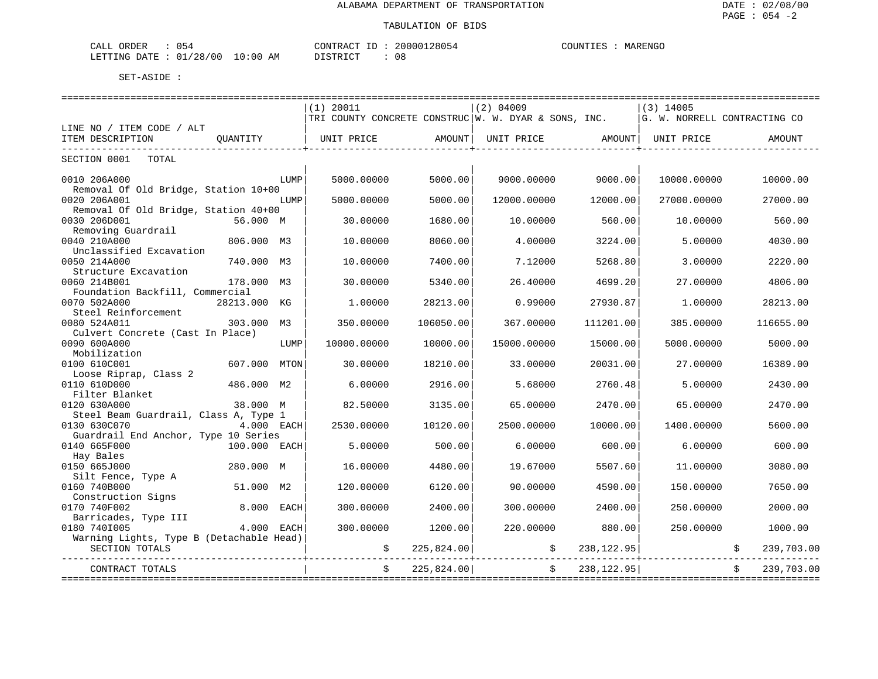| 054<br>ORDER<br>CALL      |            | CONTRACT ID: | 20000128054 | MARENGO<br>COUNTIES |
|---------------------------|------------|--------------|-------------|---------------------|
| 01/28/00<br>LETTING DATE: | $10:00$ AM | DISTRICT     | 08          |                     |

|                                          |              |      | $(1)$ 20011 |                | $(2)$ 04009                                                                                                    |                      | $(3)$ 14005 |            |
|------------------------------------------|--------------|------|-------------|----------------|----------------------------------------------------------------------------------------------------------------|----------------------|-------------|------------|
|                                          |              |      |             |                | TRI COUNTY CONCRETE CONSTRUC W. W. DYAR & SONS, INC. $ \mathbb{G} $ . W. NORRELL CONTRACTING CO                |                      |             |            |
| LINE NO / ITEM CODE / ALT                |              |      |             |                |                                                                                                                |                      |             |            |
| ITEM DESCRIPTION                         | OUANTITY     |      |             |                | UNIT PRICE                 AMOUNT    UNIT PRICE                  AMOUNT    UNIT PRICE                   AMOUNT |                      |             |            |
| _____________________________            |              |      |             |                |                                                                                                                | ____________________ |             |            |
| SECTION 0001<br>TOTAL                    |              |      |             |                |                                                                                                                |                      |             |            |
|                                          |              |      |             |                |                                                                                                                |                      |             |            |
| 0010 206A000                             |              | LUMP | 5000.00000  | 5000.00        | 9000.00000                                                                                                     | 9000.00              | 10000.00000 | 10000.00   |
| Removal Of Old Bridge, Station 10+00     |              |      |             |                |                                                                                                                |                      |             |            |
| 0020 206A001                             |              | LUMP | 5000.00000  | 5000.00        | 12000.00000                                                                                                    | 12000.00             | 27000.00000 | 27000.00   |
| Removal Of Old Bridge, Station 40+00     |              |      |             |                |                                                                                                                |                      |             |            |
| 0030 206D001                             | 56.000 M     |      | 30.00000    | 1680.00        | 10.00000                                                                                                       | 560.00               | 10.00000    | 560.00     |
| Removing Guardrail                       |              |      |             |                |                                                                                                                |                      |             |            |
| 0040 210A000                             | 806.000 M3   |      | 10.00000    | 8060.00        | 4.00000                                                                                                        | 3224.00              | 5,00000     | 4030.00    |
| Unclassified Excavation                  |              |      |             |                |                                                                                                                |                      |             |            |
| 0050 214A000                             | 740.000 M3   |      | 10.00000    | 7400.00        | 7.12000                                                                                                        | 5268.80              | 3.00000     | 2220.00    |
| Structure Excavation                     |              |      |             |                |                                                                                                                |                      |             |            |
| 0060 214B001                             | 178.000 M3   |      | 30.00000    | 5340.00        | 26.40000                                                                                                       | 4699.20              | 27.00000    | 4806.00    |
| Foundation Backfill, Commercial          |              |      |             |                |                                                                                                                |                      |             |            |
| 0070 502A000                             | 28213.000 KG |      | 1,00000     | 28213.00       | 0.99000                                                                                                        | 27930.87             | 1,00000     | 28213.00   |
| Steel Reinforcement                      |              |      |             |                |                                                                                                                |                      |             |            |
| 0080 524A011                             | 303,000 M3   |      | 350.00000   | 106050.00      | 367.00000                                                                                                      | 111201.00            | 385,00000   | 116655.00  |
| Culvert Concrete (Cast In Place)         |              |      |             |                |                                                                                                                |                      |             |            |
| 0090 600A000                             |              | LUMP | 10000.00000 | 10000.00       | 15000.00000                                                                                                    | 15000.00             | 5000.00000  | 5000.00    |
| Mobilization                             |              |      |             |                |                                                                                                                |                      |             |            |
| 0100 610C001                             | 607.000 MTON |      | 30.00000    | 18210.00       | 33.00000                                                                                                       | 20031.00             | 27.00000    | 16389.00   |
| Loose Riprap, Class 2                    |              |      |             |                |                                                                                                                |                      |             |            |
| 0110 610D000                             | 486.000 M2   |      | 6.00000     |                | 5.68000                                                                                                        | 2760.48              | 5.00000     | 2430.00    |
| Filter Blanket                           |              |      |             | 2916.00        |                                                                                                                |                      |             |            |
|                                          |              |      |             |                |                                                                                                                |                      |             |            |
| 0120 630A000                             | 38.000 M     |      | 82.50000    | 3135.00        | 65.00000                                                                                                       | 2470.00              | 65.00000    | 2470.00    |
| Steel Beam Guardrail, Class A, Type 1    |              |      |             |                |                                                                                                                |                      |             |            |
| 0130 630C070                             | 4.000 EACH   |      | 2530.00000  | 10120.00       | 2500.00000                                                                                                     | 10000.00             | 1400.00000  | 5600.00    |
| Guardrail End Anchor, Type 10 Series     |              |      |             |                |                                                                                                                |                      |             |            |
| 0140 665F000                             | 100.000 EACH |      | 5.00000     | 500.00         | 6,00000                                                                                                        | 600.00               | 6.00000     | 600.00     |
| Hay Bales                                |              |      |             |                |                                                                                                                |                      |             |            |
| 0150 665J000                             | 280.000 M    |      | 16,00000    | 4480.00        | 19.67000                                                                                                       | 5507.60              | 11,00000    | 3080.00    |
| Silt Fence, Type A                       |              |      |             |                |                                                                                                                |                      |             |            |
| 0160 740B000                             | 51.000 M2    |      | 120.00000   | 6120.00        | 90.00000                                                                                                       | 4590.00              | 150.00000   | 7650.00    |
| Construction Signs                       |              |      |             |                |                                                                                                                |                      |             |            |
| 0170 740F002                             | 8.000 EACH   |      | 300.00000   | 2400.00        | 300.00000                                                                                                      | 2400.00              | 250.00000   | 2000.00    |
| Barricades, Type III                     |              |      |             |                |                                                                                                                |                      |             |            |
| 0180 7401005                             | 4.000 EACH   |      | 300.00000   | 1200.00        | 220,00000                                                                                                      | 880.00               | 250.00000   | 1000.00    |
| Warning Lights, Type B (Detachable Head) |              |      |             |                |                                                                                                                |                      |             |            |
| SECTION TOTALS                           |              |      |             | \$ 225,824.00] |                                                                                                                | 238,122.95           |             | 239,703.00 |
|                                          |              |      |             |                |                                                                                                                |                      |             |            |
| CONTRACT TOTALS                          |              |      |             | 225,824.00     |                                                                                                                | 238,122.95           |             | 239,703.00 |
|                                          |              |      |             |                |                                                                                                                |                      |             |            |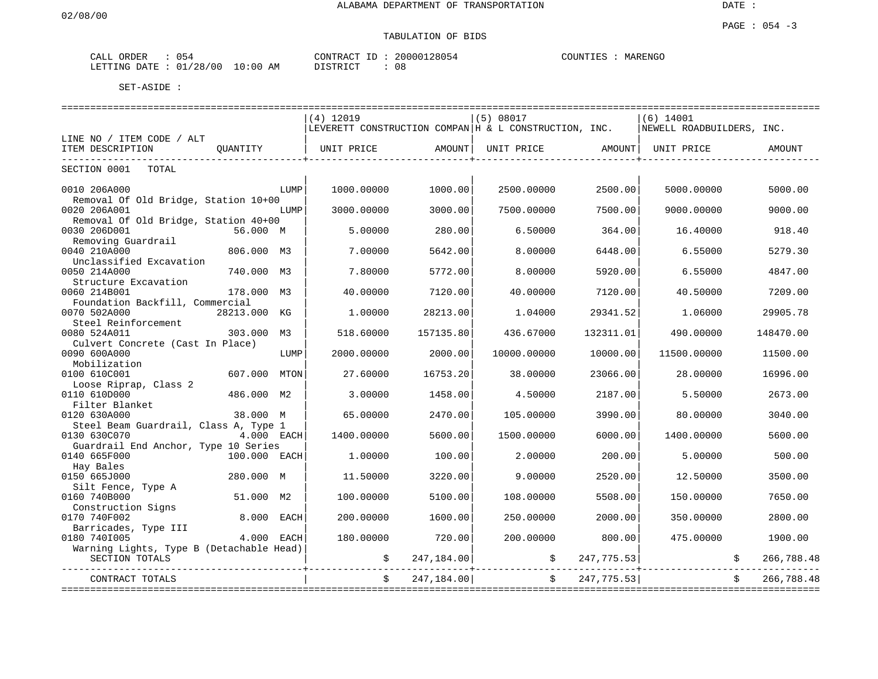| ORDER<br>لىلطات<br>U 54 |                                                      | חידוג∩י<br>، A l | 152      | P.ENGC<br>דתורכ<br>vı L |
|-------------------------|------------------------------------------------------|------------------|----------|-------------------------|
| ייד∆רו<br>ING-          | $\cap$<br>$\sim$ $\sim$<br><b>A</b> IV<br>— U<br>r v | - - - -          | റ<br>U O |                         |

|                                          |              |      | ================================ |            | ================================                              |              | ============================= |                  |
|------------------------------------------|--------------|------|----------------------------------|------------|---------------------------------------------------------------|--------------|-------------------------------|------------------|
|                                          |              |      | $(4)$ 12019                      |            | (5) 08017                                                     |              | $(6)$ 14001                   |                  |
|                                          |              |      |                                  |            | $ $ LEVERETT CONSTRUCTION COMPAN $ $ H & L CONSTRUCTION, INC. |              | NEWELL ROADBUILDERS, INC.     |                  |
| LINE NO / ITEM CODE / ALT                |              |      |                                  |            |                                                               |              |                               |                  |
| ITEM DESCRIPTION                         | OUANTITY     |      | UNIT PRICE                       |            | AMOUNT   UNIT PRICE   AMOUNT   UNIT PRICE                     |              |                               | AMOUNT           |
| --------------------------               |              |      |                                  |            |                                                               |              |                               |                  |
| SECTION 0001<br>TOTAL                    |              |      |                                  |            |                                                               |              |                               |                  |
|                                          |              |      |                                  |            |                                                               |              |                               |                  |
| 0010 206A000                             |              | LUMP | 1000.00000                       | 1000.00    | 2500.00000                                                    | 2500.00      | 5000.00000                    | 5000.00          |
| Removal Of Old Bridge, Station 10+00     |              |      |                                  |            |                                                               |              |                               |                  |
| 0020 206A001                             |              | LUMP | 3000.00000                       | 3000.00    | 7500.00000                                                    | 7500.00      | 9000.00000                    | 9000.00          |
| Removal Of Old Bridge, Station 40+00     |              |      |                                  |            |                                                               |              |                               |                  |
| 0030 206D001                             | 56.000 M     |      | 5.00000                          | 280.00     | 6.50000                                                       | 364.00       | 16.40000                      | 918.40           |
| Removing Guardrail                       |              |      |                                  |            |                                                               |              |                               |                  |
| 0040 210A000                             |              |      |                                  |            |                                                               |              |                               | 5279.30          |
|                                          | 806.000      | М3   | 7.00000                          | 5642.00    | 8.00000                                                       | 6448.00      | 6.55000                       |                  |
| Unclassified Excavation                  |              |      |                                  |            |                                                               |              |                               |                  |
| 0050 214A000                             | 740.000      | M3   | 7.80000                          | 5772.00    | 8,00000                                                       | 5920.00      | 6.55000                       | 4847.00          |
| Structure Excavation                     |              |      |                                  |            |                                                               |              |                               |                  |
| 0060 214B001                             | 178.000 M3   |      | 40.00000                         | 7120.00    | 40.00000                                                      | 7120.00      | 40.50000                      | 7209.00          |
| Foundation Backfill, Commercial          |              |      |                                  |            |                                                               |              |                               |                  |
| 0070 502A000                             | 28213.000    | КG   | 1.00000                          | 28213.00   | 1.04000                                                       | 29341.52     | 1.06000                       | 29905.78         |
| Steel Reinforcement                      |              |      |                                  |            |                                                               |              |                               |                  |
| 0080 524A011                             | 303.000      | M3   | 518.60000                        | 157135.80  | 436.67000                                                     | 132311.01    | 490.00000                     | 148470.00        |
| Culvert Concrete (Cast In Place)         |              |      |                                  |            |                                                               |              |                               |                  |
| 0090 600A000                             |              | LUMP | 2000.00000                       | 2000.00    | 10000.00000                                                   | 10000.00     | 11500.00000                   | 11500.00         |
| Mobilization                             |              |      |                                  |            |                                                               |              |                               |                  |
| 0100 610C001                             | 607.000      | MTON | 27.60000                         | 16753.20   | 38,00000                                                      | 23066.00     | 28.00000                      | 16996.00         |
| Loose Riprap, Class 2                    |              |      |                                  |            |                                                               |              |                               |                  |
| 0110 610D000                             | 486.000 M2   |      | 3.00000                          | 1458.00    | 4.50000                                                       | 2187.00      | 5.50000                       | 2673.00          |
| Filter Blanket                           |              |      |                                  |            |                                                               |              |                               |                  |
| 0120 630A000                             | 38.000 M     |      | 65.00000                         | 2470.00    | 105.00000                                                     | 3990.00      | 80.00000                      | 3040.00          |
| Steel Beam Guardrail, Class A, Type 1    |              |      |                                  |            |                                                               |              |                               |                  |
| 0130 630C070                             | 4.000 EACH   |      | 1400.00000                       | 5600.00    | 1500.00000                                                    | 6000.00      | 1400.00000                    | 5600.00          |
| Guardrail End Anchor, Type 10 Series     |              |      |                                  |            |                                                               |              |                               |                  |
| 0140 665F000                             | 100.000 EACH |      | 1,00000                          | 100.00     | 2.00000                                                       | 200.00       | 5.00000                       | 500.00           |
| Hay Bales                                |              |      |                                  |            |                                                               |              |                               |                  |
| 0150 665J000                             | 280.000 M    |      | 11.50000                         | 3220.00    | 9.00000                                                       | 2520.00      | 12.50000                      | 3500.00          |
| Silt Fence, Type A                       |              |      |                                  |            |                                                               |              |                               |                  |
| 0160 740B000                             | 51.000 M2    |      | 100.00000                        | 5100.00    | 108.00000                                                     | 5508.00      | 150.00000                     | 7650.00          |
| Construction Signs                       |              |      |                                  |            |                                                               |              |                               |                  |
| 0170 740F002                             | 8.000        | EACH | 200.00000                        | 1600.00    | 250.00000                                                     | 2000.00      | 350.00000                     | 2800.00          |
| Barricades, Type III                     |              |      |                                  |            |                                                               |              |                               |                  |
| 0180 7401005                             | 4.000 EACH   |      | 180.00000                        | 720.00     | 200.00000                                                     | 800.00       | 475.00000                     | 1900.00          |
| Warning Lights, Type B (Detachable Head) |              |      |                                  |            |                                                               |              |                               |                  |
| SECTION TOTALS                           |              |      |                                  | 247,184.00 |                                                               | 247, 775. 53 |                               | 266,788.48       |
|                                          |              |      | \$                               |            |                                                               |              |                               |                  |
| CONTRACT TOTALS                          |              |      | \$                               | 247,184.00 | $\ddot{s}$                                                    | 247,775.53   |                               | 266,788.48<br>\$ |
|                                          |              |      |                                  |            |                                                               |              |                               |                  |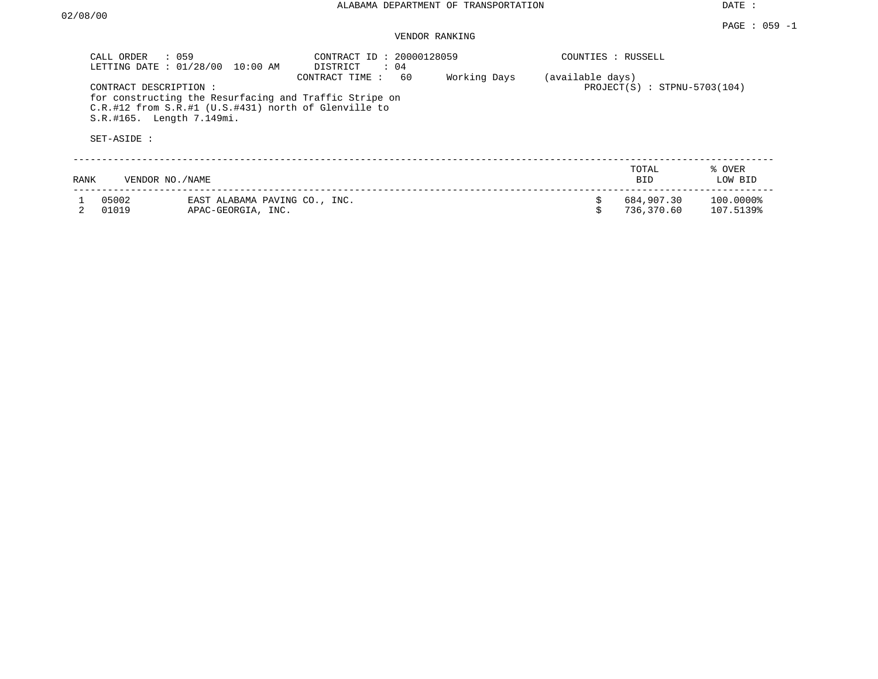#### VENDOR RANKING

|      | CALL ORDER<br>$\therefore$ 059<br>LETTING DATE: 01/28/00          | 10:00 AM                                                                                                             | CONTRACT ID: 20000128059<br>$\therefore$ 04<br>DISTRICT |                    | COUNTIES : RUSSELL |                                |                        |
|------|-------------------------------------------------------------------|----------------------------------------------------------------------------------------------------------------------|---------------------------------------------------------|--------------------|--------------------|--------------------------------|------------------------|
|      | CONTRACT DESCRIPTION:<br>S.R.#165. Length 7.149mi.<br>SET-ASIDE : | for constructing the Resurfacing and Traffic Stripe on<br>$C.R.$ #12 from $S.R.$ #1 (U.S.#431) north of Glenville to | CONTRACT TIME:                                          | 60<br>Working Days | (available days)   | $PROJECT(S)$ : STPNU-5703(104) |                        |
| RANK | VENDOR NO./NAME                                                   |                                                                                                                      |                                                         |                    |                    | TOTAL<br>BID                   | % OVER<br>LOW BID      |
|      | 05002<br>01019                                                    | EAST ALABAMA PAVING CO., INC.<br>APAC-GEORGIA, INC.                                                                  |                                                         |                    |                    | 684,907.30<br>736,370.60       | 100.0000%<br>107.5139% |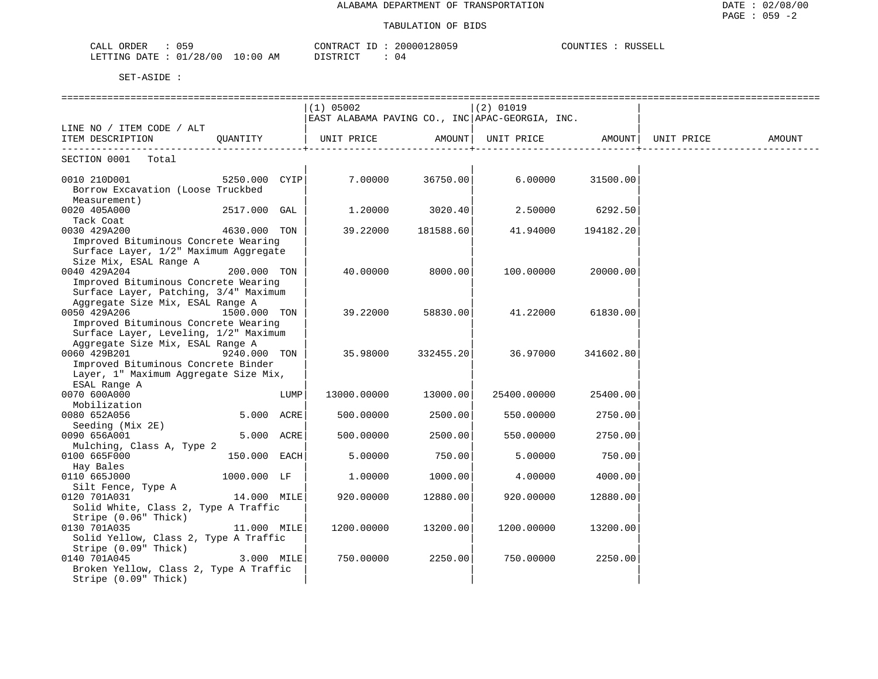|                                         |                | COUNTIES |
|-----------------------------------------|----------------|----------|
| 059                                     | 20000128059    | RUSSELL  |
| CALL ORDER                              | CONTRACT ID :  |          |
|                                         |                |          |
| LETTING DATE : $01/28/00$<br>$10:00$ AM | DISTRICT<br>04 |          |

|                                        |               |      | $(1)$ 05002                                     |           | $(2)$ 01019 |           |            |        |
|----------------------------------------|---------------|------|-------------------------------------------------|-----------|-------------|-----------|------------|--------|
|                                        |               |      | EAST ALABAMA PAVING CO., INC APAC-GEORGIA, INC. |           |             |           |            |        |
| LINE NO / ITEM CODE / ALT              |               |      |                                                 |           |             |           |            |        |
| ITEM DESCRIPTION                       | OUANTITY      |      | UNIT PRICE                                      | AMOUNT    | UNIT PRICE  | AMOUNT    | UNIT PRICE | AMOUNT |
| SECTION 0001 Total                     |               |      |                                                 |           |             |           |            |        |
|                                        |               |      |                                                 |           |             |           |            |        |
| 0010 210D001                           | 5250.000 CYIP |      | 7.00000                                         | 36750.00  | 6.00000     | 31500.00  |            |        |
| Borrow Excavation (Loose Truckbed      |               |      |                                                 |           |             |           |            |        |
| Measurement)                           |               |      |                                                 |           |             |           |            |        |
| 0020 405A000                           | 2517.000 GAL  |      | 1.20000                                         | 3020.40   | 2.50000     | 6292.50   |            |        |
| Tack Coat                              |               |      |                                                 |           |             |           |            |        |
| 0030 429A200                           | 4630.000 TON  |      | 39.22000                                        | 181588.60 | 41.94000    | 194182.20 |            |        |
| Improved Bituminous Concrete Wearing   |               |      |                                                 |           |             |           |            |        |
| Surface Layer, 1/2" Maximum Aggregate  |               |      |                                                 |           |             |           |            |        |
| Size Mix, ESAL Range A                 |               |      |                                                 |           |             |           |            |        |
| 0040 429A204                           | 200.000 TON   |      | 40.00000                                        | 8000.00   | 100.00000   | 20000.00  |            |        |
| Improved Bituminous Concrete Wearing   |               |      |                                                 |           |             |           |            |        |
| Surface Layer, Patching, 3/4" Maximum  |               |      |                                                 |           |             |           |            |        |
| Aggregate Size Mix, ESAL Range A       |               |      |                                                 |           |             |           |            |        |
| 0050 429A206                           | 1500.000 TON  |      | 39.22000                                        | 58830.00  | 41.22000    | 61830.00  |            |        |
| Improved Bituminous Concrete Wearing   |               |      |                                                 |           |             |           |            |        |
| Surface Layer, Leveling, 1/2" Maximum  |               |      |                                                 |           |             |           |            |        |
| Aggregate Size Mix, ESAL Range A       |               |      |                                                 |           |             |           |            |        |
| 0060 429B201                           | 9240.000 TON  |      | 35.98000                                        | 332455.20 | 36.97000    | 341602.80 |            |        |
| Improved Bituminous Concrete Binder    |               |      |                                                 |           |             |           |            |        |
| Layer, 1" Maximum Aggregate Size Mix,  |               |      |                                                 |           |             |           |            |        |
| ESAL Range A                           |               |      |                                                 |           |             |           |            |        |
| 0070 600A000                           |               | LUMP | 13000.00000                                     | 13000.00  | 25400.00000 | 25400.00  |            |        |
| Mobilization                           |               |      |                                                 |           |             |           |            |        |
| 0080 652A056                           | 5.000 ACRE    |      | 500.00000                                       | 2500.00   | 550.00000   | 2750.00   |            |        |
| Seeding (Mix 2E)                       |               |      |                                                 |           |             |           |            |        |
| 0090 656A001                           | 5.000 ACRE    |      | 500.00000                                       | 2500.00   | 550.00000   | 2750.00   |            |        |
| Mulching, Class A, Type 2              |               |      |                                                 |           |             |           |            |        |
| 0100 665F000                           | 150.000 EACH  |      | 5.00000                                         | 750.00    | 5.00000     | 750.00    |            |        |
| Hay Bales                              |               |      |                                                 |           |             |           |            |        |
| 0110 665J000                           | 1000.000 LF   |      | 1,00000                                         | 1000.00   | 4.00000     | 4000.00   |            |        |
| Silt Fence, Type A                     |               |      |                                                 |           |             |           |            |        |
| 0120 701A031                           | 14.000 MILE   |      | 920.00000                                       | 12880.00  | 920.00000   | 12880.00  |            |        |
| Solid White, Class 2, Type A Traffic   |               |      |                                                 |           |             |           |            |        |
| Stripe (0.06" Thick)                   |               |      |                                                 |           |             |           |            |        |
| 0130 701A035                           | 11.000 MILE   |      | 1200.00000                                      | 13200.00  | 1200.00000  | 13200.00  |            |        |
| Solid Yellow, Class 2, Type A Traffic  |               |      |                                                 |           |             |           |            |        |
| Stripe (0.09" Thick)                   |               |      |                                                 |           |             |           |            |        |
| 0140 701A045                           | $3.000$ MILE  |      | 750.00000                                       | 2250.00   | 750.00000   | 2250.00   |            |        |
| Broken Yellow, Class 2, Type A Traffic |               |      |                                                 |           |             |           |            |        |
| Stripe (0.09" Thick)                   |               |      |                                                 |           |             |           |            |        |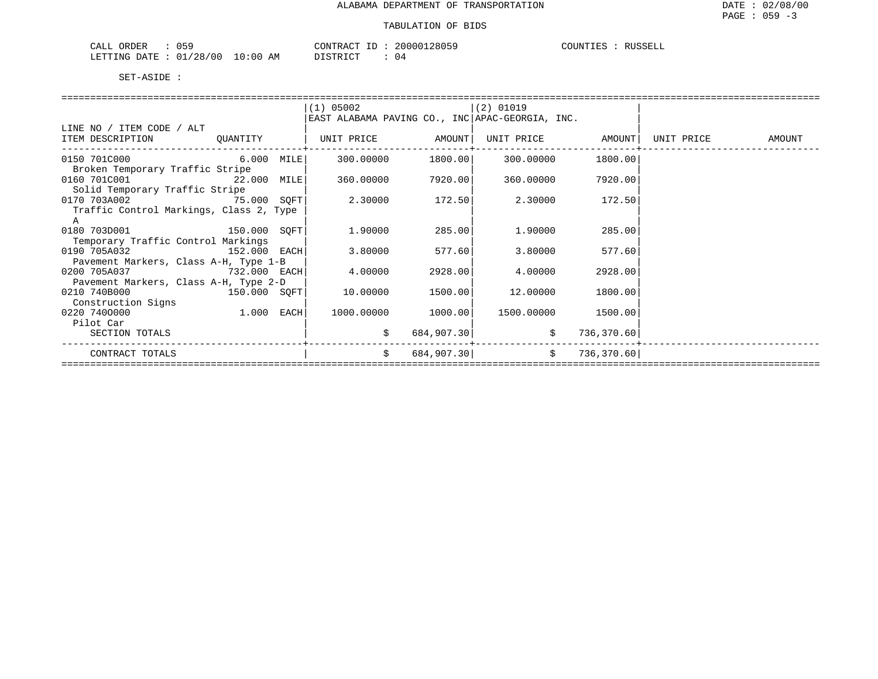| ORDER<br>$\sim$ $ -$<br>CALI<br>ـ ب <b>∪</b> |                                                | $\gamma$<br>IRAU. | 20000<br>2811 | COUNTIES<br>RUSSELL |
|----------------------------------------------|------------------------------------------------|-------------------|---------------|---------------------|
| 00 /<br>$^{\prime}28$ ,<br>.RTTTNG<br>ገ∆ጥ∏   | $\sim$<br>ΑM<br>`: () (,<br>$\sim \mathcal{L}$ | T CTR T CT        | 14            |                     |

|                                         |      | $(1)$ 05002                                     |                   | $(2)$ 01019       |                    |                   |
|-----------------------------------------|------|-------------------------------------------------|-------------------|-------------------|--------------------|-------------------|
|                                         |      | EAST ALABAMA PAVING CO., INC APAC-GEORGIA, INC. |                   |                   |                    |                   |
| LINE NO / ITEM CODE / ALT               |      |                                                 |                   |                   |                    |                   |
| ITEM DESCRIPTION QUANTITY               |      | UNIT PRICE AMOUNT                               |                   | UNIT PRICE AMOUNT |                    | UNIT PRICE AMOUNT |
|                                         |      |                                                 |                   |                   |                    |                   |
| 6.000<br>0150 701C000                   | MILE |                                                 | 300.00000 1800.00 | 300.00000         | 1800.00            |                   |
| Broken Temporary Traffic Stripe         |      |                                                 |                   |                   |                    |                   |
| 0160 701C001 22.000 MILE                |      |                                                 | 360.00000 7920.00 |                   | 360.00000 7920.00  |                   |
| Solid Temporary Traffic Stripe          |      |                                                 |                   |                   |                    |                   |
| 0170 703A002 75.000 SQFT                |      | 2.30000                                         | 172.50            | 2.30000           | 172.50             |                   |
| Traffic Control Markings, Class 2, Type |      |                                                 |                   |                   |                    |                   |
|                                         |      |                                                 |                   |                   |                    |                   |
| 0180 703D001 150.000 SQFT               |      | 1.90000                                         | 285.00            | 1.90000           | 285.00             |                   |
| Temporary Traffic Control Markings      |      |                                                 |                   |                   |                    |                   |
| 0190 705A032 152.000 EACH               |      | 3.80000                                         | 577.60            | 3.80000           | 577.60             |                   |
| Pavement Markers, Class A-H, Type 1-B   |      |                                                 |                   |                   |                    |                   |
| $732.000$ EACH<br>0200 705A037          |      | 4.00000                                         | 2928.00           | 4.00000           | 2928.00            |                   |
| Pavement Markers, Class A-H, Type 2-D   |      |                                                 |                   |                   |                    |                   |
| $150.000$ SQFT<br>0210 740B000          |      | 10.00000                                        | 1500.00           | 12.00000          | 1800.00            |                   |
| Construction Signs                      |      |                                                 |                   |                   |                    |                   |
| 1.000 EACH<br>0220 7400000              |      | 1000.00000                                      | 1000.00           |                   | 1500.00000 1500.00 |                   |
| Pilot Car                               |      |                                                 |                   |                   |                    |                   |
| SECTION TOTALS                          |      | \$                                              | 684,907.30        | \$                | 736,370.60         |                   |
|                                         |      |                                                 |                   |                   |                    |                   |
| CONTRACT TOTALS                         |      | \$                                              | 684,907.30        | $\ddot{s}$        | 736,370.60         |                   |
|                                         |      |                                                 |                   |                   |                    |                   |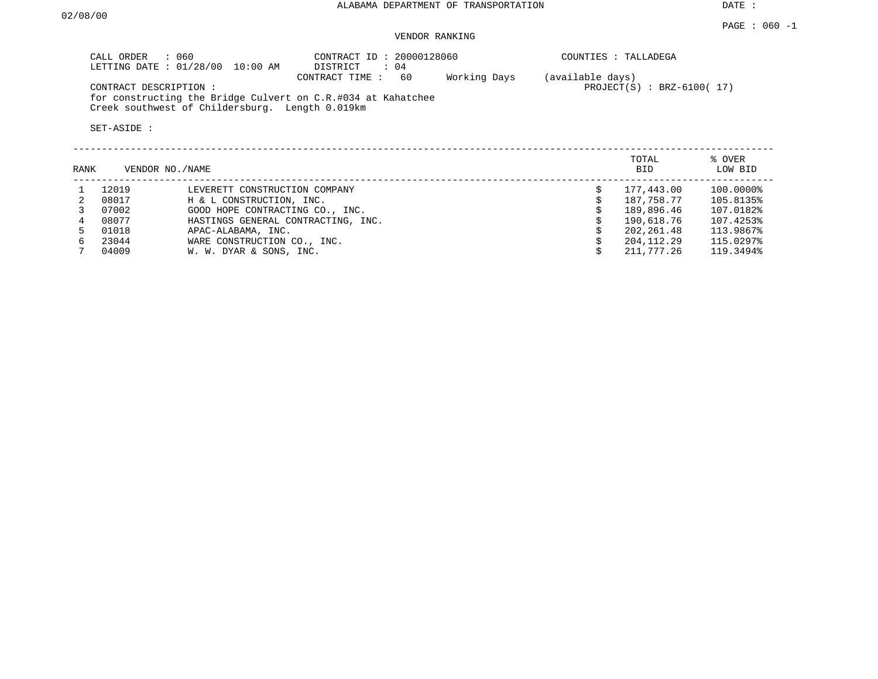#### PAGE : 060 -1 VENDOR RANKING

| LETTING DATE : 01/28/00 10:00 AM<br>$\therefore$ 04<br>Working Days<br>- 60<br>(available days)<br>CONTRACT TIME : |                             |
|--------------------------------------------------------------------------------------------------------------------|-----------------------------|
| CONTRACT DESCRIPTION :                                                                                             | $PROJECT(S)$ : BRZ-6100(17) |
| for constructing the Bridge Culvert on C.R.#034 at Kahatchee<br>Creek southwest of Childersburg. Length 0.019km    |                             |

| RANK |       | VENDOR NO./NAME                    | TOTAL<br><b>BID</b> | % OVER<br>LOW BID |
|------|-------|------------------------------------|---------------------|-------------------|
|      | 12019 | LEVERETT CONSTRUCTION COMPANY      | 177,443.00          | 100.0000%         |
|      | 08017 | H & L CONSTRUCTION, INC.           | 187,758.77          | 105.8135%         |
|      | 07002 | GOOD HOPE CONTRACTING CO., INC.    | 189,896.46          | 107.0182%         |
|      | 08077 | HASTINGS GENERAL CONTRACTING, INC. | 190,618.76          | 107.4253%         |
|      | 01018 | APAC-ALABAMA, INC.                 | 202,261.48          | 113.9867%         |
| б.   | 23044 | WARE CONSTRUCTION CO., INC.        | 204, 112, 29        | 115.0297%         |
|      | 04009 | W. W. DYAR & SONS, INC.            | 211,777.26          | 119.3494%         |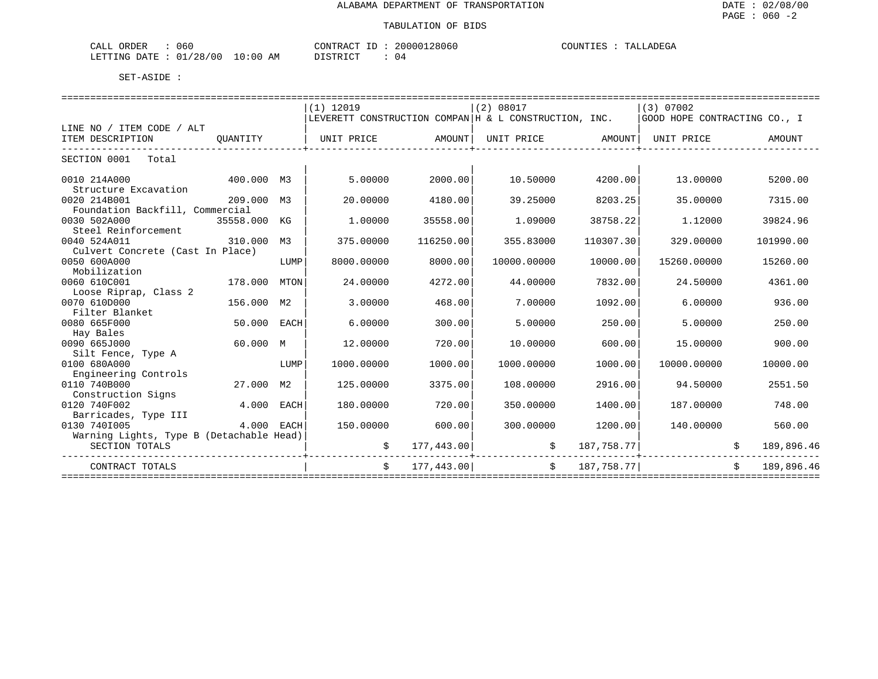| ORDER<br>060<br>لىلط                    |          | וחזורו<br>$\sim$<br>$\sim$<br>7806U<br>$\Lambda$ | וחונ<br>۵Δ.<br>. د<br>.<br>---- |
|-----------------------------------------|----------|--------------------------------------------------|---------------------------------|
| 0 <sup>0</sup><br>־ידי גר<br>- NG<br>__ | .<br>Ar" | $ \cap$ $\pi$<br>. מחיר<br>. .<br>. .            |                                 |

|                                          |            |      | $(1)$ 12019 |            | (2) 08017<br>$(3)$ 07002                              |            |                              |  |            |  |
|------------------------------------------|------------|------|-------------|------------|-------------------------------------------------------|------------|------------------------------|--|------------|--|
|                                          |            |      |             |            | LEVERETT CONSTRUCTION COMPAN H & L CONSTRUCTION, INC. |            | GOOD HOPE CONTRACTING CO., I |  |            |  |
| LINE NO / ITEM CODE / ALT                |            |      |             |            |                                                       |            |                              |  |            |  |
| ITEM DESCRIPTION                         | OUANTITY   |      | UNIT PRICE  | AMOUNT     | UNIT PRICE AMOUNT                                     |            | UNIT PRICE                   |  | AMOUNT     |  |
| SECTION 0001<br>Total                    |            |      |             |            |                                                       |            |                              |  |            |  |
|                                          |            |      |             |            |                                                       |            |                              |  |            |  |
| 0010 214A000                             | 400.000 M3 |      | 5.00000     | 2000.00    | 10.50000                                              | 4200.00    | 13,00000                     |  | 5200.00    |  |
| Structure Excavation                     |            |      |             |            |                                                       |            |                              |  |            |  |
| 0020 214B001                             | 209.000    | M3   | 20.00000    | 4180.00    | 39.25000                                              | 8203.25    | 35,00000                     |  | 7315.00    |  |
| Foundation Backfill, Commercial          |            |      |             |            |                                                       |            |                              |  |            |  |
| 0030 502A000                             | 35558.000  | КG   | 1,00000     | 35558.00   | 1.09000                                               | 38758.22   | 1,12000                      |  | 39824.96   |  |
| Steel Reinforcement                      |            |      |             |            |                                                       |            |                              |  |            |  |
| 0040 524A011                             | 310.000    | M3   | 375.00000   | 116250.00  | 355.83000                                             | 110307.30  | 329.00000                    |  | 101990.00  |  |
| Culvert Concrete (Cast In Place)         |            |      |             |            |                                                       |            |                              |  |            |  |
| 0050 600A000                             |            | LUMP | 8000.00000  | 8000.00    | 10000.00000                                           | 10000.00   | 15260.00000                  |  | 15260.00   |  |
| Mobilization                             |            |      |             |            |                                                       |            |                              |  |            |  |
| 0060 610C001                             | 178.000    | MTON | 24.00000    | 4272.00    | 44.00000                                              | 7832.00    | 24.50000                     |  | 4361.00    |  |
| Loose Riprap, Class 2                    |            |      |             |            |                                                       |            |                              |  |            |  |
| 0070 610D000                             | 156.000    | M2   | 3.00000     | 468.00     | 7.00000                                               | 1092.00    | 6,00000                      |  | 936.00     |  |
| Filter Blanket                           |            |      |             |            |                                                       |            |                              |  |            |  |
| 0080 665F000                             | 50.000     | EACH | 6.00000     | 300.00     | 5.00000                                               | 250.00     | 5,00000                      |  | 250.00     |  |
| Hay Bales                                |            |      |             |            |                                                       |            |                              |  |            |  |
| 0090 665J000                             | 60.000 M   |      | 12,00000    | 720.00     | 10.00000                                              | 600.00     | 15.00000                     |  | 900.00     |  |
| Silt Fence, Type A                       |            |      |             |            |                                                       |            |                              |  |            |  |
| 0100 680A000                             |            | LUMP | 1000.00000  | 1000.00    | 1000.00000                                            | 1000.00    | 10000.00000                  |  | 10000.00   |  |
| Engineering Controls                     |            |      |             |            |                                                       |            |                              |  |            |  |
| 0110 740B000                             | 27.000     | M2   | 125.00000   | 3375.00    | 108,00000                                             | 2916.00    | 94.50000                     |  | 2551.50    |  |
| Construction Signs                       |            |      |             |            |                                                       |            |                              |  |            |  |
| 0120 740F002                             | 4.000      | EACH | 180.00000   | 720.00     | 350.00000                                             | 1400.00    | 187.00000                    |  | 748.00     |  |
| Barricades, Type III                     |            |      |             |            |                                                       |            |                              |  |            |  |
| 0130 7401005                             | 4.000 EACH |      | 150.00000   | 600.00     | 300.00000                                             | 1200.00    | 140.00000                    |  | 560.00     |  |
| Warning Lights, Type B (Detachable Head) |            |      |             |            |                                                       |            |                              |  |            |  |
| SECTION TOTALS                           |            |      |             | 177,443.00 | \$                                                    | 187,758.77 |                              |  | 189,896.46 |  |
| CONTRACT TOTALS                          |            |      | \$          | 177,443.00 | $\mathsf{S}$                                          | 187,758.77 |                              |  | 189,896.46 |  |
|                                          |            |      |             |            |                                                       |            |                              |  |            |  |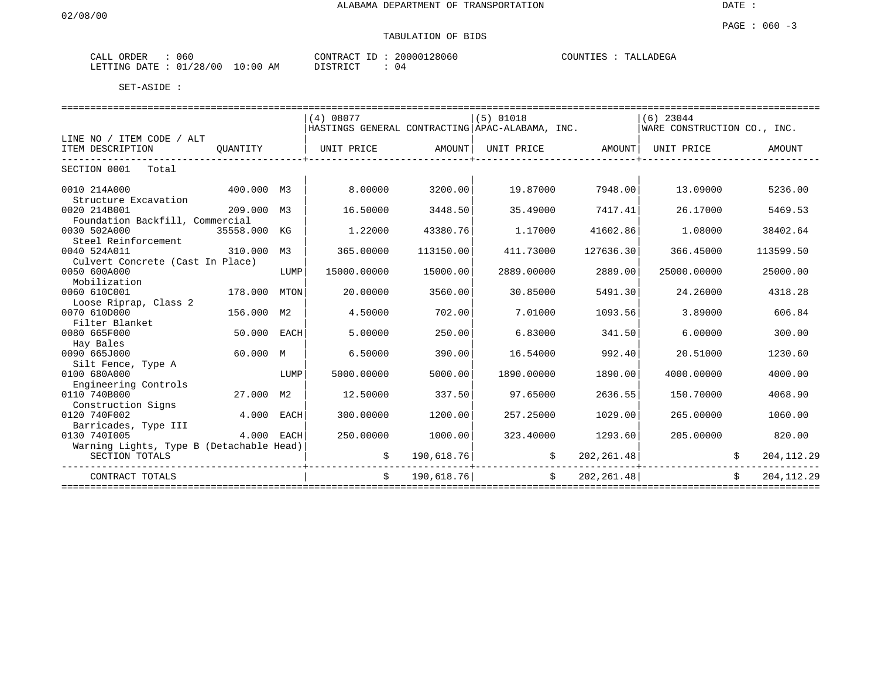| י שו<br>CALL | $\cdots$<br>UNDEN | 060                                   |                 | $ -$<br>א שי<br>- 1 N F | 28060<br>200001 | LLADEGA<br>"OUNTIEN<br>m <sub>n</sub> |
|--------------|-------------------|---------------------------------------|-----------------|-------------------------|-----------------|---------------------------------------|
| LETTING      | ״ידי∆ו            | 0 <sup>0</sup><br>$\sim$ $\sim$<br>28 | AΜ<br>ມະບບ<br>. |                         | 24              |                                       |

|                                          |            |      | (4) 08077                                       |            | $(5)$ 01018    |             | $(6)$ 23044                 |  |              |
|------------------------------------------|------------|------|-------------------------------------------------|------------|----------------|-------------|-----------------------------|--|--------------|
|                                          |            |      | HASTINGS GENERAL CONTRACTING APAC-ALABAMA, INC. |            |                |             | WARE CONSTRUCTION CO., INC. |  |              |
| LINE NO / ITEM CODE / ALT                |            |      |                                                 |            |                |             |                             |  |              |
| ITEM DESCRIPTION                         | OUANTITY   |      | UNIT PRICE                                      | AMOUNT     | UNIT PRICE     | AMOUNT      | UNIT PRICE                  |  | AMOUNT       |
| SECTION 0001<br>Total                    |            |      |                                                 |            |                |             |                             |  |              |
|                                          |            |      |                                                 |            |                |             |                             |  |              |
| 0010 214A000                             | 400.000    | M3   | 8,00000                                         | 3200.00    | 19.87000       | 7948.00     | 13,09000                    |  | 5236.00      |
| Structure Excavation                     |            |      |                                                 |            |                |             |                             |  |              |
| 0020 214B001                             | 209.000    | M3   | 16.50000                                        | 3448.50    | 35.49000       | 7417.41     | 26.17000                    |  | 5469.53      |
| Foundation Backfill, Commercial          |            |      |                                                 |            |                |             |                             |  |              |
| 0030 502A000                             | 35558.000  | КG   | 1.22000                                         | 43380.76   | 1.17000        | 41602.86    | 1,08000                     |  | 38402.64     |
| Steel Reinforcement                      |            |      |                                                 |            |                |             |                             |  |              |
| 0040 524A011                             | 310.000    | М3   | 365.00000                                       | 113150.00  | 411.73000      | 127636.30   | 366.45000                   |  | 113599.50    |
| Culvert Concrete (Cast In Place)         |            |      |                                                 |            |                |             |                             |  |              |
| 0050 600A000                             |            | LUMP | 15000.00000                                     | 15000.00   | 2889.00000     | 2889.00     | 25000.00000                 |  | 25000.00     |
| Mobilization                             |            |      |                                                 |            |                |             |                             |  |              |
| 0060 610C001                             | 178.000    | MTON | 20,00000                                        | 3560.00    | 30.85000       | 5491.30     | 24.26000                    |  | 4318.28      |
| Loose Riprap, Class 2                    |            |      |                                                 |            |                |             |                             |  |              |
| 0070 610D000                             | 156.000    | M2   | 4.50000                                         | 702.00     | 7.01000        | 1093.56     | 3.89000                     |  | 606.84       |
| Filter Blanket                           |            |      |                                                 |            |                |             |                             |  |              |
| 0080 665F000                             | 50.000     | EACH | 5.00000                                         | 250.00     | 6.83000        | 341.50      | 6.00000                     |  | 300.00       |
| Hay Bales                                |            |      |                                                 |            |                |             |                             |  |              |
| 0090 665J000                             | 60.000 M   |      | 6.50000                                         | 390.00     | 16.54000       | 992.40      | 20.51000                    |  | 1230.60      |
| Silt Fence, Type A                       |            |      |                                                 |            |                |             |                             |  |              |
| 0100 680A000                             |            | LUMP | 5000.00000                                      | 5000.00    | 1890.00000     | 1890.00     | 4000.00000                  |  | 4000.00      |
| Engineering Controls<br>0110 740B000     |            |      |                                                 |            |                |             |                             |  |              |
|                                          | 27.000 M2  |      | 12.50000                                        | 337.50     | 97.65000       | 2636.55     | 150.70000                   |  | 4068.90      |
| Construction Signs<br>0120 740F002       | 4.000      | EACH | 300,00000                                       | 1200.00    | 257.25000      | 1029.00     | 265.00000                   |  | 1060.00      |
| Barricades, Type III                     |            |      |                                                 |            |                |             |                             |  |              |
| 0130 7401005                             | 4.000 EACH |      | 250.00000                                       | 1000.00    | 323.40000      | 1293.60     | 205,00000                   |  | 820.00       |
| Warning Lights, Type B (Detachable Head) |            |      |                                                 |            |                |             |                             |  |              |
| SECTION TOTALS                           |            |      |                                                 | 190,618.76 |                | 202, 261.48 |                             |  | 204, 112.29  |
|                                          |            |      |                                                 |            |                |             |                             |  |              |
| CONTRACT TOTALS                          |            |      |                                                 | 190,618.76 | $\mathsf{S}^-$ | 202, 261.48 |                             |  | 204, 112. 29 |
|                                          |            |      |                                                 |            |                |             |                             |  |              |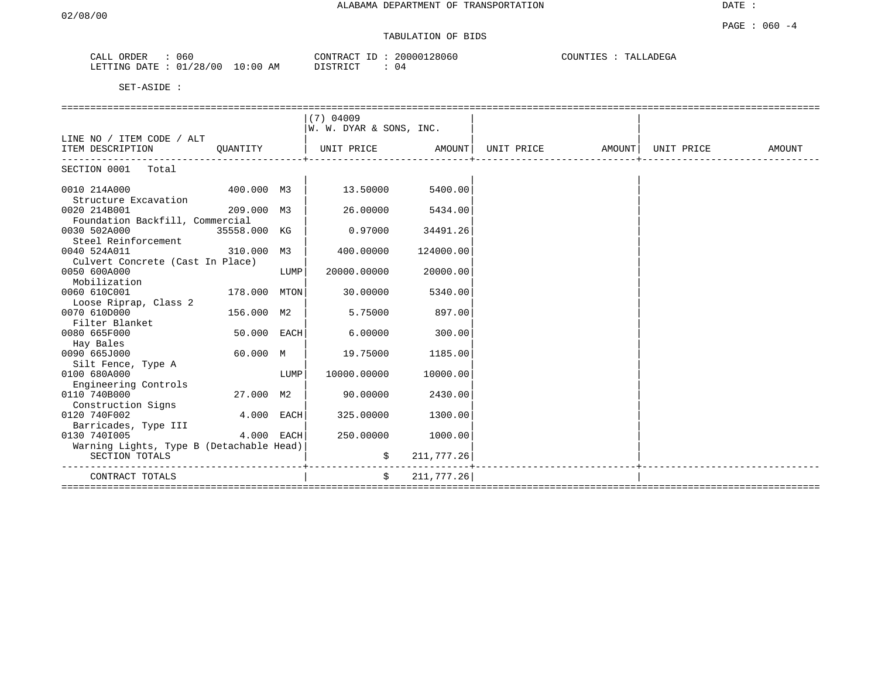DATE :

| 060<br><b>lDER</b><br>CALL                  |            | $\sim$<br>סידיזו∩י<br>'R ∆≀<br>. | 28060<br>20000 | COUNT<br>TA1<br>JADEGA<br>L P.C |
|---------------------------------------------|------------|----------------------------------|----------------|---------------------------------|
| 00 /<br>LETTING<br>DATE<br>/28<br>$\bigcap$ | 0:00<br>AΜ | TAT<br>$\cap$ mm                 | (14)           |                                 |

|                                                  |              |      | $(7)$ 04009             |            |                                                    |  |        |
|--------------------------------------------------|--------------|------|-------------------------|------------|----------------------------------------------------|--|--------|
|                                                  |              |      | W. W. DYAR & SONS, INC. |            |                                                    |  |        |
| LINE NO / ITEM CODE / ALT                        |              |      |                         |            |                                                    |  |        |
| ITEM DESCRIPTION QUANTITY                        |              |      |                         |            | UNIT PRICE AMOUNT   UNIT PRICE AMOUNT   UNIT PRICE |  | AMOUNT |
| SECTION 0001 Total                               |              |      |                         |            |                                                    |  |        |
| 0010 214A000<br>Structure Excavation             | 400.000 M3   |      | 13.50000                | 5400.00    |                                                    |  |        |
| 0020 214B001<br>Foundation Backfill, Commercial  | 209.000 M3   |      | 26.00000                | 5434.00    |                                                    |  |        |
| 0030 502A000                                     | 35558.000 KG |      | 0.97000                 | 34491.26   |                                                    |  |        |
| Steel Reinforcement<br>0040 524A011              | 310.000 M3   |      | 400.00000               | 124000.00  |                                                    |  |        |
| Culvert Concrete (Cast In Place)<br>0050 600A000 |              | LUMP | 20000.00000             | 20000.00   |                                                    |  |        |
| Mobilization<br>0060 610C001                     | 178.000 MTON |      | 30,00000                | 5340.00    |                                                    |  |        |
| Loose Riprap, Class 2<br>0070 610D000            | 156.000 M2   |      | 5.75000                 | 897.00     |                                                    |  |        |
| Filter Blanket                                   |              |      |                         |            |                                                    |  |        |
| 0080 665F000                                     | 50.000 EACH  |      | 6.00000                 | 300.00     |                                                    |  |        |
| Hay Bales                                        |              |      |                         |            |                                                    |  |        |
| 0090 665J000                                     | 60.000 M     |      | 19.75000                | 1185.00    |                                                    |  |        |
| Silt Fence, Type A                               |              |      |                         |            |                                                    |  |        |
| 0100 680A000                                     |              | LUMP | 10000.00000             | 10000.00   |                                                    |  |        |
| Engineering Controls<br>0110 740B000             | 27.000 M2    |      | 90.00000                | 2430.00    |                                                    |  |        |
| Construction Signs                               |              |      |                         |            |                                                    |  |        |
| 0120 740F002                                     | $4.000$ EACH |      | 325,00000               | 1300.00    |                                                    |  |        |
| Barricades, Type III                             |              |      |                         |            |                                                    |  |        |
| 0130 7401005                                     | 4.000 EACH   |      | 250.00000               | 1000.00    |                                                    |  |        |
| Warning Lights, Type B (Detachable Head)         |              |      |                         |            |                                                    |  |        |
| SECTION TOTALS                                   |              |      | \$                      | 211,777.26 |                                                    |  |        |
| CONTRACT TOTALS                                  |              |      | \$                      | 211,777.26 |                                                    |  |        |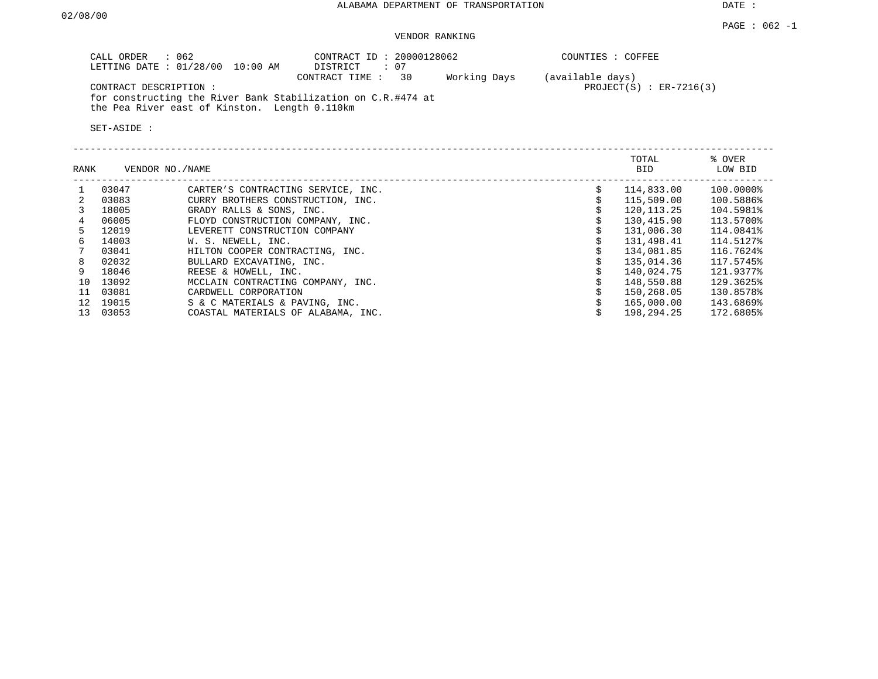#### $PAGE$  : 062 -1 VENDOR RANKING

| CALL ORDER : 062<br>LETTING DATE : 01/28/00 10:00 AM                                                          | CONTRACT ID: 20000128062<br>$\therefore$ 07<br>DISTRICT | COUNTIES : COFFEE                               |
|---------------------------------------------------------------------------------------------------------------|---------------------------------------------------------|-------------------------------------------------|
| CONTRACT DESCRIPTION :                                                                                        | Working Days<br>CONTRACT TIME : 30                      | (available days)<br>$PROJECT(S)$ : $ER-7216(3)$ |
| for constructing the River Bank Stabilization on C.R.#474 at<br>the Pea River east of Kinston. Length 0.110km |                                                         |                                                 |

| RANK            |       | VENDOR NO./NAME                    | TOTAL<br>BID | % OVER<br>LOW BID |
|-----------------|-------|------------------------------------|--------------|-------------------|
|                 | 03047 | CARTER'S CONTRACTING SERVICE, INC. | 114,833.00   | 100.0000%         |
| 2               | 03083 | CURRY BROTHERS CONSTRUCTION, INC.  | 115,509.00   | 100.5886%         |
|                 | 18005 | GRADY RALLS & SONS, INC.           | 120,113.25   | 104.5981%         |
| 4               | 06005 | FLOYD CONSTRUCTION COMPANY, INC.   | 130,415.90   | 113.5700%         |
| 5.              | 12019 | LEVERETT CONSTRUCTION COMPANY      | 131,006.30   | 114.0841%         |
| 6               | 14003 | W. S. NEWELL, INC.                 | 131,498.41   | 114.5127%         |
| 7               | 03041 | HILTON COOPER CONTRACTING, INC.    | 134,081.85   | 116.7624%         |
| 8               | 02032 | BULLARD EXCAVATING, INC.           | 135,014.36   | 117.5745%         |
| 9               | 18046 | REESE & HOWELL, INC.               | 140,024.75   | 121.9377%         |
| 10              | 13092 | MCCLAIN CONTRACTING COMPANY, INC.  | 148,550.88   | 129.3625%         |
| 11              | 03081 | CARDWELL CORPORATION               | 150,268.05   | 130.8578%         |
| 12 <sup>°</sup> | 19015 | S & C MATERIALS & PAVING, INC.     | 165,000.00   | 143.6869%         |
| 13              | 03053 | COASTAL MATERIALS OF ALABAMA, INC. | 198,294.25   | 172.6805%         |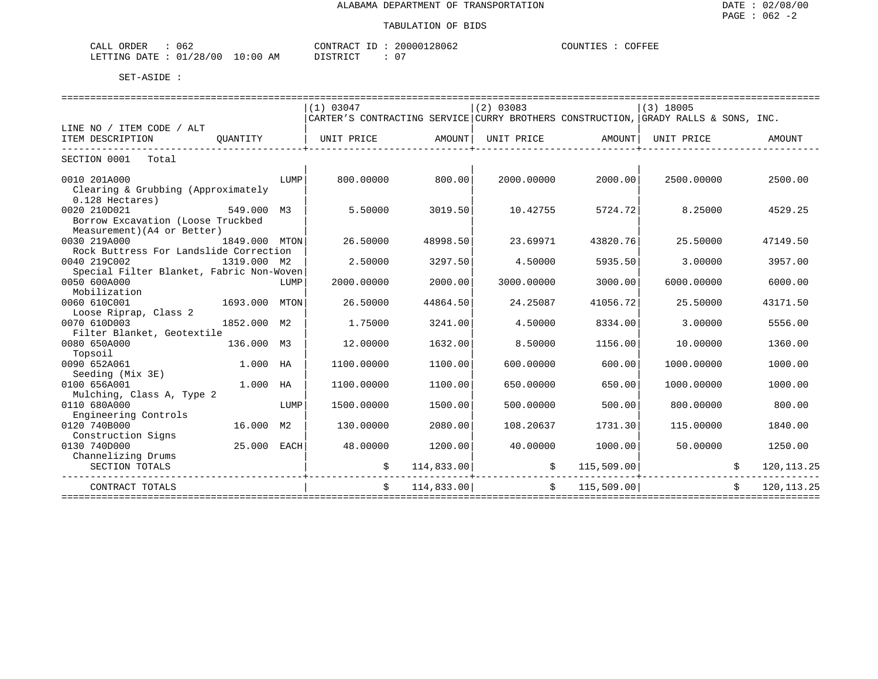| 062<br>CALL ORDER               |          | CONTRACT ID: 20000128062 | COFFEE<br>COUNTIES : C |
|---------------------------------|----------|--------------------------|------------------------|
| LETTING DATE: 01/28/00 10:00 AM | DISTRICT |                          |                        |

|                                                           |      | (1) 03047                                                                          |            | (2) 03083  |               | $(3)$ 18005 |               |
|-----------------------------------------------------------|------|------------------------------------------------------------------------------------|------------|------------|---------------|-------------|---------------|
|                                                           |      | CARTER'S CONTRACTING SERVICE CURRY BROTHERS CONSTRUCTION, GRADY RALLS & SONS, INC. |            |            |               |             |               |
| LINE NO / ITEM CODE / ALT<br>ITEM DESCRIPTION<br>OUANTITY |      | UNIT PRICE                                                                         | AMOUNT     | UNIT PRICE | AMOUNT        | UNIT PRICE  | <b>AMOUNT</b> |
|                                                           |      |                                                                                    |            |            |               |             |               |
| SECTION 0001 Total                                        |      |                                                                                    |            |            |               |             |               |
|                                                           |      |                                                                                    |            |            |               |             |               |
| 0010 201A000                                              | LUMP | 800.00000                                                                          | 800.00     | 2000.00000 | 2000.00       | 2500.00000  | 2500.00       |
| Clearing & Grubbing (Approximately                        |      |                                                                                    |            |            |               |             |               |
| $0.128$ Hectares)                                         |      |                                                                                    |            |            |               |             |               |
| 0020 210D021<br>549.000 M3                                |      | 5.50000                                                                            | 3019.50    | 10.42755   | 5724.72       | 8.25000     | 4529.25       |
| Borrow Excavation (Loose Truckbed                         |      |                                                                                    |            |            |               |             |               |
| Measurement) (A4 or Better)                               |      |                                                                                    |            |            |               |             |               |
| 0030 219A000<br>1849.000 MTON                             |      | 26.50000                                                                           | 48998.50   | 23.69971   | 43820.76      | 25.50000    | 47149.50      |
| Rock Buttress For Landslide Correction                    |      |                                                                                    |            |            |               |             |               |
| 0040 219C002<br>1319.000 M2                               |      | 2.50000                                                                            | 3297.50    | 4.50000    | 5935.50       | 3.00000     | 3957.00       |
| Special Filter Blanket, Fabric Non-Woven                  |      |                                                                                    |            |            |               |             |               |
| 0050 600A000                                              | LUMP | 2000.00000                                                                         | 2000.00    | 3000.00000 | 3000.00       | 6000.00000  | 6000.00       |
| Mobilization                                              |      |                                                                                    |            |            |               |             |               |
| 0060 610C001<br>1693.000                                  | MTON | 26.50000                                                                           | 44864.50   | 24.25087   | 41056.72      | 25.50000    | 43171.50      |
| Loose Riprap, Class 2                                     |      |                                                                                    |            |            |               |             |               |
| 0070 610D003<br>1852.000 M2                               |      | 1.75000                                                                            | 3241.00    | 4.50000    | 8334.00       | 3,00000     | 5556.00       |
| Filter Blanket, Geotextile                                |      |                                                                                    |            |            |               |             |               |
| 0080 650A000<br>136.000 M3                                |      | 12.00000                                                                           | 1632.00    | 8.50000    | 1156.00       | 10.00000    | 1360.00       |
| Topsoil                                                   |      |                                                                                    |            |            |               |             |               |
| 0090 652A061<br>1.000 HA                                  |      | 1100.00000                                                                         | 1100.00    | 600.00000  | 600.00        | 1000.00000  | 1000.00       |
| Seeding (Mix 3E)                                          |      |                                                                                    |            |            |               |             |               |
| 0100 656A001<br>1.000 HA                                  |      | 1100.00000                                                                         | 1100.00    | 650.00000  | 650.00        | 1000.00000  | 1000.00       |
| Mulching, Class A, Type 2                                 |      |                                                                                    |            |            |               |             |               |
| 0110 680A000                                              | LUMP | 1500.00000                                                                         | 1500.00    | 500.00000  | 500.00        | 800.00000   | 800.00        |
| Engineering Controls                                      |      |                                                                                    |            |            |               |             |               |
| 0120 740B000<br>16.000 M2                                 |      | 130.00000                                                                          | 2080.00    | 108.20637  | 1731.30       | 115.00000   | 1840.00       |
| Construction Signs                                        |      |                                                                                    |            |            |               |             |               |
| 0130 740D000<br>25.000 EACH                               |      | 48.00000                                                                           | 1200.00    | 40.00000   | 1000.00       | 50.00000    | 1250.00       |
| Channelizing Drums                                        |      |                                                                                    |            |            |               |             |               |
| SECTION TOTALS                                            |      | \$                                                                                 | 114,833.00 |            | 115,509.00    |             | 120, 113. 25  |
|                                                           |      |                                                                                    |            |            |               |             |               |
| CONTRACT TOTALS                                           |      | \$                                                                                 | 114,833.00 |            | \$115,509.00] |             | 120, 113. 25  |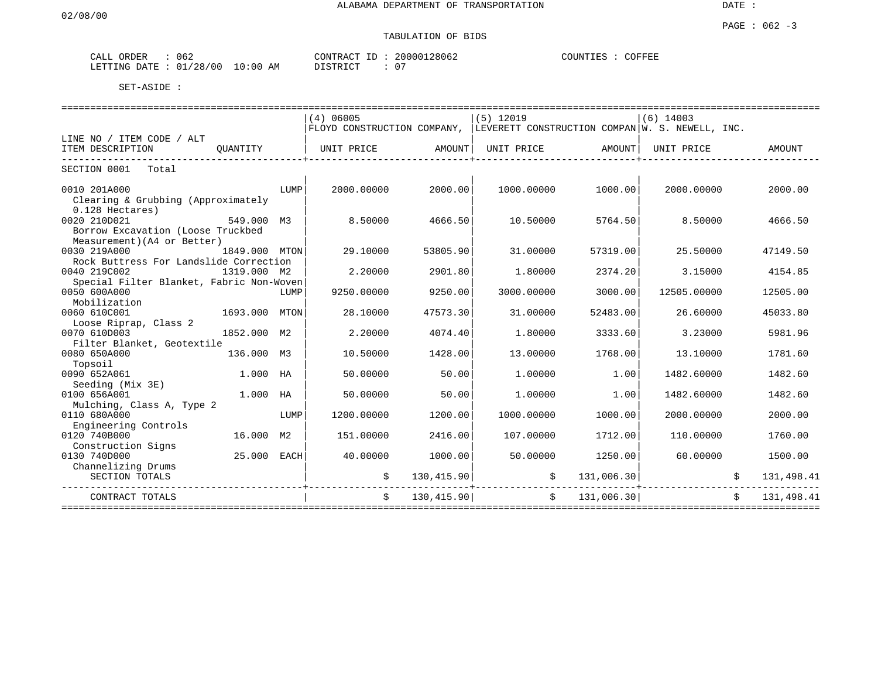| ORDER<br>CALL | 062                              | $\sim$<br>CONTR<br>L'RAU<br>ىك. | 28062<br>200001 | COUNTIES<br>COFFEL |
|---------------|----------------------------------|---------------------------------|-----------------|--------------------|
| LETTING DATE  | 10:00<br>'28,<br>'00<br>01<br>AΜ | $T \cap T$<br><b>DICTED</b>     | n'<br>U         |                    |

|                                          |               |      | (4) 06005                                                                   |            | $(5)$ 12019 |               | $(6)$ 14003 |              |
|------------------------------------------|---------------|------|-----------------------------------------------------------------------------|------------|-------------|---------------|-------------|--------------|
|                                          |               |      | FLOYD CONSTRUCTION COMPANY, LEVERETT CONSTRUCTION COMPAN W. S. NEWELL, INC. |            |             |               |             |              |
| LINE NO / ITEM CODE / ALT                |               |      |                                                                             |            |             |               |             |              |
| ITEM DESCRIPTION                         | OUANTITY      |      | UNIT PRICE                                                                  | AMOUNT     | UNIT PRICE  | AMOUNT        | UNIT PRICE  | AMOUNT       |
| SECTION 0001 Total                       |               |      |                                                                             |            |             |               |             |              |
|                                          |               |      |                                                                             |            |             |               |             |              |
| 0010 201A000                             |               | LUMP | 2000.00000                                                                  | 2000.00    | 1000.00000  | 1000.00       | 2000.00000  | 2000.00      |
| Clearing & Grubbing (Approximately       |               |      |                                                                             |            |             |               |             |              |
| $0.128$ Hectares)                        |               |      |                                                                             |            |             |               |             |              |
| 0020 210D021                             | 549.000 M3    |      | 8.50000                                                                     | 4666.50    | 10.50000    | 5764.50       | 8.50000     | 4666.50      |
| Borrow Excavation (Loose Truckbed        |               |      |                                                                             |            |             |               |             |              |
| Measurement) (A4 or Better)              |               |      |                                                                             |            |             |               |             |              |
| 0030 219A000                             | 1849.000 MTON |      | 29.10000                                                                    | 53805.90   | 31,00000    | 57319.00      | 25.50000    | 47149.50     |
| Rock Buttress For Landslide Correction   |               |      |                                                                             |            |             |               |             |              |
| 0040 219C002                             | 1319.000 M2   |      | 2.20000                                                                     | 2901.80    | 1,80000     | 2374.20       | 3.15000     | 4154.85      |
| Special Filter Blanket, Fabric Non-Woven |               |      |                                                                             |            |             |               |             |              |
| 0050 600A000                             |               | LUMP | 9250.00000                                                                  | 9250.00    | 3000.00000  | 3000.00       | 12505.00000 | 12505.00     |
| Mobilization                             |               |      |                                                                             |            |             |               |             |              |
| 0060 610C001                             | 1693.000      | MTON | 28.10000                                                                    | 47573.30   | 31,00000    | 52483.00      | 26.60000    | 45033.80     |
| Loose Riprap, Class 2                    |               |      |                                                                             |            |             |               |             |              |
| 0070 610D003                             | 1852.000 M2   |      | 2.20000                                                                     | 4074.40    | 1,80000     | 3333.60       | 3.23000     | 5981.96      |
| Filter Blanket, Geotextile               |               |      |                                                                             |            |             |               |             |              |
| 0080 650A000                             | 136.000 M3    |      | 10.50000                                                                    | 1428.00    | 13,00000    | 1768.00       | 13.10000    | 1781.60      |
| Topsoil                                  |               |      |                                                                             |            |             |               |             |              |
| 0090 652A061                             | 1.000 HA      |      | 50.00000                                                                    | 50.00      | 1,00000     | 1.00          | 1482.60000  | 1482.60      |
| Seeding (Mix 3E)                         |               |      |                                                                             |            |             |               |             |              |
| 0100 656A001                             | 1.000 HA      |      | 50.00000                                                                    | 50.00      | 1,00000     | 1.00          | 1482.60000  | 1482.60      |
| Mulching, Class A, Type 2                |               |      |                                                                             |            |             |               |             |              |
| 0110 680A000                             |               | LUMP | 1200.00000                                                                  | 1200.00    | 1000.00000  | 1000.00       | 2000.00000  | 2000.00      |
| Engineering Controls                     |               |      |                                                                             |            |             |               |             |              |
| 0120 740B000                             | 16.000 M2     |      | 151.00000                                                                   | 2416.00    | 107.00000   | 1712.00       | 110,00000   | 1760.00      |
| Construction Signs                       |               |      |                                                                             |            |             |               |             |              |
| 0130 740D000                             | 25.000 EACH   |      | 40.00000                                                                    | 1000.00    | 50.00000    | 1250.00       | 60.00000    | 1500.00      |
| Channelizing Drums                       |               |      |                                                                             |            |             |               |             |              |
| SECTION TOTALS                           |               |      |                                                                             | 130,415.90 |             | 131,006.30    |             | 131,498.41   |
| CONTRACT TOTALS                          |               |      | \$                                                                          | 130,415.90 |             | \$131,006.30] |             | \$131,498.41 |
| ===================                      |               |      |                                                                             |            |             |               |             |              |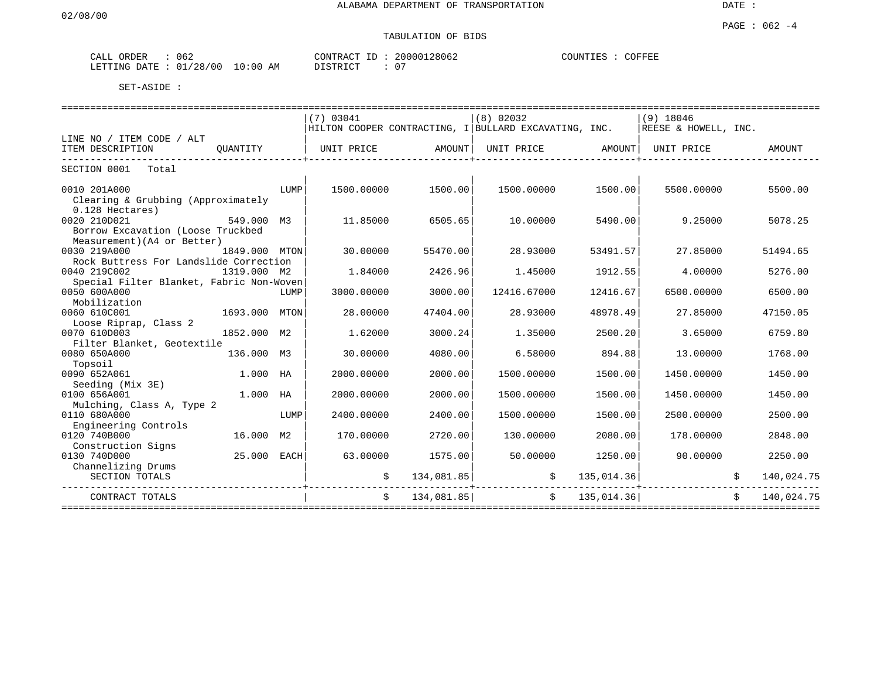| CALL ORDER             | 062 |            |          | CONTRACT ID: 20000128062 | COFFEE<br>COUNTIES : |
|------------------------|-----|------------|----------|--------------------------|----------------------|
| LETTING DATE: 01/28/00 |     | $10:00$ AM | DISTRICT |                          |                      |

|                                          |               |      | (7) 03041  |               | $(8)$ 02032                                                                |               | $(9)$ 18046          |              |
|------------------------------------------|---------------|------|------------|---------------|----------------------------------------------------------------------------|---------------|----------------------|--------------|
|                                          |               |      |            |               | $\mid$ HILTON COOPER CONTRACTING, I $\mid$ BULLARD EXCAVATING, INC. $\mid$ |               | REESE & HOWELL, INC. |              |
| LINE NO / ITEM CODE / ALT                |               |      |            |               |                                                                            |               |                      |              |
| ITEM DESCRIPTION                         | OUANTITY      |      | UNIT PRICE | AMOUNT        | UNIT PRICE AMOUNT                                                          |               | UNIT PRICE           | AMOUNT       |
|                                          |               |      |            |               |                                                                            |               |                      |              |
| SECTION 0001 Total                       |               |      |            |               |                                                                            |               |                      |              |
|                                          |               |      |            |               |                                                                            |               |                      |              |
| 0010 201A000                             |               | LUMP | 1500.00000 | 1500.00       | 1500.00000                                                                 | 1500.00       | 5500.00000           | 5500.00      |
| Clearing & Grubbing (Approximately       |               |      |            |               |                                                                            |               |                      |              |
| 0.128 Hectares)                          |               |      |            |               |                                                                            |               |                      |              |
| 0020 210D021                             | 549.000 M3    |      | 11.85000   | 6505.65       | 10,00000                                                                   | 5490.00       | 9.25000              | 5078.25      |
| Borrow Excavation (Loose Truckbed        |               |      |            |               |                                                                            |               |                      |              |
| Measurement) (A4 or Better)              |               |      |            |               |                                                                            |               |                      |              |
| 0030 219A000                             | 1849.000 MTON |      | 30.00000   | 55470.00      | 28.93000                                                                   | 53491.57      | 27.85000             | 51494.65     |
| Rock Buttress For Landslide Correction   |               |      |            |               |                                                                            |               |                      |              |
| 0040 219C002                             | 1319.000 M2   |      | 1.84000    | 2426.96       | 1.45000                                                                    | 1912.55       | 4.00000              | 5276.00      |
| Special Filter Blanket, Fabric Non-Woven |               |      |            |               |                                                                            |               |                      |              |
| 0050 600A000                             |               | LUMP | 3000.00000 | 3000.00       | 12416.67000                                                                | 12416.67      | 6500.00000           | 6500.00      |
| Mobilization                             |               |      |            |               |                                                                            |               |                      |              |
| 0060 610C001                             | 1693.000 MTON |      | 28,00000   | 47404.00      | 28.93000                                                                   | 48978.49      | 27.85000             | 47150.05     |
| Loose Riprap, Class 2                    |               |      |            |               |                                                                            |               |                      |              |
| 0070 610D003                             | 1852.000 M2   |      | 1.62000    | 3000.24       | 1.35000                                                                    | 2500.20       | 3.65000              | 6759.80      |
| Filter Blanket, Geotextile               |               |      |            |               |                                                                            |               |                      |              |
| 0080 650A000<br>136.000 M3               |               |      | 30.00000   | 4080.00       | 6.58000                                                                    | 894.88        | 13.00000             | 1768.00      |
| Topsoil                                  |               |      |            |               |                                                                            |               |                      |              |
| 0090 652A061                             | 1.000 HA      |      | 2000.00000 | 2000.00       | 1500.00000                                                                 | 1500.00       | 1450.00000           | 1450.00      |
| Seeding (Mix 3E)                         |               |      |            |               |                                                                            |               |                      |              |
| 0100 656A001                             | 1.000 HA      |      | 2000.00000 | 2000.00       | 1500.00000                                                                 | 1500.00       | 1450.00000           | 1450.00      |
| Mulching, Class A, Type 2                |               |      |            |               |                                                                            |               |                      |              |
| 0110 680A000                             |               | LUMP | 2400.00000 | 2400.00       | 1500.00000                                                                 | 1500.00       | 2500.00000           | 2500.00      |
| Engineering Controls                     |               |      |            |               |                                                                            |               |                      |              |
| 0120 740B000                             | 16.000 M2     |      | 170.00000  | 2720.00       | 130.00000                                                                  | 2080.00       | 178.00000            | 2848.00      |
| Construction Signs                       |               |      |            |               |                                                                            |               |                      |              |
| 0130 740D000                             | 25.000 EACH   |      | 63.00000   | 1575.00       | 50.00000                                                                   | 1250.00       | 90.00000             | 2250.00      |
| Channelizing Drums                       |               |      |            |               |                                                                            |               |                      |              |
| SECTION TOTALS                           |               |      |            | 134,081.85    |                                                                            | 135,014.36    |                      | 140,024.75   |
|                                          |               |      |            |               |                                                                            |               |                      |              |
| CONTRACT TOTALS                          |               |      |            | \$134,081.85] |                                                                            | \$ 135,014.36 |                      | \$140,024.75 |
|                                          |               |      |            |               |                                                                            |               |                      |              |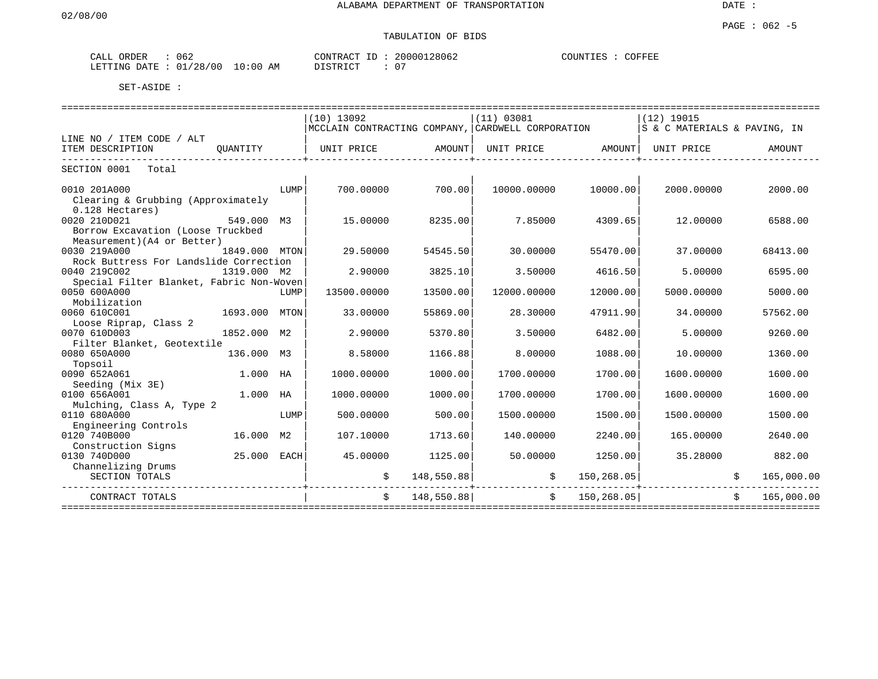| ORDER<br>062<br>ـىلىمى       |             | 20000128062<br>CONTRACT<br>$- -$ | COUNTIES<br>COFFEE |
|------------------------------|-------------|----------------------------------|--------------------|
| : 01/28/00<br>LETTING DATE : | 10:00<br>ΆM | דים דמידי פידים<br>ີ             |                    |

|                                          |               |      | $(10)$ 13092                                      |            | (11) 03081  |                | $(12)$ 19015                 |              |            |
|------------------------------------------|---------------|------|---------------------------------------------------|------------|-------------|----------------|------------------------------|--------------|------------|
|                                          |               |      | MCCLAIN CONTRACTING COMPANY, CARDWELL CORPORATION |            |             |                | S & C MATERIALS & PAVING, IN |              |            |
| LINE NO / ITEM CODE / ALT                |               |      |                                                   |            |             |                |                              |              |            |
| ITEM DESCRIPTION                         | OUANTITY      |      | UNIT PRICE                                        | AMOUNT     | UNIT PRICE  | AMOUNT         | UNIT PRICE                   |              | AMOUNT     |
|                                          |               |      |                                                   |            |             |                |                              |              |            |
| SECTION 0001 Total                       |               |      |                                                   |            |             |                |                              |              |            |
| 0010 201A000                             |               | LUMP | 700.00000                                         | 700.00     | 10000.00000 | 10000.00       | 2000.00000                   |              | 2000.00    |
| Clearing & Grubbing (Approximately       |               |      |                                                   |            |             |                |                              |              |            |
| $0.128$ Hectares)                        |               |      |                                                   |            |             |                |                              |              |            |
| 0020 210D021                             | 549.000 M3    |      | 15.00000                                          | 8235.00    | 7.85000     | 4309.65        | 12.00000                     |              | 6588.00    |
| Borrow Excavation (Loose Truckbed        |               |      |                                                   |            |             |                |                              |              |            |
| Measurement) (A4 or Better)              |               |      |                                                   |            |             |                |                              |              |            |
| 0030 219A000                             | 1849.000 MTON |      | 29.50000                                          | 54545.50   | 30,00000    | 55470.00       | 37.00000                     |              | 68413.00   |
| Rock Buttress For Landslide Correction   |               |      |                                                   |            |             |                |                              |              |            |
| 0040 219C002                             | 1319.000 M2   |      | 2.90000                                           | 3825.10    | 3.50000     | 4616.50        | 5.00000                      |              | 6595.00    |
| Special Filter Blanket, Fabric Non-Woven |               |      |                                                   |            |             |                |                              |              |            |
| 0050 600A000                             |               | LUMP | 13500.00000                                       | 13500.00   | 12000.00000 | 12000.00       | 5000.00000                   |              | 5000.00    |
| Mobilization                             |               |      |                                                   |            |             |                |                              |              |            |
| 0060 610C001                             | 1693.000 MTON |      | 33.00000                                          | 55869.00   | 28.30000    | 47911.90       | 34.00000                     |              | 57562.00   |
|                                          |               |      |                                                   |            |             |                |                              |              |            |
| Loose Riprap, Class 2<br>0070 610D003    | 1852.000 M2   |      | 2.90000                                           | 5370.80    | 3.50000     | 6482.00        | 5,00000                      |              | 9260.00    |
| Filter Blanket, Geotextile               |               |      |                                                   |            |             |                |                              |              |            |
| 0080 650A000<br>136.000 M3               |               |      | 8.58000                                           | 1166.88    | 8,00000     | 1088.00        | 10.00000                     |              | 1360.00    |
| Topsoil                                  |               |      |                                                   |            |             |                |                              |              |            |
| 0090 652A061                             | 1.000 HA      |      | 1000.00000                                        | 1000.00    | 1700.00000  | 1700.00        | 1600.00000                   |              | 1600.00    |
| Seeding (Mix 3E)                         |               |      |                                                   |            |             |                |                              |              |            |
| 0100 656A001                             | 1.000 HA      |      | 1000.00000                                        | 1000.00    | 1700.00000  | 1700.00        | 1600.00000                   |              | 1600.00    |
| Mulching, Class A, Type 2                |               |      |                                                   |            |             |                |                              |              |            |
| 0110 680A000                             |               | LUMP | 500.00000                                         | 500.00     | 1500.00000  | 1500.00        | 1500.00000                   |              | 1500.00    |
| Engineering Controls                     |               |      |                                                   |            |             |                |                              |              |            |
| 0120 740B000                             | 16.000 M2     |      | 107.10000                                         | 1713.60    | 140.00000   | 2240.00        | 165.00000                    |              | 2640.00    |
|                                          |               |      |                                                   |            |             |                |                              |              |            |
| Construction Signs<br>0130 740D000       | 25.000 EACH   |      | 45.00000                                          | 1125.00    | 50.00000    | 1250.00        | 35.28000                     |              | 882.00     |
|                                          |               |      |                                                   |            |             |                |                              |              |            |
| Channelizing Drums                       |               |      |                                                   |            |             |                |                              |              |            |
| SECTION TOTALS                           |               |      |                                                   | 148,550.88 |             | 150, 268.05    |                              |              | 165,000.00 |
| CONTRACT TOTALS                          |               |      | Ŝ.                                                | 148,550.88 |             | \$ 150, 268.05 |                              | $\mathsf{S}$ | 165,000.00 |
|                                          |               |      |                                                   |            |             |                |                              |              |            |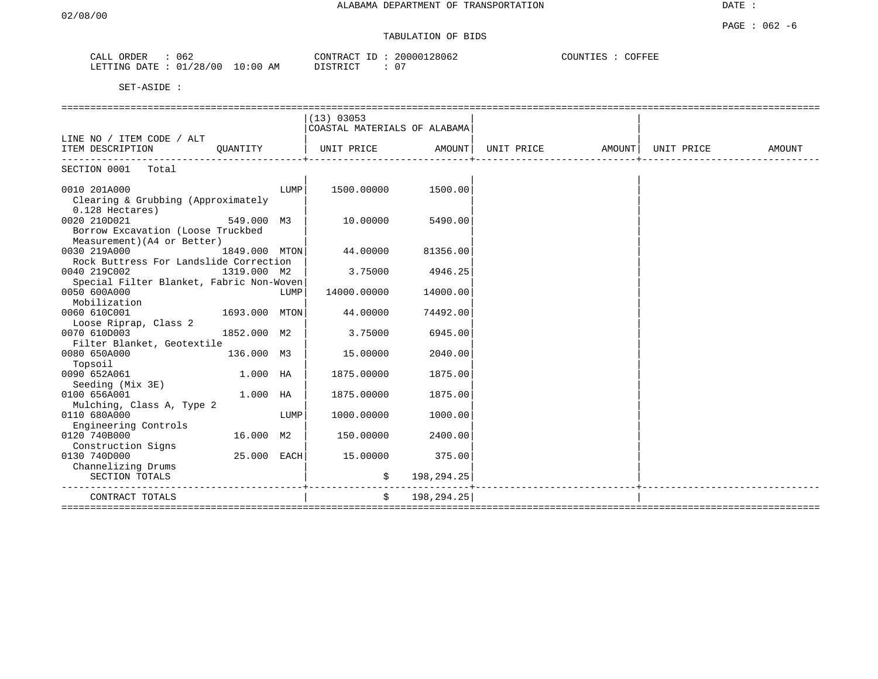# TABULATION OF BIDS

| ORDER<br>CALL  | 062        |          | CONTRACT ID: | 20000128062 | COUNTIES :<br>COFFEE |
|----------------|------------|----------|--------------|-------------|----------------------|
| LETTING DATE : | : 01/28/00 | 10:00 AM | DISTRICT     |             |                      |

|                                          |               |      | (13) 03053                                                                           |                |  |        |
|------------------------------------------|---------------|------|--------------------------------------------------------------------------------------|----------------|--|--------|
|                                          |               |      | COASTAL MATERIALS OF ALABAMA                                                         |                |  |        |
| LINE NO / ITEM CODE / ALT                |               |      |                                                                                      |                |  |        |
| ITEM DESCRIPTION                         | OUANTITY      |      | UNIT PRICE                AMOUNT    UNIT PRICE                  AMOUNT    UNIT PRICE |                |  | AMOUNT |
|                                          |               |      |                                                                                      |                |  |        |
| SECTION 0001 Total                       |               |      |                                                                                      |                |  |        |
|                                          |               |      |                                                                                      |                |  |        |
| 0010 201A000                             |               | LUMP | 1500.00000                                                                           | 1500.00        |  |        |
| Clearing & Grubbing (Approximately       |               |      |                                                                                      |                |  |        |
| $0.128$ Hectares)                        |               |      |                                                                                      |                |  |        |
| 0020 210D021                             | 549.000 M3    |      | 10.00000                                                                             | 5490.00        |  |        |
| Borrow Excavation (Loose Truckbed        |               |      |                                                                                      |                |  |        |
| Measurement) (A4 or Better)              |               |      |                                                                                      |                |  |        |
| 0030 219A000                             | 1849.000 MTON |      | 44.00000                                                                             | 81356.00       |  |        |
| Rock Buttress For Landslide Correction   |               |      |                                                                                      |                |  |        |
| 0040 219C002                             | 1319.000 M2   |      | 3.75000                                                                              | 4946.25        |  |        |
| Special Filter Blanket, Fabric Non-Woven |               |      |                                                                                      |                |  |        |
| 0050 600A000                             |               | LUMP | 14000.00000                                                                          | 14000.00       |  |        |
| Mobilization                             |               |      |                                                                                      |                |  |        |
| 0060 610C001                             | 1693.000 MTON |      | 44.00000                                                                             | 74492.00       |  |        |
| Loose Riprap, Class 2                    |               |      |                                                                                      |                |  |        |
| 0070 610D003                             | 1852.000 M2   |      | 3.75000                                                                              | 6945.00        |  |        |
| Filter Blanket, Geotextile               |               |      |                                                                                      |                |  |        |
| 0080 650A000                             | 136.000 M3    |      | 15.00000                                                                             | 2040.00        |  |        |
| Topsoil                                  |               |      |                                                                                      |                |  |        |
| 0090 652A061                             | 1.000 HA      |      | 1875.00000                                                                           | 1875.00        |  |        |
| Seeding (Mix 3E)                         |               |      |                                                                                      |                |  |        |
| 0100 656A001                             | 1.000 HA      |      | 1875.00000                                                                           | 1875.00        |  |        |
| Mulching, Class A, Type 2                |               |      |                                                                                      |                |  |        |
| 0110 680A000                             |               | LUMP | 1000.00000                                                                           | 1000.00        |  |        |
| Engineering Controls                     |               |      |                                                                                      |                |  |        |
| 0120 740B000                             | 16.000 M2     |      | 150.00000                                                                            | 2400.00        |  |        |
| Construction Signs                       |               |      |                                                                                      |                |  |        |
| 0130 740D000                             | 25.000 EACH   |      | 15.00000                                                                             | 375.00         |  |        |
| Channelizing Drums                       |               |      |                                                                                      |                |  |        |
| SECTION TOTALS                           |               |      | \$                                                                                   | 198,294.25     |  |        |
|                                          |               |      |                                                                                      |                |  |        |
| CONTRACT TOTALS                          |               |      |                                                                                      | \$198, 294.25] |  |        |
|                                          |               |      |                                                                                      |                |  |        |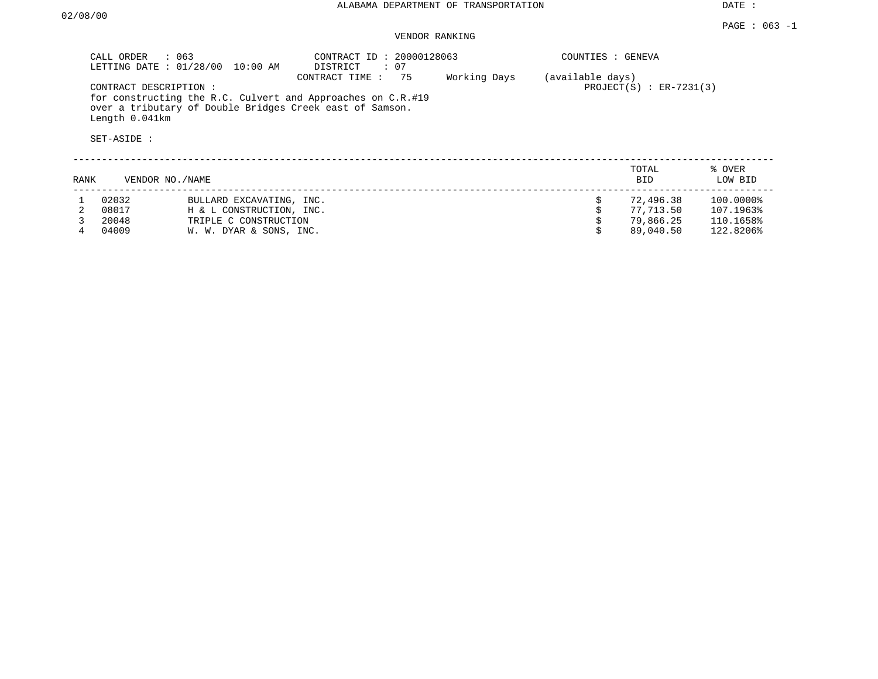#### VENDOR RANKING

|      | CALL ORDER<br>$\therefore$ 063                         | LETTING DATE : 01/28/00 10:00 AM                                              | CONTRACT ID: 20000128063<br>: 07<br>DISTRICT                                                                                                 |              | COUNTIES : GENEVA |                                     |                                     |
|------|--------------------------------------------------------|-------------------------------------------------------------------------------|----------------------------------------------------------------------------------------------------------------------------------------------|--------------|-------------------|-------------------------------------|-------------------------------------|
|      | CONTRACT DESCRIPTION:<br>Length 0.041km<br>SET-ASIDE : |                                                                               | CONTRACT TIME: 75<br>for constructing the R.C. Culvert and Approaches on C.R.#19<br>over a tributary of Double Bridges Creek east of Samson. | Working Days | (available days)  | PROJECT $(S)$ : ER-7231(3)          |                                     |
| RANK | VENDOR NO./NAME                                        |                                                                               |                                                                                                                                              |              |                   | TOTAL<br><b>BID</b>                 | % OVER<br>LOW BID                   |
|      | 02032<br>08017<br>20048                                | BULLARD EXCAVATING, INC.<br>H & L CONSTRUCTION, INC.<br>TRIPLE C CONSTRUCTION |                                                                                                                                              |              | \$                | 72,496.38<br>77,713.50<br>79,866.25 | 100.0000%<br>107.1963%<br>110.1658% |

4 04009 W. W. DYAR & SONS, INC. \$ 89,040.50 122.8206%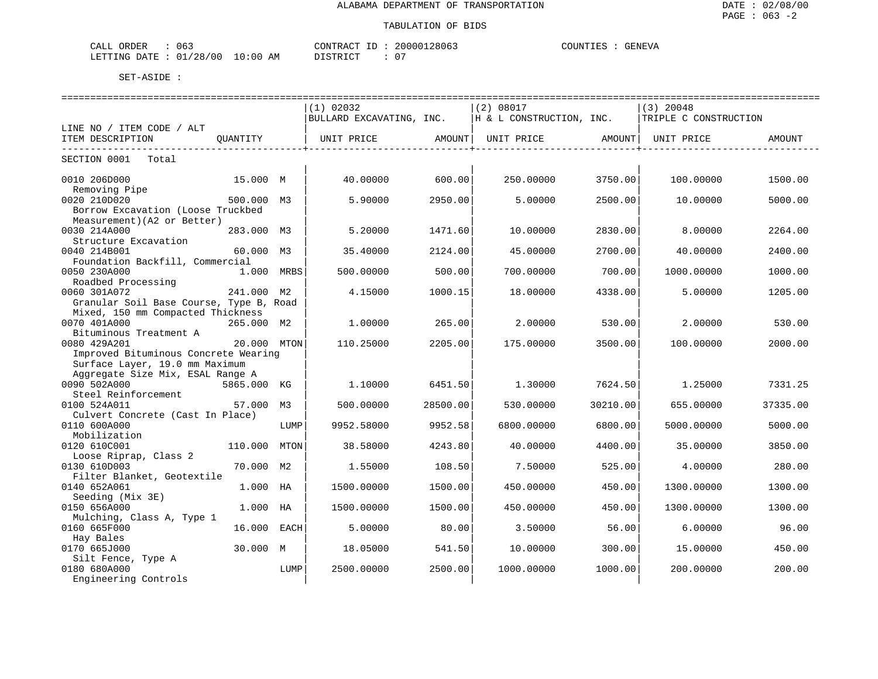| CALL ORDER                      | 063 | CONTRACT ID: | 20000128063 | COUNTIES | GENEVA |
|---------------------------------|-----|--------------|-------------|----------|--------|
| LETTING DATE: 01/28/00 10:00 AM |     | DISTRICT     | 07          |          |        |

|                                         |             |            | (1) 02032                |                          | (2) 08017                                                                           |                         | $(3)$ 20048               |          |
|-----------------------------------------|-------------|------------|--------------------------|--------------------------|-------------------------------------------------------------------------------------|-------------------------|---------------------------|----------|
|                                         |             |            | BULLARD EXCAVATING, INC. |                          | H & L CONSTRUCTION, INC.                                                            |                         | TRIPLE C CONSTRUCTION     |          |
| LINE NO / ITEM CODE / ALT               |             |            |                          |                          |                                                                                     |                         |                           |          |
| ITEM DESCRIPTION                        | OUANTITY    |            |                          |                          | UNIT PRICE                AMOUNT    UNIT PRICE                 AMOUNT    UNIT PRICE |                         |                           | AMOUNT   |
|                                         |             |            | -----------------        | -----------------+------ |                                                                                     | -------------------+--- | . _ _ _ _ _ _ _ _ _ _ _ _ |          |
| SECTION 0001<br>Total                   |             |            |                          |                          |                                                                                     |                         |                           |          |
| 0010 206D000                            | 15.000 M    |            | 40.00000                 | 600.00                   | 250.00000                                                                           | 3750.00                 | 100.00000                 | 1500.00  |
| Removing Pipe                           |             |            |                          |                          |                                                                                     |                         |                           |          |
| 0020 210D020                            | 500.000 M3  |            | 5.90000                  | 2950.00                  | 5,00000                                                                             | 2500.00                 | 10.00000                  | 5000.00  |
| Borrow Excavation (Loose Truckbed       |             |            |                          |                          |                                                                                     |                         |                           |          |
| Measurement) (A2 or Better)             |             |            |                          |                          |                                                                                     |                         |                           |          |
| 0030 214A000                            | 283.000 M3  |            | 5.20000                  | 1471.60                  | 10.00000                                                                            | 2830.00                 | 8,00000                   | 2264.00  |
| Structure Excavation                    |             |            |                          |                          |                                                                                     |                         |                           |          |
| 0040 214B001                            | 60.000 M3   |            | 35.40000                 | 2124.00                  | 45.00000                                                                            | 2700.00                 | 40.00000                  | 2400.00  |
| Foundation Backfill, Commercial         |             |            |                          |                          |                                                                                     |                         |                           |          |
| 0050 230A000                            |             | 1.000 MRBS | 500.00000                | 500.00                   | 700.00000                                                                           | 700.00                  | 1000.00000                | 1000.00  |
| Roadbed Processing                      |             |            |                          |                          |                                                                                     |                         |                           |          |
| 0060 301A072                            | 241.000 M2  |            | 4.15000                  | 1000.15                  | 18,00000                                                                            | 4338.00                 | 5.00000                   | 1205.00  |
| Granular Soil Base Course, Type B, Road |             |            |                          |                          |                                                                                     |                         |                           |          |
| Mixed, 150 mm Compacted Thickness       |             |            |                          |                          |                                                                                     |                         |                           |          |
| 0070 401A000                            | 265.000 M2  |            | 1,00000                  | 265.00                   | 2.00000                                                                             | 530.00                  | 2.00000                   | 530.00   |
| Bituminous Treatment A                  |             |            |                          |                          |                                                                                     |                         |                           |          |
| 0080 429A201                            | 20.000 MTON |            | 110.25000                | 2205.00                  | 175.00000                                                                           | 3500.00                 | 100.00000                 | 2000.00  |
| Improved Bituminous Concrete Wearing    |             |            |                          |                          |                                                                                     |                         |                           |          |
| Surface Layer, 19.0 mm Maximum          |             |            |                          |                          |                                                                                     |                         |                           |          |
| Aggregate Size Mix, ESAL Range A        |             |            |                          |                          |                                                                                     |                         |                           |          |
| 0090 502A000                            | 5865.000 KG |            | 1,10000                  | 6451.50                  | 1,30000                                                                             | 7624.50                 | 1.25000                   | 7331.25  |
| Steel Reinforcement                     |             |            |                          |                          |                                                                                     |                         |                           |          |
| 0100 524A011                            | 57.000      | M3         | 500.00000                | 28500.00                 | 530.00000                                                                           | 30210.00                |                           | 37335.00 |
|                                         |             |            |                          |                          |                                                                                     |                         | 655.00000                 |          |
| Culvert Concrete (Cast In Place)        |             |            |                          |                          |                                                                                     |                         |                           |          |
| 0110 600A000                            |             | LUMP       | 9952.58000               | 9952.58                  | 6800.00000                                                                          | 6800.00                 | 5000.00000                | 5000.00  |
| Mobilization                            |             |            |                          |                          |                                                                                     |                         |                           |          |
| 0120 610C001                            | 110.000     | MTON       | 38.58000                 | 4243.80                  | 40.00000                                                                            | 4400.00                 | 35.00000                  | 3850.00  |
| Loose Riprap, Class 2                   |             |            |                          |                          |                                                                                     |                         |                           |          |
| 0130 610D003                            | 70.000 M2   |            | 1.55000                  | 108.50                   | 7.50000                                                                             | 525.00                  | 4.00000                   | 280.00   |
| Filter Blanket, Geotextile              |             |            |                          |                          |                                                                                     |                         |                           |          |
| 0140 652A061                            | 1.000 HA    |            | 1500.00000               | 1500.00                  | 450.00000                                                                           | 450.00                  | 1300.00000                | 1300.00  |
| Seeding (Mix 3E)                        |             |            |                          |                          |                                                                                     |                         |                           |          |
| 0150 656A000                            | 1.000 HA    |            | 1500.00000               | 1500.00                  | 450.00000                                                                           | 450.00                  | 1300.00000                | 1300.00  |
| Mulching, Class A, Type 1               |             |            |                          |                          |                                                                                     |                         |                           |          |
| 0160 665F000                            | 16.000 EACH |            | 5.00000                  | 80.00                    | 3.50000                                                                             | 56.00                   | 6.00000                   | 96.00    |
| Hay Bales                               |             |            |                          |                          |                                                                                     |                         |                           |          |
| 0170 665J000                            | 30.000 M    |            | 18.05000                 | 541.50                   | 10,00000                                                                            | 300.00                  | 15.00000                  | 450.00   |
| Silt Fence, Type A                      |             |            |                          |                          |                                                                                     |                         |                           |          |
| 0180 680A000                            |             | LUMP       | 2500.00000               | 2500.00                  | 1000.00000                                                                          | 1000.00                 | 200.00000                 | 200.00   |
| Engineering Controls                    |             |            |                          |                          |                                                                                     |                         |                           |          |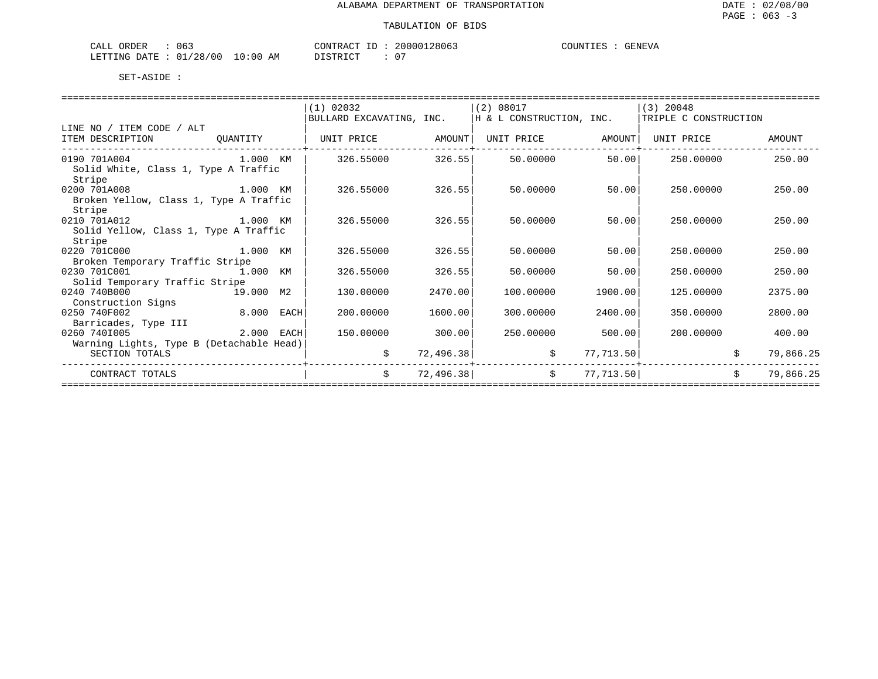| ORDER<br>063<br>ىلىلى            |             | <b>CONTRACT</b><br>$- -$             | 28063<br>200001 | OUNTIES<br>A איתותי<br>N L'VA |
|----------------------------------|-------------|--------------------------------------|-----------------|-------------------------------|
| /28/00<br>01,<br>DATE<br>LETTING | 10:00<br>ΑM | חים סידים דרו<br>້ີ່ ⊥ ∪ ⊥ ⊥ ∖ ⊥ ∪ ⊥ | $\mathbf{u}$    |                               |

|                                                                  |                             | $(1)$ 02032              |           | (2) 08017                |           | $(3)$ 20048           |    |           |
|------------------------------------------------------------------|-----------------------------|--------------------------|-----------|--------------------------|-----------|-----------------------|----|-----------|
|                                                                  |                             | BULLARD EXCAVATING, INC. |           | H & L CONSTRUCTION, INC. |           | TRIPLE C CONSTRUCTION |    |           |
| LINE NO / ITEM CODE / ALT                                        |                             |                          |           |                          |           |                       |    |           |
| ITEM DESCRIPTION                                                 | QUANTITY                    | UNIT PRICE               | AMOUNT    | UNIT PRICE               | AMOUNT    | UNIT PRICE            |    | AMOUNT    |
| 0190 701A004<br>Solid White, Class 1, Type A Traffic<br>Stripe   | 1.000 KM                    | 326.55000                | 326.55    | 50.00000                 | 50.00     | 250.00000             |    | 250.00    |
| 0200 701A008<br>Broken Yellow, Class 1, Type A Traffic<br>Stripe |                             | 326.55000                | 326.55    | 50.00000                 | 50.00     | 250.00000             |    | 250.00    |
| 0210 701A012<br>Solid Yellow, Class 1, Type A Traffic<br>Stripe  | личного процесса в 1.000 км | 326.55000                | 326.55    | 50.00000                 | 50.00     | 250,00000             |    | 250.00    |
| 0220 701C000<br>1.000 KM                                         |                             | 326.55000                | 326.55    | 50.00000                 | 50.00     | 250.00000             |    | 250.00    |
| Broken Temporary Traffic Stripe                                  |                             |                          |           |                          |           |                       |    |           |
| 0230 701C001                                                     | 1.000 KM                    | 326.55000                | 326.55    | 50.00000                 | 50.00     | 250.00000             |    | 250.00    |
| Solid Temporary Traffic Stripe                                   |                             |                          |           |                          |           |                       |    |           |
| 0240 740B000                                                     | 19.000 M2                   | 130.00000                | 2470.00   | 100.00000                | 1900.00   | 125,00000             |    | 2375.00   |
| Construction Signs<br>0250 740F002                               | 8.000<br>EACH               | 200,00000                | 1600.00   | 300.00000                | 2400.00   | 350.00000             |    | 2800.00   |
| Barricades, Type III                                             |                             |                          |           |                          |           |                       |    |           |
| 0260 7401005                                                     | 2.000 EACH                  | 150.00000                | 300.00    | 250.00000                | 500.00    | 200.00000             |    | 400.00    |
| Warning Lights, Type B (Detachable Head)<br>SECTION TOTALS       |                             | \$                       | 72,496.38 | \$                       | 77,713.50 |                       |    | 79,866.25 |
| CONTRACT TOTALS                                                  |                             | \$                       | 72,496.38 | \$                       | 77,713.50 |                       | Ŝ. | 79,866.25 |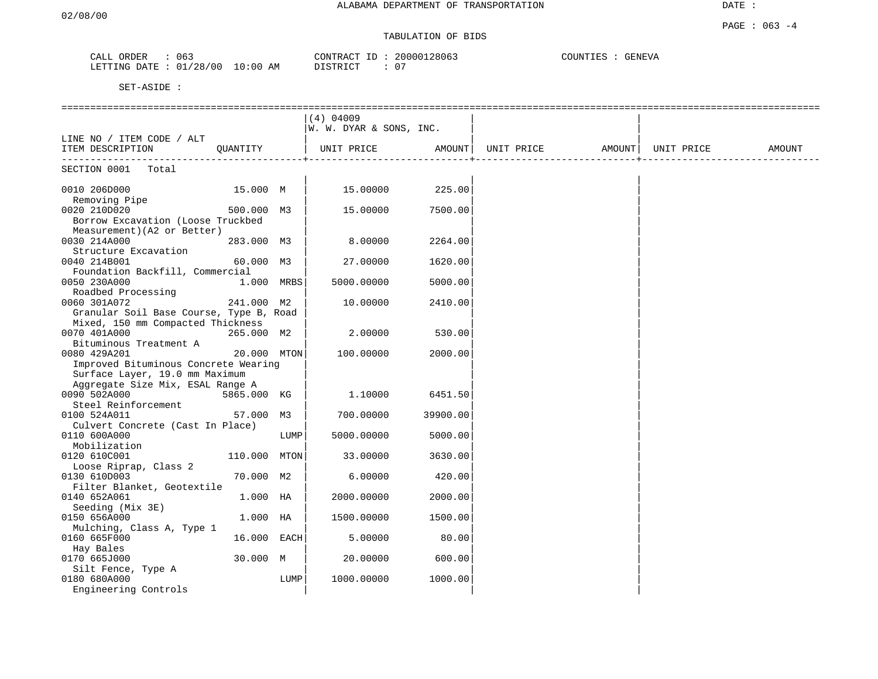#### TABULATION OF BIDS

| CALL<br>ORDER   | 063                     | 20000128063<br>CONTRACT<br>T <sub>D</sub><br>⊥ப | COUNTIES<br><b>GENEVA</b> |
|-----------------|-------------------------|-------------------------------------------------|---------------------------|
| DATE<br>LETTING | 01/28/00<br>10:00<br>AΜ | _0 ገ<br>DISTRICT                                |                           |

|                                         |              |            | $(4)$ 04009             |          |            |                    |        |
|-----------------------------------------|--------------|------------|-------------------------|----------|------------|--------------------|--------|
| LINE NO / ITEM CODE / ALT               |              |            | W. W. DYAR & SONS, INC. |          |            |                    |        |
| ITEM DESCRIPTION                        | QUANTITY     |            | UNIT PRICE              | AMOUNT   | UNIT PRICE | AMOUNT  UNIT PRICE | AMOUNT |
|                                         |              |            |                         |          |            |                    |        |
| SECTION 0001<br>Total                   |              |            |                         |          |            |                    |        |
| 0010 206D000                            | 15.000 M     |            | 15.00000                | 225.00   |            |                    |        |
| Removing Pipe<br>0020 210D020           |              |            |                         |          |            |                    |        |
| Borrow Excavation (Loose Truckbed       | 500.000 M3   |            | 15.00000                | 7500.00  |            |                    |        |
| Measurement) (A2 or Better)             |              |            |                         |          |            |                    |        |
| 0030 214A000                            | 283.000 M3   |            | 8.00000                 | 2264.00  |            |                    |        |
| Structure Excavation                    |              |            |                         |          |            |                    |        |
| 0040 214B001                            | 60.000 M3    |            | 27.00000                | 1620.00  |            |                    |        |
| Foundation Backfill, Commercial         |              |            |                         |          |            |                    |        |
| 0050 230A000                            |              | 1.000 MRBS | 5000.00000              | 5000.00  |            |                    |        |
| Roadbed Processing                      |              |            |                         |          |            |                    |        |
| 0060 301A072                            | 241.000 M2   |            | 10.00000                | 2410.00  |            |                    |        |
| Granular Soil Base Course, Type B, Road |              |            |                         |          |            |                    |        |
| Mixed, 150 mm Compacted Thickness       |              |            |                         |          |            |                    |        |
| 0070 401A000                            | 265.000 M2   |            | 2.00000                 | 530.00   |            |                    |        |
| Bituminous Treatment A                  |              |            |                         |          |            |                    |        |
| 0080 429A201                            | 20.000 MTON  |            | 100.00000               | 2000.00  |            |                    |        |
| Improved Bituminous Concrete Wearing    |              |            |                         |          |            |                    |        |
| Surface Layer, 19.0 mm Maximum          |              |            |                         |          |            |                    |        |
| Aggregate Size Mix, ESAL Range A        |              |            |                         |          |            |                    |        |
| 0090 502A000                            | 5865.000 KG  |            | 1.10000                 | 6451.50  |            |                    |        |
| Steel Reinforcement                     |              |            |                         |          |            |                    |        |
| 0100 524A011                            | 57.000 M3    |            | 700.00000               | 39900.00 |            |                    |        |
| Culvert Concrete (Cast In Place)        |              |            |                         |          |            |                    |        |
| 0110 600A000                            |              | LUMP       | 5000.00000              | 5000.00  |            |                    |        |
| Mobilization                            |              |            |                         |          |            |                    |        |
| 0120 610C001                            | 110.000 MTON |            | 33.00000                | 3630.00  |            |                    |        |
| Loose Riprap, Class 2                   |              |            |                         |          |            |                    |        |
| 0130 610D003                            | 70.000 M2    |            | 6.00000                 | 420.00   |            |                    |        |
| Filter Blanket, Geotextile              |              |            |                         |          |            |                    |        |
| 0140 652A061                            | 1.000 HA     |            | 2000.00000              | 2000.00  |            |                    |        |
| Seeding (Mix 3E)                        |              |            |                         |          |            |                    |        |
| 0150 656A000                            | $1.000$ HA   |            | 1500.00000              | 1500.00  |            |                    |        |
| Mulching, Class A, Type 1               |              |            |                         |          |            |                    |        |
| 0160 665F000                            | 16.000 EACH  |            | 5.00000                 | 80.00    |            |                    |        |
| Hay Bales                               |              |            |                         |          |            |                    |        |
| 0170 665J000                            | 30.000 M     |            | 20,00000                | 600.00   |            |                    |        |
| Silt Fence, Type A                      |              |            |                         |          |            |                    |        |
| 0180 680A000                            |              | LUMP       | 1000.00000              | 1000.00  |            |                    |        |
| Engineering Controls                    |              |            |                         |          |            |                    |        |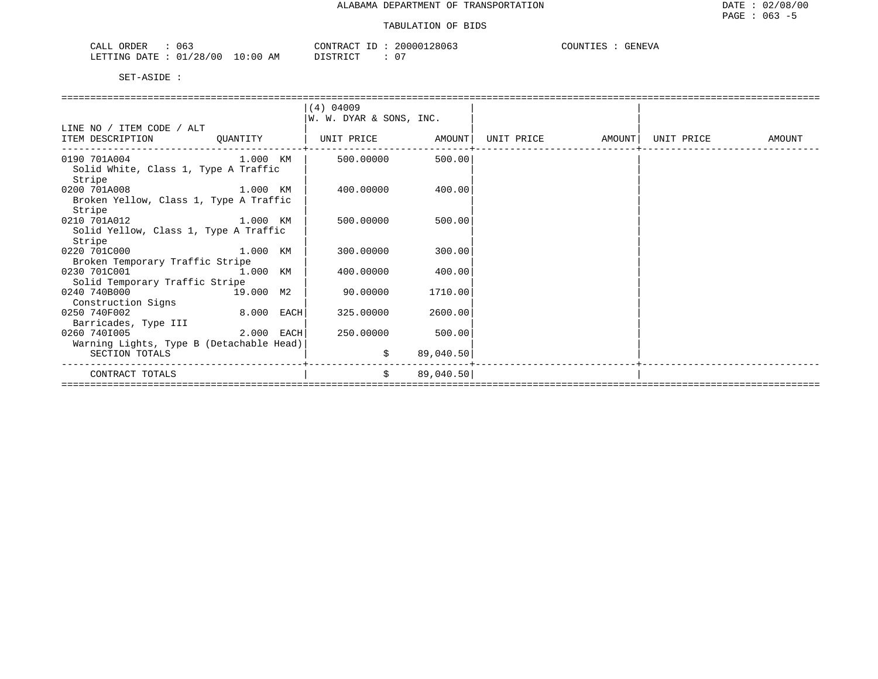| : 063<br>CALL ORDER             | CONTRACT ID: 20000128063 | COUNTIES : GENEVA |
|---------------------------------|--------------------------|-------------------|
| LETTING DATE: 01/28/00 10:00 AM | DISTRICT                 |                   |

|                                          |            | (4) 04009                             |           |  |            |        |
|------------------------------------------|------------|---------------------------------------|-----------|--|------------|--------|
|                                          |            | W. W. DYAR & SONS, INC.               |           |  |            |        |
| LINE NO / ITEM CODE / ALT                |            |                                       |           |  |            |        |
| ITEM DESCRIPTION                         | OUANTITY   | UNIT PRICE AMOUNT   UNIT PRICE AMOUNT |           |  | UNIT PRICE | AMOUNT |
| 0190 701A004 1.000 KM                    |            | 500.00000                             | 500.00    |  |            |        |
| Solid White, Class 1, Type A Traffic     |            |                                       |           |  |            |        |
| Stripe                                   |            |                                       |           |  |            |        |
| 0200 701A008 1.000 KM                    |            | 400.00000                             | 400.001   |  |            |        |
| Broken Yellow, Class 1, Type A Traffic   |            |                                       |           |  |            |        |
| Stripe                                   |            |                                       |           |  |            |        |
| 0210 701A012 1.000 KM                    |            | 500,00000                             | 500.00    |  |            |        |
| Solid Yellow, Class 1, Type A Traffic    |            |                                       |           |  |            |        |
| Stripe                                   |            |                                       |           |  |            |        |
| 0220 701C000 1.000 KM                    |            | 300,00000                             | 300.00    |  |            |        |
| Broken Temporary Traffic Stripe          |            |                                       |           |  |            |        |
| 0230 701C001                             |            | 400.00000                             | 400.001   |  |            |        |
| Solid Temporary Traffic Stripe           |            |                                       |           |  |            |        |
| 0240 740B000                             | 19.000 M2  | 90.00000                              | 1710.001  |  |            |        |
| Construction Signs                       |            |                                       |           |  |            |        |
| 0250 740F002                             | 8.000 EACH | 325.00000                             | 2600.00   |  |            |        |
| Barricades, Type III                     |            |                                       |           |  |            |        |
| 0260 7401005                             |            | 250.00000                             | 500.00    |  |            |        |
| Warning Lights, Type B (Detachable Head) |            |                                       |           |  |            |        |
| SECTION TOTALS                           |            | \$                                    | 89,040.50 |  |            |        |
| CONTRACT TOTALS                          |            | \$                                    | 89,040.50 |  |            |        |
|                                          |            |                                       |           |  |            |        |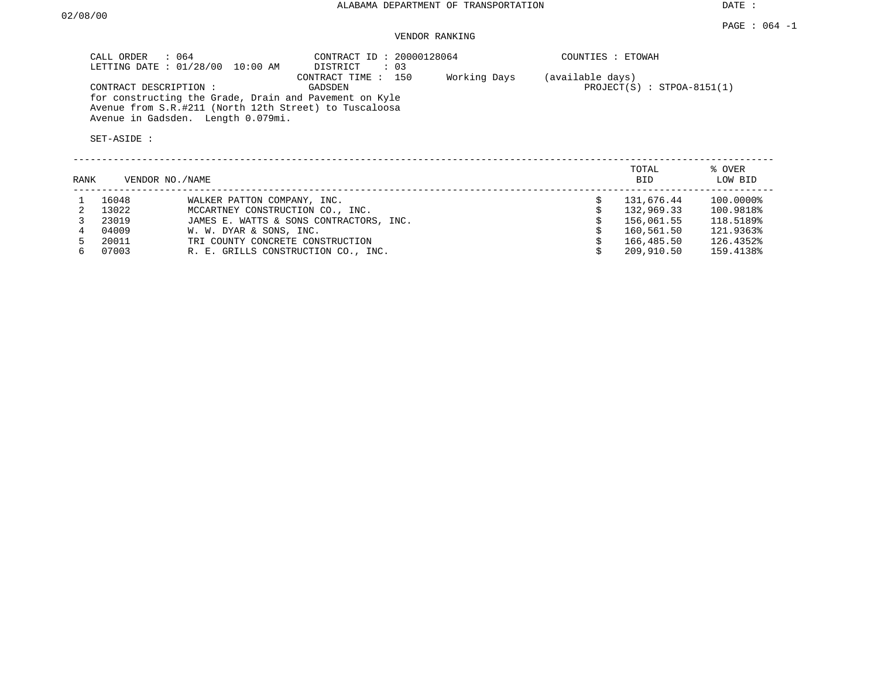#### VENDOR RANKING

| CALL ORDER<br>$\therefore$ 064<br>LETTING DATE : 01/28/00 10:00 AM                                                                                     | CONTRACT ID: 20000128064<br>DISTRICT : 03 |              | COUNTIES : ETOWAH                                |
|--------------------------------------------------------------------------------------------------------------------------------------------------------|-------------------------------------------|--------------|--------------------------------------------------|
| CONTRACT DESCRIPTION :                                                                                                                                 | CONTRACT TIME : 150<br>GADSDEN            | Working Days | (available days)<br>$PROJECT(S) : STPOA-8151(1)$ |
| for constructing the Grade, Drain and Pavement on Kyle<br>Avenue from S.R.#211 (North 12th Street) to Tuscaloosa<br>Avenue in Gadsden. Length 0.079mi. |                                           |              |                                                  |

| RANK |       | VENDOR NO./NAME                         | TOTAL<br><b>BID</b> | % OVER<br>LOW BID |
|------|-------|-----------------------------------------|---------------------|-------------------|
|      | 16048 | WALKER PATTON COMPANY, INC.             | 131,676.44          | 100.0000%         |
|      | 13022 | MCCARTNEY CONSTRUCTION CO., INC.        | 132,969.33          | 100.9818%         |
|      | 23019 | JAMES E. WATTS & SONS CONTRACTORS, INC. | 156,061.55          | 118.5189%         |
|      | 04009 | W. W. DYAR & SONS, INC.                 | 160,561.50          | 121.9363%         |
|      | 20011 | TRI COUNTY CONCRETE CONSTRUCTION        | 166,485.50          | 126.4352%         |
| б.   | 07003 | R. E. GRILLS CONSTRUCTION CO., INC.     | 209,910.50          | 159.4138%         |
|      |       |                                         |                     |                   |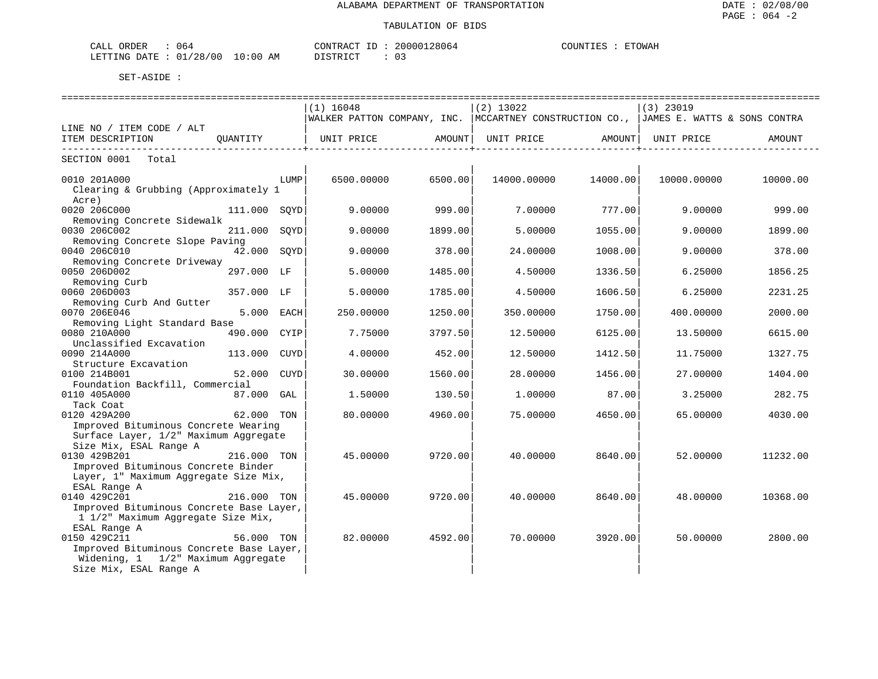| 064<br>$\sim$ $\sim$ $\sim$ $\sim$<br>ORDER<br>∪CA⊔ | TONTRAC 1                                                                                       | 20000128064<br>ш. | COUNTIES<br>ETOWAH |
|-----------------------------------------------------|-------------------------------------------------------------------------------------------------|-------------------|--------------------|
| '28/00<br>LETTING<br>∩ 1<br>ገA T F.<br>ັບ⊥          | 10:00<br>$\Gamma$ $\Gamma$ $\Gamma$ $\Gamma$ $\Gamma$ $\Gamma$ $\Gamma$ $\Gamma$<br>AΜ<br>11111 | $\sim$            |                    |

|                                                                                                                |              |      | . ============================                                                         |         | ============================== |          |                    |          |  |
|----------------------------------------------------------------------------------------------------------------|--------------|------|----------------------------------------------------------------------------------------|---------|--------------------------------|----------|--------------------|----------|--|
|                                                                                                                |              |      | $(1)$ 16048                                                                            |         | $(2)$ 13022                    |          | $(3)$ 23019        |          |  |
|                                                                                                                |              |      | WALKER PATTON COMPANY, INC.  MCCARTNEY CONSTRUCTION CO.,  JAMES E. WATTS & SONS CONTRA |         |                                |          |                    |          |  |
| LINE NO / ITEM CODE / ALT                                                                                      |              |      |                                                                                        |         |                                |          |                    |          |  |
| ITEM DESCRIPTION                                                                                               |              |      | QUANTITY   UNIT PRICE AMOUNT                                                           |         | UNIT PRICE                     |          | AMOUNT  UNIT PRICE | AMOUNT   |  |
| SECTION 0001 Total                                                                                             |              |      |                                                                                        |         |                                |          |                    |          |  |
| 0010 201A000<br>Clearing & Grubbing (Approximately 1<br>Acre)                                                  |              | LUMP | 6500,00000                                                                             | 6500.00 | 14000.00000                    | 14000.00 | 10000.00000        | 10000.00 |  |
| 0020 206C000<br>Removing Concrete Sidewalk                                                                     | 111.000 SQYD |      | 9.00000                                                                                | 999.00  | 7.00000                        | 777.00   | 9.00000            | 999.00   |  |
| 0030 206C002<br>Removing Concrete Slope Paving                                                                 | 211.000      | SOYD | 9,00000                                                                                | 1899.00 | 5.00000                        | 1055.00  | 9,00000            | 1899.00  |  |
| 0040 206C010<br>Removing Concrete Driveway                                                                     | 42.000 SQYD  |      | 9,00000                                                                                | 378.00  | 24.00000                       | 1008.00  | 9,00000            | 378.00   |  |
| 0050 206D002<br>Removing Curb                                                                                  | 297.000 LF   |      | 5.00000                                                                                | 1485.00 | 4.50000                        | 1336.50  | 6.25000            | 1856.25  |  |
| 0060 206D003<br>Removing Curb And Gutter                                                                       | 357.000 LF   |      | 5.00000                                                                                | 1785.00 | 4.50000                        | 1606.50  | 6.25000            | 2231.25  |  |
| 0070 206E046<br>Removing Light Standard Base                                                                   | 5.000 EACH   |      | 250.00000                                                                              | 1250.00 | 350.00000                      | 1750.00  | 400.00000          | 2000.00  |  |
| 0080 210A000<br>Unclassified Excavation                                                                        | 490.000 CYIP |      | 7.75000                                                                                | 3797.50 | 12.50000                       | 6125.00  | 13.50000           | 6615.00  |  |
| 0090 214A000<br>Structure Excavation                                                                           | 113.000      | CUYD | 4.00000                                                                                | 452.00  | 12.50000                       | 1412.50  | 11.75000           | 1327.75  |  |
| 0100 214B001<br>Foundation Backfill, Commercial                                                                | 52.000 CUYD  |      | 30.00000                                                                               | 1560.00 | 28,00000                       | 1456.00  | 27,00000           | 1404.00  |  |
| 0110 405A000<br>Tack Coat                                                                                      | 87.000 GAL   |      | 1.50000                                                                                | 130.50  | 1,00000                        | 87.00    | 3.25000            | 282.75   |  |
| 0120 429A200<br>Improved Bituminous Concrete Wearing                                                           | 62.000 TON   |      | 80.00000                                                                               | 4960.00 | 75.00000                       | 4650.00  | 65.00000           | 4030.00  |  |
| Surface Layer, 1/2" Maximum Aggregate<br>Size Mix, ESAL Range A                                                |              |      |                                                                                        |         |                                |          |                    |          |  |
| 0130 429B201<br>Improved Bituminous Concrete Binder<br>Layer, 1" Maximum Aggregate Size Mix,                   | 216.000 TON  |      | 45.00000                                                                               | 9720.00 | 40.00000                       | 8640.00  | 52,00000           | 11232.00 |  |
| ESAL Range A<br>0140 429C201<br>Improved Bituminous Concrete Base Layer,<br>1 1/2" Maximum Aggregate Size Mix, | 216.000 TON  |      | 45.00000                                                                               | 9720.00 | 40.00000                       | 8640.00  | 48.00000           | 10368.00 |  |
| ESAL Range A<br>0150 429C211                                                                                   | 56.000 TON   |      | 82.00000                                                                               | 4592.00 | 70.00000                       | 3920.00  | 50.00000           | 2800.00  |  |
| Improved Bituminous Concrete Base Layer,<br>Widening, 1 1/2" Maximum Aggregate<br>Size Mix, ESAL Range A       |              |      |                                                                                        |         |                                |          |                    |          |  |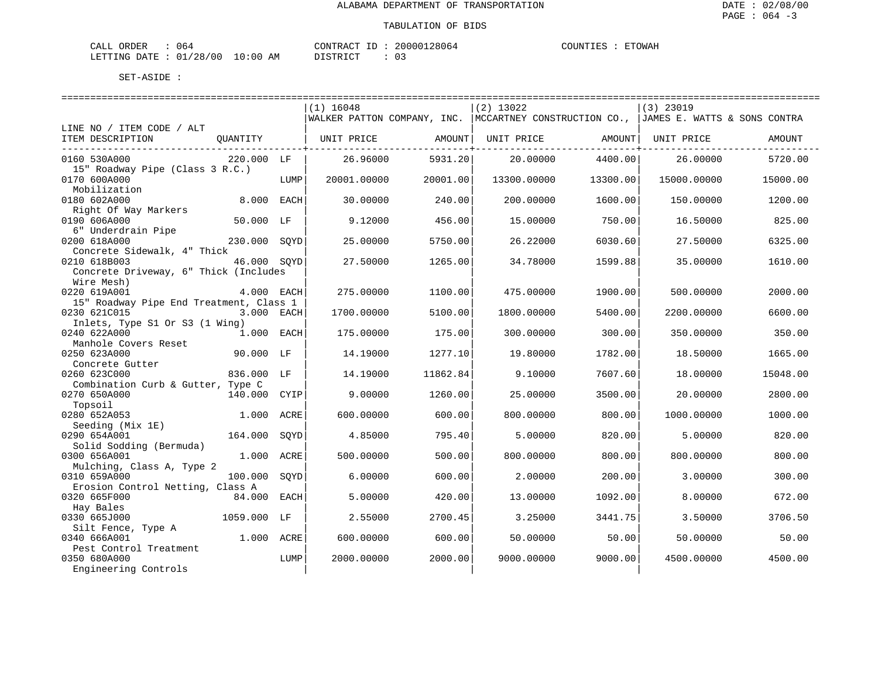| CALL ORDER                       | 064 | CONTRACT ID: |  | 20000128064 | COUNTIES | ETOWAH |
|----------------------------------|-----|--------------|--|-------------|----------|--------|
| LETTING DATE : 01/28/00 10:00 AM |     | DISTRICT     |  | 03          |          |        |

|                                                  |              |      | $(1)$ 16048                 |          | $(2)$ 13022                 |          | $(3)$ 23019                  |          |  |
|--------------------------------------------------|--------------|------|-----------------------------|----------|-----------------------------|----------|------------------------------|----------|--|
|                                                  |              |      | WALKER PATTON COMPANY, INC. |          | MCCARTNEY CONSTRUCTION CO., |          | JAMES E. WATTS & SONS CONTRA |          |  |
| LINE NO / ITEM CODE / ALT                        |              |      |                             |          |                             |          |                              |          |  |
| ITEM DESCRIPTION                                 | QUANTITY     |      | UNIT PRICE                  | AMOUNT   | UNIT PRICE                  | AMOUNT   | UNIT PRICE                   | AMOUNT   |  |
| 0160 530A000                                     | 220.000 LF   |      | 26.96000                    | 5931.20  | 20,00000                    | 4400.00  | 26,00000                     | 5720.00  |  |
| 15" Roadway Pipe (Class 3 R.C.)                  |              |      |                             |          |                             |          |                              |          |  |
| 0170 600A000                                     |              | LUMP | 20001.00000                 | 20001.00 | 13300.00000                 | 13300.00 | 15000.00000                  | 15000.00 |  |
| Mobilization                                     |              |      |                             |          |                             |          |                              |          |  |
| 0180 602A000                                     | 8,000        | EACH | 30,00000                    | 240.00   | 200.00000                   | 1600.00  | 150.00000                    | 1200.00  |  |
| Right Of Way Markers                             |              |      |                             |          |                             |          |                              |          |  |
| 0190 606A000                                     | 50.000       | LF   | 9.12000                     | 456.00   | 15.00000                    | 750.00   | 16.50000                     | 825.00   |  |
| 6" Underdrain Pipe                               |              |      |                             |          |                             |          |                              |          |  |
| 0200 618A000<br>Concrete Sidewalk, 4" Thick      | 230.000      | SOYD | 25,00000                    | 5750.00  | 26.22000                    | 6030.60  | 27.50000                     | 6325.00  |  |
| 0210 618B003                                     | 46.000 SOYD  |      | 27.50000                    | 1265.00  | 34.78000                    | 1599.88  | 35.00000                     | 1610.00  |  |
| Concrete Driveway, 6" Thick (Includes            |              |      |                             |          |                             |          |                              |          |  |
| Wire Mesh)                                       |              |      |                             |          |                             |          |                              |          |  |
| 0220 619A001                                     | 4.000 EACH   |      | 275.00000                   | 1100.00  | 475.00000                   | 1900.00  | 500.00000                    | 2000.00  |  |
| 15" Roadway Pipe End Treatment, Class 1          |              |      |                             |          |                             |          |                              |          |  |
| 0230 621C015                                     | 3.000 EACH   |      | 1700.00000                  | 5100.00  | 1800.00000                  | 5400.00  | 2200.00000                   | 6600.00  |  |
| Inlets, Type S1 Or S3 (1 Wing)                   |              |      |                             |          |                             |          |                              |          |  |
| 0240 622A000                                     | $1.000$ EACH |      | 175.00000                   | 175.00   | 300.00000                   | 300.00   | 350.00000                    | 350.00   |  |
| Manhole Covers Reset                             |              |      |                             |          |                             |          |                              |          |  |
| 0250 623A000                                     | 90.000 LF    |      | 14.19000                    | 1277.10  | 19.80000                    | 1782.00  | 18.50000                     | 1665.00  |  |
| Concrete Gutter<br>0260 623C000                  | 836.000 LF   |      |                             | 11862.84 | 9.10000                     | 7607.60  | 18,00000                     | 15048.00 |  |
| Combination Curb & Gutter, Type C                |              |      | 14.19000                    |          |                             |          |                              |          |  |
| 0270 650A000                                     | 140.000      | CYIP | 9,00000                     | 1260.00  | 25.00000                    | 3500.00  | 20.00000                     | 2800.00  |  |
| Topsoil                                          |              |      |                             |          |                             |          |                              |          |  |
| 0280 652A053                                     | 1,000        | ACRE | 600.00000                   | 600.00   | 800,00000                   | 800.00   | 1000.00000                   | 1000.00  |  |
| Seeding (Mix 1E)                                 |              |      |                             |          |                             |          |                              |          |  |
| 0290 654A001                                     | 164.000      | SOYD | 4.85000                     | 795.40   | 5.00000                     | 820.00   | 5.00000                      | 820.00   |  |
| Solid Sodding (Bermuda)                          |              |      |                             |          |                             |          |                              |          |  |
| 0300 656A001                                     | 1.000        | ACRE | 500.00000                   | 500.00   | 800,00000                   | 800.00   | 800,00000                    | 800.00   |  |
| Mulching, Class A, Type 2                        |              |      |                             |          |                             |          |                              |          |  |
| 0310 659A000                                     | 100.000      | SOYD | 6.00000                     | 600.00   | 2.00000                     | 200.00   | 3.00000                      | 300.00   |  |
| Erosion Control Netting, Class A<br>0320 665F000 | 84.000       | EACH | 5.00000                     | 420.00   | 13.00000                    | 1092.00  | 8,00000                      | 672.00   |  |
| Hay Bales                                        |              |      |                             |          |                             |          |                              |          |  |
| 0330 665J000                                     | 1059.000     | LF   | 2.55000                     | 2700.45  | 3.25000                     | 3441.75  | 3.50000                      | 3706.50  |  |
| Silt Fence, Type A                               |              |      |                             |          |                             |          |                              |          |  |
| 0340 666A001                                     | 1.000 ACRE   |      | 600.00000                   | 600.00   | 50.00000                    | 50.00    | 50.00000                     | 50.00    |  |
| Pest Control Treatment                           |              |      |                             |          |                             |          |                              |          |  |
| 0350 680A000                                     |              | LUMP | 2000.00000                  | 2000.00  | 9000.00000                  | 9000.00  | 4500.00000                   | 4500.00  |  |
| Engineering Controls                             |              |      |                             |          |                             |          |                              |          |  |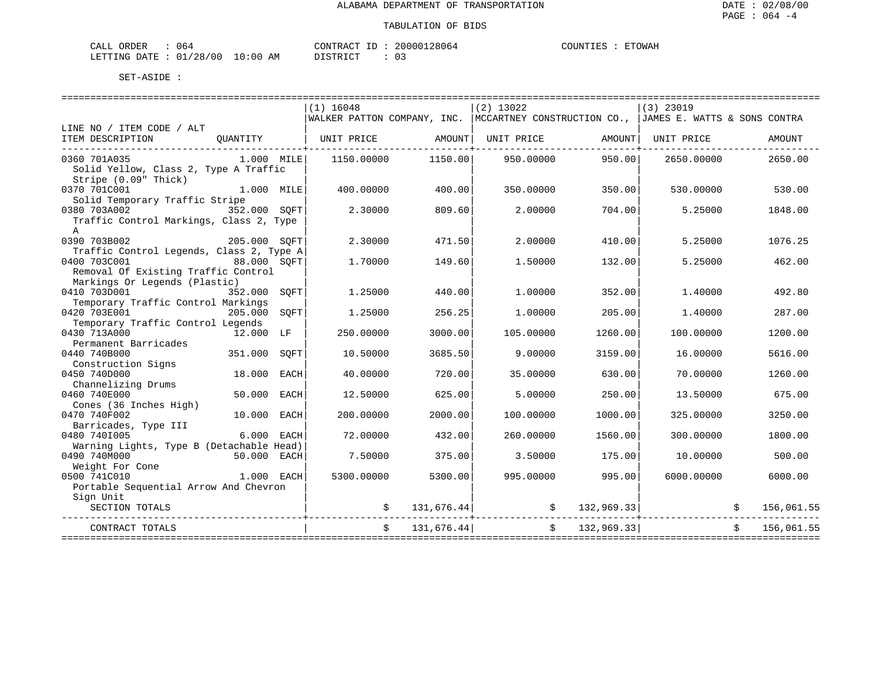| NR DER<br>CATJ | J64                           |                                                                                                                                | TONTR ACT<br>$ -$ | 28064<br>20000 | <b>COLINT</b> | <b>ETOWAF</b> |
|----------------|-------------------------------|--------------------------------------------------------------------------------------------------------------------------------|-------------------|----------------|---------------|---------------|
| LETTING DATE   | '28/<br>01 <sub>l</sub><br>UU | 10:00<br>ΑM<br>the contract of the contract of the contract of the contract of the contract of the contract of the contract of |                   |                |               |               |

|                                          |              |      |                                                                                          | ======================== |                                               |               |             |            |            |
|------------------------------------------|--------------|------|------------------------------------------------------------------------------------------|--------------------------|-----------------------------------------------|---------------|-------------|------------|------------|
|                                          |              |      | $(1)$ 16048                                                                              |                          | $(2)$ 13022                                   |               | $(3)$ 23019 |            |            |
|                                          |              |      | WALKER PATTON COMPANY, INC.   MCCARTNEY CONSTRUCTION CO.,   JAMES E. WATTS & SONS CONTRA |                          |                                               |               |             |            |            |
| LINE NO / ITEM CODE / ALT                |              |      |                                                                                          |                          |                                               |               |             |            |            |
| ITEM DESCRIPTION                         |              |      | QUANTITY   UNIT PRICE AMOUNT  UNIT PRICE                                                 |                          |                                               | AMOUNT        | UNIT PRICE  |            | AMOUNT     |
| _______________________________          |              |      |                                                                                          |                          |                                               |               |             |            |            |
| 0360 701A035                             | 1.000 MILE   |      | 1150.00000                                                                               | 1150.00                  | 950.00000                                     | 950.00        | 2650.00000  |            | 2650.00    |
| Solid Yellow, Class 2, Type A Traffic    |              |      |                                                                                          |                          |                                               |               |             |            |            |
| Stripe (0.09" Thick)                     |              |      |                                                                                          |                          |                                               |               |             |            |            |
| 0370 701C001<br>1.000 MILE               |              |      | 400.00000                                                                                | 400.00                   | 350.00000                                     | 350.00        | 530.00000   |            | 530.00     |
| Solid Temporary Traffic Stripe           |              |      |                                                                                          |                          |                                               |               |             |            |            |
| 0380 703A002 352.000 SOFT                |              |      | 2.30000                                                                                  | 809.60                   | 2.00000                                       | 704.00        | 5.25000     |            | 1848.00    |
| Traffic Control Markings, Class 2, Type  |              |      |                                                                                          |                          |                                               |               |             |            |            |
| A                                        |              |      |                                                                                          |                          |                                               |               |             |            |            |
| 0390 703B002                             | 205.000 SOFT |      | 2.30000                                                                                  | 471.50                   | 2,00000                                       | 410.00        | 5.25000     |            | 1076.25    |
| Traffic Control Legends, Class 2, Type A |              |      |                                                                                          |                          |                                               |               |             |            |            |
| 0400 703C001                             | 88.000 SOFT  |      | 1,70000                                                                                  | 149.60                   | 1.50000                                       | 132.00        | 5.25000     |            | 462.00     |
| Removal Of Existing Traffic Control      |              |      |                                                                                          |                          |                                               |               |             |            |            |
| Markings Or Legends (Plastic)            |              |      |                                                                                          |                          |                                               |               |             |            |            |
| 0410 703D001                             | 352.000      | SOFT | 1.25000                                                                                  | 440.00                   | 1,00000                                       | 352.00        | 1,40000     |            | 492.80     |
| Temporary Traffic Control Markings       |              |      |                                                                                          |                          |                                               |               |             |            |            |
| 0420 703E001                             | 205.000      | SOFT | 1.25000                                                                                  | 256.25                   | 1,00000                                       | 205.00        | 1,40000     |            | 287.00     |
| Temporary Traffic Control Legends        |              |      |                                                                                          |                          |                                               |               |             |            |            |
| 0430 713A000                             | 12.000 LF    |      | 250.00000                                                                                | 3000.00                  | 105.00000                                     | 1260.00       | 100.00000   |            | 1200.00    |
| Permanent Barricades                     |              |      |                                                                                          |                          |                                               |               |             |            |            |
| 0440 740B000                             | 351.000      | SOFT | 10.50000                                                                                 | 3685.50                  | 9,00000                                       | 3159.00       | 16.00000    |            | 5616.00    |
| Construction Signs<br>0450 740D000       | 18.000       |      |                                                                                          | 720.00                   |                                               |               |             |            | 1260.00    |
| Channelizing Drums                       |              | EACH | 40.00000                                                                                 |                          | 35,00000                                      | 630.00        | 70.00000    |            |            |
| 0460 740E000                             | 50.000       | EACH | 12.50000                                                                                 | 625.00                   | 5.00000                                       | 250.00        | 13.50000    |            | 675.00     |
| Cones (36 Inches High)                   |              |      |                                                                                          |                          |                                               |               |             |            |            |
| 0470 740F002                             | 10.000       | EACH | 200.00000                                                                                | 2000.00                  | 100.00000                                     | 1000.00       | 325.00000   |            | 3250.00    |
| Barricades, Type III                     |              |      |                                                                                          |                          |                                               |               |             |            |            |
| 0480 7401005                             | 6.000 EACH   |      | 72,00000                                                                                 | 432.00                   | 260.00000                                     | 1560.00       | 300,00000   |            | 1800.00    |
| Warning Lights, Type B (Detachable Head) |              |      |                                                                                          |                          |                                               |               |             |            |            |
| 0490 740M000                             | 50.000 EACH  |      | 7.50000                                                                                  | 375.00                   | 3.50000                                       | 175.00        | 10.00000    |            | 500.00     |
| Weight For Cone                          |              |      |                                                                                          |                          |                                               |               |             |            |            |
| 0500 741C010                             | 1.000 EACH   |      | 5300.00000                                                                               | 5300.00                  | 995.00000                                     | 995.00        | 6000.00000  |            | 6000.00    |
| Portable Sequential Arrow And Chevron    |              |      |                                                                                          |                          |                                               |               |             |            |            |
| Sign Unit                                |              |      |                                                                                          |                          |                                               |               |             |            |            |
| SECTION TOTALS                           |              |      |                                                                                          |                          | $131,676.44$ $\uparrow$ $\qquad$ $132,969.33$ |               |             | $\ddot{s}$ | 156,061.55 |
|                                          |              |      | ----------------------+----------                                                        |                          |                                               |               |             |            |            |
| CONTRACT TOTALS                          |              |      | \$                                                                                       | 131,676.44               |                                               | \$132,969.33] |             | Ŝ.         | 156,061.55 |
|                                          |              |      |                                                                                          |                          |                                               |               |             |            |            |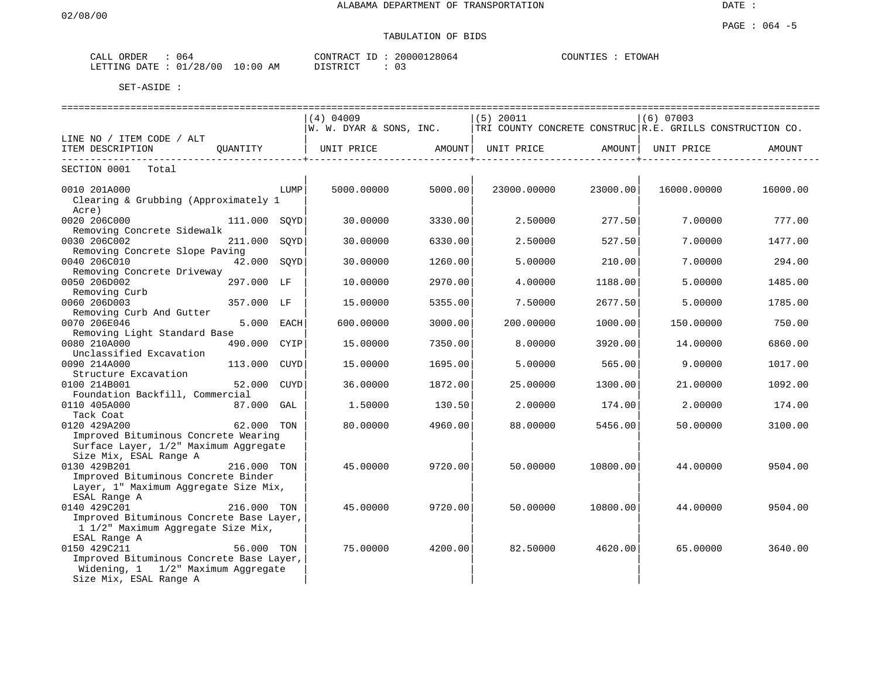| ORDER<br>ىلىلەر  | 064                                     | CONTPACT          | 28064<br>200001 | COUNTIES<br>ETOWAH |
|------------------|-----------------------------------------|-------------------|-----------------|--------------------|
| LETTING<br>DATE. | ה הי<br>0:00<br>01<br>AΜ<br>00 /<br>-48 | $T \cap T$<br>STR |                 |                    |

|                                                                                                                                                                 |                | $(4)$ 04009                                                                              |         | (5) 20011   |          | $(6)$ 07003 |          |
|-----------------------------------------------------------------------------------------------------------------------------------------------------------------|----------------|------------------------------------------------------------------------------------------|---------|-------------|----------|-------------|----------|
|                                                                                                                                                                 |                | W. W. DYAR & SONS, INC. $ $ TRI COUNTY CONCRETE CONSTRUC $ R.E.$ GRILLS CONSTRUCTION CO. |         |             |          |             |          |
| LINE NO / ITEM CODE / ALT<br>ITEM DESCRIPTION                                                                                                                   |                |                                                                                          |         |             |          |             | AMOUNT   |
| SECTION 0001 Total                                                                                                                                              |                |                                                                                          |         |             |          |             |          |
| 0010 201A000<br>Clearing & Grubbing (Approximately 1<br>Acre)                                                                                                   |                | LUMP<br>5000.00000                                                                       | 5000.00 | 23000.00000 | 23000.00 | 16000.00000 | 16000.00 |
| 0020 206C000<br>Removing Concrete Sidewalk                                                                                                                      | 111.000 SOYD   | 30.00000                                                                                 | 3330.00 | 2.50000     | 277.50   | 7.00000     | 777.00   |
| 0030 206C002<br>Removing Concrete Slope Paving                                                                                                                  | 211.000        | SOYD<br>30.00000                                                                         | 6330.00 | 2.50000     | 527.50   | 7.00000     | 1477.00  |
| 0040 206C010<br>Removing Concrete Driveway                                                                                                                      | 42.000 SOYD    | 30.00000                                                                                 | 1260.00 | 5.00000     | 210.00   | 7.00000     | 294.00   |
| 0050 206D002<br>Removing Curb                                                                                                                                   | 297.000 LF     | 10.00000                                                                                 | 2970.00 | 4.00000     | 1188.00  | 5.00000     | 1485.00  |
| 0060 206D003<br>Removing Curb And Gutter                                                                                                                        | 357.000 LF     | 15,00000                                                                                 | 5355.00 | 7.50000     | 2677.50  | 5.00000     | 1785.00  |
| 0070 206E046                                                                                                                                                    | 5.000 EACH     | 600.00000                                                                                | 3000.00 | 200.00000   | 1000.00  | 150.00000   | 750.00   |
| Removing Light Standard Base<br>0080 210A000                                                                                                                    | 490.000 CYIP   | 15.00000                                                                                 | 7350.00 | 8.00000     | 3920.00  | 14.00000    | 6860.00  |
| Unclassified Excavation<br>0090 214A000                                                                                                                         | 113.000 CUYD   | 15,00000                                                                                 | 1695.00 | 5.00000     | 565.00   | 9.00000     | 1017.00  |
| Structure Excavation<br>0100 214B001                                                                                                                            | 52.000<br>CUYD | 36.00000                                                                                 | 1872.00 | 25,00000    | 1300.00  | 21,00000    | 1092.00  |
| Foundation Backfill, Commercial<br>0110 405A000                                                                                                                 | 87.000 GAL     | 1.50000                                                                                  | 130.50  | 2.00000     | 174.001  | 2.00000     | 174.00   |
| Tack Coat<br>0120 429A200<br>Improved Bituminous Concrete Wearing                                                                                               | 62.000 TON     | 80.00000                                                                                 | 4960.00 | 88.00000    | 5456.00  | 50.00000    | 3100.00  |
| Surface Layer, 1/2" Maximum Aggregate<br>Size Mix, ESAL Range A<br>0130 429B201<br>Improved Bituminous Concrete Binder<br>Layer, 1" Maximum Aggregate Size Mix, | 216.000 TON    | 45.00000                                                                                 | 9720.00 | 50.00000    | 10800.00 | 44.00000    | 9504.00  |
| ESAL Range A<br>0140 429C201<br>Improved Bituminous Concrete Base Layer,<br>1 1/2" Maximum Aggregate Size Mix,                                                  | 216.000 TON    | 45.00000                                                                                 | 9720.00 | 50.00000    | 10800.00 | 44.00000    | 9504.00  |
| ESAL Range A<br>0150 429C211<br>Improved Bituminous Concrete Base Layer,<br>Widening, 1 1/2" Maximum Aggregate<br>Size Mix, ESAL Range A                        | 56.000 TON     | 75,00000                                                                                 | 4200.00 | 82.50000    | 4620.00  | 65.00000    | 3640.00  |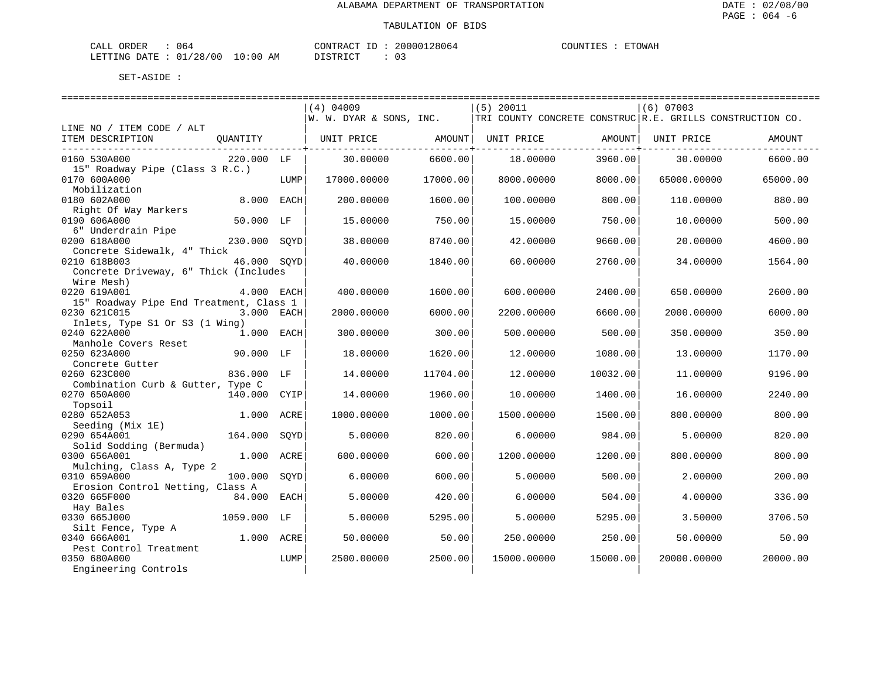| ORDER<br>CALL (        | 54 ل |             | CONTRACT ID | 20000128064 | COUNTIES | ETOWAH |
|------------------------|------|-------------|-------------|-------------|----------|--------|
| LETTING DATE: 01/28/00 |      | 10:00<br>AΜ | T STR T CT. | ∩ −         |          |        |

|                                                           |                 | $(4)$ 04009             |          | $(5)$ 20011                                               |          | $(6)$ 07003 |          |
|-----------------------------------------------------------|-----------------|-------------------------|----------|-----------------------------------------------------------|----------|-------------|----------|
|                                                           |                 | W. W. DYAR & SONS, INC. |          | TRI COUNTY CONCRETE CONSTRUC R.E. GRILLS CONSTRUCTION CO. |          |             |          |
| LINE NO / ITEM CODE / ALT<br>ITEM DESCRIPTION<br>OUANTITY |                 | UNIT PRICE              | AMOUNT   | UNIT PRICE                                                | AMOUNT   | UNIT PRICE  | AMOUNT   |
|                                                           |                 |                         |          |                                                           |          |             |          |
| 0160 530A000                                              | 220.000 LF      | 30.00000                | 6600.00  | 18,00000                                                  | 3960.00  | 30,00000    | 6600.00  |
| 15" Roadway Pipe (Class 3 R.C.)                           |                 |                         |          |                                                           |          |             |          |
| 0170 600A000<br>Mobilization                              | LUMP            | 17000.00000             | 17000.00 | 8000.00000                                                | 8000.00  | 65000.00000 | 65000.00 |
| 0180 602A000                                              | 8.000 EACH      | 200.00000               | 1600.00  | 100.00000                                                 | 800.00   | 110.00000   | 880.00   |
| Right Of Way Markers                                      |                 |                         |          |                                                           |          |             |          |
| 0190 606A000                                              | 50.000 LF       | 15.00000                | 750.00   | 15.00000                                                  | 750.00   | 10.00000    | 500.00   |
| 6" Underdrain Pipe                                        |                 |                         |          |                                                           |          |             |          |
| 0200 618A000<br>Concrete Sidewalk, 4" Thick               | 230.000 SOYD    | 38.00000                | 8740.00  | 42.00000                                                  | 9660.00  | 20.00000    | 4600.00  |
| 0210 618B003                                              | 46.000 SOYD     | 40.00000                | 1840.00  | 60.00000                                                  | 2760.00  | 34.00000    | 1564.00  |
| Concrete Driveway, 6" Thick (Includes                     |                 |                         |          |                                                           |          |             |          |
| Wire Mesh)                                                |                 |                         |          |                                                           |          |             |          |
| 0220 619A001                                              | 4.000 EACH      | 400.00000               | 1600.00  | 600.00000                                                 | 2400.00  | 650.00000   | 2600.00  |
| 15" Roadway Pipe End Treatment, Class 1                   |                 |                         |          |                                                           |          |             |          |
| 0230 621C015<br>Inlets, Type S1 Or S3 (1 Wing)            | 3.000 EACH      | 2000.00000              | 6000.00  | 2200.00000                                                | 6600.00  | 2000.00000  | 6000.00  |
| 0240 622A000                                              | 1.000 EACH      | 300.00000               | 300.00   | 500.00000                                                 | 500.00   | 350.00000   | 350.00   |
| Manhole Covers Reset                                      |                 |                         |          |                                                           |          |             |          |
| 0250 623A000                                              | 90.000 LF       | 18,00000                | 1620.00  | 12.00000                                                  | 1080.00  | 13,00000    | 1170.00  |
| Concrete Gutter                                           |                 |                         |          |                                                           |          |             |          |
| 0260 623C000                                              | 836.000 LF      | 14.00000                | 11704.00 | 12.00000                                                  | 10032.00 | 11,00000    | 9196.00  |
| Combination Curb & Gutter, Type C<br>0270 650A000         | 140.000 CYIP    | 14.00000                | 1960.00  | 10.00000                                                  | 1400.00  | 16.00000    | 2240.00  |
| Topsoil                                                   |                 |                         |          |                                                           |          |             |          |
| 0280 652A053                                              | 1.000<br>ACRE   | 1000.00000              | 1000.00  | 1500.00000                                                | 1500.00  | 800.00000   | 800.00   |
| Seeding (Mix 1E)                                          |                 |                         |          |                                                           |          |             |          |
| 0290 654A001                                              | 164.000<br>SOYD | 5.00000                 | 820.00   | 6.00000                                                   | 984.00   | 5.00000     | 820.00   |
| Solid Sodding (Bermuda)<br>0300 656A001                   | 1.000 ACRE      | 600.00000               | 600.00   | 1200.00000                                                | 1200.00  | 800.00000   | 800.00   |
| Mulching, Class A, Type 2                                 |                 |                         |          |                                                           |          |             |          |
| 0310 659A000                                              | 100.000<br>SOYD | 6.00000                 | 600.00   | 5.00000                                                   | 500.00   | 2.00000     | 200.00   |
| Erosion Control Netting, Class A                          |                 |                         |          |                                                           |          |             |          |
| 0320 665F000                                              | 84.000<br>EACH  | 5.00000                 | 420.00   | 6.00000                                                   | 504.00   | 4,00000     | 336.00   |
| Hay Bales<br>0330 665J000                                 | 1059.000 LF     | 5.00000                 | 5295.00  | 5.00000                                                   | 5295.00  | 3.50000     | 3706.50  |
| Silt Fence, Type A                                        |                 |                         |          |                                                           |          |             |          |
| 0340 666A001                                              | 1.000 ACRE      | 50.00000                | 50.00    | 250.00000                                                 | 250.00   | 50.00000    | 50.00    |
| Pest Control Treatment                                    |                 |                         |          |                                                           |          |             |          |
| 0350 680A000                                              | LUMP            | 2500.00000              | 2500.00  | 15000.00000                                               | 15000.00 | 20000.00000 | 20000.00 |
| Engineering Controls                                      |                 |                         |          |                                                           |          |             |          |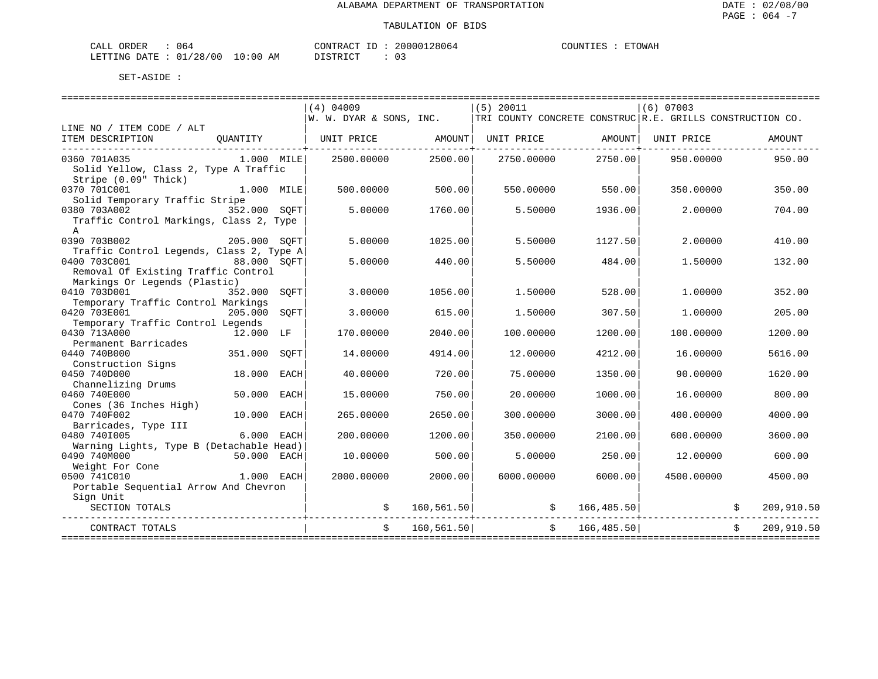| NR DER<br>CATJ | J64                           |                                                                                                                                | TONTR ACT<br>$ -$ | 28064<br>20000 | <b>COLINT</b> | <b>ETOWAF</b> |
|----------------|-------------------------------|--------------------------------------------------------------------------------------------------------------------------------|-------------------|----------------|---------------|---------------|
| LETTING DATE   | '28/<br>01 <sub>l</sub><br>UU | 10:00<br>ΑM<br>the contract of the contract of the contract of the contract of the contract of the contract of the contract of |                   |                |               |               |

|                                                                                                                                                               |      | $(4)$ 04009                                                                              |            | (5) 20011  |              | $(6)$ 07003 |    |            |
|---------------------------------------------------------------------------------------------------------------------------------------------------------------|------|------------------------------------------------------------------------------------------|------------|------------|--------------|-------------|----|------------|
|                                                                                                                                                               |      | $ W. W. DYAR & SONS, INC.$   TRI COUNTY CONCRETE CONSTRUC   R.E. GRILLS CONSTRUCTION CO. |            |            |              |             |    |            |
| LINE NO / ITEM CODE / ALT<br>OUANTITY   UNIT PRICE       AMOUNT  UNIT PRICE       AMOUNT  UNIT PRICE<br>ITEM DESCRIPTION<br>--------------------------------- |      |                                                                                          |            |            |              |             |    | AMOUNT     |
| $1.000$ $MILE$<br>0360 701A035<br>Solid Yellow, Class 2, Type A Traffic<br>Stripe (0.09" Thick)                                                               |      | 2500.00000                                                                               | 2500.00    | 2750.00000 | 2750.00      | 950.00000   |    | 950.00     |
| 1.000 MILE<br>0370 701C001<br>Solid Temporary Traffic Stripe                                                                                                  |      | 500.00000                                                                                | 500.00     | 550.00000  | 550.00       | 350.00000   |    | 350.00     |
| 0380 703A002<br>352.000 SOFT<br>Traffic Control Markings, Class 2, Type<br>A                                                                                  |      | 5.00000                                                                                  | 1760.00    | 5.50000    | 1936.00      | 2,00000     |    | 704.00     |
| 205.000 SQFT<br>0390 703B002<br>Traffic Control Legends, Class 2, Type A                                                                                      |      | 5.00000                                                                                  | 1025.00    | 5.50000    | 1127.50      | 2,00000     |    | 410.00     |
| 0400 703C001<br>88.000 SQFT<br>Removal Of Existing Traffic Control<br>Markings Or Legends (Plastic)                                                           |      | 5.00000                                                                                  | 440.00     | 5.50000    | 484.00       | 1,50000     |    | 132.00     |
| 0410 703D001<br>352.000 SOFT                                                                                                                                  |      | 3.00000                                                                                  | 1056.00    | 1.50000    | 528.00       | 1,00000     |    | 352.00     |
| Temporary Traffic Control Markings<br>0420 703E001<br>205.000                                                                                                 | SOFT | 3.00000                                                                                  | 615.00     | 1.50000    | 307.50       | 1,00000     |    | 205.00     |
| Temporary Traffic Control Legends<br>0430 713A000<br>12.000 LF                                                                                                |      | 170.00000                                                                                | 2040.00    | 100.00000  | 1200.00      | 100.00000   |    | 1200.00    |
| Permanent Barricades                                                                                                                                          |      |                                                                                          |            |            |              |             |    |            |
| 0440 740B000<br>351.000<br>Construction Signs                                                                                                                 | SOFT | 14.00000                                                                                 | 4914.00    | 12.00000   | 4212.00      | 16.00000    |    | 5616.00    |
| 0450 740D000<br>18.000                                                                                                                                        | EACH | 40.00000                                                                                 | 720.00     | 75.00000   | 1350.00      | 90.00000    |    | 1620.00    |
| Channelizing Drums<br>0460 740E000<br>50.000                                                                                                                  | EACH | 15.00000                                                                                 | 750.00     | 20.00000   | 1000.00      | 16.00000    |    | 800.00     |
| Cones (36 Inches High)<br>0470 740F002<br>10.000                                                                                                              | EACH | 265.00000                                                                                | 2650.00    | 300.00000  | 3000.00      | 400.00000   |    | 4000.00    |
| Barricades, Type III                                                                                                                                          |      |                                                                                          |            |            |              |             |    |            |
| 0480 7401005<br>6.000 EACH<br>Warning Lights, Type B (Detachable Head)                                                                                        |      | 200.00000                                                                                | 1200.00    | 350.00000  | 2100.00      | 600.00000   |    | 3600.00    |
| 0490 740M000<br>50.000 EACH                                                                                                                                   |      | 10.00000                                                                                 | 500.00     | 5,00000    | 250.00       | 12.00000    |    | 600.00     |
| Weight For Cone<br>0500 741C010<br>$1.000$ EACH<br>Portable Sequential Arrow And Chevron                                                                      |      | 2000.00000                                                                               | 2000.00    | 6000,00000 | 6000.00      | 4500.00000  |    | 4500.00    |
| Sign Unit<br>SECTION TOTALS                                                                                                                                   |      |                                                                                          |            |            |              |             |    | 209,910.50 |
| CONTRACT TOTALS                                                                                                                                               |      | Ŝ.                                                                                       | 160,561.50 |            | \$166,485.50 |             | S. | 209,910.50 |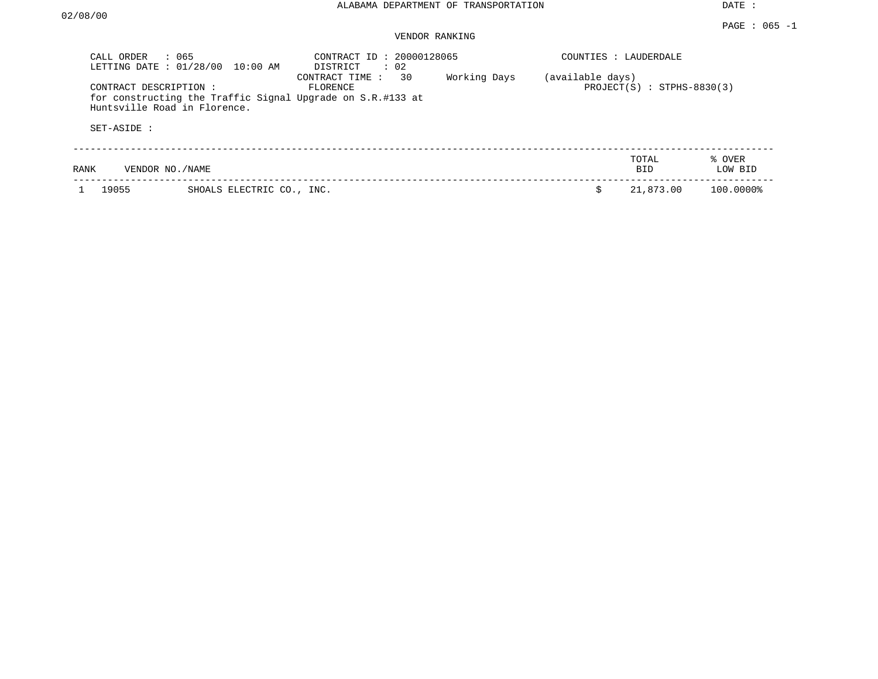#### VENDOR RANKING

| CALL ORDER<br>LETTING DATE: 01/28/00 | : 065<br>$10:00$ AM          | CONTRACT ID: 20000128065<br>$\therefore$ 02<br>DISTRICT                                        |              | COUNTIES : LAUDERDALE |                              |                   |
|--------------------------------------|------------------------------|------------------------------------------------------------------------------------------------|--------------|-----------------------|------------------------------|-------------------|
| CONTRACT DESCRIPTION:<br>SET-ASIDE : | Huntsville Road in Florence. | 30<br>CONTRACT TIME:<br>FLORENCE<br>for constructing the Traffic Signal Upgrade on S.R.#133 at | Working Days | (available days)      | $PROJECT(S) : STPHS-8830(3)$ |                   |
| RANK                                 | VENDOR NO./NAME              |                                                                                                |              |                       | TOTAL<br>BID.                | % OVER<br>LOW BID |
| 19055                                | SHOALS ELECTRIC CO., INC.    |                                                                                                |              |                       | 21,873.00                    | 100.0000%         |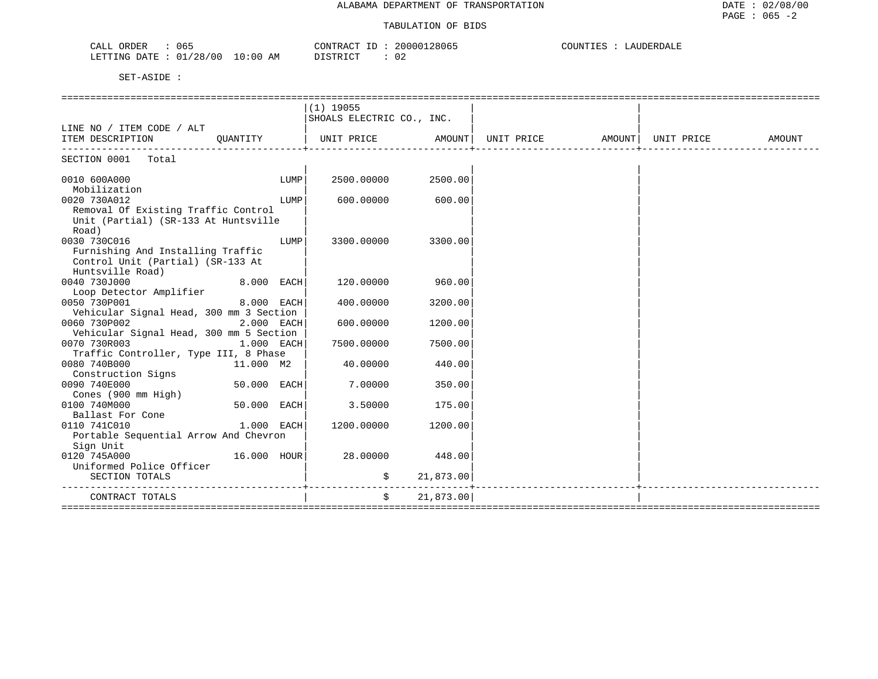| $\sim$<br>71 T<br>ORDER<br>- 06-<br>∪A⊔⊥                                                                                                                                                   | ി വ<br>$\sim$<br>וחזרר<br>≀ו∧ ש<br>7806. | TUTIO <sup>r</sup><br>.KI)A'<br>د، . |  |
|--------------------------------------------------------------------------------------------------------------------------------------------------------------------------------------------|------------------------------------------|--------------------------------------|--|
| າຂ<br>AΜ<br>TTING<br>⊤י⊤ בר<br>0C<br><b>T.U</b><br>.<br><u>UU</u><br>20<br>the contract of the contract of the contract of the contract of the contract of the contract of the contract of | CMDT                                     |                                      |  |

|                                         |               |      | $(1)$ 19055               |           |                   |                     |        |
|-----------------------------------------|---------------|------|---------------------------|-----------|-------------------|---------------------|--------|
|                                         |               |      | SHOALS ELECTRIC CO., INC. |           |                   |                     |        |
| LINE NO / ITEM CODE / ALT               |               |      |                           |           |                   |                     |        |
| ITEM DESCRIPTION                        | OUANTITY      |      | UNIT PRICE                |           | AMOUNT UNIT PRICE | AMOUNT   UNIT PRICE | AMOUNT |
| ---------------<br>SECTION 0001 Total   |               |      |                           |           |                   |                     |        |
|                                         |               |      |                           |           |                   |                     |        |
| 0010 600A000                            |               | LUMP | 2500.00000                | 2500.00   |                   |                     |        |
| Mobilization                            |               |      |                           |           |                   |                     |        |
| 0020 730A012                            |               | LUMP | 600,00000                 | 600.00    |                   |                     |        |
| Removal Of Existing Traffic Control     |               |      |                           |           |                   |                     |        |
| Unit (Partial) (SR-133 At Huntsville    |               |      |                           |           |                   |                     |        |
| Road)                                   |               |      |                           |           |                   |                     |        |
| 0030 730C016                            |               | LUMP | 3300.00000                | 3300.00   |                   |                     |        |
| Furnishing And Installing Traffic       |               |      |                           |           |                   |                     |        |
| Control Unit (Partial) (SR-133 At       |               |      |                           |           |                   |                     |        |
| Huntsville Road)                        |               |      |                           |           |                   |                     |        |
| 0040 730J000                            | 8.000 EACH    |      | 120.00000                 | 960.00    |                   |                     |        |
| Loop Detector Amplifier                 |               |      |                           |           |                   |                     |        |
| 0050 730P001                            | 8.000 EACH    |      | 400.00000                 | 3200.00   |                   |                     |        |
| Vehicular Signal Head, 300 mm 3 Section |               |      |                           |           |                   |                     |        |
| 0060 730P002                            | 2.000 EACH    |      | 600,00000                 | 1200.00   |                   |                     |        |
| Vehicular Signal Head, 300 mm 5 Section |               |      |                           |           |                   |                     |        |
| 0070 730R003                            | $1.000$ EACH  |      | 7500.00000                | 7500.00   |                   |                     |        |
| Traffic Controller, Type III, 8 Phase   |               |      |                           |           |                   |                     |        |
| 0080 740B000                            | 11.000 M2     |      | 40.00000                  | 440.00    |                   |                     |        |
| Construction Signs                      |               |      |                           |           |                   |                     |        |
| 0090 740E000                            | $50.000$ EACH |      | 7.00000                   | 350.00    |                   |                     |        |
| Cones (900 mm High)                     |               |      |                           |           |                   |                     |        |
| 0100 740M000                            | 50.000 EACH   |      | 3.50000                   | 175.00    |                   |                     |        |
| Ballast For Cone                        |               |      |                           |           |                   |                     |        |
| 0110 741C010                            | $1.000$ EACH  |      | 1200.00000                | 1200.00   |                   |                     |        |
| Portable Sequential Arrow And Chevron   |               |      |                           |           |                   |                     |        |
| Sign Unit                               |               |      |                           |           |                   |                     |        |
| 0120 745A000                            | 16.000 HOUR   |      | 28.00000                  | 448.00    |                   |                     |        |
| Uniformed Police Officer                |               |      |                           |           |                   |                     |        |
| SECTION TOTALS                          |               |      | \$                        | 21,873.00 |                   |                     |        |
|                                         |               |      |                           |           |                   |                     |        |
| CONTRACT TOTALS                         |               |      | $\ddot{s}$                | 21,873.00 |                   |                     |        |
|                                         |               |      |                           |           |                   |                     |        |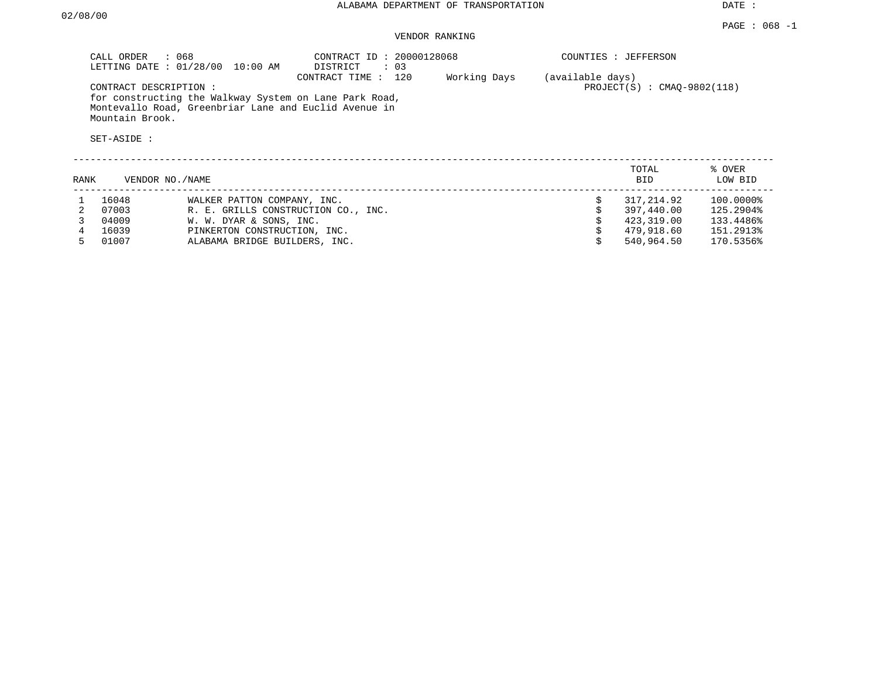#### VENDOR RANKING

|      | CALL ORDER : 068                                        | LETTING DATE : 01/28/00 10:00 AM                                                                                              | CONTRACT ID: 20000128068<br>DISTRICT<br>: 03 |              | COUNTIES : JEFFERSON |                                                      |                                                  |  |  |  |
|------|---------------------------------------------------------|-------------------------------------------------------------------------------------------------------------------------------|----------------------------------------------|--------------|----------------------|------------------------------------------------------|--------------------------------------------------|--|--|--|
|      | CONTRACT DESCRIPTION:<br>Mountain Brook.<br>SET-ASIDE : | for constructing the Walkway System on Lane Park Road,<br>Montevallo Road, Greenbriar Lane and Euclid Avenue in               | CONTRACT TIME : 120                          | Working Days | (available days)     | $PROJECT(S)$ : CMAO-9802(118)                        |                                                  |  |  |  |
| RANK | VENDOR NO./NAME                                         |                                                                                                                               |                                              |              |                      | TOTAL<br><b>BID</b>                                  | % OVER<br>LOW BID                                |  |  |  |
|      | 16048<br>07003<br>04009<br>16039                        | WALKER PATTON COMPANY, INC.<br>R. E. GRILLS CONSTRUCTION CO., INC.<br>W. W. DYAR & SONS, INC.<br>PINKERTON CONSTRUCTION, INC. |                                              |              | Ŝ.                   | 317,214.92<br>397,440.00<br>423,319.00<br>479,918.60 | 100.0000%<br>125.2904%<br>133.4486%<br>151.2913% |  |  |  |

4 16039 PINKERTON CONSTRUCTION, INC.<br>1999/918.60 151.2913% ALABAMA BRIDGE BUILDERS, INC.

ALABAMA BRIDGE BUILDERS, INC.  $$540,964.50$  170.5356%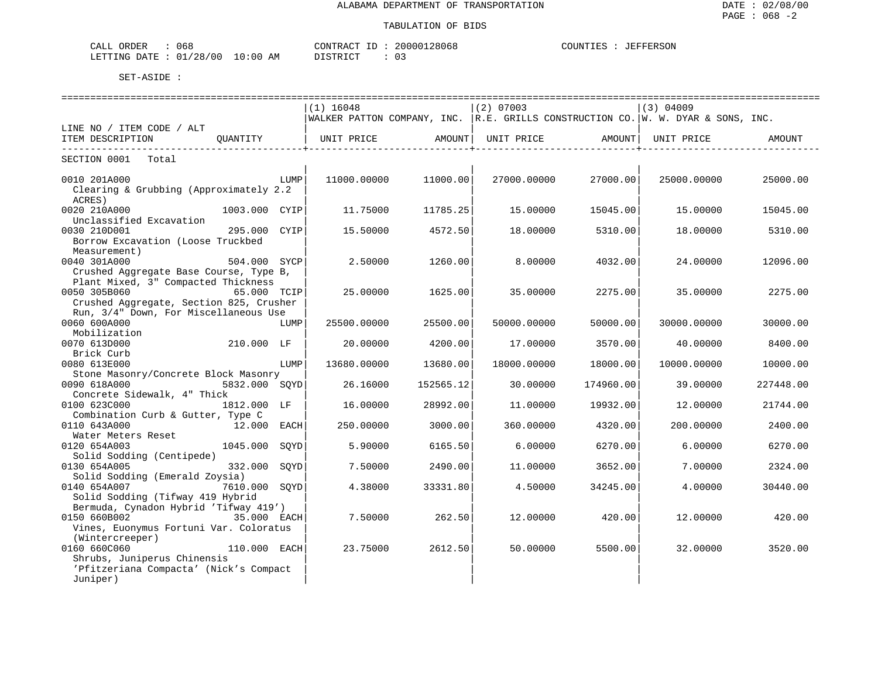| 068<br>ORDER<br>CALL             |            | CONTRACT ID | 28068<br>200001 | COUNTIES | <b>JEFFERSON</b> |
|----------------------------------|------------|-------------|-----------------|----------|------------------|
| $\pm$ : 01/28/00<br>LETTING DATE | $10:00$ AM | DISTRICT    | . U . J         |          |                  |

|                                         |                |      | ============================= |                     | ============================= |                    | =============================                                                     |           |  |
|-----------------------------------------|----------------|------|-------------------------------|---------------------|-------------------------------|--------------------|-----------------------------------------------------------------------------------|-----------|--|
|                                         |                |      | $(1)$ 16048                   |                     | $(2)$ 07003                   |                    | $(3)$ 04009                                                                       |           |  |
|                                         |                |      |                               |                     |                               |                    | WALKER PATTON COMPANY, INC.  R.E. GRILLS CONSTRUCTION CO. W. W. DYAR & SONS, INC. |           |  |
| LINE NO / ITEM CODE / ALT               |                |      |                               |                     |                               |                    |                                                                                   |           |  |
| ITEM DESCRIPTION                        | QUANTITY       |      | UNIT PRICE AMOUNT             |                     | UNIT PRICE AMOUNT             |                    | UNIT PRICE                                                                        | AMOUNT    |  |
| ----------------------------            |                |      |                               | ___________________ |                               | -----------------+ |                                                                                   |           |  |
| SECTION 0001 Total                      |                |      |                               |                     |                               |                    |                                                                                   |           |  |
| 0010 201A000                            |                | LUMP | 11000.00000                   | 11000.00            | 27000.00000                   | 27000.00           | 25000.00000                                                                       | 25000.00  |  |
| Clearing & Grubbing (Approximately 2.2  |                |      |                               |                     |                               |                    |                                                                                   |           |  |
| ACRES)                                  |                |      |                               |                     |                               |                    |                                                                                   |           |  |
| 0020 210A000                            | 1003.000 CYIP  |      | 11.75000                      | 11785.25            | 15.00000                      | 15045.00           | 15.00000                                                                          | 15045.00  |  |
|                                         |                |      |                               |                     |                               |                    |                                                                                   |           |  |
| Unclassified Excavation                 |                |      |                               |                     |                               |                    |                                                                                   |           |  |
| 0030 210D001                            | 295.000 CYIP   |      | 15.50000                      | 4572.50             | 18,00000                      | 5310.00            | 18,00000                                                                          | 5310.00   |  |
| Borrow Excavation (Loose Truckbed       |                |      |                               |                     |                               |                    |                                                                                   |           |  |
| Measurement)                            |                |      |                               |                     |                               |                    |                                                                                   |           |  |
| 0040 301A000                            | 504.000 SYCP   |      | 2.50000                       | 1260.00             | 8,00000                       | 4032.00            | 24.00000                                                                          | 12096.00  |  |
| Crushed Aggregate Base Course, Type B,  |                |      |                               |                     |                               |                    |                                                                                   |           |  |
| Plant Mixed, 3" Compacted Thickness     |                |      |                               |                     |                               |                    |                                                                                   |           |  |
| 0050 305B060                            | 65.000 TCIP    |      | 25.00000                      | 1625.00             | 35.00000                      | 2275.00            | 35.00000                                                                          | 2275.00   |  |
| Crushed Aggregate, Section 825, Crusher |                |      |                               |                     |                               |                    |                                                                                   |           |  |
| Run, 3/4" Down, For Miscellaneous Use   |                |      |                               |                     |                               |                    |                                                                                   |           |  |
| 0060 600A000                            |                | LUMP | 25500.00000                   | 25500.00            | 50000.00000                   | 50000.00           | 30000.00000                                                                       | 30000.00  |  |
| Mobilization                            |                |      |                               |                     |                               |                    |                                                                                   |           |  |
| 0070 613D000                            | 210.000 LF     |      | 20.00000                      | 4200.00             | 17.00000                      | 3570.00            | 40.00000                                                                          | 8400.00   |  |
| Brick Curb                              |                |      |                               |                     |                               |                    |                                                                                   |           |  |
| 0080 613E000                            |                | LUMP | 13680.00000                   | 13680.00            | 18000.00000                   | 18000.00           | 10000.00000                                                                       | 10000.00  |  |
| Stone Masonry/Concrete Block Masonry    |                |      |                               |                     |                               |                    |                                                                                   |           |  |
| 0090 618A000                            | 5832.000 SOYD  |      | 26.16000                      | 152565.12           | 30.00000                      | 174960.00          | 39.00000                                                                          | 227448.00 |  |
| Concrete Sidewalk, 4" Thick             |                |      |                               |                     |                               |                    |                                                                                   |           |  |
| 0100 623C000                            | 1812.000 LF    |      | 16.00000                      | 28992.00            | 11,00000                      | 19932.00           | 12.00000                                                                          | 21744.00  |  |
| Combination Curb & Gutter, Type C       |                |      |                               |                     |                               |                    |                                                                                   |           |  |
| 0110 643A000                            | 12.000 EACH    |      | 250.00000                     | 3000.00             | 360.00000                     | 4320.00            | 200.00000                                                                         | 2400.00   |  |
|                                         |                |      |                               |                     |                               |                    |                                                                                   |           |  |
| Water Meters Reset                      |                |      |                               |                     |                               |                    |                                                                                   |           |  |
| 0120 654A003                            | 1045.000       | SOYD | 5.90000                       | 6165.50             | 6.00000                       | 6270.00            | 6.00000                                                                           | 6270.00   |  |
| Solid Sodding (Centipede)               |                |      |                               |                     |                               |                    |                                                                                   |           |  |
| 0130 654A005                            | 332.000        | SOYD | 7.50000                       | 2490.00             | 11,00000                      | 3652.00            | 7.00000                                                                           | 2324.00   |  |
| Solid Sodding (Emerald Zoysia)          |                |      |                               |                     |                               |                    |                                                                                   |           |  |
| 0140 654A007                            | 7610.000       | SOYD | 4.38000                       | 33331.80            | 4.50000                       | 34245.00           | 4.00000                                                                           | 30440.00  |  |
| Solid Sodding (Tifway 419 Hybrid        |                |      |                               |                     |                               |                    |                                                                                   |           |  |
| Bermuda, Cynadon Hybrid 'Tifway 419')   |                |      |                               |                     |                               |                    |                                                                                   |           |  |
| 0150 660B002                            |                |      | 7.50000                       | 262.50              | 12,00000                      | 420.00             | 12.00000                                                                          | 420.00    |  |
| Vines, Euonymus Fortuni Var. Coloratus  |                |      |                               |                     |                               |                    |                                                                                   |           |  |
| (Wintercreeper)                         |                |      |                               |                     |                               |                    |                                                                                   |           |  |
| 0160 660C060                            | $110.000$ EACH |      | 23.75000                      | 2612.50             | 50.00000                      | 5500.00            | 32,00000                                                                          | 3520.00   |  |
| Shrubs, Juniperus Chinensis             |                |      |                               |                     |                               |                    |                                                                                   |           |  |
| 'Pfitzeriana Compacta' (Nick's Compact  |                |      |                               |                     |                               |                    |                                                                                   |           |  |
| Juniper)                                |                |      |                               |                     |                               |                    |                                                                                   |           |  |
|                                         |                |      |                               |                     |                               |                    |                                                                                   |           |  |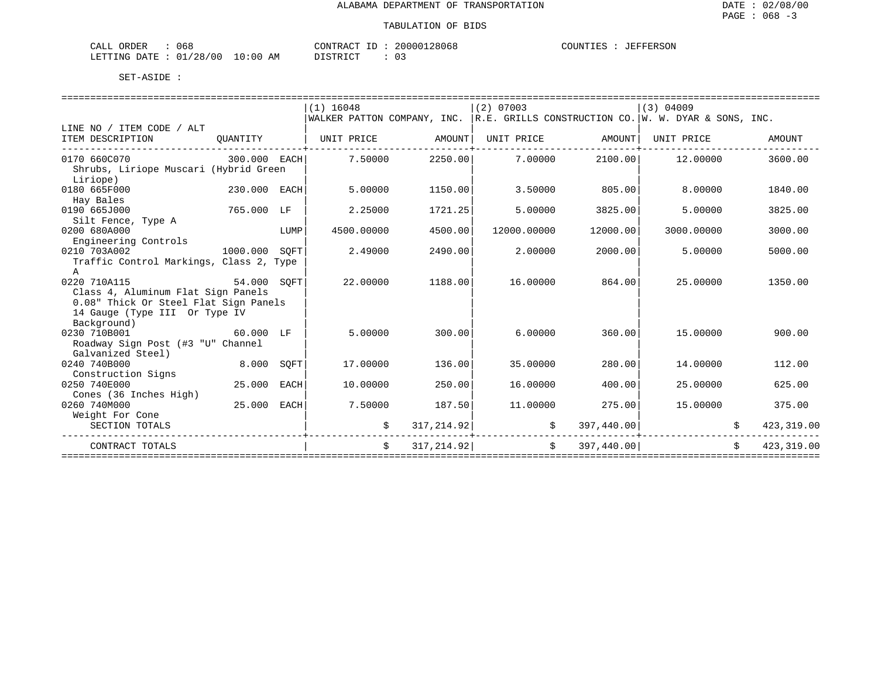| 068<br>ORDER<br>CALL       | CONTRACT                | 20000128068<br>$ -$ | COUNTIES<br>JEFFERSON |
|----------------------------|-------------------------|---------------------|-----------------------|
| : 01/28/00<br>LETTING DATE | 10:00<br>AΜ<br>DISTRICT |                     |                       |

|                                         |            |      | $(1)$ 16048                                                                      |            | $(2)$ 07003 |               | $(3)$ 04009       |                              |
|-----------------------------------------|------------|------|----------------------------------------------------------------------------------|------------|-------------|---------------|-------------------|------------------------------|
|                                         |            |      | WALKER PATTON COMPANY, INC. R.E. GRILLS CONSTRUCTION CO. W. W. DYAR & SONS, INC. |            |             |               |                   |                              |
| LINE NO / ITEM CODE / ALT               |            |      |                                                                                  |            |             |               |                   |                              |
| ITEM DESCRIPTION                        | OUANTITY   |      | UNIT PRICE       AMOUNT   UNIT PRICE     AMOUNT                                  |            |             |               | UNIT PRICE        | AMOUNT                       |
| 0170 660C070 300.000 EACH               |            |      | $7.50000$ 2250.00 7.00000                                                        |            |             |               | 2100.00  12.00000 | 3600.00                      |
| Shrubs, Liriope Muscari (Hybrid Green   |            |      |                                                                                  |            |             |               |                   |                              |
| Liriope)                                |            |      |                                                                                  |            |             |               |                   |                              |
| 0180 665F000<br>230.000 EACH            |            |      | 5,00000                                                                          | 1150.00    | 3.50000     | 805.00        | 8,00000           | 1840.00                      |
| Hay Bales                               |            |      |                                                                                  |            |             |               |                   |                              |
| 0190 665J000                            | 765.000 LF |      | 2.25000                                                                          | 1721.25    | 5.00000     | 3825.00       | 5.00000           | 3825.00                      |
| Silt Fence, Type A                      |            |      |                                                                                  |            |             |               |                   |                              |
| 0200 680A000                            |            | LUMP | 4500.00000                                                                       | 4500.00    | 12000.00000 | 12000.00      | 3000.00000        | 3000.00                      |
| Engineering Controls                    |            |      |                                                                                  |            |             |               |                   |                              |
| 1000.000 SOFT<br>0210 703A002           |            |      | 2.49000                                                                          | 2490.00    | 2,00000     | 2000.00       | 5.00000           | 5000.00                      |
| Traffic Control Markings, Class 2, Type |            |      |                                                                                  |            |             |               |                   |                              |
| $\mathsf{A}$                            |            |      |                                                                                  |            |             |               |                   |                              |
| 54.000 SQFT<br>0220 710A115             |            |      | 22.00000                                                                         | 1188.00    | 16.00000    | 864.00        | 25.00000          | 1350.00                      |
| Class 4, Aluminum Flat Sign Panels      |            |      |                                                                                  |            |             |               |                   |                              |
| 0.08" Thick Or Steel Flat Sign Panels   |            |      |                                                                                  |            |             |               |                   |                              |
| 14 Gauge (Type III Or Type IV           |            |      |                                                                                  |            |             |               |                   |                              |
| Background)                             |            |      |                                                                                  |            |             |               |                   |                              |
| 0230 710B001<br>60.000 LF               |            |      | 5.00000                                                                          | 300.00     | 6.00000     | 360.00        | 15,00000          | 900.00                       |
| Roadway Sign Post (#3 "U" Channel       |            |      |                                                                                  |            |             |               |                   |                              |
| Galvanized Steel)                       |            |      |                                                                                  |            |             |               |                   |                              |
| 0240 740B000                            | 8.000 SOFT |      | 17.00000                                                                         | 136.00     | 35.00000    | 280.00        | 14.00000          | 112.00                       |
| Construction Signs                      |            |      |                                                                                  |            |             |               |                   |                              |
| 0250 740E000                            | 25.000     | EACH | 10.00000                                                                         | 250.00     | 16,00000    | 400.00        | 25.00000          | 625.00                       |
| Cones (36 Inches High)                  |            |      |                                                                                  |            |             |               |                   |                              |
| 0260 740M000                            | 25.000     | EACH | 7.50000                                                                          | 187.50     | 11,00000    | 275.00        | 15.00000          | 375.00                       |
| Weight For Cone                         |            |      |                                                                                  |            |             |               |                   |                              |
| SECTION TOTALS                          |            |      | \$                                                                               | 317,214.92 | \$          | 397,440.00    |                   | 423, 319.00                  |
| CONTRACT TOTALS                         |            |      | Ŝ.                                                                               | 317,214.92 |             | \$397,440.00] |                   | $\mathsf{S}$<br>423, 319, 00 |
|                                         |            |      |                                                                                  |            |             |               |                   |                              |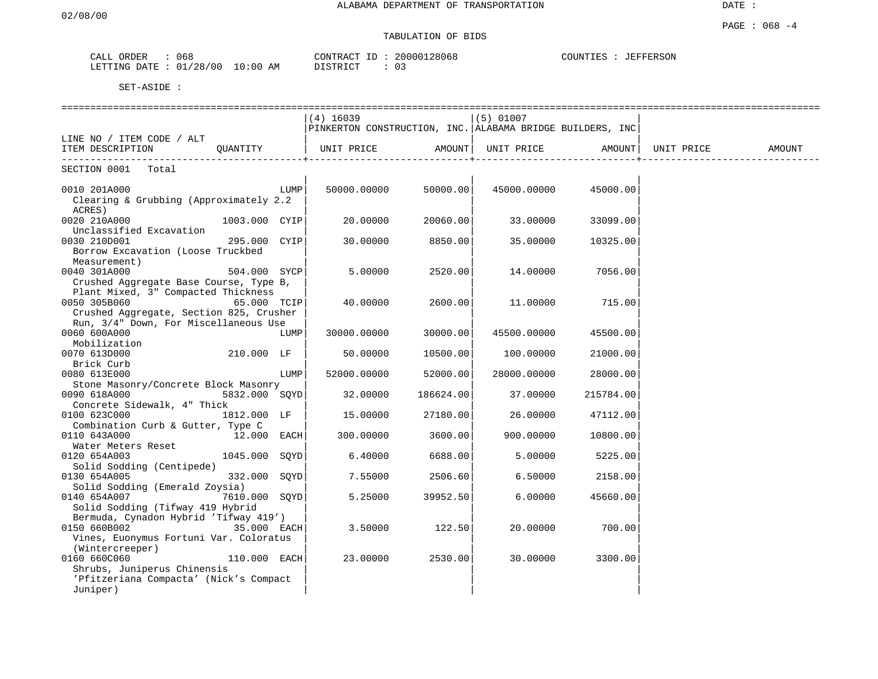# TABULATION OF BIDS

| ORDER<br>CALL  | 068        |          | CONTRACT<br>ID | 20000128068   | COUNTIES :<br>JEFFERSON |
|----------------|------------|----------|----------------|---------------|-------------------------|
| LETTING DATE : | : 01/28/00 | 10:00 AM | DISTRICT       | $\cap$<br>. U |                         |

|                                                   |               |      | ===============================                           |           |             |           |            |        |
|---------------------------------------------------|---------------|------|-----------------------------------------------------------|-----------|-------------|-----------|------------|--------|
|                                                   |               |      | $(4)$ 16039                                               |           | $(5)$ 01007 |           |            |        |
|                                                   |               |      | PINKERTON CONSTRUCTION, INC. ALABAMA BRIDGE BUILDERS, INC |           |             |           |            |        |
| LINE NO / ITEM CODE / ALT                         |               |      |                                                           |           |             |           |            |        |
| ITEM DESCRIPTION QUANTITY                         |               |      | UNIT PRICE                                                | AMOUNT    | UNIT PRICE  | AMOUNT    | UNIT PRICE | AMOUNT |
|                                                   |               |      |                                                           |           |             |           |            |        |
| SECTION 0001 Total                                |               |      |                                                           |           |             |           |            |        |
| 0010 201A000                                      |               | LUMP | 50000.00000                                               | 50000.00  | 45000.00000 | 45000.00  |            |        |
| Clearing & Grubbing (Approximately 2.2            |               |      |                                                           |           |             |           |            |        |
| ACRES)                                            |               |      |                                                           |           |             |           |            |        |
| 0020 210A000                                      | 1003.000 CYIP |      | 20.00000                                                  | 20060.00  | 33.00000    | 33099.00  |            |        |
| Unclassified Excavation                           |               |      |                                                           |           |             |           |            |        |
| 0030 210D001                                      | 295.000 CYIP  |      | 30.00000                                                  | 8850.00   | 35,00000    | 10325.00  |            |        |
| Borrow Excavation (Loose Truckbed                 |               |      |                                                           |           |             |           |            |        |
| Measurement)                                      |               |      |                                                           |           |             |           |            |        |
| 0040 301A000                                      | 504.000 SYCP  |      | 5.00000                                                   | 2520.00   | 14.00000    | 7056.00   |            |        |
| Crushed Aggregate Base Course, Type B,            |               |      |                                                           |           |             |           |            |        |
| Plant Mixed, 3" Compacted Thickness               |               |      |                                                           |           |             |           |            |        |
| 0050 305B060                                      | 65.000 TCIP   |      | 40.00000                                                  | 2600.00   | 11.00000    | 715.00    |            |        |
| Crushed Aggregate, Section 825, Crusher           |               |      |                                                           |           |             |           |            |        |
| Run, 3/4" Down, For Miscellaneous Use             |               |      |                                                           |           |             |           |            |        |
| 0060 600A000                                      |               | LUMP | 30000.00000                                               | 30000.00  | 45500.00000 | 45500.00  |            |        |
| Mobilization                                      |               |      |                                                           |           |             |           |            |        |
| 0070 613D000                                      | 210.000 LF    |      | 50.00000                                                  | 10500.00  | 100.00000   | 21000.00  |            |        |
| Brick Curb                                        |               |      |                                                           |           |             |           |            |        |
| 0080 613E000                                      |               | LUMP | 52000.00000                                               | 52000.00  | 28000.00000 | 28000.00  |            |        |
| Stone Masonry/Concrete Block Masonry              |               |      |                                                           |           |             |           |            |        |
| 0090 618A000                                      | 5832.000 SOYD |      | 32.00000                                                  | 186624.00 | 37.00000    | 215784.00 |            |        |
| Concrete Sidewalk, 4" Thick                       |               |      |                                                           |           |             |           |            |        |
|                                                   |               |      |                                                           |           |             |           |            |        |
| 0100 623C000<br>Combination Curb & Gutter, Type C | 1812.000 LF   |      | 15.00000                                                  | 27180.00  | 26.00000    | 47112.00  |            |        |
|                                                   |               |      |                                                           |           |             |           |            |        |
| 0110 643A000                                      | $12.000$ EACH |      | 300.00000                                                 | 3600.00   | 900.00000   | 10800.00  |            |        |
| Water Meters Reset                                |               |      |                                                           |           |             |           |            |        |
| 0120 654A003                                      | 1045.000 SOYD |      | 6.40000                                                   | 6688.00   | 5.00000     | 5225.00   |            |        |
| Solid Sodding (Centipede)                         |               |      |                                                           |           |             |           |            |        |
| 0130 654A005                                      | 332.000 SOYD  |      | 7.55000                                                   | 2506.60   | 6.50000     | 2158.00   |            |        |
| Solid Sodding (Emerald Zoysia)                    |               |      |                                                           |           |             |           |            |        |
| 7610.000 SQYD<br>0140 654A007                     |               |      | 5.25000                                                   | 39952.50  | 6.00000     | 45660.00  |            |        |
| Solid Sodding (Tifway 419 Hybrid                  |               |      |                                                           |           |             |           |            |        |
| Bermuda, Cynadon Hybrid 'Tifway 419')             |               |      |                                                           |           |             |           |            |        |
| 0150 660B002                                      | $35.000$ EACH |      | 3.50000                                                   | 122.50    | 20.00000    | 700.00    |            |        |
| Vines, Euonymus Fortuni Var. Coloratus            |               |      |                                                           |           |             |           |            |        |
| (Wintercreeper)                                   |               |      |                                                           |           |             |           |            |        |
| 0160 660C060                                      | 110.000 EACH  |      | 23.00000                                                  | 2530.00   | 30.00000    | 3300.00   |            |        |
| Shrubs, Juniperus Chinensis                       |               |      |                                                           |           |             |           |            |        |
| 'Pfitzeriana Compacta' (Nick's Compact            |               |      |                                                           |           |             |           |            |        |
| Juniper)                                          |               |      |                                                           |           |             |           |            |        |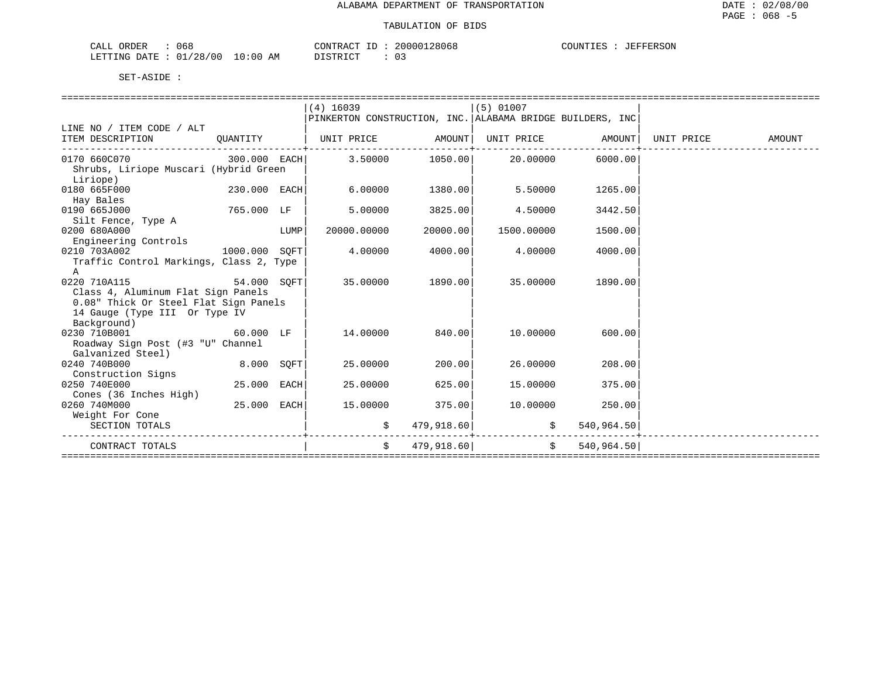| 068<br>ORDER<br>CALL       | CONTRACT                | 20000128068<br>$ -$ | COUNTIES<br>JEFFERSON |
|----------------------------|-------------------------|---------------------|-----------------------|
| : 01/28/00<br>LETTING DATE | 10:00<br>AΜ<br>DISTRICT |                     |                       |

|                                              |              |      | $(4)$ 16039                                                          |                            | $(5)$ 01007         |                                       |  |        |  |  |
|----------------------------------------------|--------------|------|----------------------------------------------------------------------|----------------------------|---------------------|---------------------------------------|--|--------|--|--|
|                                              |              |      | PINKERTON CONSTRUCTION, INC. ALABAMA BRIDGE BUILDERS, INC            |                            |                     |                                       |  |        |  |  |
| LINE NO / ITEM CODE / ALT                    |              |      |                                                                      |                            |                     |                                       |  |        |  |  |
| ITEM DESCRIPTION                             | QUANTITY     |      | UNIT PRICE           AMOUNT  UNIT PRICE           AMOUNT  UNIT PRICE |                            |                     |                                       |  | AMOUNT |  |  |
|                                              |              |      |                                                                      |                            |                     |                                       |  |        |  |  |
| $0170\,660C070$ 300.000 EACH 3.50000 1050.00 |              |      |                                                                      |                            | 20.00000            | 6000.00                               |  |        |  |  |
| Shrubs, Liriope Muscari (Hybrid Green        |              |      |                                                                      |                            |                     |                                       |  |        |  |  |
| Liriope)                                     |              |      |                                                                      |                            |                     |                                       |  |        |  |  |
| 0180 665F000                                 | 230.000 EACH |      | 6.00000                                                              | 1380.00                    | 5.50000             | 1265.00                               |  |        |  |  |
| Hay Bales                                    |              |      |                                                                      |                            |                     |                                       |  |        |  |  |
| 0190 665J000<br>765.000 LF                   |              |      | 5.00000                                                              | 3825.00                    | 4.50000             | 3442.50                               |  |        |  |  |
| Silt Fence, Type A                           |              |      |                                                                      |                            |                     |                                       |  |        |  |  |
| 0200 680A000                                 |              | LUMP | 20000.00000                                                          | 20000.00                   | 1500.00000          | 1500.00                               |  |        |  |  |
| Engineering Controls                         |              |      |                                                                      |                            |                     |                                       |  |        |  |  |
| 1000.000 SOFT<br>0210 703A002                |              |      | 4.00000                                                              | 4000.00                    | 4.00000             | 4000.00                               |  |        |  |  |
| Traffic Control Markings, Class 2, Type      |              |      |                                                                      |                            |                     |                                       |  |        |  |  |
| $\mathbf{A}$                                 |              |      |                                                                      |                            |                     |                                       |  |        |  |  |
| 54.000 SQFT<br>0220 710A115                  |              |      |                                                                      | 35.00000 1890.00           | 35.00000            | 1890.00                               |  |        |  |  |
| Class 4, Aluminum Flat Sign Panels           |              |      |                                                                      |                            |                     |                                       |  |        |  |  |
| 0.08" Thick Or Steel Flat Sign Panels        |              |      |                                                                      |                            |                     |                                       |  |        |  |  |
| 14 Gauge (Type III Or Type IV                |              |      |                                                                      |                            |                     |                                       |  |        |  |  |
| Background)                                  |              |      |                                                                      |                            |                     |                                       |  |        |  |  |
| 0230 710B001                                 | 60.000 LF    |      | 14.00000                                                             | 840.00                     | 10.00000            | 600.00                                |  |        |  |  |
| Roadway Sign Post (#3 "U" Channel            |              |      |                                                                      |                            |                     |                                       |  |        |  |  |
| Galvanized Steel)                            |              |      |                                                                      |                            |                     |                                       |  |        |  |  |
| 0240 740B000                                 | 8.000 SOFT   |      | 25.00000                                                             | 200.00                     | 26.00000            | 208.00                                |  |        |  |  |
| Construction Signs                           |              |      |                                                                      |                            |                     |                                       |  |        |  |  |
| 0250 740E000                                 | 25.000 EACH  |      | 25.00000                                                             | 625.00                     | 15.00000            | 375.00                                |  |        |  |  |
| Cones (36 Inches High)                       |              |      |                                                                      |                            |                     |                                       |  |        |  |  |
| 0260 740M000                                 | 25.000       | EACH | 15.00000                                                             | 375.00                     | 10.00000            | 250.00                                |  |        |  |  |
| Weight For Cone                              |              |      |                                                                      |                            |                     |                                       |  |        |  |  |
| SECTION TOTALS                               |              |      | \$                                                                   | 479,918.60                 | \$                  | 540,964.50                            |  |        |  |  |
| CONTRACT TOTALS                              |              |      | Ŝ.                                                                   | 479,918.60                 | $\ddot{\mathbf{S}}$ | 540,964.50                            |  |        |  |  |
|                                              |              |      |                                                                      | ========================== |                     | ===================================== |  |        |  |  |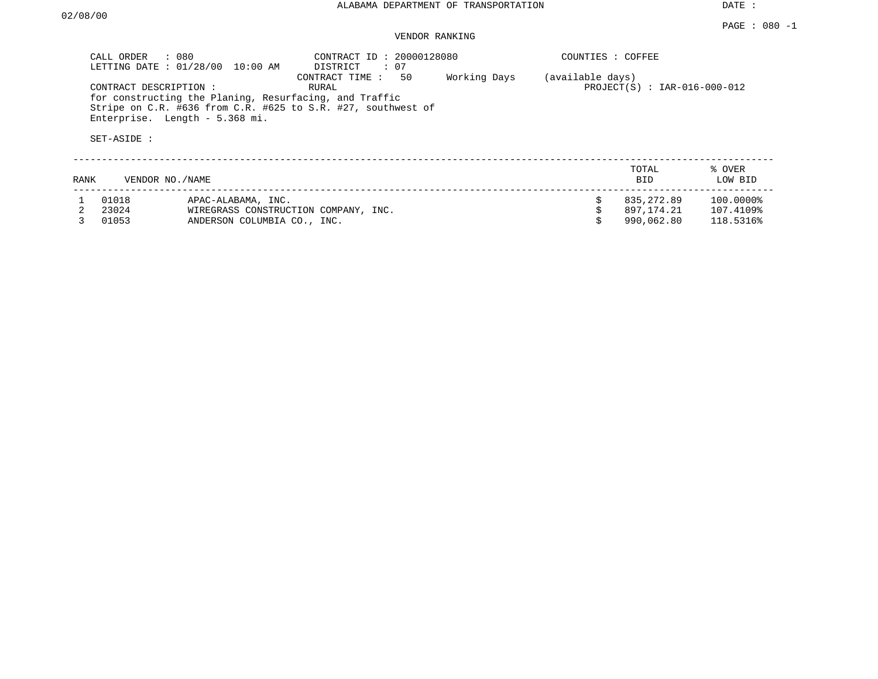| CALL ORDER : 080                      | LETTING DATE : 01/28/00 10:00 AM                                                                                                                         | CONTRACT ID: 20000128080<br>DISTRICT : 07 |              | COUNTIES : COFFEE |                                |                   |
|---------------------------------------|----------------------------------------------------------------------------------------------------------------------------------------------------------|-------------------------------------------|--------------|-------------------|--------------------------------|-------------------|
| CONTRACT DESCRIPTION :<br>SET-ASIDE : | for constructing the Planing, Resurfacing, and Traffic<br>Stripe on C.R. #636 from C.R. #625 to S.R. #27, southwest of<br>Enterprise. Length - 5.368 mi. | 50<br>CONTRACT TIME :<br>RURAL            | Working Days | (available days)  | $PROJECT(S) : IAR-016-000-012$ |                   |
| RANK                                  | VENDOR NO./NAME                                                                                                                                          |                                           |              |                   | TOTAL<br><b>BID</b>            | % OVER<br>LOW BID |
| 01018                                 | APAC-ALABAMA, INC.                                                                                                                                       |                                           |              | Ŝ.                | 835,272.89                     | $100.0000\%$      |

| ----  |                                      | -----------  | --------- |
|-------|--------------------------------------|--------------|-----------|
| 23024 | WIREGRASS CONSTRUCTION COMPANY, INC. | \$897,174.21 | 107.4109% |
| 01053 | ANDERSON COLUMBIA CO., INC.          | 990,062.80   | 118.5316% |
|       |                                      |              |           |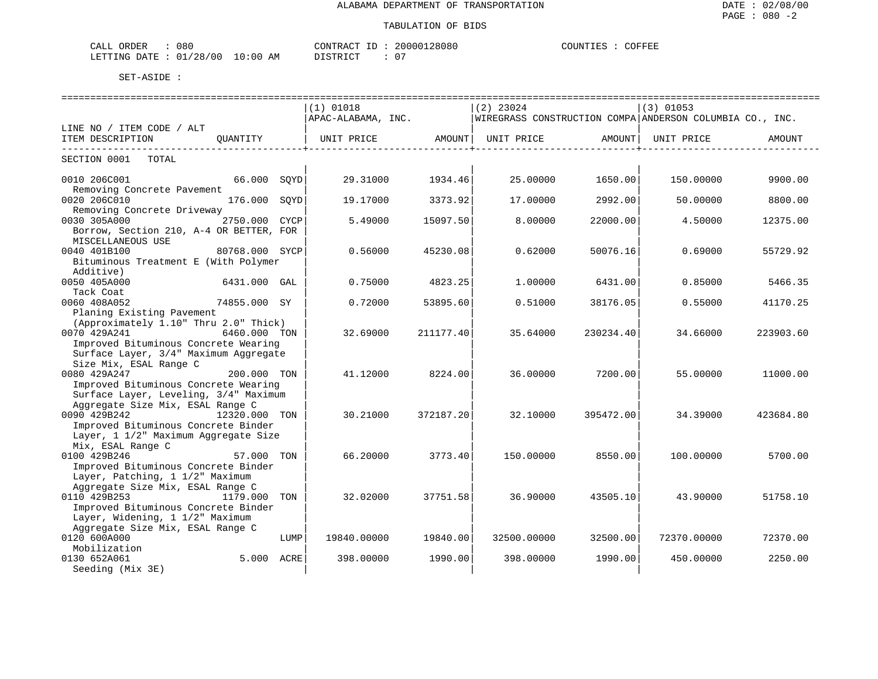| CALL ORDER                      | 080 |          |  | CONTRACT ID: 20000128080 | COUNTIES : C | COFFEE |
|---------------------------------|-----|----------|--|--------------------------|--------------|--------|
| LETTING DATE: 01/28/00 10:00 AM |     | DISTRICT |  | 07                       |              |        |

|                                                                     |               |      | $(1)$ 01018<br>APAC-ALABAMA, INC. |                        | $(2)$ 23024       |                      | $(3)$ 01053<br>WIREGRASS CONSTRUCTION COMPA ANDERSON COLUMBIA CO., INC. |           |
|---------------------------------------------------------------------|---------------|------|-----------------------------------|------------------------|-------------------|----------------------|-------------------------------------------------------------------------|-----------|
| LINE NO / ITEM CODE / ALT                                           |               |      |                                   |                        |                   |                      |                                                                         |           |
| ITEM DESCRIPTION QUANTITY                                           |               |      | UNIT PRICE AMOUNT                 | -----------------+---- | UNIT PRICE AMOUNT | ------------------+- | UNIT PRICE                                                              | AMOUNT    |
| SECTION 0001 TOTAL                                                  |               |      |                                   |                        |                   |                      |                                                                         |           |
| 0010 206C001<br>Removing Concrete Pavement                          | 66.000 SOYD   |      | 29.31000                          | 1934.46                | 25.00000          | 1650.00              | 150.00000                                                               | 9900.00   |
| 0020 206C010                                                        | 176.000 SOYD  |      | 19.17000                          | 3373.92                | 17.00000          | 2992.00              | 50.00000                                                                | 8800.00   |
| Removing Concrete Driveway                                          |               |      |                                   |                        |                   |                      |                                                                         |           |
| 0030 305A000                                                        | 2750.000 CYCP |      | 5.49000                           | 15097.50               | 8,00000           | 22000.00             | 4.50000                                                                 | 12375.00  |
| Borrow, Section 210, A-4 OR BETTER, FOR<br>MISCELLANEOUS USE        |               |      |                                   |                        |                   |                      |                                                                         |           |
| 0040 401B100<br>80768.000 SYCP                                      |               |      | 0.56000                           | 45230.08               | 0.62000           | 50076.16             | 0.69000                                                                 | 55729.92  |
| Bituminous Treatment E (With Polymer<br>Additive)                   |               |      |                                   |                        |                   |                      |                                                                         |           |
| 0050 405A000                                                        | 6431.000 GAL  |      | 0.75000                           | 4823.25                | 1,00000           | 6431.00              | 0.85000                                                                 | 5466.35   |
| Tack Coat                                                           |               |      |                                   |                        |                   |                      |                                                                         |           |
| 0060 408A052<br>74855.000 SY                                        |               |      | 0.72000                           | 53895.60               | 0.51000           | 38176.05             | 0.55000                                                                 | 41170.25  |
| Planing Existing Pavement                                           |               |      |                                   |                        |                   |                      |                                                                         |           |
| (Approximately 1.10" Thru 2.0" Thick)<br>0070 429A241               | 6460.000 TON  |      | 32.69000                          | 211177.40              | 35.64000          | 230234.40            | 34.66000                                                                | 223903.60 |
| Improved Bituminous Concrete Wearing                                |               |      |                                   |                        |                   |                      |                                                                         |           |
| Surface Layer, 3/4" Maximum Aggregate                               |               |      |                                   |                        |                   |                      |                                                                         |           |
| Size Mix, ESAL Range C                                              |               |      |                                   |                        |                   |                      |                                                                         |           |
| 0080 429A247                                                        | 200.000 TON   |      | 41.12000                          | 8224.00                | 36.00000          | 7200.001             | 55.00000                                                                | 11000.00  |
| Improved Bituminous Concrete Wearing                                |               |      |                                   |                        |                   |                      |                                                                         |           |
| Surface Layer, Leveling, 3/4" Maximum                               |               |      |                                   |                        |                   |                      |                                                                         |           |
| Aggregate Size Mix, ESAL Range C                                    |               |      |                                   |                        |                   |                      |                                                                         |           |
| 0090 429B242<br>12320.000 TON                                       |               |      | 30.21000                          | 372187.20              | 32.10000          | 395472.00            | 34.39000                                                                | 423684.80 |
| Improved Bituminous Concrete Binder                                 |               |      |                                   |                        |                   |                      |                                                                         |           |
| Layer, 1 1/2" Maximum Aggregate Size                                |               |      |                                   |                        |                   |                      |                                                                         |           |
| Mix, ESAL Range C                                                   |               |      |                                   |                        |                   |                      |                                                                         |           |
| 57.000 TON<br>0100 429B246                                          |               |      | 66.20000                          | 3773.40                | 150.00000         | 8550.00              | 100.00000                                                               | 5700.00   |
| Improved Bituminous Concrete Binder                                 |               |      |                                   |                        |                   |                      |                                                                         |           |
| Layer, Patching, 1 1/2" Maximum<br>Aggregate Size Mix, ESAL Range C |               |      |                                   |                        |                   |                      |                                                                         |           |
| 0110 429B253                                                        | 1179.000 TON  |      | 32.02000                          | 37751.58               | 36.90000          | 43505.10             | 43.90000                                                                | 51758.10  |
| Improved Bituminous Concrete Binder                                 |               |      |                                   |                        |                   |                      |                                                                         |           |
| Layer, Widening, 1 1/2" Maximum                                     |               |      |                                   |                        |                   |                      |                                                                         |           |
| Aggregate Size Mix, ESAL Range C                                    |               |      |                                   |                        |                   |                      |                                                                         |           |
| 0120 600A000                                                        |               | LUMP | 19840.00000                       | 19840.00               | 32500.00000       | 32500.00             | 72370.00000                                                             | 72370.00  |
| Mobilization                                                        |               |      |                                   |                        |                   |                      |                                                                         |           |
| 0130 652A061                                                        | 5.000 ACRE    |      | 398.00000                         | 1990.00                | 398.00000         | 1990.00              | 450.00000                                                               | 2250.00   |
| Seeding (Mix 3E)                                                    |               |      |                                   |                        |                   |                      |                                                                         |           |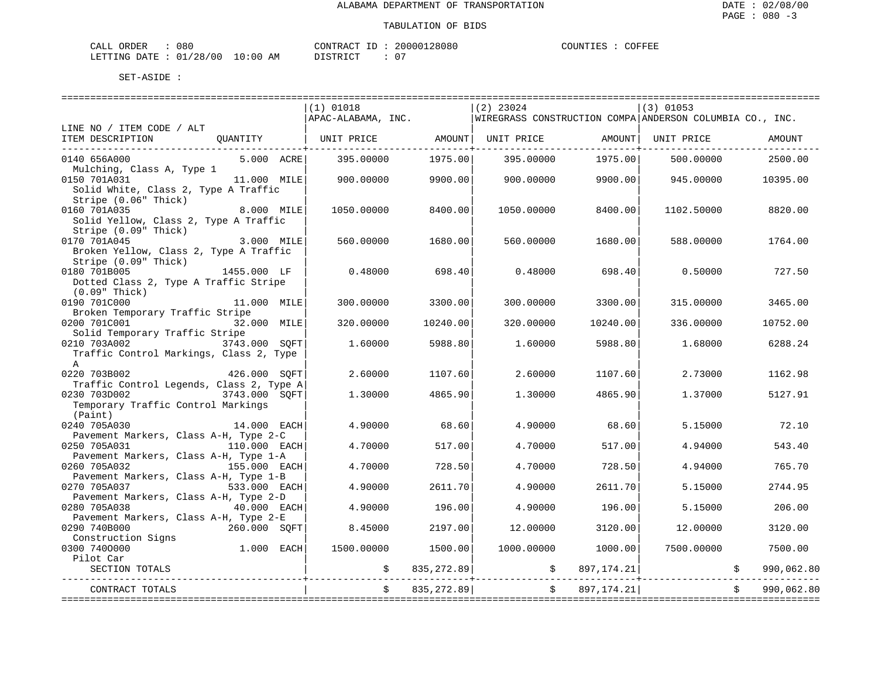| CALL ORDER | 080                              |  |          | CONTRACT ID: 20000128080 |  | COUNTIES | COFFEE |
|------------|----------------------------------|--|----------|--------------------------|--|----------|--------|
|            | LETTING DATE : 01/28/00 10:00 AM |  | DISTRICT | $\sim$ $\sim$            |  |          |        |

|                                                                                             | $(1)$ 01018<br>APAC-ALABAMA, INC. |             | $(2)$ 23024<br>WIREGRASS CONSTRUCTION COMPA ANDERSON COLUMBIA CO., INC. |              | $(3)$ 01053 |            |
|---------------------------------------------------------------------------------------------|-----------------------------------|-------------|-------------------------------------------------------------------------|--------------|-------------|------------|
| LINE NO / ITEM CODE / ALT                                                                   |                                   |             |                                                                         |              |             |            |
| ITEM DESCRIPTION<br>OUANTITY                                                                | UNIT PRICE                        | AMOUNT      | UNIT PRICE                                                              | AMOUNT       | UNIT PRICE  | AMOUNT     |
| 0140 656A000<br>5.000 ACRE<br>Mulching, Class A, Type 1                                     | 395,00000                         | 1975.00     | 395,00000                                                               | 1975.00      | 500.00000   | 2500.00    |
| 0150 701A031<br>11.000 MILE<br>Solid White, Class 2, Type A Traffic                         | 900,00000                         | 9900.00     | 900,00000                                                               | 9900.00      | 945.00000   | 10395.00   |
| Stripe (0.06" Thick)<br>0160 701A035<br>8.000 MILE<br>Solid Yellow, Class 2, Type A Traffic | 1050.00000                        | 8400.00     | 1050.00000                                                              | 8400.00      | 1102.50000  | 8820.00    |
| Stripe (0.09" Thick)<br>0170 701A045<br>3.000 MILE                                          | 560.00000                         | 1680.00     | 560.00000                                                               | 1680.00      | 588.00000   | 1764.00    |
| Broken Yellow, Class 2, Type A Traffic<br>Stripe (0.09" Thick)                              |                                   |             |                                                                         |              |             |            |
| 0180 701B005<br>1455.000 LF<br>Dotted Class 2, Type A Traffic Stripe<br>(0.09" Thick)       | 0.48000                           | 698.40      | 0.48000                                                                 | 698.40       | 0.50000     | 727.50     |
| 0190 701C000<br>11.000 MILE<br>Broken Temporary Traffic Stripe                              | 300.00000                         | 3300.00     | 300.00000                                                               | 3300.00      | 315.00000   | 3465.00    |
| 0200 701C001<br>32.000 MILE<br>Solid Temporary Traffic Stripe                               | 320.00000                         | 10240.00    | 320.00000                                                               | 10240.00     | 336.00000   | 10752.00   |
| 0210 703A002<br>3743.000 SOFT<br>Traffic Control Markings, Class 2, Type<br>$\mathbb{A}$    | 1.60000                           | 5988.80     | 1,60000                                                                 | 5988.80      | 1.68000     | 6288.24    |
| 0220 703B002<br>426.000 SOFT<br>Traffic Control Legends, Class 2, Type A                    | 2.60000                           | 1107.60     | 2.60000                                                                 | 1107.60      | 2.73000     | 1162.98    |
| 0230 703D002<br>3743.000 SOFT<br>Temporary Traffic Control Markings<br>(Paint)              | 1.30000                           | 4865.90     | 1.30000                                                                 | 4865.90      | 1.37000     | 5127.91    |
| 0240 705A030<br>14.000 EACH<br>Pavement Markers, Class A-H, Type 2-C                        | 4.90000                           | 68.60       | 4.90000                                                                 | 68.60        | 5.15000     | 72.10      |
| 0250 705A031<br>110.000 EACH<br>Pavement Markers, Class A-H, Type 1-A                       | 4.70000                           | 517.00      | 4.70000                                                                 | 517.00       | 4.94000     | 543.40     |
| 0260 705A032<br>155.000 EACH<br>Pavement Markers, Class A-H, Type 1-B                       | 4.70000                           | 728.50      | 4.70000                                                                 | 728.50       | 4.94000     | 765.70     |
| 0270 705A037<br>533.000 EACH<br>Pavement Markers, Class A-H, Type 2-D                       | 4.90000                           | 2611.70     | 4.90000                                                                 | 2611.70      | 5.15000     | 2744.95    |
| 0280 705A038<br>40.000 EACH<br>Pavement Markers, Class A-H, Type 2-E                        | 4.90000                           | 196.00      | 4.90000                                                                 | 196.00       | 5.15000     | 206.00     |
| 0290 740B000<br>260.000 SOFT<br>Construction Signs                                          | 8.45000                           | 2197.00     | 12.00000                                                                | 3120.00      | 12.00000    | 3120.00    |
| $1.000$ EACH<br>0300 7400000<br>Pilot Car                                                   | 1500.00000                        | 1500.00     | 1000.00000                                                              | 1000.00      | 7500.00000  | 7500.00    |
| SECTION TOTALS                                                                              | \$                                | 835, 272.89 | $\mathsf{S}$                                                            | 897, 174.21  |             | 990,062.80 |
| CONTRACT TOTALS                                                                             |                                   | 835, 272.89 |                                                                         | 897, 174. 21 |             | 990,062.80 |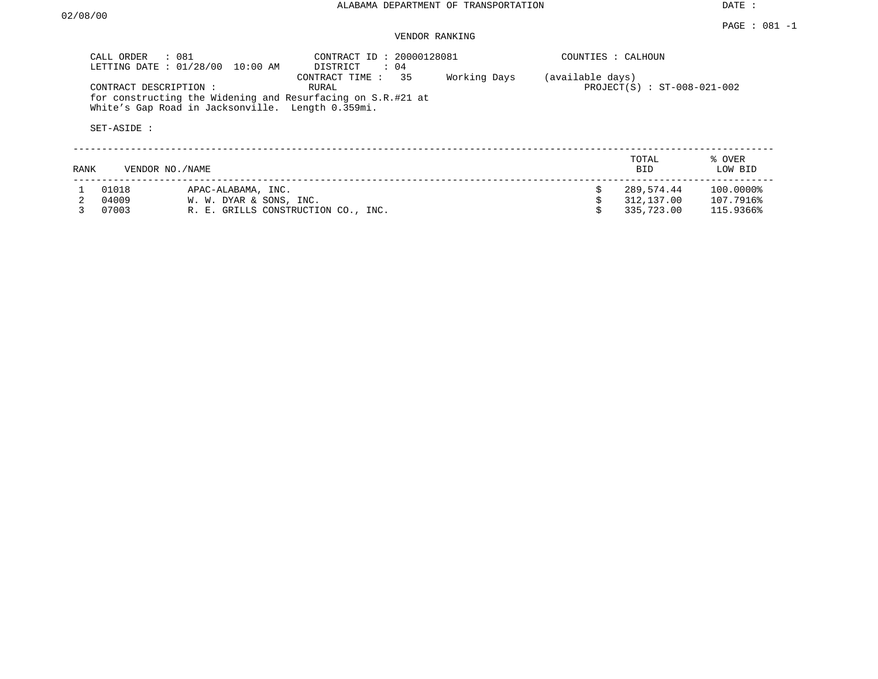|      | CALL ORDER<br>: 081                  | LETTING DATE : 01/28/00 10:00 AM                  | CONTRACT ID: 20000128081<br>$\colon$ 04<br>DISTRICT                                        |              | COUNTIES : CALHOUN |                               |                   |
|------|--------------------------------------|---------------------------------------------------|--------------------------------------------------------------------------------------------|--------------|--------------------|-------------------------------|-------------------|
|      | CONTRACT DESCRIPTION:<br>SET-ASIDE : | White's Gap Road in Jacksonville. Length 0.359mi. | CONTRACT TIME : 35<br>RURAL<br>for constructing the Widening and Resurfacing on S.R.#21 at | Working Days | (available days)   | $PROJECT(S) : ST-008-021-002$ |                   |
| RANK | VENDOR NO./NAME                      |                                                   |                                                                                            |              |                    | TOTAL<br><b>BID</b>           | % OVER<br>LOW BID |
|      | 01018                                | APAC-ALABAMA, INC.                                |                                                                                            |              |                    | 289,574.44                    | 100.0000%         |
|      | 04009                                | W. W. DYAR & SONS, INC.                           |                                                                                            |              |                    | 312,137.00                    | 107.7916%         |
|      | 07003                                | R. E. GRILLS CONSTRUCTION CO., INC.               |                                                                                            |              |                    | 335,723.00                    | 115.9366%         |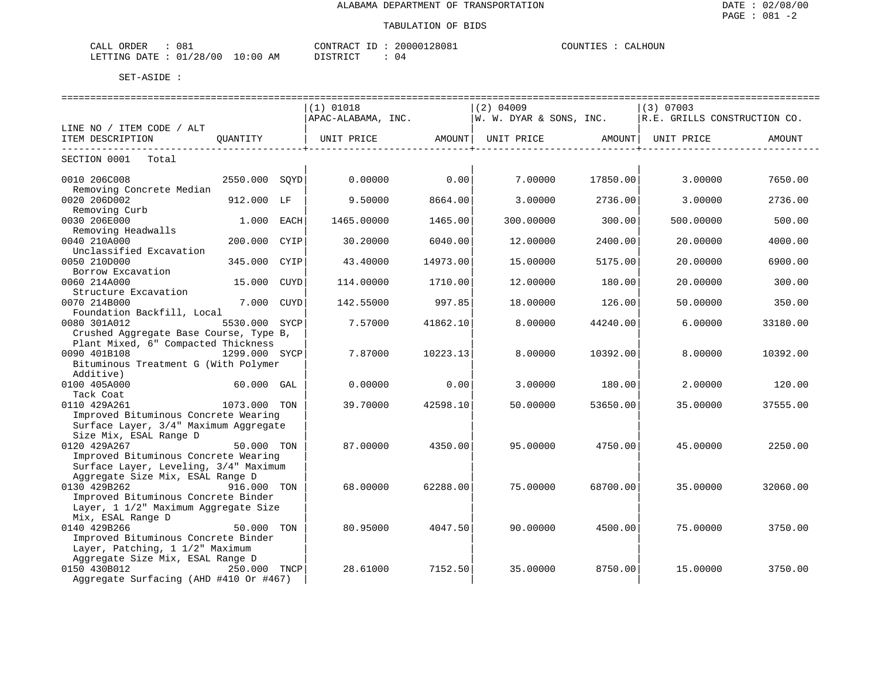#### TABULATION OF BIDS

| CALL ORDER                      | 081 | CONTRACT ID : | 20000128081 | COUNTIES : 0 | CALHOUN |
|---------------------------------|-----|---------------|-------------|--------------|---------|
| LETTING DATE: 01/28/00 10:00 AM |     | DISTRICT      | 04          |              |         |

|                                        |      | $(1)$ 01018        |          | $(2)$ 04009                                                                        |          | (3) 07003                    |          |
|----------------------------------------|------|--------------------|----------|------------------------------------------------------------------------------------|----------|------------------------------|----------|
|                                        |      | APAC-ALABAMA, INC. |          | W. W. DYAR & SONS, INC.                                                            |          | R.E. GRILLS CONSTRUCTION CO. |          |
| LINE NO / ITEM CODE / ALT              |      |                    |          |                                                                                    |          |                              |          |
| ITEM DESCRIPTION<br>OUANTITY           |      |                    |          | UNIT PRICE                AMOUNT    UNIT PRICE                AMOUNT    UNIT PRICE |          |                              | AMOUNT   |
|                                        |      |                    |          |                                                                                    |          |                              |          |
| SECTION 0001<br>Total                  |      |                    |          |                                                                                    |          |                              |          |
|                                        |      |                    |          |                                                                                    |          |                              |          |
| 0010 206C008<br>2550.000 SOYD          |      | 0.00000            | 0.00     | 7.00000                                                                            | 17850.00 | 3.00000                      | 7650.00  |
| Removing Concrete Median               |      |                    |          |                                                                                    |          |                              |          |
| 0020 206D002<br>912.000 LF             |      | 9.50000            | 8664.00  | 3.00000                                                                            | 2736.00  | 3,00000                      | 2736.00  |
| Removing Curb                          |      |                    |          |                                                                                    |          |                              |          |
| 0030 206E000<br>$1.000$ EACH           |      | 1465.00000         | 1465.00  | 300.00000                                                                          | 300.00   | 500.00000                    | 500.00   |
| Removing Headwalls                     |      |                    |          |                                                                                    |          |                              |          |
| 0040 210A000<br>200.000                | CYIP | 30.20000           | 6040.00  | 12.00000                                                                           | 2400.00  | 20.00000                     | 4000.00  |
| Unclassified Excavation                |      |                    |          |                                                                                    |          |                              |          |
| 0050 210D000<br>345.000                | CYIP | 43.40000           | 14973.00 | 15.00000                                                                           | 5175.00  | 20.00000                     | 6900.00  |
| Borrow Excavation                      |      |                    |          |                                                                                    |          |                              |          |
| 0060 214A000<br>15.000                 | CUYD | 114.00000          | 1710.00  | 12.00000                                                                           | 180.00   | 20.00000                     | 300.00   |
| Structure Excavation                   |      |                    |          |                                                                                    |          |                              |          |
| 0070 214B000<br>7.000                  | CUYD | 142.55000          | 997.85   | 18.00000                                                                           | 126.00   | 50.00000                     | 350.00   |
| Foundation Backfill, Local             |      |                    |          |                                                                                    |          |                              |          |
| 0080 301A012<br>5530.000 SYCP          |      | 7.57000            | 41862.10 | 8,00000                                                                            | 44240.00 | 6.00000                      | 33180.00 |
| Crushed Aggregate Base Course, Type B, |      |                    |          |                                                                                    |          |                              |          |
| Plant Mixed, 6" Compacted Thickness    |      |                    |          |                                                                                    |          |                              |          |
| 0090 401B108<br>1299.000 SYCP          |      | 7.87000            | 10223.13 | 8,00000                                                                            | 10392.00 | 8,00000                      | 10392.00 |
| Bituminous Treatment G (With Polymer   |      |                    |          |                                                                                    |          |                              |          |
| Additive)                              |      |                    |          |                                                                                    |          |                              |          |
| 0100 405A000<br>60.000 GAL             |      | 0.00000            | 0.00     | 3.00000                                                                            | 180.00   | 2.00000                      | 120.00   |
| Tack Coat                              |      |                    |          |                                                                                    |          |                              |          |
| 0110 429A261<br>1073.000 TON           |      | 39.70000           | 42598.10 | 50.00000                                                                           | 53650.00 | 35.00000                     | 37555.00 |
| Improved Bituminous Concrete Wearing   |      |                    |          |                                                                                    |          |                              |          |
| Surface Layer, 3/4" Maximum Aggregate  |      |                    |          |                                                                                    |          |                              |          |
| Size Mix, ESAL Range D                 |      |                    |          |                                                                                    |          |                              |          |
| 0120 429A267<br>50.000 TON             |      | 87.00000           | 4350.00  | 95,00000                                                                           | 4750.00  | 45.00000                     | 2250.00  |
| Improved Bituminous Concrete Wearing   |      |                    |          |                                                                                    |          |                              |          |
| Surface Layer, Leveling, 3/4" Maximum  |      |                    |          |                                                                                    |          |                              |          |
| Aggregate Size Mix, ESAL Range D       |      |                    |          |                                                                                    |          |                              |          |
| 0130 429B262<br>916.000 TON            |      | 68,00000           | 62288.00 | 75.00000                                                                           | 68700.00 | 35.00000                     | 32060.00 |
| Improved Bituminous Concrete Binder    |      |                    |          |                                                                                    |          |                              |          |
| Layer, 1 1/2" Maximum Aggregate Size   |      |                    |          |                                                                                    |          |                              |          |
| Mix, ESAL Range D                      |      |                    |          |                                                                                    |          |                              |          |
| 0140 429B266<br>50.000 TON             |      | 80.95000           | 4047.50  | 90.00000                                                                           | 4500.00  | 75.00000                     | 3750.00  |
| Improved Bituminous Concrete Binder    |      |                    |          |                                                                                    |          |                              |          |
| Layer, Patching, 1 1/2" Maximum        |      |                    |          |                                                                                    |          |                              |          |
| Aggregate Size Mix, ESAL Range D       |      |                    |          |                                                                                    |          |                              |          |
| 0150 430B012<br>250.000 TNCP           |      | 28.61000           | 7152.50  | 35.00000                                                                           | 8750.00  | 15,00000                     | 3750.00  |
| Aggregate Surfacing (AHD #410 Or #467) |      |                    |          |                                                                                    |          |                              |          |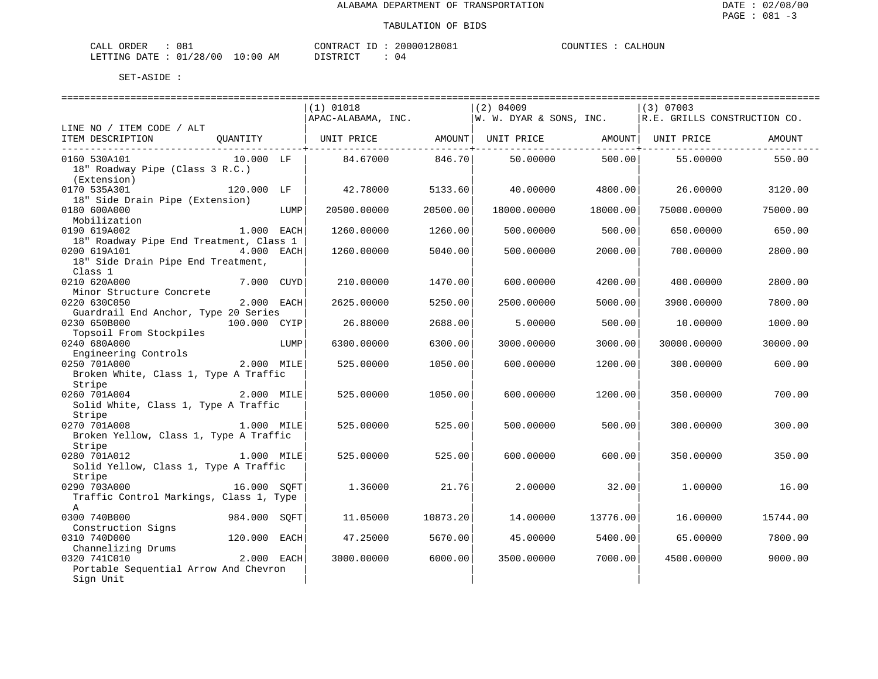| ORDER<br>CALI | $\sim$<br>Uŏ. |               | CONTRACT<br>TГ | 128081<br>200001 | <b>COUNTIES</b><br>.IES | LHOUN<br>'Δι |
|---------------|---------------|---------------|----------------|------------------|-------------------------|--------------|
| LETTING DATE  | : 01/28/00    | LO : 00<br>ΆM | דת לידי את ה   | <u>າ 4</u>       |                         |              |

|                                                                                |                    |      | $(1)$ 01018                                                                          |          | $(2)$ 04009              |          | (3) 07003   |          |
|--------------------------------------------------------------------------------|--------------------|------|--------------------------------------------------------------------------------------|----------|--------------------------|----------|-------------|----------|
|                                                                                |                    |      | $ $ APAC-ALABAMA, INC. $ w. w. v$ In $\&$ SONS, INC. $ R.E.$ GRILLS CONSTRUCTION CO. |          |                          |          |             |          |
| LINE NO / ITEM CODE / ALT                                                      |                    |      |                                                                                      |          |                          |          |             |          |
| ITEM DESCRIPTION QUANTITY   UNIT PRICE AMOUNT   UNIT PRICE AMOUNT   UNIT PRICE |                    |      |                                                                                      |          |                          |          |             | AMOUNT   |
|                                                                                |                    |      |                                                                                      |          | ------------+----------- |          |             |          |
| 0160 530A101                                                                   | $10.000$ LF        |      | 84.67000 846.70                                                                      |          | 50.00000                 | 500.00   | 55.00000    | 550.00   |
| 18" Roadway Pipe (Class 3 R.C.)                                                |                    |      |                                                                                      |          |                          |          |             |          |
| (Extension)                                                                    |                    |      |                                                                                      |          |                          |          |             |          |
| 0170 535A301                                                                   | 120.000 LF         |      | 42.78000                                                                             | 5133.60  | 40.00000                 | 4800.00  | 26.00000    | 3120.00  |
| 18" Side Drain Pipe (Extension)                                                |                    |      |                                                                                      |          |                          |          |             |          |
| 0180 600A000                                                                   |                    |      | 20500.00000                                                                          | 20500.00 | 18000.00000              | 18000.00 | 75000.00000 | 75000.00 |
|                                                                                |                    | LUMP |                                                                                      |          |                          |          |             |          |
| Mobilization                                                                   |                    |      |                                                                                      |          |                          |          |             |          |
| 0190 619A002                                                                   | 1.000 EACH         |      | 1260.00000                                                                           | 1260.00  | 500.00000                | 500.00   | 650.00000   | 650.00   |
| 18" Roadway Pipe End Treatment, Class 1                                        |                    |      |                                                                                      |          |                          |          |             |          |
| 4.000 EACH<br>0200 619A101                                                     |                    |      | 1260.00000                                                                           | 5040.00  | 500.00000                | 2000.00  | 700.00000   | 2800.00  |
| 18" Side Drain Pipe End Treatment,                                             |                    |      |                                                                                      |          |                          |          |             |          |
| Class 1                                                                        |                    |      |                                                                                      |          |                          |          |             |          |
| 0210 620A000                                                                   | 7.000 CUYD         |      | 210.00000                                                                            | 1470.00  | 600.00000                | 4200.00  | 400.00000   | 2800.00  |
| Minor Structure Concrete                                                       |                    |      |                                                                                      |          |                          |          |             |          |
| 0220 630C050                                                                   | 2.000 EACH         |      | 2625.00000                                                                           | 5250.00  | 2500.00000               | 5000.00  | 3900.00000  | 7800.00  |
| Guardrail End Anchor, Type 20 Series                                           |                    |      |                                                                                      |          |                          |          |             |          |
| 0230 650B000                                                                   | 100.000 CYIP       |      | 26.88000                                                                             | 2688.00  | 5.00000                  | 500.00   | 10.00000    | 1000.00  |
| Topsoil From Stockpiles                                                        |                    |      |                                                                                      |          |                          |          |             |          |
| 0240 680A000                                                                   |                    | LUMP | 6300.00000                                                                           | 6300.00  | 3000.00000               | 3000.00  | 30000.00000 | 30000.00 |
| Engineering Controls                                                           |                    |      |                                                                                      |          |                          |          |             |          |
| 0250 701A000                                                                   | ----<br>2.000 MILE |      | 525.00000                                                                            | 1050.00  | 600.00000                | 1200.00  | 300.00000   | 600.00   |
| Broken White, Class 1, Type A Traffic                                          |                    |      |                                                                                      |          |                          |          |             |          |
|                                                                                |                    |      |                                                                                      |          |                          |          |             |          |
| Stripe                                                                         |                    |      |                                                                                      |          |                          |          |             |          |
| 2.000 MILE<br>0260 701A004                                                     |                    |      | 525.00000                                                                            | 1050.00  | 600.00000                | 1200.00  | 350.00000   | 700.00   |
| Solid White, Class 1, Type A Traffic                                           |                    |      |                                                                                      |          |                          |          |             |          |
| Stripe                                                                         |                    |      |                                                                                      |          |                          |          |             |          |
| 1.000 MILE<br>0270 701A008                                                     |                    |      | 525.00000                                                                            | 525.00   | 500.00000                | 500.00   | 300.00000   | 300.00   |
| Broken Yellow, Class 1, Type A Traffic                                         |                    |      |                                                                                      |          |                          |          |             |          |
| Stripe                                                                         |                    |      |                                                                                      |          |                          |          |             |          |
| 0280 701A012                                                                   | 1.000 MILE         |      | 525.00000                                                                            | 525.00   | 600.00000                | 600.00   | 350.00000   | 350.00   |
| Solid Yellow, Class 1, Type A Traffic                                          |                    |      |                                                                                      |          |                          |          |             |          |
| Stripe                                                                         |                    |      |                                                                                      |          |                          |          |             |          |
| 0290 703A000                                                                   | 16.000 SQFT        |      | 1.36000                                                                              | 21.76    | 2,00000                  | 32.00    | 1,00000     | 16.00    |
| Traffic Control Markings, Class 1, Type                                        |                    |      |                                                                                      |          |                          |          |             |          |
| $\mathbb{A}$                                                                   |                    |      |                                                                                      |          |                          |          |             |          |
| 0300 740B000                                                                   | 984.000 SOFT       |      | 11.05000                                                                             | 10873.20 | 14.00000                 | 13776.00 | 16.00000    | 15744.00 |
| Construction Signs                                                             |                    |      |                                                                                      |          |                          |          |             |          |
| 0310 740D000                                                                   | 120.000 EACH       |      | 47.25000                                                                             | 5670.00  | 45.00000                 | 5400.00  | 65.00000    | 7800.00  |
| Channelizing Drums                                                             |                    |      |                                                                                      |          |                          |          |             |          |
| 0320 741C010                                                                   | 2.000 EACH         |      | 3000.00000                                                                           | 6000.00  | 3500.00000               | 7000.00  | 4500.00000  | 9000.00  |
|                                                                                |                    |      |                                                                                      |          |                          |          |             |          |
| Portable Sequential Arrow And Chevron                                          |                    |      |                                                                                      |          |                          |          |             |          |
| Sign Unit                                                                      |                    |      |                                                                                      |          |                          |          |             |          |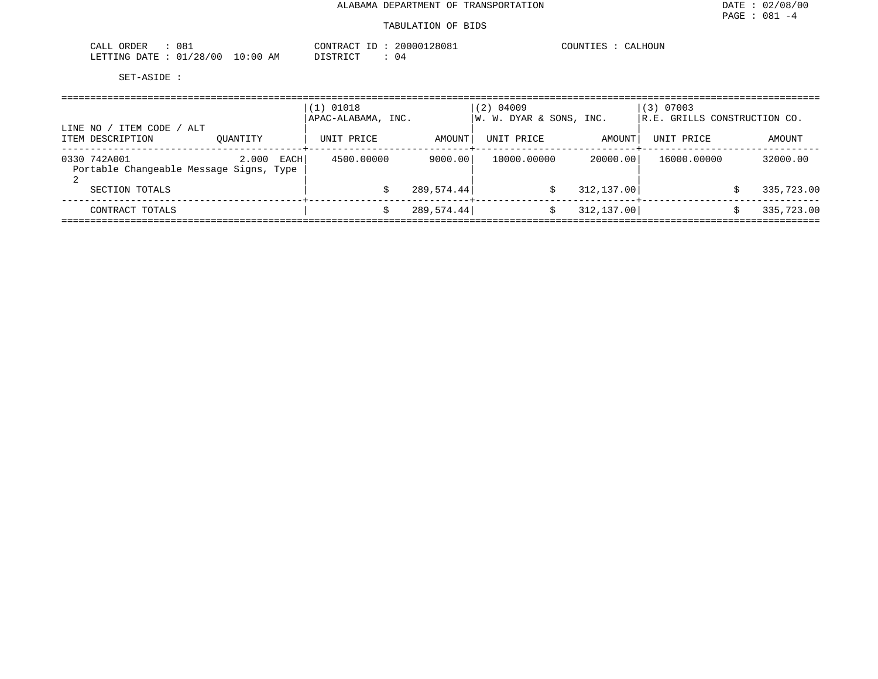| <u>` ה</u><br>ORDER<br>00 T<br>للتنعب  |               | ז בי קו                | 128081<br>200001 | COUNT<br>''∆ I.⊨ |
|----------------------------------------|---------------|------------------------|------------------|------------------|
| 100<br>/00<br>ETTING DATE<br>-48<br>ັັ | LO : 00<br>AM | ידים דרי היים דרי<br>. | U 4              |                  |

| ITEM CODE<br>LINE NO<br>ITEM DESCRIPTION                                  | ALT<br>OUANTITY | $(1)$ 01018<br>APAC-ALABAMA, INC.<br>UNIT PRICE | AMOUNT                | (2) 04009<br>W. W. DYAR & SONS, INC.<br>UNIT PRICE | AMOUNT                  | $(3)$ 07003<br>R.E. GRILLS CONSTRUCTION CO.<br>UNIT PRICE | AMOUNT                 |
|---------------------------------------------------------------------------|-----------------|-------------------------------------------------|-----------------------|----------------------------------------------------|-------------------------|-----------------------------------------------------------|------------------------|
| 0330 742A001<br>Portable Changeable Message Signs, Type<br>SECTION TOTALS | EACH<br>2.000   | 4500.00000                                      | 9000.00<br>289,574.44 | 10000.00000                                        | 20000.00<br>312, 137.00 | 16000.00000                                               | 32000.00<br>335,723.00 |
|                                                                           |                 |                                                 |                       |                                                    | S                       |                                                           |                        |
| CONTRACT TOTALS                                                           |                 |                                                 | 289,574.44            |                                                    | 312, 137.00             |                                                           | 335,723.00             |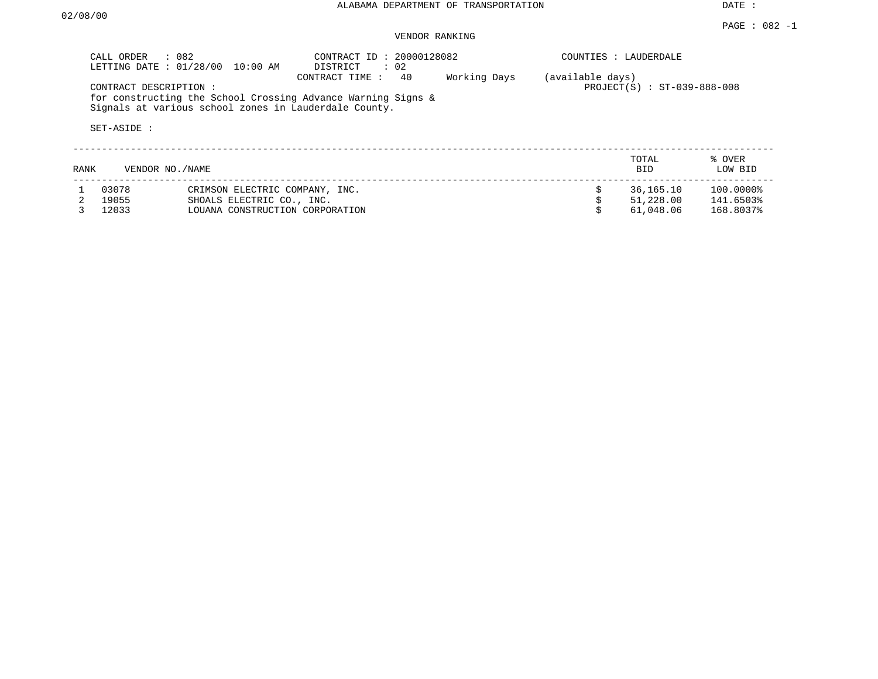|             | CALL ORDER<br>LETTING DATE: 01/28/00 | : 082<br>10:00 AM                                     | CONTRACT ID: 20000128082<br>$\therefore$ 02<br>DISTRICT                              |              | COUNTIES : LAUDERDALE |                               |                   |
|-------------|--------------------------------------|-------------------------------------------------------|--------------------------------------------------------------------------------------|--------------|-----------------------|-------------------------------|-------------------|
|             | CONTRACT DESCRIPTION:<br>SET-ASIDE : | Signals at various school zones in Lauderdale County. | 40<br>CONTRACT TIME:<br>for constructing the School Crossing Advance Warning Signs & | Working Days | (available days)      | $PROJECT(S) : ST-039-888-008$ |                   |
| <b>RANK</b> | VENDOR NO./NAME                      |                                                       |                                                                                      |              |                       | TOTAL<br><b>BID</b>           | % OVER<br>LOW BID |
|             | 03078                                | CRIMSON ELECTRIC COMPANY, INC.                        |                                                                                      |              |                       | 36,165.10                     | 100.0000%         |
|             | 19055                                | SHOALS ELECTRIC CO., INC.                             |                                                                                      |              |                       | 51,228.00                     | 141.6503%         |
|             | 12033                                | LOUANA CONSTRUCTION CORPORATION                       |                                                                                      |              |                       | 61,048.06                     | 168.8037%         |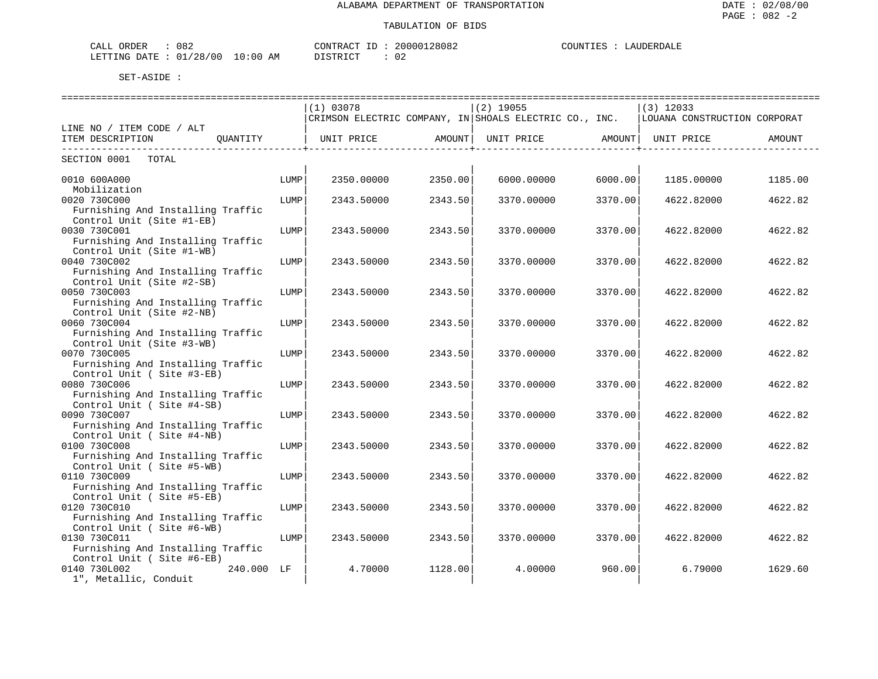| CALL ORDER : 082 |                                 | CONTRACT ID: 20000128082 | COUNTIES : LAUDERDALE |
|------------------|---------------------------------|--------------------------|-----------------------|
|                  | LETTING DATE: 01/28/00 10:00 AM | DISTRICT : 02            |                       |

|                                   |      | (1) 03078          |                           | $(2)$ 19055                                                              |         | $(3)$ 12033                  |         |
|-----------------------------------|------|--------------------|---------------------------|--------------------------------------------------------------------------|---------|------------------------------|---------|
|                                   |      |                    |                           | $ {\tt CRIMSON}$ ELECTRIC COMPANY, IN $ {\tt ShOALS}$ ELECTRIC CO., INC. |         | LOUANA CONSTRUCTION CORPORAT |         |
| LINE NO / ITEM CODE / ALT         |      |                    |                           |                                                                          |         |                              |         |
| OUANTITY<br>ITEM DESCRIPTION      |      | UNIT PRICE         | AMOUNT                    | UNIT PRICE                                                               | AMOUNT  | UNIT PRICE                   | AMOUNT  |
| -------------------------         |      | ----------+------- | ------------------+------ | ------------------+--                                                    |         |                              |         |
| SECTION 0001<br>TOTAL             |      |                    |                           |                                                                          |         |                              |         |
|                                   |      |                    |                           |                                                                          |         |                              |         |
| 0010 600A000                      | LUMP | 2350.00000         | 2350.00                   | 6000.00000                                                               | 6000.00 | 1185.00000                   | 1185.00 |
| Mobilization                      |      |                    |                           |                                                                          |         |                              |         |
| 0020 730C000                      | LUMP | 2343.50000         | 2343.50                   | 3370.00000                                                               | 3370.00 | 4622.82000                   | 4622.82 |
| Furnishing And Installing Traffic |      |                    |                           |                                                                          |         |                              |         |
| Control Unit (Site #1-EB)         |      |                    |                           |                                                                          |         |                              |         |
| 0030 730C001                      | LUMP | 2343.50000         | 2343.50                   | 3370.00000                                                               | 3370.00 | 4622.82000                   | 4622.82 |
| Furnishing And Installing Traffic |      |                    |                           |                                                                          |         |                              |         |
| Control Unit (Site #1-WB)         |      |                    |                           |                                                                          |         |                              |         |
| 0040 730C002                      | LUMP | 2343.50000         | 2343.50                   | 3370.00000                                                               | 3370.00 | 4622.82000                   | 4622.82 |
| Furnishing And Installing Traffic |      |                    |                           |                                                                          |         |                              |         |
| Control Unit (Site #2-SB)         |      |                    |                           |                                                                          |         |                              |         |
| 0050 730C003                      | LUMP | 2343.50000         | 2343.50                   | 3370.00000                                                               | 3370.00 | 4622.82000                   | 4622.82 |
| Furnishing And Installing Traffic |      |                    |                           |                                                                          |         |                              |         |
| Control Unit (Site #2-NB)         |      |                    |                           |                                                                          |         |                              |         |
| 0060 730C004                      | LUMP | 2343.50000         | 2343.50                   | 3370.00000                                                               | 3370.00 | 4622.82000                   | 4622.82 |
| Furnishing And Installing Traffic |      |                    |                           |                                                                          |         |                              |         |
| Control Unit (Site #3-WB)         |      |                    |                           |                                                                          |         |                              |         |
| 0070 730C005                      | LUMP | 2343.50000         | 2343.50                   | 3370.00000                                                               | 3370.00 | 4622.82000                   | 4622.82 |
| Furnishing And Installing Traffic |      |                    |                           |                                                                          |         |                              |         |
| Control Unit (Site #3-EB)         |      |                    |                           |                                                                          |         |                              |         |
| 0080 730C006                      | LUMP | 2343.50000         | 2343.50                   | 3370.00000                                                               | 3370.00 | 4622.82000                   | 4622.82 |
| Furnishing And Installing Traffic |      |                    |                           |                                                                          |         |                              |         |
| Control Unit (Site #4-SB)         |      |                    |                           |                                                                          |         |                              |         |
| 0090 730C007                      | LUMP | 2343.50000         | 2343.50                   | 3370.00000                                                               | 3370.00 | 4622.82000                   | 4622.82 |
| Furnishing And Installing Traffic |      |                    |                           |                                                                          |         |                              |         |
| Control Unit ( Site #4-NB)        |      |                    |                           |                                                                          |         |                              |         |
| 0100 730C008                      | LUMP | 2343.50000         | 2343.50                   | 3370.00000                                                               | 3370.00 | 4622.82000                   | 4622.82 |
| Furnishing And Installing Traffic |      |                    |                           |                                                                          |         |                              |         |
| Control Unit (Site #5-WB)         |      |                    |                           |                                                                          |         |                              |         |
| 0110 730C009                      | LUMP | 2343.50000         | 2343.50                   | 3370.00000                                                               | 3370.00 | 4622.82000                   | 4622.82 |
| Furnishing And Installing Traffic |      |                    |                           |                                                                          |         |                              |         |
| Control Unit ( Site #5-EB)        |      |                    |                           |                                                                          |         |                              |         |
| 0120 730C010                      | LUMP | 2343.50000         | 2343.50                   | 3370.00000                                                               | 3370.00 | 4622.82000                   | 4622.82 |
| Furnishing And Installing Traffic |      |                    |                           |                                                                          |         |                              |         |
| Control Unit (Site #6-WB)         |      |                    |                           |                                                                          |         |                              |         |
| 0130 730C011                      | LUMP | 2343.50000         | 2343.50                   | 3370.00000                                                               | 3370.00 | 4622.82000                   | 4622.82 |
| Furnishing And Installing Traffic |      |                    |                           |                                                                          |         |                              |         |
| Control Unit (Site #6-EB)         |      |                    |                           |                                                                          |         |                              |         |
| 0140 730L002<br>240.000 LF        |      | 4.70000            | 1128.00                   | 4.00000                                                                  | 960.00  | 6.79000                      | 1629.60 |
| 1", Metallic, Conduit             |      |                    |                           |                                                                          |         |                              |         |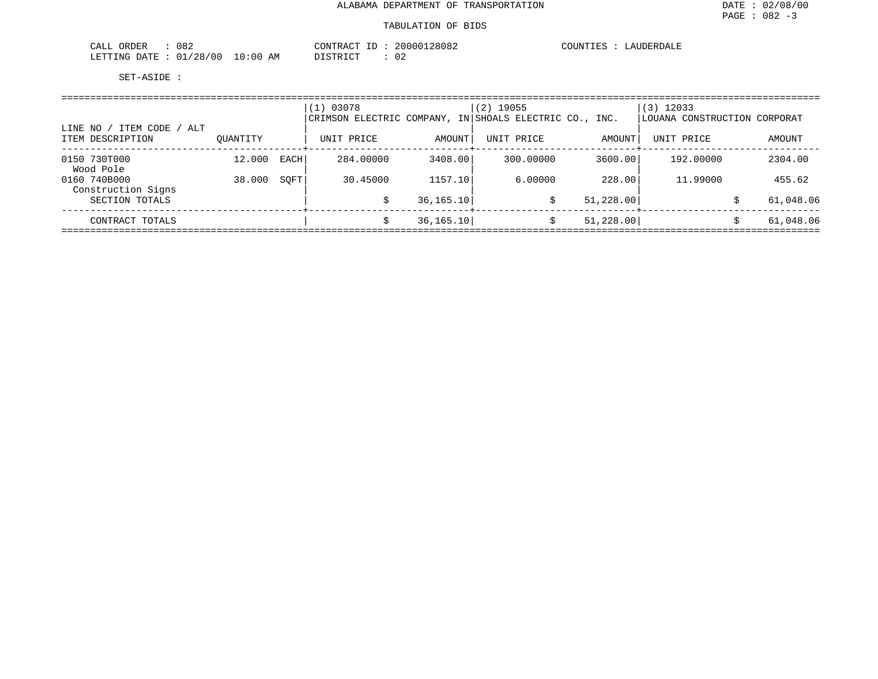| 082<br>ORDER<br>CALL                             | CONTRAC         | ___ | .28082<br>200001 | COUNTIES | . דחידת<br>$\overline{A}$ |
|--------------------------------------------------|-----------------|-----|------------------|----------|---------------------------|
| /28/00<br>LETTING<br><b>DATE</b><br>$\mathbf{v}$ | . n : n c<br>AM |     | $\cap$<br>∪∠     |          |                           |

| ITEM CODE / ALT<br>LINE NO<br>ITEM DESCRIPTION | OUANTITY         |              | (1) 03078<br>CRIMSON ELECTRIC COMPANY, IN SHOALS ELECTRIC CO., INC.<br>UNIT PRICE | AMOUNT             | 19055<br>(2)<br>UNIT PRICE | AMOUNT            | $(3)$ 12033<br>LOUANA CONSTRUCTION CORPORAT<br>UNIT PRICE | AMOUNT            |
|------------------------------------------------|------------------|--------------|-----------------------------------------------------------------------------------|--------------------|----------------------------|-------------------|-----------------------------------------------------------|-------------------|
|                                                |                  |              |                                                                                   |                    |                            |                   |                                                           |                   |
| 0150 730T000<br>Wood Pole<br>0160 740B000      | 12.000<br>38.000 | EACH<br>SOFT | 284.00000<br>30.45000                                                             | 3408.00<br>1157.10 | 300.00000<br>6,00000       | 3600.00<br>228.00 | 192.00000<br>11,99000                                     | 2304.00<br>455.62 |
| Construction Signs<br>SECTION TOTALS           |                  |              |                                                                                   | 36, 165.10         | \$                         | 51, 228.00        |                                                           | 61,048.06         |
| CONTRACT TOTALS                                |                  |              |                                                                                   | 36, 165.10         |                            | 51, 228.00        |                                                           | 61,048.06         |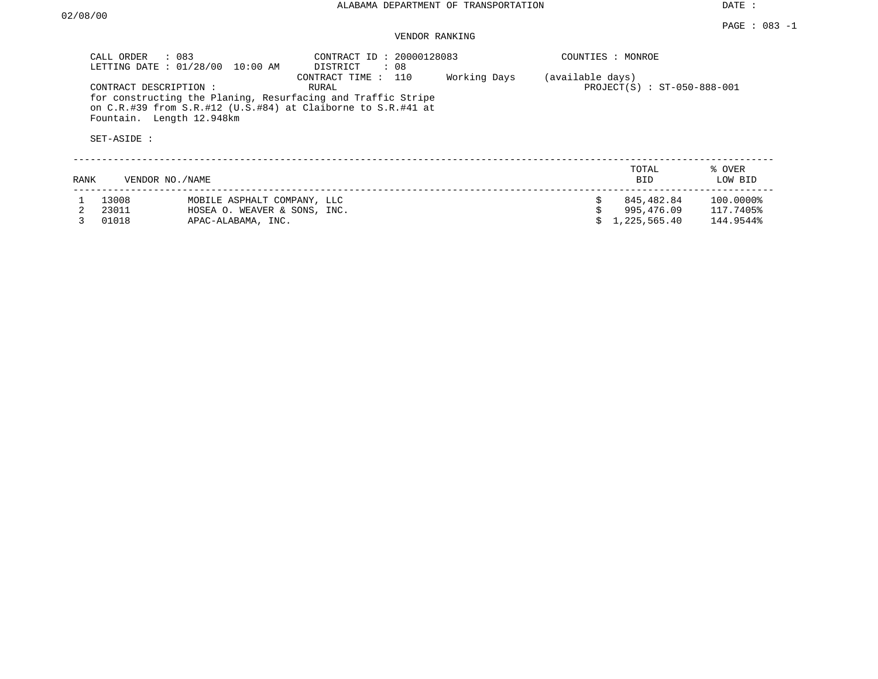|      | CALL ORDER<br>LETTING DATE: 01/28/00                              | $\therefore$ 083<br>10:00 AM | CONTRACT ID: 20000128083<br>DISTRICT<br>: 08                                                                                                                 |              |                  | COUNTIES : MONROE             |                   |
|------|-------------------------------------------------------------------|------------------------------|--------------------------------------------------------------------------------------------------------------------------------------------------------------|--------------|------------------|-------------------------------|-------------------|
|      | CONTRACT DESCRIPTION:<br>Fountain. Length 12.948km<br>SET-ASIDE : |                              | CONTRACT TIME : 110<br>RURAL<br>for constructing the Planing, Resurfacing and Traffic Stripe<br>on C.R.#39 from S.R.#12 (U.S.#84) at Claiborne to S.R.#41 at | Working Days | (available days) | $PROJECT(S) : ST-050-888-001$ |                   |
| RANK | VENDOR NO./NAME                                                   |                              |                                                                                                                                                              |              |                  | TOTAL<br>BID                  | % OVER<br>LOW BID |
|      | 13008                                                             | MOBILE ASPHALT COMPANY, LLC  |                                                                                                                                                              |              |                  | 845,482.84                    | 100.0000%         |
|      | 23011                                                             | HOSEA O. WEAVER & SONS, INC. |                                                                                                                                                              |              |                  | 995,476.09                    | 117.7405%         |
|      | 01018                                                             | APAC-ALABAMA, INC.           |                                                                                                                                                              |              |                  | 1,225,565.40                  | 144.9544%         |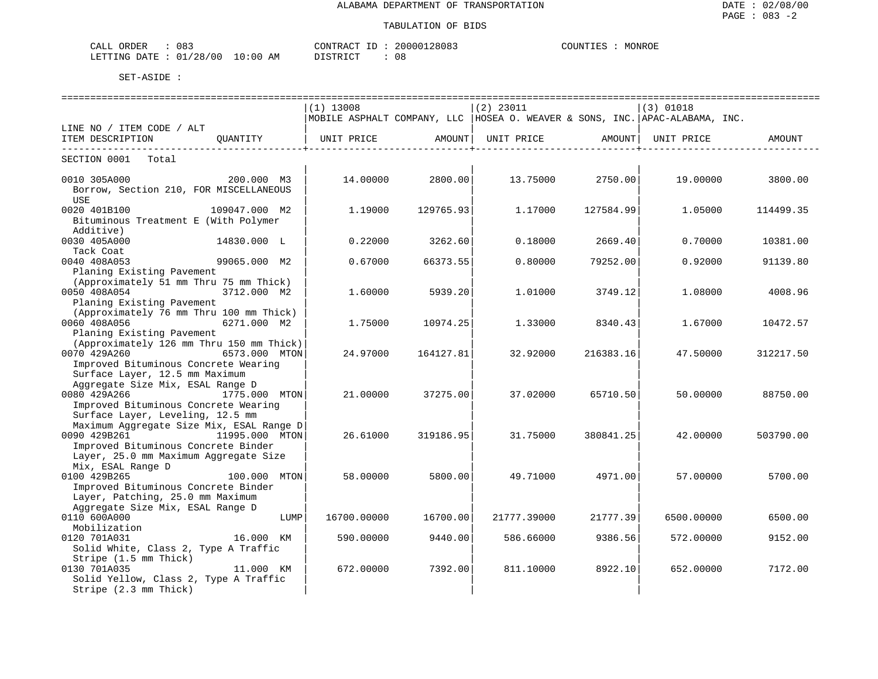| CALL ORDER                      | 083 | CONTRACT ID: | 20000128083 | COUNTIES | MONROE |
|---------------------------------|-----|--------------|-------------|----------|--------|
| LETTING DATE: 01/28/00 10:00 AM |     | DISTRICT     | 08          |          |        |

| =============================<br>============================<br>================================= |                |                                                                               |                  |                   |                  |             |                  |  |  |  |
|----------------------------------------------------------------------------------------------------|----------------|-------------------------------------------------------------------------------|------------------|-------------------|------------------|-------------|------------------|--|--|--|
|                                                                                                    |                | $(1)$ 13008                                                                   |                  | $(2)$ 23011       |                  | $(3)$ 01018 |                  |  |  |  |
|                                                                                                    |                | MOBILE ASPHALT COMPANY, LLC  HOSEA O. WEAVER & SONS, INC.  APAC-ALABAMA, INC. |                  |                   |                  |             |                  |  |  |  |
| LINE NO / ITEM CODE / ALT                                                                          |                |                                                                               |                  |                   |                  |             |                  |  |  |  |
| ITEM DESCRIPTION QUANTITY                                                                          |                | UNIT PRICE AMOUNT                                                             |                  | UNIT PRICE AMOUNT |                  | UNIT PRICE  | AMOUNT           |  |  |  |
| SECTION 0001 Total                                                                                 |                |                                                                               |                  |                   |                  |             |                  |  |  |  |
| 200.000 M3<br>0010 305A000                                                                         |                |                                                                               | 14.00000 2800.00 |                   | 13.75000 2750.00 |             | 19.00000 3800.00 |  |  |  |
| Borrow, Section 210, FOR MISCELLANEOUS                                                             |                |                                                                               |                  |                   |                  |             |                  |  |  |  |
| USE                                                                                                |                |                                                                               |                  |                   |                  |             |                  |  |  |  |
| 0020 401B100                                                                                       | 109047.000 M2  | 1.19000                                                                       | 129765.93        | 1.17000           | 127584.99        | 1.05000     | 114499.35        |  |  |  |
| Bituminous Treatment E (With Polymer                                                               |                |                                                                               |                  |                   |                  |             |                  |  |  |  |
| Additive)                                                                                          |                |                                                                               |                  |                   |                  |             |                  |  |  |  |
| 0030 405A000                                                                                       | 14830.000 L    | 0.22000                                                                       | 3262.60          | 0.18000           | 2669.40          | 0.70000     | 10381.00         |  |  |  |
| Tack Coat                                                                                          |                |                                                                               |                  |                   |                  |             |                  |  |  |  |
| 0040 408A053                                                                                       | 99065.000 M2   | 0.67000                                                                       | 66373.55         | 0.80000           | 79252.00         | 0.92000     | 91139.80         |  |  |  |
| Planing Existing Pavement                                                                          |                |                                                                               |                  |                   |                  |             |                  |  |  |  |
| (Approximately 51 mm Thru 75 mm Thick)                                                             |                |                                                                               |                  |                   |                  |             |                  |  |  |  |
| 0050 408A054                                                                                       | 3712.000 M2    | 1.60000                                                                       | 5939.20          | 1,01000           | 3749.12          | 1,08000     | 4008.96          |  |  |  |
| Planing Existing Pavement                                                                          |                |                                                                               |                  |                   |                  |             |                  |  |  |  |
| (Approximately 76 mm Thru 100 mm Thick)                                                            |                |                                                                               |                  |                   |                  |             |                  |  |  |  |
| 0060 408A056 6271.000 M2                                                                           |                | 1.75000                                                                       | 10974.25         | 1.33000           | 8340.43          | 1.67000     | 10472.57         |  |  |  |
| Planing Existing Pavement                                                                          |                |                                                                               |                  |                   |                  |             |                  |  |  |  |
| (Approximately 126 mm Thru 150 mm Thick)                                                           |                |                                                                               |                  |                   |                  |             |                  |  |  |  |
| 6573.000 MTON<br>0070 429A260                                                                      |                | 24.97000                                                                      | 164127.81        | 32.92000          | 216383.16        | 47.50000    | 312217.50        |  |  |  |
| Improved Bituminous Concrete Wearing                                                               |                |                                                                               |                  |                   |                  |             |                  |  |  |  |
| Surface Layer, 12.5 mm Maximum                                                                     |                |                                                                               |                  |                   |                  |             |                  |  |  |  |
| Aggregate Size Mix, ESAL Range D<br>0080 429A266<br>1775.000 MTON                                  |                |                                                                               |                  |                   |                  |             |                  |  |  |  |
| Improved Bituminous Concrete Wearing                                                               |                | 21.00000                                                                      | 37275.00         | 37.02000          | 65710.50         | 50.00000    | 88750.00         |  |  |  |
| Surface Layer, Leveling, 12.5 mm                                                                   |                |                                                                               |                  |                   |                  |             |                  |  |  |  |
| Maximum Aggregate Size Mix, ESAL Range D                                                           |                |                                                                               |                  |                   |                  |             |                  |  |  |  |
| 0090 429B261                                                                                       | 11995.000 MTON | 26.61000                                                                      | 319186.95        | 31.75000          | 380841.25        | 42.00000    | 503790.00        |  |  |  |
| Improved Bituminous Concrete Binder                                                                |                |                                                                               |                  |                   |                  |             |                  |  |  |  |
| Layer, 25.0 mm Maximum Aggregate Size                                                              |                |                                                                               |                  |                   |                  |             |                  |  |  |  |
| Mix, ESAL Range D                                                                                  |                |                                                                               |                  |                   |                  |             |                  |  |  |  |
| 0100 429B265                                                                                       | 100.000 MTON   | 58.00000                                                                      | 5800.00          | 49.71000          | 4971.00          | 57.00000    | 5700.00          |  |  |  |
| Improved Bituminous Concrete Binder                                                                |                |                                                                               |                  |                   |                  |             |                  |  |  |  |
| Layer, Patching, 25.0 mm Maximum                                                                   |                |                                                                               |                  |                   |                  |             |                  |  |  |  |
| Aggregate Size Mix, ESAL Range D                                                                   |                |                                                                               |                  |                   |                  |             |                  |  |  |  |
| 0110 600A000                                                                                       | LUMP           | 16700.00000                                                                   | 16700.00         | 21777.39000       | 21777.39         | 6500.00000  | 6500.00          |  |  |  |
| Mobilization                                                                                       |                |                                                                               |                  |                   |                  |             |                  |  |  |  |
| 16.000 KM<br>0120 701A031                                                                          |                | 590.00000                                                                     | 9440.00          | 586.66000         | 9386.56          | 572.00000   | 9152.00          |  |  |  |
| Solid White, Class 2, Type A Traffic                                                               |                |                                                                               |                  |                   |                  |             |                  |  |  |  |
| Stripe (1.5 mm Thick)                                                                              |                |                                                                               |                  |                   |                  |             |                  |  |  |  |
| 0130 701A035                                                                                       | 11.000 KM      | 672.00000                                                                     | 7392.00          | 811,10000         | 8922.10          | 652.00000   | 7172.00          |  |  |  |
| Solid Yellow, Class 2, Type A Traffic                                                              |                |                                                                               |                  |                   |                  |             |                  |  |  |  |
| Stripe (2.3 mm Thick)                                                                              |                |                                                                               |                  |                   |                  |             |                  |  |  |  |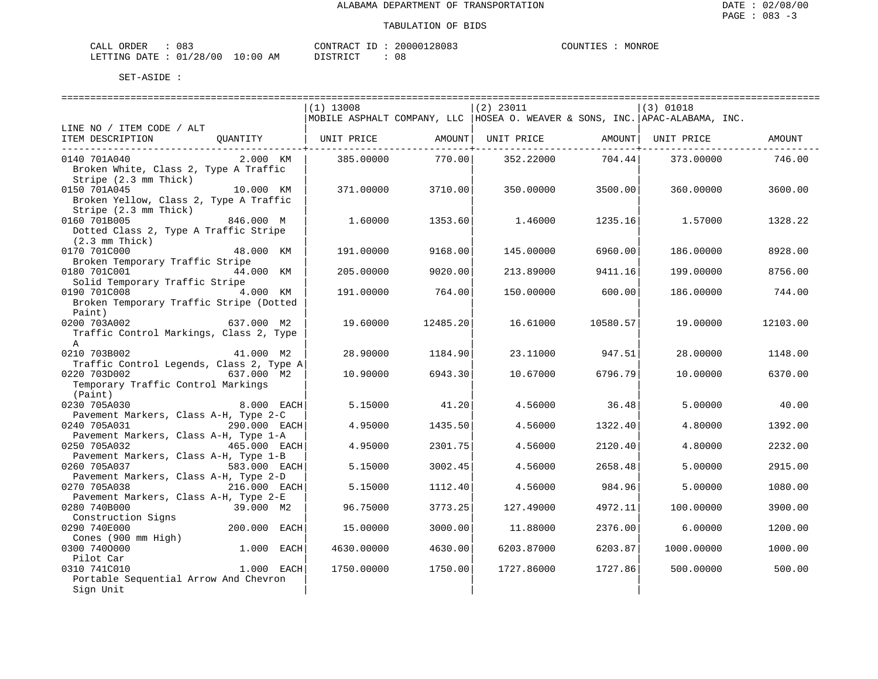| ORDER<br>CALL          | 083 |             | CONTRACT ID: | 20000128083 | COUNTIES | MONROE |
|------------------------|-----|-------------|--------------|-------------|----------|--------|
| LETTING DATE: 01/28/00 |     | 10:00<br>ΆM | חי חים דרו   | U C         |          |        |

|                                          |               | $(1)$ 13008                             |          | $(2)$ 23011 |                               | $(3)$ 01018                                                                  |          |
|------------------------------------------|---------------|-----------------------------------------|----------|-------------|-------------------------------|------------------------------------------------------------------------------|----------|
|                                          |               |                                         |          |             |                               | MOBILE ASPHALT COMPANY, LLC  HOSEA O. WEAVER & SONS, INC. APAC-ALABAMA, INC. |          |
| LINE NO / ITEM CODE / ALT                |               |                                         |          |             |                               |                                                                              |          |
| ITEM DESCRIPTION                         | OUANTITY      | UNIT PRICE           AMOUNT  UNIT PRICE |          |             |                               | AMOUNT   UNIT PRICE                                                          | AMOUNT   |
|                                          |               |                                         |          |             | . _ _ _ _ _ _ _ _ _ _ _ + _ . |                                                                              |          |
| 0140 701A040                             | 2.000 KM      | 385.00000                               | 770.00   | 352.22000   | 704.44                        | 373.00000                                                                    | 746.00   |
| Broken White, Class 2, Type A Traffic    |               |                                         |          |             |                               |                                                                              |          |
| Stripe (2.3 mm Thick)                    |               |                                         |          |             |                               |                                                                              |          |
| 0150 701A045                             | 10.000 KM     | 371.00000                               | 3710.00  | 350.00000   | 3500.00                       | 360.00000                                                                    | 3600.00  |
| Broken Yellow, Class 2, Type A Traffic   |               |                                         |          |             |                               |                                                                              |          |
| Stripe (2.3 mm Thick)                    |               |                                         |          |             |                               |                                                                              |          |
| 0160 701B005                             | 846.000 M     | 1.60000                                 | 1353.60  | 1,46000     | 1235.16                       | 1.57000                                                                      | 1328.22  |
| Dotted Class 2, Type A Traffic Stripe    |               |                                         |          |             |                               |                                                                              |          |
| $(2.3 \, \text{mm} \, \text{Thick})$     |               |                                         |          |             |                               |                                                                              |          |
| 0170 701C000                             | 48.000 KM     | 191.00000                               | 9168.00  | 145.00000   | 6960.00                       | 186.00000                                                                    | 8928.00  |
| Broken Temporary Traffic Stripe          |               |                                         |          |             |                               |                                                                              |          |
| 0180 701C001                             | 44.000 KM     | 205.00000                               | 9020.00  | 213.89000   | 9411.16                       | 199.00000                                                                    | 8756.00  |
| Solid Temporary Traffic Stripe           |               |                                         |          |             |                               |                                                                              |          |
| 0190 701C008                             | 4.000 KM      | 191.00000                               | 764.00   | 150.00000   | 600.00                        | 186.00000                                                                    | 744.00   |
| Broken Temporary Traffic Stripe (Dotted  |               |                                         |          |             |                               |                                                                              |          |
| Paint)                                   |               |                                         |          |             |                               |                                                                              |          |
| 0200 703A002                             | 637.000 M2    | 19.60000                                | 12485.20 | 16.61000    | 10580.57                      | 19.00000                                                                     | 12103.00 |
| Traffic Control Markings, Class 2, Type  |               |                                         |          |             |                               |                                                                              |          |
| $\mathsf{A}$                             |               |                                         |          |             |                               |                                                                              |          |
| 0210 703B002                             | 41.000 M2     | 28,90000                                | 1184.90  | 23.11000    | 947.51                        | 28,00000                                                                     | 1148.00  |
| Traffic Control Legends, Class 2, Type A |               |                                         |          |             |                               |                                                                              |          |
| 0220 703D002                             | $637.000$ M2  | 10.90000                                | 6943.30  | 10.67000    | 6796.79                       | 10.00000                                                                     | 6370.00  |
| Temporary Traffic Control Markings       |               |                                         |          |             |                               |                                                                              |          |
| (Paint)                                  |               |                                         |          |             |                               |                                                                              |          |
| 0230 705A030                             | 8.000 EACH    | 5.15000                                 | 41.20    | 4.56000     | 36.48                         | 5.00000                                                                      | 40.00    |
| Pavement Markers, Class A-H, Type 2-C    |               |                                         |          |             |                               |                                                                              |          |
| 0240 705A031                             | 290.000 EACH  | 4.95000                                 | 1435.50  | 4.56000     | 1322.40                       | 4.80000                                                                      | 1392.00  |
| Pavement Markers, Class A-H, Type 1-A    |               |                                         |          |             |                               |                                                                              |          |
| 0250 705A032                             | 465.000 EACH  | 4.95000                                 | 2301.75  | 4.56000     | 2120.40                       | 4.80000                                                                      | 2232.00  |
| Pavement Markers, Class A-H, Type 1-B    |               |                                         |          |             |                               |                                                                              |          |
| 0260 705A037                             | 583.000 EACH  | 5.15000                                 | 3002.45  | 4.56000     | 2658.48                       | 5.00000                                                                      | 2915.00  |
| Pavement Markers, Class A-H, Type 2-D    |               |                                         |          |             |                               |                                                                              |          |
| 0270 705A038                             | 216.000 EACH  | 5.15000                                 | 1112.40  | 4.56000     | 984.96                        | 5.00000                                                                      | 1080.00  |
| Pavement Markers, Class A-H, Type 2-E    |               |                                         |          |             |                               |                                                                              |          |
| 0280 740B000                             | $39.000$ M2   | 96.75000                                | 3773.25  | 127.49000   | 4972.11                       | 100.00000                                                                    | 3900.00  |
| Construction Signs                       |               |                                         |          |             |                               |                                                                              |          |
| 0290 740E000                             | 200.000 EACH  | 15.00000                                | 3000.00  | 11.88000    | 2376.00                       | 6.00000                                                                      | 1200.00  |
| Cones (900 mm High)                      |               |                                         |          |             |                               |                                                                              |          |
| 0300 7400000                             | 1.000<br>EACH | 4630.00000                              | 4630.00  | 6203.87000  | 6203.87                       | 1000.00000                                                                   | 1000.00  |
| Pilot Car                                |               |                                         |          |             |                               |                                                                              |          |
| 0310 741C010                             | $1.000$ EACH  | 1750.00000                              | 1750.00  | 1727.86000  | 1727.86                       | 500.00000                                                                    | 500.00   |
| Portable Sequential Arrow And Chevron    |               |                                         |          |             |                               |                                                                              |          |
| Sign Unit                                |               |                                         |          |             |                               |                                                                              |          |
|                                          |               |                                         |          |             |                               |                                                                              |          |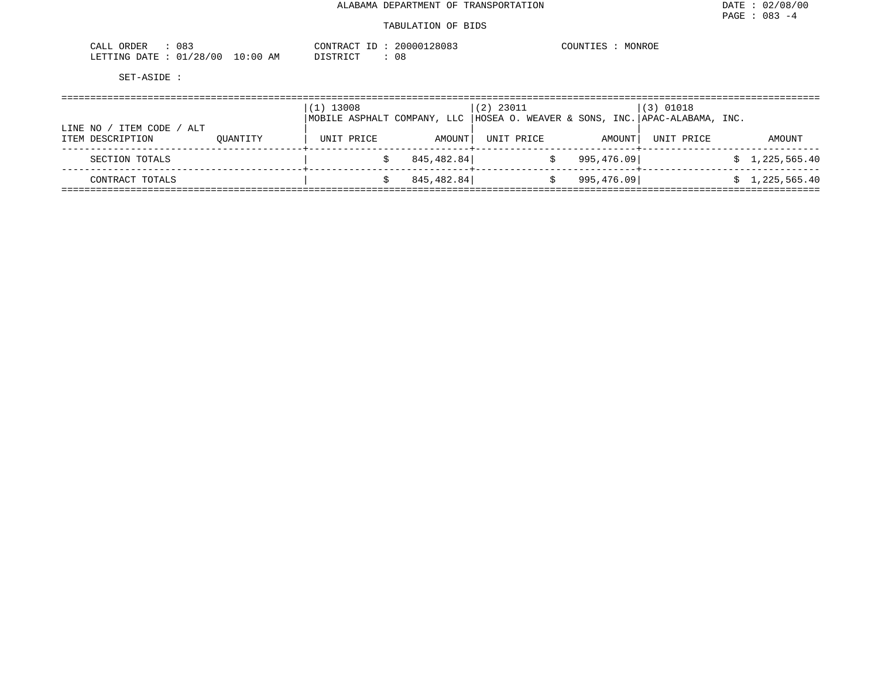| 083<br><b>ORDER</b><br>- LAL                            |             | $ -$<br>זידיד אר<br>$\sim$<br>Δ0        | 28083 | COUNTIL<br>MONROE |
|---------------------------------------------------------|-------------|-----------------------------------------|-------|-------------------|
| '00<br><b>DATE</b><br>LETTING<br>128<br>20<br>. U . L . | 10:00<br>AM | $T \cap T$<br>n <del>r</del> amr<br>--- | U O   |                   |

| ITEM CODE<br>LINE NO<br>' ALT |          | $(1)$ 13008<br>MOBILE ASPHALT COMPANY, LLC |            | $(2)$ 23011<br> HOSEA O. WEAVER & SONS, INC. APAC-ALABAMA, INC. |            | $(3)$ 01018 |                |
|-------------------------------|----------|--------------------------------------------|------------|-----------------------------------------------------------------|------------|-------------|----------------|
| ITEM DESCRIPTION              | OUANTITY | UNIT PRICE                                 | AMOUNT     | UNIT PRICE                                                      | AMOUNT     | UNIT PRICE  | AMOUNT         |
| SECTION TOTALS                |          |                                            | 845,482.84 |                                                                 | 995,476.09 |             | \$1,225,565.40 |
| CONTRACT TOTALS               |          |                                            | 845,482.84 |                                                                 | 995,476.09 |             | \$1,225,565.40 |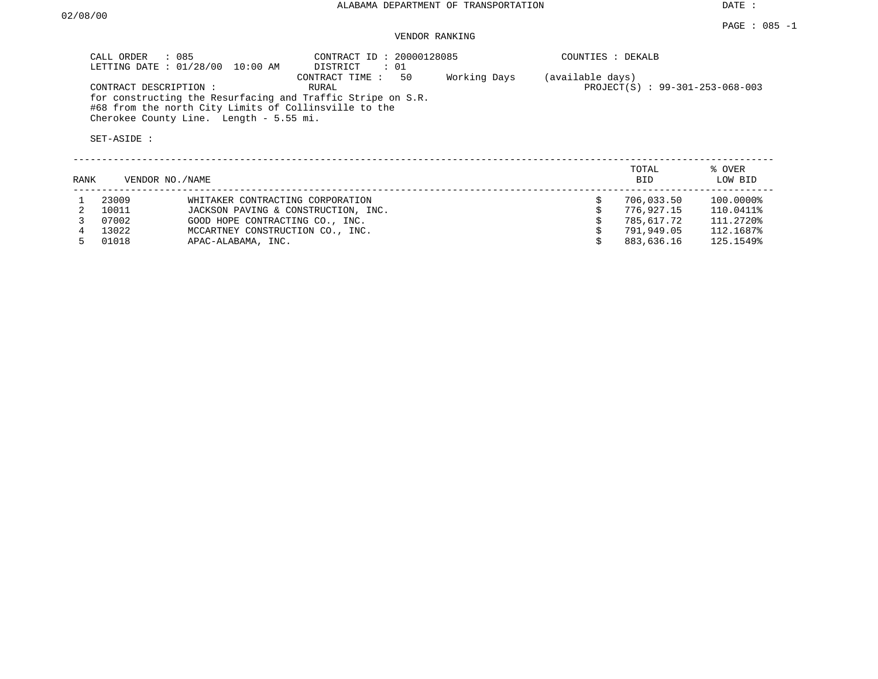| : 085<br>CALL ORDER<br>LETTING DATE: 01/28/00<br>10:00 AM                                                                                                                                               | CONTRACT ID: 20000128085<br>$\colon$ 01<br>DISTRICT |              | COUNTIES : DEKALB                                   |
|---------------------------------------------------------------------------------------------------------------------------------------------------------------------------------------------------------|-----------------------------------------------------|--------------|-----------------------------------------------------|
| CONTRACT DESCRIPTION:<br>for constructing the Resurfacing and Traffic Stripe on S.R.<br>#68 from the north City Limits of Collinsville to the<br>Cherokee County Line. Length - 5.55 mi.<br>SET-ASIDE : | 50<br>CONTRACT TIME:<br>RURAL                       | Working Days | (available days)<br>PROJECT(S) : 99-301-253-068-003 |
|                                                                                                                                                                                                         |                                                     |              | TOTAL<br>% OVER                                     |

| RANK |       | VENDOR NO./NAME                     | <b>BID</b> | LOW BID   |
|------|-------|-------------------------------------|------------|-----------|
|      | 23009 | WHITAKER CONTRACTING CORPORATION    | 706,033.50 | 100.0000% |
|      | 10011 | JACKSON PAVING & CONSTRUCTION, INC. | 776,927.15 | 110.0411% |
|      | 07002 | GOOD HOPE CONTRACTING CO., INC.     | 785,617.72 | 111.2720% |
|      | 13022 | MCCARTNEY CONSTRUCTION CO., INC.    | 791,949.05 | 112.1687% |
|      | 01018 | APAC-ALABAMA, INC.                  | 883,636.16 | 125.1549% |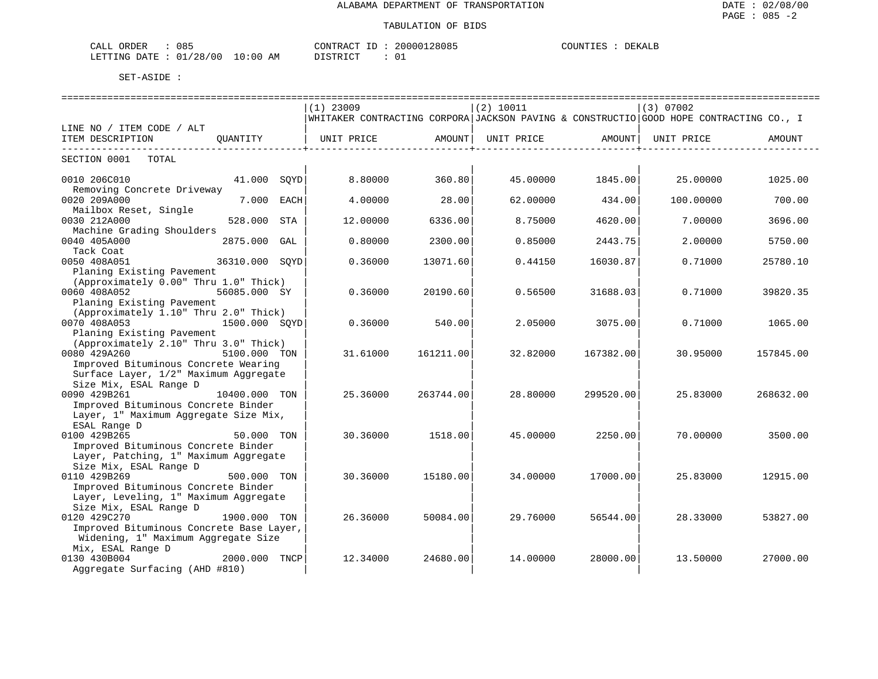| 10 <sup>r</sup><br>ORDER<br>ו ב<br>UO-      |                      | זרחד הי<br>'R A ( | n r<br>2808 | $\sim$ $\sim$<br>心配区<br>,,,,,, |
|---------------------------------------------|----------------------|-------------------|-------------|--------------------------------|
| $\cap$<br>N FELTIN<br>$\sqrt{2}$<br>w<br>__ | -06<br>AМ<br>$\cdot$ | . חידי            | ∪⊥          |                                |

|                                                                                 |                |     | $(1)$ 23009                                                                            |                                     | (2) 10011         |                    | (3) 07002  |           |
|---------------------------------------------------------------------------------|----------------|-----|----------------------------------------------------------------------------------------|-------------------------------------|-------------------|--------------------|------------|-----------|
|                                                                                 |                |     | WHITAKER CONTRACTING CORPORA JACKSON PAVING & CONSTRUCTIO GOOD HOPE CONTRACTING CO., I |                                     |                   |                    |            |           |
| LINE NO / ITEM CODE / ALT                                                       |                |     |                                                                                        |                                     |                   |                    |            |           |
| ITEM DESCRIPTION<br>----------------------------                                | OUANTITY       |     | UNIT PRICE AMOUNT                                                                      | . _ _ _ _ _ _ _ _ _ _ _ _ _ _ _ _ _ | UNIT PRICE AMOUNT | ----------------+- | UNIT PRICE | AMOUNT    |
| SECTION 0001 TOTAL                                                              |                |     |                                                                                        |                                     |                   |                    |            |           |
| 0010 206C010<br>Removing Concrete Driveway                                      | 41.000 SOYD    |     | 8.80000                                                                                | 360.80                              | 45.00000          | 1845.00            | 25,00000   | 1025.00   |
| 0020 209A000                                                                    | 7.000 EACH     |     | 4.00000                                                                                | 28.00                               | 62.00000          | 434.00             | 100.00000  | 700.00    |
| Mailbox Reset, Single<br>0030 212A000                                           | 528.000        | STA | 12.00000                                                                               | 6336.00                             | 8.75000           | 4620.00            | 7.00000    | 3696.00   |
| Machine Grading Shoulders<br>0040 405A000                                       | 2875.000 GAL   |     | 0.80000                                                                                | 2300.00                             | 0.85000           | 2443.75            | 2.00000    | 5750.00   |
| Tack Coat<br>0050 408A051                                                       | 36310.000 SOYD |     | 0.36000                                                                                | 13071.60                            | 0.44150           | 16030.87           | 0.71000    | 25780.10  |
| Planing Existing Pavement<br>(Approximately 0.00" Thru 1.0" Thick)              |                |     |                                                                                        |                                     |                   |                    |            |           |
| 0060 408A052                                                                    | 56085.000 SY   |     | 0.36000                                                                                | 20190.60                            | 0.56500           | 31688.03           | 0.71000    | 39820.35  |
| Planing Existing Pavement<br>(Approximately 1.10" Thru 2.0" Thick)              |                |     |                                                                                        |                                     |                   |                    |            |           |
| 0070 408A053<br>Planing Existing Pavement                                       | 1500.000 SOYD  |     | 0.36000                                                                                | 540.00                              | 2.05000           | 3075.00            | 0.71000    | 1065.00   |
| (Approximately 2.10" Thru 3.0" Thick)<br>0080 429A260<br>5100.000 TON           |                |     | 31.61000                                                                               | 161211.00                           | 32.82000          | 167382.00          | 30.95000   | 157845.00 |
| Improved Bituminous Concrete Wearing<br>Surface Layer, 1/2" Maximum Aggregate   |                |     |                                                                                        |                                     |                   |                    |            |           |
| Size Mix, ESAL Range D<br>0090 429B261                                          | 10400.000 TON  |     | 25.36000                                                                               | 263744.00                           | 28.80000          | 299520.00          | 25.83000   | 268632.00 |
| Improved Bituminous Concrete Binder<br>Layer, 1" Maximum Aggregate Size Mix,    |                |     |                                                                                        |                                     |                   |                    |            |           |
| ESAL Range D                                                                    |                |     |                                                                                        |                                     |                   |                    |            |           |
| 0100 429B265<br>Improved Bituminous Concrete Binder                             | 50.000 TON     |     | 30.36000                                                                               | 1518.00                             | 45.00000          | 2250.00            | 70.00000   | 3500.00   |
| Layer, Patching, 1" Maximum Aggregate<br>Size Mix, ESAL Range D                 |                |     |                                                                                        |                                     |                   |                    |            |           |
| 0110 429B269<br>Improved Bituminous Concrete Binder                             | 500.000 TON    |     | 30.36000                                                                               | 15180.00                            | 34,00000          | 17000.00           | 25.83000   | 12915.00  |
| Layer, Leveling, 1" Maximum Aggregate<br>Size Mix, ESAL Range D                 |                |     |                                                                                        |                                     |                   |                    |            |           |
| 0120 429C270                                                                    | 1900.000 TON   |     | 26.36000                                                                               | 50084.00                            | 29.76000          | 56544.00           | 28.33000   | 53827.00  |
| Improved Bituminous Concrete Base Layer,<br>Widening, 1" Maximum Aggregate Size |                |     |                                                                                        |                                     |                   |                    |            |           |
| Mix, ESAL Range D                                                               |                |     |                                                                                        |                                     |                   |                    |            |           |
| 0130 430B004                                                                    | 2000.000 TNCP  |     | 12.34000                                                                               | 24680.00                            | 14.00000          | 28000.00           | 13.50000   | 27000.00  |
| Aggregate Surfacing (AHD #810)                                                  |                |     |                                                                                        |                                     |                   |                    |            |           |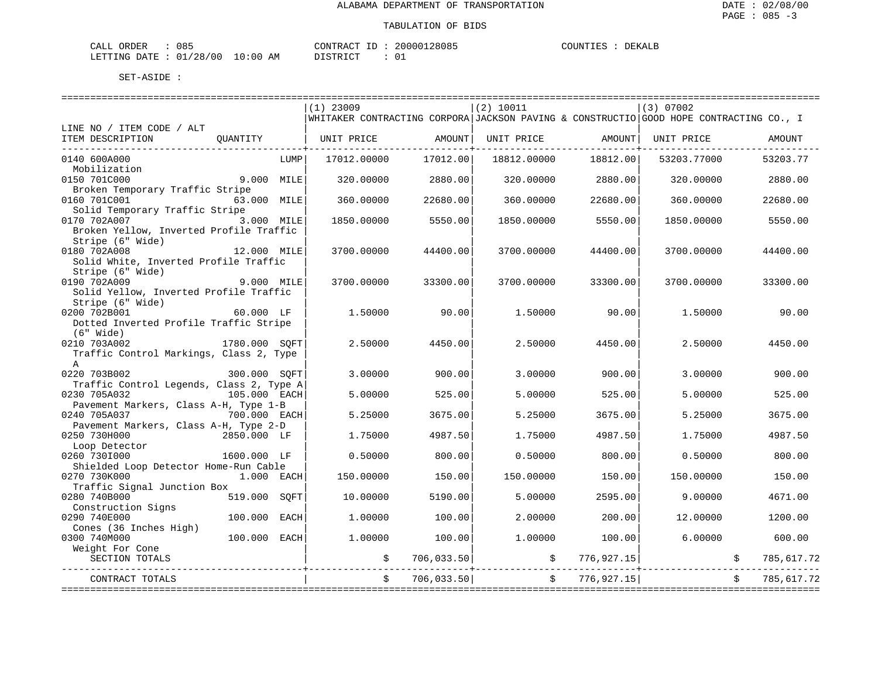| 085<br>CALL ORDER               |          | CONTRACT ID: 20000128085 | COUNTIES :<br>DEKALB |
|---------------------------------|----------|--------------------------|----------------------|
| LETTING DATE: 01/28/00 10:00 AM | DISTRICT |                          |                      |

|                                                         |               |      | ==============================                                                         |                    | ============================= |                                         | ============================= |            |
|---------------------------------------------------------|---------------|------|----------------------------------------------------------------------------------------|--------------------|-------------------------------|-----------------------------------------|-------------------------------|------------|
|                                                         |               |      | $(1)$ 23009                                                                            |                    | (2) 10011                     |                                         | (3) 07002                     |            |
|                                                         |               |      | WHITAKER CONTRACTING CORPORA JACKSON PAVING & CONSTRUCTIO GOOD HOPE CONTRACTING CO., I |                    |                               |                                         |                               |            |
| LINE NO / ITEM CODE / ALT                               |               |      |                                                                                        |                    |                               |                                         |                               |            |
| ITEM DESCRIPTION<br>-------------------------------     | OUANTITY      |      | UNIT PRICE AMOUNT                                                                      | -----------------+ |                               | UNIT PRICE AMOUNT<br>-----------------+ | UNIT PRICE                    | AMOUNT     |
| 0140 600A000                                            |               | LUMP | 17012.00000                                                                            | 17012.00           | 18812.00000                   | 18812.00                                | 53203.77000                   | 53203.77   |
| Mobilization                                            |               |      |                                                                                        |                    |                               |                                         |                               |            |
| 0150 701C000                                            | 9.000 MILE    |      | 320.00000                                                                              | 2880.00            | 320.00000                     | 2880.00                                 | 320.00000                     | 2880.00    |
| Broken Temporary Traffic Stripe                         |               |      |                                                                                        |                    |                               |                                         |                               |            |
| 0160 701C001                                            | 63.000 MILE   |      | 360,00000                                                                              | 22680.00           | 360.00000                     | 22680.00                                | 360.00000                     | 22680.00   |
| Solid Temporary Traffic Stripe                          |               |      |                                                                                        |                    |                               |                                         |                               |            |
| 0170 702A007<br>Broken Yellow, Inverted Profile Traffic | 3.000 MILE    |      | 1850.00000                                                                             | 5550.00            | 1850.00000                    | 5550.00                                 | 1850.00000                    | 5550.00    |
| Stripe (6" Wide)                                        |               |      |                                                                                        |                    |                               |                                         |                               |            |
| 0180 702A008                                            | 12.000 MILE   |      | 3700.00000                                                                             | 44400.00           | 3700.00000                    | 44400.00                                | 3700.00000                    | 44400.00   |
| Solid White, Inverted Profile Traffic                   |               |      |                                                                                        |                    |                               |                                         |                               |            |
| Stripe (6" Wide)                                        |               |      |                                                                                        |                    |                               |                                         |                               |            |
| 0190 702A009                                            | $9.000$ MILE  |      | 3700.00000                                                                             | 33300.00           | 3700.00000                    | 33300.00                                | 3700.00000                    | 33300.00   |
| Solid Yellow, Inverted Profile Traffic                  |               |      |                                                                                        |                    |                               |                                         |                               |            |
| Stripe (6" Wide)                                        |               |      |                                                                                        |                    |                               |                                         |                               |            |
| 0200 702B001                                            | 60.000 LF     |      | 1.50000                                                                                | 90.00              | 1.50000                       | 90.00                                   | 1.50000                       | 90.00      |
| Dotted Inverted Profile Traffic Stripe<br>$(6"$ Wide)   |               |      |                                                                                        |                    |                               |                                         |                               |            |
| 0210 703A002                                            | 1780.000 SOFT |      | 2.50000                                                                                | 4450.00            | 2.50000                       | 4450.00                                 | 2.50000                       | 4450.00    |
| Traffic Control Markings, Class 2, Type                 |               |      |                                                                                        |                    |                               |                                         |                               |            |
| $\mathbb{A}$                                            |               |      |                                                                                        |                    |                               |                                         |                               |            |
| 0220 703B002                                            | 300.000 SOFT  |      | 3.00000                                                                                | 900.00             | 3.00000                       | 900.00                                  | 3.00000                       | 900.00     |
| Traffic Control Legends, Class 2, Type A                |               |      |                                                                                        |                    |                               |                                         |                               |            |
| 0230 705A032                                            | 105.000 EACH  |      | 5.00000                                                                                | 525.00             | 5.00000                       | 525.00                                  | 5.00000                       | 525.00     |
| Pavement Markers, Class A-H, Type 1-B                   |               |      |                                                                                        |                    |                               |                                         |                               |            |
| 0240 705A037<br>Pavement Markers, Class A-H, Type 2-D   | 700.000 EACH  |      | 5.25000                                                                                | 3675.00            | 5.25000                       | 3675.00                                 | 5.25000                       | 3675.00    |
| 0250 730H000                                            | 2850.000 LF   |      | 1.75000                                                                                | 4987.50            | 1.75000                       | 4987.50                                 | 1.75000                       | 4987.50    |
| Loop Detector                                           |               |      |                                                                                        |                    |                               |                                         |                               |            |
| 0260 7301000                                            | 1600.000 LF   |      | 0.50000                                                                                | 800.00             | 0.50000                       | 800.00                                  | 0.50000                       | 800.00     |
| Shielded Loop Detector Home-Run Cable                   |               |      |                                                                                        |                    |                               |                                         |                               |            |
| 0270 730K000                                            | 1.000 EACH    |      | 150.00000                                                                              | 150.00             | 150.00000                     | 150.00                                  | 150.00000                     | 150.00     |
| Traffic Signal Junction Box                             |               |      |                                                                                        |                    |                               |                                         |                               |            |
| 0280 740B000<br>Construction Signs                      | 519.000       | SOFT | 10.00000                                                                               | 5190.00            | 5.00000                       | 2595.00                                 | 9,00000                       | 4671.00    |
| 0290 740E000                                            | 100.000       | EACH | 1,00000                                                                                | 100.00             | 2.00000                       | 200.00                                  | 12.00000                      | 1200.00    |
| Cones (36 Inches High)                                  |               |      |                                                                                        |                    |                               |                                         |                               |            |
| 0300 740M000                                            | 100.000 EACH  |      | 1,00000                                                                                | 100.00             | 1,00000                       | 100.00                                  | 6.00000                       | 600.00     |
| Weight For Cone                                         |               |      |                                                                                        |                    |                               |                                         |                               |            |
| SECTION TOTALS                                          |               |      | \$                                                                                     | 706,033.50         |                               | \$776,927.15]                           |                               | 785,617.72 |
| CONTRACT TOTALS                                         |               |      | \$                                                                                     | 706,033.50         |                               | \$776,927.15]                           |                               | 785,617.72 |
|                                                         |               |      |                                                                                        |                    |                               |                                         |                               |            |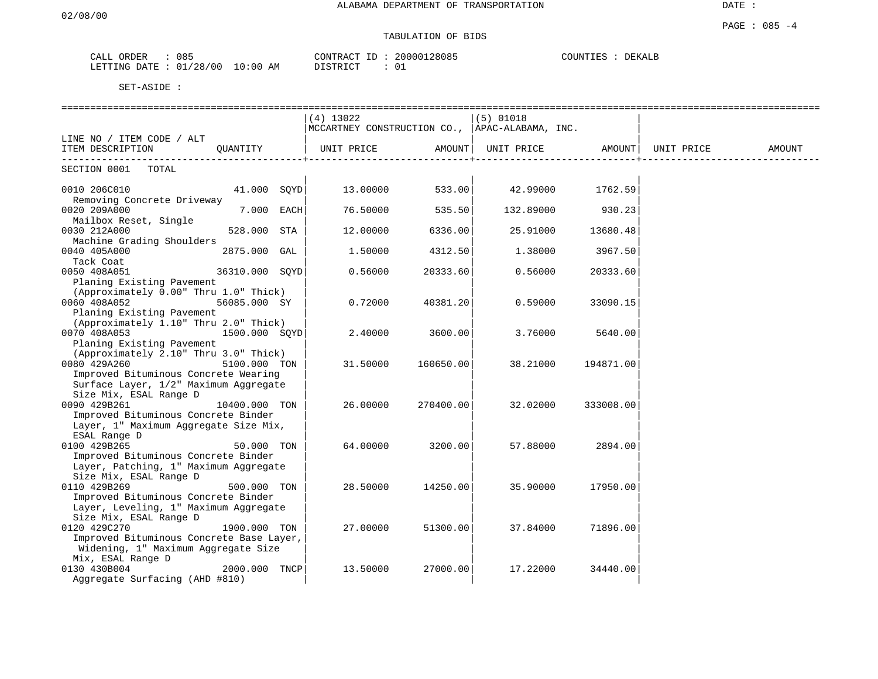# TABULATION OF BIDS

| ORDER<br>ىلىما | 085                       | 20000128085<br>CONTRACT<br>___ | COUNTIES<br>DEKALB |
|----------------|---------------------------|--------------------------------|--------------------|
| LETTING DATE   | '28/00<br>AΜ<br>l 0 : 0 0 | <b>TOTO TOT</b>                |                    |

|                                                                                 |                | (4) 13022  |           | $(5)$ 01018                                    |           |            |        |
|---------------------------------------------------------------------------------|----------------|------------|-----------|------------------------------------------------|-----------|------------|--------|
|                                                                                 |                |            |           | MCCARTNEY CONSTRUCTION CO., APAC-ALABAMA, INC. |           |            |        |
| LINE NO / ITEM CODE / ALT                                                       |                |            |           |                                                |           |            |        |
| ITEM DESCRIPTION                                                                | QUANTITY       | UNIT PRICE | AMOUNT    | UNIT PRICE                                     | AMOUNT    | UNIT PRICE | AMOUNT |
| SECTION 0001<br>TOTAL                                                           |                |            |           |                                                |           |            |        |
| 0010 206C010                                                                    | 41.000 SQYD    | 13.00000   | 533.00    | 42.99000                                       | 1762.59   |            |        |
| Removing Concrete Driveway<br>0020 209A000                                      | 7.000 EACH     | 76.50000   | 535.50    | 132.89000                                      | 930.23    |            |        |
| Mailbox Reset, Single<br>0030 212A000                                           | 528.000 STA    | 12.00000   | 6336.00   | 25.91000                                       | 13680.48  |            |        |
| Machine Grading Shoulders<br>0040 405A000                                       | 2875.000 GAL   | 1,50000    | 4312.50   | 1.38000                                        | 3967.50   |            |        |
| Tack Coat<br>0050 408A051                                                       | 36310.000 SOYD | 0.56000    | 20333.60  | 0.56000                                        | 20333.60  |            |        |
| Planing Existing Pavement<br>(Approximately 0.00" Thru 1.0" Thick)              |                |            |           |                                                |           |            |        |
| 0060 408A052                                                                    | 56085.000 SY   | 0.72000    | 40381.20  | 0.59000                                        | 33090.15  |            |        |
| Planing Existing Pavement<br>(Approximately 1.10" Thru 2.0" Thick)              |                |            |           |                                                |           |            |        |
| 0070 408A053<br>Planing Existing Pavement                                       | 1500.000 SQYD  | 2.40000    | 3600.00   | 3.76000                                        | 5640.00   |            |        |
| (Approximately 2.10" Thru 3.0" Thick)<br>0080 429A260                           | 5100.000 TON   | 31.50000   | 160650.00 | 38.21000                                       | 194871.00 |            |        |
| Improved Bituminous Concrete Wearing<br>Surface Layer, 1/2" Maximum Aggregate   |                |            |           |                                                |           |            |        |
| Size Mix, ESAL Range D                                                          |                |            |           |                                                |           |            |        |
| 0090 429B261                                                                    | 10400.000 TON  | 26.00000   | 270400.00 | 32.02000                                       | 333008.00 |            |        |
| Improved Bituminous Concrete Binder<br>Layer, 1" Maximum Aggregate Size Mix,    |                |            |           |                                                |           |            |        |
| ESAL Range D<br>0100 429B265                                                    | 50.000 TON     | 64.00000   | 3200.00   | 57.88000                                       | 2894.00   |            |        |
| Improved Bituminous Concrete Binder<br>Layer, Patching, 1" Maximum Aggregate    |                |            |           |                                                |           |            |        |
| Size Mix, ESAL Range D<br>0110 429B269                                          | 500.000 TON    | 28.50000   | 14250.00  | 35.90000                                       | 17950.00  |            |        |
| Improved Bituminous Concrete Binder<br>Layer, Leveling, 1" Maximum Aggregate    |                |            |           |                                                |           |            |        |
| Size Mix, ESAL Range D<br>0120 429C270                                          | 1900.000 TON   | 27.00000   | 51300.00  | 37.84000                                       | 71896.00  |            |        |
| Improved Bituminous Concrete Base Layer,<br>Widening, 1" Maximum Aggregate Size |                |            |           |                                                |           |            |        |
| Mix, ESAL Range D                                                               |                |            |           |                                                |           |            |        |
| 0130 430B004<br>Aggregate Surfacing (AHD #810)                                  | 2000.000 TNCP  | 13.50000   | 27000.00  | 17.22000                                       | 34440.00  |            |        |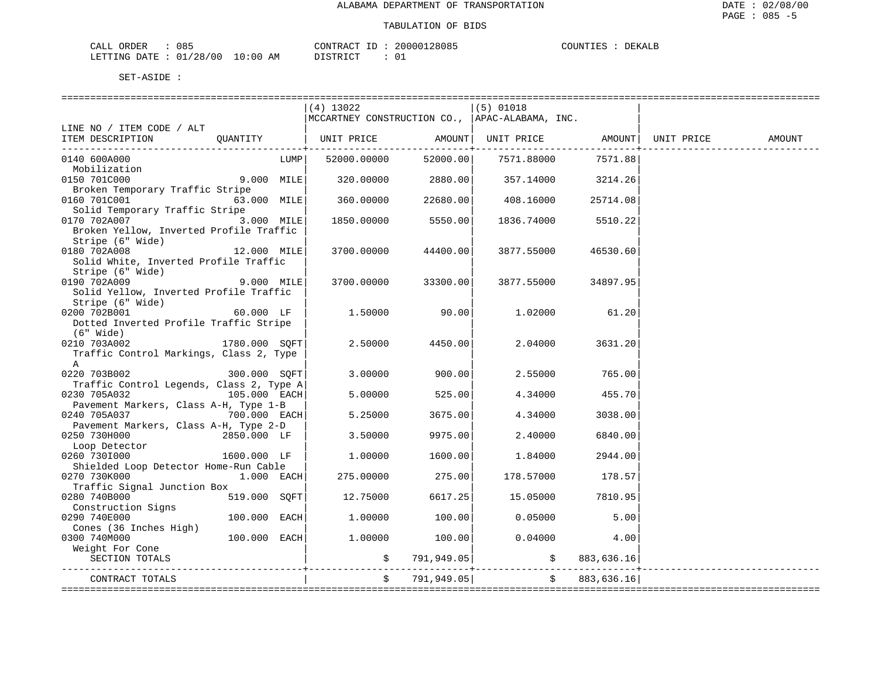| CALL ORDER                      | 085 | CONTRACT |  | 20000128085 | COUNTIES | DEKALB |
|---------------------------------|-----|----------|--|-------------|----------|--------|
| LETTING DATE: 01/28/00 10:00 AM |     | DISTRICT |  |             |          |        |

|                                          |                |      | (4) 13022   |                          | $(5)$ 01018<br> MCCARTNEY CONSTRUCTION CO.,  APAC-ALABAMA, INC. |                       |            |        |
|------------------------------------------|----------------|------|-------------|--------------------------|-----------------------------------------------------------------|-----------------------|------------|--------|
| LINE NO / ITEM CODE / ALT                |                |      |             |                          |                                                                 |                       |            |        |
| ITEM DESCRIPTION                         | OUANTITY       |      | UNIT PRICE  |                          | AMOUNT   UNIT PRICE   AMOUNT                                    |                       | UNIT PRICE | AMOUNT |
| 0140 600A000                             |                | LUMP | 52000.00000 | . <u>.</u> .<br>52000.00 | 7571.88000                                                      | ---------+<br>7571.88 |            |        |
| Mobilization                             |                |      |             |                          |                                                                 |                       |            |        |
| 0150 701C000                             | 9.000 MILE     |      | 320.00000   | 2880.00                  |                                                                 | 357.14000 3214.26     |            |        |
| Broken Temporary Traffic Stripe          |                |      |             |                          |                                                                 |                       |            |        |
| 0160 701C001                             | 63.000 MILE    |      | 360.00000   | 22680.00                 | 408.16000                                                       | 25714.08              |            |        |
| Solid Temporary Traffic Stripe           |                |      |             |                          |                                                                 |                       |            |        |
| 0170 702A007                             | 3.000 MILE     |      | 1850.00000  | 5550.00                  | 1836.74000                                                      | 5510.22               |            |        |
| Broken Yellow, Inverted Profile Traffic  |                |      |             |                          |                                                                 |                       |            |        |
| Stripe (6" Wide)                         |                |      |             |                          |                                                                 |                       |            |        |
| 0180 702A008                             | 12.000 MILE    |      | 3700.00000  | 44400.00                 | 3877.55000                                                      | 46530.60              |            |        |
| Solid White, Inverted Profile Traffic    |                |      |             |                          |                                                                 |                       |            |        |
| Stripe (6" Wide)                         |                |      |             |                          |                                                                 |                       |            |        |
| 0190 702A009                             | 9.000 MILE     |      | 3700.00000  | 33300.00                 | 3877.55000                                                      | 34897.95              |            |        |
| Solid Yellow, Inverted Profile Traffic   |                |      |             |                          |                                                                 |                       |            |        |
| Stripe (6" Wide)                         |                |      |             |                          |                                                                 |                       |            |        |
| 0200 702B001                             | 60.000 LF      |      | 1,50000     | 90.00                    | 1.02000                                                         | 61.20                 |            |        |
| Dotted Inverted Profile Traffic Stripe   |                |      |             |                          |                                                                 |                       |            |        |
| (6" Wide)<br>0210 703A002                | 1780.000 SQFT  |      | 2.50000     | 4450.00                  | 2.04000                                                         | 3631.20               |            |        |
| Traffic Control Markings, Class 2, Type  |                |      |             |                          |                                                                 |                       |            |        |
| A                                        |                |      |             |                          |                                                                 |                       |            |        |
| 0220 703B002                             | 300.000 SOFT   |      | 3,00000     | 900.00                   | 2.55000                                                         | 765.00                |            |        |
| Traffic Control Legends, Class 2, Type A |                |      |             |                          |                                                                 |                       |            |        |
| 0230 705A032                             | 105.000 EACH   |      | 5.00000     | 525.00                   | 4.34000                                                         | 455.70                |            |        |
| Pavement Markers, Class A-H, Type 1-B    |                |      |             |                          |                                                                 |                       |            |        |
| 0240 705A037                             | 700.000 EACH   |      | 5.25000     | 3675.00                  | 4.34000                                                         | 3038.00               |            |        |
| Pavement Markers, Class A-H, Type 2-D    |                |      |             |                          |                                                                 |                       |            |        |
| 0250 730H000                             | 2850.000 LF    |      | 3.50000     | 9975.00                  | 2.40000                                                         | 6840.00               |            |        |
| Loop Detector                            |                |      |             |                          |                                                                 |                       |            |        |
| 0260 7301000                             | 1600.000 LF    |      | 1,00000     | 1600.00                  | 1.84000                                                         | 2944.00               |            |        |
| Shielded Loop Detector Home-Run Cable    |                |      |             |                          |                                                                 |                       |            |        |
| 0270 730K000                             | $1.000$ EACH   |      | 275.00000   | 275.00                   | 178.57000                                                       | 178.57                |            |        |
| Traffic Signal Junction Box              |                |      |             |                          |                                                                 |                       |            |        |
| 0280 740B000                             | 519.000 SQFT   |      | 12.75000    | 6617.25                  | 15.05000                                                        | 7810.95               |            |        |
| Construction Signs                       |                |      |             |                          |                                                                 |                       |            |        |
| 0290 740E000                             | $100.000$ EACH |      | 1.00000     | 100.00                   | 0.05000                                                         | 5.00                  |            |        |
| Cones (36 Inches High)                   |                |      |             |                          |                                                                 |                       |            |        |
| 0300 740M000                             | $100.000$ EACH |      | 1,00000     | 100.00                   | 0.04000                                                         | 4.00                  |            |        |
| Weight For Cone                          |                |      |             |                          |                                                                 |                       |            |        |
| SECTION TOTALS                           |                |      |             | \$791,949.05             |                                                                 | \$883,636.16          |            |        |
| CONTRACT TOTALS                          |                |      | $\ddot{s}$  | 791,949.05               |                                                                 | \$883,636.16]         |            |        |
|                                          |                |      |             |                          |                                                                 |                       |            |        |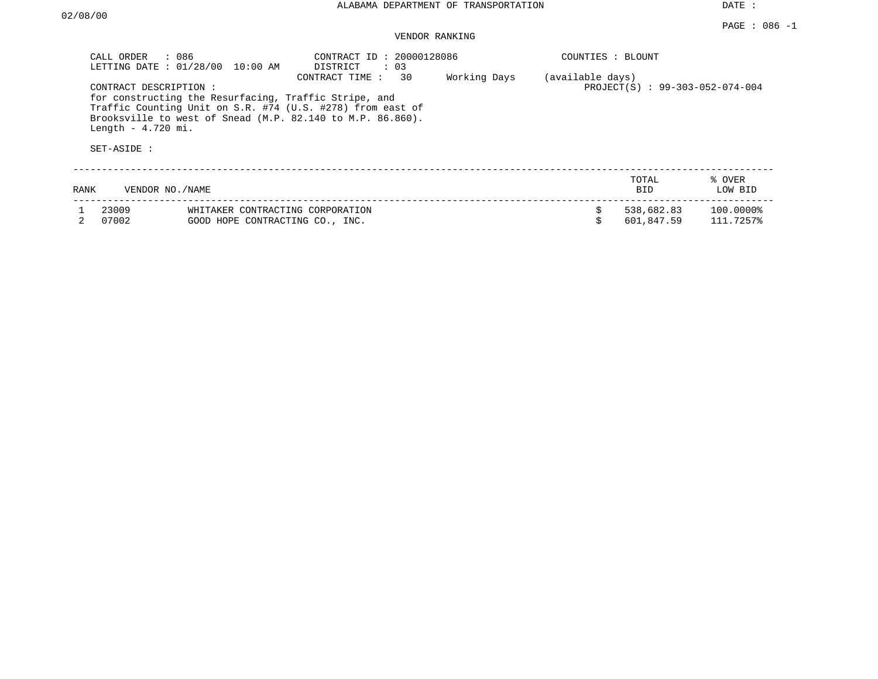|      | : 086<br>CALL ORDER<br>LETTING DATE : 01/28/00<br>10:00 AM                                                                                                                                                                                       | CONTRACT ID: 20000128086<br>DISTRICT<br>$\colon$ 03                 |              | COUNTIES : BLOUNT |                                 |                        |
|------|--------------------------------------------------------------------------------------------------------------------------------------------------------------------------------------------------------------------------------------------------|---------------------------------------------------------------------|--------------|-------------------|---------------------------------|------------------------|
|      | CONTRACT DESCRIPTION:<br>for constructing the Resurfacing, Traffic Stripe, and<br>Traffic Counting Unit on S.R. #74 (U.S. #278) from east of<br>Brooksville to west of Snead (M.P. 82.140 to M.P. 86.860).<br>Length $-4.720$ mi.<br>SET-ASIDE : | 30<br>CONTRACT TIME:                                                | Working Days | (available days)  | PROJECT(S) : 99-303-052-074-004 |                        |
| RANK | VENDOR NO. / NAME                                                                                                                                                                                                                                |                                                                     |              |                   | TOTAL<br><b>BID</b>             | % OVER<br>LOW BID      |
|      | 23009<br>07002                                                                                                                                                                                                                                   | WHITAKER CONTRACTING CORPORATION<br>GOOD HOPE CONTRACTING CO., INC. |              |                   | 538,682.83<br>601,847.59        | 100.0000%<br>111.7257% |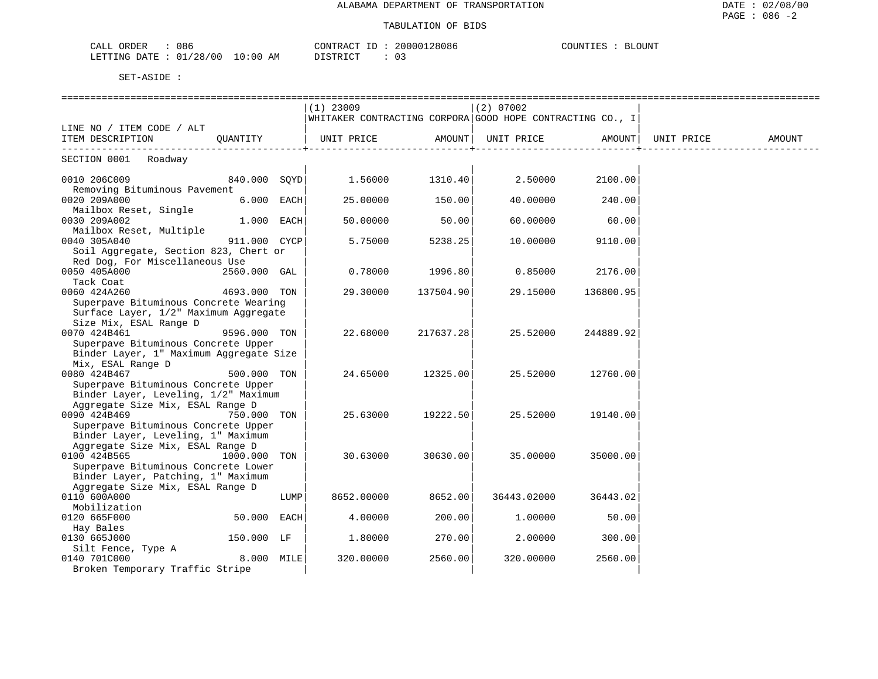| CALL ORDER<br>086               | CONTRACT ID: 20000128086 | COUNTIES : BLOUNT |  |
|---------------------------------|--------------------------|-------------------|--|
| LETTING DATE: 01/28/00 10:00 AM | 03<br>DISTRICT           |                   |  |

|                                                                                                          |              |      | $(1)$ 23009                                               |           | (2) 07002   |           |                    |        |
|----------------------------------------------------------------------------------------------------------|--------------|------|-----------------------------------------------------------|-----------|-------------|-----------|--------------------|--------|
|                                                                                                          |              |      | WHITAKER CONTRACTING CORPORA GOOD HOPE CONTRACTING CO., I |           |             |           |                    |        |
| LINE NO / ITEM CODE / ALT                                                                                |              |      |                                                           |           |             |           |                    |        |
| ITEM DESCRIPTION                                                                                         | OUANTITY     |      | UNIT PRICE AMOUNT                                         |           | UNIT PRICE  |           | AMOUNT  UNIT PRICE | AMOUNT |
| SECTION 0001 Roadway                                                                                     |              |      |                                                           |           |             |           |                    |        |
| 0010 206C009<br>Removing Bituminous Pavement                                                             | 840.000 SOYD |      | 1.56000                                                   | 1310.40   | 2.50000     | 2100.00   |                    |        |
| 0020 209A000<br>Mailbox Reset, Single                                                                    | 6.000 EACH   |      | 25.00000                                                  | 150.00    | 40.00000    | 240.00    |                    |        |
| 0030 209A002<br>Mailbox Reset, Multiple                                                                  | $1.000$ EACH |      | 50.00000                                                  | 50.00     | 60.00000    | 60.00     |                    |        |
| 0040 305A040<br>Soil Aggregate, Section 823, Chert or                                                    | 911.000 CYCP |      | 5.75000                                                   | 5238.25   | 10.00000    | 9110.00   |                    |        |
| Red Dog, For Miscellaneous Use                                                                           |              |      |                                                           |           |             |           |                    |        |
| 0050 405A000<br>Tack Coat                                                                                | 2560.000 GAL |      | 0.78000                                                   | 1996.80   | 0.85000     | 2176.00   |                    |        |
| 0060 424A260                                                                                             | 4693.000 TON |      | 29.30000                                                  | 137504.90 | 29.15000    | 136800.95 |                    |        |
| Superpave Bituminous Concrete Wearing<br>Surface Layer, 1/2" Maximum Aggregate<br>Size Mix, ESAL Range D |              |      |                                                           |           |             |           |                    |        |
| 0070 424B461                                                                                             | 9596.000 TON |      | 22.68000                                                  | 217637.28 | 25.52000    | 244889.92 |                    |        |
| Superpave Bituminous Concrete Upper<br>Binder Layer, 1" Maximum Aggregate Size<br>Mix, ESAL Range D      |              |      |                                                           |           |             |           |                    |        |
| 0080 424B467                                                                                             | 500.000 TON  |      | 24.65000                                                  | 12325.00  | 25.52000    | 12760.00  |                    |        |
| Superpave Bituminous Concrete Upper<br>Binder Layer, Leveling, 1/2" Maximum                              |              |      |                                                           |           |             |           |                    |        |
| Aggregate Size Mix, ESAL Range D<br>0090 424B469<br>Superpave Bituminous Concrete Upper                  | 750.000 TON  |      | 25.63000                                                  | 19222.50  | 25.52000    | 19140.00  |                    |        |
| Binder Layer, Leveling, 1" Maximum<br>Aggregate Size Mix, ESAL Range D                                   |              |      |                                                           |           |             |           |                    |        |
| 0100 424B565<br>Superpave Bituminous Concrete Lower                                                      | 1000.000 TON |      | 30.63000                                                  | 30630.00  | 35.00000    | 35000.00  |                    |        |
| Binder Layer, Patching, 1" Maximum<br>Aggregate Size Mix, ESAL Range D                                   |              |      |                                                           |           |             |           |                    |        |
| 0110 600A000<br>Mobilization                                                                             |              | LUMP | 8652.00000                                                | 8652.00   | 36443.02000 | 36443.02  |                    |        |
| 0120 665F000                                                                                             | 50.000 EACH  |      | 4.00000                                                   | 200.00    | 1,00000     | 50.00     |                    |        |
| Hay Bales                                                                                                |              |      |                                                           |           |             |           |                    |        |
| 0130 665J000                                                                                             | 150.000 LF   |      | 1,80000                                                   | 270.00    | 2,00000     | 300.00    |                    |        |
| Silt Fence, Type A                                                                                       |              |      |                                                           |           |             |           |                    |        |
| 0140 701C000                                                                                             | 8.000 MILE   |      | 320.00000                                                 | 2560.00   | 320.00000   | 2560.00   |                    |        |
| Broken Temporary Traffic Stripe                                                                          |              |      |                                                           |           |             |           |                    |        |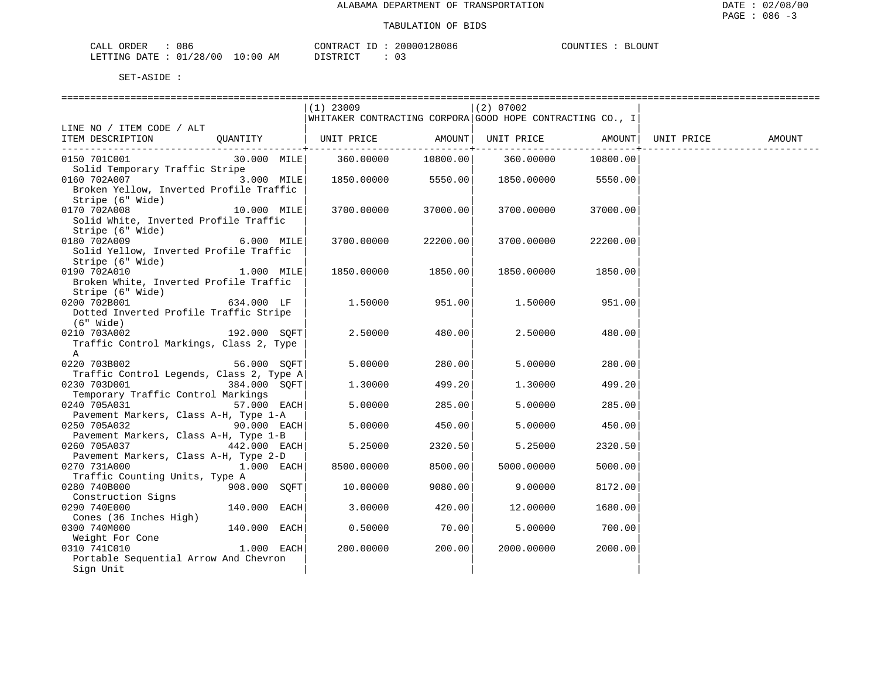| CALL ORDER             | 086 |          | CONTRACT<br>ID | $\sim$ | 20000128086 | COUNTIES | <b>BLOUNT</b> |
|------------------------|-----|----------|----------------|--------|-------------|----------|---------------|
| LETTING DATE: 01/28/00 |     | 10:00 AM | DISTRICT       |        |             |          |               |

| $(1)$ 23009<br>$(2)$ 07002<br>WHITAKER CONTRACTING CORPORA GOOD HOPE CONTRACTING CO., I<br>LINE NO / ITEM CODE / ALT<br>  UNIT PRICE AMOUNT  UNIT PRICE AMOUNT <br>QUANTITY<br>UNIT PRICE<br>ITEM DESCRIPTION<br>AMOUNT<br>10800.00 360.00000<br>0150 701C001<br>30.000 MILE 360.00000<br>10800.00<br>Solid Temporary Traffic Stripe<br>0160 702A007<br>3.000 MILE<br>1850.00000<br>5550.00  1850.00000<br>5550.00<br>Broken Yellow, Inverted Profile Traffic<br>Stripe (6" Wide)<br>10.000 MILE<br>0170 702A008<br>3700.00000 37000.00<br>3700.00000<br>37000.00<br>Solid White, Inverted Profile Traffic<br>Stripe (6" Wide)<br>0180 702A009<br>6.000 MILE<br>22200.00<br>3700.00000<br>3700.00000<br>22200.00<br>Solid Yellow, Inverted Profile Traffic<br>Stripe (6" Wide)<br>0190 702A010<br>1.000 MILE<br>1850.00000<br>1850.00<br>1850.00<br>1850.00000<br>Broken White, Inverted Profile Traffic<br>Stripe (6" Wide)<br>634.000 LF<br>0200 702B001<br>951.00<br>1.50000<br>1.50000<br>951.00<br>Dotted Inverted Profile Traffic Stripe<br>(6" Wide)<br>0210 703A002<br>192.000 SOFT<br>2.50000<br>480.00<br>2.50000<br>480.00<br>Traffic Control Markings, Class 2, Type<br>$\mathbb{A}$<br>0220 703B002<br>5.00000<br>280.00<br>56.000 SOFT<br>5.00000<br>280.00<br>Traffic Control Legends, Class 2, Type A<br>0230 703D001<br>384.000 SOFT<br>499.20<br>499.20<br>1,30000<br>1.30000<br>Temporary Traffic Control Markings<br>0240 705A031<br>$57.000$ EACH<br>5,00000<br>285.00<br>5.00000<br>285.00<br>Pavement Markers, Class A-H, Type 1-A<br>$90.000$ EACH<br>5.00000<br>450.00<br>0250 705A032<br>5.00000<br>450.00<br>Pavement Markers, Class A-H, Type 1-B<br>0260 705A037<br>442.000 EACH<br>5.25000<br>2320.50<br>5.25000<br>2320.50<br>Pavement Markers, Class A-H, Type 2-D<br>$1.000$ EACH<br>0270 731A000<br>8500.00000<br>8500.00<br>5000.00000<br>5000.00<br>Traffic Counting Units, Type A<br>0280 740B000<br>908.000 SOFT<br>10.00000<br>9080.00<br>9.00000<br>8172.00<br>Construction Signs<br>0290 740E000<br>140.000 EACH<br>3.00000<br>420.00<br>12.00000<br>1680.00<br>Cones (36 Inches High)<br>70.00<br>140.000 EACH<br>0300 740M000<br>0.50000<br>5.00000<br>700.00<br>Weight For Cone<br>$1.000$ EACH<br>0310 741C010<br>200.00000<br>200.00<br>2000.00000<br>2000.00<br>Portable Sequential Arrow And Chevron<br>Sign Unit |  |  |  |  |
|-------------------------------------------------------------------------------------------------------------------------------------------------------------------------------------------------------------------------------------------------------------------------------------------------------------------------------------------------------------------------------------------------------------------------------------------------------------------------------------------------------------------------------------------------------------------------------------------------------------------------------------------------------------------------------------------------------------------------------------------------------------------------------------------------------------------------------------------------------------------------------------------------------------------------------------------------------------------------------------------------------------------------------------------------------------------------------------------------------------------------------------------------------------------------------------------------------------------------------------------------------------------------------------------------------------------------------------------------------------------------------------------------------------------------------------------------------------------------------------------------------------------------------------------------------------------------------------------------------------------------------------------------------------------------------------------------------------------------------------------------------------------------------------------------------------------------------------------------------------------------------------------------------------------------------------------------------------------------------------------------------------------------------------------------------------------------------------------------------------------------------------------------------------------------------------------------------------------------------------------------------------------------------------------------------------------------------------------------------------------|--|--|--|--|
|                                                                                                                                                                                                                                                                                                                                                                                                                                                                                                                                                                                                                                                                                                                                                                                                                                                                                                                                                                                                                                                                                                                                                                                                                                                                                                                                                                                                                                                                                                                                                                                                                                                                                                                                                                                                                                                                                                                                                                                                                                                                                                                                                                                                                                                                                                                                                                   |  |  |  |  |
|                                                                                                                                                                                                                                                                                                                                                                                                                                                                                                                                                                                                                                                                                                                                                                                                                                                                                                                                                                                                                                                                                                                                                                                                                                                                                                                                                                                                                                                                                                                                                                                                                                                                                                                                                                                                                                                                                                                                                                                                                                                                                                                                                                                                                                                                                                                                                                   |  |  |  |  |
|                                                                                                                                                                                                                                                                                                                                                                                                                                                                                                                                                                                                                                                                                                                                                                                                                                                                                                                                                                                                                                                                                                                                                                                                                                                                                                                                                                                                                                                                                                                                                                                                                                                                                                                                                                                                                                                                                                                                                                                                                                                                                                                                                                                                                                                                                                                                                                   |  |  |  |  |
|                                                                                                                                                                                                                                                                                                                                                                                                                                                                                                                                                                                                                                                                                                                                                                                                                                                                                                                                                                                                                                                                                                                                                                                                                                                                                                                                                                                                                                                                                                                                                                                                                                                                                                                                                                                                                                                                                                                                                                                                                                                                                                                                                                                                                                                                                                                                                                   |  |  |  |  |
|                                                                                                                                                                                                                                                                                                                                                                                                                                                                                                                                                                                                                                                                                                                                                                                                                                                                                                                                                                                                                                                                                                                                                                                                                                                                                                                                                                                                                                                                                                                                                                                                                                                                                                                                                                                                                                                                                                                                                                                                                                                                                                                                                                                                                                                                                                                                                                   |  |  |  |  |
|                                                                                                                                                                                                                                                                                                                                                                                                                                                                                                                                                                                                                                                                                                                                                                                                                                                                                                                                                                                                                                                                                                                                                                                                                                                                                                                                                                                                                                                                                                                                                                                                                                                                                                                                                                                                                                                                                                                                                                                                                                                                                                                                                                                                                                                                                                                                                                   |  |  |  |  |
|                                                                                                                                                                                                                                                                                                                                                                                                                                                                                                                                                                                                                                                                                                                                                                                                                                                                                                                                                                                                                                                                                                                                                                                                                                                                                                                                                                                                                                                                                                                                                                                                                                                                                                                                                                                                                                                                                                                                                                                                                                                                                                                                                                                                                                                                                                                                                                   |  |  |  |  |
|                                                                                                                                                                                                                                                                                                                                                                                                                                                                                                                                                                                                                                                                                                                                                                                                                                                                                                                                                                                                                                                                                                                                                                                                                                                                                                                                                                                                                                                                                                                                                                                                                                                                                                                                                                                                                                                                                                                                                                                                                                                                                                                                                                                                                                                                                                                                                                   |  |  |  |  |
|                                                                                                                                                                                                                                                                                                                                                                                                                                                                                                                                                                                                                                                                                                                                                                                                                                                                                                                                                                                                                                                                                                                                                                                                                                                                                                                                                                                                                                                                                                                                                                                                                                                                                                                                                                                                                                                                                                                                                                                                                                                                                                                                                                                                                                                                                                                                                                   |  |  |  |  |
|                                                                                                                                                                                                                                                                                                                                                                                                                                                                                                                                                                                                                                                                                                                                                                                                                                                                                                                                                                                                                                                                                                                                                                                                                                                                                                                                                                                                                                                                                                                                                                                                                                                                                                                                                                                                                                                                                                                                                                                                                                                                                                                                                                                                                                                                                                                                                                   |  |  |  |  |
|                                                                                                                                                                                                                                                                                                                                                                                                                                                                                                                                                                                                                                                                                                                                                                                                                                                                                                                                                                                                                                                                                                                                                                                                                                                                                                                                                                                                                                                                                                                                                                                                                                                                                                                                                                                                                                                                                                                                                                                                                                                                                                                                                                                                                                                                                                                                                                   |  |  |  |  |
|                                                                                                                                                                                                                                                                                                                                                                                                                                                                                                                                                                                                                                                                                                                                                                                                                                                                                                                                                                                                                                                                                                                                                                                                                                                                                                                                                                                                                                                                                                                                                                                                                                                                                                                                                                                                                                                                                                                                                                                                                                                                                                                                                                                                                                                                                                                                                                   |  |  |  |  |
|                                                                                                                                                                                                                                                                                                                                                                                                                                                                                                                                                                                                                                                                                                                                                                                                                                                                                                                                                                                                                                                                                                                                                                                                                                                                                                                                                                                                                                                                                                                                                                                                                                                                                                                                                                                                                                                                                                                                                                                                                                                                                                                                                                                                                                                                                                                                                                   |  |  |  |  |
|                                                                                                                                                                                                                                                                                                                                                                                                                                                                                                                                                                                                                                                                                                                                                                                                                                                                                                                                                                                                                                                                                                                                                                                                                                                                                                                                                                                                                                                                                                                                                                                                                                                                                                                                                                                                                                                                                                                                                                                                                                                                                                                                                                                                                                                                                                                                                                   |  |  |  |  |
|                                                                                                                                                                                                                                                                                                                                                                                                                                                                                                                                                                                                                                                                                                                                                                                                                                                                                                                                                                                                                                                                                                                                                                                                                                                                                                                                                                                                                                                                                                                                                                                                                                                                                                                                                                                                                                                                                                                                                                                                                                                                                                                                                                                                                                                                                                                                                                   |  |  |  |  |
|                                                                                                                                                                                                                                                                                                                                                                                                                                                                                                                                                                                                                                                                                                                                                                                                                                                                                                                                                                                                                                                                                                                                                                                                                                                                                                                                                                                                                                                                                                                                                                                                                                                                                                                                                                                                                                                                                                                                                                                                                                                                                                                                                                                                                                                                                                                                                                   |  |  |  |  |
|                                                                                                                                                                                                                                                                                                                                                                                                                                                                                                                                                                                                                                                                                                                                                                                                                                                                                                                                                                                                                                                                                                                                                                                                                                                                                                                                                                                                                                                                                                                                                                                                                                                                                                                                                                                                                                                                                                                                                                                                                                                                                                                                                                                                                                                                                                                                                                   |  |  |  |  |
|                                                                                                                                                                                                                                                                                                                                                                                                                                                                                                                                                                                                                                                                                                                                                                                                                                                                                                                                                                                                                                                                                                                                                                                                                                                                                                                                                                                                                                                                                                                                                                                                                                                                                                                                                                                                                                                                                                                                                                                                                                                                                                                                                                                                                                                                                                                                                                   |  |  |  |  |
|                                                                                                                                                                                                                                                                                                                                                                                                                                                                                                                                                                                                                                                                                                                                                                                                                                                                                                                                                                                                                                                                                                                                                                                                                                                                                                                                                                                                                                                                                                                                                                                                                                                                                                                                                                                                                                                                                                                                                                                                                                                                                                                                                                                                                                                                                                                                                                   |  |  |  |  |
|                                                                                                                                                                                                                                                                                                                                                                                                                                                                                                                                                                                                                                                                                                                                                                                                                                                                                                                                                                                                                                                                                                                                                                                                                                                                                                                                                                                                                                                                                                                                                                                                                                                                                                                                                                                                                                                                                                                                                                                                                                                                                                                                                                                                                                                                                                                                                                   |  |  |  |  |
|                                                                                                                                                                                                                                                                                                                                                                                                                                                                                                                                                                                                                                                                                                                                                                                                                                                                                                                                                                                                                                                                                                                                                                                                                                                                                                                                                                                                                                                                                                                                                                                                                                                                                                                                                                                                                                                                                                                                                                                                                                                                                                                                                                                                                                                                                                                                                                   |  |  |  |  |
|                                                                                                                                                                                                                                                                                                                                                                                                                                                                                                                                                                                                                                                                                                                                                                                                                                                                                                                                                                                                                                                                                                                                                                                                                                                                                                                                                                                                                                                                                                                                                                                                                                                                                                                                                                                                                                                                                                                                                                                                                                                                                                                                                                                                                                                                                                                                                                   |  |  |  |  |
|                                                                                                                                                                                                                                                                                                                                                                                                                                                                                                                                                                                                                                                                                                                                                                                                                                                                                                                                                                                                                                                                                                                                                                                                                                                                                                                                                                                                                                                                                                                                                                                                                                                                                                                                                                                                                                                                                                                                                                                                                                                                                                                                                                                                                                                                                                                                                                   |  |  |  |  |
|                                                                                                                                                                                                                                                                                                                                                                                                                                                                                                                                                                                                                                                                                                                                                                                                                                                                                                                                                                                                                                                                                                                                                                                                                                                                                                                                                                                                                                                                                                                                                                                                                                                                                                                                                                                                                                                                                                                                                                                                                                                                                                                                                                                                                                                                                                                                                                   |  |  |  |  |
|                                                                                                                                                                                                                                                                                                                                                                                                                                                                                                                                                                                                                                                                                                                                                                                                                                                                                                                                                                                                                                                                                                                                                                                                                                                                                                                                                                                                                                                                                                                                                                                                                                                                                                                                                                                                                                                                                                                                                                                                                                                                                                                                                                                                                                                                                                                                                                   |  |  |  |  |
|                                                                                                                                                                                                                                                                                                                                                                                                                                                                                                                                                                                                                                                                                                                                                                                                                                                                                                                                                                                                                                                                                                                                                                                                                                                                                                                                                                                                                                                                                                                                                                                                                                                                                                                                                                                                                                                                                                                                                                                                                                                                                                                                                                                                                                                                                                                                                                   |  |  |  |  |
|                                                                                                                                                                                                                                                                                                                                                                                                                                                                                                                                                                                                                                                                                                                                                                                                                                                                                                                                                                                                                                                                                                                                                                                                                                                                                                                                                                                                                                                                                                                                                                                                                                                                                                                                                                                                                                                                                                                                                                                                                                                                                                                                                                                                                                                                                                                                                                   |  |  |  |  |
|                                                                                                                                                                                                                                                                                                                                                                                                                                                                                                                                                                                                                                                                                                                                                                                                                                                                                                                                                                                                                                                                                                                                                                                                                                                                                                                                                                                                                                                                                                                                                                                                                                                                                                                                                                                                                                                                                                                                                                                                                                                                                                                                                                                                                                                                                                                                                                   |  |  |  |  |
|                                                                                                                                                                                                                                                                                                                                                                                                                                                                                                                                                                                                                                                                                                                                                                                                                                                                                                                                                                                                                                                                                                                                                                                                                                                                                                                                                                                                                                                                                                                                                                                                                                                                                                                                                                                                                                                                                                                                                                                                                                                                                                                                                                                                                                                                                                                                                                   |  |  |  |  |
|                                                                                                                                                                                                                                                                                                                                                                                                                                                                                                                                                                                                                                                                                                                                                                                                                                                                                                                                                                                                                                                                                                                                                                                                                                                                                                                                                                                                                                                                                                                                                                                                                                                                                                                                                                                                                                                                                                                                                                                                                                                                                                                                                                                                                                                                                                                                                                   |  |  |  |  |
|                                                                                                                                                                                                                                                                                                                                                                                                                                                                                                                                                                                                                                                                                                                                                                                                                                                                                                                                                                                                                                                                                                                                                                                                                                                                                                                                                                                                                                                                                                                                                                                                                                                                                                                                                                                                                                                                                                                                                                                                                                                                                                                                                                                                                                                                                                                                                                   |  |  |  |  |
|                                                                                                                                                                                                                                                                                                                                                                                                                                                                                                                                                                                                                                                                                                                                                                                                                                                                                                                                                                                                                                                                                                                                                                                                                                                                                                                                                                                                                                                                                                                                                                                                                                                                                                                                                                                                                                                                                                                                                                                                                                                                                                                                                                                                                                                                                                                                                                   |  |  |  |  |
|                                                                                                                                                                                                                                                                                                                                                                                                                                                                                                                                                                                                                                                                                                                                                                                                                                                                                                                                                                                                                                                                                                                                                                                                                                                                                                                                                                                                                                                                                                                                                                                                                                                                                                                                                                                                                                                                                                                                                                                                                                                                                                                                                                                                                                                                                                                                                                   |  |  |  |  |
|                                                                                                                                                                                                                                                                                                                                                                                                                                                                                                                                                                                                                                                                                                                                                                                                                                                                                                                                                                                                                                                                                                                                                                                                                                                                                                                                                                                                                                                                                                                                                                                                                                                                                                                                                                                                                                                                                                                                                                                                                                                                                                                                                                                                                                                                                                                                                                   |  |  |  |  |
|                                                                                                                                                                                                                                                                                                                                                                                                                                                                                                                                                                                                                                                                                                                                                                                                                                                                                                                                                                                                                                                                                                                                                                                                                                                                                                                                                                                                                                                                                                                                                                                                                                                                                                                                                                                                                                                                                                                                                                                                                                                                                                                                                                                                                                                                                                                                                                   |  |  |  |  |
|                                                                                                                                                                                                                                                                                                                                                                                                                                                                                                                                                                                                                                                                                                                                                                                                                                                                                                                                                                                                                                                                                                                                                                                                                                                                                                                                                                                                                                                                                                                                                                                                                                                                                                                                                                                                                                                                                                                                                                                                                                                                                                                                                                                                                                                                                                                                                                   |  |  |  |  |
|                                                                                                                                                                                                                                                                                                                                                                                                                                                                                                                                                                                                                                                                                                                                                                                                                                                                                                                                                                                                                                                                                                                                                                                                                                                                                                                                                                                                                                                                                                                                                                                                                                                                                                                                                                                                                                                                                                                                                                                                                                                                                                                                                                                                                                                                                                                                                                   |  |  |  |  |
|                                                                                                                                                                                                                                                                                                                                                                                                                                                                                                                                                                                                                                                                                                                                                                                                                                                                                                                                                                                                                                                                                                                                                                                                                                                                                                                                                                                                                                                                                                                                                                                                                                                                                                                                                                                                                                                                                                                                                                                                                                                                                                                                                                                                                                                                                                                                                                   |  |  |  |  |
|                                                                                                                                                                                                                                                                                                                                                                                                                                                                                                                                                                                                                                                                                                                                                                                                                                                                                                                                                                                                                                                                                                                                                                                                                                                                                                                                                                                                                                                                                                                                                                                                                                                                                                                                                                                                                                                                                                                                                                                                                                                                                                                                                                                                                                                                                                                                                                   |  |  |  |  |
|                                                                                                                                                                                                                                                                                                                                                                                                                                                                                                                                                                                                                                                                                                                                                                                                                                                                                                                                                                                                                                                                                                                                                                                                                                                                                                                                                                                                                                                                                                                                                                                                                                                                                                                                                                                                                                                                                                                                                                                                                                                                                                                                                                                                                                                                                                                                                                   |  |  |  |  |
|                                                                                                                                                                                                                                                                                                                                                                                                                                                                                                                                                                                                                                                                                                                                                                                                                                                                                                                                                                                                                                                                                                                                                                                                                                                                                                                                                                                                                                                                                                                                                                                                                                                                                                                                                                                                                                                                                                                                                                                                                                                                                                                                                                                                                                                                                                                                                                   |  |  |  |  |
|                                                                                                                                                                                                                                                                                                                                                                                                                                                                                                                                                                                                                                                                                                                                                                                                                                                                                                                                                                                                                                                                                                                                                                                                                                                                                                                                                                                                                                                                                                                                                                                                                                                                                                                                                                                                                                                                                                                                                                                                                                                                                                                                                                                                                                                                                                                                                                   |  |  |  |  |
|                                                                                                                                                                                                                                                                                                                                                                                                                                                                                                                                                                                                                                                                                                                                                                                                                                                                                                                                                                                                                                                                                                                                                                                                                                                                                                                                                                                                                                                                                                                                                                                                                                                                                                                                                                                                                                                                                                                                                                                                                                                                                                                                                                                                                                                                                                                                                                   |  |  |  |  |
|                                                                                                                                                                                                                                                                                                                                                                                                                                                                                                                                                                                                                                                                                                                                                                                                                                                                                                                                                                                                                                                                                                                                                                                                                                                                                                                                                                                                                                                                                                                                                                                                                                                                                                                                                                                                                                                                                                                                                                                                                                                                                                                                                                                                                                                                                                                                                                   |  |  |  |  |
|                                                                                                                                                                                                                                                                                                                                                                                                                                                                                                                                                                                                                                                                                                                                                                                                                                                                                                                                                                                                                                                                                                                                                                                                                                                                                                                                                                                                                                                                                                                                                                                                                                                                                                                                                                                                                                                                                                                                                                                                                                                                                                                                                                                                                                                                                                                                                                   |  |  |  |  |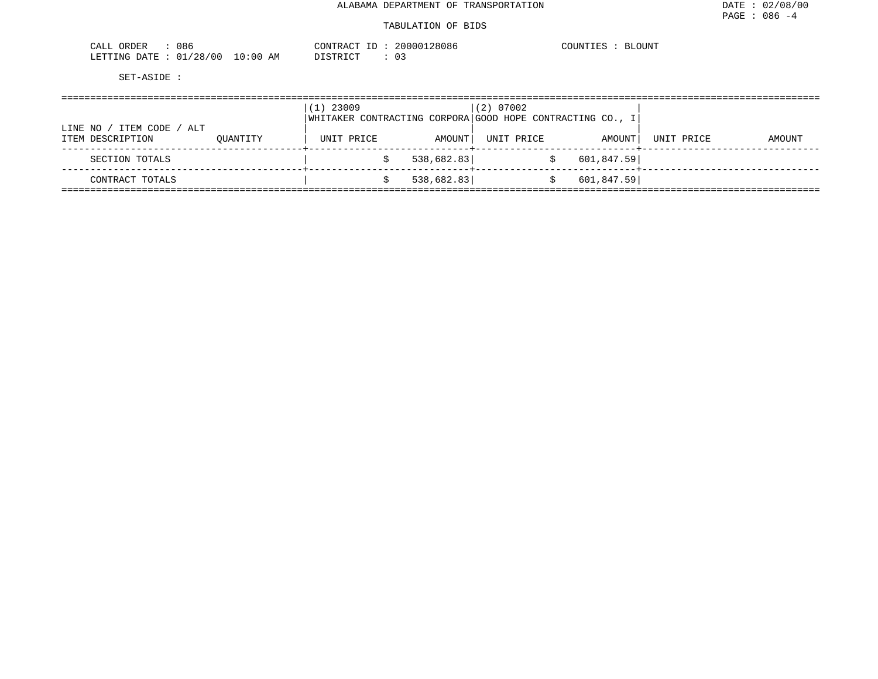#### TABULATION OF BIDS

| ORDER<br>۱ο.<br>υσς<br>◡▴▴        | <b>AONTED</b>               | 28086<br>ח ח חי | LOUNT<br>C<br>تطلب<br>∍ ⊥ |
|-----------------------------------|-----------------------------|-----------------|---------------------------|
| $' \cap$<br>mmm<br>1 IN C<br>20 O | פרה ל<br>AM<br>(1:00<br>. . | ◡ ◡             |                           |

|                                                |          | $(1)$ 23009 |            | $(2)$ 07002                                                              |            |            |        |
|------------------------------------------------|----------|-------------|------------|--------------------------------------------------------------------------|------------|------------|--------|
| ITEM CODE / ALT<br>LINE NO<br>ITEM DESCRIPTION | OUANTITY | UNIT PRICE  | AMOUNT     | WHITAKER CONTRACTING CORPORA GOOD HOPE CONTRACTING CO., I <br>UNIT PRICE | AMOUNT     | UNIT PRICE | AMOUNT |
| SECTION TOTALS                                 |          |             | 538,682.83 |                                                                          | 601,847.59 |            |        |
| CONTRACT TOTALS                                |          |             | 538,682.83 |                                                                          | 601,847.59 |            |        |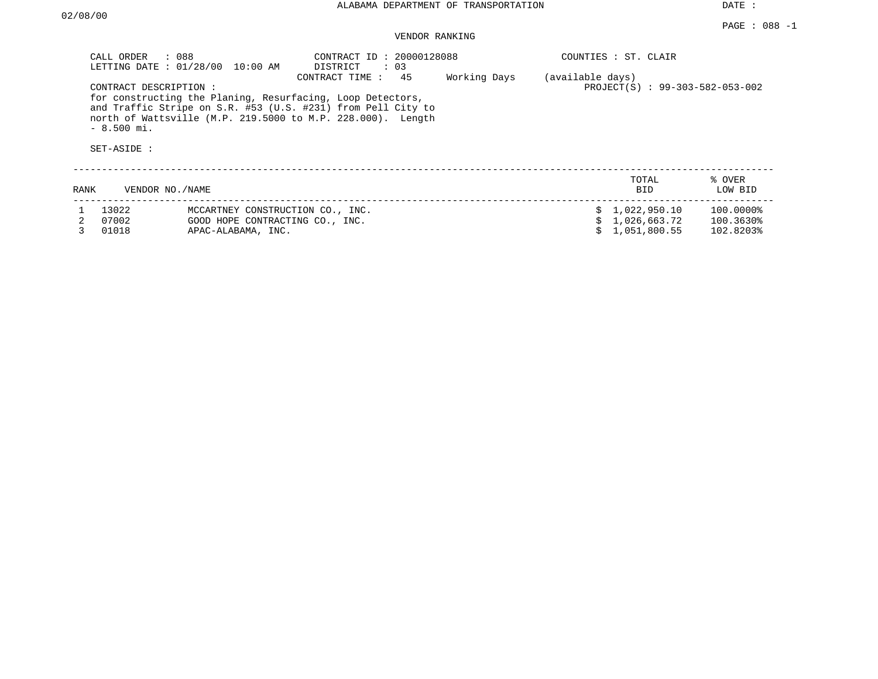|      | CALL ORDER<br>: 088<br>CONTRACT DESCRIPTION: | LETTING DATE : 01/28/00 10:00 AM<br>for constructing the Planing, Resurfacing, Loop Detectors,<br>and Traffic Stripe on S.R. #53 (U.S. #231) from Pell City to | CONTRACT ID: 20000128088<br>DISTRICT : 03<br>CONTRACT TIME : 45 | Working Days | (available days) | COUNTIES : ST. CLAIR<br>PROJECT(S) : 99-303-582-053-002 |                   |
|------|----------------------------------------------|----------------------------------------------------------------------------------------------------------------------------------------------------------------|-----------------------------------------------------------------|--------------|------------------|---------------------------------------------------------|-------------------|
|      | $-8.500$ mi.                                 | north of Wattsville (M.P. 219.5000 to M.P. 228.000). Length                                                                                                    |                                                                 |              |                  |                                                         |                   |
|      |                                              |                                                                                                                                                                |                                                                 |              |                  |                                                         |                   |
|      | SET-ASIDE :                                  |                                                                                                                                                                |                                                                 |              |                  |                                                         |                   |
|      |                                              |                                                                                                                                                                |                                                                 |              |                  |                                                         |                   |
| RANK | VENDOR NO./NAME                              |                                                                                                                                                                |                                                                 |              |                  | TOTAL<br><b>BID</b>                                     | % OVER<br>LOW BID |
|      |                                              |                                                                                                                                                                |                                                                 |              |                  |                                                         |                   |
|      | 13022                                        | MCCARTNEY CONSTRUCTION CO., INC.                                                                                                                               |                                                                 |              |                  | \$1,022,950.10                                          | 100.0000%         |
|      | 07002                                        | GOOD HOPE CONTRACTING CO., INC.                                                                                                                                |                                                                 |              |                  | \$1,026,663.72                                          | 100.3630%         |
|      | 01018                                        | APAC-ALABAMA, INC.                                                                                                                                             |                                                                 |              |                  | 1,051,800.55                                            | 102.8203%         |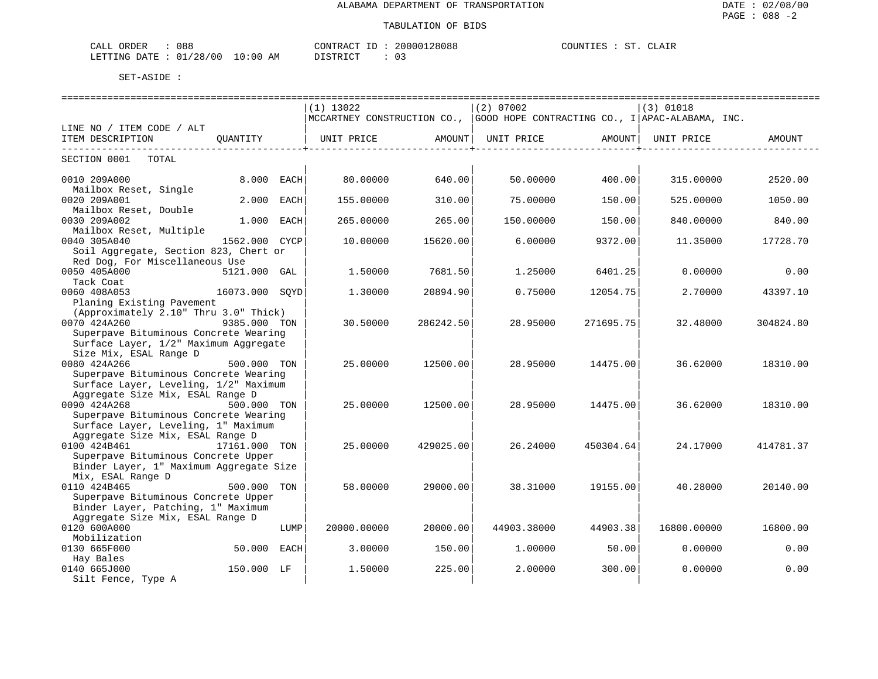#### TABULATION OF BIDS

| CALI<br>ORDER   | 088               |             | CONTRACT      | 20000128088 | COUNTIES | CLAIR<br>cт |
|-----------------|-------------------|-------------|---------------|-------------|----------|-------------|
| LETTING<br>DATE | /00<br>01<br>'28' | 10:00<br>AM | DISTRICT<br>. | ັ           |          |             |

|                                         |                |             | $(1)$ 13022                                                                 |                       | (2) 07002   |                    | (3) 01018   |           |
|-----------------------------------------|----------------|-------------|-----------------------------------------------------------------------------|-----------------------|-------------|--------------------|-------------|-----------|
|                                         |                |             | MCCARTNEY CONSTRUCTION CO., GOOD HOPE CONTRACTING CO., I APAC-ALABAMA, INC. |                       |             |                    |             |           |
| LINE NO / ITEM CODE / ALT               |                |             |                                                                             |                       |             |                    |             |           |
| ITEM DESCRIPTION                        | OUANTITY       |             | UNIT PRICE                                                                  | AMOUNT                | UNIT PRICE  | AMOUNT             | UNIT PRICE  | AMOUNT    |
|                                         |                |             |                                                                             | ----------------+---- |             | -----------------+ |             |           |
| SECTION 0001<br>TOTAL                   |                |             |                                                                             |                       |             |                    |             |           |
| 0010 209A000                            | 8.000 EACH     |             | 80.00000                                                                    | 640.00                | 50.00000    | 400.00             | 315.00000   | 2520.00   |
| Mailbox Reset, Single                   |                |             |                                                                             |                       |             |                    |             |           |
| 0020 209A001                            | 2.000          | EACH        | 155.00000                                                                   | 310.00                | 75.00000    | 150.00             | 525.00000   | 1050.00   |
| Mailbox Reset, Double                   |                |             |                                                                             |                       |             |                    |             |           |
| 0030 209A002                            | 1.000 EACH     |             | 265.00000                                                                   | 265.00                | 150.00000   | 150.00             | 840.00000   | 840.00    |
| Mailbox Reset, Multiple                 |                |             |                                                                             |                       |             |                    |             |           |
| 0040 305A040                            | 1562.000       | <b>CYCP</b> | 10.00000                                                                    | 15620.00              | 6,00000     | 9372.00            | 11.35000    | 17728.70  |
| Soil Aggregate, Section 823, Chert or   |                |             |                                                                             |                       |             |                    |             |           |
| Red Dog, For Miscellaneous Use          |                |             |                                                                             |                       |             |                    |             |           |
| 0050 405A000                            | 5121.000 GAL   |             | 1,50000                                                                     | 7681.50               | 1,25000     | 6401.25            | 0.00000     | 0.00      |
| Tack Coat                               |                |             |                                                                             |                       |             |                    |             |           |
| 0060 408A053                            | 16073.000 SOYD |             | 1.30000                                                                     | 20894.90              | 0.75000     | 12054.75           | 2.70000     | 43397.10  |
| Planing Existing Pavement               |                |             |                                                                             |                       |             |                    |             |           |
| (Approximately 2.10" Thru 3.0" Thick)   |                |             |                                                                             |                       |             |                    |             |           |
| 0070 424A260                            | 9385.000 TON   |             | 30.50000                                                                    | 286242.50             | 28.95000    | 271695.75          | 32.48000    | 304824.80 |
| Superpave Bituminous Concrete Wearing   |                |             |                                                                             |                       |             |                    |             |           |
| Surface Layer, 1/2" Maximum Aggregate   |                |             |                                                                             |                       |             |                    |             |           |
| Size Mix, ESAL Range D                  |                |             |                                                                             |                       |             |                    |             |           |
| 0080 424A266                            | 500.000 TON    |             | 25.00000                                                                    | 12500.00              | 28.95000    | 14475.00           | 36.62000    | 18310.00  |
| Superpave Bituminous Concrete Wearing   |                |             |                                                                             |                       |             |                    |             |           |
| Surface Layer, Leveling, 1/2" Maximum   |                |             |                                                                             |                       |             |                    |             |           |
| Aggregate Size Mix, ESAL Range D        |                |             |                                                                             |                       |             |                    |             |           |
| 0090 424A268                            | 500.000 TON    |             | 25.00000                                                                    | 12500.00              | 28.95000    | 14475.00           | 36.62000    | 18310.00  |
| Superpave Bituminous Concrete Wearing   |                |             |                                                                             |                       |             |                    |             |           |
| Surface Layer, Leveling, 1" Maximum     |                |             |                                                                             |                       |             |                    |             |           |
| Aggregate Size Mix, ESAL Range D        |                |             |                                                                             |                       |             |                    |             |           |
| 0100 424B461                            | 17161.000 TON  |             | 25.00000                                                                    | 429025.00             | 26.24000    | 450304.64          | 24.17000    | 414781.37 |
| Superpave Bituminous Concrete Upper     |                |             |                                                                             |                       |             |                    |             |           |
| Binder Layer, 1" Maximum Aggregate Size |                |             |                                                                             |                       |             |                    |             |           |
| Mix, ESAL Range D                       |                |             |                                                                             |                       |             |                    |             |           |
| 0110 424B465                            | 500.000        | TON         | 58.00000                                                                    | 29000.00              | 38.31000    | 19155.00           | 40.28000    | 20140.00  |
| Superpave Bituminous Concrete Upper     |                |             |                                                                             |                       |             |                    |             |           |
| Binder Layer, Patching, 1" Maximum      |                |             |                                                                             |                       |             |                    |             |           |
| Aggregate Size Mix, ESAL Range D        |                |             |                                                                             |                       |             |                    |             |           |
| 0120 600A000                            |                | LUMP        | 20000.00000                                                                 | 20000.00              | 44903.38000 | 44903.38           | 16800.00000 | 16800.00  |
| Mobilization                            |                |             |                                                                             |                       |             |                    |             |           |
| 0130 665F000                            | 50.000         | EACH        | 3.00000                                                                     | 150.00                | 1,00000     | 50.00              | 0.00000     | 0.00      |
| Hay Bales                               |                |             |                                                                             |                       |             |                    |             |           |
| 0140 665J000                            | 150.000 LF     |             | 1.50000                                                                     | 225.00                | 2,00000     | 300.00             | 0.00000     | 0.00      |
| Silt Fence, Type A                      |                |             |                                                                             |                       |             |                    |             |           |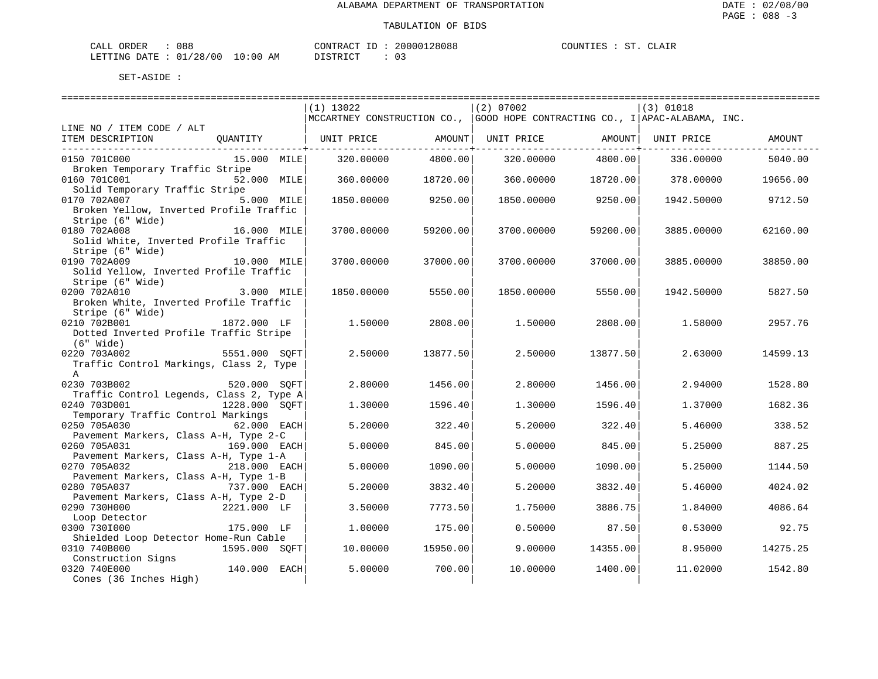| CALL ORDER                       | 088 |          | CONTRACT ID: 20000128088 | COUNTIES : ST. CLAIR |  |  |
|----------------------------------|-----|----------|--------------------------|----------------------|--|--|
| LETTING DATE : 01/28/00 10:00 AM |     | DISTRICT |                          |                      |  |  |

|                                          |               | $(1)$ 13022                                                                    |          | $(2)$ 07002        |          | (3) 01018  |          |
|------------------------------------------|---------------|--------------------------------------------------------------------------------|----------|--------------------|----------|------------|----------|
|                                          |               | MCCARTNEY CONSTRUCTION CO.,  GOOD HOPE CONTRACTING CO., I   APAC-ALABAMA, INC. |          |                    |          |            |          |
| LINE NO / ITEM CODE / ALT                |               |                                                                                |          |                    |          |            |          |
| ITEM DESCRIPTION                         |               | QUANTITY   UNIT PRICE                                                          |          | AMOUNT  UNIT PRICE | AMOUNT   | UNIT PRICE | AMOUNT   |
|                                          |               |                                                                                |          |                    |          |            |          |
| 0150 701C000                             | 15.000 MILE   | 320.00000                                                                      | 4800.00  | 320.00000          | 4800.00  | 336.00000  | 5040.00  |
| Broken Temporary Traffic Stripe          |               |                                                                                |          |                    |          |            |          |
| 0160 701C001                             | 52.000 MILE   | 360.00000                                                                      | 18720.00 | 360.00000          | 18720.00 | 378.00000  | 19656.00 |
| Solid Temporary Traffic Stripe           |               |                                                                                |          |                    |          |            |          |
| 0170 702A007                             | 5.000 MILE    | 1850.00000                                                                     | 9250.00  | 1850.00000         | 9250.00  | 1942.50000 | 9712.50  |
| Broken Yellow, Inverted Profile Traffic  |               |                                                                                |          |                    |          |            |          |
| Stripe (6" Wide)                         |               |                                                                                |          |                    |          |            |          |
| 0180 702A008                             | 16.000 MILE   | 3700.00000                                                                     | 59200.00 | 3700.00000         | 59200.00 | 3885,00000 | 62160.00 |
| Solid White, Inverted Profile Traffic    |               |                                                                                |          |                    |          |            |          |
| Stripe (6" Wide)                         |               |                                                                                |          |                    |          |            |          |
| 0190 702A009                             | 10.000 MILE   | 3700.00000                                                                     | 37000.00 | 3700.00000         | 37000.00 | 3885.00000 | 38850.00 |
| Solid Yellow, Inverted Profile Traffic   |               |                                                                                |          |                    |          |            |          |
| Stripe (6" Wide)                         |               |                                                                                |          |                    |          |            |          |
| 0200 702A010                             | 3.000 MILE    |                                                                                |          |                    |          |            |          |
|                                          |               | 1850.00000                                                                     | 5550.00  | 1850.00000         | 5550.00  | 1942.50000 | 5827.50  |
| Broken White, Inverted Profile Traffic   |               |                                                                                |          |                    |          |            |          |
| Stripe (6" Wide)                         |               |                                                                                |          |                    |          |            |          |
| 0210 702B001                             | 1872.000 LF   | 1.50000                                                                        | 2808.00  | 1.50000            | 2808.00  | 1.58000    | 2957.76  |
| Dotted Inverted Profile Traffic Stripe   |               |                                                                                |          |                    |          |            |          |
| $(6"$ Wide)                              |               |                                                                                |          |                    |          |            |          |
| 0220 703A002                             | 5551.000 SOFT | 2.50000                                                                        | 13877.50 | 2.50000            | 13877.50 | 2.63000    | 14599.13 |
| Traffic Control Markings, Class 2, Type  |               |                                                                                |          |                    |          |            |          |
| $\mathbb{A}$                             |               |                                                                                |          |                    |          |            |          |
| 0230 703B002                             | 520.000 SOFT  | 2.80000                                                                        | 1456.00  | 2.80000            | 1456.00  | 2.94000    | 1528.80  |
| Traffic Control Legends, Class 2, Type A |               |                                                                                |          |                    |          |            |          |
| 0240 703D001                             | 1228.000 SOFT | 1.30000                                                                        | 1596.40  | 1,30000            | 1596.40  | 1,37000    | 1682.36  |
| Temporary Traffic Control Markings       |               |                                                                                |          |                    |          |            |          |
| 0250 705A030                             | 62.000 EACH   | 5.20000                                                                        | 322.40   | 5.20000            | 322.40   | 5.46000    | 338.52   |
| Pavement Markers, Class A-H, Type 2-C    |               |                                                                                |          |                    |          |            |          |
| 0260 705A031                             | 169.000 EACH  | 5.00000                                                                        | 845.00   | 5.00000            | 845.00   | 5.25000    | 887.25   |
| Pavement Markers, Class A-H, Type 1-A    |               |                                                                                |          |                    |          |            |          |
| 0270 705A032                             | 218.000 EACH  | 5.00000                                                                        | 1090.00  | 5.00000            | 1090.00  | 5.25000    | 1144.50  |
| Pavement Markers, Class A-H, Type 1-B    |               |                                                                                |          |                    |          |            |          |
| 0280 705A037<br>737.000 EACH             |               | 5.20000                                                                        | 3832.40  | 5.20000            | 3832.40  | 5.46000    | 4024.02  |
| Pavement Markers, Class A-H, Type 2-D    |               |                                                                                |          |                    |          |            |          |
| 0290 730H000                             | 2221.000 LF   | 3.50000                                                                        | 7773.50  | 1.75000            | 3886.75  | 1.84000    | 4086.64  |
| Loop Detector                            |               |                                                                                |          |                    |          |            |          |
| 0300 7301000                             | 175.000 LF    | 1,00000                                                                        | 175.00   | 0.50000            | 87.50    | 0.53000    | 92.75    |
| Shielded Loop Detector Home-Run Cable    |               |                                                                                |          |                    |          |            |          |
| 0310 740B000                             | 1595.000 SOFT | 10.00000                                                                       | 15950.00 | 9,00000            | 14355.00 | 8.95000    | 14275.25 |
| Construction Signs                       |               |                                                                                |          |                    |          |            |          |
| 0320 740E000                             | 140.000 EACH  | 5.00000                                                                        | 700.00   | 10.00000           | 1400.00  | 11.02000   | 1542.80  |
| Cones (36 Inches High)                   |               |                                                                                |          |                    |          |            |          |
|                                          |               |                                                                                |          |                    |          |            |          |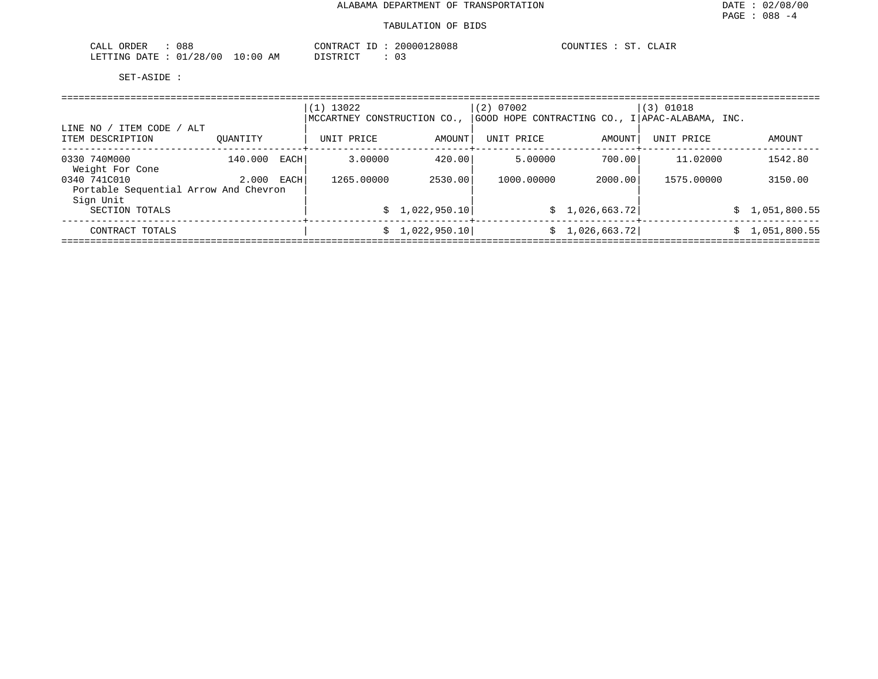| 088<br>ORDER<br>$\sim$ $ -$<br>-'ALI        |                     | $\lambda$ $\sim$<br>CONTRA:<br>' א ש                | 28088         | $\sim$<br>ATAT<br>JUN'<br>. |
|---------------------------------------------|---------------------|-----------------------------------------------------|---------------|-----------------------------|
| א כ′<br>700<br>LETTING<br><b>DATE</b><br>__ | ΑM<br>' : UU<br>. . | $\sim$ $\tau$ $\sim$ $\sim$<br>$\sim$ $\sim$<br>. . | $\sim$<br>∪ – |                             |

| ITEM CODE / ALT<br>LINE NO                                         |          |      | $(1)$ 13022<br>MCCARTNEY | CONSTRUCTION CO., | (2) 07002  |                 | $(3)$ 01018<br>GOOD HOPE CONTRACTING CO., I APAC-ALABAMA, INC. |   |                |
|--------------------------------------------------------------------|----------|------|--------------------------|-------------------|------------|-----------------|----------------------------------------------------------------|---|----------------|
| ITEM DESCRIPTION                                                   | OUANTITY |      | UNIT PRICE               | AMOUNT            | UNIT PRICE | AMOUNT          | UNIT PRICE                                                     |   | AMOUNT         |
| 0330 740M000<br>Weight For Cone                                    | 140.000  | EACH | 3.00000                  | 420.00            | 5.00000    | 700.00          | 11,02000                                                       |   | 1542.80        |
| 0340 741C010<br>Portable Sequential Arrow And Chevron<br>Sign Unit | 2.000    | EACH | 1265,00000               | 2530.00           | 1000,00000 | 2000.00         | 1575.00000                                                     |   | 3150.00        |
| SECTION TOTALS                                                     |          |      | S.                       | 1,022,950.10      |            | \$1,026,663.72] |                                                                |   | \$1,051,800.55 |
| CONTRACT TOTALS                                                    |          |      | S                        | 1,022,950.10      |            | \$1,026,663.72] |                                                                | S | 1,051,800.55   |
|                                                                    |          |      |                          |                   |            |                 |                                                                |   |                |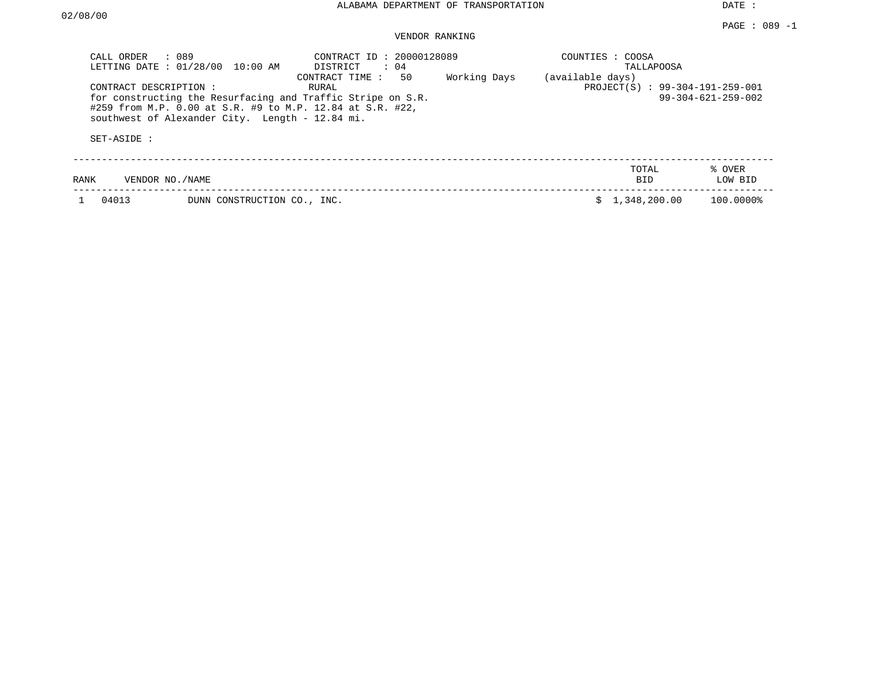| CALL ORDER              | : 089                                           | : 20000128089<br>CONTRACT ID                                |              | COUNTIES : COOSA    |                                 |                   |
|-------------------------|-------------------------------------------------|-------------------------------------------------------------|--------------|---------------------|---------------------------------|-------------------|
| LETTING DATE : 01/28/00 | $10:00$ AM                                      | DISTRICT<br>$\therefore$ 04<br>50<br>CONTRACT TIME :        | Working Days | (available days)    | <b>TALLAPOOSA</b>               |                   |
| CONTRACT DESCRIPTION:   |                                                 | RURAL                                                       |              |                     | PROJECT(S) : 99-304-191-259-001 |                   |
|                         |                                                 | for constructing the Resurfacing and Traffic Stripe on S.R. |              |                     | $99 - 304 - 621 - 259 - 002$    |                   |
| SET-ASIDE:              | southwest of Alexander City. Length - 12.84 mi. | #259 from M.P. 0.00 at S.R. #9 to M.P. 12.84 at S.R. #22,   |              |                     |                                 |                   |
| RANK                    | VENDOR NO. / NAME                               |                                                             |              | TOTAL<br><b>BID</b> |                                 | % OVER<br>LOW BID |
| 04013                   | DUNN CONSTRUCTION CO., INC.                     |                                                             |              | 1,348,200.00        |                                 | 100.0000%         |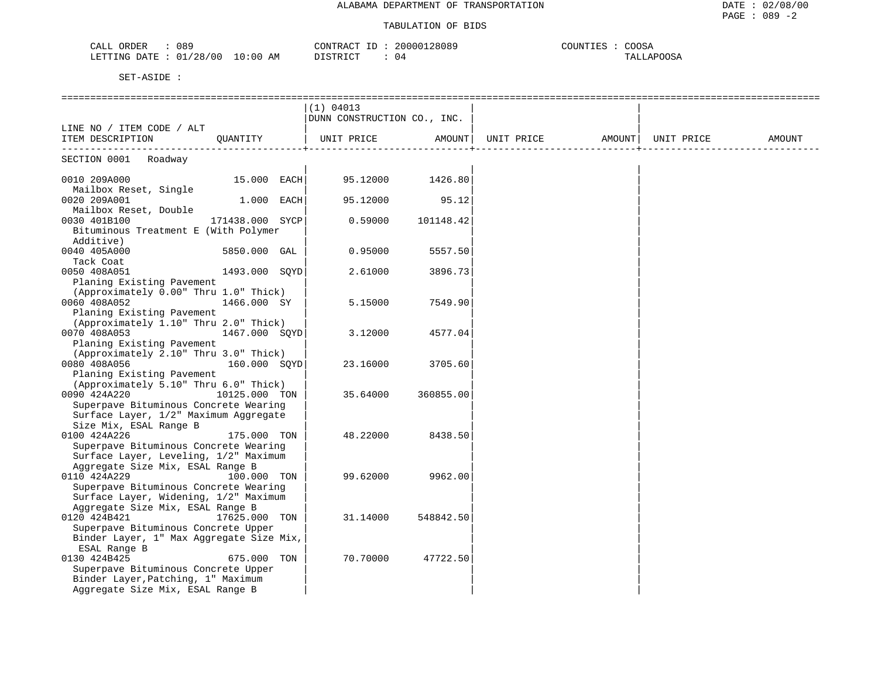#### TABULATION OF BIDS

| 089<br>)RDER<br>$\cap$ $\Delta$ T.T.<br>. <i>. .</i> |                | חידור∩ר<br>$R^2$ RACT | 38089<br>200001 | COOSA<br>TNT T |
|------------------------------------------------------|----------------|-----------------------|-----------------|----------------|
| /28/00<br>01<br>LETTING<br><b>DAMP</b><br>. IA T     | :00<br>AM<br>. | DICTO ICT             | 04              | $\sim$         |

|                                          |                 |  | ______________________________ |           |                   |  |            |        |
|------------------------------------------|-----------------|--|--------------------------------|-----------|-------------------|--|------------|--------|
|                                          |                 |  | (1) 04013                      |           |                   |  |            |        |
|                                          |                 |  | DUNN CONSTRUCTION CO., INC.    |           |                   |  |            |        |
| LINE NO / ITEM CODE / ALT                |                 |  |                                |           |                   |  |            |        |
| ITEM DESCRIPTION QUANTITY                |                 |  | UNIT PRICE                     | AMOUNT    | UNIT PRICE AMOUNT |  | UNIT PRICE | AMOUNT |
| ---------------                          |                 |  |                                |           |                   |  |            |        |
| SECTION 0001 Roadway                     |                 |  |                                |           |                   |  |            |        |
|                                          |                 |  |                                |           |                   |  |            |        |
| 0010 209A000                             | 15.000 EACH     |  | 95.12000                       | 1426.80   |                   |  |            |        |
| Mailbox Reset, Single                    |                 |  |                                |           |                   |  |            |        |
| 0020 209A001                             | $1.000$ EACH    |  | 95.12000                       | 95.12     |                   |  |            |        |
| Mailbox Reset, Double                    |                 |  |                                |           |                   |  |            |        |
| 0030 401B100                             | 171438.000 SYCP |  | 0.59000                        | 101148.42 |                   |  |            |        |
| Bituminous Treatment E (With Polymer     |                 |  |                                |           |                   |  |            |        |
| Additive)                                |                 |  |                                |           |                   |  |            |        |
| 0040 405A000                             | 5850.000 GAL    |  | 0.95000                        | 5557.50   |                   |  |            |        |
| Tack Coat                                |                 |  |                                |           |                   |  |            |        |
| 0050 408A051                             | 1493.000 SOYD   |  | 2.61000                        | 3896.73   |                   |  |            |        |
| Planing Existing Pavement                |                 |  |                                |           |                   |  |            |        |
| (Approximately 0.00" Thru 1.0" Thick)    |                 |  |                                |           |                   |  |            |        |
| 0060 408A052                             | 1466.000 SY     |  | 5.15000                        | 7549.90   |                   |  |            |        |
| Planing Existing Pavement                |                 |  |                                |           |                   |  |            |        |
| (Approximately 1.10" Thru 2.0" Thick)    |                 |  |                                |           |                   |  |            |        |
| 0070 408A053                             | 1467.000 SQYD   |  | 3.12000                        | 4577.04   |                   |  |            |        |
| Planing Existing Pavement                |                 |  |                                |           |                   |  |            |        |
| (Approximately 2.10" Thru 3.0" Thick)    |                 |  |                                |           |                   |  |            |        |
| 0080 408A056                             | 160.000 SQYD    |  | 23.16000                       | 3705.60   |                   |  |            |        |
| Planing Existing Pavement                |                 |  |                                |           |                   |  |            |        |
| (Approximately 5.10" Thru 6.0" Thick)    |                 |  |                                |           |                   |  |            |        |
| 0090 424A220                             | 10125.000 TON   |  | 35.64000                       | 360855.00 |                   |  |            |        |
| Superpave Bituminous Concrete Wearing    |                 |  |                                |           |                   |  |            |        |
| Surface Layer, 1/2" Maximum Aggregate    |                 |  |                                |           |                   |  |            |        |
| Size Mix, ESAL Range B                   |                 |  |                                |           |                   |  |            |        |
| 0100 424A226                             | 175.000 TON     |  | 48.22000                       | 8438.50   |                   |  |            |        |
| Superpave Bituminous Concrete Wearing    |                 |  |                                |           |                   |  |            |        |
| Surface Layer, Leveling, 1/2" Maximum    |                 |  |                                |           |                   |  |            |        |
| Aggregate Size Mix, ESAL Range B         |                 |  |                                |           |                   |  |            |        |
| 0110 424A229                             | 100.000 TON     |  | 99.62000                       | 9962.00   |                   |  |            |        |
| Superpave Bituminous Concrete Wearing    |                 |  |                                |           |                   |  |            |        |
| Surface Layer, Widening, 1/2" Maximum    |                 |  |                                |           |                   |  |            |        |
| Aggregate Size Mix, ESAL Range B         |                 |  |                                |           |                   |  |            |        |
| 0120 424B421                             | 17625.000 TON   |  | 31.14000                       | 548842.50 |                   |  |            |        |
| Superpave Bituminous Concrete Upper      |                 |  |                                |           |                   |  |            |        |
| Binder Layer, 1" Max Aggregate Size Mix, |                 |  |                                |           |                   |  |            |        |
| ESAL Range B                             |                 |  |                                |           |                   |  |            |        |
| 0130 424B425                             | 675.000 TON     |  | 70.70000                       | 47722.50  |                   |  |            |        |
| Superpave Bituminous Concrete Upper      |                 |  |                                |           |                   |  |            |        |
| Binder Layer, Patching, 1" Maximum       |                 |  |                                |           |                   |  |            |        |
| Aggregate Size Mix, ESAL Range B         |                 |  |                                |           |                   |  |            |        |
|                                          |                 |  |                                |           |                   |  |            |        |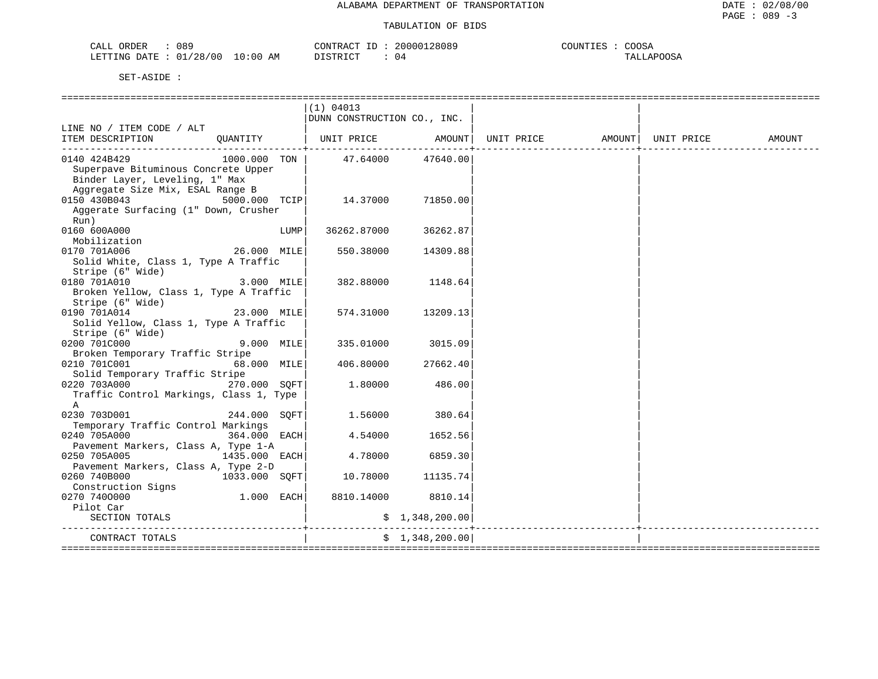| 089<br>ORDER<br>CALL       |          | CONTRACT | 20000128089 | COUNTIES | <b>COOSA</b>       |
|----------------------------|----------|----------|-------------|----------|--------------------|
| 01/28/00<br>LETTING DATE : | 10:00 AM | DISTRICT | 04          |          | LAPOOSA:<br>· ጥAT… |

|                                         |               |      | (1) 04013                    |                    |                      |  |        |
|-----------------------------------------|---------------|------|------------------------------|--------------------|----------------------|--|--------|
|                                         |               |      | DUNN CONSTRUCTION CO., INC.  |                    |                      |  |        |
| LINE NO / ITEM CODE / ALT               |               |      |                              |                    |                      |  |        |
| ITEM DESCRIPTION                        |               |      | QUANTITY   UNIT PRICE AMOUNT |                    |                      |  | AMOUNT |
|                                         |               |      |                              |                    |                      |  |        |
| 0140 424B429                            | 1000.000 TON  |      |                              | 47.64000 47640.00  |                      |  |        |
| Superpave Bituminous Concrete Upper     |               |      |                              |                    |                      |  |        |
| Binder Layer, Leveling, 1" Max          |               |      |                              |                    |                      |  |        |
| Aggregate Size Mix, ESAL Range B        |               |      |                              |                    |                      |  |        |
| 0150 430B043                            | 5000.000 TCIP |      | 14.37000                     | 71850.00           |                      |  |        |
| Aggerate Surfacing (1" Down, Crusher    |               |      |                              |                    |                      |  |        |
| Run)                                    |               |      |                              |                    |                      |  |        |
| 0160 600A000                            |               | LUMP | 36262.87000                  | 36262.87           |                      |  |        |
| Mobilization                            |               |      |                              |                    |                      |  |        |
| 0170 701A006                            | 26.000 MILE   |      | 550.38000                    | 14309.88           |                      |  |        |
| Solid White, Class 1, Type A Traffic    |               |      |                              |                    |                      |  |        |
| Stripe (6" Wide)                        |               |      |                              |                    |                      |  |        |
| 112, 3.000 MILE<br>0180 701A010         |               |      | 382.88000                    | 1148.64            |                      |  |        |
| Broken Yellow, Class 1, Type A Traffic  |               |      |                              |                    |                      |  |        |
| Stripe (6" Wide)                        |               |      |                              |                    |                      |  |        |
| 0190 701A014                            | 23.000 MILE   |      | 574.31000                    | 13209.13           |                      |  |        |
| Solid Yellow, Class 1, Type A Traffic   |               |      |                              |                    |                      |  |        |
| Stripe (6" Wide)                        |               |      |                              |                    |                      |  |        |
| 0200 701C000                            | 9.000 MILE    |      | 335.01000                    | 3015.09            |                      |  |        |
| Broken Temporary Traffic Stripe         |               |      |                              |                    |                      |  |        |
| 0210 701C001                            | 68.000 MILE   |      | 406.80000                    | 27662.40           |                      |  |        |
| Solid Temporary Traffic Stripe          |               |      |                              |                    |                      |  |        |
| 0220 703A000 270.000 SOFT               |               |      | 1.80000                      | 486.00             |                      |  |        |
| Traffic Control Markings, Class 1, Type |               |      |                              |                    |                      |  |        |
| $\mathbf{A}$                            |               |      |                              |                    |                      |  |        |
| 244.000 SQFT<br>0230 703D001            |               |      | 1.56000                      | 380.64             |                      |  |        |
| Temporary Traffic Control Markings      |               |      |                              |                    |                      |  |        |
| 0240 705A000<br>$364.000$ EACH          |               |      | 4.54000                      | 1652.56            |                      |  |        |
| Pavement Markers, Class A, Type 1-A     |               |      |                              |                    |                      |  |        |
| 0250 705A005                            | 1435.000 EACH |      | 4.78000                      | 6859.30            |                      |  |        |
| Pavement Markers, Class A, Type 2-D     |               |      |                              |                    |                      |  |        |
| 0260 740B000                            | 1033.000 SQFT |      | 10.78000                     | 11135.74           |                      |  |        |
| Construction Signs                      |               |      |                              |                    |                      |  |        |
| 0270 7400000                            | 1.000 EACH    |      |                              | 8810.14000 8810.14 |                      |  |        |
| Pilot Car                               |               |      |                              |                    |                      |  |        |
| SECTION TOTALS                          |               |      |                              | \$1,348,200.00]    |                      |  |        |
|                                         |               |      |                              |                    | ____________________ |  |        |
| CONTRACT TOTALS                         |               |      |                              | \$1,348,200.00     |                      |  |        |
|                                         |               |      |                              |                    |                      |  |        |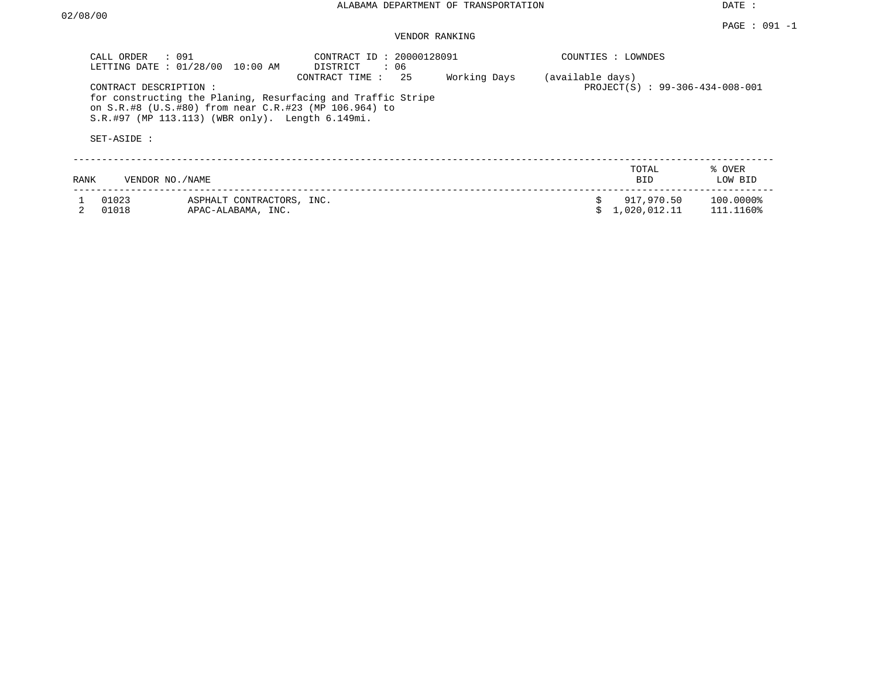| CALL ORDER     | $\therefore$ 091<br>LETTING DATE: 01/28/00<br>10:00 AM                                                                             | CONTRACT ID: 20000128091<br>DISTRICT<br>: 06                                          |                                  | COUNTIES : LOWNDES             |                        |
|----------------|------------------------------------------------------------------------------------------------------------------------------------|---------------------------------------------------------------------------------------|----------------------------------|--------------------------------|------------------------|
| SET-ASIDE :    | CONTRACT DESCRIPTION:<br>on S.R.#8 (U.S.#80) from near C.R.#23 (MP 106.964) to<br>S.R.#97 (MP 113.113) (WBR only). Length 6.149mi. | -25<br>CONTRACT TIME:<br>for constructing the Planing, Resurfacing and Traffic Stripe | Working Days<br>(available days) | PROJECT(S): 99-306-434-008-001 |                        |
| <b>RANK</b>    | VENDOR NO./NAME                                                                                                                    |                                                                                       |                                  | TOTAL<br><b>BID</b>            | % OVER<br>LOW BID      |
| 01023<br>01018 | ASPHALT CONTRACTORS, INC.<br>APAC-ALABAMA, INC.                                                                                    |                                                                                       | Ŝ.                               | 917,970.50<br>1,020,012.11     | 100.0000%<br>111.1160% |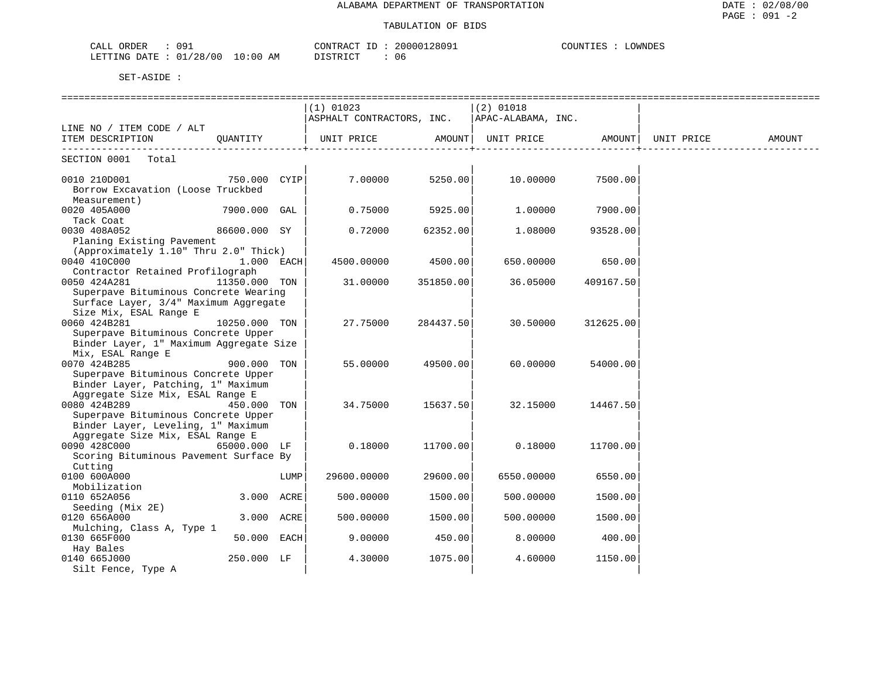| ח ר<br>ORDER<br>$\sim$ $\sim$ $\sim$<br>$\mathsf{A}$ $\mathsf{H}$ | 128091<br>CONTRACT<br>200001 | OWNDES.<br>COUNTIES |
|-------------------------------------------------------------------|------------------------------|---------------------|
| LETTING DATE : 01/28/00<br>$10:00$ AM                             | DISTRICT<br>06               |                     |

|                                                   |               |      | =============<br>$(1)$ 01023 |           | ==============<br>(2) 01018 |           |            |        |
|---------------------------------------------------|---------------|------|------------------------------|-----------|-----------------------------|-----------|------------|--------|
|                                                   |               |      | ASPHALT CONTRACTORS, INC.    |           | APAC-ALABAMA, INC.          |           |            |        |
| LINE NO / ITEM CODE / ALT                         |               |      |                              |           |                             |           |            |        |
| ITEM DESCRIPTION                                  | OUANTITY      |      | UNIT PRICE AMOUNT            |           | UNIT PRICE                  | AMOUNT    | UNIT PRICE | AMOUNT |
| SECTION 0001 Total                                |               |      |                              |           |                             |           |            |        |
| 0010 210D001                                      | 750.000 CYIP  |      | 7.00000                      | 5250.00   | 10.00000                    | 7500.00   |            |        |
| Borrow Excavation (Loose Truckbed<br>Measurement) |               |      |                              |           |                             |           |            |        |
| 0020 405A000<br>Tack Coat                         | 7900.000 GAL  |      | 0.75000                      | 5925.00   | 1,00000                     | 7900.00   |            |        |
| 0030 408A052                                      | 86600.000 SY  |      | 0.72000                      | 62352.00  | 1,08000                     | 93528.00  |            |        |
| Planing Existing Pavement                         |               |      |                              |           |                             |           |            |        |
| (Approximately 1.10" Thru 2.0" Thick)             |               |      |                              |           |                             |           |            |        |
| 0040 410C000                                      | $1.000$ EACH  |      | 4500.00000                   | 4500.00   | 650.00000                   | 650.00    |            |        |
| Contractor Retained Profilograph                  |               |      |                              |           |                             |           |            |        |
| 0050 424A281                                      | 11350.000 TON |      | 31.00000                     | 351850.00 | 36.05000                    | 409167.50 |            |        |
| Superpave Bituminous Concrete Wearing             |               |      |                              |           |                             |           |            |        |
| Surface Layer, 3/4" Maximum Aggregate             |               |      |                              |           |                             |           |            |        |
| Size Mix, ESAL Range E<br>0060 424B281            | 10250.000 TON |      | 27.75000                     | 284437.50 | 30.50000                    | 312625.00 |            |        |
| Superpave Bituminous Concrete Upper               |               |      |                              |           |                             |           |            |        |
| Binder Layer, 1" Maximum Aggregate Size           |               |      |                              |           |                             |           |            |        |
| Mix, ESAL Range E                                 |               |      |                              |           |                             |           |            |        |
| 0070 424B285                                      | 900.000 TON   |      | 55.00000                     | 49500.00  | 60.00000                    | 54000.00  |            |        |
| Superpave Bituminous Concrete Upper               |               |      |                              |           |                             |           |            |        |
| Binder Layer, Patching, 1" Maximum                |               |      |                              |           |                             |           |            |        |
| Aggregate Size Mix, ESAL Range E                  |               |      |                              |           |                             |           |            |        |
| 0080 424B289                                      | 450.000 TON   |      | 34.75000                     | 15637.50  | 32.15000                    | 14467.50  |            |        |
| Superpave Bituminous Concrete Upper               |               |      |                              |           |                             |           |            |        |
| Binder Layer, Leveling, 1" Maximum                |               |      |                              |           |                             |           |            |        |
| Aggregate Size Mix, ESAL Range E                  |               |      |                              |           |                             |           |            |        |
| 0090 428C000                                      | 65000.000 LF  |      | 0.18000                      | 11700.00  | 0.18000                     | 11700.00  |            |        |
| Scoring Bituminous Pavement Surface By            |               |      |                              |           |                             |           |            |        |
| Cutting<br>0100 600A000                           |               |      |                              |           |                             |           |            |        |
| Mobilization                                      |               | LUMP | 29600.00000                  | 29600.00  | 6550.00000                  | 6550.00   |            |        |
| 0110 652A056                                      | 3.000 ACRE    |      | 500.00000                    | 1500.00   | 500.00000                   | 1500.00   |            |        |
| Seeding (Mix 2E)                                  |               |      |                              |           |                             |           |            |        |
| 0120 656A000                                      | 3.000 ACRE    |      | 500.00000                    | 1500.00   | 500.00000                   | 1500.00   |            |        |
| Mulching, Class A, Type 1                         |               |      |                              |           |                             |           |            |        |
| 0130 665F000                                      | 50.000 EACH   |      | 9.00000                      | 450.00    | 8.00000                     | 400.00    |            |        |
| Hay Bales                                         |               |      |                              |           |                             |           |            |        |
| 0140 665J000                                      | 250.000 LF    |      | 4.30000                      | 1075.00   | 4.60000                     | 1150.00   |            |        |
| Silt Fence, Type A                                |               |      |                              |           |                             |           |            |        |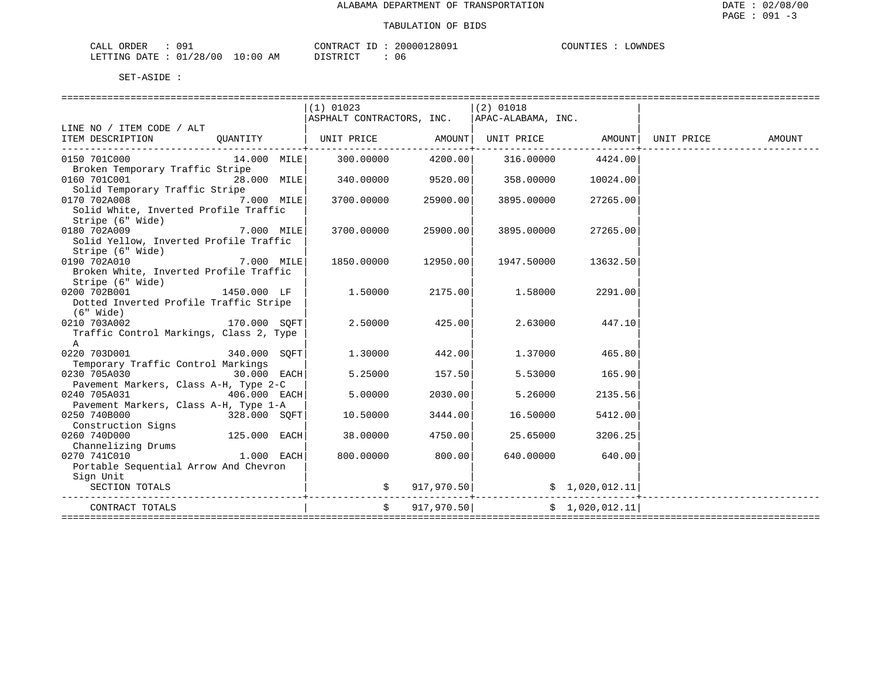| ORDER<br>CALI | $\sim$<br> |                         | CONTRACT<br>TD.         | 00128091<br>200001 | COUNTIES | OWNDES |
|---------------|------------|-------------------------|-------------------------|--------------------|----------|--------|
| LETTING DATE  | : 01/28/00 | LO : 00<br>AΜ<br>$\sim$ | ירי ד סידף "<br>- - - - | 06                 |          |        |

|                                         |               | $(1)$ 01023                                                                 |               | $(2)$ 01018                               |                  |        |
|-----------------------------------------|---------------|-----------------------------------------------------------------------------|---------------|-------------------------------------------|------------------|--------|
|                                         |               | ASPHALT CONTRACTORS, INC.   APAC-ALABAMA, INC.                              |               |                                           |                  |        |
| LINE NO / ITEM CODE / ALT               |               |                                                                             |               |                                           |                  |        |
| ITEM DESCRIPTION                        |               | OUANTITY   UNIT PRICE         AMOUNT  UNIT PRICE         AMOUNT  UNIT PRICE |               |                                           |                  | AMOUNT |
| 0150 701C000                            | 14.000 MILE   | 300.00000                                                                   | 4200.00       | 316.00000                                 | 4424.00          |        |
| Broken Temporary Traffic Stripe         |               |                                                                             |               |                                           |                  |        |
| 0160 701C001                            | 28.000 MILE   | $340.00000$ 9520.00 358.00000                                               |               |                                           | 10024.00         |        |
| Solid Temporary Traffic Stripe          |               |                                                                             |               |                                           |                  |        |
| 0170 702A008                            | $7.000$ MILE  | 3700.00000  25900.00  3895.00000                                            |               |                                           | 27265.00         |        |
| Solid White, Inverted Profile Traffic   |               |                                                                             |               |                                           |                  |        |
| Stripe (6" Wide)                        |               |                                                                             |               |                                           |                  |        |
| 0180 702A009<br>7.000 MILE              |               | 3700.00000 25900.00                                                         |               | 3895.00000                                | 27265.00         |        |
| Solid Yellow, Inverted Profile Traffic  |               |                                                                             |               |                                           |                  |        |
| Stripe (6" Wide)                        |               |                                                                             |               |                                           |                  |        |
| 0190 702A010                            | $7.000$ MILE  | 1850.00000 12950.00                                                         |               | 1947.50000                                | 13632.50         |        |
| Broken White, Inverted Profile Traffic  |               |                                                                             |               |                                           |                  |        |
| Stripe (6" Wide)                        |               |                                                                             |               |                                           |                  |        |
| 0200 702B001                            | 1450.000 LF   | 1.50000                                                                     |               | 2175.00 1.58000                           | 2291.00          |        |
| Dotted Inverted Profile Traffic Stripe  |               |                                                                             |               |                                           |                  |        |
| (6" Wide)                               |               |                                                                             |               |                                           |                  |        |
| $170.000$ SQFT<br>0210 703A002          |               | 2.50000                                                                     | 425.00        | 2.63000                                   | 447.10           |        |
| Traffic Control Markings, Class 2, Type |               |                                                                             |               |                                           |                  |        |
| $\mathsf{A}$                            |               |                                                                             |               |                                           |                  |        |
| 0220 703D001                            | 340.000 SOFT  | 1,30000                                                                     | 442.00        | 1.37000                                   | 465.80           |        |
| Temporary Traffic Control Markings      |               |                                                                             |               |                                           |                  |        |
| 0230 705A030                            | $30.000$ EACH | 5.25000                                                                     | 157.50        |                                           | 5.53000 165.90   |        |
| Pavement Markers, Class A-H, Type 2-C   |               |                                                                             |               |                                           |                  |        |
| 406.000 EACH<br>0240 705A031            |               | 5.00000                                                                     | 2030.00       | 5.26000                                   | 2135.56          |        |
| Pavement Markers, Class A-H, Type 1-A   |               |                                                                             |               |                                           |                  |        |
| 0250 740B000<br>$328.000$ SQFT          |               | 10.50000                                                                    | 3444.00       | 16.50000                                  | 5412.00          |        |
| Construction Signs                      |               |                                                                             |               |                                           |                  |        |
| 0260 740D000                            | 125.000 EACH  | 38.00000                                                                    | 4750.00       | 25.65000                                  | 3206.25          |        |
| Channelizing Drums                      |               |                                                                             |               |                                           |                  |        |
| $1.000$ EACH<br>0270 741C010            |               | 800.00000                                                                   | 800.00        |                                           | 640.00000 640.00 |        |
| Portable Sequential Arrow And Chevron   |               |                                                                             |               |                                           |                  |        |
| Sign Unit                               |               |                                                                             |               |                                           |                  |        |
| SECTION TOTALS                          |               |                                                                             |               | $\sharp$ 917,970.50 $\sharp$ 1,020,012.11 |                  |        |
|                                         |               |                                                                             |               |                                           |                  |        |
| CONTRACT TOTALS                         |               |                                                                             | \$917,970.50] |                                           | \$1,020,012.11   |        |
|                                         |               |                                                                             |               |                                           |                  |        |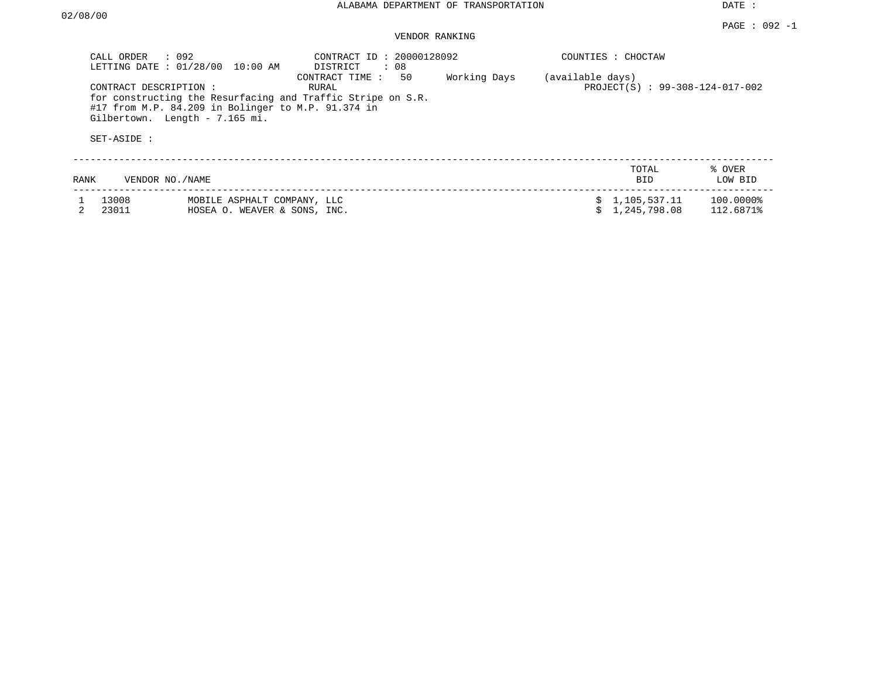DATE :

# VENDOR RANKING

|      | $\therefore$ 092<br>CALL ORDER<br>LETTING DATE: 01/28/00<br>10:00 AM                                                                                                                         | CONTRACT ID: 20000128092<br>DISTRICT<br>: 08 |              | COUNTIES : CHOCTAW |                                   |                        |
|------|----------------------------------------------------------------------------------------------------------------------------------------------------------------------------------------------|----------------------------------------------|--------------|--------------------|-----------------------------------|------------------------|
|      | CONTRACT DESCRIPTION :<br>for constructing the Resurfacing and Traffic Stripe on S.R.<br>#17 from M.P. 84.209 in Bolinger to M.P. 91.374 in<br>Gilbertown. Length - 7.165 mi.<br>SET-ASIDE : | 50<br>CONTRACT TIME :<br>RURAL               | Working Days | (available days)   | $PROJECT(S)$ : 99-308-124-017-002 |                        |
| RANK | VENDOR NO./NAME                                                                                                                                                                              |                                              |              |                    | TOTAL<br><b>BID</b>               | % OVER<br>LOW BID      |
|      | 13008<br>MOBILE ASPHALT COMPANY, LLC<br>23011<br>HOSEA O. WEAVER & SONS, INC.                                                                                                                |                                              |              |                    | \$1,105,537.11<br>1,245,798.08    | 100.0000%<br>112.6871% |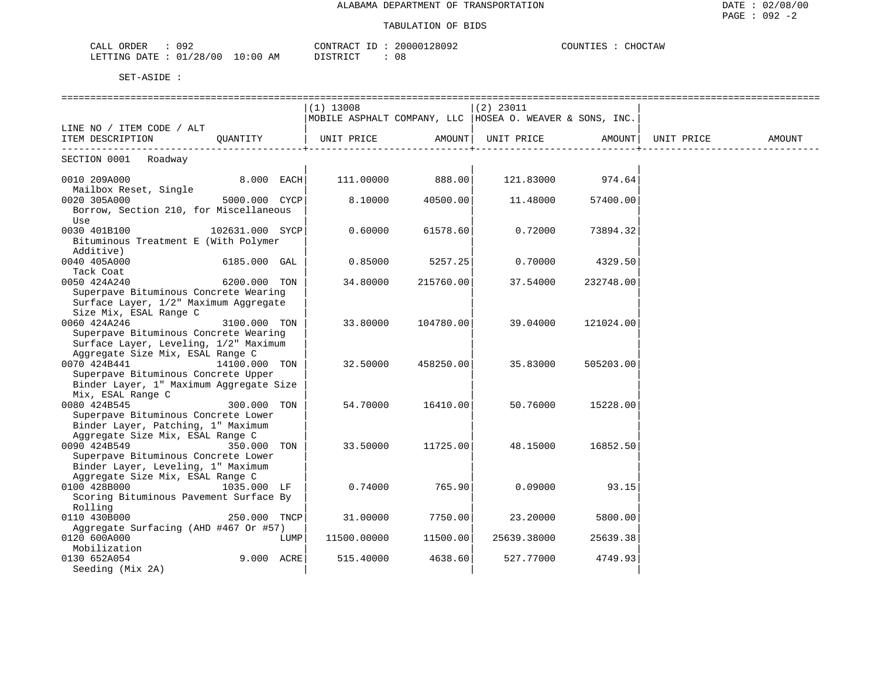| 092<br>ORDER<br>CALI<br>◡◡                     | 28092<br>חים אידוארי  | CHOCTAW<br>COUNT |
|------------------------------------------------|-----------------------|------------------|
| /28/00<br>LETTING<br>AΜ<br>DATE<br>.0:00<br>◡⊥ | <b>TOMDIOM</b><br>-08 |                  |

|                                                     |                 |      | $(1)$ 13008                                                |           | $(2)$ 23011 |           |            |        |
|-----------------------------------------------------|-----------------|------|------------------------------------------------------------|-----------|-------------|-----------|------------|--------|
|                                                     |                 |      | MOBILE ASPHALT COMPANY, LLC   HOSEA O. WEAVER & SONS, INC. |           |             |           |            |        |
| LINE NO / ITEM CODE / ALT                           |                 |      |                                                            |           |             |           |            |        |
| ITEM DESCRIPTION                                    | OUANTITY        |      | UNIT PRICE                                                 | AMOUNT    | UNIT PRICE  | AMOUNT    | UNIT PRICE | AMOUNT |
| SECTION 0001 Roadway                                |                 |      |                                                            |           |             |           |            |        |
|                                                     |                 |      |                                                            |           |             |           |            |        |
| 0010 209A000                                        | 8.000 EACH      |      | 111,00000                                                  | 888.00    | 121.83000   | 974.64    |            |        |
| Mailbox Reset, Single<br>0020 305A000               | 5000.000 CYCP   |      | 8.10000                                                    | 40500.00  | 11.48000    | 57400.00  |            |        |
| Borrow, Section 210, for Miscellaneous              |                 |      |                                                            |           |             |           |            |        |
| Use                                                 |                 |      |                                                            |           |             |           |            |        |
| 0030 401B100                                        | 102631.000 SYCP |      | 0.60000                                                    | 61578.60  | 0.72000     | 73894.32  |            |        |
| Bituminous Treatment E (With Polymer                |                 |      |                                                            |           |             |           |            |        |
| Additive)                                           |                 |      |                                                            |           |             |           |            |        |
| 0040 405A000                                        | 6185.000 GAL    |      | 0.85000                                                    | 5257.25   | 0.70000     | 4329.50   |            |        |
| Tack Coat                                           |                 |      |                                                            |           |             |           |            |        |
| 0050 424A240                                        | 6200.000 TON    |      | 34.80000                                                   | 215760.00 | 37.54000    | 232748.00 |            |        |
| Superpave Bituminous Concrete Wearing               |                 |      |                                                            |           |             |           |            |        |
| Surface Layer, 1/2" Maximum Aggregate               |                 |      |                                                            |           |             |           |            |        |
| Size Mix, ESAL Range C                              |                 |      |                                                            |           |             |           |            |        |
| 0060 424A246                                        | 3100.000 TON    |      | 33.80000                                                   | 104780.00 | 39.04000    | 121024.00 |            |        |
| Superpave Bituminous Concrete Wearing               |                 |      |                                                            |           |             |           |            |        |
| Surface Layer, Leveling, 1/2" Maximum               |                 |      |                                                            |           |             |           |            |        |
| Aggregate Size Mix, ESAL Range C                    |                 |      |                                                            |           |             |           |            |        |
| 0070 424B441                                        | 14100.000 TON   |      | 32.50000                                                   | 458250.00 | 35.83000    | 505203.00 |            |        |
| Superpave Bituminous Concrete Upper                 |                 |      |                                                            |           |             |           |            |        |
| Binder Layer, 1" Maximum Aggregate Size             |                 |      |                                                            |           |             |           |            |        |
| Mix, ESAL Range C                                   |                 |      |                                                            |           |             |           |            |        |
| 0080 424B545<br>Superpave Bituminous Concrete Lower | 300.000 TON     |      | 54.70000                                                   | 16410.00  | 50.76000    | 15228.00  |            |        |
| Binder Layer, Patching, 1" Maximum                  |                 |      |                                                            |           |             |           |            |        |
| Aggregate Size Mix, ESAL Range C                    |                 |      |                                                            |           |             |           |            |        |
| 0090 424B549                                        | 350.000         | TON  | 33.50000                                                   | 11725.00  | 48.15000    | 16852.50  |            |        |
| Superpave Bituminous Concrete Lower                 |                 |      |                                                            |           |             |           |            |        |
| Binder Layer, Leveling, 1" Maximum                  |                 |      |                                                            |           |             |           |            |        |
| Aggregate Size Mix, ESAL Range C                    |                 |      |                                                            |           |             |           |            |        |
| 0100 428B000                                        | 1035.000 LF     |      | 0.74000                                                    | 765.90    | 0.09000     | 93.15     |            |        |
| Scoring Bituminous Pavement Surface By              |                 |      |                                                            |           |             |           |            |        |
| Rolling                                             |                 |      |                                                            |           |             |           |            |        |
| 0110 430B000                                        | 250.000 TNCP    |      | 31.00000                                                   | 7750.00   | 23.20000    | 5800.00   |            |        |
| Aggregate Surfacing (AHD #467 Or #57)               |                 |      |                                                            |           |             |           |            |        |
| 0120 600A000                                        |                 | LUMP | 11500.00000                                                | 11500.00  | 25639.38000 | 25639.38  |            |        |
| Mobilization                                        |                 |      |                                                            |           |             |           |            |        |
| 0130 652A054                                        | 9.000 ACRE      |      | 515.40000                                                  | 4638.60   | 527.77000   | 4749.93   |            |        |
| Seeding (Mix 2A)                                    |                 |      |                                                            |           |             |           |            |        |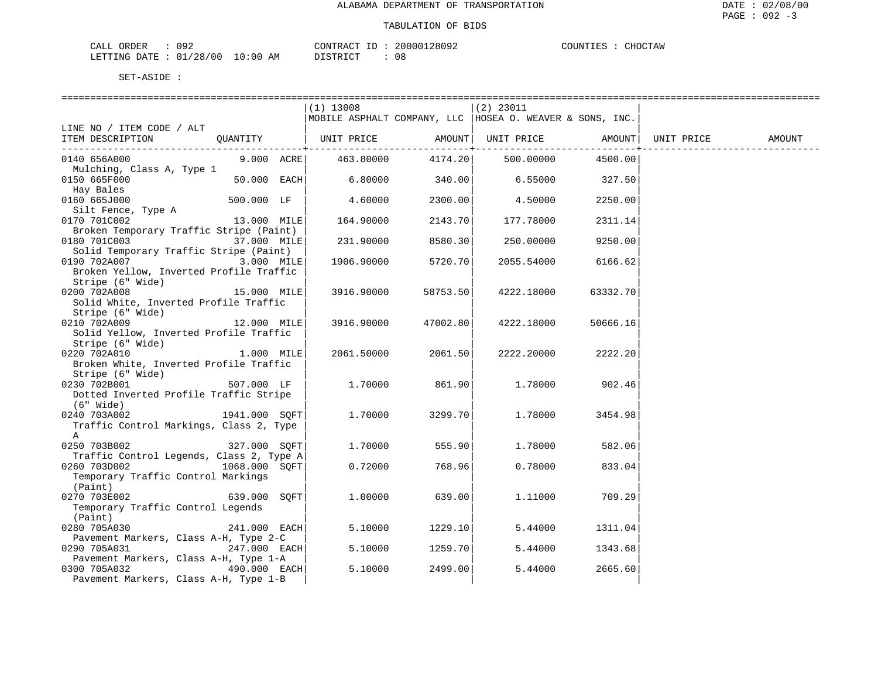| CALL ORDER                      | 092 | CONTRACT ID : . |  | 20000128092 | COUNTIES : | CHOCTAW |
|---------------------------------|-----|-----------------|--|-------------|------------|---------|
| LETTING DATE: 01/28/00 10:00 AM |     | DISTRICT        |  | 08          |            |         |

| $(1)$ 13008<br>$(2)$ 23011<br>  MOBILE ASPHALT COMPANY, LLC   HOSEA O. WEAVER & SONS, INC.<br>LINE NO / ITEM CODE / ALT<br>AMOUNT UNIT PRICE AMOUNT<br>UNIT PRICE<br>ITEM DESCRIPTION<br>OUANTITY<br>UNIT PRICE<br>AMOUNT<br>. _ _ _ _ _ _ _ _ _ + _ _ _ _ _ _ _ _ _<br>-----------+<br>9.000 ACRE<br>4174.20 500.00000<br>0140 656A000<br>463.80000<br>4500.00<br>Mulching, Class A, Type 1<br>340.00<br>$6.55000$ 327.50<br>6.80000<br>50.000 EACH<br>0150 665F000<br>Hay Bales<br>0160 665J000<br>500.000 LF<br>4.60000<br>2300.00<br>4.50000<br>2250.00<br>Silt Fence, Type A<br>2143.70<br>0170 701C002<br>13.000 MILE<br>164.90000<br>177.78000<br>2311.14<br>Broken Temporary Traffic Stripe (Paint)<br>0180 701C003<br>37.000 MILE<br>231.90000<br>8580.30<br>250.00000<br>9250.00<br>Solid Temporary Traffic Stripe (Paint)<br>0190 702A007<br>3.000 MILE<br>5720.70<br>1906.90000<br>2055.54000<br>6166.62<br>Broken Yellow, Inverted Profile Traffic<br>Stripe (6" Wide)<br>0200 702A008<br>15.000 MILE<br>58753.50<br>3916.90000<br>4222.18000<br>63332.70<br>Solid White, Inverted Profile Traffic<br>Stripe (6" Wide)<br>0210 702A009<br>12.000 MILE<br>3916.90000<br>47002.80<br>4222.18000<br>50666.16<br>Solid Yellow, Inverted Profile Traffic<br>Stripe (6" Wide)<br>2061.50<br>0220 702A010<br>$1.000$ MILE<br>2222.20000<br>2222.20<br>2061.50000<br>Broken White, Inverted Profile Traffic<br>Stripe (6" Wide)<br>507.000 LF<br>0230 702B001<br>1.70000<br>861.90<br>1.78000<br>902.46<br>Dotted Inverted Profile Traffic Stripe<br>(6" Wide)<br>1941.000 SQFT<br>0240 703A002<br>1,70000<br>3299.70<br>1.78000<br>3454.98<br>Traffic Control Markings, Class 2, Type<br>$\mathsf{A}$<br>555.90<br>0250 703B002<br>327.000 SOFT<br>1,70000<br>1.78000<br>582.06<br>Traffic Control Legends, Class 2, Type A<br>0260 703D002<br>1068.000 SOFT<br>0.72000<br>768.96<br>0.78000<br>833.04<br>Temporary Traffic Control Markings<br>(Paint)<br>0270 703E002<br>639.000 SOFT<br>1,00000<br>639.00<br>709.29<br>1,11000<br>Temporary Traffic Control Legends |  |  |  |  |  |
|------------------------------------------------------------------------------------------------------------------------------------------------------------------------------------------------------------------------------------------------------------------------------------------------------------------------------------------------------------------------------------------------------------------------------------------------------------------------------------------------------------------------------------------------------------------------------------------------------------------------------------------------------------------------------------------------------------------------------------------------------------------------------------------------------------------------------------------------------------------------------------------------------------------------------------------------------------------------------------------------------------------------------------------------------------------------------------------------------------------------------------------------------------------------------------------------------------------------------------------------------------------------------------------------------------------------------------------------------------------------------------------------------------------------------------------------------------------------------------------------------------------------------------------------------------------------------------------------------------------------------------------------------------------------------------------------------------------------------------------------------------------------------------------------------------------------------------------------------------------------------------------------------------------------------------------------------------------------------------------------------------------------------------------------------------------------------|--|--|--|--|--|
|                                                                                                                                                                                                                                                                                                                                                                                                                                                                                                                                                                                                                                                                                                                                                                                                                                                                                                                                                                                                                                                                                                                                                                                                                                                                                                                                                                                                                                                                                                                                                                                                                                                                                                                                                                                                                                                                                                                                                                                                                                                                              |  |  |  |  |  |
|                                                                                                                                                                                                                                                                                                                                                                                                                                                                                                                                                                                                                                                                                                                                                                                                                                                                                                                                                                                                                                                                                                                                                                                                                                                                                                                                                                                                                                                                                                                                                                                                                                                                                                                                                                                                                                                                                                                                                                                                                                                                              |  |  |  |  |  |
|                                                                                                                                                                                                                                                                                                                                                                                                                                                                                                                                                                                                                                                                                                                                                                                                                                                                                                                                                                                                                                                                                                                                                                                                                                                                                                                                                                                                                                                                                                                                                                                                                                                                                                                                                                                                                                                                                                                                                                                                                                                                              |  |  |  |  |  |
|                                                                                                                                                                                                                                                                                                                                                                                                                                                                                                                                                                                                                                                                                                                                                                                                                                                                                                                                                                                                                                                                                                                                                                                                                                                                                                                                                                                                                                                                                                                                                                                                                                                                                                                                                                                                                                                                                                                                                                                                                                                                              |  |  |  |  |  |
|                                                                                                                                                                                                                                                                                                                                                                                                                                                                                                                                                                                                                                                                                                                                                                                                                                                                                                                                                                                                                                                                                                                                                                                                                                                                                                                                                                                                                                                                                                                                                                                                                                                                                                                                                                                                                                                                                                                                                                                                                                                                              |  |  |  |  |  |
|                                                                                                                                                                                                                                                                                                                                                                                                                                                                                                                                                                                                                                                                                                                                                                                                                                                                                                                                                                                                                                                                                                                                                                                                                                                                                                                                                                                                                                                                                                                                                                                                                                                                                                                                                                                                                                                                                                                                                                                                                                                                              |  |  |  |  |  |
|                                                                                                                                                                                                                                                                                                                                                                                                                                                                                                                                                                                                                                                                                                                                                                                                                                                                                                                                                                                                                                                                                                                                                                                                                                                                                                                                                                                                                                                                                                                                                                                                                                                                                                                                                                                                                                                                                                                                                                                                                                                                              |  |  |  |  |  |
|                                                                                                                                                                                                                                                                                                                                                                                                                                                                                                                                                                                                                                                                                                                                                                                                                                                                                                                                                                                                                                                                                                                                                                                                                                                                                                                                                                                                                                                                                                                                                                                                                                                                                                                                                                                                                                                                                                                                                                                                                                                                              |  |  |  |  |  |
|                                                                                                                                                                                                                                                                                                                                                                                                                                                                                                                                                                                                                                                                                                                                                                                                                                                                                                                                                                                                                                                                                                                                                                                                                                                                                                                                                                                                                                                                                                                                                                                                                                                                                                                                                                                                                                                                                                                                                                                                                                                                              |  |  |  |  |  |
|                                                                                                                                                                                                                                                                                                                                                                                                                                                                                                                                                                                                                                                                                                                                                                                                                                                                                                                                                                                                                                                                                                                                                                                                                                                                                                                                                                                                                                                                                                                                                                                                                                                                                                                                                                                                                                                                                                                                                                                                                                                                              |  |  |  |  |  |
|                                                                                                                                                                                                                                                                                                                                                                                                                                                                                                                                                                                                                                                                                                                                                                                                                                                                                                                                                                                                                                                                                                                                                                                                                                                                                                                                                                                                                                                                                                                                                                                                                                                                                                                                                                                                                                                                                                                                                                                                                                                                              |  |  |  |  |  |
|                                                                                                                                                                                                                                                                                                                                                                                                                                                                                                                                                                                                                                                                                                                                                                                                                                                                                                                                                                                                                                                                                                                                                                                                                                                                                                                                                                                                                                                                                                                                                                                                                                                                                                                                                                                                                                                                                                                                                                                                                                                                              |  |  |  |  |  |
|                                                                                                                                                                                                                                                                                                                                                                                                                                                                                                                                                                                                                                                                                                                                                                                                                                                                                                                                                                                                                                                                                                                                                                                                                                                                                                                                                                                                                                                                                                                                                                                                                                                                                                                                                                                                                                                                                                                                                                                                                                                                              |  |  |  |  |  |
|                                                                                                                                                                                                                                                                                                                                                                                                                                                                                                                                                                                                                                                                                                                                                                                                                                                                                                                                                                                                                                                                                                                                                                                                                                                                                                                                                                                                                                                                                                                                                                                                                                                                                                                                                                                                                                                                                                                                                                                                                                                                              |  |  |  |  |  |
|                                                                                                                                                                                                                                                                                                                                                                                                                                                                                                                                                                                                                                                                                                                                                                                                                                                                                                                                                                                                                                                                                                                                                                                                                                                                                                                                                                                                                                                                                                                                                                                                                                                                                                                                                                                                                                                                                                                                                                                                                                                                              |  |  |  |  |  |
|                                                                                                                                                                                                                                                                                                                                                                                                                                                                                                                                                                                                                                                                                                                                                                                                                                                                                                                                                                                                                                                                                                                                                                                                                                                                                                                                                                                                                                                                                                                                                                                                                                                                                                                                                                                                                                                                                                                                                                                                                                                                              |  |  |  |  |  |
|                                                                                                                                                                                                                                                                                                                                                                                                                                                                                                                                                                                                                                                                                                                                                                                                                                                                                                                                                                                                                                                                                                                                                                                                                                                                                                                                                                                                                                                                                                                                                                                                                                                                                                                                                                                                                                                                                                                                                                                                                                                                              |  |  |  |  |  |
|                                                                                                                                                                                                                                                                                                                                                                                                                                                                                                                                                                                                                                                                                                                                                                                                                                                                                                                                                                                                                                                                                                                                                                                                                                                                                                                                                                                                                                                                                                                                                                                                                                                                                                                                                                                                                                                                                                                                                                                                                                                                              |  |  |  |  |  |
|                                                                                                                                                                                                                                                                                                                                                                                                                                                                                                                                                                                                                                                                                                                                                                                                                                                                                                                                                                                                                                                                                                                                                                                                                                                                                                                                                                                                                                                                                                                                                                                                                                                                                                                                                                                                                                                                                                                                                                                                                                                                              |  |  |  |  |  |
|                                                                                                                                                                                                                                                                                                                                                                                                                                                                                                                                                                                                                                                                                                                                                                                                                                                                                                                                                                                                                                                                                                                                                                                                                                                                                                                                                                                                                                                                                                                                                                                                                                                                                                                                                                                                                                                                                                                                                                                                                                                                              |  |  |  |  |  |
|                                                                                                                                                                                                                                                                                                                                                                                                                                                                                                                                                                                                                                                                                                                                                                                                                                                                                                                                                                                                                                                                                                                                                                                                                                                                                                                                                                                                                                                                                                                                                                                                                                                                                                                                                                                                                                                                                                                                                                                                                                                                              |  |  |  |  |  |
|                                                                                                                                                                                                                                                                                                                                                                                                                                                                                                                                                                                                                                                                                                                                                                                                                                                                                                                                                                                                                                                                                                                                                                                                                                                                                                                                                                                                                                                                                                                                                                                                                                                                                                                                                                                                                                                                                                                                                                                                                                                                              |  |  |  |  |  |
|                                                                                                                                                                                                                                                                                                                                                                                                                                                                                                                                                                                                                                                                                                                                                                                                                                                                                                                                                                                                                                                                                                                                                                                                                                                                                                                                                                                                                                                                                                                                                                                                                                                                                                                                                                                                                                                                                                                                                                                                                                                                              |  |  |  |  |  |
|                                                                                                                                                                                                                                                                                                                                                                                                                                                                                                                                                                                                                                                                                                                                                                                                                                                                                                                                                                                                                                                                                                                                                                                                                                                                                                                                                                                                                                                                                                                                                                                                                                                                                                                                                                                                                                                                                                                                                                                                                                                                              |  |  |  |  |  |
|                                                                                                                                                                                                                                                                                                                                                                                                                                                                                                                                                                                                                                                                                                                                                                                                                                                                                                                                                                                                                                                                                                                                                                                                                                                                                                                                                                                                                                                                                                                                                                                                                                                                                                                                                                                                                                                                                                                                                                                                                                                                              |  |  |  |  |  |
|                                                                                                                                                                                                                                                                                                                                                                                                                                                                                                                                                                                                                                                                                                                                                                                                                                                                                                                                                                                                                                                                                                                                                                                                                                                                                                                                                                                                                                                                                                                                                                                                                                                                                                                                                                                                                                                                                                                                                                                                                                                                              |  |  |  |  |  |
|                                                                                                                                                                                                                                                                                                                                                                                                                                                                                                                                                                                                                                                                                                                                                                                                                                                                                                                                                                                                                                                                                                                                                                                                                                                                                                                                                                                                                                                                                                                                                                                                                                                                                                                                                                                                                                                                                                                                                                                                                                                                              |  |  |  |  |  |
|                                                                                                                                                                                                                                                                                                                                                                                                                                                                                                                                                                                                                                                                                                                                                                                                                                                                                                                                                                                                                                                                                                                                                                                                                                                                                                                                                                                                                                                                                                                                                                                                                                                                                                                                                                                                                                                                                                                                                                                                                                                                              |  |  |  |  |  |
|                                                                                                                                                                                                                                                                                                                                                                                                                                                                                                                                                                                                                                                                                                                                                                                                                                                                                                                                                                                                                                                                                                                                                                                                                                                                                                                                                                                                                                                                                                                                                                                                                                                                                                                                                                                                                                                                                                                                                                                                                                                                              |  |  |  |  |  |
|                                                                                                                                                                                                                                                                                                                                                                                                                                                                                                                                                                                                                                                                                                                                                                                                                                                                                                                                                                                                                                                                                                                                                                                                                                                                                                                                                                                                                                                                                                                                                                                                                                                                                                                                                                                                                                                                                                                                                                                                                                                                              |  |  |  |  |  |
|                                                                                                                                                                                                                                                                                                                                                                                                                                                                                                                                                                                                                                                                                                                                                                                                                                                                                                                                                                                                                                                                                                                                                                                                                                                                                                                                                                                                                                                                                                                                                                                                                                                                                                                                                                                                                                                                                                                                                                                                                                                                              |  |  |  |  |  |
|                                                                                                                                                                                                                                                                                                                                                                                                                                                                                                                                                                                                                                                                                                                                                                                                                                                                                                                                                                                                                                                                                                                                                                                                                                                                                                                                                                                                                                                                                                                                                                                                                                                                                                                                                                                                                                                                                                                                                                                                                                                                              |  |  |  |  |  |
|                                                                                                                                                                                                                                                                                                                                                                                                                                                                                                                                                                                                                                                                                                                                                                                                                                                                                                                                                                                                                                                                                                                                                                                                                                                                                                                                                                                                                                                                                                                                                                                                                                                                                                                                                                                                                                                                                                                                                                                                                                                                              |  |  |  |  |  |
|                                                                                                                                                                                                                                                                                                                                                                                                                                                                                                                                                                                                                                                                                                                                                                                                                                                                                                                                                                                                                                                                                                                                                                                                                                                                                                                                                                                                                                                                                                                                                                                                                                                                                                                                                                                                                                                                                                                                                                                                                                                                              |  |  |  |  |  |
|                                                                                                                                                                                                                                                                                                                                                                                                                                                                                                                                                                                                                                                                                                                                                                                                                                                                                                                                                                                                                                                                                                                                                                                                                                                                                                                                                                                                                                                                                                                                                                                                                                                                                                                                                                                                                                                                                                                                                                                                                                                                              |  |  |  |  |  |
|                                                                                                                                                                                                                                                                                                                                                                                                                                                                                                                                                                                                                                                                                                                                                                                                                                                                                                                                                                                                                                                                                                                                                                                                                                                                                                                                                                                                                                                                                                                                                                                                                                                                                                                                                                                                                                                                                                                                                                                                                                                                              |  |  |  |  |  |
|                                                                                                                                                                                                                                                                                                                                                                                                                                                                                                                                                                                                                                                                                                                                                                                                                                                                                                                                                                                                                                                                                                                                                                                                                                                                                                                                                                                                                                                                                                                                                                                                                                                                                                                                                                                                                                                                                                                                                                                                                                                                              |  |  |  |  |  |
|                                                                                                                                                                                                                                                                                                                                                                                                                                                                                                                                                                                                                                                                                                                                                                                                                                                                                                                                                                                                                                                                                                                                                                                                                                                                                                                                                                                                                                                                                                                                                                                                                                                                                                                                                                                                                                                                                                                                                                                                                                                                              |  |  |  |  |  |
|                                                                                                                                                                                                                                                                                                                                                                                                                                                                                                                                                                                                                                                                                                                                                                                                                                                                                                                                                                                                                                                                                                                                                                                                                                                                                                                                                                                                                                                                                                                                                                                                                                                                                                                                                                                                                                                                                                                                                                                                                                                                              |  |  |  |  |  |
| (Paint)                                                                                                                                                                                                                                                                                                                                                                                                                                                                                                                                                                                                                                                                                                                                                                                                                                                                                                                                                                                                                                                                                                                                                                                                                                                                                                                                                                                                                                                                                                                                                                                                                                                                                                                                                                                                                                                                                                                                                                                                                                                                      |  |  |  |  |  |
| 0280 705A030<br>241.000 EACH<br>5.10000<br>1229.10<br>5.44000<br>1311.04                                                                                                                                                                                                                                                                                                                                                                                                                                                                                                                                                                                                                                                                                                                                                                                                                                                                                                                                                                                                                                                                                                                                                                                                                                                                                                                                                                                                                                                                                                                                                                                                                                                                                                                                                                                                                                                                                                                                                                                                     |  |  |  |  |  |
| Pavement Markers, Class A-H, Type 2-C                                                                                                                                                                                                                                                                                                                                                                                                                                                                                                                                                                                                                                                                                                                                                                                                                                                                                                                                                                                                                                                                                                                                                                                                                                                                                                                                                                                                                                                                                                                                                                                                                                                                                                                                                                                                                                                                                                                                                                                                                                        |  |  |  |  |  |
| 5.10000<br>1259.70<br>0290 705A031<br>247.000 EACH<br>5.44000<br>1343.68                                                                                                                                                                                                                                                                                                                                                                                                                                                                                                                                                                                                                                                                                                                                                                                                                                                                                                                                                                                                                                                                                                                                                                                                                                                                                                                                                                                                                                                                                                                                                                                                                                                                                                                                                                                                                                                                                                                                                                                                     |  |  |  |  |  |
| Pavement Markers, Class A-H, Type 1-A                                                                                                                                                                                                                                                                                                                                                                                                                                                                                                                                                                                                                                                                                                                                                                                                                                                                                                                                                                                                                                                                                                                                                                                                                                                                                                                                                                                                                                                                                                                                                                                                                                                                                                                                                                                                                                                                                                                                                                                                                                        |  |  |  |  |  |
| 490.000 EACH<br>5.10000<br>2499.00<br>5.44000<br>2665.60<br>0300 705A032                                                                                                                                                                                                                                                                                                                                                                                                                                                                                                                                                                                                                                                                                                                                                                                                                                                                                                                                                                                                                                                                                                                                                                                                                                                                                                                                                                                                                                                                                                                                                                                                                                                                                                                                                                                                                                                                                                                                                                                                     |  |  |  |  |  |
| Pavement Markers, Class A-H, Type 1-B                                                                                                                                                                                                                                                                                                                                                                                                                                                                                                                                                                                                                                                                                                                                                                                                                                                                                                                                                                                                                                                                                                                                                                                                                                                                                                                                                                                                                                                                                                                                                                                                                                                                                                                                                                                                                                                                                                                                                                                                                                        |  |  |  |  |  |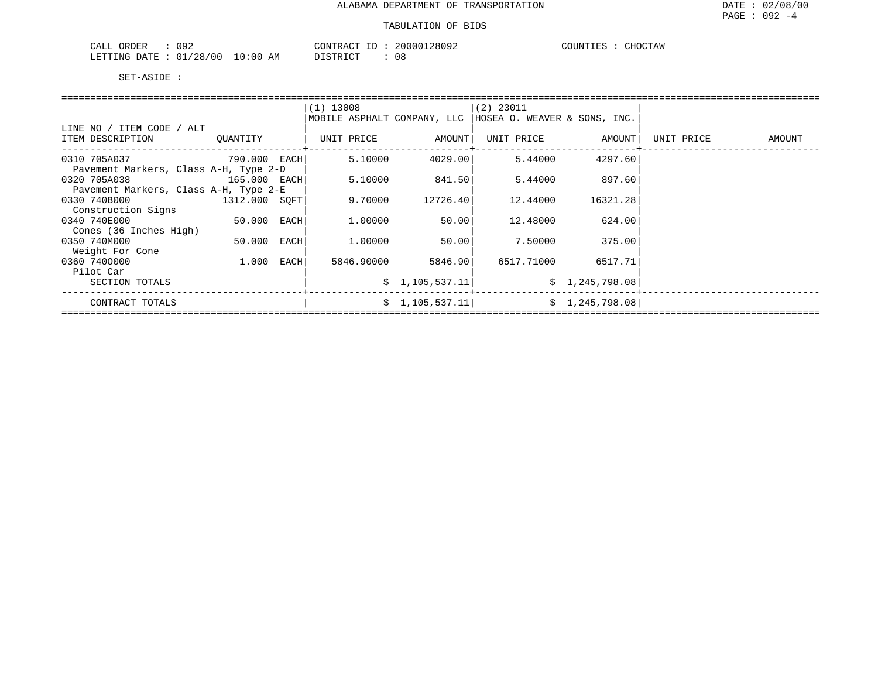| 092<br>CALL ORDER       |          | CONTRACT ID | 20000128092 | COUNTIES | CHOCTAW |
|-------------------------|----------|-------------|-------------|----------|---------|
| LETTING DATE : 01/28/00 | 10:00 AM | DISTRICT    | ററ<br>U 8   |          |         |

|                                       |               | $(1)$ 13008 |                    | (2) 23011                                                  |                   |            |               |
|---------------------------------------|---------------|-------------|--------------------|------------------------------------------------------------|-------------------|------------|---------------|
|                                       |               |             |                    | MOBILE ASPHALT COMPANY, LLC   HOSEA O. WEAVER & SONS, INC. |                   |            |               |
| LINE NO / ITEM CODE / ALT             |               |             |                    |                                                            |                   |            |               |
| ITEM DESCRIPTION QUANTITY             |               | UNIT PRICE  | AMOUNT             |                                                            | UNIT PRICE AMOUNT | UNIT PRICE | <b>AMOUNT</b> |
|                                       |               |             |                    |                                                            |                   |            |               |
| 0310 705A037<br>790.000 EACH          |               | 5.10000     | 4029.001           | 5.44000                                                    | 4297.60           |            |               |
| Pavement Markers, Class A-H, Type 2-D |               |             |                    |                                                            |                   |            |               |
| 0320 705A038<br>165.000 EACH          |               | 5.10000     | 841.50             | 5.44000                                                    | 897.60            |            |               |
| Pavement Markers, Class A-H, Type 2-E |               |             |                    |                                                            |                   |            |               |
| 0330 740B000<br>1312.000 SOFT         |               | 9.70000     | 12726.40           | 12.44000                                                   | 16321.28          |            |               |
| Construction Signs                    |               |             |                    |                                                            |                   |            |               |
| 0340 740E000                          | 50.000 EACH   | 1.00000     | 50.00              | 12.48000                                                   | 624.00            |            |               |
| Cones (36 Inches High)                |               |             |                    |                                                            |                   |            |               |
| 0350 740M000                          | $50.000$ EACH | 1.00000     | 50.00              | 7.50000                                                    | 375.00            |            |               |
| Weight For Cone                       |               |             |                    |                                                            |                   |            |               |
| 0360 7400000                          | 1.000 EACH    |             | 5846.90000 5846.90 | 6517.71000                                                 | 6517.71           |            |               |
| Pilot Car                             |               |             |                    |                                                            |                   |            |               |
| SECTION TOTALS                        |               |             | \$1,105,537.11     |                                                            | \$1,245,798.08    |            |               |
|                                       |               |             |                    |                                                            |                   |            |               |
| CONTRACT TOTALS                       |               |             | \$1,105,537.11     |                                                            | \$1,245,798.08    |            |               |
|                                       |               |             |                    |                                                            |                   |            |               |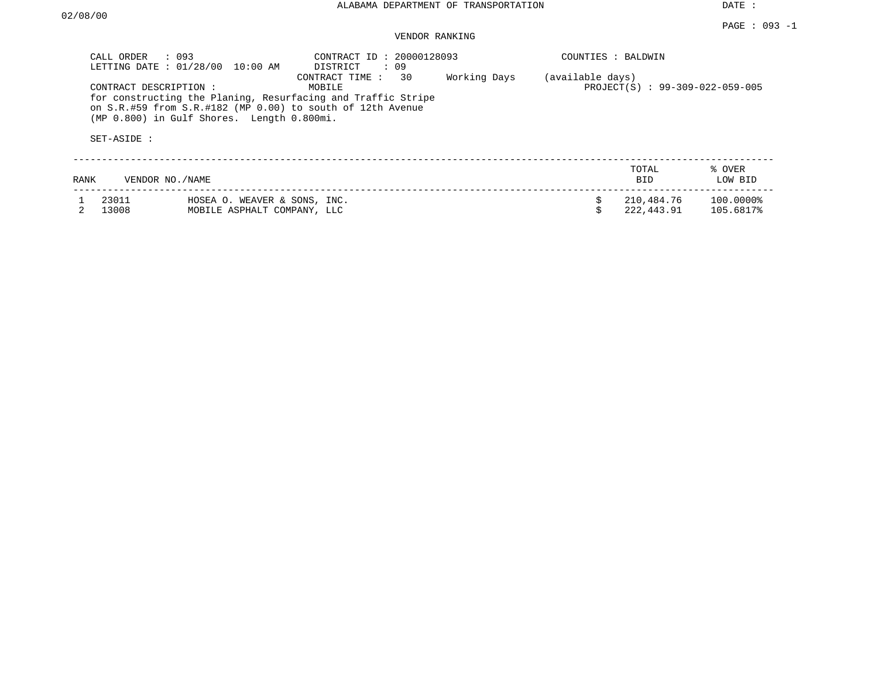DATE :

# VENDOR RANKING

|      | $\therefore$ 093<br>CALL ORDER<br>LETTING DATE: 01/28/00 | 10:00 AM                                                    | CONTRACT ID: 20000128093<br>DISTRICT<br>: 09                                                                                                              |              | COUNTIES : BALDWIN |                                |                        |
|------|----------------------------------------------------------|-------------------------------------------------------------|-----------------------------------------------------------------------------------------------------------------------------------------------------------|--------------|--------------------|--------------------------------|------------------------|
|      | CONTRACT DESCRIPTION:<br>SET-ASIDE :                     | (MP 0.800) in Gulf Shores. Length 0.800mi.                  | CONTRACT TIME: 30<br>MOBILE<br>for constructing the Planing, Resurfacing and Traffic Stripe<br>on S.R.#59 from S.R.#182 (MP 0.00) to south of 12th Avenue | Working Days | (available days)   | PROJECT(S): 99-309-022-059-005 |                        |
| RANK | VENDOR NO./NAME                                          |                                                             |                                                                                                                                                           |              |                    | TOTAL<br><b>BID</b>            | % OVER<br>LOW BID      |
|      | 23011<br>13008                                           | HOSEA O. WEAVER & SONS, INC.<br>MOBILE ASPHALT COMPANY, LLC |                                                                                                                                                           |              |                    | 210,484.76<br>222,443.91       | 100.0000%<br>105.6817% |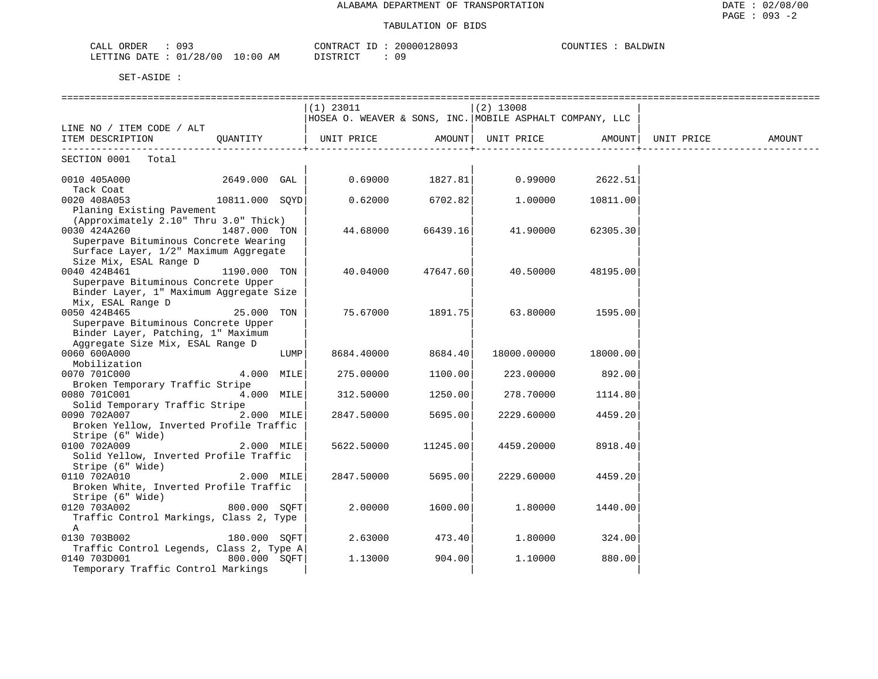| CALL ORDER<br>093               |          | CONTRACT ID: 20000128093 | COUNTIES : BALDWIN |
|---------------------------------|----------|--------------------------|--------------------|
| LETTING DATE: 01/28/00 10:00 AM | DISTRICT | 09                       |                    |

|                                          |                |      | $(1)$ 23011                                              |          | $(2)$ 13008        |          |            |        |
|------------------------------------------|----------------|------|----------------------------------------------------------|----------|--------------------|----------|------------|--------|
|                                          |                |      | HOSEA O. WEAVER & SONS, INC. MOBILE ASPHALT COMPANY, LLC |          |                    |          |            |        |
| LINE NO / ITEM CODE / ALT                |                |      |                                                          |          |                    |          |            |        |
| ITEM DESCRIPTION                         | OUANTITY       |      | UNIT PRICE                                               |          | AMOUNT  UNIT PRICE | AMOUNT   | UNIT PRICE | AMOUNT |
|                                          |                |      |                                                          |          |                    |          |            |        |
| SECTION 0001<br>Total                    |                |      |                                                          |          |                    |          |            |        |
|                                          |                |      |                                                          |          |                    |          |            |        |
| 0010 405A000                             | 2649.000 GAL   |      | 0.69000                                                  | 1827.81  | 0.99000            | 2622.51  |            |        |
| Tack Coat                                |                |      |                                                          |          |                    |          |            |        |
| 0020 408A053                             | 10811.000 SOYD |      | 0.62000                                                  | 6702.82  | 1,00000            | 10811.00 |            |        |
| Planing Existing Pavement                |                |      |                                                          |          |                    |          |            |        |
| (Approximately 2.10" Thru 3.0" Thick)    |                |      |                                                          |          |                    |          |            |        |
| 0030 424A260                             | 1487.000 TON   |      | 44.68000                                                 | 66439.16 | 41.90000           | 62305.30 |            |        |
| Superpave Bituminous Concrete Wearing    |                |      |                                                          |          |                    |          |            |        |
| Surface Layer, 1/2" Maximum Aggregate    |                |      |                                                          |          |                    |          |            |        |
| Size Mix, ESAL Range D                   |                |      |                                                          |          |                    |          |            |        |
| 0040 424B461                             | 1190.000 TON   |      | 40.04000                                                 | 47647.60 | 40.50000           | 48195.00 |            |        |
| Superpave Bituminous Concrete Upper      |                |      |                                                          |          |                    |          |            |        |
| Binder Layer, 1" Maximum Aggregate Size  |                |      |                                                          |          |                    |          |            |        |
| Mix, ESAL Range D                        |                |      |                                                          |          |                    |          |            |        |
| 0050 424B465                             | 25.000 TON     |      | 75.67000                                                 | 1891.75  | 63.80000           | 1595.00  |            |        |
| Superpave Bituminous Concrete Upper      |                |      |                                                          |          |                    |          |            |        |
| Binder Layer, Patching, 1" Maximum       |                |      |                                                          |          |                    |          |            |        |
| Aggregate Size Mix, ESAL Range D         |                |      |                                                          |          |                    |          |            |        |
| 0060 600A000                             |                | LUMP | 8684.40000                                               | 8684.40  | 18000.00000        | 18000.00 |            |        |
| Mobilization                             |                |      |                                                          |          |                    |          |            |        |
| 0070 701C000                             | 4.000 MILE     |      | 275.00000                                                | 1100.00  | 223,00000          | 892.00   |            |        |
| Broken Temporary Traffic Stripe          |                |      |                                                          |          |                    |          |            |        |
| 0080 701C001                             | 4.000 MILE     |      | 312.50000                                                | 1250.00  | 278.70000          | 1114.80  |            |        |
| Solid Temporary Traffic Stripe           |                |      |                                                          |          |                    |          |            |        |
| 0090 702A007                             | 2.000 MILE     |      | 2847.50000                                               | 5695.00  | 2229.60000         | 4459.20  |            |        |
| Broken Yellow, Inverted Profile Traffic  |                |      |                                                          |          |                    |          |            |        |
| Stripe (6" Wide)                         |                |      |                                                          |          |                    |          |            |        |
| 0100 702A009                             | 2.000 MILE     |      | 5622.50000                                               | 11245.00 | 4459.20000         | 8918.40  |            |        |
| Solid Yellow, Inverted Profile Traffic   |                |      |                                                          |          |                    |          |            |        |
| Stripe (6" Wide)                         |                |      |                                                          |          |                    |          |            |        |
| 0110 702A010                             | 2.000 MILE     |      | 2847.50000                                               | 5695.00  | 2229.60000         | 4459.20  |            |        |
| Broken White, Inverted Profile Traffic   |                |      |                                                          |          |                    |          |            |        |
| Stripe (6" Wide)                         |                |      |                                                          |          |                    |          |            |        |
|                                          | 800.000 SOFT   |      | 2,00000                                                  | 1600.00  | 1,80000            | 1440.00  |            |        |
| 0120 703A002                             |                |      |                                                          |          |                    |          |            |        |
| Traffic Control Markings, Class 2, Type  |                |      |                                                          |          |                    |          |            |        |
| A                                        |                |      |                                                          |          |                    |          |            |        |
| 0130 703B002                             | 180.000 SOFT   |      | 2.63000                                                  | 473.40   | 1,80000            | 324.00   |            |        |
| Traffic Control Legends, Class 2, Type A |                |      |                                                          |          |                    |          |            |        |
| 0140 703D001                             | 800.000 SOFT   |      | 1.13000                                                  | 904.00   | 1.10000            | 880.00   |            |        |
| Temporary Traffic Control Markings       |                |      |                                                          |          |                    |          |            |        |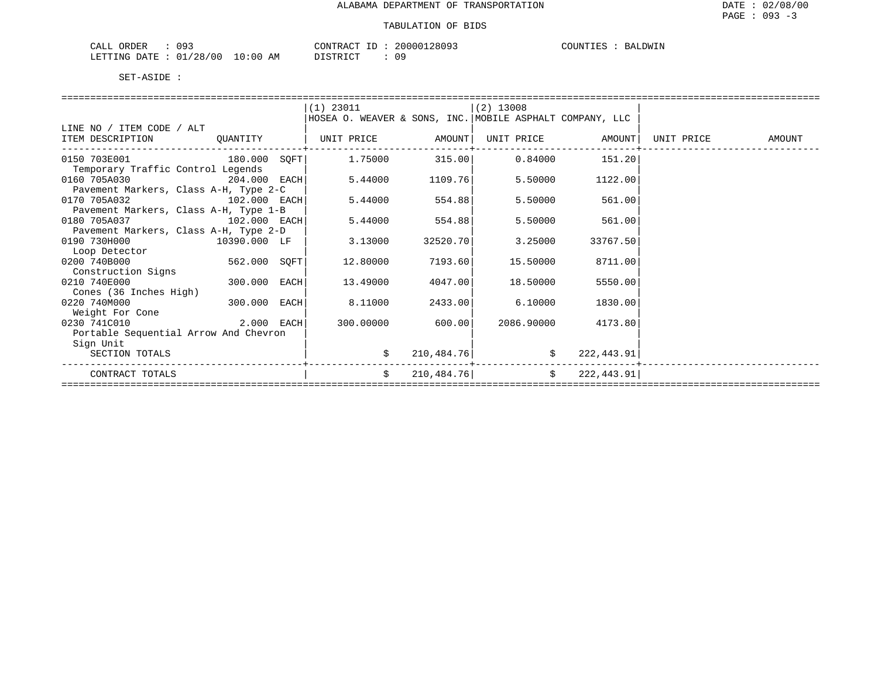| 093<br>ORDER<br>′ ىلىلAت |             | CONTRACT | 20000128093 | COUNTIES<br><b>BALDWIN</b> |
|--------------------------|-------------|----------|-------------|----------------------------|
| 01/28/00<br>LETTING DATE | 10:00<br>AΜ | DISTRICT | ΩC          |                            |

| $(1)$ 23011<br>$(2)$ 13008                                                                  |        |
|---------------------------------------------------------------------------------------------|--------|
|                                                                                             |        |
| HOSEA O. WEAVER & SONS, INC. MOBILE ASPHALT COMPANY, LLC                                    |        |
| LINE NO / ITEM CODE / ALT                                                                   |        |
| QUANTITY   UNIT PRICE AMOUNT <br>ITEM DESCRIPTION<br>UNIT PRICE AMOUNT<br>UNIT PRICE        | AMOUNT |
| $180.000 \quad \text{SQFT}$ $1.75000$ $315.00$ $0.84000$ $151.20$<br>0150 703E001           |        |
| Temporary Traffic Control Legends                                                           |        |
| 5.44000<br>0160 705A030<br>204.000 EACH<br>1109.76<br>5.50000<br>1122.00                    |        |
| Pavement Markers, Class A-H, Type 2-C                                                       |        |
| 0170 705A032<br>102.000 EACH<br>5.44000<br>554.88<br>5.50000<br>561.00                      |        |
| Pavement Markers, Class A-H, Type 1-B                                                       |        |
| 5.44000<br>554.88<br>0180 705A037 102.000 EACH<br>5.50000<br>561.00                         |        |
| Pavement Markers, Class A-H, Type 2-D                                                       |        |
| 0190 730H000 10390.000 LF<br>3.13000<br>32520.70<br>3.25000<br>33767.50                     |        |
| Loop Detector                                                                               |        |
| $562.000$ SQFT<br>0200 740B000<br>12.80000<br>7193.60<br>15.50000<br>8711.00                |        |
| Construction Signs                                                                          |        |
| 300.000 EACH<br>18.50000<br>0210 740E000<br>13.49000<br>4047.00<br>5550.00                  |        |
| Cones (36 Inches High)                                                                      |        |
| 300.000 EACH<br>0220 740M000<br>8.11000<br>6.10000<br>2433.00<br>1830.00<br>Weight For Cone |        |
| 2.000 EACH<br>300.00000<br>600.00<br>0230 741C010<br>2086.90000<br>4173.80                  |        |
| Portable Sequential Arrow And Chevron                                                       |        |
| Sign Unit                                                                                   |        |
| 210, 484.76<br>222,443.91<br>SECTION TOTALS                                                 |        |
|                                                                                             |        |
| \$222, 443.91]<br>210, 484.76<br>$\dot{\mathsf{S}}$<br>CONTRACT TOTALS                      |        |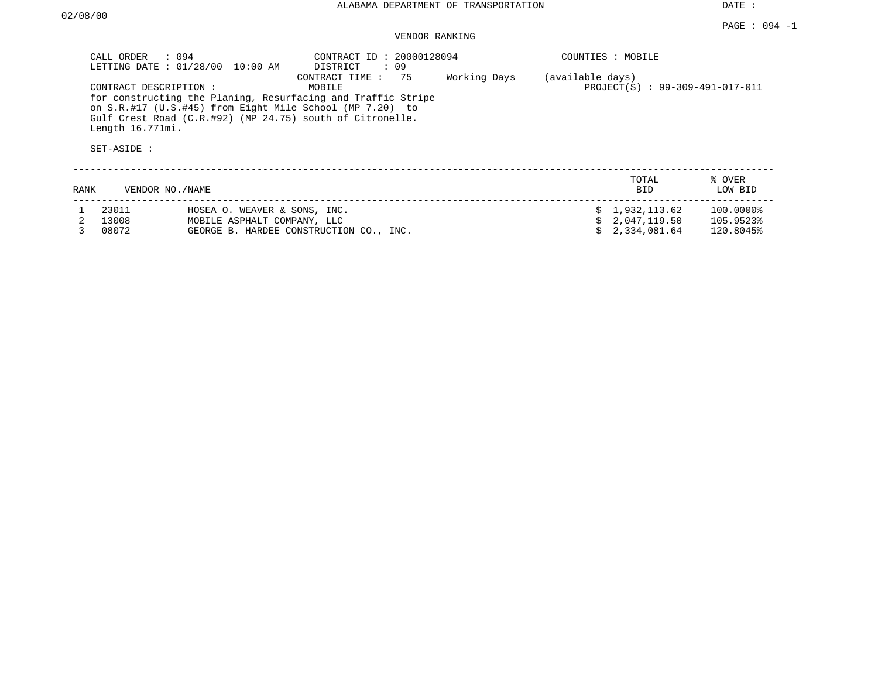DATE :

# VENDOR RANKING

|      | CALL ORDER : 094<br>LETTING DATE: 01/28/00               | 10:00 AM                                                    | CONTRACT ID: 20000128094<br>DISTRICT<br>: 09                                                                                                                                                                            |              |                  | COUNTIES : MOBILE                |                           |
|------|----------------------------------------------------------|-------------------------------------------------------------|-------------------------------------------------------------------------------------------------------------------------------------------------------------------------------------------------------------------------|--------------|------------------|----------------------------------|---------------------------|
|      | CONTRACT DESCRIPTION:<br>Length 16.771mi.<br>SET-ASIDE : |                                                             | CONTRACT TIME: 75<br>MOBILE<br>for constructing the Planing, Resurfacing and Traffic Stripe<br>on S.R.#17 (U.S.#45) from Eight Mile School (MP 7.20) to<br>Gulf Crest Road $(C.R. #92)$ (MP 24.75) south of Citronelle. | Working Days | (available days) | PROJECT(S): 99-309-491-017-011   |                           |
| RANK | VENDOR NO./NAME                                          |                                                             |                                                                                                                                                                                                                         |              |                  | TOTAL<br><b>BID</b>              | % OVER<br>LOW BID         |
|      | 23011<br>13008                                           | HOSEA O. WEAVER & SONS, INC.<br>MOBILE ASPHALT COMPANY, LLC |                                                                                                                                                                                                                         |              |                  | \$1,932,113.62<br>\$2.047.119.50 | $100.0000\%$<br>105.9523% |

3 08072 GEORGE B. HARDEE CONSTRUCTION CO., INC. \$ 2,334,081.64 120.8045%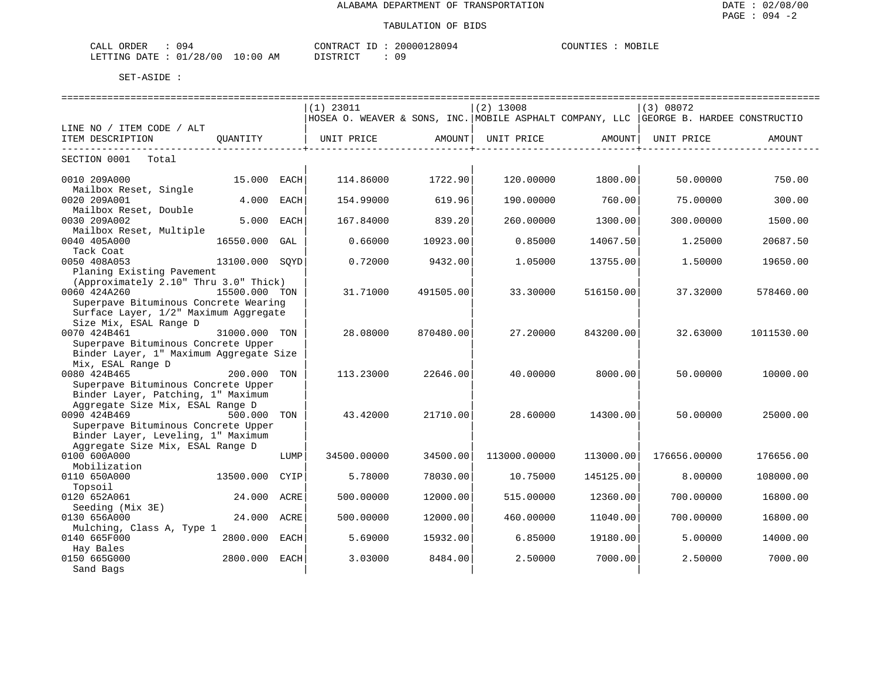| CALL ORDER             |          | CONTRACT<br>ID | 20000128094 | MOBILE<br>COUNTIES |
|------------------------|----------|----------------|-------------|--------------------|
| LETTING DATE: 01/28/00 | 10:00 AM | DISTRICT       |             |                    |

|                                                      |                                                                                |      | ============================== |           | ================================<br>$(2)$ 13008 |           | =============================<br>(3) 08072                                             |            |  |  |
|------------------------------------------------------|--------------------------------------------------------------------------------|------|--------------------------------|-----------|-------------------------------------------------|-----------|----------------------------------------------------------------------------------------|------------|--|--|
|                                                      |                                                                                |      | (1) 23011                      |           |                                                 |           | HOSEA O. WEAVER & SONS, INC. MOBILE ASPHALT COMPANY, LLC  GEORGE B. HARDEE CONSTRUCTIO |            |  |  |
| LINE NO / ITEM CODE / ALT                            |                                                                                |      |                                |           |                                                 |           |                                                                                        |            |  |  |
| ITEM DESCRIPTION                                     | OUANTITY                                                                       |      | UNIT PRICE                     | AMOUNT    | UNIT PRICE                                      | AMOUNT    | UNIT PRICE                                                                             | AMOUNT     |  |  |
| ---------------------------<br>SECTION 0001<br>Total |                                                                                |      |                                |           |                                                 |           |                                                                                        |            |  |  |
|                                                      |                                                                                |      |                                |           |                                                 |           |                                                                                        |            |  |  |
| 0010 209A000<br>Mailbox Reset, Single                | 15.000 EACH                                                                    |      | 114.86000                      | 1722.90   | 120.00000                                       | 1800.00   | 50.00000                                                                               | 750.00     |  |  |
| 0020 209A001                                         | 4.000                                                                          | EACH | 154.99000                      | 619.96    | 190.00000                                       | 760.00    | 75.00000                                                                               | 300.00     |  |  |
| Mailbox Reset, Double                                |                                                                                |      |                                |           |                                                 |           |                                                                                        |            |  |  |
| 0030 209A002                                         | 5.000                                                                          | EACH | 167.84000                      | 839.20    | 260.00000                                       | 1300.00   | 300.00000                                                                              | 1500.00    |  |  |
| Mailbox Reset, Multiple<br>0040 405A000              |                                                                                |      |                                |           |                                                 |           |                                                                                        |            |  |  |
| Tack Coat                                            | 16550.000                                                                      | GAL  | 0.66000                        | 10923.00  | 0.85000                                         | 14067.50  | 1.25000                                                                                | 20687.50   |  |  |
| 0050 408A053                                         | 13100.000 SOYD                                                                 |      | 0.72000                        | 9432.00   | 1.05000                                         | 13755.00  | 1.50000                                                                                | 19650.00   |  |  |
| Planing Existing Pavement                            |                                                                                |      |                                |           |                                                 |           |                                                                                        |            |  |  |
| (Approximately 2.10" Thru 3.0" Thick)                |                                                                                |      |                                |           |                                                 |           |                                                                                        |            |  |  |
| 0060 424A260                                         | 15500.000 TON                                                                  |      | 31.71000                       | 491505.00 | 33.30000                                        | 516150.00 | 37.32000                                                                               | 578460.00  |  |  |
|                                                      | Superpave Bituminous Concrete Wearing<br>Surface Layer, 1/2" Maximum Aggregate |      |                                |           |                                                 |           |                                                                                        |            |  |  |
| Size Mix, ESAL Range D                               |                                                                                |      |                                |           |                                                 |           |                                                                                        |            |  |  |
| 0070 424B461                                         | 31000.000 TON                                                                  |      | 28.08000                       | 870480.00 | 27.20000                                        | 843200.00 | 32.63000                                                                               | 1011530.00 |  |  |
| Superpave Bituminous Concrete Upper                  |                                                                                |      |                                |           |                                                 |           |                                                                                        |            |  |  |
| Binder Layer, 1" Maximum Aggregate Size              |                                                                                |      |                                |           |                                                 |           |                                                                                        |            |  |  |
| Mix, ESAL Range D                                    |                                                                                |      |                                |           |                                                 |           |                                                                                        |            |  |  |
| 0080 424B465<br>Superpave Bituminous Concrete Upper  | 200.000 TON                                                                    |      | 113.23000                      | 22646.00  | 40.00000                                        | 8000.00   | 50.00000                                                                               | 10000.00   |  |  |
| Binder Layer, Patching, 1" Maximum                   |                                                                                |      |                                |           |                                                 |           |                                                                                        |            |  |  |
| Aggregate Size Mix, ESAL Range D                     |                                                                                |      |                                |           |                                                 |           |                                                                                        |            |  |  |
| 0090 424B469                                         | 500.000 TON                                                                    |      | 43.42000                       | 21710.00  | 28.60000                                        | 14300.00  | 50.00000                                                                               | 25000.00   |  |  |
| Superpave Bituminous Concrete Upper                  |                                                                                |      |                                |           |                                                 |           |                                                                                        |            |  |  |
| Binder Layer, Leveling, 1" Maximum                   |                                                                                |      |                                |           |                                                 |           |                                                                                        |            |  |  |
| Aggregate Size Mix, ESAL Range D<br>0100 600A000     |                                                                                | LUMP | 34500.00000                    | 34500.00  | 113000.00000                                    | 113000.00 | 176656.00000                                                                           | 176656.00  |  |  |
| Mobilization                                         |                                                                                |      |                                |           |                                                 |           |                                                                                        |            |  |  |
| 0110 650A000                                         | 13500.000                                                                      | CYIP | 5.78000                        | 78030.00  | 10.75000                                        | 145125.00 | 8,00000                                                                                | 108000.00  |  |  |
| Topsoil                                              |                                                                                |      |                                |           |                                                 |           |                                                                                        |            |  |  |
| 0120 652A061                                         | 24.000 ACRE                                                                    |      | 500.00000                      | 12000.00  | 515.00000                                       | 12360.00  | 700.00000                                                                              | 16800.00   |  |  |
| Seeding (Mix 3E)<br>0130 656A000                     | 24.000                                                                         |      |                                |           |                                                 |           |                                                                                        |            |  |  |
| Mulching, Class A, Type 1                            |                                                                                | ACRE | 500.00000                      | 12000.00  | 460.00000                                       | 11040.00  | 700.00000                                                                              | 16800.00   |  |  |
| 0140 665F000                                         | 2800.000 EACH                                                                  |      | 5.69000                        | 15932.00  | 6.85000                                         | 19180.00  | 5.00000                                                                                | 14000.00   |  |  |
| Hay Bales                                            |                                                                                |      |                                |           |                                                 |           |                                                                                        |            |  |  |
| 0150 665G000                                         | 2800.000 EACH                                                                  |      | 3.03000                        | 8484.00   | 2.50000                                         | 7000.00   | 2.50000                                                                                | 7000.00    |  |  |
| Sand Bags                                            |                                                                                |      |                                |           |                                                 |           |                                                                                        |            |  |  |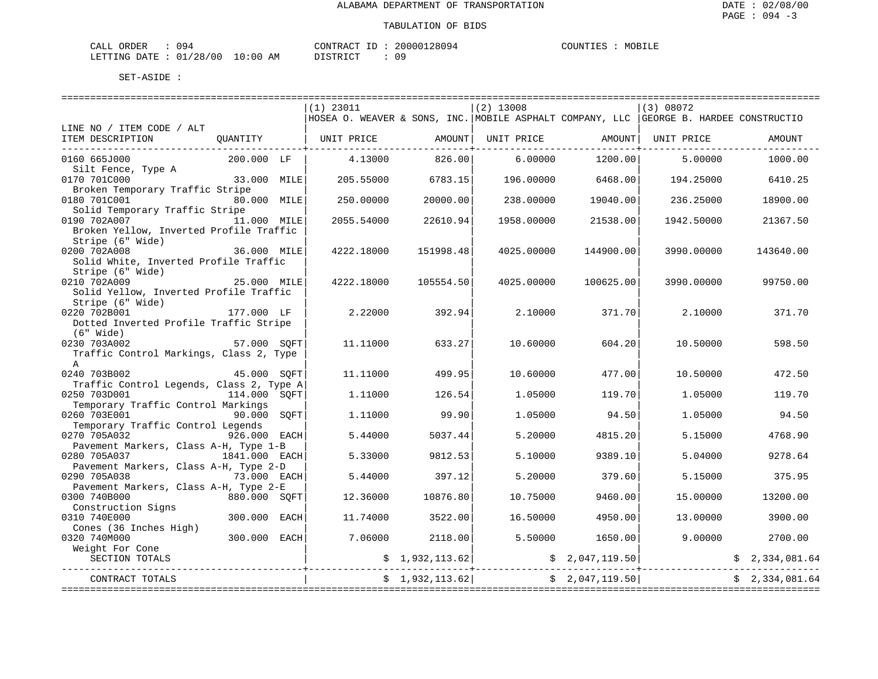| CALL ORDER                    | 94 ٢ |    | CONTRACT ID: | 20000128094 | COUNTIES |  | MOBILE |
|-------------------------------|------|----|--------------|-------------|----------|--|--------|
| LETTING DATE : 01/28/00 10:00 |      | AM | PISTRICT     |             |          |  |        |

|                                                   |                                        |      | $(1)$ 23011                           |                 | $(2)$ 13008 |                   | (3) 08072                                                                               |                |  |  |
|---------------------------------------------------|----------------------------------------|------|---------------------------------------|-----------------|-------------|-------------------|-----------------------------------------------------------------------------------------|----------------|--|--|
|                                                   |                                        |      |                                       |                 |             |                   | HOSEA O. WEAVER & SONS, INC. MOBILE ASPHALT COMPANY, LLC   GEORGE B. HARDEE CONSTRUCTIO |                |  |  |
| LINE NO / ITEM CODE / ALT<br>ITEM DESCRIPTION     | QUANTITY                               |      | UNIT PRICE AMOUNT                     |                 |             | UNIT PRICE AMOUNT | UNIT PRICE                                                                              | AMOUNT         |  |  |
|                                                   |                                        |      |                                       |                 |             |                   |                                                                                         |                |  |  |
| 0160 665J000                                      | 200.000 LF                             |      | 4.13000                               | 826.00          | 6.00000     | 1200.00           | 5,00000                                                                                 | 1000.00        |  |  |
| Silt Fence, Type A                                |                                        |      |                                       |                 |             |                   |                                                                                         |                |  |  |
| 0170 701C000                                      | 33.000 MILE                            |      | 205.55000                             | 6783.15         | 196.00000   | 6468.00           | 194.25000                                                                               | 6410.25        |  |  |
| Broken Temporary Traffic Stripe<br>0180 701C001   | 80.000 MILE                            |      | 250.00000                             | 20000.00        | 238,00000   | 19040.00          | 236.25000                                                                               | 18900.00       |  |  |
| Solid Temporary Traffic Stripe                    |                                        |      |                                       |                 |             |                   |                                                                                         |                |  |  |
| 0190 702A007                                      | 11.000 MILE                            |      | 2055.54000                            | 22610.94        | 1958.00000  | 21538.00          | 1942.50000                                                                              | 21367.50       |  |  |
| Broken Yellow, Inverted Profile Traffic           |                                        |      |                                       |                 |             |                   |                                                                                         |                |  |  |
| Stripe (6" Wide)                                  |                                        |      |                                       |                 |             |                   |                                                                                         |                |  |  |
| 0200 702A008                                      | 36.000 MILE                            |      | 4222.18000                            | 151998.48       | 4025.00000  | 144900.00         | 3990.00000                                                                              | 143640.00      |  |  |
| Solid White, Inverted Profile Traffic             |                                        |      |                                       |                 |             |                   |                                                                                         |                |  |  |
| Stripe (6" Wide)                                  |                                        |      |                                       |                 |             |                   |                                                                                         |                |  |  |
| 0210 702A009                                      | 25.000 MILE                            |      | 4222.18000                            | 105554.50       | 4025.00000  | 100625.00         | 3990.00000                                                                              | 99750.00       |  |  |
|                                                   | Solid Yellow, Inverted Profile Traffic |      |                                       |                 |             |                   |                                                                                         |                |  |  |
| Stripe (6" Wide)<br>0220 702B001                  | 177.000 LF                             |      | 2.22000                               | 392.94          | 2.10000     | 371.70            | 2,10000                                                                                 | 371.70         |  |  |
| Dotted Inverted Profile Traffic Stripe            |                                        |      |                                       |                 |             |                   |                                                                                         |                |  |  |
| $(6"$ Wide)                                       |                                        |      |                                       |                 |             |                   |                                                                                         |                |  |  |
| 0230 703A002                                      | 57.000 SOFT                            |      | 11.11000                              | 633.27          | 10.60000    | 604.20            | 10.50000                                                                                | 598.50         |  |  |
| Traffic Control Markings, Class 2, Type           |                                        |      |                                       |                 |             |                   |                                                                                         |                |  |  |
| $\mathbb{A}$                                      |                                        |      |                                       |                 |             |                   |                                                                                         |                |  |  |
| 0240 703B002                                      | 45.000 SOFT                            |      | 11,11000                              | 499.95          | 10.60000    | 477.00            | 10.50000                                                                                | 472.50         |  |  |
| Traffic Control Legends, Class 2, Type A          |                                        |      |                                       |                 |             |                   |                                                                                         |                |  |  |
| 0250 703D001                                      | 114.000 SOFT                           |      | 1,11000                               | 126.54          | 1.05000     | 119.70            | 1.05000                                                                                 | 119.70         |  |  |
| Temporary Traffic Control Markings                |                                        |      |                                       |                 |             |                   |                                                                                         |                |  |  |
| 0260 703E001<br>Temporary Traffic Control Legends | 90.000                                 | SOFT | 1,11000                               | 99.90           | 1.05000     | 94.50             | 1.05000                                                                                 | 94.50          |  |  |
| 0270 705A032                                      | 926.000 EACH                           |      | 5.44000                               | 5037.44         | 5.20000     | 4815.20           | 5.15000                                                                                 | 4768.90        |  |  |
| Pavement Markers, Class A-H, Type 1-B             |                                        |      |                                       |                 |             |                   |                                                                                         |                |  |  |
| 0280 705A037                                      | 1841.000 EACH                          |      | 5.33000                               | 9812.53         | 5.10000     | 9389.10           | 5.04000                                                                                 | 9278.64        |  |  |
| Pavement Markers, Class A-H, Type 2-D             |                                        |      |                                       |                 |             |                   |                                                                                         |                |  |  |
| 0290 705A038                                      | 73.000 EACH                            |      | 5.44000                               | 397.12          | 5.20000     | 379.60            | 5.15000                                                                                 | 375.95         |  |  |
| Pavement Markers, Class A-H, Type 2-E             |                                        |      |                                       |                 |             |                   |                                                                                         |                |  |  |
| 0300 740B000                                      | 880.000 SOFT                           |      | 12.36000                              | 10876.80        | 10.75000    | 9460.00           | 15,00000                                                                                | 13200.00       |  |  |
| Construction Signs<br>0310 740E000                | 300.000                                | EACH | 11.74000                              | 3522.00         | 16.50000    | 4950.00           | 13.00000                                                                                | 3900.00        |  |  |
| Cones (36 Inches High)                            |                                        |      |                                       |                 |             |                   |                                                                                         |                |  |  |
| 0320 740M000                                      | 300.000 EACH                           |      | 7.06000                               | 2118.00         | 5.50000     | 1650.00           | 9.00000                                                                                 | 2700.00        |  |  |
| Weight For Cone                                   |                                        |      |                                       |                 |             |                   |                                                                                         |                |  |  |
| SECTION TOTALS                                    |                                        |      |                                       | \$1,932,113.62] |             | \$2,047,119.50]   |                                                                                         | \$2,334,081.64 |  |  |
| CONTRACT TOTALS                                   |                                        |      | ------------------------------------- | \$1,932,113.62  |             | \$2,047,119.50    |                                                                                         | \$2,334,081.64 |  |  |
|                                                   |                                        |      |                                       |                 |             |                   |                                                                                         |                |  |  |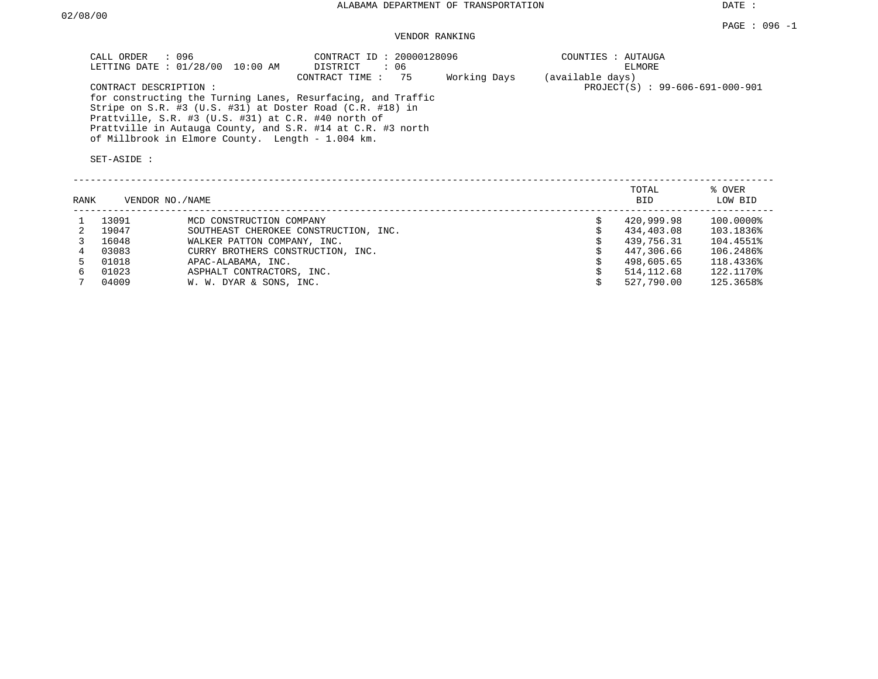DATE :

# VENDOR RANKING

|      | CALL ORDER<br>CONTRACT DESCRIPTION:<br>SET-ASIDE : | $\therefore$ 096<br>LETTING DATE : 01/28/00 10:00 AM<br>Prattville, S.R. #3 (U.S. #31) at C.R. #40 north of<br>of Millbrook in Elmore County. Length - 1.004 km. | CONTRACT ID: 20000128096<br>: 06<br>DISTRICT<br>CONTRACT TIME:<br>75<br>for constructing the Turning Lanes, Resurfacing, and Traffic<br>Stripe on S.R. #3 (U.S. #31) at Doster Road (C.R. #18) in<br>Prattville in Autauga County, and S.R. #14 at C.R. #3 north | Working Days | COUNTIES : AUTAUGA<br>(available days) | ELMORE<br>PROJECT(S) : 99-606-691-000-901 |                   |
|------|----------------------------------------------------|------------------------------------------------------------------------------------------------------------------------------------------------------------------|------------------------------------------------------------------------------------------------------------------------------------------------------------------------------------------------------------------------------------------------------------------|--------------|----------------------------------------|-------------------------------------------|-------------------|
| RANK | VENDOR NO./NAME                                    |                                                                                                                                                                  |                                                                                                                                                                                                                                                                  |              |                                        | TOTAL<br><b>BID</b>                       | % OVER<br>LOW BID |
|      | 13091                                              | MCD CONSTRUCTION COMPANY                                                                                                                                         |                                                                                                                                                                                                                                                                  |              | \$                                     | 420,999.98                                | 100.0000%         |
| 2    | 19047                                              |                                                                                                                                                                  | SOUTHEAST CHEROKEE CONSTRUCTION, INC.                                                                                                                                                                                                                            |              |                                        | 434,403.08                                | 103.1836%         |
|      | 16048                                              | WALKER PATTON COMPANY, INC.                                                                                                                                      |                                                                                                                                                                                                                                                                  |              |                                        | 439,756.31                                | 104.4551%         |
| 4    | 03083                                              | CURRY BROTHERS CONSTRUCTION, INC.                                                                                                                                |                                                                                                                                                                                                                                                                  |              |                                        | 447,306.66                                | 106.2486%         |
| 5.   | 01018                                              | APAC-ALABAMA, INC.                                                                                                                                               |                                                                                                                                                                                                                                                                  |              |                                        | 498,605.65                                | 118.4336%         |
| 6    | 01023                                              | ASPHALT CONTRACTORS, INC.                                                                                                                                        |                                                                                                                                                                                                                                                                  |              |                                        | 514,112.68                                | 122.1170%         |
|      | 04009                                              | W. W. DYAR & SONS, INC.                                                                                                                                          |                                                                                                                                                                                                                                                                  |              |                                        | 527,790.00                                | 125.3658%         |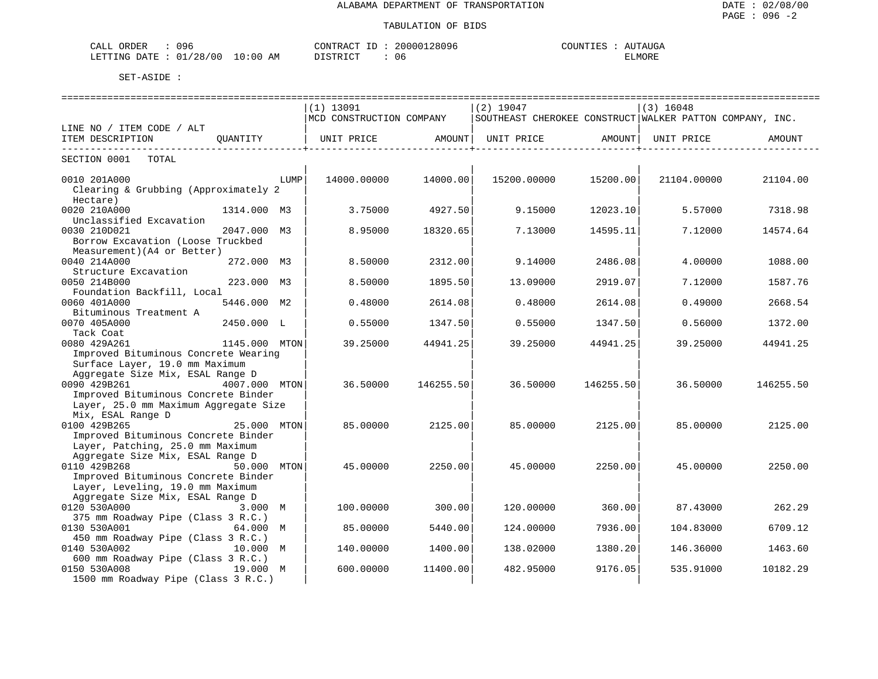| 096<br>ORDER<br>CALL     |             | 20000128096<br>CONTRACT<br>$- -$ | UTAUGA<br>COUNTIES<br>$\Delta$ I |
|--------------------------|-------------|----------------------------------|----------------------------------|
| 01/28/00<br>LETTING DATE | 10:00<br>AΜ | דים דמידי פרות<br>U6<br>.        | ELMORE                           |

|                                                                              |               |      | $(1)$ 13091<br>MCD CONSTRUCTION COMPANY |                                | $(2)$ 19047<br>SOUTHEAST CHEROKEE CONSTRUCT WALKER PATTON COMPANY, INC. |                              | $(3)$ 16048 |           |
|------------------------------------------------------------------------------|---------------|------|-----------------------------------------|--------------------------------|-------------------------------------------------------------------------|------------------------------|-------------|-----------|
| LINE NO / ITEM CODE / ALT                                                    |               |      |                                         |                                |                                                                         |                              |             |           |
| ITEM DESCRIPTION                                                             | OUANTITY      |      | UNIT PRICE                              | AMOUNT  <br>------------------ | UNIT PRICE                                                              | AMOUNT<br>------------------ | UNIT PRICE  | AMOUNT    |
| SECTION 0001 TOTAL                                                           |               |      |                                         |                                |                                                                         |                              |             |           |
| 0010 201A000                                                                 |               | LUMP | 14000.00000                             | 14000.00                       | 15200.00000                                                             | 15200.00                     | 21104.00000 | 21104.00  |
| Clearing & Grubbing (Approximately 2<br>Hectare)                             |               |      |                                         |                                |                                                                         |                              |             |           |
| 0020 210A000                                                                 | 1314.000 M3   |      | 3.75000                                 | 4927.50                        | 9.15000                                                                 | 12023.10                     | 5.57000     | 7318.98   |
| Unclassified Excavation<br>0030 210D021                                      | 2047.000 M3   |      | 8.95000                                 | 18320.65                       | 7.13000                                                                 | 14595.11                     | 7.12000     | 14574.64  |
| Borrow Excavation (Loose Truckbed                                            |               |      |                                         |                                |                                                                         |                              |             |           |
| Measurement) (A4 or Better)                                                  |               |      |                                         |                                |                                                                         |                              |             |           |
| 0040 214A000                                                                 | 272.000 M3    |      | 8.50000                                 | 2312.00                        | 9.14000                                                                 | 2486.08                      | 4.00000     | 1088.00   |
| Structure Excavation                                                         |               |      |                                         |                                |                                                                         |                              |             |           |
| 0050 214B000<br>Foundation Backfill, Local                                   | 223.000 M3    |      | 8.50000                                 | 1895.50                        | 13.09000                                                                | 2919.07                      | 7.12000     | 1587.76   |
| 0060 401A000                                                                 | 5446.000 M2   |      | 0.48000                                 | 2614.08                        | 0.48000                                                                 | 2614.08                      | 0.49000     | 2668.54   |
| Bituminous Treatment A                                                       |               |      |                                         |                                |                                                                         |                              |             |           |
| 0070 405A000                                                                 | 2450.000 L    |      | 0.55000                                 | 1347.50                        | 0.55000                                                                 | 1347.50                      | 0.56000     | 1372.00   |
| Tack Coat                                                                    |               |      |                                         |                                |                                                                         |                              |             |           |
| 0080 429A261                                                                 | 1145.000 MTON |      | 39.25000                                | 44941.25                       | 39.25000                                                                | 44941.25                     | 39.25000    | 44941.25  |
| Improved Bituminous Concrete Wearing                                         |               |      |                                         |                                |                                                                         |                              |             |           |
| Surface Layer, 19.0 mm Maximum                                               |               |      |                                         |                                |                                                                         |                              |             |           |
| Aggregate Size Mix, ESAL Range D                                             |               |      |                                         |                                |                                                                         |                              |             |           |
| 0090 429B261 4007.000 MTON                                                   |               |      | 36.50000                                | 146255.50                      | 36.50000                                                                | 146255.50                    | 36.50000    | 146255.50 |
| Improved Bituminous Concrete Binder<br>Layer, 25.0 mm Maximum Aggregate Size |               |      |                                         |                                |                                                                         |                              |             |           |
| Mix, ESAL Range D                                                            |               |      |                                         |                                |                                                                         |                              |             |           |
| 0100 429B265                                                                 | 25.000 MTON   |      | 85.00000                                | 2125.00                        | 85,00000                                                                | 2125.00                      | 85.00000    | 2125.00   |
| Improved Bituminous Concrete Binder                                          |               |      |                                         |                                |                                                                         |                              |             |           |
| Layer, Patching, 25.0 mm Maximum                                             |               |      |                                         |                                |                                                                         |                              |             |           |
| Aggregate Size Mix, ESAL Range D                                             |               |      |                                         |                                |                                                                         |                              |             |           |
| 0110 429B268                                                                 | 50.000 MTON   |      | 45.00000                                | 2250.00                        | 45.00000                                                                | 2250.00                      | 45.00000    | 2250.00   |
| Improved Bituminous Concrete Binder                                          |               |      |                                         |                                |                                                                         |                              |             |           |
| Layer, Leveling, 19.0 mm Maximum                                             |               |      |                                         |                                |                                                                         |                              |             |           |
| Aggregate Size Mix, ESAL Range D<br>0120 530A000                             | 3.000 M       |      | 100.00000                               | 300.00                         | 120.00000                                                               | 360.00                       | 87.43000    | 262.29    |
| 375 mm Roadway Pipe (Class 3 R.C.)                                           |               |      |                                         |                                |                                                                         |                              |             |           |
| 0130 530A001 64.000 M                                                        |               |      | 85.00000                                | 5440.00                        | 124.00000                                                               | 7936.00                      | 104.83000   | 6709.12   |
| 450 mm Roadway Pipe (Class 3 R.C.)                                           |               |      |                                         |                                |                                                                         |                              |             |           |
| 0140 530A002                                                                 | 10.000 M      |      | 140.00000                               | 1400.00                        | 138.02000                                                               | 1380.20                      | 146.36000   | 1463.60   |
| 600 mm Roadway Pipe (Class 3 R.C.)                                           |               |      |                                         |                                |                                                                         |                              |             |           |
| 0150 530A008                                                                 | 19.000 M      |      | 600.00000                               | 11400.00                       | 482.95000                                                               | 9176.05                      | 535.91000   | 10182.29  |
| 1500 mm Roadway Pipe (Class 3 R.C.)                                          |               |      |                                         |                                |                                                                         |                              |             |           |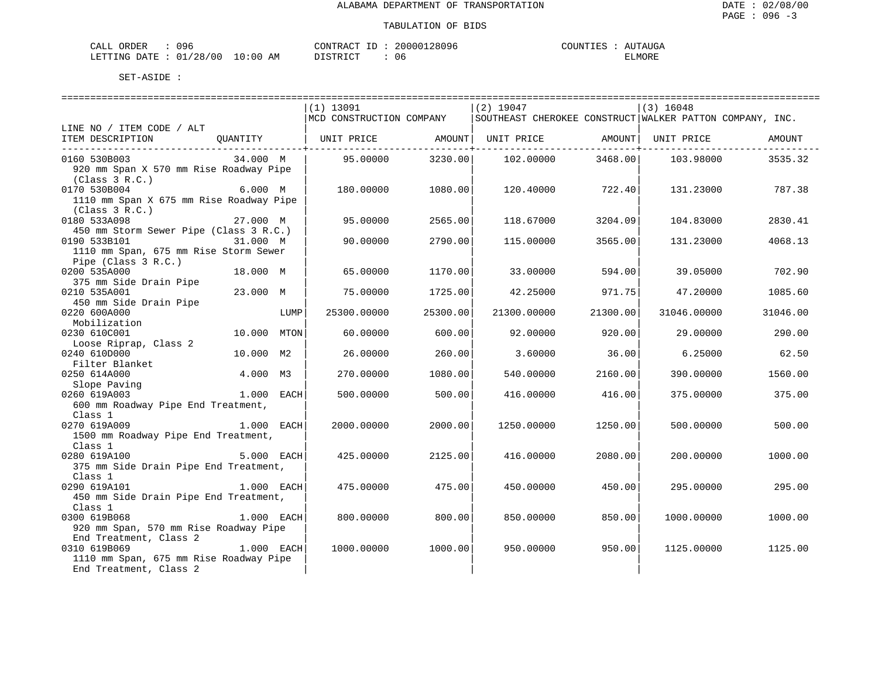| 096<br>ORDER<br>$\mathbf{A}$<br>لمستدر<br>ぃノぃ |            | חידור<br>≺ ⊖∖∖ | 096<br>nr<br>. 28 L | UGA    |
|-----------------------------------------------|------------|----------------|---------------------|--------|
| 00<br>28<br>חדי ∆ר.<br>מות דידים.             | AΜ<br>-300 | יחמ            | υc                  | ELMOKE |

|                                                                  |              |      | $(1)$ 13091              |          | $(2)$ 19047                                              |          | $(3)$ 16048 |          |  |  |  |  |
|------------------------------------------------------------------|--------------|------|--------------------------|----------|----------------------------------------------------------|----------|-------------|----------|--|--|--|--|
|                                                                  |              |      | MCD CONSTRUCTION COMPANY |          | SOUTHEAST CHEROKEE CONSTRUCT WALKER PATTON COMPANY, INC. |          |             |          |  |  |  |  |
| LINE NO / ITEM CODE / ALT                                        |              |      |                          |          |                                                          |          |             |          |  |  |  |  |
| ITEM DESCRIPTION                                                 |              |      | QUANTITY   UNIT PRICE    |          | AMOUNT   UNIT PRICE<br>------- <del>----------</del>     | AMOUNT   | UNIT PRICE  | AMOUNT   |  |  |  |  |
| 0160 530B003                                                     | 34.000 M     |      | 95.00000                 | 3230.00  | 102.00000                                                | 3468.00  | 103.98000   | 3535.32  |  |  |  |  |
| 920 mm Span X 570 mm Rise Roadway Pipe                           |              |      |                          |          |                                                          |          |             |          |  |  |  |  |
| (Class 3 R.C.)                                                   |              |      |                          |          |                                                          |          |             |          |  |  |  |  |
| 0170 530B004                                                     | 6.000 M      |      | 180.00000                | 1080.00  | 120.40000                                                | 722.40   | 131.23000   | 787.38   |  |  |  |  |
| 1110 mm Span X 675 mm Rise Roadway Pipe                          |              |      |                          |          |                                                          |          |             |          |  |  |  |  |
| (Class 3 R.C.)                                                   |              |      |                          |          |                                                          |          |             |          |  |  |  |  |
| 0180 533A098                                                     | 27.000 M     |      | 95.00000                 | 2565.00  | 118.67000                                                | 3204.09  | 104.83000   | 2830.41  |  |  |  |  |
| 450 mm Storm Sewer Pipe (Class 3 R.C.)                           |              |      |                          |          |                                                          |          |             |          |  |  |  |  |
| 0190 533B101                                                     | 31.000 M     |      | 90.00000                 | 2790.00  | 115.00000                                                | 3565.00  | 131.23000   | 4068.13  |  |  |  |  |
| 1110 mm Span, 675 mm Rise Storm Sewer                            |              |      |                          |          |                                                          |          |             |          |  |  |  |  |
| Pipe (Class 3 R.C.)                                              |              |      |                          |          |                                                          |          |             |          |  |  |  |  |
| 0200 535A000<br>375 mm Side Drain Pipe                           | 18.000 M     |      | 65.00000                 | 1170.00  | 33.00000                                                 | 594.00   | 39.05000    | 702.90   |  |  |  |  |
| 0210 535A001                                                     | 23.000 M     |      | 75.00000                 | 1725.00  | 42.25000                                                 | 971.75   | 47.20000    | 1085.60  |  |  |  |  |
| 450 mm Side Drain Pipe                                           |              |      |                          |          |                                                          |          |             |          |  |  |  |  |
| 0220 600A000                                                     |              | LUMP | 25300.00000              | 25300.00 | 21300.00000                                              | 21300.00 | 31046.00000 | 31046.00 |  |  |  |  |
| Mobilization                                                     |              |      |                          |          |                                                          |          |             |          |  |  |  |  |
| 0230 610C001                                                     | 10.000 MTON  |      | 60.00000                 | 600.00   | 92.00000                                                 | 920.00   | 29.00000    | 290.00   |  |  |  |  |
| Loose Riprap, Class 2                                            |              |      |                          |          |                                                          |          |             |          |  |  |  |  |
| 0240 610D000                                                     | 10.000 M2    |      | 26.00000                 | 260.00   | 3.60000                                                  | 36.00    | 6.25000     | 62.50    |  |  |  |  |
| Filter Blanket                                                   |              |      |                          |          |                                                          |          |             |          |  |  |  |  |
| 0250 614A000                                                     | 4.000 M3     |      | 270.00000                | 1080.00  | 540.00000                                                | 2160.00  | 390.00000   | 1560.00  |  |  |  |  |
| Slope Paving                                                     |              |      |                          |          |                                                          |          |             |          |  |  |  |  |
| 0260 619A003                                                     | 1.000 EACH   |      | 500.00000                | 500.00   | 416.00000                                                | 416.00   | 375.00000   | 375.00   |  |  |  |  |
| 600 mm Roadway Pipe End Treatment,                               |              |      |                          |          |                                                          |          |             |          |  |  |  |  |
| Class 1<br>0270 619A009                                          | 1.000 EACH   |      | 2000.00000               | 2000.00  | 1250.00000                                               | 1250.00  | 500,00000   | 500.00   |  |  |  |  |
| 1500 mm Roadway Pipe End Treatment,                              |              |      |                          |          |                                                          |          |             |          |  |  |  |  |
| Class 1                                                          |              |      |                          |          |                                                          |          |             |          |  |  |  |  |
| 5.000 EACH<br>0280 619A100                                       |              |      | 425.00000                | 2125.00  | 416.00000                                                | 2080.00  | 200.00000   | 1000.00  |  |  |  |  |
| 375 mm Side Drain Pipe End Treatment,                            |              |      |                          |          |                                                          |          |             |          |  |  |  |  |
| Class 1                                                          |              |      |                          |          |                                                          |          |             |          |  |  |  |  |
| 0290 619A101                                                     | 1.000 EACH   |      | 475.00000                | 475.00   | 450.00000                                                | 450.00   | 295.00000   | 295.00   |  |  |  |  |
| 450 mm Side Drain Pipe End Treatment,                            |              |      |                          |          |                                                          |          |             |          |  |  |  |  |
| Class 1                                                          |              |      |                          |          |                                                          |          |             |          |  |  |  |  |
| 0300 619B068                                                     | 1.000 EACH   |      | 800,00000                | 800.00   | 850.00000                                                | 850.00   | 1000.00000  | 1000.00  |  |  |  |  |
| 920 mm Span, 570 mm Rise Roadway Pipe                            |              |      |                          |          |                                                          |          |             |          |  |  |  |  |
| End Treatment, Class 2                                           |              |      |                          |          |                                                          |          |             |          |  |  |  |  |
| 0310 619B069                                                     | $1.000$ EACH |      | 1000.00000               | 1000.00  | 950.00000                                                | 950.00   | 1125,00000  | 1125.00  |  |  |  |  |
| 1110 mm Span, 675 mm Rise Roadway Pipe<br>End Treatment, Class 2 |              |      |                          |          |                                                          |          |             |          |  |  |  |  |
|                                                                  |              |      |                          |          |                                                          |          |             |          |  |  |  |  |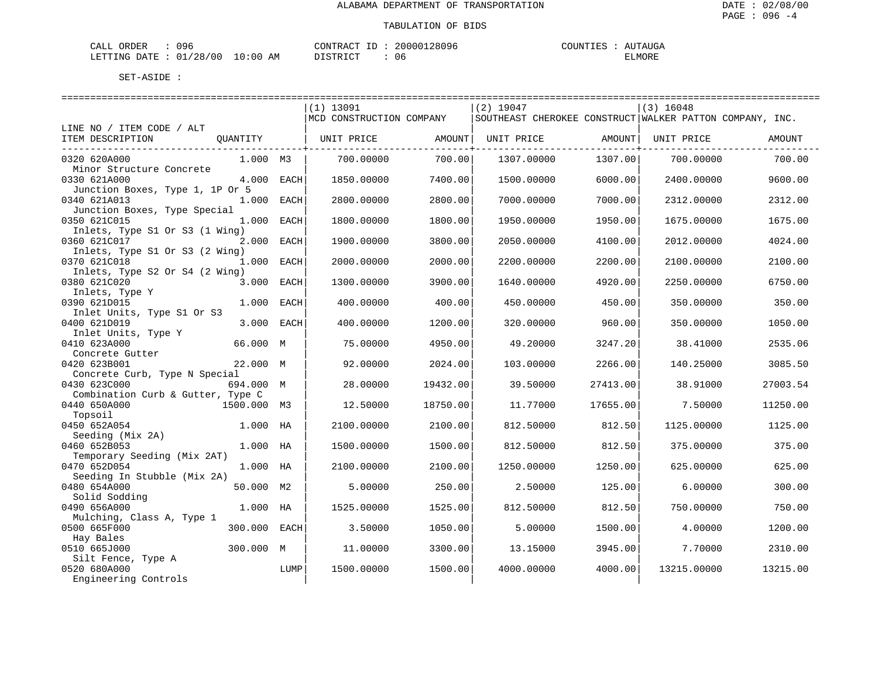| ORDER<br>7 Q 6<br>---                                                                                                                                    |               | $\sim$ | $\bigcap$ | <b>OTINT'</b>              |
|----------------------------------------------------------------------------------------------------------------------------------------------------------|---------------|--------|-----------|----------------------------|
| LETTING<br>12T<br>2 C<br>$\mathbf{u}$<br>the contract of the contract of the contract of the contract of the contract of the contract of the contract of | AΜ<br>$\cdot$ |        | Uб        | . ^ <del>.</del><br>TTMOKE |

|                                     |              |      | $(1)$ 13091              |          | $(2)$ 19047                                                |          | $(3)$ 16048 |          |
|-------------------------------------|--------------|------|--------------------------|----------|------------------------------------------------------------|----------|-------------|----------|
|                                     |              |      | MCD CONSTRUCTION COMPANY |          | SOUTHEAST CHEROKEE CONSTRUCT   WALKER PATTON COMPANY, INC. |          |             |          |
| LINE NO / ITEM CODE / ALT           |              |      |                          |          |                                                            |          |             |          |
| ITEM DESCRIPTION                    | QUANTITY     |      | UNIT PRICE               | AMOUNT   | UNIT PRICE                                                 | AMOUNT   | UNIT PRICE  | AMOUNT   |
| 0320 620A000                        | 1.000 M3     |      | 700,00000                | 700.00   | 1307.00000                                                 | 1307.00  | 700,00000   | 700.00   |
| Minor Structure Concrete            |              |      |                          |          |                                                            |          |             |          |
| 0330 621A000                        | 4.000 EACH   |      | 1850.00000               | 7400.00  | 1500.00000                                                 | 6000.00  | 2400.00000  | 9600.00  |
| Junction Boxes, Type 1, 1P Or 5     |              |      |                          |          |                                                            |          |             |          |
| 0340 621A013                        | 1.000 EACH   |      | 2800.00000               | 2800.00  | 7000.00000                                                 | 7000.00  | 2312.00000  | 2312.00  |
| Junction Boxes, Type Special        |              |      |                          |          |                                                            |          |             |          |
| 0350 621C015                        | 1.000 EACH   |      | 1800.00000               | 1800.00  | 1950.00000                                                 | 1950.00  | 1675.00000  | 1675.00  |
| Inlets, Type S1 Or S3 (1 Wing)      |              |      |                          |          |                                                            |          |             |          |
| 0360 621C017                        | 2.000 EACH   |      | 1900.00000               | 3800.00  | 2050.00000                                                 | 4100.00  | 2012.00000  | 4024.00  |
| Inlets, Type S1 Or S3 (2 Wing)      |              |      |                          |          |                                                            |          |             |          |
| 0370 621C018                        | 1.000 EACH   |      | 2000.00000               | 2000.00  | 2200.00000                                                 | 2200.00  | 2100.00000  | 2100.00  |
| Inlets, Type S2 Or S4 (2 Wing)      |              |      |                          |          |                                                            |          |             |          |
| 0380 621C020                        | 3.000 EACH   |      | 1300.00000               | 3900.00  | 1640.00000                                                 | 4920.00  | 2250.00000  | 6750.00  |
| Inlets, Type Y                      |              |      |                          |          |                                                            |          |             |          |
| 0390 621D015                        | 1.000 EACH   |      | 400.00000                | 400.00   | 450.00000                                                  | 450.00   | 350.00000   | 350.00   |
| Inlet Units, Type S1 Or S3          |              |      |                          |          |                                                            |          |             |          |
| 0400 621D019                        | 3.000 EACH   |      | 400.00000                | 1200.00  | 320.00000                                                  | 960.00   | 350.00000   | 1050.00  |
| Inlet Units, Type Y<br>0410 623A000 | 66.000 M     |      | 75.00000                 | 4950.00  | 49.20000                                                   | 3247.20  | 38.41000    | 2535.06  |
| Concrete Gutter                     |              |      |                          |          |                                                            |          |             |          |
| 0420 623B001                        | 22.000 M     |      | 92.00000                 | 2024.00  | 103.00000                                                  | 2266.00  | 140.25000   | 3085.50  |
| Concrete Curb, Type N Special       |              |      |                          |          |                                                            |          |             |          |
| 0430 623C000                        | 694.000 M    |      | 28,00000                 | 19432.00 | 39.50000                                                   | 27413.00 | 38.91000    | 27003.54 |
| Combination Curb & Gutter, Type C   |              |      |                          |          |                                                            |          |             |          |
| 0440 650A000                        | 1500.000 M3  |      | 12.50000                 | 18750.00 | 11.77000                                                   | 17655.00 | 7.50000     | 11250.00 |
| Topsoil                             |              |      |                          |          |                                                            |          |             |          |
| 0450 652A054                        | 1.000 HA     |      | 2100.00000               | 2100.00  | 812,50000                                                  | 812.50   | 1125.00000  | 1125.00  |
| Seeding (Mix 2A)                    |              |      |                          |          |                                                            |          |             |          |
| 0460 652B053                        | 1.000 HA     |      | 1500.00000               | 1500.00  | 812.50000                                                  | 812.50   | 375.00000   | 375.00   |
| Temporary Seeding (Mix 2AT)         |              |      |                          |          |                                                            |          |             |          |
| 0470 652D054                        | 1.000 HA     |      | 2100.00000               | 2100.00  | 1250.00000                                                 | 1250.00  | 625.00000   | 625.00   |
| Seeding In Stubble (Mix 2A)         |              |      |                          |          |                                                            |          |             |          |
| 0480 654A000                        | 50.000 M2    |      | 5.00000                  | 250.00   | 2.50000                                                    | 125.00   | 6.00000     | 300.00   |
| Solid Sodding                       |              |      |                          |          |                                                            |          |             |          |
| 0490 656A000                        | 1.000 HA     |      | 1525.00000               | 1525.00  | 812.50000                                                  | 812.50   | 750.00000   | 750.00   |
| Mulching, Class A, Type 1           |              |      |                          |          |                                                            |          |             |          |
| 0500 665F000                        | 300.000 EACH |      | 3.50000                  | 1050.00  | 5.00000                                                    | 1500.00  | 4.00000     | 1200.00  |
| Hay Bales                           |              |      |                          |          |                                                            |          |             |          |
| 0510 665J000                        | 300.000 M    |      | 11,00000                 | 3300.00  | 13.15000                                                   | 3945.00  | 7.70000     | 2310.00  |
| Silt Fence, Type A                  |              |      |                          |          |                                                            |          |             |          |
| 0520 680A000                        |              | LUMP | 1500.00000               | 1500.00  | 4000.00000                                                 | 4000.00  | 13215.00000 | 13215.00 |
| Engineering Controls                |              |      |                          |          |                                                            |          |             |          |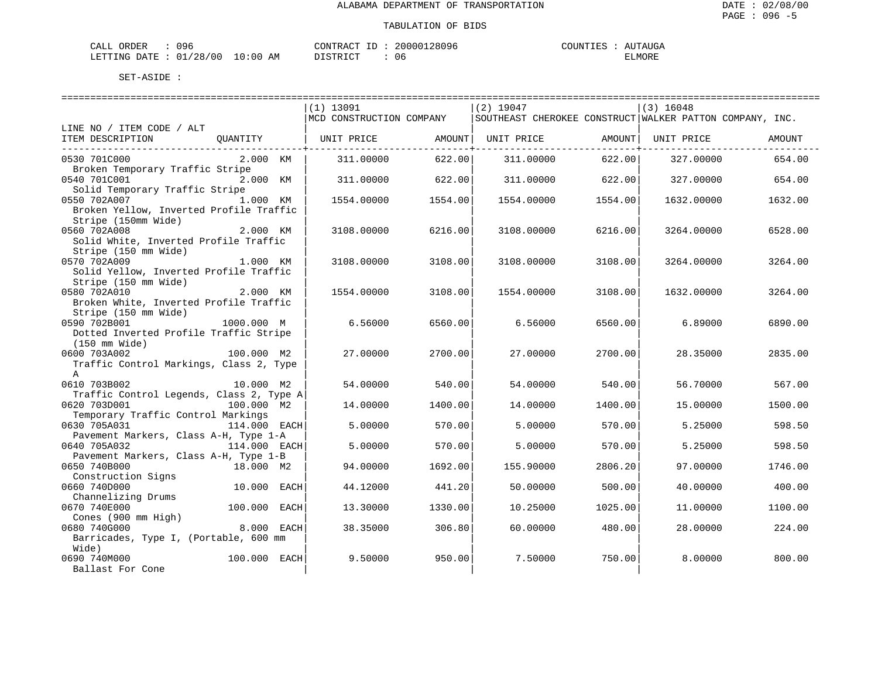| ORDER<br>7 Q 6<br>---                                                                                                                                    |               | $\sim$ | $\bigcap$ | <b>OTINT'</b>              |
|----------------------------------------------------------------------------------------------------------------------------------------------------------|---------------|--------|-----------|----------------------------|
| LETTING<br>12T<br>2 C<br>$\mathbf{u}$<br>the contract of the contract of the contract of the contract of the contract of the contract of the contract of | AΜ<br>$\cdot$ |        | Uб        | . ^ <del>.</del><br>TTMOKE |

|                                                         |              |      | :============================= |            | -----------------------------                            |                | ================================ |         |
|---------------------------------------------------------|--------------|------|--------------------------------|------------|----------------------------------------------------------|----------------|----------------------------------|---------|
|                                                         |              |      | $(1)$ 13091                    |            | $(2)$ 19047                                              |                | $(3)$ 16048                      |         |
| LINE NO / ITEM CODE / ALT                               |              |      | MCD CONSTRUCTION COMPANY       |            | SOUTHEAST CHEROKEE CONSTRUCT WALKER PATTON COMPANY, INC. |                |                                  |         |
| ITEM DESCRIPTION                                        | OUANTITY     |      | UNIT PRICE                     | AMOUNT     | UNIT PRICE                                               | AMOUNT         | UNIT PRICE                       | AMOUNT  |
|                                                         |              |      |                                | . <u>.</u> |                                                          | ------------+- |                                  |         |
| 0530 701C000                                            | 2.000 KM     |      | 311,00000                      | 622.00     | 311,00000                                                | 622.00         | 327.00000                        | 654.00  |
| Broken Temporary Traffic Stripe                         |              |      |                                |            |                                                          |                |                                  |         |
| 0540 701C001<br>Solid Temporary Traffic Stripe          | 2.000 KM     |      | 311,00000                      | 622.00     | 311,00000                                                | 622.00         | 327.00000                        | 654.00  |
| 0550 702A007                                            | 1.000 KM     |      | 1554.00000                     | 1554.00    | 1554.00000                                               | 1554.00        | 1632.00000                       | 1632.00 |
| Broken Yellow, Inverted Profile Traffic                 |              |      |                                |            |                                                          |                |                                  |         |
| Stripe (150mm Wide)                                     |              |      |                                |            |                                                          |                |                                  |         |
| 0560 702A008                                            | 2.000 KM     |      | 3108.00000                     | 6216.00    | 3108.00000                                               | 6216.00        | 3264.00000                       | 6528.00 |
| Solid White, Inverted Profile Traffic                   |              |      |                                |            |                                                          |                |                                  |         |
| Stripe (150 mm Wide)                                    |              |      |                                |            |                                                          |                |                                  |         |
| 0570 702A009<br>Solid Yellow, Inverted Profile Traffic  | 1.000 KM     |      | 3108.00000                     | 3108.00    | 3108.00000                                               | 3108.00        | 3264.00000                       | 3264.00 |
| Stripe (150 mm Wide)                                    |              |      |                                |            |                                                          |                |                                  |         |
| 0580 702A010                                            | 2.000 KM     |      | 1554.00000                     | 3108.00    | 1554.00000                                               | 3108.00        | 1632.00000                       | 3264.00 |
| Broken White, Inverted Profile Traffic                  |              |      |                                |            |                                                          |                |                                  |         |
| Stripe (150 mm Wide)                                    |              |      |                                |            |                                                          |                |                                  |         |
| 0590 702B001                                            | 1000.000 M   |      | 6.56000                        | 6560.00    | 6.56000                                                  | 6560.00        | 6.89000                          | 6890.00 |
| Dotted Inverted Profile Traffic Stripe                  |              |      |                                |            |                                                          |                |                                  |         |
| (150 mm Wide)                                           |              |      |                                |            |                                                          |                |                                  |         |
| 0600 703A002<br>Traffic Control Markings, Class 2, Type | 100.000 M2   |      | 27.00000                       | 2700.00    | 27.00000                                                 | 2700.00        | 28.35000                         | 2835.00 |
| $\mathbb A$                                             |              |      |                                |            |                                                          |                |                                  |         |
| 0610 703B002                                            | 10.000 M2    |      | 54.00000                       | 540.00     | 54.00000                                                 | 540.00         | 56.70000                         | 567.00  |
| Traffic Control Legends, Class 2, Type A                |              |      |                                |            |                                                          |                |                                  |         |
| 0620 703D001                                            | 100.000 M2   |      | 14.00000                       | 1400.00    | 14.00000                                                 | 1400.00        | 15,00000                         | 1500.00 |
| Temporary Traffic Control Markings                      |              |      |                                |            |                                                          |                |                                  |         |
| 0630 705A031                                            | 114.000 EACH |      | 5.00000                        | 570.00     | 5.00000                                                  | 570.00         | 5.25000                          | 598.50  |
| Pavement Markers, Class A-H, Type 1-A<br>0640 705A032   | 114.000 EACH |      | 5.00000                        | 570.00     | 5.00000                                                  | 570.00         | 5.25000                          | 598.50  |
| Pavement Markers, Class A-H, Type 1-B                   |              |      |                                |            |                                                          |                |                                  |         |
| 0650 740B000                                            | 18.000 M2    |      | 94.00000                       | 1692.00    | 155.90000                                                | 2806.20        | 97.00000                         | 1746.00 |
| Construction Signs                                      |              |      |                                |            |                                                          |                |                                  |         |
| 0660 740D000                                            | 10.000 EACH  |      | 44.12000                       | 441.20     | 50.00000                                                 | 500.00         | 40.00000                         | 400.00  |
| Channelizing Drums                                      |              |      |                                |            |                                                          |                |                                  |         |
| 0670 740E000                                            | 100.000      | EACH | 13.30000                       | 1330.00    | 10.25000                                                 | 1025.00        | 11.00000                         | 1100.00 |
| Cones (900 mm High)                                     |              |      |                                |            |                                                          |                |                                  |         |
| 0680 740G000<br>Barricades, Type I, (Portable, 600 mm   | 8.000        | EACH | 38.35000                       | 306.80     | 60.00000                                                 | 480.00         | 28.00000                         | 224.00  |
| Wide)                                                   |              |      |                                |            |                                                          |                |                                  |         |
| 0690 740M000                                            | 100.000 EACH |      | 9.50000                        | 950.00     | 7.50000                                                  | 750.00         | 8.00000                          | 800.00  |
| Ballast For Cone                                        |              |      |                                |            |                                                          |                |                                  |         |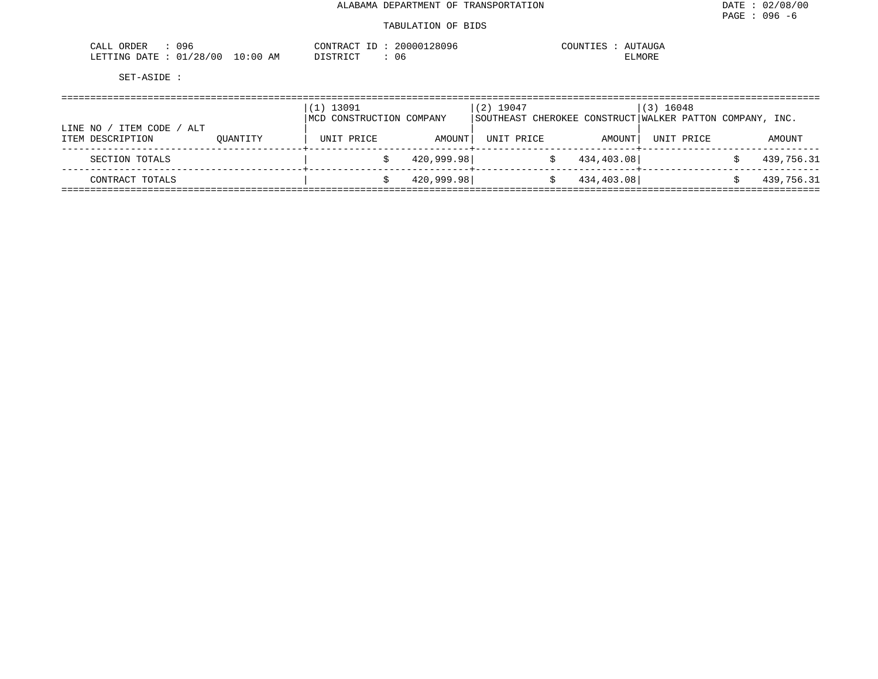| 096<br>ORDER<br>CALL                         |             | CONTRACT<br>$- -$ | 20000128096 | COUNTIES<br>AUTAUGA |
|----------------------------------------------|-------------|-------------------|-------------|---------------------|
| /28/00<br>DATE<br>01 <sub>l</sub><br>LETTING | 10:00<br>AΜ | חיי∩ דפידי פידר.  | Jb.         | <b>ELMORE</b>       |

|         |                                        | $(1)$ 13091<br>MCD CONSTRUCTION COMPANY |            | $(2)$ 19047<br>SOUTHEAST CHEROKEE CONSTRUCT WALKER PATTON COMPANY, INC. |            | $(3)$ 16048 |  |            |            |
|---------|----------------------------------------|-----------------------------------------|------------|-------------------------------------------------------------------------|------------|-------------|--|------------|------------|
| LINE NO | ITEM CODE /<br>ALT<br>ITEM DESCRIPTION | OUANTITY                                | UNIT PRICE | AMOUNT                                                                  | UNIT PRICE | AMOUNT      |  | UNIT PRICE | AMOUNT     |
|         | SECTION TOTALS                         |                                         |            | 420,999.98                                                              |            | 434,403.08  |  |            | 439,756.31 |
|         | CONTRACT TOTALS                        |                                         |            | 420,999.98                                                              |            | 434,403.08  |  |            | 439,756.31 |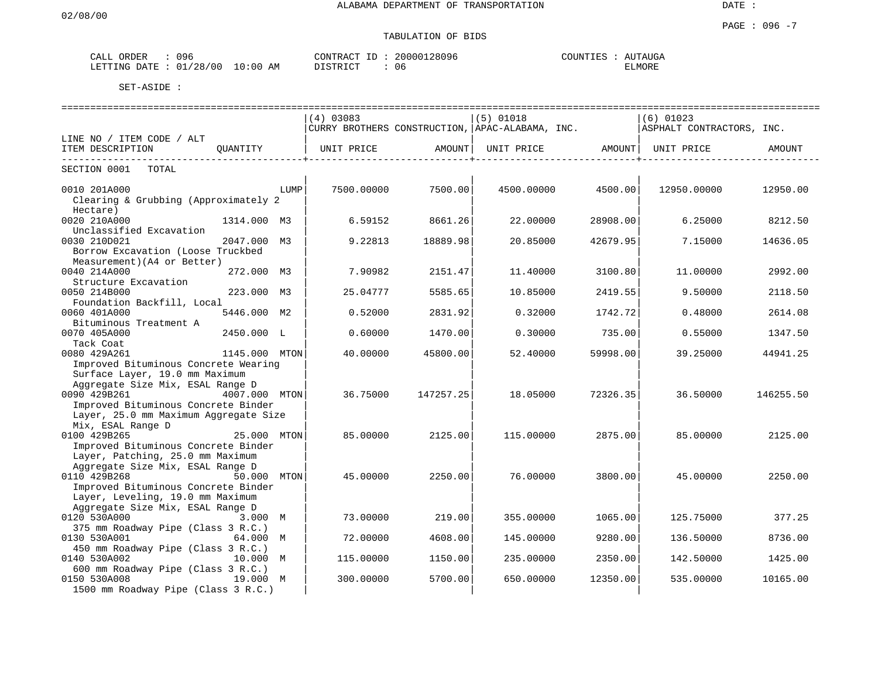DATE :

### PAGE : 096 -7 TABULATION OF BIDS

| <b>CRDER</b>                                    | 00<                                                      | TTTT<br>$\Lambda$ | . .<br>, y 1 | $- - - -$<br>T<br>$\cdots$<br>- <b>11</b> M<br>ユリしュト<br>. |
|-------------------------------------------------|----------------------------------------------------------|-------------------|--------------|-----------------------------------------------------------|
| <b>COL</b><br><b>mmm-</b><br>NG-<br>י בו<br>٠н. | AΜ<br>n r<br>$\sim$ $\sim$ $\sim$<br>.: N C<br>$\sim$ C. | $T \cap I$<br>amr | $\cup$       | MORT.                                                     |

|                                       |               |      | $(4)$ 03083                                     |           | $(5)$ 01018 |                                | $(6)$ 01023               |           |  |  |
|---------------------------------------|---------------|------|-------------------------------------------------|-----------|-------------|--------------------------------|---------------------------|-----------|--|--|
|                                       |               |      | CURRY BROTHERS CONSTRUCTION, APAC-ALABAMA, INC. |           |             |                                | ASPHALT CONTRACTORS, INC. |           |  |  |
| LINE NO / ITEM CODE / ALT             |               |      |                                                 |           |             |                                |                           |           |  |  |
| ITEM DESCRIPTION                      | QUANTITY      |      | UNIT PRICE AMOUNT                               |           |             | UNIT PRICE AMOUNT   UNIT PRICE |                           | AMOUNT    |  |  |
| -------------------------------       |               |      |                                                 |           |             | ----------------+-             |                           |           |  |  |
| SECTION 0001<br>TOTAL                 |               |      |                                                 |           |             |                                |                           |           |  |  |
|                                       |               |      |                                                 |           |             |                                |                           |           |  |  |
| 0010 201A000                          |               | LUMP | 7500.00000                                      | 7500.00   | 4500.00000  | 4500.00                        | 12950.00000               | 12950.00  |  |  |
| Clearing & Grubbing (Approximately 2  |               |      |                                                 |           |             |                                |                           |           |  |  |
| Hectare)                              |               |      |                                                 |           |             |                                |                           |           |  |  |
| 0020 210A000                          | 1314.000 M3   |      | 6.59152                                         | 8661.26   | 22,00000    | 28908.00                       | 6.25000                   | 8212.50   |  |  |
| Unclassified Excavation               |               |      |                                                 |           |             |                                |                           |           |  |  |
| 0030 210D021                          | 2047.000 M3   |      | 9.22813                                         | 18889.98  | 20.85000    | 42679.95                       | 7.15000                   | 14636.05  |  |  |
| Borrow Excavation (Loose Truckbed     |               |      |                                                 |           |             |                                |                           |           |  |  |
| Measurement) (A4 or Better)           |               |      |                                                 |           |             |                                |                           |           |  |  |
| 0040 214A000                          | 272.000 M3    |      | 7.90982                                         | 2151.47   | 11.40000    | 3100.80                        | 11,00000                  | 2992.00   |  |  |
| Structure Excavation                  |               |      |                                                 |           |             |                                |                           |           |  |  |
| 0050 214B000                          | 223.000 M3    |      | 25.04777                                        | 5585.65   | 10.85000    | 2419.55                        | 9.50000                   | 2118.50   |  |  |
| Foundation Backfill, Local            |               |      |                                                 |           |             |                                |                           |           |  |  |
| 0060 401A000                          | 5446.000 M2   |      | 0.52000                                         | 2831.92   | 0.32000     | 1742.72                        | 0.48000                   | 2614.08   |  |  |
| Bituminous Treatment A                |               |      |                                                 |           |             |                                |                           |           |  |  |
| 0070 405A000                          | 2450.000 L    |      | 0.60000                                         | 1470.00   | 0.30000     | 735.00                         | 0.55000                   | 1347.50   |  |  |
| Tack Coat                             |               |      |                                                 |           |             |                                |                           |           |  |  |
| 0080 429A261                          | 1145.000 MTON |      | 40.00000                                        | 45800.00  | 52.40000    | 59998.00                       | 39.25000                  | 44941.25  |  |  |
| Improved Bituminous Concrete Wearing  |               |      |                                                 |           |             |                                |                           |           |  |  |
| Surface Layer, 19.0 mm Maximum        |               |      |                                                 |           |             |                                |                           |           |  |  |
| Aggregate Size Mix, ESAL Range D      |               |      |                                                 |           |             |                                |                           |           |  |  |
| 0090 429B261                          | 4007.000 MTON |      | 36.75000                                        | 147257.25 | 18.05000    | 72326.35                       | 36.50000                  | 146255.50 |  |  |
| Improved Bituminous Concrete Binder   |               |      |                                                 |           |             |                                |                           |           |  |  |
| Layer, 25.0 mm Maximum Aggregate Size |               |      |                                                 |           |             |                                |                           |           |  |  |
| Mix, ESAL Range D                     |               |      |                                                 |           |             |                                |                           |           |  |  |
| 0100 429B265                          | 25.000 MTON   |      | 85.00000                                        | 2125.00   | 115,00000   | 2875.00                        | 85.00000                  | 2125.00   |  |  |
| Improved Bituminous Concrete Binder   |               |      |                                                 |           |             |                                |                           |           |  |  |
| Layer, Patching, 25.0 mm Maximum      |               |      |                                                 |           |             |                                |                           |           |  |  |
| Aggregate Size Mix, ESAL Range D      |               |      |                                                 |           |             |                                |                           |           |  |  |
| 0110 429B268                          | 50.000 MTON   |      | 45.00000                                        | 2250.00   | 76.00000    | 3800.00                        | 45.00000                  | 2250.00   |  |  |
| Improved Bituminous Concrete Binder   |               |      |                                                 |           |             |                                |                           |           |  |  |
| Layer, Leveling, 19.0 mm Maximum      |               |      |                                                 |           |             |                                |                           |           |  |  |
| Aggregate Size Mix, ESAL Range D      |               |      |                                                 |           |             |                                |                           |           |  |  |
| 0120 530A000                          | 3.000 M       |      | 73.00000                                        | 219.00    | 355.00000   | 1065.00                        | 125.75000                 | 377.25    |  |  |
| 375 mm Roadway Pipe (Class 3 R.C.)    |               |      |                                                 |           |             |                                |                           |           |  |  |
| 0130 530A001                          | 64.000 M      |      | 72.00000                                        | 4608.00   | 145.00000   | 9280.00                        | 136.50000                 | 8736.00   |  |  |
| 450 mm Roadway Pipe (Class 3 R.C.)    |               |      |                                                 |           |             |                                |                           |           |  |  |
| 0140 530A002                          | 10.000 M      |      | 115.00000                                       | 1150.00   | 235.00000   | 2350.00                        | 142.50000                 | 1425.00   |  |  |
| 600 mm Roadway Pipe (Class 3 R.C.)    |               |      |                                                 |           |             |                                |                           |           |  |  |
| 0150 530A008                          | 19.000 M      |      | 300,00000                                       | 5700.00   | 650.00000   | 12350.00                       | 535.00000                 | 10165.00  |  |  |
| 1500 mm Roadway Pipe (Class 3 R.C.)   |               |      |                                                 |           |             |                                |                           |           |  |  |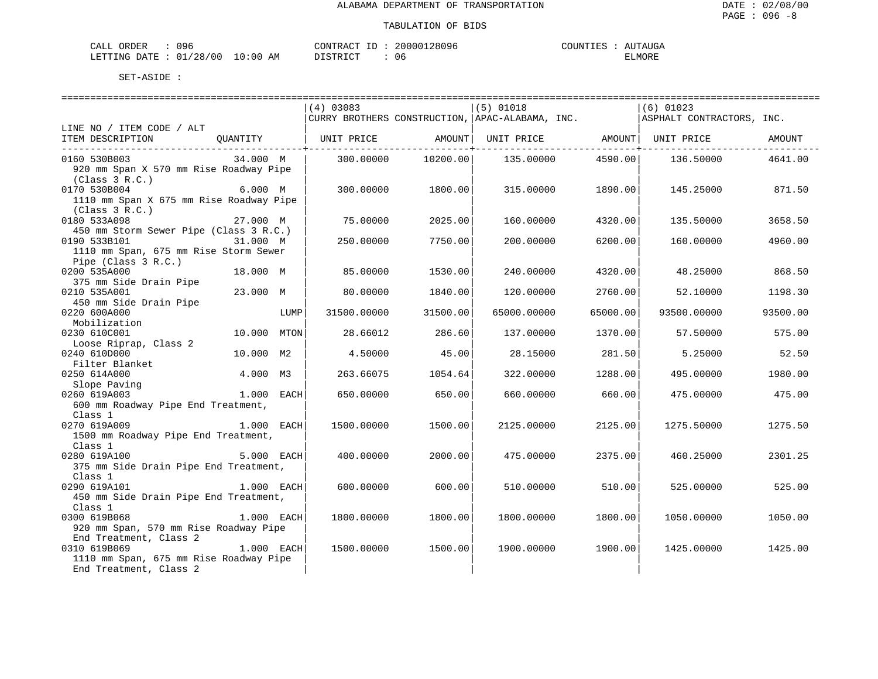| 096<br>ORDER<br>$\cdots$<br>. د سده ب                                |                | ≀ו∧ ש | $38096$<br>$\sim$ $\sim$ | $- - - - -$<br><b>TTM:</b><br>، NP<br>UGA<br>$\cdots$ |
|----------------------------------------------------------------------|----------------|-------|--------------------------|-------------------------------------------------------|
| ה הי<br>' ດ ເ<br><b>RTTTNC</b><br>12.7<br>$\lambda$ $\sim$<br>$\sim$ | AΜ<br>$\cdots$ | ₩     | U t                      | . ت ب<br>TUNT                                         |

|                                         |              |      | $(4)$ 03083                                     |          | $(5)$ 01018 |          | $(6)$ 01023                               |          |
|-----------------------------------------|--------------|------|-------------------------------------------------|----------|-------------|----------|-------------------------------------------|----------|
|                                         |              |      | CURRY BROTHERS CONSTRUCTION, APAC-ALABAMA, INC. |          |             |          | ASPHALT CONTRACTORS, INC.                 |          |
| LINE NO / ITEM CODE / ALT               |              |      |                                                 |          |             |          |                                           |          |
| ITEM DESCRIPTION                        | OUANTITY     |      | UNIT PRICE                                      |          |             |          | AMOUNT   UNIT PRICE   AMOUNT   UNIT PRICE | AMOUNT   |
|                                         |              |      |                                                 |          |             |          |                                           |          |
| 0160 530B003                            | 34.000 M     |      | 300.00000                                       | 10200.00 | 135.00000   | 4590.00  | 136.50000                                 | 4641.00  |
| 920 mm Span X 570 mm Rise Roadway Pipe  |              |      |                                                 |          |             |          |                                           |          |
| (Class 3 R.C.)                          |              |      |                                                 |          |             |          |                                           |          |
| 0170 530B004                            | 6.000 M      |      | 300,00000                                       | 1800.00  | 315,00000   | 1890.00  | 145.25000                                 | 871.50   |
| 1110 mm Span X 675 mm Rise Roadway Pipe |              |      |                                                 |          |             |          |                                           |          |
| (Class 3 R.C.)                          |              |      |                                                 |          |             |          |                                           |          |
| 0180 533A098                            | 27.000 M     |      | 75.00000                                        | 2025.00  | 160.00000   | 4320.00  | 135.50000                                 | 3658.50  |
| 450 mm Storm Sewer Pipe (Class 3 R.C.)  |              |      |                                                 |          |             |          |                                           |          |
| 0190 533B101                            | 31.000 M     |      | 250.00000                                       | 7750.00  | 200.00000   | 6200.00  | 160.00000                                 | 4960.00  |
| 1110 mm Span, 675 mm Rise Storm Sewer   |              |      |                                                 |          |             |          |                                           |          |
| Pipe (Class 3 R.C.)                     |              |      |                                                 |          |             |          |                                           |          |
| 0200 535A000                            | 18.000 M     |      | 85.00000                                        | 1530.00  | 240.00000   | 4320.00  | 48.25000                                  | 868.50   |
| 375 mm Side Drain Pipe                  |              |      |                                                 |          |             |          |                                           |          |
| 0210 535A001                            | 23.000 M     |      | 80,00000                                        | 1840.00  | 120.00000   | 2760.00  | 52.10000                                  | 1198.30  |
| 450 mm Side Drain Pipe                  |              |      |                                                 |          |             |          |                                           |          |
| 0220 600A000                            |              | LUMP | 31500.00000                                     | 31500.00 | 65000.00000 | 65000.00 | 93500.00000                               | 93500.00 |
| Mobilization                            |              |      |                                                 |          |             |          |                                           |          |
| 0230 610C001                            | 10.000 MTON  |      | 28.66012                                        | 286.60   | 137.00000   | 1370.00  | 57.50000                                  | 575.00   |
| Loose Riprap, Class 2                   |              |      |                                                 |          |             |          |                                           |          |
| 0240 610D000                            | 10.000 M2    |      | 4.50000                                         | 45.00    | 28.15000    | 281.50   | 5.25000                                   | 52.50    |
| Filter Blanket                          |              |      |                                                 |          |             |          |                                           |          |
| 0250 614A000                            | 4.000 M3     |      | 263.66075                                       | 1054.64  | 322.00000   | 1288.00  | 495.00000                                 | 1980.00  |
| Slope Paving                            |              |      |                                                 |          |             |          |                                           |          |
| 0260 619A003                            | 1.000 EACH   |      | 650.00000                                       | 650.00   | 660.00000   | 660.00   | 475.00000                                 | 475.00   |
| 600 mm Roadway Pipe End Treatment,      |              |      |                                                 |          |             |          |                                           |          |
| Class 1                                 |              |      |                                                 |          |             |          |                                           |          |
| 0270 619A009                            | 1.000 EACH   |      | 1500.00000                                      | 1500.00  | 2125.00000  | 2125.00  | 1275.50000                                | 1275.50  |
| 1500 mm Roadway Pipe End Treatment,     |              |      |                                                 |          |             |          |                                           |          |
| Class 1                                 |              |      |                                                 |          |             |          |                                           |          |
| 0280 619A100                            | 5.000 EACH   |      | 400.00000                                       | 2000.00  | 475.00000   | 2375.00  | 460.25000                                 | 2301.25  |
| 375 mm Side Drain Pipe End Treatment,   |              |      |                                                 |          |             |          |                                           |          |
| Class 1                                 |              |      |                                                 |          |             |          |                                           |          |
| 0290 619A101                            | 1.000 EACH   |      | 600,00000                                       | 600.00   | 510.00000   | 510.00   | 525.00000                                 | 525.00   |
| 450 mm Side Drain Pipe End Treatment,   |              |      |                                                 |          |             |          |                                           |          |
| Class 1                                 |              |      |                                                 |          |             |          |                                           |          |
| 0300 619B068                            | 1.000 EACH   |      | 1800.00000                                      | 1800.00  | 1800.00000  | 1800.00  | 1050.00000                                | 1050.00  |
| 920 mm Span, 570 mm Rise Roadway Pipe   |              |      |                                                 |          |             |          |                                           |          |
| End Treatment, Class 2                  |              |      |                                                 |          |             |          |                                           |          |
| 0310 619B069                            | $1.000$ EACH |      | 1500.00000                                      | 1500.00  | 1900.00000  | 1900.00  | 1425.00000                                | 1425.00  |
| 1110 mm Span, 675 mm Rise Roadway Pipe  |              |      |                                                 |          |             |          |                                           |          |
| End Treatment, Class 2                  |              |      |                                                 |          |             |          |                                           |          |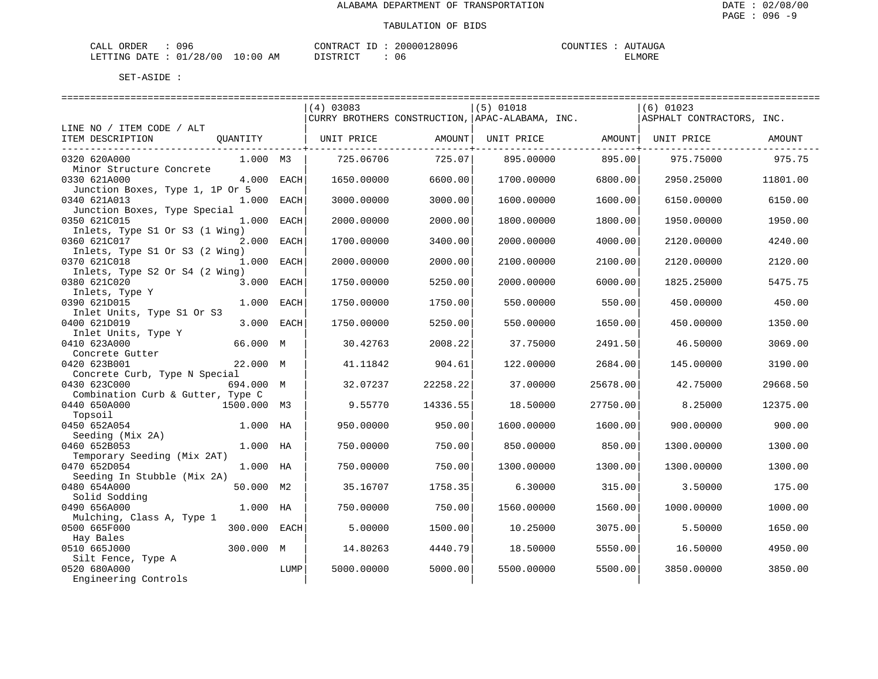| 00<<br><b>PRDER</b>                     |                            | $\wedge \wedge \neg \neg$<br>$\sim$ | 2809.<br>∠nnr | $   -$<br>ידוחדורי<br>$11 - 4$<br>. <del>.</del> |
|-----------------------------------------|----------------------------|-------------------------------------|---------------|--------------------------------------------------|
| ነ∆ ጥፔ<br>∴ETT"<br><b>LETTING</b><br>2 C | 7.74<br>АM<br>.<br>$\cdot$ | $\sim$ $\sim$<br>. m<br>.           | v v           | IUNE                                             |

|                                   |              |      | $(4)$ 03083 |          | $(5)$ 01018                                     |          | $(6)$ 01023               |          |
|-----------------------------------|--------------|------|-------------|----------|-------------------------------------------------|----------|---------------------------|----------|
|                                   |              |      |             |          | CURRY BROTHERS CONSTRUCTION, APAC-ALABAMA, INC. |          | ASPHALT CONTRACTORS, INC. |          |
| LINE NO / ITEM CODE / ALT         |              |      |             |          |                                                 |          |                           |          |
| ITEM DESCRIPTION                  | OUANTITY     |      | UNIT PRICE  | AMOUNT   | UNIT PRICE AMOUNT                               |          | UNIT PRICE                | AMOUNT   |
|                                   |              |      |             |          |                                                 |          |                           |          |
| 0320 620A000                      | 1.000 M3     |      | 725.06706   | 725.07   | 895.00000                                       | 895.00   | 975.75000                 | 975.75   |
| Minor Structure Concrete          |              |      |             |          |                                                 |          |                           |          |
| 0330 621A000                      | 4.000 EACH   |      | 1650.00000  | 6600.00  | 1700.00000                                      | 6800.00  | 2950.25000                | 11801.00 |
| Junction Boxes, Type 1, 1P Or 5   |              |      |             |          |                                                 |          |                           |          |
| 0340 621A013                      | 1.000 EACH   |      | 3000.00000  | 3000.00  | 1600.00000                                      | 1600.00  | 6150.00000                | 6150.00  |
| Junction Boxes, Type Special      |              |      |             |          |                                                 |          |                           |          |
| 0350 621C015                      | 1.000 EACH   |      | 2000.00000  | 2000.00  | 1800.00000                                      | 1800.00  | 1950.00000                | 1950.00  |
| Inlets, Type S1 Or S3 (1 Wing)    |              |      |             |          |                                                 |          |                           |          |
| 0360 621C017                      | 2.000 EACH   |      | 1700.00000  | 3400.00  | 2000.00000                                      | 4000.00  | 2120.00000                | 4240.00  |
| Inlets, Type S1 Or S3 (2 Wing)    |              |      |             |          |                                                 |          |                           |          |
|                                   | 1.000 EACH   |      |             |          |                                                 |          |                           |          |
| 0370 621C018                      |              |      | 2000.00000  | 2000.00  | 2100.00000                                      | 2100.00  | 2120.00000                | 2120.00  |
| Inlets, Type S2 Or S4 (2 Wing)    |              |      |             |          |                                                 |          |                           |          |
| 0380 621C020                      | 3.000 EACH   |      | 1750.00000  | 5250.00  | 2000.00000                                      | 6000.00  | 1825.25000                | 5475.75  |
| Inlets, Type Y                    |              |      |             |          |                                                 |          |                           |          |
| 0390 621D015                      | 1.000        | EACH | 1750.00000  | 1750.00  | 550.00000                                       | 550.00   | 450.00000                 | 450.00   |
| Inlet Units, Type S1 Or S3        |              |      |             |          |                                                 |          |                           |          |
| 0400 621D019                      | 3.000 EACH   |      | 1750.00000  | 5250.00  | 550.00000                                       | 1650.00  | 450.00000                 | 1350.00  |
| Inlet Units, Type Y               |              |      |             |          |                                                 |          |                           |          |
| 0410 623A000                      | 66.000 M     |      | 30.42763    | 2008.22  | 37.75000                                        | 2491.50  | 46.50000                  | 3069.00  |
| Concrete Gutter                   |              |      |             |          |                                                 |          |                           |          |
| 0420 623B001                      | 22.000 M     |      | 41.11842    | 904.61   | 122.00000                                       | 2684.00  | 145.00000                 | 3190.00  |
| Concrete Curb, Type N Special     |              |      |             |          |                                                 |          |                           |          |
| 0430 623C000                      | 694.000 M    |      | 32.07237    | 22258.22 | 37.00000                                        | 25678.00 | 42.75000                  | 29668.50 |
| Combination Curb & Gutter, Type C |              |      |             |          |                                                 |          |                           |          |
| 0440 650A000                      | 1500.000 M3  |      | 9.55770     | 14336.55 | 18.50000                                        | 27750.00 | 8.25000                   | 12375.00 |
| Topsoil                           |              |      |             |          |                                                 |          |                           |          |
| 0450 652A054                      | 1.000 HA     |      | 950.00000   | 950.00   | 1600.00000                                      | 1600.00  | 900.00000                 | 900.00   |
| Seeding (Mix 2A)                  |              |      |             |          |                                                 |          |                           |          |
| 0460 652B053                      | 1.000 HA     |      | 750.00000   | 750.00   | 850.00000                                       | 850.00   | 1300.00000                | 1300.00  |
| Temporary Seeding (Mix 2AT)       |              |      |             |          |                                                 |          |                           |          |
| 0470 652D054                      | 1.000 HA     |      | 750.00000   | 750.00   | 1300.00000                                      | 1300.00  | 1300.00000                | 1300.00  |
| Seeding In Stubble (Mix 2A)       |              |      |             |          |                                                 |          |                           |          |
| 0480 654A000                      | 50.000 M2    |      | 35.16707    | 1758.35  | 6.30000                                         | 315.00   | 3.50000                   | 175.00   |
| Solid Sodding                     |              |      |             |          |                                                 |          |                           |          |
| 0490 656A000                      | 1.000 HA     |      | 750.00000   | 750.00   | 1560.00000                                      | 1560.00  | 1000.00000                | 1000.00  |
| Mulching, Class A, Type 1         |              |      |             |          |                                                 |          |                           |          |
| 0500 665F000                      | 300.000 EACH |      | 5,00000     | 1500.00  | 10.25000                                        | 3075.00  | 5.50000                   | 1650.00  |
| Hay Bales                         |              |      |             |          |                                                 |          |                           |          |
| 0510 665J000                      | 300.000 M    |      | 14.80263    | 4440.79  | 18.50000                                        | 5550.00  | 16.50000                  | 4950.00  |
| Silt Fence, Type A                |              |      |             |          |                                                 |          |                           |          |
| 0520 680A000                      |              | LUMP | 5000.00000  | 5000.00  | 5500.00000                                      | 5500.00  | 3850.00000                | 3850.00  |
|                                   |              |      |             |          |                                                 |          |                           |          |
| Engineering Controls              |              |      |             |          |                                                 |          |                           |          |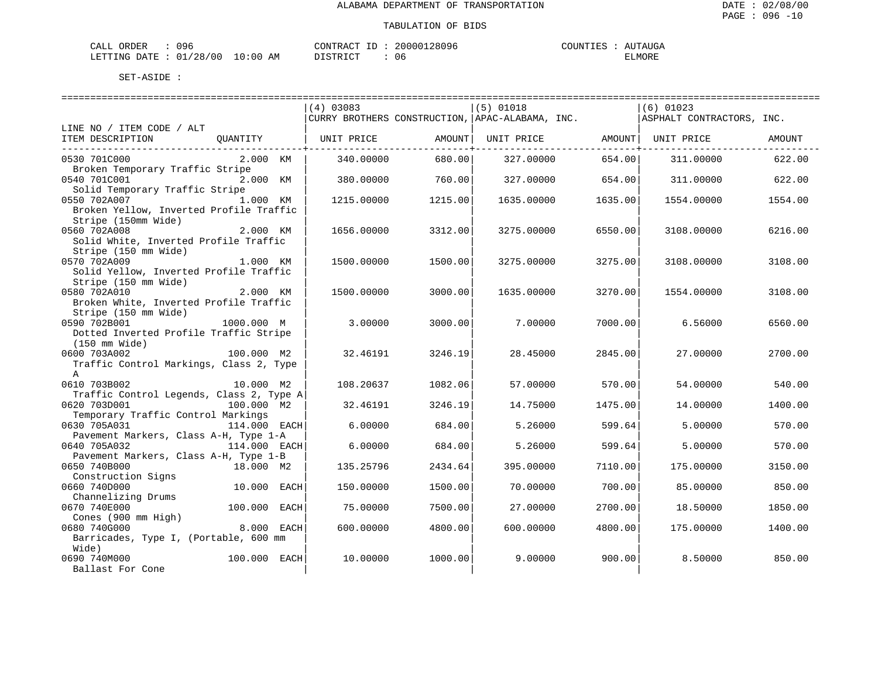| 096<br>ORDER<br>CALI                     | חידות∩י                                                                  | 28096<br>nnr | TTA<br>$'$ A i<br>LU GA |
|------------------------------------------|--------------------------------------------------------------------------|--------------|-------------------------|
| 00'<br>'28<br>.ETTTIMG<br>ገ∆ጥ∏<br>$\sim$ | $\sim$<br>AΜ<br>$\sim$ $\sim$ $\sim$ $\sim$ $\sim$ $\sim$ $\sim$<br>`:06 | υe           | <b>ELMORE</b>           |

|                                          |              |      | $(4)$ 03083 |         | $(5)$ 01018                                     |         | $(6)$ 01023               |         |
|------------------------------------------|--------------|------|-------------|---------|-------------------------------------------------|---------|---------------------------|---------|
|                                          |              |      |             |         | CURRY BROTHERS CONSTRUCTION, APAC-ALABAMA, INC. |         | ASPHALT CONTRACTORS, INC. |         |
| LINE NO / ITEM CODE / ALT                |              |      |             |         |                                                 |         |                           |         |
| ITEM DESCRIPTION                         | OUANTITY     |      | UNIT PRICE  | AMOUNT  | UNIT PRICE                                      |         | AMOUNT  UNIT PRICE        | AMOUNT  |
| 0530 701C000                             | 2.000 KM     |      | 340.00000   | 680.00  | 327.00000                                       | 654.00  | 311.00000                 | 622.00  |
| Broken Temporary Traffic Stripe          |              |      |             |         |                                                 |         |                           |         |
| 0540 701C001                             | 2.000 KM     |      | 380.00000   | 760.00  | 327.00000                                       | 654.00  | 311.00000                 | 622.00  |
| Solid Temporary Traffic Stripe           |              |      |             |         |                                                 |         |                           |         |
| 0550 702A007                             | 1.000 KM     |      | 1215.00000  | 1215.00 | 1635.00000                                      | 1635.00 | 1554.00000                | 1554.00 |
| Broken Yellow, Inverted Profile Traffic  |              |      |             |         |                                                 |         |                           |         |
| Stripe (150mm Wide)                      |              |      |             |         |                                                 |         |                           |         |
| 0560 702A008                             | 2.000 KM     |      | 1656.00000  | 3312.00 | 3275.00000                                      | 6550.00 | 3108.00000                | 6216.00 |
| Solid White, Inverted Profile Traffic    |              |      |             |         |                                                 |         |                           |         |
| Stripe (150 mm Wide)                     |              |      |             |         |                                                 |         |                           |         |
| 0570 702A009                             | 1.000 KM     |      | 1500.00000  | 1500.00 | 3275.00000                                      | 3275.00 | 3108.00000                | 3108.00 |
| Solid Yellow, Inverted Profile Traffic   |              |      |             |         |                                                 |         |                           |         |
| Stripe (150 mm Wide)<br>0580 702A010     | 2.000 KM     |      |             |         |                                                 |         |                           |         |
| Broken White, Inverted Profile Traffic   |              |      | 1500.00000  | 3000.00 | 1635.00000                                      | 3270.00 | 1554.00000                | 3108.00 |
| Stripe (150 mm Wide)                     |              |      |             |         |                                                 |         |                           |         |
| 0590 702B001                             | 1000.000 M   |      | 3.00000     | 3000.00 | 7.00000                                         | 7000.00 | 6.56000                   | 6560.00 |
| Dotted Inverted Profile Traffic Stripe   |              |      |             |         |                                                 |         |                           |         |
| $(150 \text{ mm Wide})$                  |              |      |             |         |                                                 |         |                           |         |
| 0600 703A002                             | 100.000 M2   |      | 32.46191    | 3246.19 | 28.45000                                        | 2845.00 | 27,00000                  | 2700.00 |
| Traffic Control Markings, Class 2, Type  |              |      |             |         |                                                 |         |                           |         |
| Α                                        |              |      |             |         |                                                 |         |                           |         |
| 0610 703B002                             | 10.000 M2    |      | 108.20637   | 1082.06 | 57.00000                                        | 570.00  | 54.00000                  | 540.00  |
| Traffic Control Legends, Class 2, Type A |              |      |             |         |                                                 |         |                           |         |
| 0620 703D001                             | 100.000 M2   |      | 32.46191    | 3246.19 | 14.75000                                        | 1475.00 | 14.00000                  | 1400.00 |
| Temporary Traffic Control Markings       |              |      |             |         |                                                 |         |                           |         |
| 0630 705A031                             | 114.000 EACH |      | 6.00000     | 684.00  | 5.26000                                         | 599.64  | 5.00000                   | 570.00  |
| Pavement Markers, Class A-H, Type 1-A    |              |      |             |         |                                                 |         |                           |         |
| 0640 705A032                             | 114.000 EACH |      | 6.00000     | 684.00  | 5.26000                                         | 599.64  | 5.00000                   | 570.00  |
| Pavement Markers, Class A-H, Type 1-B    |              |      |             |         |                                                 |         |                           |         |
| 0650 740B000                             | 18.000 M2    |      | 135.25796   | 2434.64 | 395.00000                                       | 7110.00 | 175,00000                 | 3150.00 |
| Construction Signs<br>0660 740D000       | 10.000 EACH  |      |             |         |                                                 |         |                           | 850.00  |
| Channelizing Drums                       |              |      | 150.00000   | 1500.00 | 70.00000                                        | 700.00  | 85.00000                  |         |
| 0670 740E000                             | 100.000 EACH |      | 75.00000    | 7500.00 | 27.00000                                        | 2700.00 | 18.50000                  | 1850.00 |
| Cones (900 mm High)                      |              |      |             |         |                                                 |         |                           |         |
| 0680 740G000                             | 8.000        | EACH | 600.00000   | 4800.00 | 600,00000                                       | 4800.00 | 175,00000                 | 1400.00 |
| Barricades, Type I, (Portable, 600 mm    |              |      |             |         |                                                 |         |                           |         |
| Wide)                                    |              |      |             |         |                                                 |         |                           |         |
| 0690 740M000                             | 100.000 EACH |      | 10.00000    | 1000.00 | 9.00000                                         | 900.00  | 8.50000                   | 850.00  |
| Ballast For Cone                         |              |      |             |         |                                                 |         |                           |         |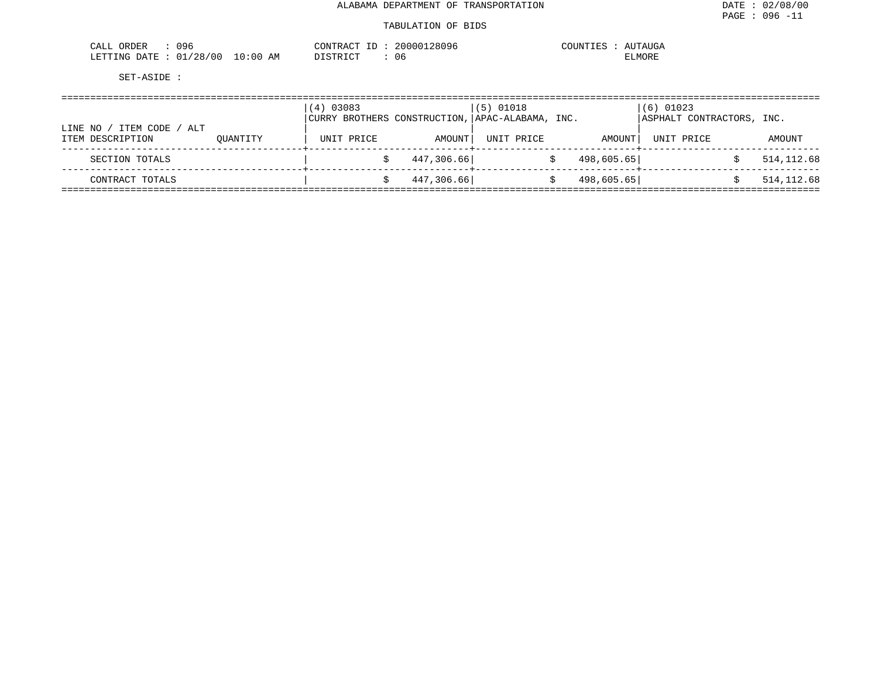| 096<br>ORDER<br>$\cdot$ $\wedge$ .<br>لللطم         |           | המאי<br>▵<br>ורו | 28096<br>٬∩∩ | <b>UTAUGA</b><br>11 I N<br>. |
|-----------------------------------------------------|-----------|------------------|--------------|------------------------------|
| ຳດ<br>⊤יד∆ו<br>TNG.<br>' በ በ<br><b>DUTCH</b><br>J.P | AΜ<br>:06 | $\sim$           | -06          | TTMOKF.                      |

|                                                   |          | 03083<br>(4)<br>  CURRY BROTHERS CONSTRUCTION,   APAC-ALABAMA, INC. |            | $(5)$ 01018 |            | $(6)$ 01023<br>ASPHALT CONTRACTORS, INC. |             |
|---------------------------------------------------|----------|---------------------------------------------------------------------|------------|-------------|------------|------------------------------------------|-------------|
| ITEM CODE<br>LINE NO<br>/ ALT<br>ITEM DESCRIPTION | OUANTITY | UNIT PRICE                                                          | AMOUNT     | UNIT PRICE  | AMOUNT     | UNIT PRICE                               | AMOUNT      |
| SECTION TOTALS                                    |          |                                                                     | 447,306.66 |             | 498,605.65 |                                          | 514, 112.68 |
| CONTRACT TOTALS                                   |          |                                                                     | 447,306.66 |             | 498,605.65 |                                          | 514, 112.68 |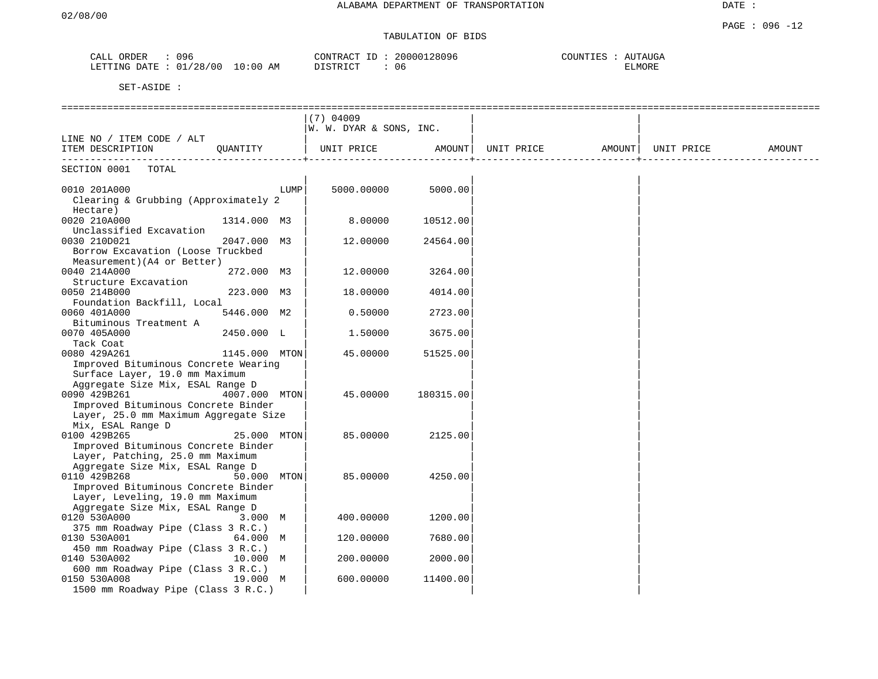| ORDER<br>$\cdot$<br>لللحم      | 096<br><u>. J U</u> |                       | תרחד גר<br>, Al | $\sim$ | TN | "AUGA<br>$\sim$ 7700 $\mu$ |
|--------------------------------|---------------------|-----------------------|-----------------|--------|----|----------------------------|
| ገ∆ጥ∏<br><b>DOMTATO</b><br>NIC. | ' N C<br>ി റ        | АM<br>$\cdot$ $\cdot$ | $ -$<br>$\sim$  | U 6    |    | י או<br>. IVI              |

|                                                    |               |      | $(7)$ 04009             |           |                   |            |        |
|----------------------------------------------------|---------------|------|-------------------------|-----------|-------------------|------------|--------|
|                                                    |               |      | W. W. DYAR & SONS, INC. |           |                   |            |        |
| LINE NO / ITEM CODE / ALT                          |               |      |                         |           |                   |            |        |
| ITEM DESCRIPTION                                   | OUANTITY      |      | UNIT PRICE              | AMOUNT    | UNIT PRICE AMOUNT | UNIT PRICE | AMOUNT |
|                                                    |               |      |                         |           |                   |            |        |
| TOTAL<br>SECTION 0001                              |               |      |                         |           |                   |            |        |
| 0010 201A000                                       |               | LUMP | 5000.00000              | 5000.00   |                   |            |        |
| Clearing & Grubbing (Approximately 2               |               |      |                         |           |                   |            |        |
| Hectare)                                           |               |      |                         |           |                   |            |        |
| 0020 210A000                                       | 1314.000 M3   |      | 8.00000                 | 10512.00  |                   |            |        |
| Unclassified Excavation                            |               |      |                         |           |                   |            |        |
| 0030 210D021                                       | 2047.000 M3   |      | 12.00000                | 24564.00  |                   |            |        |
| Borrow Excavation (Loose Truckbed                  |               |      |                         |           |                   |            |        |
| Measurement) (A4 or Better)                        |               |      |                         |           |                   |            |        |
| 0040 214A000                                       | 272.000 M3    |      | 12.00000                | 3264.00   |                   |            |        |
| Structure Excavation                               |               |      |                         |           |                   |            |        |
| 0050 214B000                                       | 223.000 M3    |      | 18.00000                | 4014.00   |                   |            |        |
| Foundation Backfill, Local                         |               |      |                         |           |                   |            |        |
| 0060 401A000                                       | 5446.000 M2   |      | 0.50000                 | 2723.00   |                   |            |        |
| Bituminous Treatment A                             |               |      |                         |           |                   |            |        |
| 0070 405A000                                       | 2450.000 L    |      | 1.50000                 | 3675.00   |                   |            |        |
| Tack Coat<br>0080 429A261                          | 1145.000 MTON |      | 45.00000                | 51525.00  |                   |            |        |
| Improved Bituminous Concrete Wearing               |               |      |                         |           |                   |            |        |
| Surface Layer, 19.0 mm Maximum                     |               |      |                         |           |                   |            |        |
| Aggregate Size Mix, ESAL Range D                   |               |      |                         |           |                   |            |        |
| 0090 429B261<br>4007.000 MTON                      |               |      | 45.00000                | 180315.00 |                   |            |        |
| Improved Bituminous Concrete Binder                |               |      |                         |           |                   |            |        |
| Layer, 25.0 mm Maximum Aggregate Size              |               |      |                         |           |                   |            |        |
| Mix, ESAL Range D                                  |               |      |                         |           |                   |            |        |
| 0100 429B265                                       | 25.000 MTON   |      | 85.00000                | 2125.00   |                   |            |        |
| Improved Bituminous Concrete Binder                |               |      |                         |           |                   |            |        |
| Layer, Patching, 25.0 mm Maximum                   |               |      |                         |           |                   |            |        |
| Aggregate Size Mix, ESAL Range D                   |               |      |                         |           |                   |            |        |
| 0110 429B268                                       | 50.000 MTON   |      | 85.00000                | 4250.00   |                   |            |        |
| Improved Bituminous Concrete Binder                |               |      |                         |           |                   |            |        |
| Layer, Leveling, 19.0 mm Maximum                   |               |      |                         |           |                   |            |        |
| Aggregate Size Mix, ESAL Range D                   |               |      |                         |           |                   |            |        |
| 0120 530A000                                       | 3.000 M       |      | 400.00000               | 1200.00   |                   |            |        |
| 375 mm Roadway Pipe (Class 3 R.C.)<br>0130 530A001 | 64.000 M      |      | 120.00000               | 7680.00   |                   |            |        |
| 450 mm Roadway Pipe (Class 3 R.C.)                 |               |      |                         |           |                   |            |        |
| 0140 530A002                                       | 10.000 M      |      | 200.00000               | 2000.00   |                   |            |        |
| 600 mm Roadway Pipe (Class 3 R.C.)                 |               |      |                         |           |                   |            |        |
| 0150 530A008                                       | 19.000 M      |      | 600.00000               | 11400.00  |                   |            |        |
| 1500 mm Roadway Pipe (Class 3 R.C.)                |               |      |                         |           |                   |            |        |
|                                                    |               |      |                         |           |                   |            |        |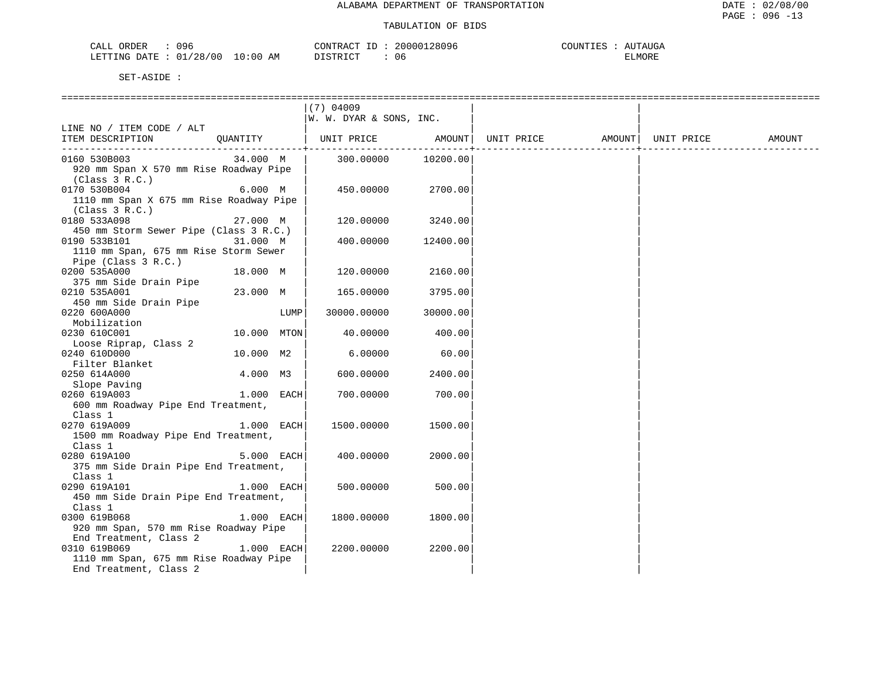| ORDER<br>CALL<br>096               |                   | CONTR<br>TRACT  | 28096<br>20000 | COUNTIES | UTAUGA<br>$\Delta$ I |
|------------------------------------|-------------------|-----------------|----------------|----------|----------------------|
| 01/28/00<br>LETTING<br><b>DATE</b> | 10:00<br>ΆM<br>∸∪ | ד פידי דרי<br>. | U6             |          | ELMORE               |

|                                         |              |      | $(7)$ 04009             |          |                   |            |        |
|-----------------------------------------|--------------|------|-------------------------|----------|-------------------|------------|--------|
|                                         |              |      | W. W. DYAR & SONS, INC. |          |                   |            |        |
| LINE NO / ITEM CODE / ALT               |              |      |                         |          |                   |            |        |
| ITEM DESCRIPTION                        | OUANTITY     |      | UNIT PRICE              | AMOUNT   | UNIT PRICE AMOUNT | UNIT PRICE | AMOUNT |
| 0160 530B003                            | 34.000 M     |      | 300.00000               | 10200.00 |                   |            |        |
| 920 mm Span X 570 mm Rise Roadway Pipe  |              |      |                         |          |                   |            |        |
| (Class 3 R.C.)                          |              |      |                         |          |                   |            |        |
| 0170 530B004                            | 6.000 M      |      | 450.00000               | 2700.00  |                   |            |        |
| 1110 mm Span X 675 mm Rise Roadway Pipe |              |      |                         |          |                   |            |        |
| (Class 3 R.C.)                          |              |      |                         |          |                   |            |        |
| 0180 533A098                            | 27.000 M     |      | 120.00000               | 3240.00  |                   |            |        |
| 450 mm Storm Sewer Pipe (Class 3 R.C.)  |              |      |                         |          |                   |            |        |
| 0190 533B101                            | 31.000 M     |      | 400.00000               | 12400.00 |                   |            |        |
| 1110 mm Span, 675 mm Rise Storm Sewer   |              |      |                         |          |                   |            |        |
| Pipe (Class 3 R.C.)                     |              |      |                         |          |                   |            |        |
| 0200 535A000                            | 18.000 M     |      | 120.00000               | 2160.00  |                   |            |        |
| 375 mm Side Drain Pipe                  |              |      |                         |          |                   |            |        |
| 0210 535A001                            | 23.000 M     |      | 165.00000               | 3795.00  |                   |            |        |
| 450 mm Side Drain Pipe                  |              |      |                         |          |                   |            |        |
| 0220 600A000                            |              | LUMP | 30000.00000             | 30000.00 |                   |            |        |
| Mobilization                            |              |      |                         |          |                   |            |        |
| 0230 610C001                            | 10.000 MTON  |      | 40.00000                | 400.00   |                   |            |        |
| Loose Riprap, Class 2                   |              |      |                         |          |                   |            |        |
| 0240 610D000                            | 10.000 M2    |      | 6.00000                 | 60.00    |                   |            |        |
| Filter Blanket                          |              |      |                         |          |                   |            |        |
|                                         | 4.000 M3     |      | 600.00000               | 2400.00  |                   |            |        |
| 0250 614A000                            |              |      |                         |          |                   |            |        |
| Slope Paving<br>0260 619A003            | 1.000 EACH   |      | 700.00000               | 700.00   |                   |            |        |
| 600 mm Roadway Pipe End Treatment,      |              |      |                         |          |                   |            |        |
| Class 1                                 |              |      |                         |          |                   |            |        |
| 0270 619A009                            | 1.000 EACH   |      | 1500.00000              | 1500.00  |                   |            |        |
| 1500 mm Roadway Pipe End Treatment,     |              |      |                         |          |                   |            |        |
| Class 1                                 |              |      |                         |          |                   |            |        |
| 0280 619A100                            | 5.000 EACH   |      | 400.00000               | 2000.00  |                   |            |        |
| 375 mm Side Drain Pipe End Treatment,   |              |      |                         |          |                   |            |        |
| Class 1                                 |              |      |                         |          |                   |            |        |
| 0290 619A101                            | $1.000$ EACH |      | 500.00000               | 500.00   |                   |            |        |
| 450 mm Side Drain Pipe End Treatment,   |              |      |                         |          |                   |            |        |
| Class 1                                 |              |      |                         |          |                   |            |        |
| 0300 619B068                            | 1.000 EACH   |      | 1800.00000              | 1800.00  |                   |            |        |
|                                         |              |      |                         |          |                   |            |        |
| 920 mm Span, 570 mm Rise Roadway Pipe   |              |      |                         |          |                   |            |        |
| End Treatment, Class 2                  |              |      |                         |          |                   |            |        |
| 0310 619B069                            | 1.000 EACH   |      | 2200.00000              | 2200.00  |                   |            |        |
| 1110 mm Span, 675 mm Rise Roadway Pipe  |              |      |                         |          |                   |            |        |
| End Treatment, Class 2                  |              |      |                         |          |                   |            |        |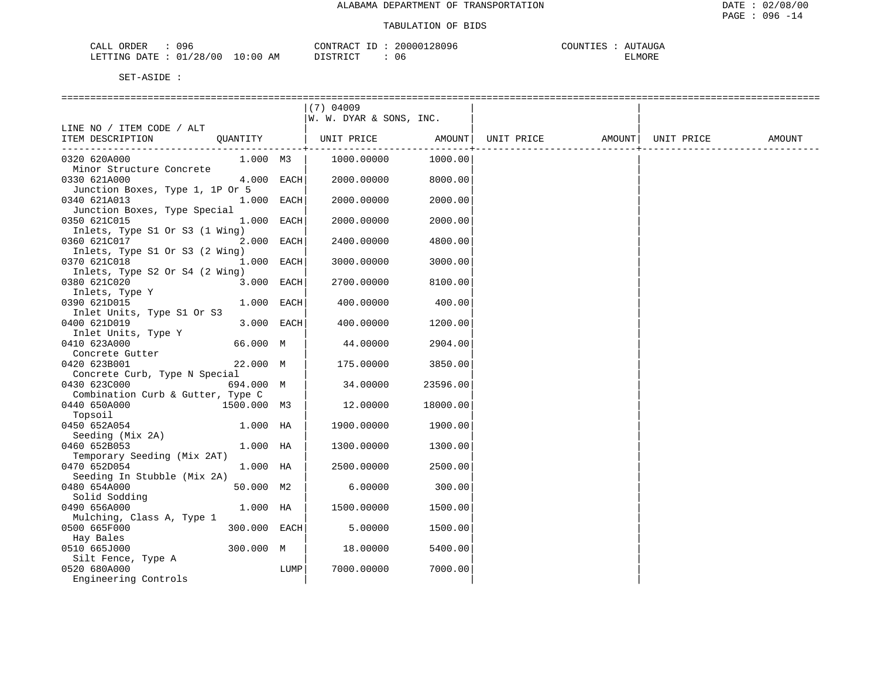| 096<br>ORDER<br>CALL            |                     | .28096<br>،000 م<br>$\cap$ $\cap$ $\cap$<br>∆ ש<br>N.AV. | TAUGA<br>$\bigcap \bigcap \tau^{\tau}$<br>$\cdot$ )TNT $\mathbb{T}$<br>$\mathbf{v}$ |
|---------------------------------|---------------------|----------------------------------------------------------|-------------------------------------------------------------------------------------|
| /28/00<br>מת דידים.־<br>R מיד∆ת | $\cdot$ : 0 C<br>AM | $\cap$ m<br>06<br>. ש                                    | ELMORE                                                                              |

|                                              |              |      | $(7)$ 04009                  |          |                   |            |        |
|----------------------------------------------|--------------|------|------------------------------|----------|-------------------|------------|--------|
|                                              |              |      | W. W. DYAR & SONS, INC.      |          |                   |            |        |
| LINE NO / ITEM CODE / ALT                    |              |      |                              |          |                   |            |        |
| ITEM DESCRIPTION                             |              |      | QUANTITY   UNIT PRICE AMOUNT |          | UNIT PRICE AMOUNT | UNIT PRICE | AMOUNT |
|                                              |              |      |                              |          |                   |            |        |
| 0320 620A000                                 | 1.000 M3     |      | 1000.00000                   | 1000.00  |                   |            |        |
| Minor Structure Concrete                     |              |      |                              |          |                   |            |        |
| 0330 621A000                                 | 4.000 EACH   |      | 2000.00000                   | 8000.00  |                   |            |        |
| Junction Boxes, Type 1, 1P Or 5              |              |      |                              | 2000.00  |                   |            |        |
| 0340 621A013<br>Junction Boxes, Type Special | 1.000 EACH   |      | 2000.00000                   |          |                   |            |        |
| 0350 621C015                                 | 1.000 EACH   |      | 2000.00000                   | 2000.00  |                   |            |        |
| Inlets, Type S1 Or S3 (1 Wing)               |              |      |                              |          |                   |            |        |
| 0360 621C017                                 | 2.000 EACH   |      | 2400.00000                   | 4800.00  |                   |            |        |
| Inlets, Type S1 Or S3 (2 Wing)               |              |      |                              |          |                   |            |        |
| 0370 621C018                                 | 1.000 EACH   |      | 3000.00000                   | 3000.00  |                   |            |        |
| Inlets, Type S2 Or S4 (2 Wing)               |              |      |                              |          |                   |            |        |
| 0380 621C020                                 | 3.000 EACH   |      | 2700.00000                   | 8100.00  |                   |            |        |
| Inlets, Type Y                               |              |      |                              |          |                   |            |        |
| 0390 621D015                                 | 1.000 EACH   |      | 400.00000                    | 400.00   |                   |            |        |
| Inlet Units, Type S1 Or S3                   |              |      |                              |          |                   |            |        |
| 0400 621D019                                 | 3.000 EACH   |      | 400.00000                    | 1200.00  |                   |            |        |
| Inlet Units, Type Y                          |              |      |                              |          |                   |            |        |
| 0410 623A000                                 | 66.000 M     |      | 44.00000                     | 2904.00  |                   |            |        |
| Concrete Gutter                              |              |      |                              |          |                   |            |        |
| 0420 623B001                                 | 22.000 M     |      | 175.00000                    | 3850.00  |                   |            |        |
| Concrete Curb, Type N Special                |              |      |                              |          |                   |            |        |
| 0430 623C000                                 | 694.000 M    |      | 34.00000                     | 23596.00 |                   |            |        |
| Combination Curb & Gutter, Type C            |              |      |                              |          |                   |            |        |
| 0440 650A000                                 | 1500.000 M3  |      | 12.00000                     | 18000.00 |                   |            |        |
| Topsoil                                      |              |      |                              |          |                   |            |        |
| 0450 652A054                                 | 1.000 HA     |      | 1900.00000                   | 1900.00  |                   |            |        |
| Seeding (Mix 2A)                             |              |      |                              |          |                   |            |        |
| 0460 652B053                                 | 1.000 HA     |      | 1300.00000                   | 1300.00  |                   |            |        |
| Temporary Seeding (Mix 2AT)                  |              |      |                              |          |                   |            |        |
| 0470 652D054                                 | 1.000 HA     |      | 2500.00000                   | 2500.00  |                   |            |        |
| Seeding In Stubble (Mix 2A)                  |              |      |                              |          |                   |            |        |
| 0480 654A000                                 | 50.000 M2    |      | 6.00000                      | 300.00   |                   |            |        |
| Solid Sodding                                |              |      |                              |          |                   |            |        |
| 0490 656A000                                 | 1.000 HA     |      | 1500.00000                   | 1500.00  |                   |            |        |
| Mulching, Class A, Type 1<br>0500 665F000    | 300.000 EACH |      | 5.00000                      | 1500.00  |                   |            |        |
| Hay Bales                                    |              |      |                              |          |                   |            |        |
| 0510 665J000                                 | 300.000 M    |      | 18.00000                     | 5400.00  |                   |            |        |
| Silt Fence, Type A                           |              |      |                              |          |                   |            |        |
| 0520 680A000                                 |              | LUMP | 7000.00000                   | 7000.00  |                   |            |        |
| Engineering Controls                         |              |      |                              |          |                   |            |        |
|                                              |              |      |                              |          |                   |            |        |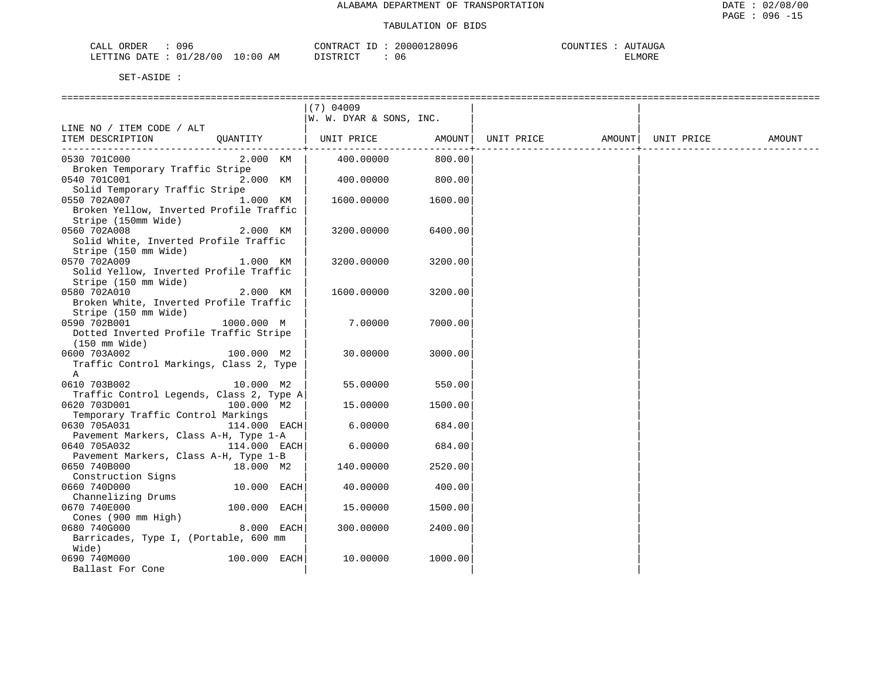| 096<br>ORDER<br>CALL     |             | CONTRACT<br>$\overline{ }$<br>∸∸ | 28096<br>200001 | COUNTIES | `UTAUGA<br>▵ |
|--------------------------|-------------|----------------------------------|-----------------|----------|--------------|
| 01/28/00<br>LETTING DATE | 10:00<br>ΑM | T STR TOT                        | U 6             |          | ELMORE       |

|                                                                |              | $(7)$ 04009             |                        |                   |            |        |
|----------------------------------------------------------------|--------------|-------------------------|------------------------|-------------------|------------|--------|
|                                                                |              | W. W. DYAR & SONS, INC. |                        |                   |            |        |
| LINE NO / ITEM CODE / ALT                                      |              |                         |                        |                   |            |        |
| ITEM DESCRIPTION                                               | QUANTITY     | UNIT PRICE              | AMOUNT                 | UNIT PRICE AMOUNT | UNIT PRICE | AMOUNT |
| 0530 701C000                                                   | 2.000 KM     | 400.00000               | ------------<br>800.00 |                   |            |        |
| Broken Temporary Traffic Stripe                                |              |                         |                        |                   |            |        |
| 0540 701C001                                                   | 2.000 KM     | 400.00000               | 800.00                 |                   |            |        |
| Solid Temporary Traffic Stripe                                 |              |                         |                        |                   |            |        |
| 0550 702A007                                                   | 1.000 KM     | 1600.00000              | 1600.00                |                   |            |        |
| Broken Yellow, Inverted Profile Traffic                        |              |                         |                        |                   |            |        |
| Stripe (150mm Wide)                                            |              |                         |                        |                   |            |        |
| 0560 702A008                                                   | 2.000 KM     | 3200.00000              | 6400.00                |                   |            |        |
| Solid White, Inverted Profile Traffic                          |              |                         |                        |                   |            |        |
| Stripe (150 mm Wide)                                           |              |                         |                        |                   |            |        |
| 0570 702A009                                                   | 1.000 KM     | 3200.00000              | 3200.00                |                   |            |        |
| Solid Yellow, Inverted Profile Traffic<br>Stripe (150 mm Wide) |              |                         |                        |                   |            |        |
| 0580 702A010                                                   | 2.000 KM     | 1600.00000              | 3200.00                |                   |            |        |
| Broken White, Inverted Profile Traffic                         |              |                         |                        |                   |            |        |
| Stripe (150 mm Wide)                                           |              |                         |                        |                   |            |        |
| 0590 702B001                                                   | 1000.000 M   | 7.00000                 | 7000.00                |                   |            |        |
| Dotted Inverted Profile Traffic Stripe                         |              |                         |                        |                   |            |        |
| $(150 \text{ mm Wide})$                                        |              |                         |                        |                   |            |        |
| 0600 703A002                                                   | 100.000 M2   | 30.00000                | 3000.00                |                   |            |        |
| Traffic Control Markings, Class 2, Type                        |              |                         |                        |                   |            |        |
| Α                                                              |              |                         |                        |                   |            |        |
| 0610 703B002                                                   | 10.000 M2    | 55.00000                | 550.00                 |                   |            |        |
| Traffic Control Legends, Class 2, Type A                       |              |                         |                        |                   |            |        |
| 0620 703D001                                                   | 100.000 M2   | 15.00000                | 1500.00                |                   |            |        |
| Temporary Traffic Control Markings<br>0630 705A031             | 114.000 EACH | 6.00000                 | 684.00                 |                   |            |        |
| Pavement Markers, Class A-H, Type 1-A                          |              |                         |                        |                   |            |        |
| 0640 705A032                                                   | 114.000 EACH | 6.00000                 | 684.00                 |                   |            |        |
| Pavement Markers, Class A-H, Type 1-B                          |              |                         |                        |                   |            |        |
| 0650 740B000                                                   | 18.000 M2    | 140.00000               | 2520.00                |                   |            |        |
| Construction Signs                                             |              |                         |                        |                   |            |        |
| 0660 740D000                                                   | 10.000 EACH  | 40.00000                | 400.00                 |                   |            |        |
| Channelizing Drums                                             |              |                         |                        |                   |            |        |
| 0670 740E000                                                   | 100.000 EACH | 15.00000                | 1500.00                |                   |            |        |
| Cones $(900 \text{ mm High})$                                  |              |                         |                        |                   |            |        |
| 0680 740G000                                                   | 8.000 EACH   | 300.00000               | 2400.00                |                   |            |        |
| Barricades, Type I, (Portable, 600 mm                          |              |                         |                        |                   |            |        |
| Wide)                                                          |              |                         |                        |                   |            |        |
| 0690 740M000                                                   | 100.000 EACH | 10,00000                | 1000.00                |                   |            |        |
| Ballast For Cone                                               |              |                         |                        |                   |            |        |